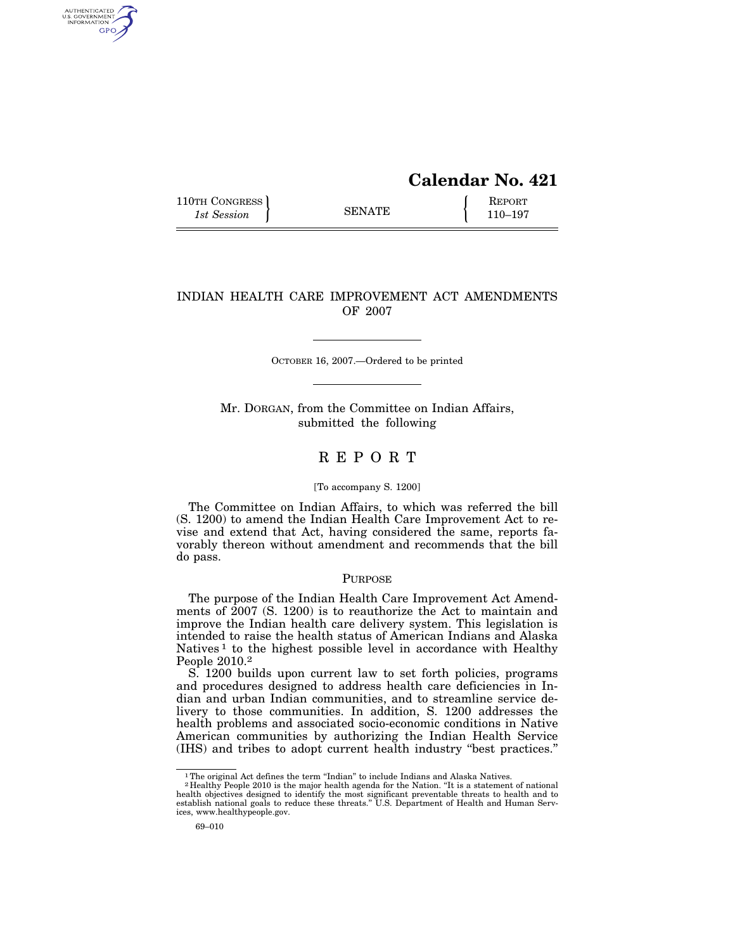# **Calendar No. 421**

110TH CONGRESS REPORT SENATE  $\left\{\begin{array}{c} \text{REPORT} \\ 110-197 \end{array}\right\}$ 1st Session **110–197 110–197** 

AUTHENTICATED<br>U.S. GOVERNMENT<br>INFORMATION GPO

## INDIAN HEALTH CARE IMPROVEMENT ACT AMENDMENTS OF 2007

OCTOBER 16, 2007.—Ordered to be printed

Mr. DORGAN, from the Committee on Indian Affairs, submitted the following

## R E P O R T

#### [To accompany S. 1200]

The Committee on Indian Affairs, to which was referred the bill (S. 1200) to amend the Indian Health Care Improvement Act to revise and extend that Act, having considered the same, reports favorably thereon without amendment and recommends that the bill do pass.

#### PURPOSE

The purpose of the Indian Health Care Improvement Act Amendments of 2007 (S. 1200) is to reauthorize the Act to maintain and improve the Indian health care delivery system. This legislation is intended to raise the health status of American Indians and Alaska Natives<sup>1</sup> to the highest possible level in accordance with Healthy People 2010.2

S. 1200 builds upon current law to set forth policies, programs and procedures designed to address health care deficiencies in Indian and urban Indian communities, and to streamline service delivery to those communities. In addition, S. 1200 addresses the health problems and associated socio-economic conditions in Native American communities by authorizing the Indian Health Service (IHS) and tribes to adopt current health industry ''best practices.''

<sup>&</sup>lt;sup>1</sup>The original Act defines the term "Indian" to include Indians and Alaska Natives.

 $2$  Healthy People 2010 is the major health agenda for the Nation. "It is a statement of national health objectives designed to identify the most significant preventable threats to health and to establish national goals t ices, www.healthypeople.gov.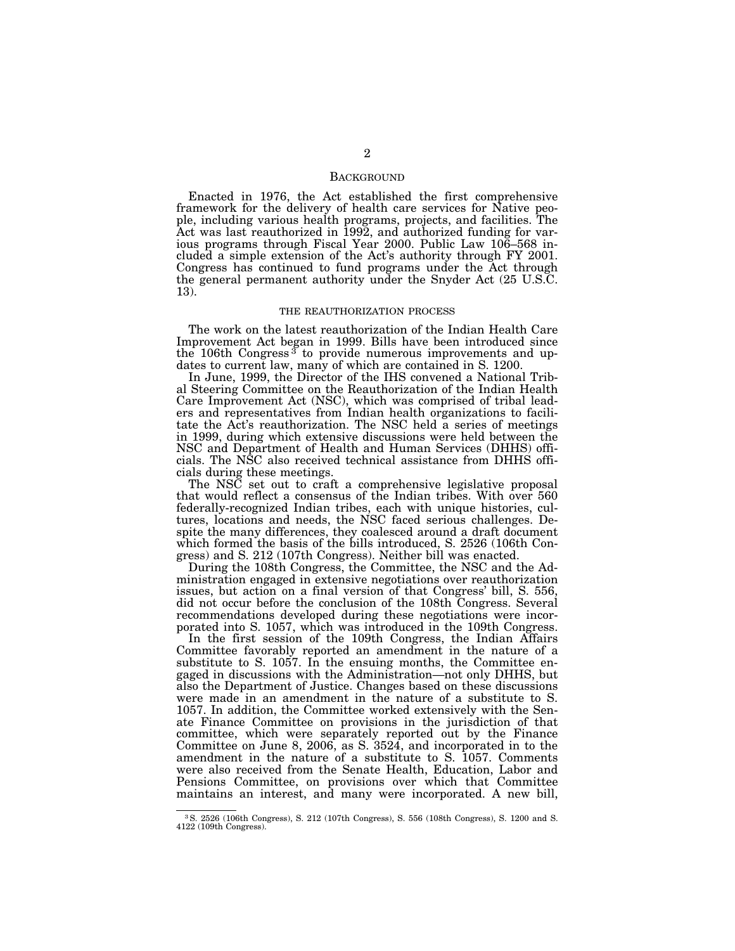## **BACKGROUND**

Enacted in 1976, the Act established the first comprehensive framework for the delivery of health care services for Native people, including various health programs, projects, and facilities. The Act was last reauthorized in 1992, and authorized funding for various programs through Fiscal Year 2000. Public Law 106–568 included a simple extension of the Act's authority through FY 2001. Congress has continued to fund programs under the Act through the general permanent authority under the Snyder Act (25 U.S.C. 13).

#### THE REAUTHORIZATION PROCESS

The work on the latest reauthorization of the Indian Health Care Improvement Act began in 1999. Bills have been introduced since the 106th Congress<sup>3</sup> to provide numerous improvements and updates to current law, many of which are contained in S. 1200.

In June, 1999, the Director of the IHS convened a National Tribal Steering Committee on the Reauthorization of the Indian Health Care Improvement Act (NSC), which was comprised of tribal leaders and representatives from Indian health organizations to facilitate the Act's reauthorization. The NSC held a series of meetings in 1999, during which extensive discussions were held between the NSC and Department of Health and Human Services (DHHS) officials. The NSC also received technical assistance from DHHS officials during these meetings.

The NSC set out to craft a comprehensive legislative proposal that would reflect a consensus of the Indian tribes. With over 560 federally-recognized Indian tribes, each with unique histories, cultures, locations and needs, the NSC faced serious challenges. Despite the many differences, they coalesced around a draft document which formed the basis of the bills introduced, S. 2526 (106th Congress) and S. 212 (107th Congress). Neither bill was enacted.

During the 108th Congress, the Committee, the NSC and the Administration engaged in extensive negotiations over reauthorization issues, but action on a final version of that Congress' bill, S. 556, did not occur before the conclusion of the 108th Congress. Several recommendations developed during these negotiations were incorporated into S. 1057, which was introduced in the 109th Congress.

In the first session of the 109th Congress, the Indian Affairs Committee favorably reported an amendment in the nature of a substitute to S. 1057. In the ensuing months, the Committee engaged in discussions with the Administration—not only DHHS, but also the Department of Justice. Changes based on these discussions were made in an amendment in the nature of a substitute to S. 1057. In addition, the Committee worked extensively with the Senate Finance Committee on provisions in the jurisdiction of that committee, which were separately reported out by the Finance Committee on June 8, 2006, as S. 3524, and incorporated in to the amendment in the nature of a substitute to S. 1057. Comments were also received from the Senate Health, Education, Labor and Pensions Committee, on provisions over which that Committee maintains an interest, and many were incorporated. A new bill,

<sup>3</sup>S. 2526 (106th Congress), S. 212 (107th Congress), S. 556 (108th Congress), S. 1200 and S. 4122 (109th Congress).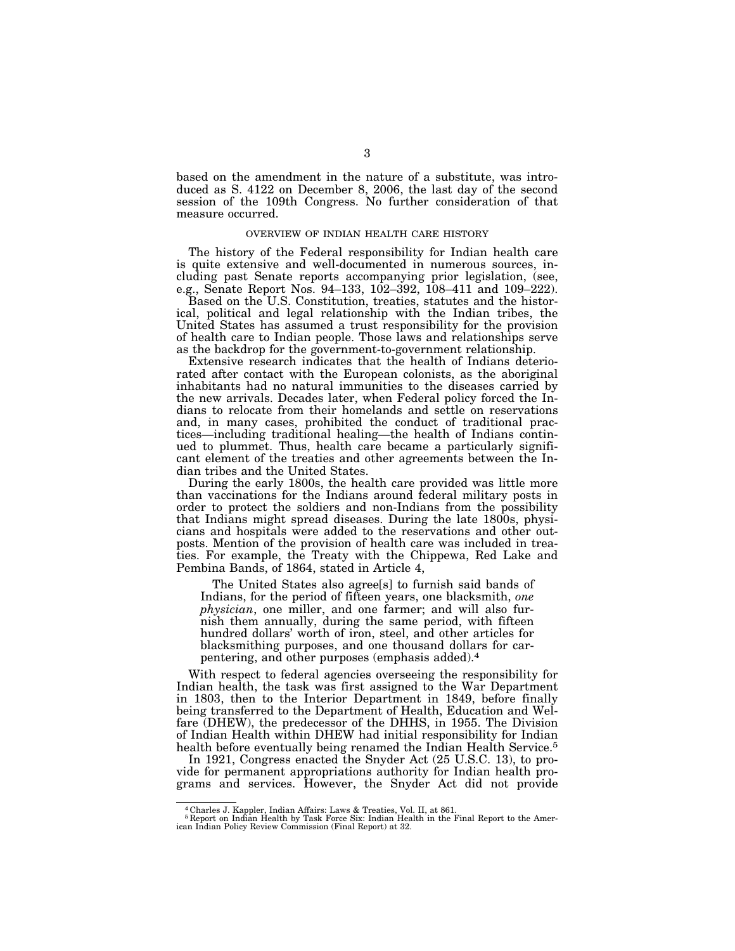based on the amendment in the nature of a substitute, was introduced as S. 4122 on December 8, 2006, the last day of the second session of the 109th Congress. No further consideration of that measure occurred.

#### OVERVIEW OF INDIAN HEALTH CARE HISTORY

The history of the Federal responsibility for Indian health care is quite extensive and well-documented in numerous sources, including past Senate reports accompanying prior legislation, (see, e.g., Senate Report Nos. 94–133, 102–392, 108–411 and 109–222).

Based on the U.S. Constitution, treaties, statutes and the historical, political and legal relationship with the Indian tribes, the United States has assumed a trust responsibility for the provision of health care to Indian people. Those laws and relationships serve as the backdrop for the government-to-government relationship.

Extensive research indicates that the health of Indians deteriorated after contact with the European colonists, as the aboriginal inhabitants had no natural immunities to the diseases carried by the new arrivals. Decades later, when Federal policy forced the Indians to relocate from their homelands and settle on reservations and, in many cases, prohibited the conduct of traditional practices—including traditional healing—the health of Indians continued to plummet. Thus, health care became a particularly significant element of the treaties and other agreements between the Indian tribes and the United States.

During the early 1800s, the health care provided was little more than vaccinations for the Indians around federal military posts in order to protect the soldiers and non-Indians from the possibility that Indians might spread diseases. During the late 1800s, physicians and hospitals were added to the reservations and other outposts. Mention of the provision of health care was included in treaties. For example, the Treaty with the Chippewa, Red Lake and Pembina Bands, of 1864, stated in Article 4,

The United States also agree[s] to furnish said bands of Indians, for the period of fifteen years, one blacksmith, *one physician*, one miller, and one farmer; and will also furnish them annually, during the same period, with fifteen hundred dollars' worth of iron, steel, and other articles for blacksmithing purposes, and one thousand dollars for carpentering, and other purposes (emphasis added).4

With respect to federal agencies overseeing the responsibility for Indian health, the task was first assigned to the War Department in 1803, then to the Interior Department in 1849, before finally being transferred to the Department of Health, Education and Welfare (DHEW), the predecessor of the DHHS, in 1955. The Division of Indian Health within DHEW had initial responsibility for Indian health before eventually being renamed the Indian Health Service.<sup>5</sup>

In 1921, Congress enacted the Snyder Act (25 U.S.C. 13), to provide for permanent appropriations authority for Indian health programs and services. However, the Snyder Act did not provide

<sup>4</sup> Charles J. Kappler, Indian Affairs: Laws & Treaties, Vol. II, at 861. 5 Report on Indian Health by Task Force Six: Indian Health in the Final Report to the Amer-ican Indian Policy Review Commission (Final Report) at 32.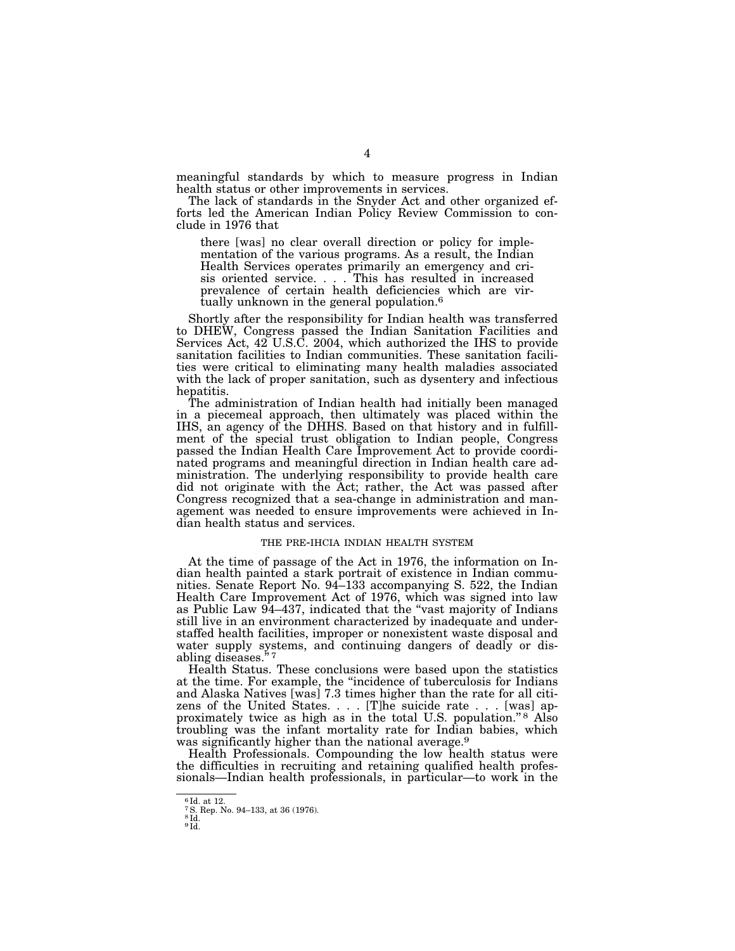meaningful standards by which to measure progress in Indian health status or other improvements in services.

The lack of standards in the Snyder Act and other organized efforts led the American Indian Policy Review Commission to conclude in 1976 that

there [was] no clear overall direction or policy for implementation of the various programs. As a result, the Indian Health Services operates primarily an emergency and crisis oriented service. . . . This has resulted in increased prevalence of certain health deficiencies which are virtually unknown in the general population.6

Shortly after the responsibility for Indian health was transferred to DHEW, Congress passed the Indian Sanitation Facilities and Services Act, 42 U.S.C. 2004, which authorized the IHS to provide sanitation facilities to Indian communities. These sanitation facilities were critical to eliminating many health maladies associated with the lack of proper sanitation, such as dysentery and infectious hepatitis.

The administration of Indian health had initially been managed in a piecemeal approach, then ultimately was placed within the IHS, an agency of the DHHS. Based on that history and in fulfillment of the special trust obligation to Indian people, Congress passed the Indian Health Care Improvement Act to provide coordinated programs and meaningful direction in Indian health care administration. The underlying responsibility to provide health care did not originate with the Act; rather, the Act was passed after Congress recognized that a sea-change in administration and management was needed to ensure improvements were achieved in Indian health status and services.

## THE PRE-IHCIA INDIAN HEALTH SYSTEM

At the time of passage of the Act in 1976, the information on Indian health painted a stark portrait of existence in Indian communities. Senate Report No. 94–133 accompanying S. 522, the Indian Health Care Improvement Act of 1976, which was signed into law as Public Law 94–437, indicated that the ''vast majority of Indians still live in an environment characterized by inadequate and understaffed health facilities, improper or nonexistent waste disposal and water supply systems, and continuing dangers of deadly or disabling diseases."7

Health Status. These conclusions were based upon the statistics at the time. For example, the ''incidence of tuberculosis for Indians and Alaska Natives [was] 7.3 times higher than the rate for all citizens of the United States. . . . [T]he suicide rate . . . [was] approximately twice as high as in the total U.S. population."<sup>8</sup> Also troubling was the infant mortality rate for Indian babies, which was significantly higher than the national average.<sup>9</sup>

Health Professionals. Compounding the low health status were the difficulties in recruiting and retaining qualified health professionals—Indian health professionals, in particular—to work in the

<sup>6</sup> Id. at 12.

<sup>7</sup>S. Rep. No. 94–133, at 36 (1976). 8 Id.

<sup>9</sup> Id.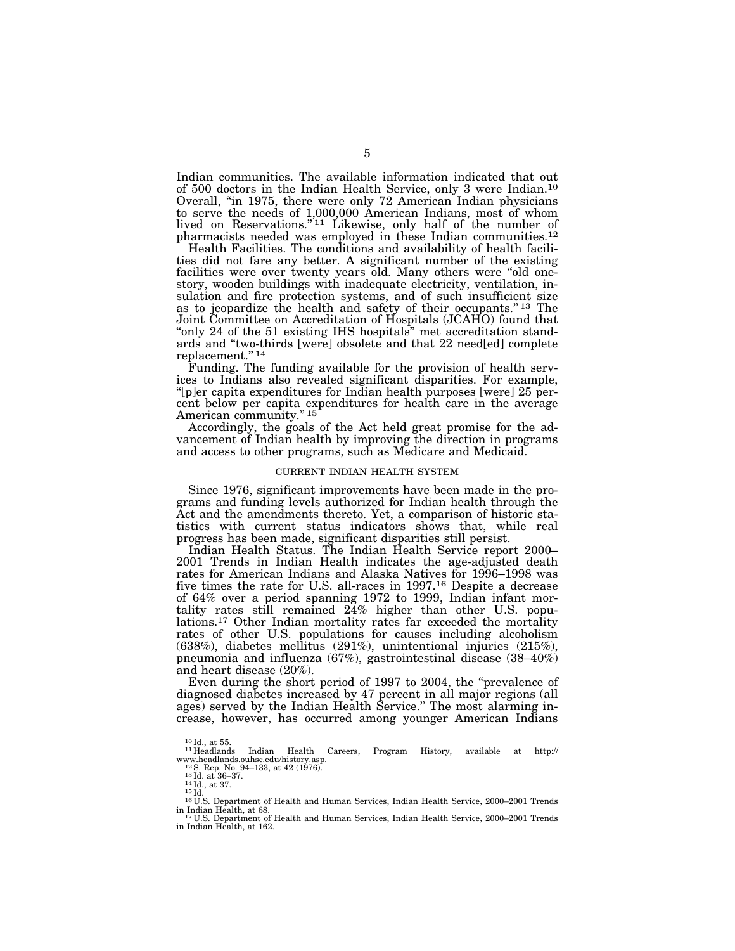Indian communities. The available information indicated that out of 500 doctors in the Indian Health Service, only 3 were Indian.10 Overall, "in 1975, there were only 72 American Indian physicians to serve the needs of 1,000,000 American Indians, most of whom lived on Reservations."<sup>11</sup> Likewise, only half of the number of pharmacists needed was employed in these Indian communities.<sup>12</sup>

Health Facilities. The conditions and availability of health facilities did not fare any better. A significant number of the existing facilities were over twenty years old. Many others were ''old onestory, wooden buildings with inadequate electricity, ventilation, insulation and fire protection systems, and of such insufficient size as to jeopardize the health and safety of their occupants.'' 13 The Joint Committee on Accreditation of Hospitals (JCAHO) found that "only 24 of the 51 existing IHS hospitals" met accreditation standards and ''two-thirds [were] obsolete and that 22 need[ed] complete replacement.'' 14

Funding. The funding available for the provision of health services to Indians also revealed significant disparities. For example, ''[p]er capita expenditures for Indian health purposes [were] 25 percent below per capita expenditures for health care in the average American community."<sup>15</sup>

Accordingly, the goals of the Act held great promise for the advancement of Indian health by improving the direction in programs and access to other programs, such as Medicare and Medicaid.

#### CURRENT INDIAN HEALTH SYSTEM

Since 1976, significant improvements have been made in the programs and funding levels authorized for Indian health through the Act and the amendments thereto. Yet, a comparison of historic statistics with current status indicators shows that, while real progress has been made, significant disparities still persist.

Indian Health Status. The Indian Health Service report 2000– 2001 Trends in Indian Health indicates the age-adjusted death rates for American Indians and Alaska Natives for 1996-1998 was five times the rate for U.S. all-races in 1997.16 Despite a decrease of 64% over a period spanning 1972 to 1999, Indian infant mortality rates still remained 24% higher than other U.S. populations.17 Other Indian mortality rates far exceeded the mortality rates of other U.S. populations for causes including alcoholism (638%), diabetes mellitus (291%), unintentional injuries (215%), pneumonia and influenza (67%), gastrointestinal disease (38–40%) and heart disease (20%).

Even during the short period of 1997 to 2004, the "prevalence of diagnosed diabetes increased by 47 percent in all major regions (all ages) served by the Indian Health Service.'' The most alarming increase, however, has occurred among younger American Indians

 $^{10}$ Id., at 55.  $^{11}$  Headlands Indian Health Careers, Program History, available at http://www.headlands.ouhsc.edu/history.asp.  $^{12}$  S. Rep. No. 94–133, at 42 (1976).  $^{13}$  Id. at 36–37.

w. d.<br>14 Id., at 37.<br><sup>15</sup> Id. at 37. 15 Id. at 437. 14 Id., at 42 (1976). 14 Human Services, Indian Health Service, 2000–2001 Trends in Indian Health, at 68. 17 U.S. Department of Health and Human Services, Indian Health Service, 2000–2001 Trends

in Indian Health, at 162.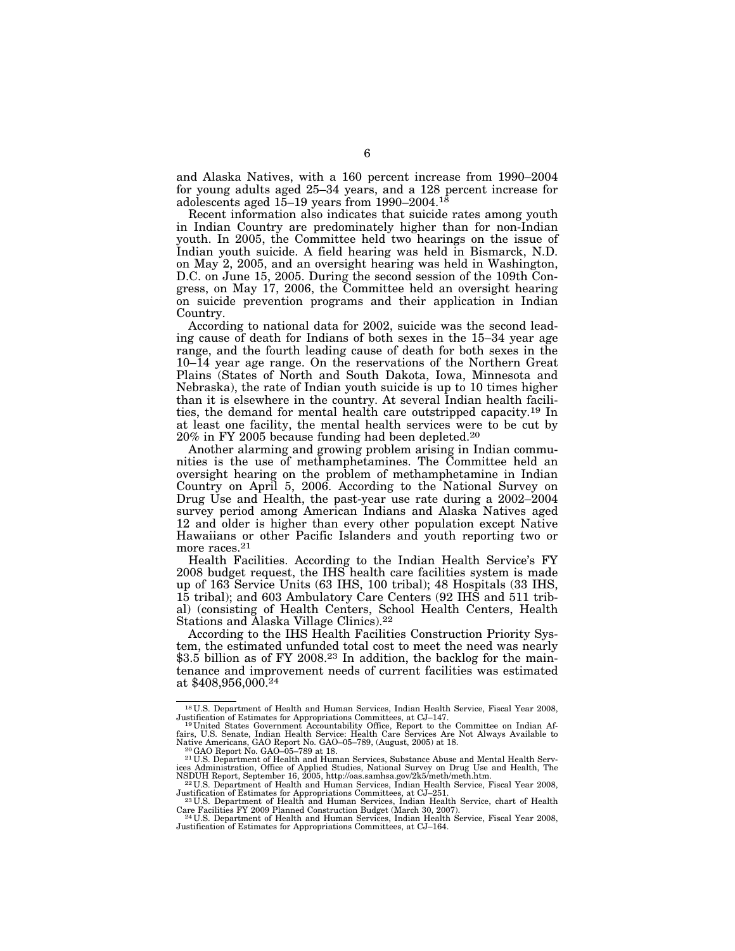and Alaska Natives, with a 160 percent increase from 1990–2004 for young adults aged 25–34 years, and a 128 percent increase for adolescents aged 15–19 years from 1990–2004.18

Recent information also indicates that suicide rates among youth in Indian Country are predominately higher than for non-Indian youth. In 2005, the Committee held two hearings on the issue of Indian youth suicide. A field hearing was held in Bismarck, N.D. on May 2, 2005, and an oversight hearing was held in Washington, D.C. on June 15, 2005. During the second session of the 109th Congress, on May 17, 2006, the Committee held an oversight hearing on suicide prevention programs and their application in Indian Country.

According to national data for 2002, suicide was the second leading cause of death for Indians of both sexes in the 15–34 year age range, and the fourth leading cause of death for both sexes in the 10–14 year age range. On the reservations of the Northern Great Plains (States of North and South Dakota, Iowa, Minnesota and Nebraska), the rate of Indian youth suicide is up to 10 times higher than it is elsewhere in the country. At several Indian health facilities, the demand for mental health care outstripped capacity.19 In at least one facility, the mental health services were to be cut by 20% in FY 2005 because funding had been depleted.20

Another alarming and growing problem arising in Indian communities is the use of methamphetamines. The Committee held an oversight hearing on the problem of methamphetamine in Indian Country on April 5, 2006. According to the National Survey on Drug Use and Health, the past-year use rate during a 2002–2004 survey period among American Indians and Alaska Natives aged 12 and older is higher than every other population except Native Hawaiians or other Pacific Islanders and youth reporting two or more races.<sup>21</sup>

Health Facilities. According to the Indian Health Service's FY 2008 budget request, the IHS health care facilities system is made up of 163 Service Units (63 IHS, 100 tribal); 48 Hospitals (33 IHS, 15 tribal); and 603 Ambulatory Care Centers (92 IHS and 511 tribal) (consisting of Health Centers, School Health Centers, Health Stations and Alaska Village Clinics).22

According to the IHS Health Facilities Construction Priority System, the estimated unfunded total cost to meet the need was nearly \$3.5 billion as of FY 2008.<sup>23</sup> In addition, the backlog for the maintenance and improvement needs of current facilities was estimated at \$408,956,000.24

<sup>18</sup> U.S. Department of Health and Human Services, Indian Health Service, Fiscal Year 2008, Justification of Estimates for Appropriations Committees, at CJ–147. 19 United States Government Accountability Office, Report to the Committee on Indian Af-

fairs, U.S. Senate, Indian Health Service: Health Care Services Are Not Always Available to Native Americans, GAO Report No. GAO–05–789, (August, 2005) at 18.<br><sup>20</sup>GAO Report No. GAO–05–789 at 18.<br><sup>20</sup>GAO Report No. GAO–05

ices Administration, Office of Applied Studies, National Survey on Drug Use and Health, The<br>NSDUH Report, September 16, 2005, http://oas.samhsa.gov/2k5/meth/meth.htm.<br>"<sup>22</sup>U.S. Department of Health and Human Services, Indi

V22U.S. Department of Health and Human Services, Indian Health Service, Fiscal Year 2008, Justification of Estimates for Appropriations Committees, at CJ–251.<br><sup>23</sup> U.S. Department of Health and Human Services, Indian Healt

Care Facilities FY 2009 Planned Construction Budget (March 30, 2007).<br>- <sup>24</sup>U.S. Department of Health and Human Services, Indian Health Service, Fiscal Year 2008,<br>Justification of Estimates for Appropriations Committees, a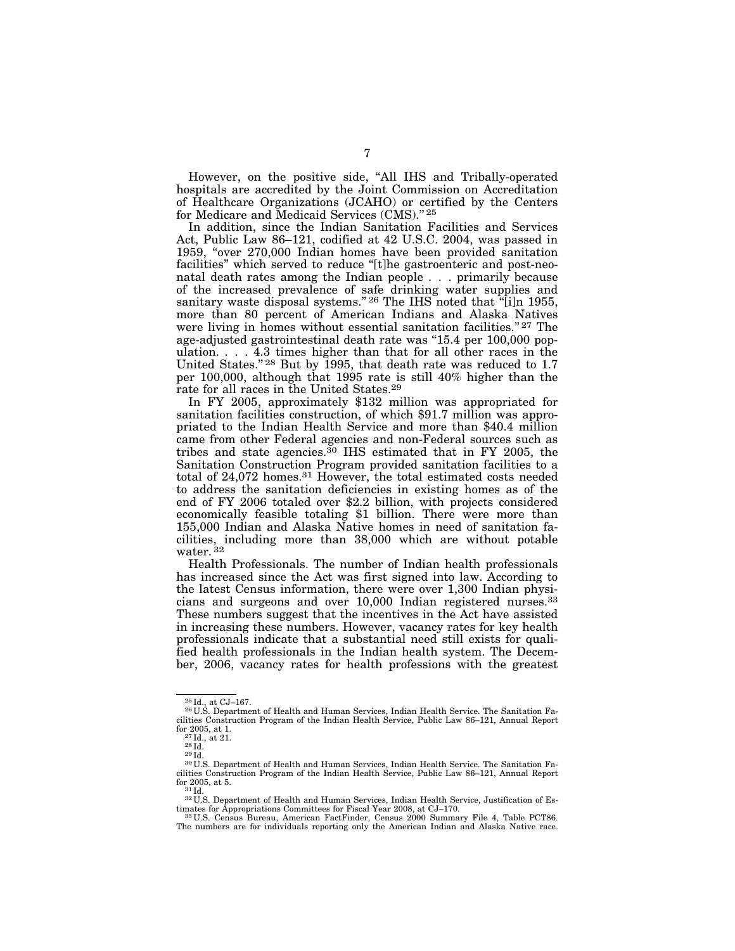However, on the positive side, "All IHS and Tribally-operated hospitals are accredited by the Joint Commission on Accreditation of Healthcare Organizations (JCAHO) or certified by the Centers for Medicare and Medicaid Services (CMS)." 25

In addition, since the Indian Sanitation Facilities and Services Act, Public Law 86–121, codified at 42 U.S.C. 2004, was passed in 1959, ''over 270,000 Indian homes have been provided sanitation facilities" which served to reduce "[t]he gastroenteric and post-neonatal death rates among the Indian people . . . primarily because of the increased prevalence of safe drinking water supplies and sanitary waste disposal systems."<sup>26</sup> The IHS noted that "[i]n 1955, more than 80 percent of American Indians and Alaska Natives were living in homes without essential sanitation facilities." 27 The age-adjusted gastrointestinal death rate was ''15.4 per 100,000 population. . . . 4.3 times higher than that for all other races in the United States." <sup>28</sup> But by 1995, that death rate was reduced to 1.7 per 100,000, although that 1995 rate is still 40% higher than the rate for all races in the United States.29

In FY 2005, approximately \$132 million was appropriated for sanitation facilities construction, of which \$91.7 million was appropriated to the Indian Health Service and more than \$40.4 million came from other Federal agencies and non-Federal sources such as tribes and state agencies.<sup>30</sup> IHS estimated that in FY 2005, the Sanitation Construction Program provided sanitation facilities to a total of 24,072 homes.31 However, the total estimated costs needed to address the sanitation deficiencies in existing homes as of the end of FY 2006 totaled over \$2.2 billion, with projects considered economically feasible totaling \$1 billion. There were more than 155,000 Indian and Alaska Native homes in need of sanitation facilities, including more than 38,000 which are without potable water. 32

Health Professionals. The number of Indian health professionals has increased since the Act was first signed into law. According to the latest Census information, there were over 1,300 Indian physicians and surgeons and over 10,000 Indian registered nurses.33 These numbers suggest that the incentives in the Act have assisted in increasing these numbers. However, vacancy rates for key health professionals indicate that a substantial need still exists for qualified health professionals in the Indian health system. The December, 2006, vacancy rates for health professions with the greatest

 $^{25}$ Id., at CJ–167.<br><sup>26</sup>U.S. Department of Health and Human Services, Indian Health Service. The Sanitation Facilities Construction Program of the Indian Health Service, Public Law 86–121, Annual Report<br>for 2005, at 1.

 $\frac{27}{28}$ Id., at 21.<br>28 Id.<br>29 Id. 30 U.S. Department of Health and Human Services, Indian Health Service. The Sanitation Facilities Construction Program of the Indian Health Service, Public Law 86–121, Annual Report for 2005, at 5.  $31$  Id.

 $^{32}$ U.S. Department of Health and Human Services, Indian Health Service, Justification of Estimates for Appropriations Committees for Fiscal Year 2008, at CJ–170.

<sup>1991.</sup> The Appropriations Committees for Fiscal Year 2009, at Committees for Fig. 33 U.S. Census Bureau, American FactFinder, Census 2000 Summary File 4, Table PCT86. The numbers are for individuals reporting only the American Indian and Alaska Native race.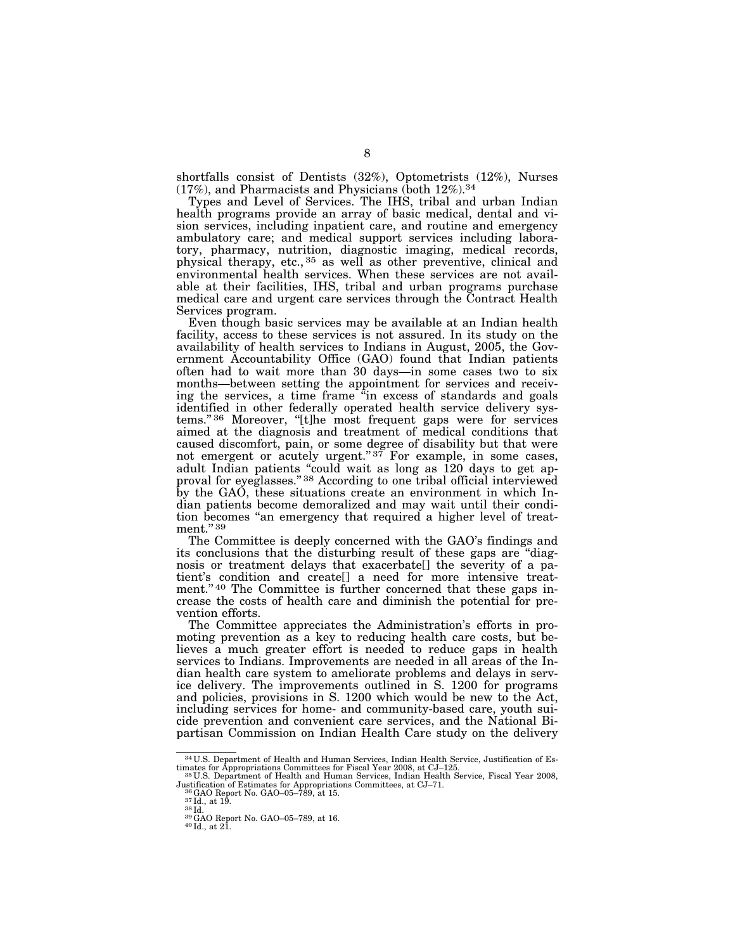shortfalls consist of Dentists (32%), Optometrists (12%), Nurses  $(17\%)$ , and Pharmacists and Physicians (both  $12\%$ ).<sup>34</sup>

Types and Level of Services. The IHS, tribal and urban Indian health programs provide an array of basic medical, dental and vision services, including inpatient care, and routine and emergency ambulatory care; and medical support services including laboratory, pharmacy, nutrition, diagnostic imaging, medical records, physical therapy, etc., 35 as well as other preventive, clinical and environmental health services. When these services are not available at their facilities, IHS, tribal and urban programs purchase medical care and urgent care services through the Contract Health Services program.

Even though basic services may be available at an Indian health facility, access to these services is not assured. In its study on the availability of health services to Indians in August, 2005, the Government Accountability Office (GAO) found that Indian patients often had to wait more than 30 days—in some cases two to six months—between setting the appointment for services and receiving the services, a time frame ''in excess of standards and goals identified in other federally operated health service delivery systems."36 Moreover, "[t]he most frequent gaps were for services aimed at the diagnosis and treatment of medical conditions that caused discomfort, pain, or some degree of disability but that were not emergent or acutely urgent." $37$  For example, in some cases, adult Indian patients ''could wait as long as 120 days to get approval for eyeglasses.'' 38 According to one tribal official interviewed by the GAO, these situations create an environment in which Indian patients become demoralized and may wait until their condition becomes ''an emergency that required a higher level of treatment." 39

The Committee is deeply concerned with the GAO's findings and its conclusions that the disturbing result of these gaps are ''diagnosis or treatment delays that exacerbate[] the severity of a patient's condition and create[] a need for more intensive treatment."<sup>40</sup> The Committee is further concerned that these gaps increase the costs of health care and diminish the potential for prevention efforts.

The Committee appreciates the Administration's efforts in promoting prevention as a key to reducing health care costs, but believes a much greater effort is needed to reduce gaps in health services to Indians. Improvements are needed in all areas of the Indian health care system to ameliorate problems and delays in service delivery. The improvements outlined in S. 1200 for programs and policies, provisions in S. 1200 which would be new to the Act, including services for home- and community-based care, youth suicide prevention and convenient care services, and the National Bipartisan Commission on Indian Health Care study on the delivery

 $^{34}$  U.S. Department of Health and Human Services, Indian Health Service, Justification of Estimates for Appropriations Committees for Fiscal Year 2008, at CJ–125.<br><sup>35</sup> U.S. Department of Health and Human Services, Indi

Justification of Estimates for Appropriations Committees, at CJ–71.  $^{36}$ GAO Report No. GAO–05–789, at 15.  $^{37}$ Id., at 19.  $^{38}$ Id.  $^{38}$ GAO Report No. GAO–05–789, at 16.  $^{39}$ GAO Report No. GAO–05–789, at 16.  $^{40}$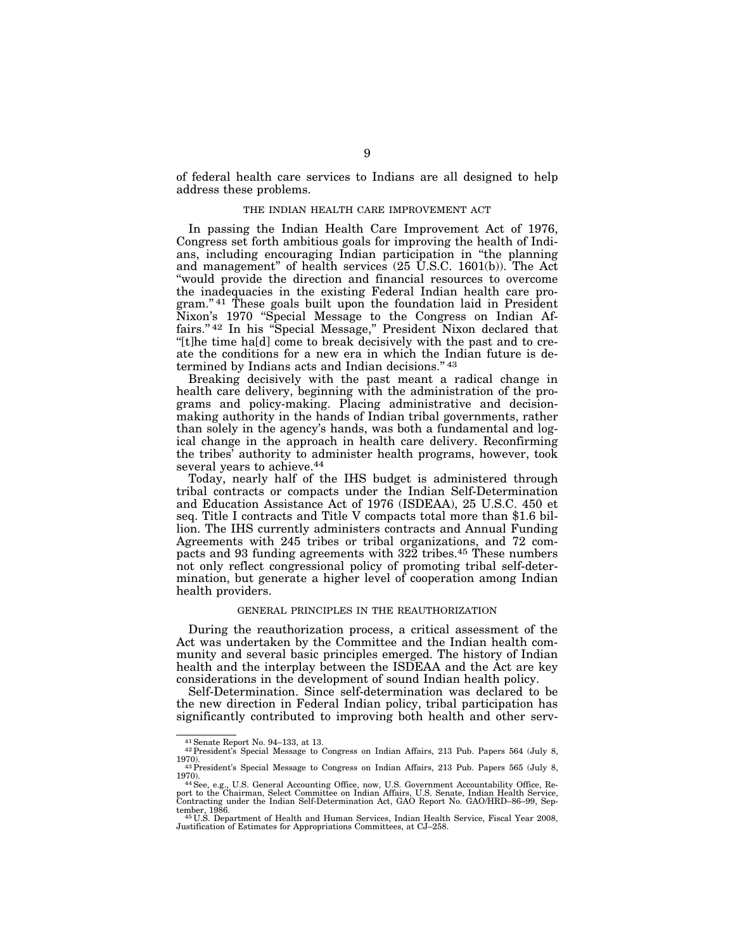of federal health care services to Indians are all designed to help address these problems.

#### THE INDIAN HEALTH CARE IMPROVEMENT ACT

In passing the Indian Health Care Improvement Act of 1976, Congress set forth ambitious goals for improving the health of Indians, including encouraging Indian participation in ''the planning and management'' of health services (25 U.S.C. 1601(b)). The Act ''would provide the direction and financial resources to overcome the inadequacies in the existing Federal Indian health care program."<sup>41</sup> These goals built upon the foundation laid in President Nixon's 1970 ''Special Message to the Congress on Indian Affairs."<sup>42</sup> In his "Special Message," President Nixon declared that ''[t]he time ha[d] come to break decisively with the past and to create the conditions for a new era in which the Indian future is determined by Indians acts and Indian decisions." 43

Breaking decisively with the past meant a radical change in health care delivery, beginning with the administration of the programs and policy-making. Placing administrative and decisionmaking authority in the hands of Indian tribal governments, rather than solely in the agency's hands, was both a fundamental and logical change in the approach in health care delivery. Reconfirming the tribes' authority to administer health programs, however, took several years to achieve.<sup>44</sup>

Today, nearly half of the IHS budget is administered through tribal contracts or compacts under the Indian Self-Determination and Education Assistance Act of 1976 (ISDEAA), 25 U.S.C. 450 et seq. Title I contracts and Title V compacts total more than \$1.6 billion. The IHS currently administers contracts and Annual Funding Agreements with 245 tribes or tribal organizations, and 72 compacts and 93 funding agreements with 322 tribes.<sup>45</sup> These numbers not only reflect congressional policy of promoting tribal self-determination, but generate a higher level of cooperation among Indian health providers.

#### GENERAL PRINCIPLES IN THE REAUTHORIZATION

During the reauthorization process, a critical assessment of the Act was undertaken by the Committee and the Indian health community and several basic principles emerged. The history of Indian health and the interplay between the ISDEAA and the Act are key considerations in the development of sound Indian health policy.

Self-Determination. Since self-determination was declared to be the new direction in Federal Indian policy, tribal participation has significantly contributed to improving both health and other serv-

 $^{41}$  Senate Report No. 94–133, at 13.  $^{42}$  President's Special Message to Congress on Indian Affairs, 213 Pub. Papers 564 (July 8,  $^{42}$ 1970). 43President's Special Message to Congress on Indian Affairs, 213 Pub. Papers 565 (July 8,

<sup>1970).&</sup>lt;br><sup>44</sup> See, e.g., U.S. General Accounting Office, now, U.S. Government Accountability Office, Re-<br>port to the Chairman, Select Committee on Indian Affairs, U.S. Senate, Indian Health Service,<br>Contracting under the Ind

tember, 1986. 45 U.S. Department of Health and Human Services, Indian Health Service, Fiscal Year 2008, Justification of Estimates for Appropriations Committees, at CJ–258.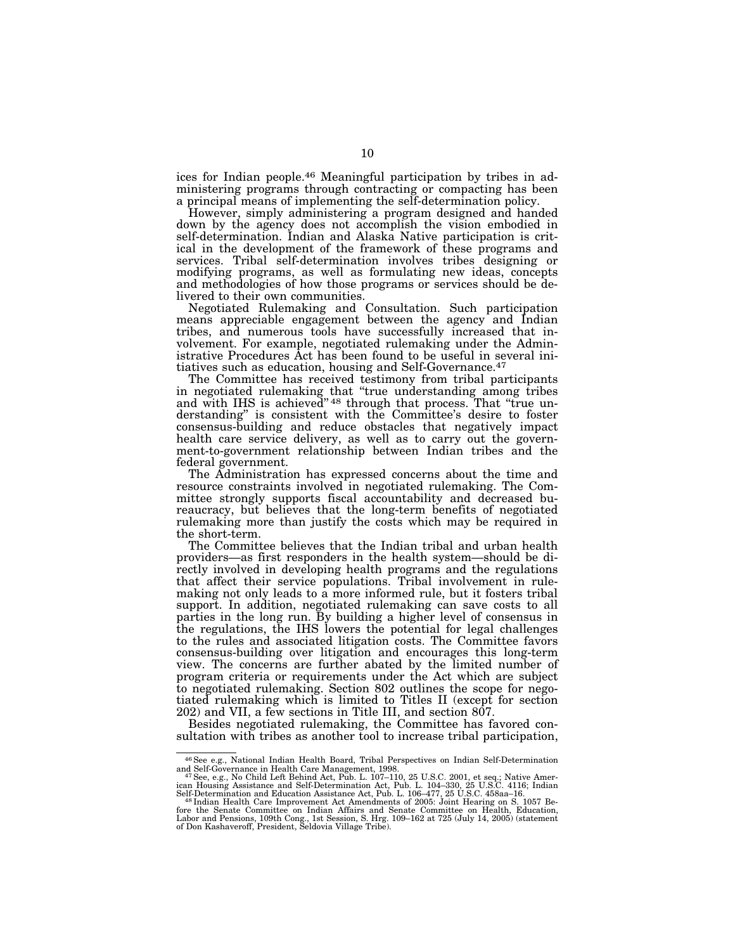ices for Indian people.46 Meaningful participation by tribes in administering programs through contracting or compacting has been a principal means of implementing the self-determination policy.

However, simply administering a program designed and handed down by the agency does not accomplish the vision embodied in self-determination. Indian and Alaska Native participation is critical in the development of the framework of these programs and services. Tribal self-determination involves tribes designing or modifying programs, as well as formulating new ideas, concepts and methodologies of how those programs or services should be delivered to their own communities.

Negotiated Rulemaking and Consultation. Such participation means appreciable engagement between the agency and Indian tribes, and numerous tools have successfully increased that involvement. For example, negotiated rulemaking under the Administrative Procedures Act has been found to be useful in several initiatives such as education, housing and Self-Governance.47

The Committee has received testimony from tribal participants in negotiated rulemaking that ''true understanding among tribes and with IHS is achieved"<sup>48</sup> through that process. That "true understanding'' is consistent with the Committee's desire to foster consensus-building and reduce obstacles that negatively impact health care service delivery, as well as to carry out the government-to-government relationship between Indian tribes and the federal government.

The Administration has expressed concerns about the time and resource constraints involved in negotiated rulemaking. The Committee strongly supports fiscal accountability and decreased bureaucracy, but believes that the long-term benefits of negotiated rulemaking more than justify the costs which may be required in the short-term.

The Committee believes that the Indian tribal and urban health providers—as first responders in the health system—should be directly involved in developing health programs and the regulations that affect their service populations. Tribal involvement in rulemaking not only leads to a more informed rule, but it fosters tribal support. In addition, negotiated rulemaking can save costs to all parties in the long run. By building a higher level of consensus in the regulations, the IHS lowers the potential for legal challenges to the rules and associated litigation costs. The Committee favors consensus-building over litigation and encourages this long-term view. The concerns are further abated by the limited number of program criteria or requirements under the Act which are subject to negotiated rulemaking. Section 802 outlines the scope for negotiated rulemaking which is limited to Titles II (except for section 202) and VII, a few sections in Title III, and section 807.

Besides negotiated rulemaking, the Committee has favored consultation with tribes as another tool to increase tribal participation,

<sup>46</sup>See e.g., National Indian Health Board, Tribal Perspectives on Indian Self-Determination

and Self-Governance in Health Care Management, 1998.<br><sup>47</sup>See, e.g., No Child Left Behind Act, Pub. L. 107–110, 25 U.S.C. 2001, et seq.; Native American Housing Assistance and Self-Determination and Education Assistance Act

fore the Senate Committee on Indian Affairs and Senate Committee on Health, Education,<br>Labor and Pensions, 109th Cong., 1st Session, S. Hrg. 109–162 at 725 (July 14, 2005) (statement<br>of Don Kashaveroff, President, Seldovia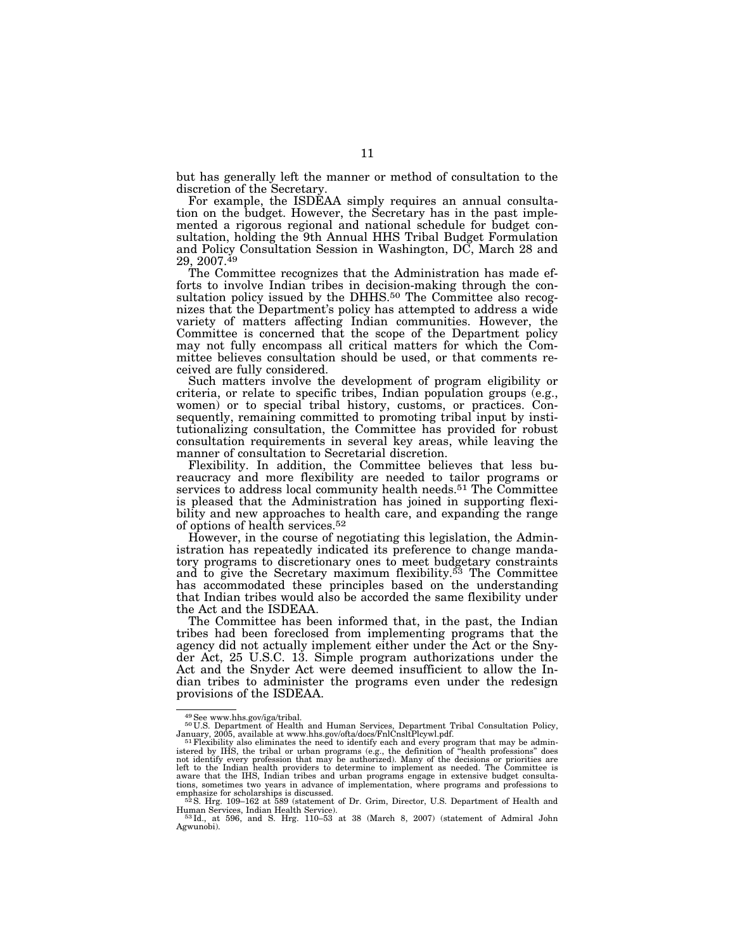but has generally left the manner or method of consultation to the discretion of the Secretary.

For example, the ISDEAA simply requires an annual consultation on the budget. However, the Secretary has in the past implemented a rigorous regional and national schedule for budget consultation, holding the 9th Annual HHS Tribal Budget Formulation and Policy Consultation Session in Washington, DC, March 28 and  $29, 2007.<sup>49</sup>$ 

The Committee recognizes that the Administration has made efforts to involve Indian tribes in decision-making through the consultation policy issued by the DHHS.<sup>50</sup> The Committee also recognizes that the Department's policy has attempted to address a wide variety of matters affecting Indian communities. However, the Committee is concerned that the scope of the Department policy may not fully encompass all critical matters for which the Committee believes consultation should be used, or that comments received are fully considered.

Such matters involve the development of program eligibility or criteria, or relate to specific tribes, Indian population groups (e.g., women) or to special tribal history, customs, or practices. Consequently, remaining committed to promoting tribal input by institutionalizing consultation, the Committee has provided for robust consultation requirements in several key areas, while leaving the manner of consultation to Secretarial discretion.

Flexibility. In addition, the Committee believes that less bureaucracy and more flexibility are needed to tailor programs or services to address local community health needs.<sup>51</sup> The Committee is pleased that the Administration has joined in supporting flexibility and new approaches to health care, and expanding the range of options of health services.52

However, in the course of negotiating this legislation, the Administration has repeatedly indicated its preference to change mandatory programs to discretionary ones to meet budgetary constraints and to give the Secretary maximum flexibility.53 The Committee has accommodated these principles based on the understanding that Indian tribes would also be accorded the same flexibility under the Act and the ISDEAA.

The Committee has been informed that, in the past, the Indian tribes had been foreclosed from implementing programs that the agency did not actually implement either under the Act or the Snyder Act, 25 U.S.C. 13. Simple program authorizations under the Act and the Snyder Act were deemed insufficient to allow the Indian tribes to administer the programs even under the redesign provisions of the ISDEAA.

<sup>49</sup> See www.hhs.gov/iga/tribal.<br><sup>50</sup> U.S. Department of Health and Human Services, Department Tribal Consultation Policy,

January, 2005, available at www.hhs.gov/ofta/docs/FnlCnsltPlcywl.pdf.<br><sup>51</sup>Flexibility also eliminates the need to identify each and every program that may be admin-<br>istered by IHS, the tribal or urban programs (e.g., the d not identify every profession that may be authorized). Many of the decisions or priorities are<br>left to the Indian health providers to determine to implement as needed. The Committee is<br>aware that the IHS, Indian tribes and tions, sometimes two years in advance of implementation, where programs and professions to emphasize for scholarships is discussed.<br><sup>52</sup>S. Hrg. 109–162 at 589 (statement of Dr. Grim, Director, U.S. Department of Health and

Human Services, Indian Health Service). 53 Id., at 596, and S. Hrg. 110–53 at 38 (March 8, 2007) (statement of Admiral John

Agwunobi).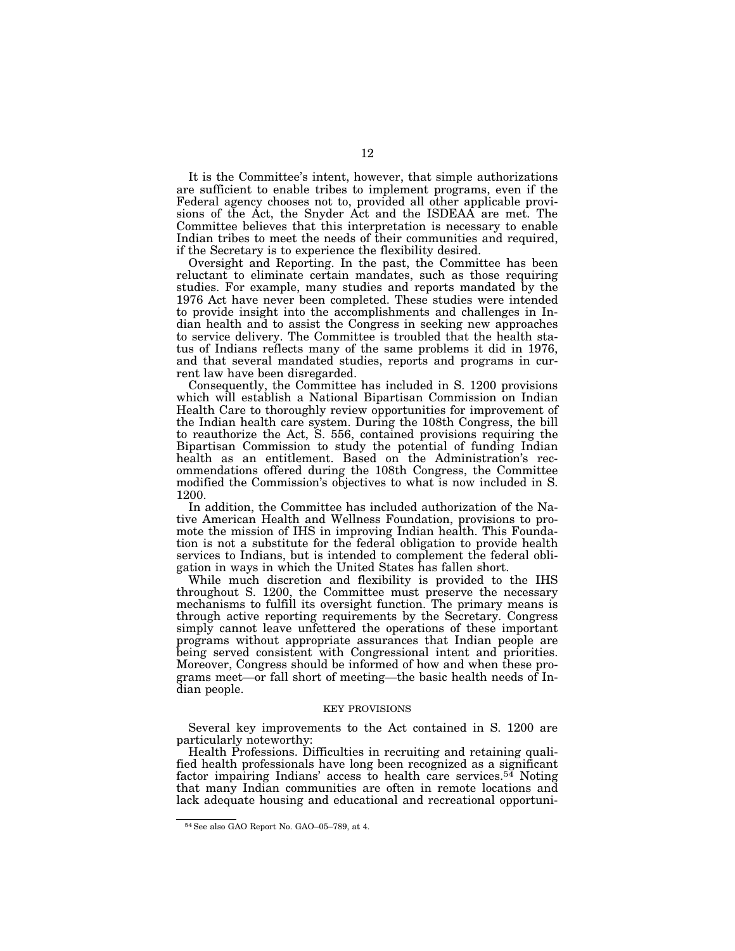It is the Committee's intent, however, that simple authorizations are sufficient to enable tribes to implement programs, even if the Federal agency chooses not to, provided all other applicable provisions of the Act, the Snyder Act and the ISDEAA are met. The Committee believes that this interpretation is necessary to enable Indian tribes to meet the needs of their communities and required, if the Secretary is to experience the flexibility desired.

Oversight and Reporting. In the past, the Committee has been reluctant to eliminate certain mandates, such as those requiring studies. For example, many studies and reports mandated by the 1976 Act have never been completed. These studies were intended to provide insight into the accomplishments and challenges in Indian health and to assist the Congress in seeking new approaches to service delivery. The Committee is troubled that the health status of Indians reflects many of the same problems it did in 1976, and that several mandated studies, reports and programs in current law have been disregarded.

Consequently, the Committee has included in S. 1200 provisions which will establish a National Bipartisan Commission on Indian Health Care to thoroughly review opportunities for improvement of the Indian health care system. During the 108th Congress, the bill to reauthorize the Act, S. 556, contained provisions requiring the Bipartisan Commission to study the potential of funding Indian health as an entitlement. Based on the Administration's recommendations offered during the 108th Congress, the Committee modified the Commission's objectives to what is now included in S. 1200.

In addition, the Committee has included authorization of the Native American Health and Wellness Foundation, provisions to promote the mission of IHS in improving Indian health. This Foundation is not a substitute for the federal obligation to provide health services to Indians, but is intended to complement the federal obligation in ways in which the United States has fallen short.

While much discretion and flexibility is provided to the IHS throughout S. 1200, the Committee must preserve the necessary mechanisms to fulfill its oversight function. The primary means is through active reporting requirements by the Secretary. Congress simply cannot leave unfettered the operations of these important programs without appropriate assurances that Indian people are being served consistent with Congressional intent and priorities. Moreover, Congress should be informed of how and when these programs meet—or fall short of meeting—the basic health needs of Indian people.

#### KEY PROVISIONS

Several key improvements to the Act contained in S. 1200 are particularly noteworthy:

Health Professions. Difficulties in recruiting and retaining qualified health professionals have long been recognized as a significant factor impairing Indians' access to health care services.54 Noting that many Indian communities are often in remote locations and lack adequate housing and educational and recreational opportuni-

<sup>54</sup>See also GAO Report No. GAO–05–789, at 4.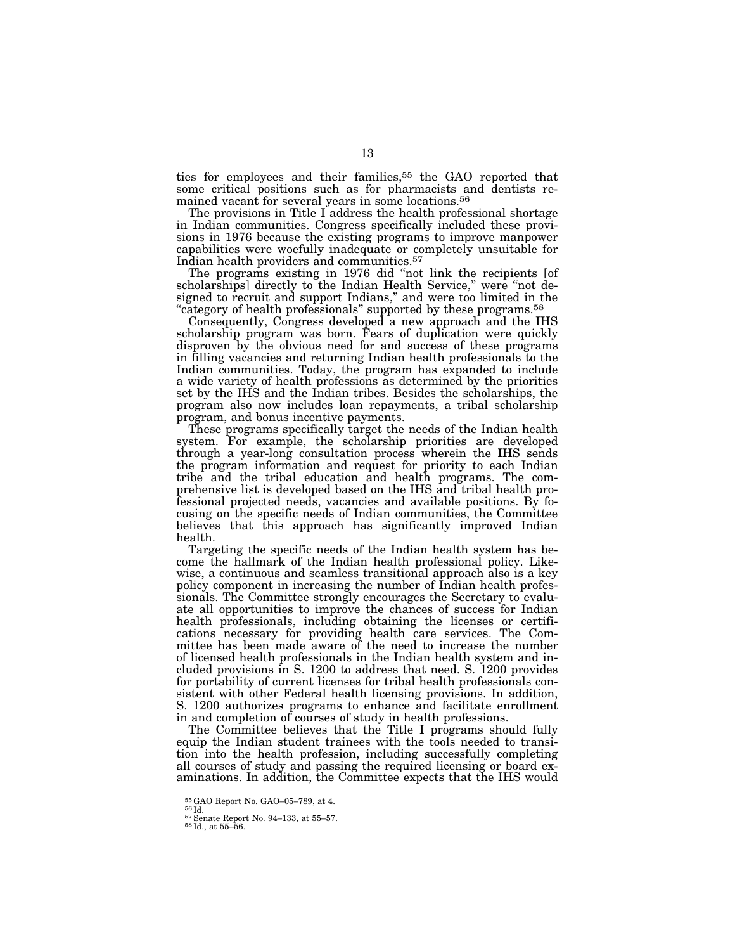ties for employees and their families,<sup>55</sup> the GAO reported that some critical positions such as for pharmacists and dentists remained vacant for several years in some locations.56

The provisions in Title I address the health professional shortage in Indian communities. Congress specifically included these provisions in 1976 because the existing programs to improve manpower capabilities were woefully inadequate or completely unsuitable for Indian health providers and communities.57

The programs existing in 1976 did ''not link the recipients [of scholarships] directly to the Indian Health Service," were "not de-<br>signed to recruit and support Indians," and were too limited in the "category of health professionals" supported by these programs.<sup>58</sup>

Consequently, Congress developed a new approach and the IHS scholarship program was born. Fears of duplication were quickly disproven by the obvious need for and success of these programs in filling vacancies and returning Indian health professionals to the Indian communities. Today, the program has expanded to include a wide variety of health professions as determined by the priorities set by the IHS and the Indian tribes. Besides the scholarships, the program also now includes loan repayments, a tribal scholarship program, and bonus incentive payments.

These programs specifically target the needs of the Indian health system. For example, the scholarship priorities are developed through a year-long consultation process wherein the IHS sends the program information and request for priority to each Indian tribe and the tribal education and health programs. The comprehensive list is developed based on the IHS and tribal health professional projected needs, vacancies and available positions. By focusing on the specific needs of Indian communities, the Committee believes that this approach has significantly improved Indian health.

Targeting the specific needs of the Indian health system has become the hallmark of the Indian health professional policy. Likewise, a continuous and seamless transitional approach also is a key policy component in increasing the number of Indian health professionals. The Committee strongly encourages the Secretary to evaluate all opportunities to improve the chances of success for Indian health professionals, including obtaining the licenses or certifications necessary for providing health care services. The Committee has been made aware of the need to increase the number of licensed health professionals in the Indian health system and included provisions in S. 1200 to address that need. S. 1200 provides for portability of current licenses for tribal health professionals consistent with other Federal health licensing provisions. In addition, S. 1200 authorizes programs to enhance and facilitate enrollment in and completion of courses of study in health professions.

The Committee believes that the Title I programs should fully equip the Indian student trainees with the tools needed to transition into the health profession, including successfully completing all courses of study and passing the required licensing or board examinations. In addition, the Committee expects that the IHS would

<sup>&</sup>lt;sup>55</sup>GAO Report No. GAO–05–789, at 4.  $56\overline{1d}$ .<br> $57\overline{5}$ enate Report No. 94–133, at 55–57.  $58\overline{1d}$ ., at 55–56.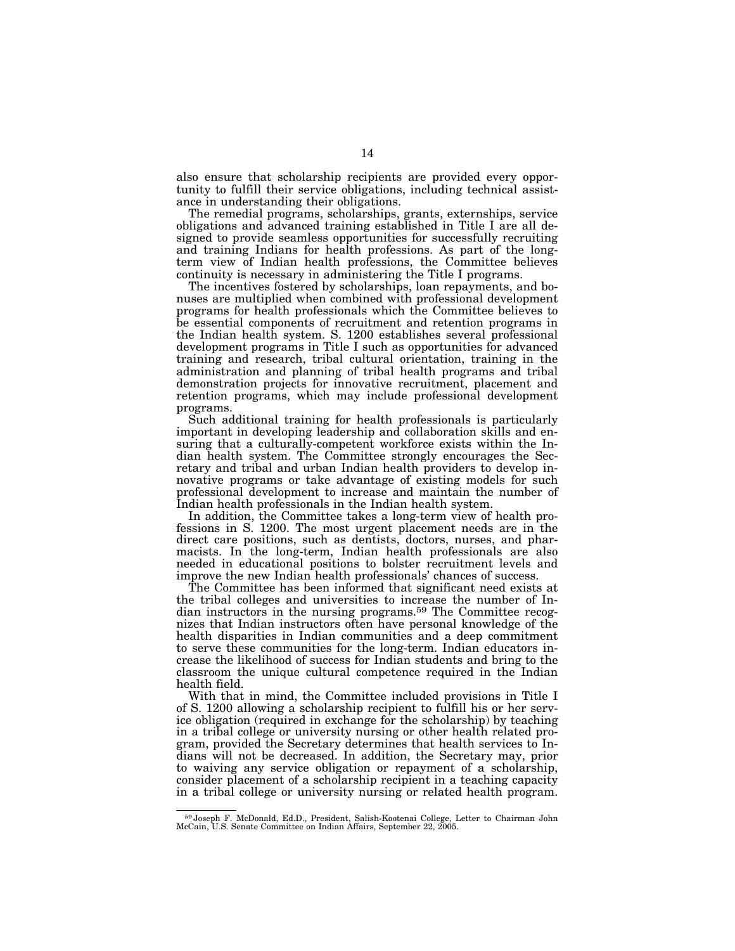also ensure that scholarship recipients are provided every opportunity to fulfill their service obligations, including technical assistance in understanding their obligations.

The remedial programs, scholarships, grants, externships, service obligations and advanced training established in Title I are all designed to provide seamless opportunities for successfully recruiting and training Indians for health professions. As part of the longterm view of Indian health professions, the Committee believes continuity is necessary in administering the Title I programs.

The incentives fostered by scholarships, loan repayments, and bonuses are multiplied when combined with professional development programs for health professionals which the Committee believes to be essential components of recruitment and retention programs in the Indian health system. S. 1200 establishes several professional development programs in Title I such as opportunities for advanced training and research, tribal cultural orientation, training in the administration and planning of tribal health programs and tribal demonstration projects for innovative recruitment, placement and retention programs, which may include professional development programs.

Such additional training for health professionals is particularly important in developing leadership and collaboration skills and ensuring that a culturally-competent workforce exists within the Indian health system. The Committee strongly encourages the Secretary and tribal and urban Indian health providers to develop innovative programs or take advantage of existing models for such professional development to increase and maintain the number of Indian health professionals in the Indian health system.

In addition, the Committee takes a long-term view of health professions in S. 1200. The most urgent placement needs are in the direct care positions, such as dentists, doctors, nurses, and pharmacists. In the long-term, Indian health professionals are also needed in educational positions to bolster recruitment levels and improve the new Indian health professionals' chances of success.

The Committee has been informed that significant need exists at the tribal colleges and universities to increase the number of Indian instructors in the nursing programs.59 The Committee recognizes that Indian instructors often have personal knowledge of the health disparities in Indian communities and a deep commitment to serve these communities for the long-term. Indian educators increase the likelihood of success for Indian students and bring to the classroom the unique cultural competence required in the Indian health field.

With that in mind, the Committee included provisions in Title I of S. 1200 allowing a scholarship recipient to fulfill his or her service obligation (required in exchange for the scholarship) by teaching in a tribal college or university nursing or other health related program, provided the Secretary determines that health services to Indians will not be decreased. In addition, the Secretary may, prior to waiving any service obligation or repayment of a scholarship, consider placement of a scholarship recipient in a teaching capacity in a tribal college or university nursing or related health program.

<sup>59</sup> Joseph F. McDonald, Ed.D., President, Salish-Kootenai College, Letter to Chairman John McCain, U.S. Senate Committee on Indian Affairs, September 22, 2005.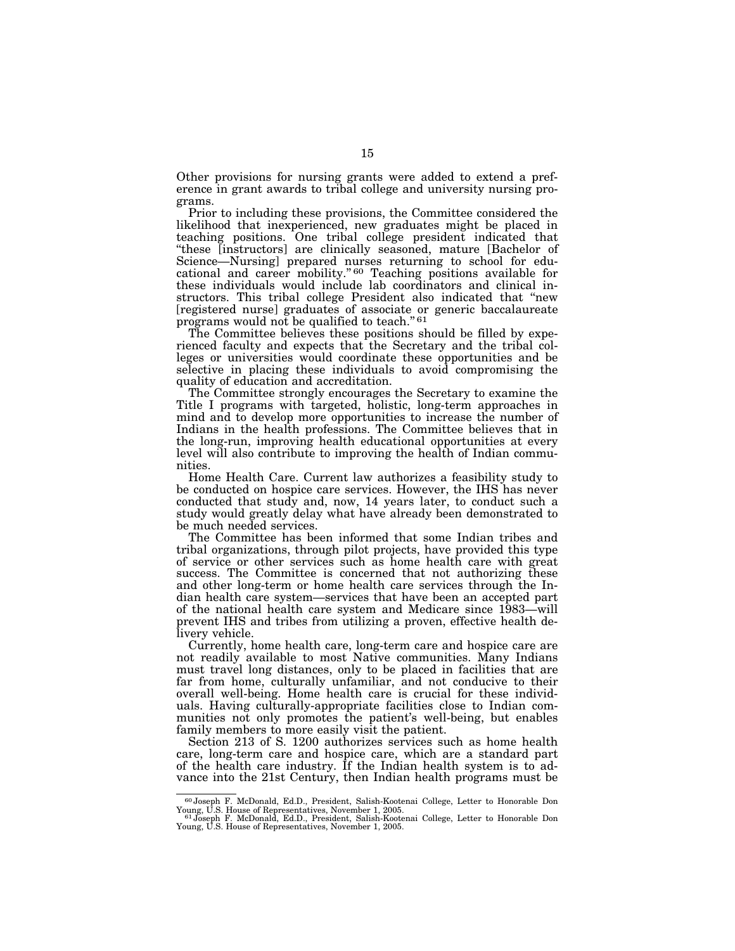Other provisions for nursing grants were added to extend a preference in grant awards to tribal college and university nursing programs.

Prior to including these provisions, the Committee considered the likelihood that inexperienced, new graduates might be placed in teaching positions. One tribal college president indicated that ''these [instructors] are clinically seasoned, mature [Bachelor of Science—Nursing] prepared nurses returning to school for educational and career mobility."<sup>60</sup> Teaching positions available for these individuals would include lab coordinators and clinical instructors. This tribal college President also indicated that ''new [registered nurse] graduates of associate or generic baccalaureate programs would not be qualified to teach."<sup>61</sup>

The Committee believes these positions should be filled by experienced faculty and expects that the Secretary and the tribal colleges or universities would coordinate these opportunities and be selective in placing these individuals to avoid compromising the quality of education and accreditation.

The Committee strongly encourages the Secretary to examine the Title I programs with targeted, holistic, long-term approaches in mind and to develop more opportunities to increase the number of Indians in the health professions. The Committee believes that in the long-run, improving health educational opportunities at every level will also contribute to improving the health of Indian communities.

Home Health Care. Current law authorizes a feasibility study to be conducted on hospice care services. However, the IHS has never conducted that study and, now, 14 years later, to conduct such a study would greatly delay what have already been demonstrated to be much needed services.

The Committee has been informed that some Indian tribes and tribal organizations, through pilot projects, have provided this type of service or other services such as home health care with great success. The Committee is concerned that not authorizing these and other long-term or home health care services through the Indian health care system—services that have been an accepted part of the national health care system and Medicare since 1983—will prevent IHS and tribes from utilizing a proven, effective health delivery vehicle.

Currently, home health care, long-term care and hospice care are not readily available to most Native communities. Many Indians must travel long distances, only to be placed in facilities that are far from home, culturally unfamiliar, and not conducive to their overall well-being. Home health care is crucial for these individuals. Having culturally-appropriate facilities close to Indian communities not only promotes the patient's well-being, but enables family members to more easily visit the patient.

Section 213 of S. 1200 authorizes services such as home health care, long-term care and hospice care, which are a standard part of the health care industry. If the Indian health system is to advance into the 21st Century, then Indian health programs must be

<sup>60</sup> Joseph F. McDonald, Ed.D., President, Salish-Kootenai College, Letter to Honorable Don

Young, U.S. House of Representatives, November 1, 2005.<br>"Joseph F. McDonald, Ed.D., President, Salish-Kootenai College, Letter to Honorable Don<br>Young, U.S. House of Representatives, November 1, 2005.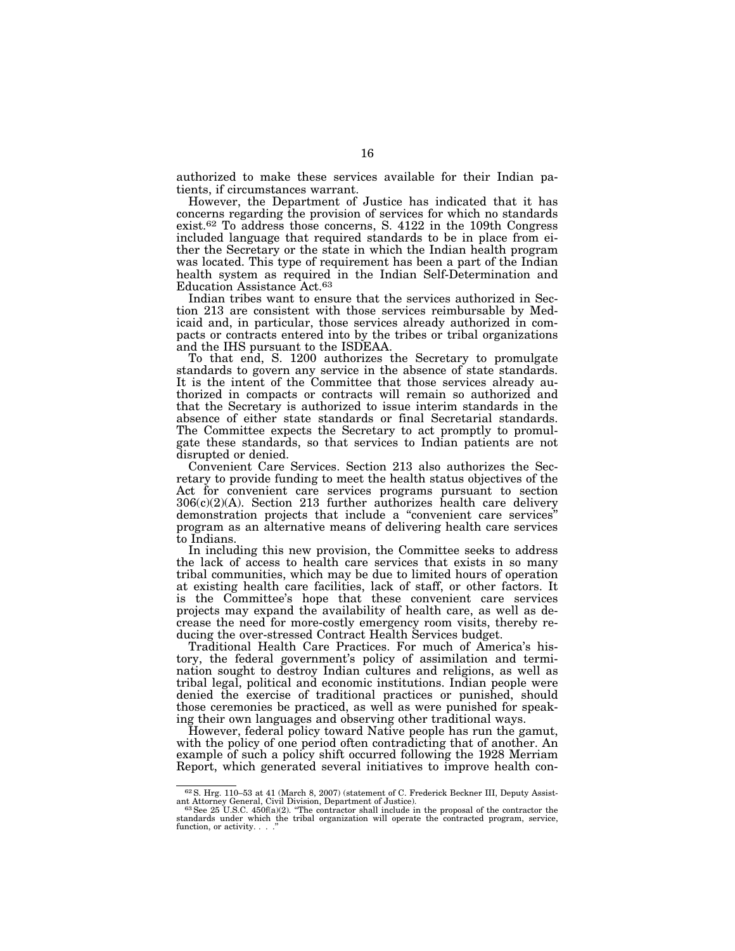authorized to make these services available for their Indian patients, if circumstances warrant.

However, the Department of Justice has indicated that it has concerns regarding the provision of services for which no standards exist.62 To address those concerns, S. 4122 in the 109th Congress included language that required standards to be in place from either the Secretary or the state in which the Indian health program was located. This type of requirement has been a part of the Indian health system as required in the Indian Self-Determination and Education Assistance Act.63

Indian tribes want to ensure that the services authorized in Section 213 are consistent with those services reimbursable by Medicaid and, in particular, those services already authorized in compacts or contracts entered into by the tribes or tribal organizations and the IHS pursuant to the ISDEAA.

To that end, S. 1200 authorizes the Secretary to promulgate standards to govern any service in the absence of state standards. It is the intent of the Committee that those services already authorized in compacts or contracts will remain so authorized and that the Secretary is authorized to issue interim standards in the absence of either state standards or final Secretarial standards. The Committee expects the Secretary to act promptly to promulgate these standards, so that services to Indian patients are not disrupted or denied.

Convenient Care Services. Section 213 also authorizes the Secretary to provide funding to meet the health status objectives of the Act for convenient care services programs pursuant to section  $306(c)(2)(A)$ . Section 213 further authorizes health care delivery demonstration projects that include a ''convenient care services'' program as an alternative means of delivering health care services to Indians.

In including this new provision, the Committee seeks to address the lack of access to health care services that exists in so many tribal communities, which may be due to limited hours of operation at existing health care facilities, lack of staff, or other factors. It is the Committee's hope that these convenient care services projects may expand the availability of health care, as well as decrease the need for more-costly emergency room visits, thereby reducing the over-stressed Contract Health Services budget.

Traditional Health Care Practices. For much of America's history, the federal government's policy of assimilation and termination sought to destroy Indian cultures and religions, as well as tribal legal, political and economic institutions. Indian people were denied the exercise of traditional practices or punished, should those ceremonies be practiced, as well as were punished for speaking their own languages and observing other traditional ways.

However, federal policy toward Native people has run the gamut, with the policy of one period often contradicting that of another. An example of such a policy shift occurred following the 1928 Merriam Report, which generated several initiatives to improve health con-

<sup>62</sup>S. Hrg. 110–53 at 41 (March 8, 2007) (statement of C. Frederick Beckner III, Deputy Assist-

ant Attorney General, Civil Division, Department of Justice).<br><sup>63</sup> See 25 U.S.C. 450f(a)(2). "The contractor shall include in the proposal of the contractor the<br>standards under which the tribal organization will ope function, or activity. . .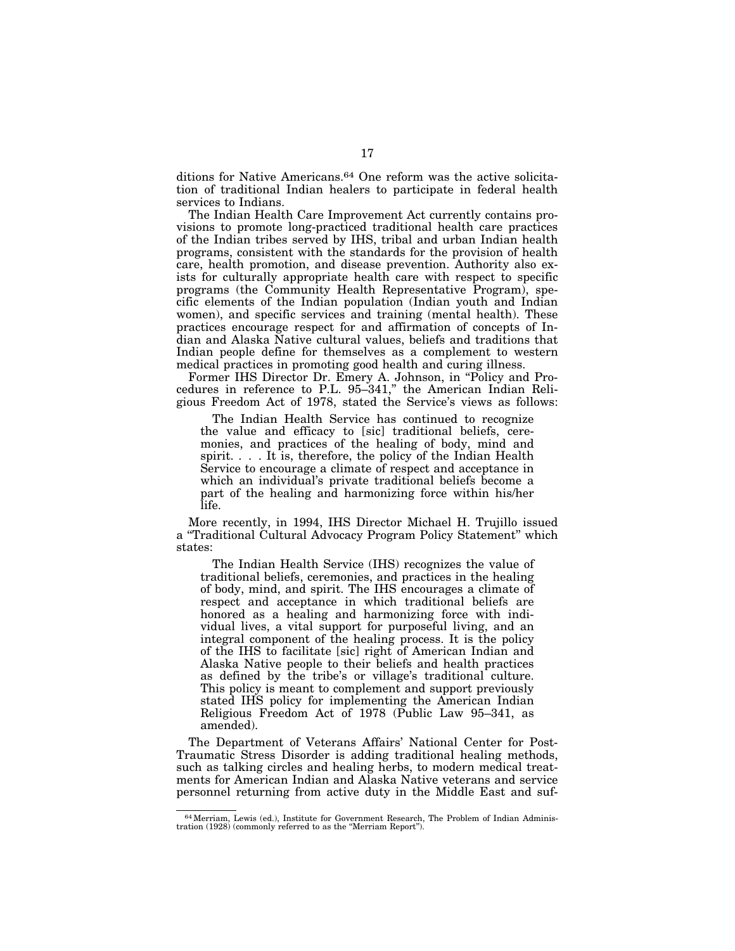ditions for Native Americans.<sup>64</sup> One reform was the active solicitation of traditional Indian healers to participate in federal health services to Indians.

The Indian Health Care Improvement Act currently contains provisions to promote long-practiced traditional health care practices of the Indian tribes served by IHS, tribal and urban Indian health programs, consistent with the standards for the provision of health care, health promotion, and disease prevention. Authority also exists for culturally appropriate health care with respect to specific programs (the Community Health Representative Program), specific elements of the Indian population (Indian youth and Indian women), and specific services and training (mental health). These practices encourage respect for and affirmation of concepts of Indian and Alaska Native cultural values, beliefs and traditions that Indian people define for themselves as a complement to western medical practices in promoting good health and curing illness.

Former IHS Director Dr. Emery A. Johnson, in "Policy and Procedures in reference to P.L. 95–341,'' the American Indian Religious Freedom Act of 1978, stated the Service's views as follows:

The Indian Health Service has continued to recognize the value and efficacy to [sic] traditional beliefs, ceremonies, and practices of the healing of body, mind and spirit. . . . It is, therefore, the policy of the Indian Health Service to encourage a climate of respect and acceptance in which an individual's private traditional beliefs become a part of the healing and harmonizing force within his/her life.

More recently, in 1994, IHS Director Michael H. Trujillo issued a ''Traditional Cultural Advocacy Program Policy Statement'' which states:

The Indian Health Service (IHS) recognizes the value of traditional beliefs, ceremonies, and practices in the healing of body, mind, and spirit. The IHS encourages a climate of respect and acceptance in which traditional beliefs are honored as a healing and harmonizing force with individual lives, a vital support for purposeful living, and an integral component of the healing process. It is the policy of the IHS to facilitate [sic] right of American Indian and Alaska Native people to their beliefs and health practices as defined by the tribe's or village's traditional culture. This policy is meant to complement and support previously stated IHS policy for implementing the American Indian Religious Freedom Act of 1978 (Public Law 95–341, as amended).

The Department of Veterans Affairs' National Center for Post-Traumatic Stress Disorder is adding traditional healing methods, such as talking circles and healing herbs, to modern medical treatments for American Indian and Alaska Native veterans and service personnel returning from active duty in the Middle East and suf-

<sup>64</sup>Merriam, Lewis (ed.), Institute for Government Research, The Problem of Indian Adminis-tration (1928) (commonly referred to as the ''Merriam Report'').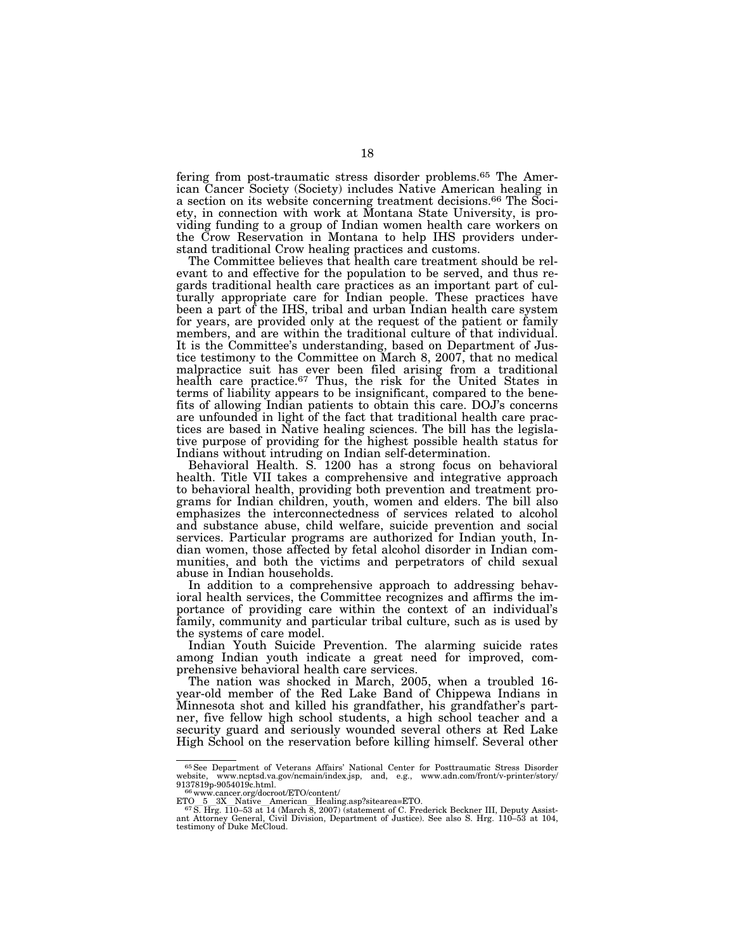fering from post-traumatic stress disorder problems.65 The American Cancer Society (Society) includes Native American healing in a section on its website concerning treatment decisions.66 The Society, in connection with work at Montana State University, is providing funding to a group of Indian women health care workers on the Crow Reservation in Montana to help IHS providers understand traditional Crow healing practices and customs.

The Committee believes that health care treatment should be relevant to and effective for the population to be served, and thus regards traditional health care practices as an important part of culturally appropriate care for Indian people. These practices have been a part of the IHS, tribal and urban Indian health care system for years, are provided only at the request of the patient or family members, and are within the traditional culture of that individual. It is the Committee's understanding, based on Department of Justice testimony to the Committee on March 8, 2007, that no medical malpractice suit has ever been filed arising from a traditional health care practice.67 Thus, the risk for the United States in terms of liability appears to be insignificant, compared to the benefits of allowing Indian patients to obtain this care. DOJ's concerns are unfounded in light of the fact that traditional health care practices are based in Native healing sciences. The bill has the legislative purpose of providing for the highest possible health status for Indians without intruding on Indian self-determination.

Behavioral Health. S. 1200 has a strong focus on behavioral health. Title VII takes a comprehensive and integrative approach to behavioral health, providing both prevention and treatment programs for Indian children, youth, women and elders. The bill also emphasizes the interconnectedness of services related to alcohol and substance abuse, child welfare, suicide prevention and social services. Particular programs are authorized for Indian youth, Indian women, those affected by fetal alcohol disorder in Indian communities, and both the victims and perpetrators of child sexual abuse in Indian households.

In addition to a comprehensive approach to addressing behavioral health services, the Committee recognizes and affirms the importance of providing care within the context of an individual's family, community and particular tribal culture, such as is used by the systems of care model.

Indian Youth Suicide Prevention. The alarming suicide rates among Indian youth indicate a great need for improved, comprehensive behavioral health care services.

The nation was shocked in March, 2005, when a troubled 16 year-old member of the Red Lake Band of Chippewa Indians in Minnesota shot and killed his grandfather, his grandfather's partner, five fellow high school students, a high school teacher and a security guard and seriously wounded several others at Red Lake High School on the reservation before killing himself. Several other

<sup>65</sup>See Department of Veterans Affairs' National Center for Posttraumatic Stress Disorder website, www.ncptsd.va.gov/ncmain/index.jsp, and, e.g., www.adn.com/front/v-printer/story/<br>9137819p-9054019c.html.

www.cancer.org/docroot/ETO/content/

ETO 5 3X Native American Healing.asp?sitearea=ETO.<br><sup>67</sup> S. Hrg. 110–53 at 14 (March 8, 2007) (statement of C. Frederick Beckner III, Deputy Assist-<br>ant Attorney General, Civil Division, Department of Justice). See also S.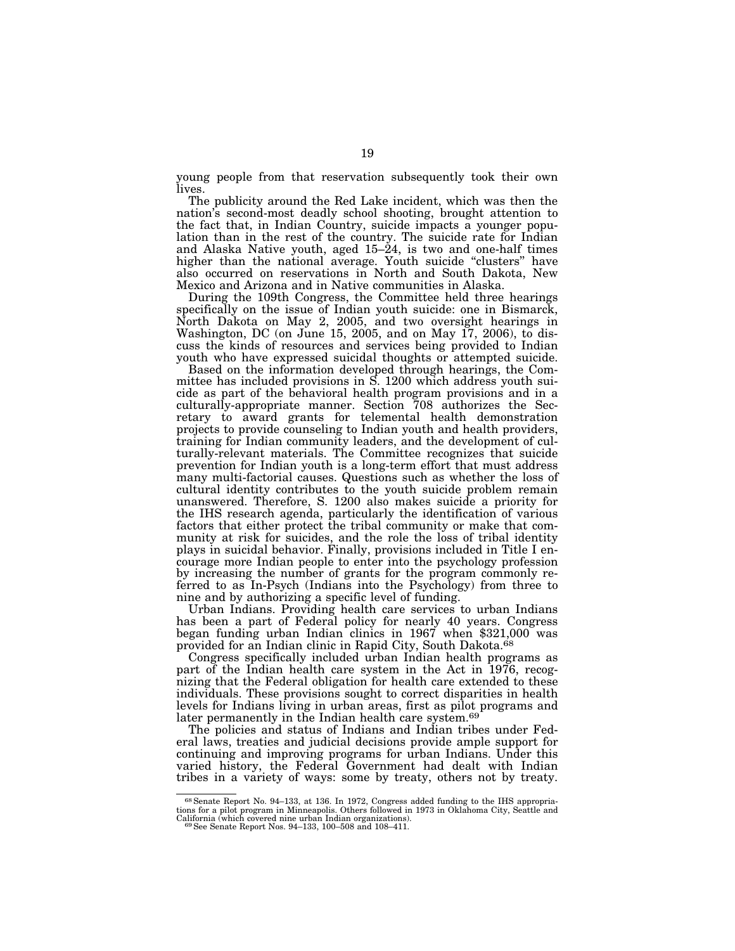young people from that reservation subsequently took their own lives.

The publicity around the Red Lake incident, which was then the nation's second-most deadly school shooting, brought attention to the fact that, in Indian Country, suicide impacts a younger population than in the rest of the country. The suicide rate for Indian and Alaska Native youth, aged  $15-\dot{2}4$ , is two and one-half times higher than the national average. Youth suicide "clusters" have also occurred on reservations in North and South Dakota, New Mexico and Arizona and in Native communities in Alaska.

During the 109th Congress, the Committee held three hearings specifically on the issue of Indian youth suicide: one in Bismarck, North Dakota on May 2, 2005, and two oversight hearings in Washington, DC (on June 15, 2005, and on May 17, 2006), to discuss the kinds of resources and services being provided to Indian youth who have expressed suicidal thoughts or attempted suicide.

Based on the information developed through hearings, the Committee has included provisions in S. 1200 which address youth suicide as part of the behavioral health program provisions and in a culturally-appropriate manner. Section 708 authorizes the Secretary to award grants for telemental health demonstration projects to provide counseling to Indian youth and health providers, training for Indian community leaders, and the development of culturally-relevant materials. The Committee recognizes that suicide prevention for Indian youth is a long-term effort that must address many multi-factorial causes. Questions such as whether the loss of cultural identity contributes to the youth suicide problem remain unanswered. Therefore, S. 1200 also makes suicide a priority for the IHS research agenda, particularly the identification of various factors that either protect the tribal community or make that community at risk for suicides, and the role the loss of tribal identity plays in suicidal behavior. Finally, provisions included in Title I encourage more Indian people to enter into the psychology profession by increasing the number of grants for the program commonly referred to as In-Psych (Indians into the Psychology) from three to nine and by authorizing a specific level of funding.

Urban Indians. Providing health care services to urban Indians has been a part of Federal policy for nearly 40 years. Congress began funding urban Indian clinics in 1967 when \$321,000 was provided for an Indian clinic in Rapid City, South Dakota.68

Congress specifically included urban Indian health programs as part of the Indian health care system in the Act in 1976, recognizing that the Federal obligation for health care extended to these individuals. These provisions sought to correct disparities in health levels for Indians living in urban areas, first as pilot programs and later permanently in the Indian health care system.<sup>69</sup>

The policies and status of Indians and Indian tribes under Federal laws, treaties and judicial decisions provide ample support for continuing and improving programs for urban Indians. Under this varied history, the Federal Government had dealt with Indian tribes in a variety of ways: some by treaty, others not by treaty.

<sup>68</sup>Senate Report No. 94–133, at 136. In 1972, Congress added funding to the IHS appropriations for a pilot program in Minneapolis. Others followed in 1973 in Oklahoma City, Seattle and<br>California (which covered nine urban Indian organizations).<br><sup>69</sup>See Senate Report Nos. 94–133, 100–508 and 108–411.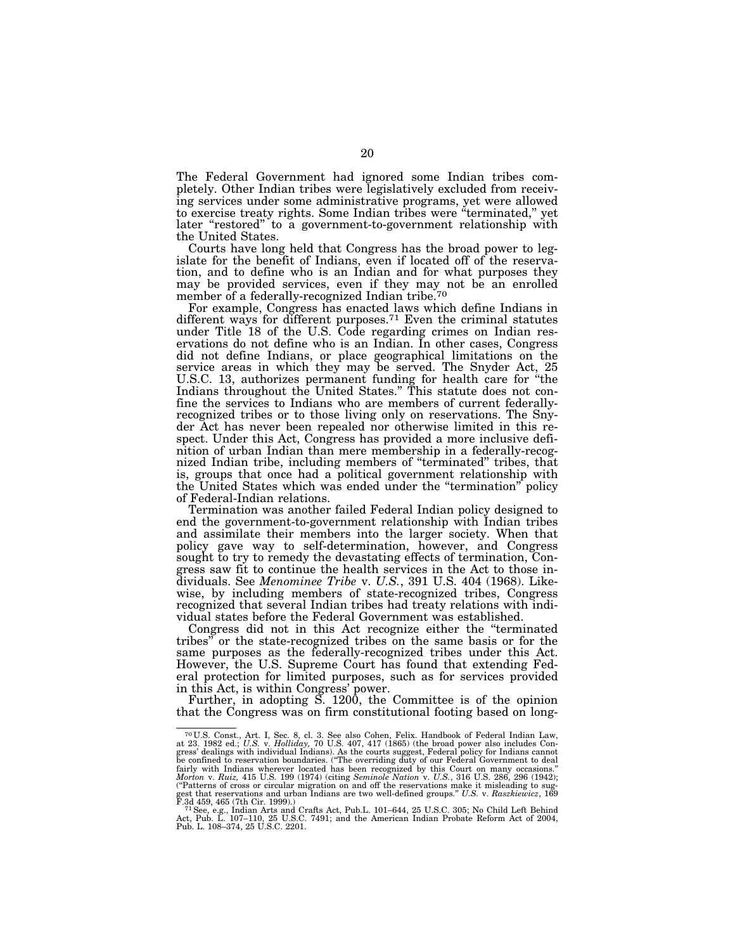The Federal Government had ignored some Indian tribes completely. Other Indian tribes were legislatively excluded from receiving services under some administrative programs, yet were allowed to exercise treaty rights. Some Indian tribes were ''terminated,'' yet later "restored" to a government-to-government relationship with the United States.

Courts have long held that Congress has the broad power to legislate for the benefit of Indians, even if located off of the reservation, and to define who is an Indian and for what purposes they may be provided services, even if they may not be an enrolled member of a federally-recognized Indian tribe.<sup>70</sup>

For example, Congress has enacted laws which define Indians in different ways for different purposes.<sup>71</sup> Even the criminal statutes under Title 18 of the U.S. Code regarding crimes on Indian reservations do not define who is an Indian. In other cases, Congress did not define Indians, or place geographical limitations on the service areas in which they may be served. The Snyder Act, 25 U.S.C. 13, authorizes permanent funding for health care for ''the Indians throughout the United States.'' This statute does not confine the services to Indians who are members of current federallyrecognized tribes or to those living only on reservations. The Snyder Act has never been repealed nor otherwise limited in this respect. Under this Act, Congress has provided a more inclusive definition of urban Indian than mere membership in a federally-recognized Indian tribe, including members of ''terminated'' tribes, that is, groups that once had a political government relationship with the United States which was ended under the ''termination'' policy of Federal-Indian relations.

Termination was another failed Federal Indian policy designed to end the government-to-government relationship with Indian tribes and assimilate their members into the larger society. When that policy gave way to self-determination, however, and Congress sought to try to remedy the devastating effects of termination, Congress saw fit to continue the health services in the Act to those individuals. See *Menominee Tribe* v. *U.S.*, 391 U.S. 404 (1968). Likewise, by including members of state-recognized tribes, Congress recognized that several Indian tribes had treaty relations with individual states before the Federal Government was established.

Congress did not in this Act recognize either the ''terminated tribes'' or the state-recognized tribes on the same basis or for the same purposes as the federally-recognized tribes under this Act. However, the U.S. Supreme Court has found that extending Federal protection for limited purposes, such as for services provided in this Act, is within Congress' power.

Further, in adopting S. 1200, the Committee is of the opinion that the Congress was on firm constitutional footing based on long-

<sup>&</sup>lt;sup>70</sup> U.S. Const., Art. I, Sec. 8, cl. 3. See also Cohen, Felix. Handbook of Federal Indian Law, at 23. 1982 ed.; *U.S.* v. *Holliday*, 70 U.S. 407, 417 (1865) (the broad power also includes Congress' dealings with individ (''Patterns of cross or circular migration on and off the reservations make it misleading to sug-gest that reservations and urban Indians are two well-defined groups.'' *U.S.* v. *Raszkiewicz*, 169

F.3d 459, 465 (7th Cir. 1999).)<br><sup>71</sup> See, e.g., Indian Arts and Crafts Act, Pub.L. 101–644, 25 U.S.C. 305; No Child Left Behind<br>Act, Pub. L. 107–110, 25 U.S.C. 7491; and the American Indian Probate Reform Act of 2004,<br>Pub.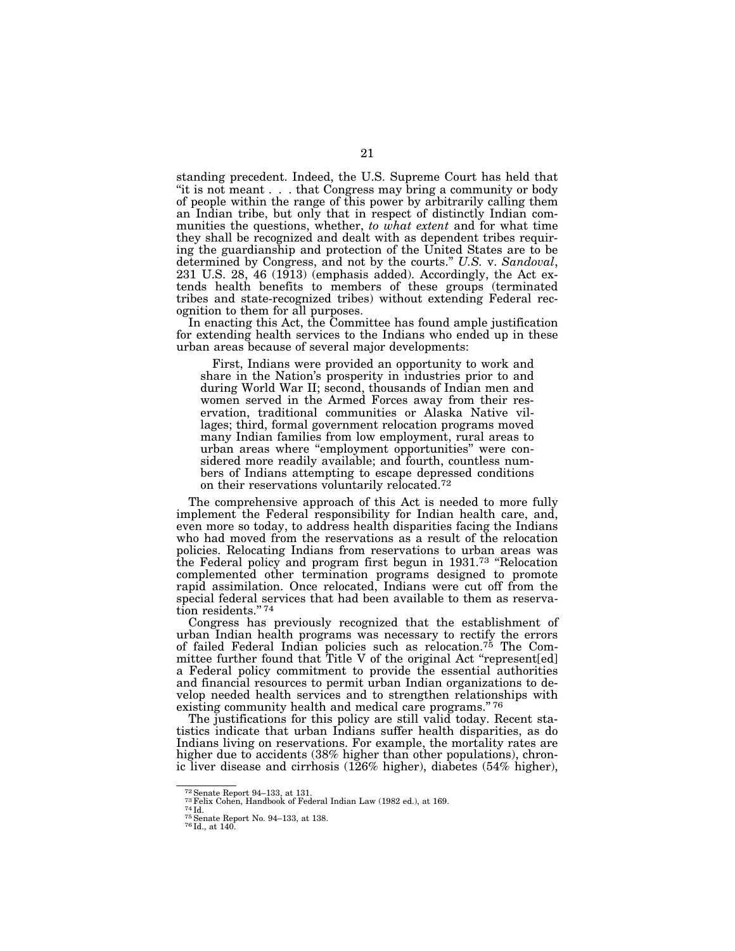standing precedent. Indeed, the U.S. Supreme Court has held that ''it is not meant . . . that Congress may bring a community or body of people within the range of this power by arbitrarily calling them an Indian tribe, but only that in respect of distinctly Indian communities the questions, whether, *to what extent* and for what time they shall be recognized and dealt with as dependent tribes requiring the guardianship and protection of the United States are to be determined by Congress, and not by the courts.'' *U.S.* v. *Sandoval*, 231 U.S. 28, 46 (1913) (emphasis added). Accordingly, the Act extends health benefits to members of these groups (terminated tribes and state-recognized tribes) without extending Federal recognition to them for all purposes.

In enacting this Act, the Committee has found ample justification for extending health services to the Indians who ended up in these urban areas because of several major developments:

First, Indians were provided an opportunity to work and share in the Nation's prosperity in industries prior to and during World War II; second, thousands of Indian men and women served in the Armed Forces away from their reservation, traditional communities or Alaska Native villages; third, formal government relocation programs moved many Indian families from low employment, rural areas to urban areas where ''employment opportunities'' were considered more readily available; and fourth, countless numbers of Indians attempting to escape depressed conditions on their reservations voluntarily relocated.72

The comprehensive approach of this Act is needed to more fully implement the Federal responsibility for Indian health care, and, even more so today, to address health disparities facing the Indians who had moved from the reservations as a result of the relocation policies. Relocating Indians from reservations to urban areas was the Federal policy and program first begun in 1931.73 ''Relocation complemented other termination programs designed to promote rapid assimilation. Once relocated, Indians were cut off from the special federal services that had been available to them as reservation residents."74

Congress has previously recognized that the establishment of urban Indian health programs was necessary to rectify the errors of failed Federal Indian policies such as relocation.75 The Committee further found that Title V of the original Act ''represent[ed] a Federal policy commitment to provide the essential authorities and financial resources to permit urban Indian organizations to develop needed health services and to strengthen relationships with existing community health and medical care programs."<sup>76</sup>

The justifications for this policy are still valid today. Recent statistics indicate that urban Indians suffer health disparities, as do Indians living on reservations. For example, the mortality rates are higher due to accidents (38% higher than other populations), chronic liver disease and cirrhosis (126% higher), diabetes (54% higher),

 $^{72}$ Senate Report 94–133, at 131.  $^{73}$ Felix Cohen, Handbook of Federal Indian Law (1982 ed.), at 169.  $^{74}$ Id. $^{75}$ Senate Report No. 94–133, at 138.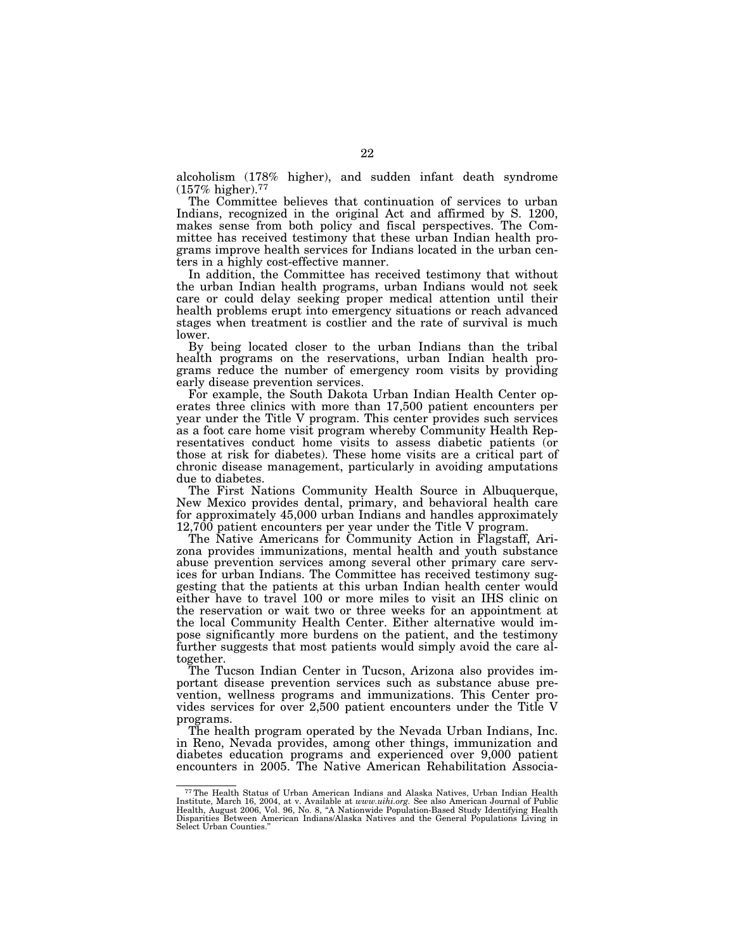alcoholism (178% higher), and sudden infant death syndrome  $(157\% \text{ higher})$ .<sup>77</sup>

The Committee believes that continuation of services to urban Indians, recognized in the original Act and affirmed by S. 1200, makes sense from both policy and fiscal perspectives. The Committee has received testimony that these urban Indian health programs improve health services for Indians located in the urban centers in a highly cost-effective manner.

In addition, the Committee has received testimony that without the urban Indian health programs, urban Indians would not seek care or could delay seeking proper medical attention until their health problems erupt into emergency situations or reach advanced stages when treatment is costlier and the rate of survival is much lower.

By being located closer to the urban Indians than the tribal health programs on the reservations, urban Indian health programs reduce the number of emergency room visits by providing early disease prevention services.

For example, the South Dakota Urban Indian Health Center operates three clinics with more than 17,500 patient encounters per year under the Title V program. This center provides such services as a foot care home visit program whereby Community Health Representatives conduct home visits to assess diabetic patients (or those at risk for diabetes). These home visits are a critical part of chronic disease management, particularly in avoiding amputations due to diabetes.

The First Nations Community Health Source in Albuquerque, New Mexico provides dental, primary, and behavioral health care for approximately 45,000 urban Indians and handles approximately 12,700 patient encounters per year under the Title V program.

The Native Americans for Community Action in Flagstaff, Arizona provides immunizations, mental health and youth substance abuse prevention services among several other primary care services for urban Indians. The Committee has received testimony suggesting that the patients at this urban Indian health center would either have to travel 100 or more miles to visit an IHS clinic on the reservation or wait two or three weeks for an appointment at the local Community Health Center. Either alternative would impose significantly more burdens on the patient, and the testimony further suggests that most patients would simply avoid the care altogether.

The Tucson Indian Center in Tucson, Arizona also provides important disease prevention services such as substance abuse prevention, wellness programs and immunizations. This Center provides services for over 2,500 patient encounters under the Title V programs.

The health program operated by the Nevada Urban Indians, Inc. in Reno, Nevada provides, among other things, immunization and diabetes education programs and experienced over 9,000 patient encounters in 2005. The Native American Rehabilitation Associa-

<sup>77</sup>The Health Status of Urban American Indians and Alaska Natives, Urban Indian Health Institute, March 16, 2004, at v. Available at *www.uihi.org.* See also American Journal of Public Health, August 2006, Vol. 96, No. 8, "A Nationwide Population-Based Study Identifying Health<br>Disparities Between American Indians/Alaska Natives and the General Populations Living in Select Urban Counties.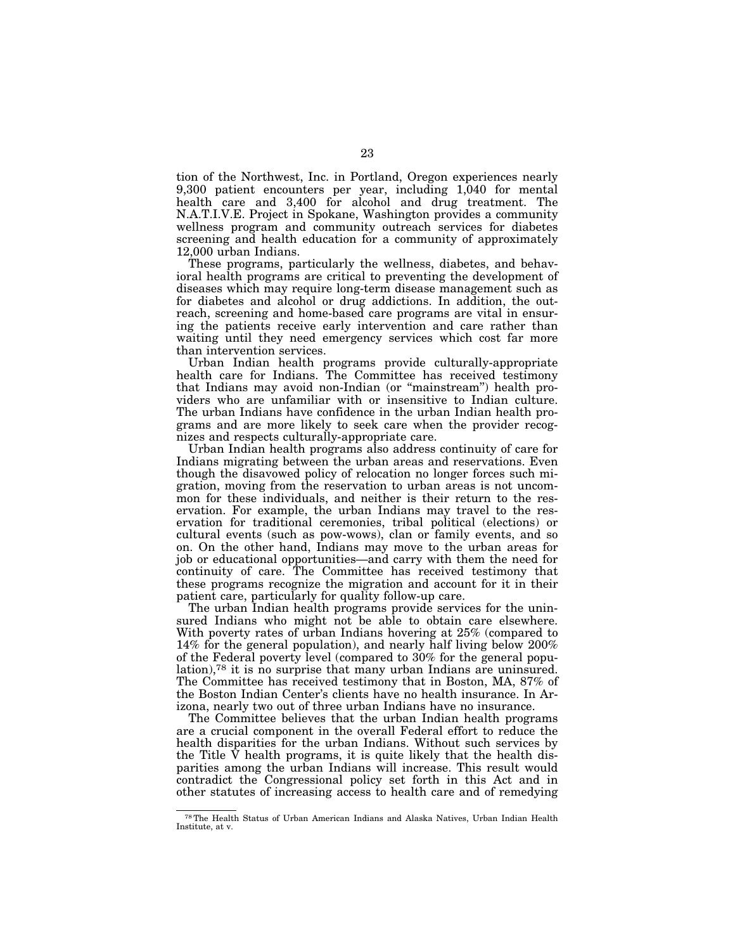tion of the Northwest, Inc. in Portland, Oregon experiences nearly 9,300 patient encounters per year, including 1,040 for mental health care and 3,400 for alcohol and drug treatment. The N.A.T.I.V.E. Project in Spokane, Washington provides a community wellness program and community outreach services for diabetes screening and health education for a community of approximately 12,000 urban Indians.

These programs, particularly the wellness, diabetes, and behavioral health programs are critical to preventing the development of diseases which may require long-term disease management such as for diabetes and alcohol or drug addictions. In addition, the outreach, screening and home-based care programs are vital in ensuring the patients receive early intervention and care rather than waiting until they need emergency services which cost far more than intervention services.

Urban Indian health programs provide culturally-appropriate health care for Indians. The Committee has received testimony that Indians may avoid non-Indian (or ''mainstream'') health providers who are unfamiliar with or insensitive to Indian culture. The urban Indians have confidence in the urban Indian health programs and are more likely to seek care when the provider recognizes and respects culturally-appropriate care.

Urban Indian health programs also address continuity of care for Indians migrating between the urban areas and reservations. Even though the disavowed policy of relocation no longer forces such migration, moving from the reservation to urban areas is not uncommon for these individuals, and neither is their return to the reservation. For example, the urban Indians may travel to the reservation for traditional ceremonies, tribal political (elections) or cultural events (such as pow-wows), clan or family events, and so on. On the other hand, Indians may move to the urban areas for job or educational opportunities—and carry with them the need for continuity of care. The Committee has received testimony that these programs recognize the migration and account for it in their patient care, particularly for quality follow-up care.

The urban Indian health programs provide services for the uninsured Indians who might not be able to obtain care elsewhere. With poverty rates of urban Indians hovering at 25% (compared to 14% for the general population), and nearly half living below 200% of the Federal poverty level (compared to 30% for the general population),78 it is no surprise that many urban Indians are uninsured. The Committee has received testimony that in Boston, MA, 87% of the Boston Indian Center's clients have no health insurance. In Arizona, nearly two out of three urban Indians have no insurance.

The Committee believes that the urban Indian health programs are a crucial component in the overall Federal effort to reduce the health disparities for the urban Indians. Without such services by the Title  $\bar{V}$  health programs, it is quite likely that the health disparities among the urban Indians will increase. This result would contradict the Congressional policy set forth in this Act and in other statutes of increasing access to health care and of remedying

<sup>78</sup>The Health Status of Urban American Indians and Alaska Natives, Urban Indian Health Institute, at v.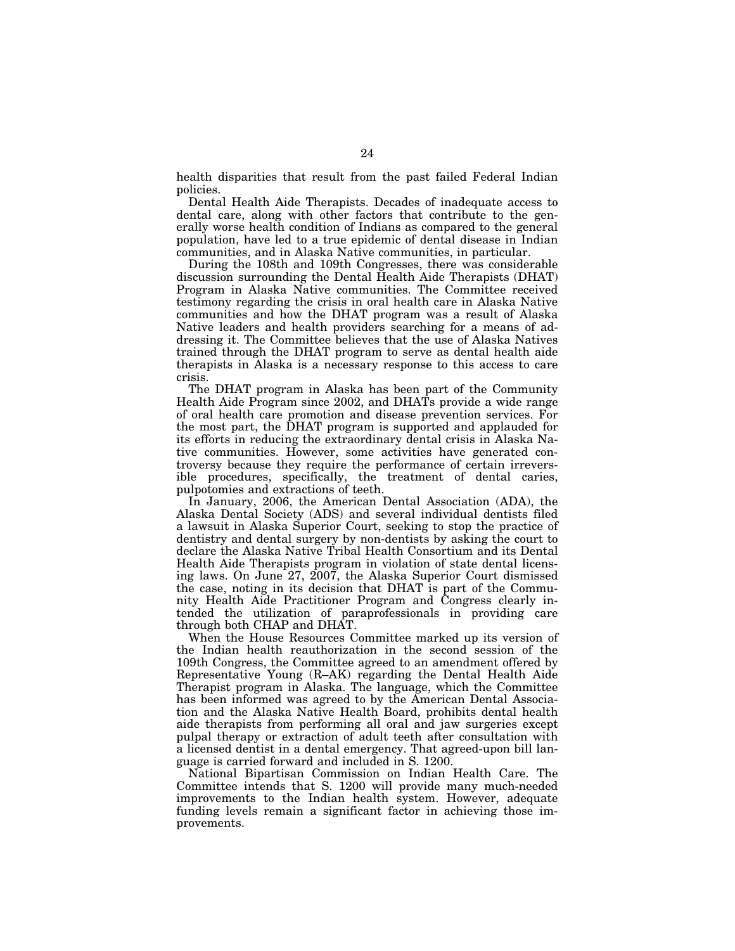health disparities that result from the past failed Federal Indian policies.

Dental Health Aide Therapists. Decades of inadequate access to dental care, along with other factors that contribute to the generally worse health condition of Indians as compared to the general population, have led to a true epidemic of dental disease in Indian communities, and in Alaska Native communities, in particular.

During the 108th and 109th Congresses, there was considerable discussion surrounding the Dental Health Aide Therapists (DHAT) Program in Alaska Native communities. The Committee received testimony regarding the crisis in oral health care in Alaska Native communities and how the DHAT program was a result of Alaska Native leaders and health providers searching for a means of addressing it. The Committee believes that the use of Alaska Natives trained through the DHAT program to serve as dental health aide therapists in Alaska is a necessary response to this access to care crisis.

The DHAT program in Alaska has been part of the Community Health Aide Program since 2002, and DHATs provide a wide range of oral health care promotion and disease prevention services. For the most part, the DHAT program is supported and applauded for its efforts in reducing the extraordinary dental crisis in Alaska Native communities. However, some activities have generated controversy because they require the performance of certain irreversible procedures, specifically, the treatment of dental caries, pulpotomies and extractions of teeth.

In January, 2006, the American Dental Association (ADA), the Alaska Dental Society (ADS) and several individual dentists filed a lawsuit in Alaska Superior Court, seeking to stop the practice of dentistry and dental surgery by non-dentists by asking the court to declare the Alaska Native Tribal Health Consortium and its Dental Health Aide Therapists program in violation of state dental licensing laws. On June 27, 2007, the Alaska Superior Court dismissed the case, noting in its decision that DHAT is part of the Community Health Aide Practitioner Program and Congress clearly intended the utilization of paraprofessionals in providing care through both CHAP and DHAT.

When the House Resources Committee marked up its version of the Indian health reauthorization in the second session of the 109th Congress, the Committee agreed to an amendment offered by Representative Young (R–AK) regarding the Dental Health Aide Therapist program in Alaska. The language, which the Committee has been informed was agreed to by the American Dental Association and the Alaska Native Health Board, prohibits dental health aide therapists from performing all oral and jaw surgeries except pulpal therapy or extraction of adult teeth after consultation with a licensed dentist in a dental emergency. That agreed-upon bill language is carried forward and included in S. 1200.

National Bipartisan Commission on Indian Health Care. The Committee intends that S. 1200 will provide many much-needed improvements to the Indian health system. However, adequate funding levels remain a significant factor in achieving those improvements.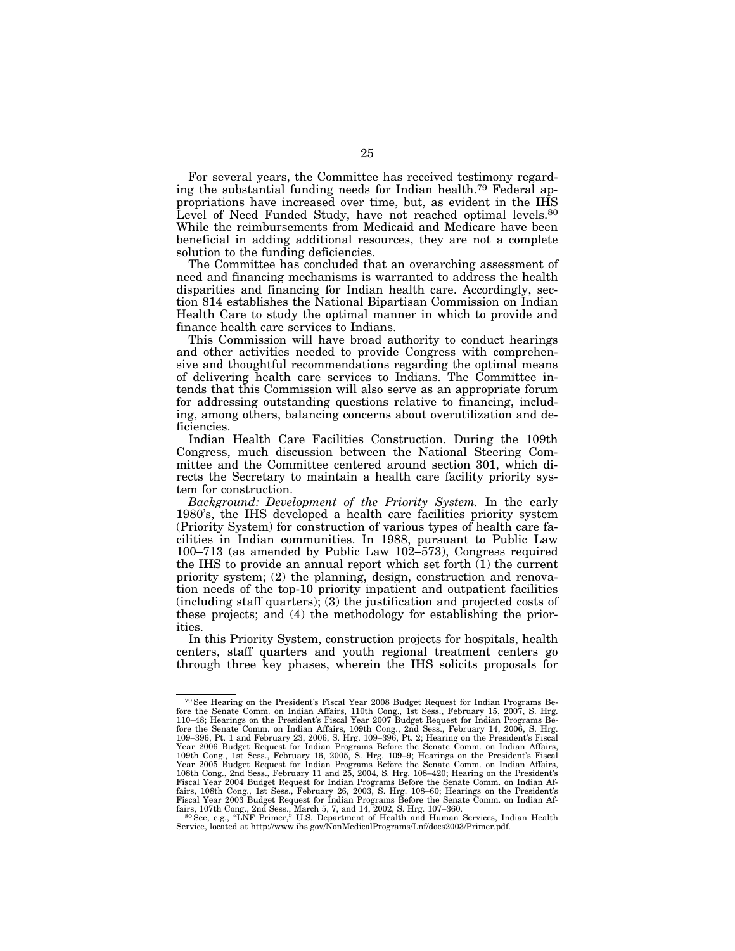For several years, the Committee has received testimony regarding the substantial funding needs for Indian health.79 Federal appropriations have increased over time, but, as evident in the IHS Level of Need Funded Study, have not reached optimal levels.<sup>80</sup> While the reimbursements from Medicaid and Medicare have been beneficial in adding additional resources, they are not a complete solution to the funding deficiencies.

The Committee has concluded that an overarching assessment of need and financing mechanisms is warranted to address the health disparities and financing for Indian health care. Accordingly, section 814 establishes the National Bipartisan Commission on Indian Health Care to study the optimal manner in which to provide and finance health care services to Indians.

This Commission will have broad authority to conduct hearings and other activities needed to provide Congress with comprehensive and thoughtful recommendations regarding the optimal means of delivering health care services to Indians. The Committee intends that this Commission will also serve as an appropriate forum for addressing outstanding questions relative to financing, including, among others, balancing concerns about overutilization and deficiencies.

Indian Health Care Facilities Construction. During the 109th Congress, much discussion between the National Steering Committee and the Committee centered around section 301, which directs the Secretary to maintain a health care facility priority system for construction.

*Background: Development of the Priority System.* In the early 1980's, the IHS developed a health care facilities priority system (Priority System) for construction of various types of health care facilities in Indian communities. In 1988, pursuant to Public Law 100–713 (as amended by Public Law 102–573), Congress required the IHS to provide an annual report which set forth  $(1)$  the current priority system; (2) the planning, design, construction and renovation needs of the top-10 priority inpatient and outpatient facilities (including staff quarters); (3) the justification and projected costs of these projects; and (4) the methodology for establishing the priorities.

In this Priority System, construction projects for hospitals, health centers, staff quarters and youth regional treatment centers go through three key phases, wherein the IHS solicits proposals for

<sup>79</sup>See Hearing on the President's Fiscal Year 2008 Budget Request for Indian Programs Before the Senate Comm. on Indian Affairs, 110th Cong., 1st Sess., February 15, 2007, S. Hrg.<br>110–48; Hearings on the President's Fiscal Year 2007 Budget Request for Indian Programs Before the Senate Comm. on Indian Affairs, 109th Cong., 2nd Sess., February 14, 2006, S. Hrg. 109–396, Pt. 1 and February 23, 2006, S. Hrg. 109–396, Pt. 2; Hearing on the President's Fiscal Year 2006 Budget Request for India 108th Cong., 2nd Sess., February 11 and 25, 2004, S. Hrg. 108–420; Hearing on the President's Fiscal Year 2004 Budget Request for Indian Programs Before the Senate Comm. on Indian Affairs, 108th Cong., 1st Sess., February 26, 2003, S. Hrg. 108–60; Hearings on the President's Fiscal Year 2003 Budget Request for Indian Programs Before the Senate Comm. on Indian Affairs, 107th Cong., 2nd Sess., March 5, 7, and 14, 2002, S. Hrg. 107–360.<br><sup>80</sup> See, e.g., "LNF Primer," U.S. Department of Health and

Service, located at http://www.ihs.gov/NonMedicalPrograms/Lnf/docs2003/Primer.pdf.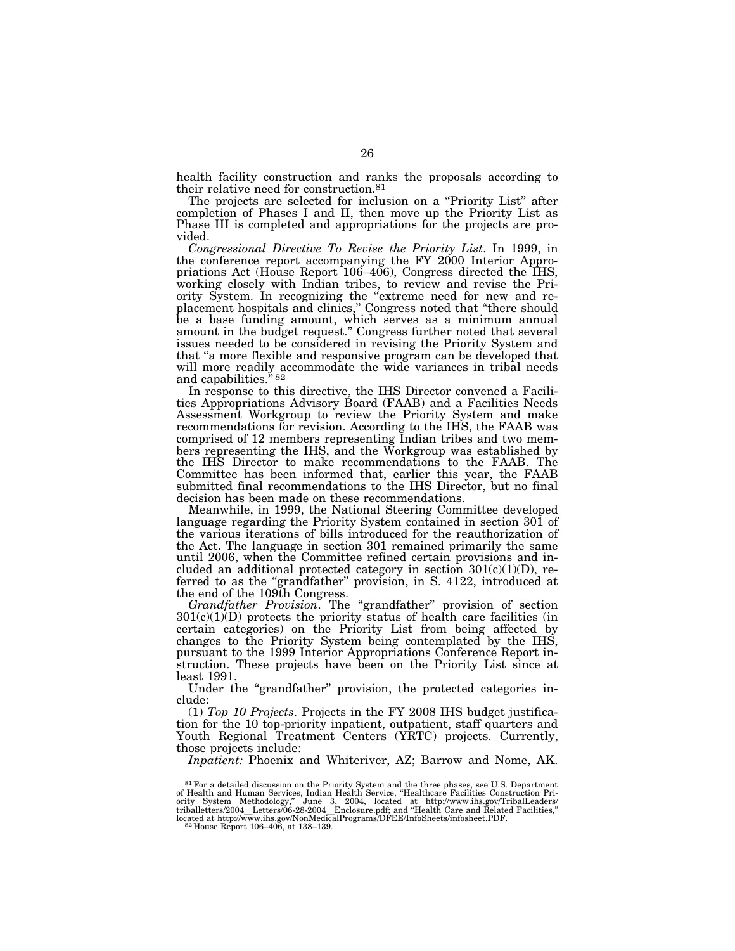health facility construction and ranks the proposals according to their relative need for construction.81

The projects are selected for inclusion on a "Priority List" after completion of Phases I and II, then move up the Priority List as Phase III is completed and appropriations for the projects are provided.

*Congressional Directive To Revise the Priority List*. In 1999, in the conference report accompanying the FY 2000 Interior Appropriations Act (House Report 106–406), Congress directed the IHS, working closely with Indian tribes, to review and revise the Priority System. In recognizing the ''extreme need for new and replacement hospitals and clinics,'' Congress noted that ''there should be a base funding amount, which serves as a minimum annual amount in the budget request.'' Congress further noted that several issues needed to be considered in revising the Priority System and that ''a more flexible and responsive program can be developed that will more readily accommodate the wide variances in tribal needs and capabilities."<sup>82</sup>

In response to this directive, the IHS Director convened a Facilities Appropriations Advisory Board (FAAB) and a Facilities Needs Assessment Workgroup to review the Priority System and make recommendations for revision. According to the IHS, the FAAB was comprised of 12 members representing Indian tribes and two members representing the IHS, and the Workgroup was established by the IHS Director to make recommendations to the FAAB. The Committee has been informed that, earlier this year, the FAAB submitted final recommendations to the IHS Director, but no final decision has been made on these recommendations.

Meanwhile, in 1999, the National Steering Committee developed language regarding the Priority System contained in section 301 of the various iterations of bills introduced for the reauthorization of the Act. The language in section 301 remained primarily the same until 2006, when the Committee refined certain provisions and included an additional protected category in section  $301(c)(1)(D)$ , referred to as the "grandfather" provision, in S. 4122, introduced at the end of the 109th Congress.

*Grandfather Provision*. The "grandfather" provision of section  $301(c)(1)(D)$  protects the priority status of health care facilities (in certain categories) on the Priority List from being affected by changes to the Priority System being contemplated by the IHS, pursuant to the 1999 Interior Appropriations Conference Report instruction. These projects have been on the Priority List since at least 1991.

Under the "grandfather" provision, the protected categories include:

(1) *Top 10 Projects*. Projects in the FY 2008 IHS budget justification for the 10 top-priority inpatient, outpatient, staff quarters and Youth Regional Treatment Centers (YRTC) projects. Currently, those projects include:

*Inpatient:* Phoenix and Whiteriver, AZ; Barrow and Nome, AK.

 $^{81}$  For a detailed discussion on the Priority System and the three phases, see U.S. Department of Health and Human Services, Indian Health Service, "Healthcare Facilities Construction Priority System Methodology," June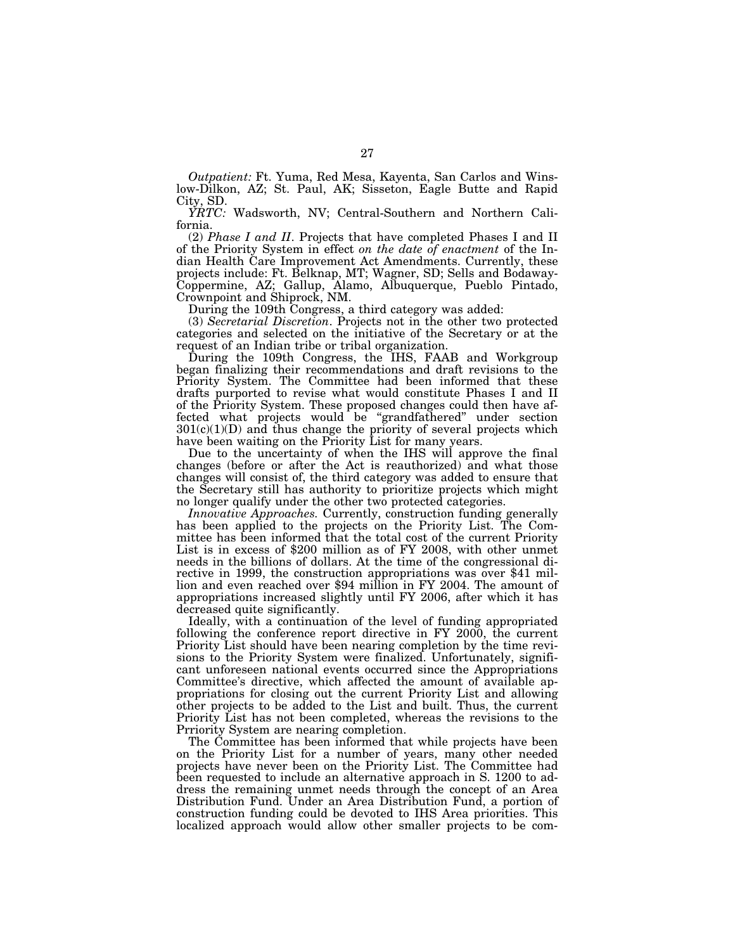*Outpatient:* Ft. Yuma, Red Mesa, Kayenta, San Carlos and Winslow-Dilkon, AZ; St. Paul, AK; Sisseton, Eagle Butte and Rapid City, SD.

*YRTC:* Wadsworth, NV; Central-Southern and Northern California.

(2) *Phase I and II*. Projects that have completed Phases I and II of the Priority System in effect *on the date of enactment* of the Indian Health Care Improvement Act Amendments. Currently, these projects include: Ft. Belknap, MT; Wagner, SD; Sells and Bodaway-Coppermine, AZ; Gallup, Alamo, Albuquerque, Pueblo Pintado, Crownpoint and Shiprock, NM.

During the 109th Congress, a third category was added:

(3) *Secretarial Discretion*. Projects not in the other two protected categories and selected on the initiative of the Secretary or at the request of an Indian tribe or tribal organization.

During the 109th Congress, the IHS, FAAB and Workgroup began finalizing their recommendations and draft revisions to the Priority System. The Committee had been informed that these drafts purported to revise what would constitute Phases I and II of the Priority System. These proposed changes could then have affected what projects would be ''grandfathered'' under section  $301(c)(1)(D)$  and thus change the priority of several projects which have been waiting on the Priority List for many years.

Due to the uncertainty of when the IHS will approve the final changes (before or after the Act is reauthorized) and what those changes will consist of, the third category was added to ensure that the Secretary still has authority to prioritize projects which might no longer qualify under the other two protected categories.

*Innovative Approaches.* Currently, construction funding generally has been applied to the projects on the Priority List. The Committee has been informed that the total cost of the current Priority List is in excess of \$200 million as of FY 2008, with other unmet needs in the billions of dollars. At the time of the congressional directive in 1999, the construction appropriations was over \$41 million and even reached over \$94 million in FY 2004. The amount of appropriations increased slightly until FY 2006, after which it has decreased quite significantly.

Ideally, with a continuation of the level of funding appropriated following the conference report directive in FY 2000, the current Priority List should have been nearing completion by the time revisions to the Priority System were finalized. Unfortunately, significant unforeseen national events occurred since the Appropriations Committee's directive, which affected the amount of available appropriations for closing out the current Priority List and allowing other projects to be added to the List and built. Thus, the current Priority List has not been completed, whereas the revisions to the Prriority System are nearing completion.

The Committee has been informed that while projects have been on the Priority List for a number of years, many other needed projects have never been on the Priority List. The Committee had been requested to include an alternative approach in S. 1200 to address the remaining unmet needs through the concept of an Area Distribution Fund. Under an Area Distribution Fund, a portion of construction funding could be devoted to IHS Area priorities. This localized approach would allow other smaller projects to be com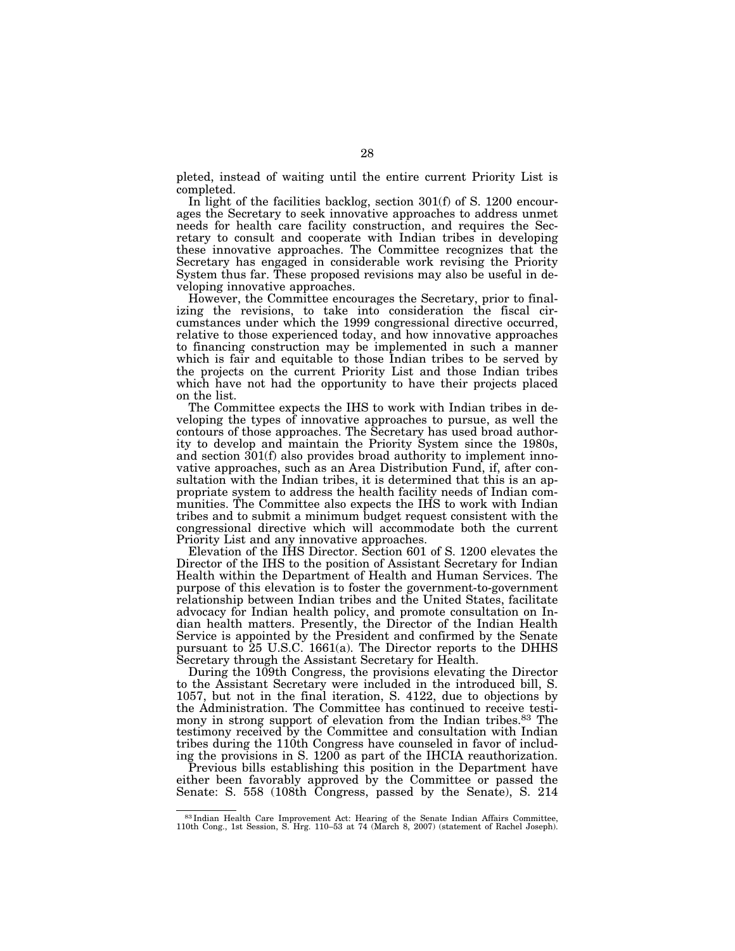pleted, instead of waiting until the entire current Priority List is completed.

In light of the facilities backlog, section 301(f) of S. 1200 encourages the Secretary to seek innovative approaches to address unmet needs for health care facility construction, and requires the Secretary to consult and cooperate with Indian tribes in developing these innovative approaches. The Committee recognizes that the Secretary has engaged in considerable work revising the Priority System thus far. These proposed revisions may also be useful in developing innovative approaches.

However, the Committee encourages the Secretary, prior to finalizing the revisions, to take into consideration the fiscal circumstances under which the 1999 congressional directive occurred, relative to those experienced today, and how innovative approaches to financing construction may be implemented in such a manner which is fair and equitable to those Indian tribes to be served by the projects on the current Priority List and those Indian tribes which have not had the opportunity to have their projects placed on the list.

The Committee expects the IHS to work with Indian tribes in developing the types of innovative approaches to pursue, as well the contours of those approaches. The Secretary has used broad authority to develop and maintain the Priority System since the 1980s, and section 301(f) also provides broad authority to implement innovative approaches, such as an Area Distribution Fund, if, after consultation with the Indian tribes, it is determined that this is an appropriate system to address the health facility needs of Indian communities. The Committee also expects the IHS to work with Indian tribes and to submit a minimum budget request consistent with the congressional directive which will accommodate both the current Priority List and any innovative approaches.

Elevation of the IHS Director. Section 601 of S. 1200 elevates the Director of the IHS to the position of Assistant Secretary for Indian Health within the Department of Health and Human Services. The purpose of this elevation is to foster the government-to-government relationship between Indian tribes and the United States, facilitate advocacy for Indian health policy, and promote consultation on Indian health matters. Presently, the Director of the Indian Health Service is appointed by the President and confirmed by the Senate pursuant to 25 U.S.C. 1661(a). The Director reports to the DHHS Secretary through the Assistant Secretary for Health.

During the 109th Congress, the provisions elevating the Director to the Assistant Secretary were included in the introduced bill, S. 1057, but not in the final iteration, S. 4122, due to objections by the Administration. The Committee has continued to receive testimony in strong support of elevation from the Indian tribes.83 The testimony received by the Committee and consultation with Indian tribes during the 110th Congress have counseled in favor of including the provisions in S.  $1200$  as part of the IHCIA reauthorization.

Previous bills establishing this position in the Department have either been favorably approved by the Committee or passed the Senate: S. 558 (108th Congress, passed by the Senate), S. 214

<sup>83</sup> Indian Health Care Improvement Act: Hearing of the Senate Indian Affairs Committee, 110th Cong., 1st Session, S. Hrg. 110–53 at 74 (March 8, 2007) (statement of Rachel Joseph).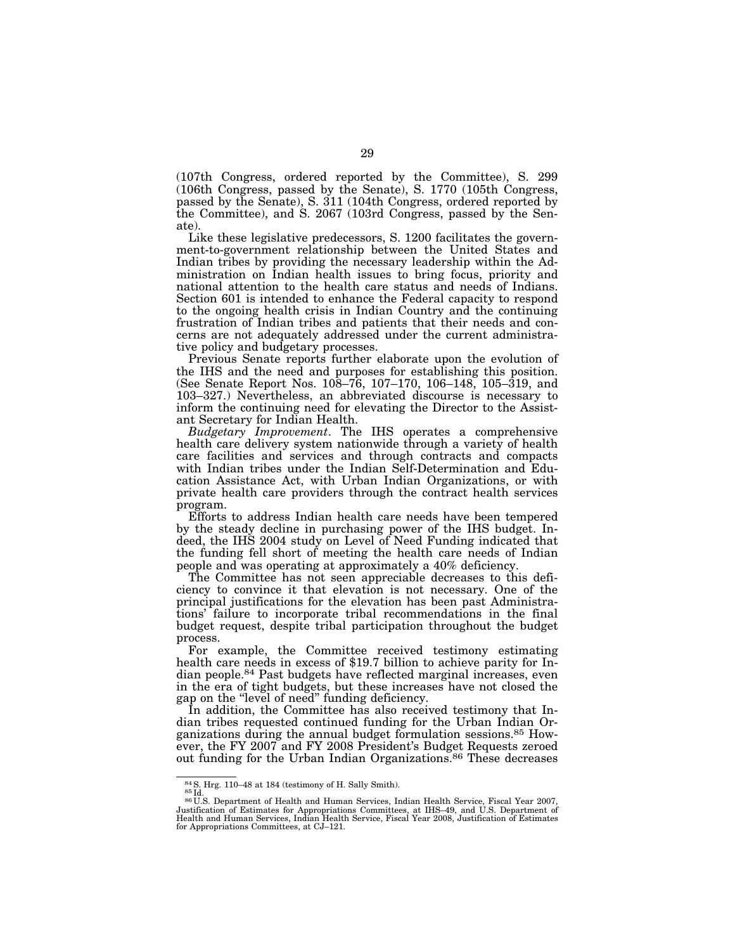(107th Congress, ordered reported by the Committee), S. 299 (106th Congress, passed by the Senate), S. 1770 (105th Congress, passed by the Senate), S. 311 (104th Congress, ordered reported by the Committee), and S. 2067 (103rd Congress, passed by the Senate).

Like these legislative predecessors, S. 1200 facilitates the government-to-government relationship between the United States and Indian tribes by providing the necessary leadership within the Administration on Indian health issues to bring focus, priority and national attention to the health care status and needs of Indians. Section 601 is intended to enhance the Federal capacity to respond to the ongoing health crisis in Indian Country and the continuing frustration of Indian tribes and patients that their needs and concerns are not adequately addressed under the current administrative policy and budgetary processes.

Previous Senate reports further elaborate upon the evolution of the IHS and the need and purposes for establishing this position. (See Senate Report Nos. 108–76, 107–170, 106–148, 105–319, and 103–327.) Nevertheless, an abbreviated discourse is necessary to inform the continuing need for elevating the Director to the Assistant Secretary for Indian Health.

*Budgetary Improvement*. The IHS operates a comprehensive health care delivery system nationwide through a variety of health care facilities and services and through contracts and compacts with Indian tribes under the Indian Self-Determination and Education Assistance Act, with Urban Indian Organizations, or with private health care providers through the contract health services program.

Efforts to address Indian health care needs have been tempered by the steady decline in purchasing power of the IHS budget. Indeed, the IHS 2004 study on Level of Need Funding indicated that the funding fell short of meeting the health care needs of Indian people and was operating at approximately a 40% deficiency.

The Committee has not seen appreciable decreases to this deficiency to convince it that elevation is not necessary. One of the principal justifications for the elevation has been past Administrations' failure to incorporate tribal recommendations in the final budget request, despite tribal participation throughout the budget process.

For example, the Committee received testimony estimating health care needs in excess of \$19.7 billion to achieve parity for Indian people.84 Past budgets have reflected marginal increases, even in the era of tight budgets, but these increases have not closed the gap on the ''level of need'' funding deficiency.

In addition, the Committee has also received testimony that Indian tribes requested continued funding for the Urban Indian Organizations during the annual budget formulation sessions.85 However, the FY 2007 and FY 2008 President's Budget Requests zeroed out funding for the Urban Indian Organizations.<sup>86</sup> These decreases

<sup>84</sup> S. Hrg. 110–48 at 184 (testimony of H. Sally Smith).<br><sup>85</sup> Id. 86 Id. 86 Id. 86 U.S. Department of Health and Human Services, Indian Health Service, Fiscal Year 2007, Justification of Estimates for Appropriations Committees, at IHS–49, and U.S. Department of<br>Health and Human Services, Indian Health Service, Fiscal Year 2008, Justification of Estimates<br>for Appropriations Committees, at C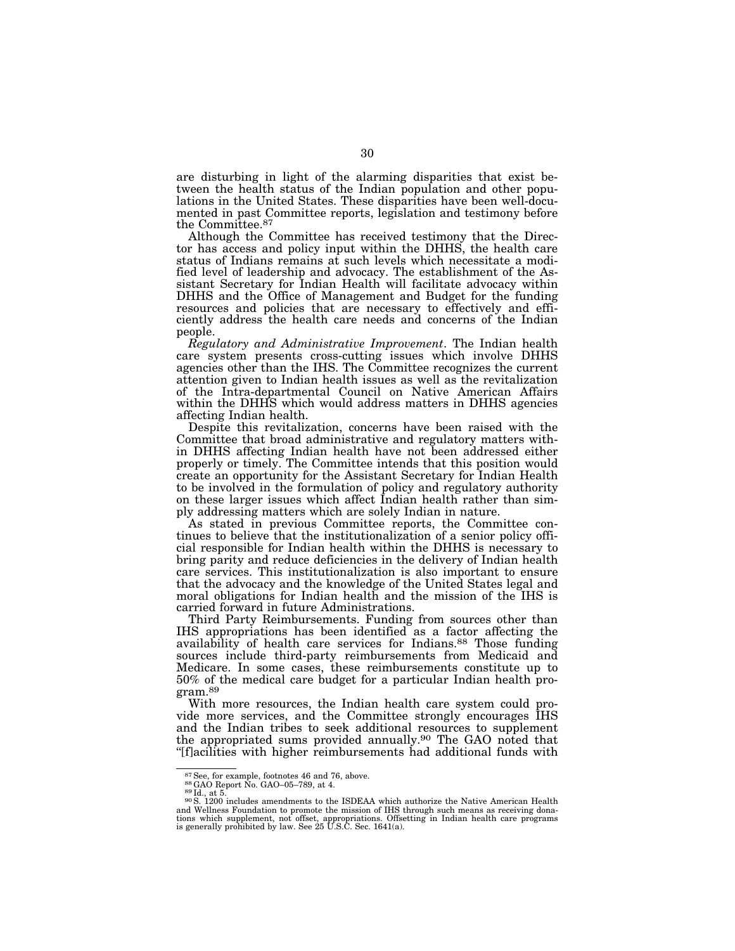are disturbing in light of the alarming disparities that exist between the health status of the Indian population and other populations in the United States. These disparities have been well-documented in past Committee reports, legislation and testimony before the Committee.87

Although the Committee has received testimony that the Director has access and policy input within the DHHS, the health care status of Indians remains at such levels which necessitate a modified level of leadership and advocacy. The establishment of the Assistant Secretary for Indian Health will facilitate advocacy within DHHS and the Office of Management and Budget for the funding resources and policies that are necessary to effectively and efficiently address the health care needs and concerns of the Indian people.

*Regulatory and Administrative Improvement*. The Indian health care system presents cross-cutting issues which involve DHHS agencies other than the IHS. The Committee recognizes the current attention given to Indian health issues as well as the revitalization of the Intra-departmental Council on Native American Affairs within the DHHS which would address matters in DHHS agencies affecting Indian health.

Despite this revitalization, concerns have been raised with the Committee that broad administrative and regulatory matters within DHHS affecting Indian health have not been addressed either properly or timely. The Committee intends that this position would create an opportunity for the Assistant Secretary for Indian Health to be involved in the formulation of policy and regulatory authority on these larger issues which affect Indian health rather than simply addressing matters which are solely Indian in nature.

As stated in previous Committee reports, the Committee continues to believe that the institutionalization of a senior policy official responsible for Indian health within the DHHS is necessary to bring parity and reduce deficiencies in the delivery of Indian health care services. This institutionalization is also important to ensure that the advocacy and the knowledge of the United States legal and moral obligations for Indian health and the mission of the IHS is carried forward in future Administrations.

Third Party Reimbursements. Funding from sources other than IHS appropriations has been identified as a factor affecting the availability of health care services for Indians.<sup>88</sup> Those funding sources include third-party reimbursements from Medicaid and Medicare. In some cases, these reimbursements constitute up to 50% of the medical care budget for a particular Indian health program.89

With more resources, the Indian health care system could provide more services, and the Committee strongly encourages IHS and the Indian tribes to seek additional resources to supplement the appropriated sums provided annually.90 The GAO noted that ''[f]acilities with higher reimbursements had additional funds with

<sup>&</sup>lt;sup>87</sup> See, for example, footnotes 46 and 76, above.<br><sup>88</sup>GAO Report No. GAO–05–789, at 4.<br><sup>89</sup> Id., at 5. 90S. 1200 includes amendments to the ISDEAA which authorize the Native American Health and Wellness Foundation to promote the mission of IHS through such means as receiving dona-<br>tions which supplement, not offset, appropriations. Offsetting in Indian health care programs<br>is generally prohibited by law. See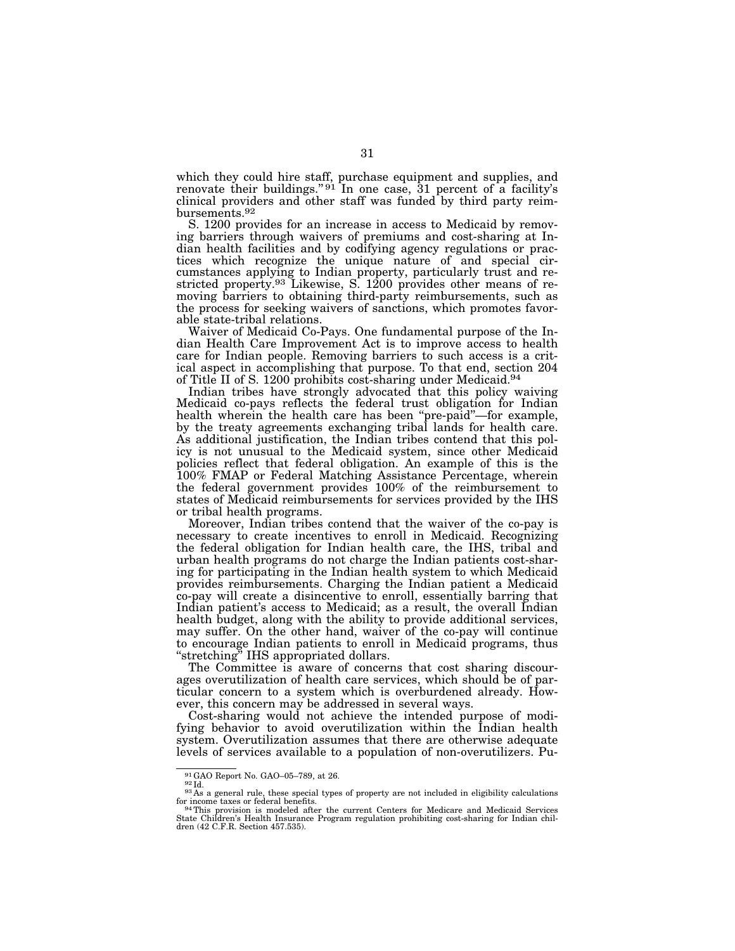which they could hire staff, purchase equipment and supplies, and renovate their buildings."<sup>91</sup> In one case, 31 percent of a facility's clinical providers and other staff was funded by third party reimbursements.92

S. 1200 provides for an increase in access to Medicaid by removing barriers through waivers of premiums and cost-sharing at Indian health facilities and by codifying agency regulations or practices which recognize the unique nature of and special circumstances applying to Indian property, particularly trust and restricted property.<sup>93</sup> Likewise, S. 1200 provides other means of removing barriers to obtaining third-party reimbursements, such as the process for seeking waivers of sanctions, which promotes favorable state-tribal relations.

Waiver of Medicaid Co-Pays. One fundamental purpose of the Indian Health Care Improvement Act is to improve access to health care for Indian people. Removing barriers to such access is a critical aspect in accomplishing that purpose. To that end, section 204 of Title II of S. 1200 prohibits cost-sharing under Medicaid.94

Indian tribes have strongly advocated that this policy waiving Medicaid co-pays reflects the federal trust obligation for Indian health wherein the health care has been ''pre-paid''—for example, by the treaty agreements exchanging tribal lands for health care. As additional justification, the Indian tribes contend that this policy is not unusual to the Medicaid system, since other Medicaid policies reflect that federal obligation. An example of this is the 100% FMAP or Federal Matching Assistance Percentage, wherein the federal government provides 100% of the reimbursement to states of Medicaid reimbursements for services provided by the IHS or tribal health programs.

Moreover, Indian tribes contend that the waiver of the co-pay is necessary to create incentives to enroll in Medicaid. Recognizing the federal obligation for Indian health care, the IHS, tribal and urban health programs do not charge the Indian patients cost-sharing for participating in the Indian health system to which Medicaid provides reimbursements. Charging the Indian patient a Medicaid co-pay will create a disincentive to enroll, essentially barring that Indian patient's access to Medicaid; as a result, the overall Indian health budget, along with the ability to provide additional services, may suffer. On the other hand, waiver of the co-pay will continue to encourage Indian patients to enroll in Medicaid programs, thus ''stretching'' IHS appropriated dollars.

The Committee is aware of concerns that cost sharing discourages overutilization of health care services, which should be of particular concern to a system which is overburdened already. However, this concern may be addressed in several ways.

Cost-sharing would not achieve the intended purpose of modifying behavior to avoid overutilization within the Indian health system. Overutilization assumes that there are otherwise adequate levels of services available to a population of non-overutilizers. Pu-

<sup>91</sup> GAO Report No. GAO–05–789, at 26. 92 Id. 93 As a general rule, these special types of property are not included in eligibility calculations of  $\frac{93}{4}$  As a general rule, these special types of property are not inclu

for income taxes or federal benefits. This provision is modeled after the current Centers for Medicare and Medicaid Services<br>14 This provision is modeled after the current Centers for Medicare and Medicaid Services<br>81 Serv dren (42 C.F.R. Section 457.535).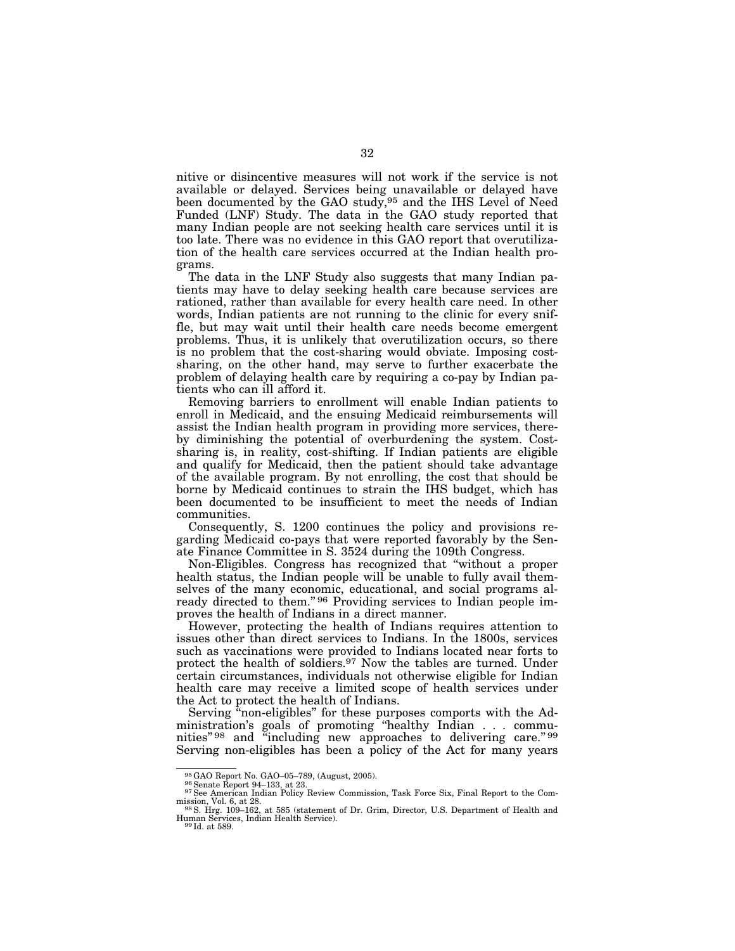nitive or disincentive measures will not work if the service is not available or delayed. Services being unavailable or delayed have been documented by the GAO study,95 and the IHS Level of Need Funded (LNF) Study. The data in the GAO study reported that many Indian people are not seeking health care services until it is too late. There was no evidence in this GAO report that overutilization of the health care services occurred at the Indian health programs.

The data in the LNF Study also suggests that many Indian patients may have to delay seeking health care because services are rationed, rather than available for every health care need. In other words, Indian patients are not running to the clinic for every sniffle, but may wait until their health care needs become emergent problems. Thus, it is unlikely that overutilization occurs, so there is no problem that the cost-sharing would obviate. Imposing costsharing, on the other hand, may serve to further exacerbate the problem of delaying health care by requiring a co-pay by Indian patients who can ill afford it.

Removing barriers to enrollment will enable Indian patients to enroll in Medicaid, and the ensuing Medicaid reimbursements will assist the Indian health program in providing more services, thereby diminishing the potential of overburdening the system. Costsharing is, in reality, cost-shifting. If Indian patients are eligible and qualify for Medicaid, then the patient should take advantage of the available program. By not enrolling, the cost that should be borne by Medicaid continues to strain the IHS budget, which has been documented to be insufficient to meet the needs of Indian communities.

Consequently, S. 1200 continues the policy and provisions regarding Medicaid co-pays that were reported favorably by the Senate Finance Committee in S. 3524 during the 109th Congress.

Non-Eligibles. Congress has recognized that ''without a proper health status, the Indian people will be unable to fully avail themselves of the many economic, educational, and social programs already directed to them."<sup>96</sup> Providing services to Indian people improves the health of Indians in a direct manner.

However, protecting the health of Indians requires attention to issues other than direct services to Indians. In the 1800s, services such as vaccinations were provided to Indians located near forts to protect the health of soldiers.<sup>97</sup> Now the tables are turned. Under certain circumstances, individuals not otherwise eligible for Indian health care may receive a limited scope of health services under the Act to protect the health of Indians.

Serving "non-eligibles" for these purposes comports with the Administration's goals of promoting ''healthy Indian . . . communities" 98 and "including new approaches to delivering care." 99 Serving non-eligibles has been a policy of the Act for many years

<sup>&</sup>lt;sup>95</sup>GAO Report No. GAO–05–789, (August, 2005). 96 Senate Report 94–133, at 23. 97 See American Indian Policy Review Commission, Task Force Six, Final Report to the Commission, Vol. 6, at 28.<br>
98S. Hrg. 109–162, at 585 (statement of Dr. Grim, Director, U.S. Department of Health and<br>
<sup>98</sup>S. Hrg. 109–162, at 585 (statement of Dr. Grim, Director, U.S. Department of Health and

Human Services, Indian Health Service).<br><sup>99</sup> Id. at 589.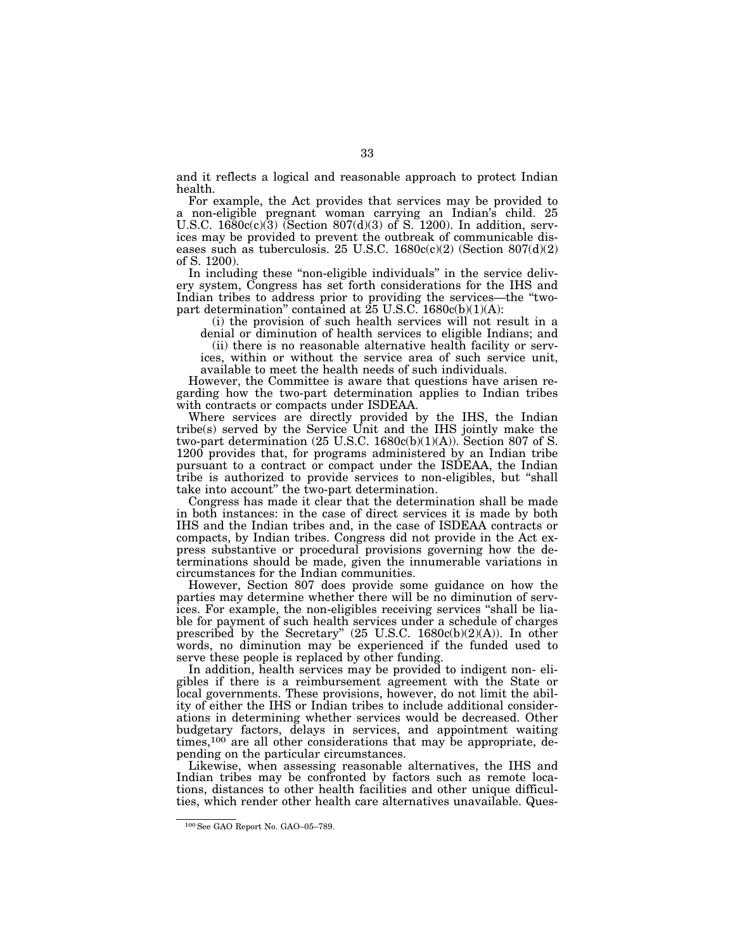and it reflects a logical and reasonable approach to protect Indian health.

For example, the Act provides that services may be provided to a non-eligible pregnant woman carrying an Indian's child. 25 U.S.C.  $1680c(c)(3)$  (Section  $807(d)(3)$  of S. 1200). In addition, services may be provided to prevent the outbreak of communicable diseases such as tuberculosis. 25 U.S.C.  $1680c(c)(2)$  (Section  $807(d)(2)$ ) of S. 1200).

In including these "non-eligible individuals" in the service delivery system, Congress has set forth considerations for the IHS and Indian tribes to address prior to providing the services—the ''twopart determination'' contained at 25 U.S.C. 1680c(b)(1)(A):

(i) the provision of such health services will not result in a denial or diminution of health services to eligible Indians; and

(ii) there is no reasonable alternative health facility or services, within or without the service area of such service unit,

available to meet the health needs of such individuals.

However, the Committee is aware that questions have arisen regarding how the two-part determination applies to Indian tribes with contracts or compacts under ISDEAA.

Where services are directly provided by the IHS, the Indian tribe(s) served by the Service Unit and the IHS jointly make the two-part determination  $(25 \text{ U.S.C. } 1680c(b)(1)(A))$ . Section 807 of S. 1200 provides that, for programs administered by an Indian tribe pursuant to a contract or compact under the ISDEAA, the Indian tribe is authorized to provide services to non-eligibles, but ''shall take into account'' the two-part determination.

Congress has made it clear that the determination shall be made in both instances: in the case of direct services it is made by both IHS and the Indian tribes and, in the case of ISDEAA contracts or compacts, by Indian tribes. Congress did not provide in the Act express substantive or procedural provisions governing how the determinations should be made, given the innumerable variations in circumstances for the Indian communities.

However, Section 807 does provide some guidance on how the parties may determine whether there will be no diminution of services. For example, the non-eligibles receiving services ''shall be liable for payment of such health services under a schedule of charges prescribed by the Secretary"  $(25 \text{ U.S.C. } 1680c(b)(2)(A))$ . In other words, no diminution may be experienced if the funded used to serve these people is replaced by other funding.

In addition, health services may be provided to indigent non- eligibles if there is a reimbursement agreement with the State or local governments. These provisions, however, do not limit the ability of either the IHS or Indian tribes to include additional considerations in determining whether services would be decreased. Other budgetary factors, delays in services, and appointment waiting times,<sup>100</sup> are all other considerations that may be appropriate, depending on the particular circumstances.

Likewise, when assessing reasonable alternatives, the IHS and Indian tribes may be confronted by factors such as remote locations, distances to other health facilities and other unique difficulties, which render other health care alternatives unavailable. Ques-

<sup>100</sup>See GAO Report No. GAO–05–789.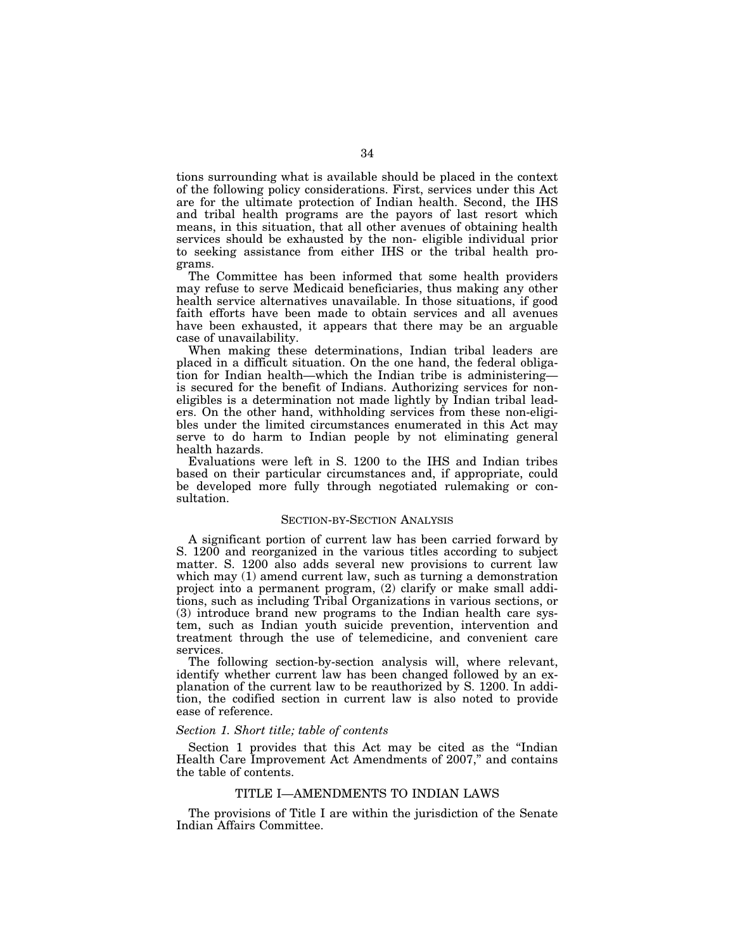tions surrounding what is available should be placed in the context of the following policy considerations. First, services under this Act are for the ultimate protection of Indian health. Second, the IHS and tribal health programs are the payors of last resort which means, in this situation, that all other avenues of obtaining health services should be exhausted by the non- eligible individual prior to seeking assistance from either IHS or the tribal health programs.

The Committee has been informed that some health providers may refuse to serve Medicaid beneficiaries, thus making any other health service alternatives unavailable. In those situations, if good faith efforts have been made to obtain services and all avenues have been exhausted, it appears that there may be an arguable case of unavailability.

When making these determinations, Indian tribal leaders are placed in a difficult situation. On the one hand, the federal obligation for Indian health—which the Indian tribe is administering is secured for the benefit of Indians. Authorizing services for noneligibles is a determination not made lightly by Indian tribal leaders. On the other hand, withholding services from these non-eligibles under the limited circumstances enumerated in this Act may serve to do harm to Indian people by not eliminating general health hazards.

Evaluations were left in S. 1200 to the IHS and Indian tribes based on their particular circumstances and, if appropriate, could be developed more fully through negotiated rulemaking or consultation.

#### SECTION-BY-SECTION ANALYSIS

A significant portion of current law has been carried forward by S. 1200 and reorganized in the various titles according to subject matter. S. 1200 also adds several new provisions to current law which may (1) amend current law, such as turning a demonstration project into a permanent program, (2) clarify or make small additions, such as including Tribal Organizations in various sections, or (3) introduce brand new programs to the Indian health care system, such as Indian youth suicide prevention, intervention and treatment through the use of telemedicine, and convenient care services.

The following section-by-section analysis will, where relevant, identify whether current law has been changed followed by an explanation of the current law to be reauthorized by S. 1200. In addition, the codified section in current law is also noted to provide ease of reference.

## *Section 1. Short title; table of contents*

Section 1 provides that this Act may be cited as the ''Indian Health Care Improvement Act Amendments of 2007," and contains the table of contents.

## TITLE I—AMENDMENTS TO INDIAN LAWS

The provisions of Title I are within the jurisdiction of the Senate Indian Affairs Committee.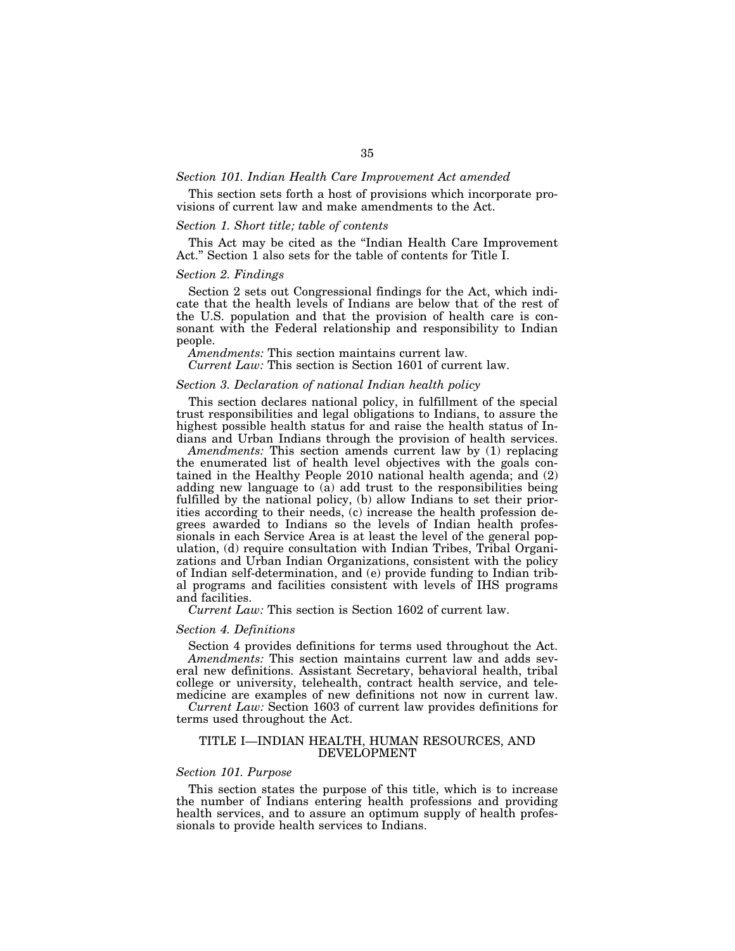#### *Section 101. Indian Health Care Improvement Act amended*

This section sets forth a host of provisions which incorporate provisions of current law and make amendments to the Act.

## *Section 1. Short title; table of contents*

This Act may be cited as the ''Indian Health Care Improvement Act.'' Section 1 also sets for the table of contents for Title I.

#### *Section 2. Findings*

Section 2 sets out Congressional findings for the Act, which indicate that the health levels of Indians are below that of the rest of the U.S. population and that the provision of health care is consonant with the Federal relationship and responsibility to Indian people.

*Amendments:* This section maintains current law.

*Current Law:* This section is Section 1601 of current law.

## *Section 3. Declaration of national Indian health policy*

This section declares national policy, in fulfillment of the special trust responsibilities and legal obligations to Indians, to assure the highest possible health status for and raise the health status of Indians and Urban Indians through the provision of health services.

*Amendments:* This section amends current law by (1) replacing the enumerated list of health level objectives with the goals contained in the Healthy People 2010 national health agenda; and (2) adding new language to (a) add trust to the responsibilities being fulfilled by the national policy, (b) allow Indians to set their priorities according to their needs, (c) increase the health profession degrees awarded to Indians so the levels of Indian health professionals in each Service Area is at least the level of the general population, (d) require consultation with Indian Tribes, Tribal Organizations and Urban Indian Organizations, consistent with the policy of Indian self-determination, and (e) provide funding to Indian tribal programs and facilities consistent with levels of IHS programs and facilities.

*Current Law:* This section is Section 1602 of current law.

#### *Section 4. Definitions*

Section 4 provides definitions for terms used throughout the Act. *Amendments:* This section maintains current law and adds several new definitions. Assistant Secretary, behavioral health, tribal college or university, telehealth, contract health service, and telemedicine are examples of new definitions not now in current law.

*Current Law:* Section 1603 of current law provides definitions for terms used throughout the Act.

## TITLE I—INDIAN HEALTH, HUMAN RESOURCES, AND DEVELOPMENT

### *Section 101. Purpose*

This section states the purpose of this title, which is to increase the number of Indians entering health professions and providing health services, and to assure an optimum supply of health professionals to provide health services to Indians.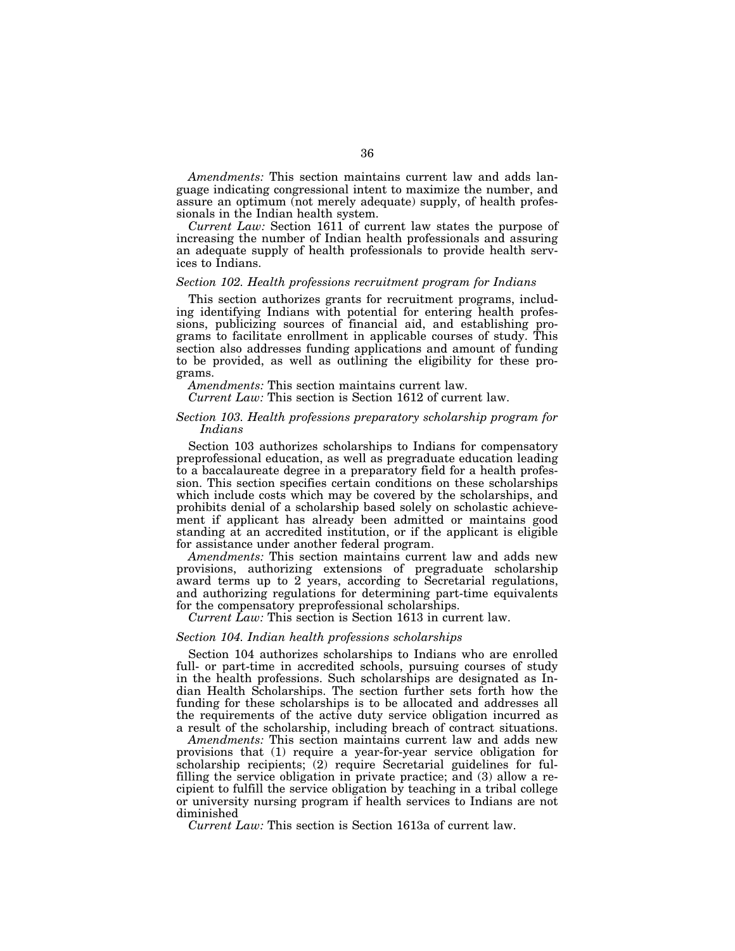*Amendments:* This section maintains current law and adds language indicating congressional intent to maximize the number, and assure an optimum (not merely adequate) supply, of health professionals in the Indian health system.

*Current Law:* Section 1611 of current law states the purpose of increasing the number of Indian health professionals and assuring an adequate supply of health professionals to provide health services to Indians.

#### *Section 102. Health professions recruitment program for Indians*

This section authorizes grants for recruitment programs, including identifying Indians with potential for entering health professions, publicizing sources of financial aid, and establishing programs to facilitate enrollment in applicable courses of study. This section also addresses funding applications and amount of funding to be provided, as well as outlining the eligibility for these programs.

*Amendments:* This section maintains current law.

*Current Law:* This section is Section 1612 of current law.

## *Section 103. Health professions preparatory scholarship program for Indians*

Section 103 authorizes scholarships to Indians for compensatory preprofessional education, as well as pregraduate education leading to a baccalaureate degree in a preparatory field for a health profession. This section specifies certain conditions on these scholarships which include costs which may be covered by the scholarships, and prohibits denial of a scholarship based solely on scholastic achievement if applicant has already been admitted or maintains good standing at an accredited institution, or if the applicant is eligible for assistance under another federal program.

*Amendments:* This section maintains current law and adds new provisions, authorizing extensions of pregraduate scholarship award terms up to 2 years, according to Secretarial regulations, and authorizing regulations for determining part-time equivalents for the compensatory preprofessional scholarships.

*Current Law:* This section is Section 1613 in current law.

#### *Section 104. Indian health professions scholarships*

Section 104 authorizes scholarships to Indians who are enrolled full- or part-time in accredited schools, pursuing courses of study in the health professions. Such scholarships are designated as Indian Health Scholarships. The section further sets forth how the funding for these scholarships is to be allocated and addresses all the requirements of the active duty service obligation incurred as a result of the scholarship, including breach of contract situations.

*Amendments:* This section maintains current law and adds new provisions that (1) require a year-for-year service obligation for scholarship recipients; (2) require Secretarial guidelines for fulfilling the service obligation in private practice; and (3) allow a recipient to fulfill the service obligation by teaching in a tribal college or university nursing program if health services to Indians are not diminished

*Current Law:* This section is Section 1613a of current law.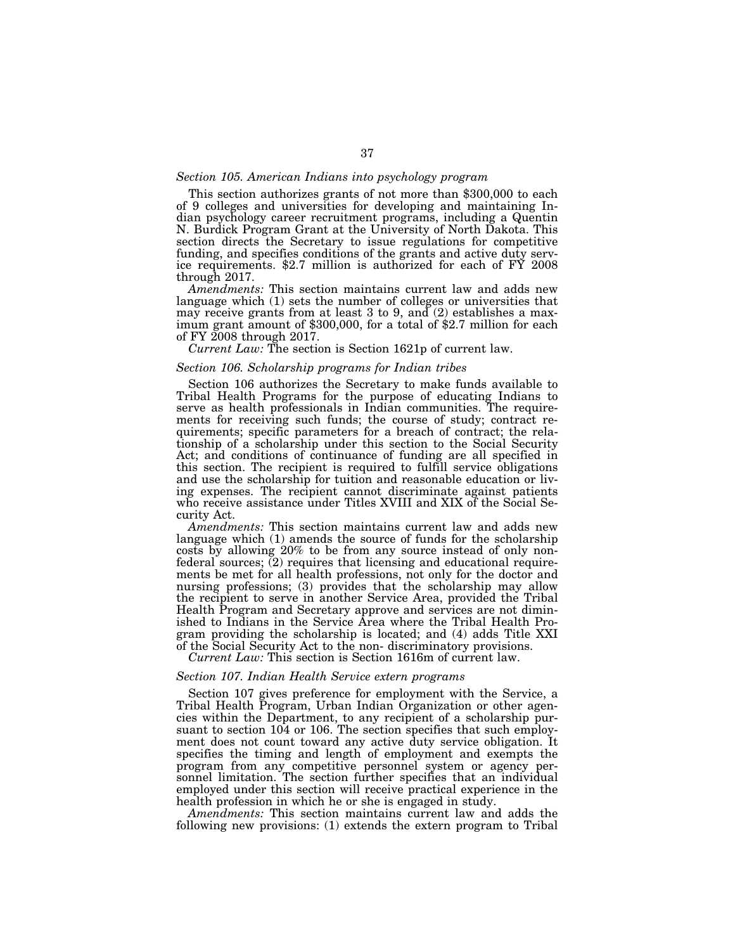#### *Section 105. American Indians into psychology program*

This section authorizes grants of not more than \$300,000 to each of 9 colleges and universities for developing and maintaining Indian psychology career recruitment programs, including a Quentin N. Burdick Program Grant at the University of North Dakota. This section directs the Secretary to issue regulations for competitive funding, and specifies conditions of the grants and active duty service requirements. \$2.7 million is authorized for each of FY 2008 through 2017.

*Amendments:* This section maintains current law and adds new language which (1) sets the number of colleges or universities that may receive grants from at least 3 to 9, and (2) establishes a maximum grant amount of \$300,000, for a total of \$2.7 million for each of FY 2008 through 2017.

*Current Law:* The section is Section 1621p of current law.

## *Section 106. Scholarship programs for Indian tribes*

Section 106 authorizes the Secretary to make funds available to Tribal Health Programs for the purpose of educating Indians to serve as health professionals in Indian communities. The requirements for receiving such funds; the course of study; contract requirements; specific parameters for a breach of contract; the relationship of a scholarship under this section to the Social Security Act; and conditions of continuance of funding are all specified in this section. The recipient is required to fulfill service obligations and use the scholarship for tuition and reasonable education or living expenses. The recipient cannot discriminate against patients who receive assistance under Titles XVIII and XIX of the Social Security Act.

*Amendments:* This section maintains current law and adds new language which (1) amends the source of funds for the scholarship costs by allowing 20% to be from any source instead of only nonfederal sources; (2) requires that licensing and educational requirements be met for all health professions, not only for the doctor and nursing professions; (3) provides that the scholarship may allow the recipient to serve in another Service Area, provided the Tribal Health Program and Secretary approve and services are not diminished to Indians in the Service Area where the Tribal Health Program providing the scholarship is located; and (4) adds Title XXI of the Social Security Act to the non- discriminatory provisions.

*Current Law:* This section is Section 1616m of current law.

#### *Section 107. Indian Health Service extern programs*

Section 107 gives preference for employment with the Service, a Tribal Health Program, Urban Indian Organization or other agencies within the Department, to any recipient of a scholarship pursuant to section 104 or 106. The section specifies that such employment does not count toward any active duty service obligation. It specifies the timing and length of employment and exempts the program from any competitive personnel system or agency personnel limitation. The section further specifies that an individual employed under this section will receive practical experience in the health profession in which he or she is engaged in study.

*Amendments:* This section maintains current law and adds the following new provisions: (1) extends the extern program to Tribal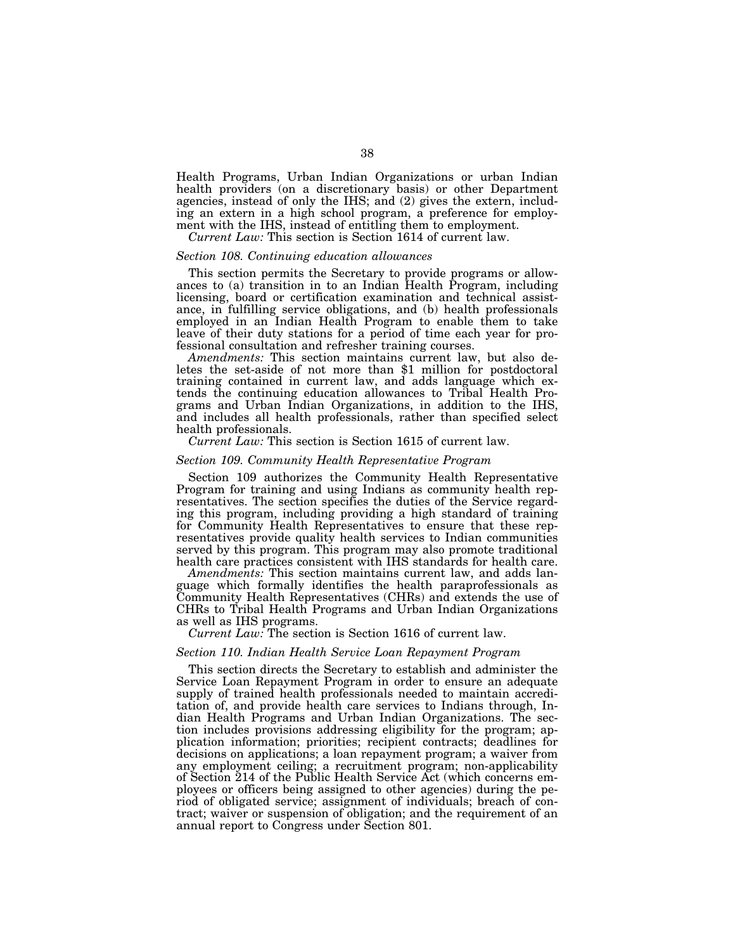Health Programs, Urban Indian Organizations or urban Indian health providers (on a discretionary basis) or other Department agencies, instead of only the IHS; and (2) gives the extern, including an extern in a high school program, a preference for employment with the IHS, instead of entitling them to employment.

*Current Law:* This section is Section 1614 of current law.

## *Section 108. Continuing education allowances*

This section permits the Secretary to provide programs or allowances to (a) transition in to an Indian Health Program, including licensing, board or certification examination and technical assistance, in fulfilling service obligations, and (b) health professionals employed in an Indian Health Program to enable them to take leave of their duty stations for a period of time each year for professional consultation and refresher training courses.

*Amendments:* This section maintains current law, but also deletes the set-aside of not more than \$1 million for postdoctoral training contained in current law, and adds language which extends the continuing education allowances to Tribal Health Programs and Urban Indian Organizations, in addition to the IHS, and includes all health professionals, rather than specified select health professionals.

# *Current Law:* This section is Section 1615 of current law.

## *Section 109. Community Health Representative Program*

Section 109 authorizes the Community Health Representative Program for training and using Indians as community health representatives. The section specifies the duties of the Service regarding this program, including providing a high standard of training for Community Health Representatives to ensure that these representatives provide quality health services to Indian communities served by this program. This program may also promote traditional health care practices consistent with IHS standards for health care.

*Amendments:* This section maintains current law, and adds language which formally identifies the health paraprofessionals as Community Health Representatives (CHRs) and extends the use of CHRs to Tribal Health Programs and Urban Indian Organizations as well as IHS programs.

*Current Law:* The section is Section 1616 of current law.

#### *Section 110. Indian Health Service Loan Repayment Program*

This section directs the Secretary to establish and administer the Service Loan Repayment Program in order to ensure an adequate supply of trained health professionals needed to maintain accreditation of, and provide health care services to Indians through, Indian Health Programs and Urban Indian Organizations. The section includes provisions addressing eligibility for the program; application information; priorities; recipient contracts; deadlines for decisions on applications; a loan repayment program; a waiver from any employment ceiling; a recruitment program; non-applicability of Section 214 of the Public Health Service Act (which concerns employees or officers being assigned to other agencies) during the period of obligated service; assignment of individuals; breach of contract; waiver or suspension of obligation; and the requirement of an annual report to Congress under Section 801.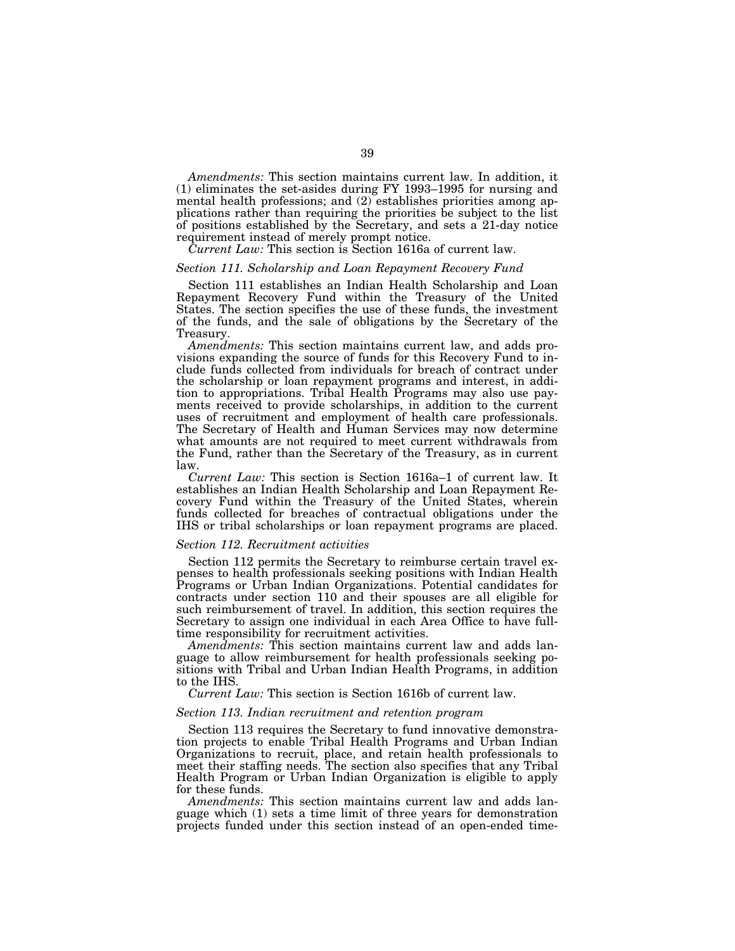*Amendments:* This section maintains current law. In addition, it (1) eliminates the set-asides during FY 1993–1995 for nursing and mental health professions; and (2) establishes priorities among applications rather than requiring the priorities be subject to the list of positions established by the Secretary, and sets a 21-day notice requirement instead of merely prompt notice.

*Current Law:* This section is Section 1616a of current law.

## *Section 111. Scholarship and Loan Repayment Recovery Fund*

Section 111 establishes an Indian Health Scholarship and Loan Repayment Recovery Fund within the Treasury of the United States. The section specifies the use of these funds, the investment of the funds, and the sale of obligations by the Secretary of the Treasury.

*Amendments:* This section maintains current law, and adds provisions expanding the source of funds for this Recovery Fund to include funds collected from individuals for breach of contract under the scholarship or loan repayment programs and interest, in addition to appropriations. Tribal Health Programs may also use payments received to provide scholarships, in addition to the current uses of recruitment and employment of health care professionals. The Secretary of Health and Human Services may now determine what amounts are not required to meet current withdrawals from the Fund, rather than the Secretary of the Treasury, as in current law.

*Current Law:* This section is Section 1616a–1 of current law. It establishes an Indian Health Scholarship and Loan Repayment Recovery Fund within the Treasury of the United States, wherein funds collected for breaches of contractual obligations under the IHS or tribal scholarships or loan repayment programs are placed.

#### *Section 112. Recruitment activities*

Section 112 permits the Secretary to reimburse certain travel expenses to health professionals seeking positions with Indian Health Programs or Urban Indian Organizations. Potential candidates for contracts under section 110 and their spouses are all eligible for such reimbursement of travel. In addition, this section requires the Secretary to assign one individual in each Area Office to have fulltime responsibility for recruitment activities.

*Amendments:* This section maintains current law and adds language to allow reimbursement for health professionals seeking positions with Tribal and Urban Indian Health Programs, in addition to the IHS.

*Current Law:* This section is Section 1616b of current law.

## *Section 113. Indian recruitment and retention program*

Section 113 requires the Secretary to fund innovative demonstration projects to enable Tribal Health Programs and Urban Indian Organizations to recruit, place, and retain health professionals to meet their staffing needs. The section also specifies that any Tribal Health Program or Urban Indian Organization is eligible to apply for these funds.

*Amendments:* This section maintains current law and adds language which (1) sets a time limit of three years for demonstration projects funded under this section instead of an open-ended time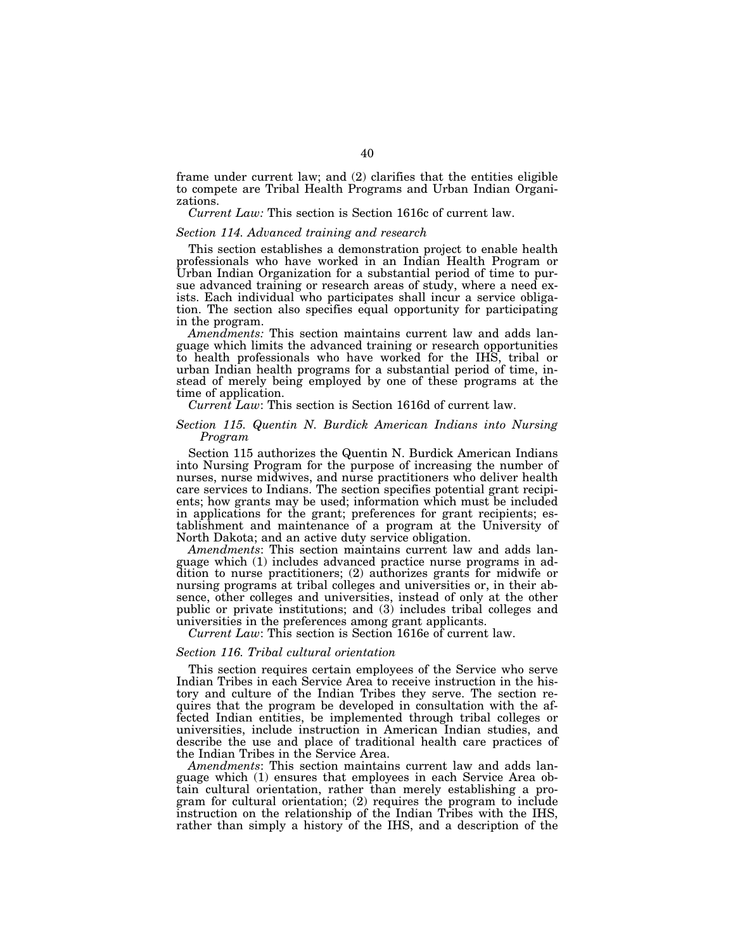frame under current law; and (2) clarifies that the entities eligible to compete are Tribal Health Programs and Urban Indian Organizations.

*Current Law:* This section is Section 1616c of current law.

#### *Section 114. Advanced training and research*

This section establishes a demonstration project to enable health professionals who have worked in an Indian Health Program or Urban Indian Organization for a substantial period of time to pursue advanced training or research areas of study, where a need exists. Each individual who participates shall incur a service obligation. The section also specifies equal opportunity for participating in the program.

*Amendments:* This section maintains current law and adds language which limits the advanced training or research opportunities to health professionals who have worked for the IHS, tribal or urban Indian health programs for a substantial period of time, instead of merely being employed by one of these programs at the time of application.

*Current Law*: This section is Section 1616d of current law.

## *Section 115. Quentin N. Burdick American Indians into Nursing Program*

Section 115 authorizes the Quentin N. Burdick American Indians into Nursing Program for the purpose of increasing the number of nurses, nurse midwives, and nurse practitioners who deliver health care services to Indians. The section specifies potential grant recipients; how grants may be used; information which must be included in applications for the grant; preferences for grant recipients; establishment and maintenance of a program at the University of North Dakota; and an active duty service obligation.

*Amendments*: This section maintains current law and adds language which (1) includes advanced practice nurse programs in addition to nurse practitioners; (2) authorizes grants for midwife or nursing programs at tribal colleges and universities or, in their absence, other colleges and universities, instead of only at the other public or private institutions; and (3) includes tribal colleges and universities in the preferences among grant applicants.

*Current Law*: This section is Section 1616e of current law.

## *Section 116. Tribal cultural orientation*

This section requires certain employees of the Service who serve Indian Tribes in each Service Area to receive instruction in the history and culture of the Indian Tribes they serve. The section requires that the program be developed in consultation with the affected Indian entities, be implemented through tribal colleges or universities, include instruction in American Indian studies, and describe the use and place of traditional health care practices of the Indian Tribes in the Service Area.

*Amendments*: This section maintains current law and adds language which (1) ensures that employees in each Service Area obtain cultural orientation, rather than merely establishing a program for cultural orientation; (2) requires the program to include instruction on the relationship of the Indian Tribes with the IHS, rather than simply a history of the IHS, and a description of the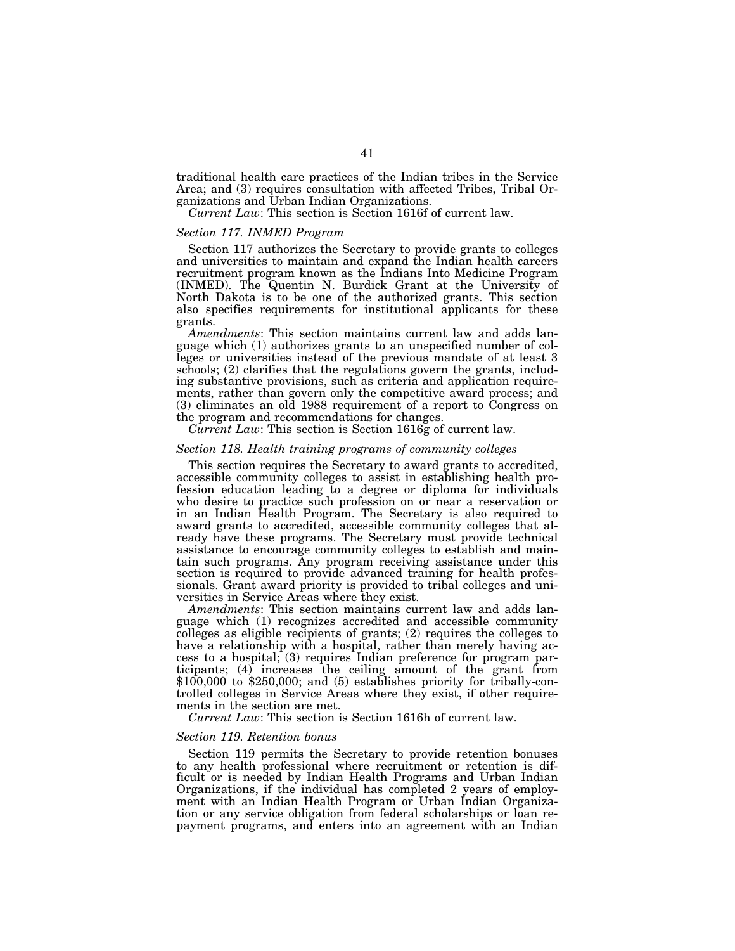traditional health care practices of the Indian tribes in the Service Area; and (3) requires consultation with affected Tribes, Tribal Organizations and Urban Indian Organizations.

*Current Law*: This section is Section 1616f of current law.

## *Section 117. INMED Program*

Section 117 authorizes the Secretary to provide grants to colleges and universities to maintain and expand the Indian health careers recruitment program known as the Indians Into Medicine Program (INMED). The Quentin N. Burdick Grant at the University of North Dakota is to be one of the authorized grants. This section also specifies requirements for institutional applicants for these grants.

*Amendments*: This section maintains current law and adds language which (1) authorizes grants to an unspecified number of colleges or universities instead of the previous mandate of at least 3 schools; (2) clarifies that the regulations govern the grants, including substantive provisions, such as criteria and application requirements, rather than govern only the competitive award process; and (3) eliminates an old 1988 requirement of a report to Congress on the program and recommendations for changes.

*Current Law*: This section is Section 1616g of current law.

## *Section 118. Health training programs of community colleges*

This section requires the Secretary to award grants to accredited, accessible community colleges to assist in establishing health profession education leading to a degree or diploma for individuals who desire to practice such profession on or near a reservation or in an Indian Health Program. The Secretary is also required to award grants to accredited, accessible community colleges that already have these programs. The Secretary must provide technical assistance to encourage community colleges to establish and maintain such programs. Any program receiving assistance under this section is required to provide advanced training for health professionals. Grant award priority is provided to tribal colleges and universities in Service Areas where they exist.

*Amendments*: This section maintains current law and adds language which (1) recognizes accredited and accessible community colleges as eligible recipients of grants; (2) requires the colleges to have a relationship with a hospital, rather than merely having access to a hospital; (3) requires Indian preference for program participants; (4) increases the ceiling amount of the grant from  $$100,000$  to  $$250,000$ ; and  $(5)$  establishes priority for tribally-controlled colleges in Service Areas where they exist, if other requirements in the section are met.

*Current Law*: This section is Section 1616h of current law.

#### *Section 119. Retention bonus*

Section 119 permits the Secretary to provide retention bonuses to any health professional where recruitment or retention is difficult or is needed by Indian Health Programs and Urban Indian Organizations, if the individual has completed 2 years of employment with an Indian Health Program or Urban Indian Organization or any service obligation from federal scholarships or loan repayment programs, and enters into an agreement with an Indian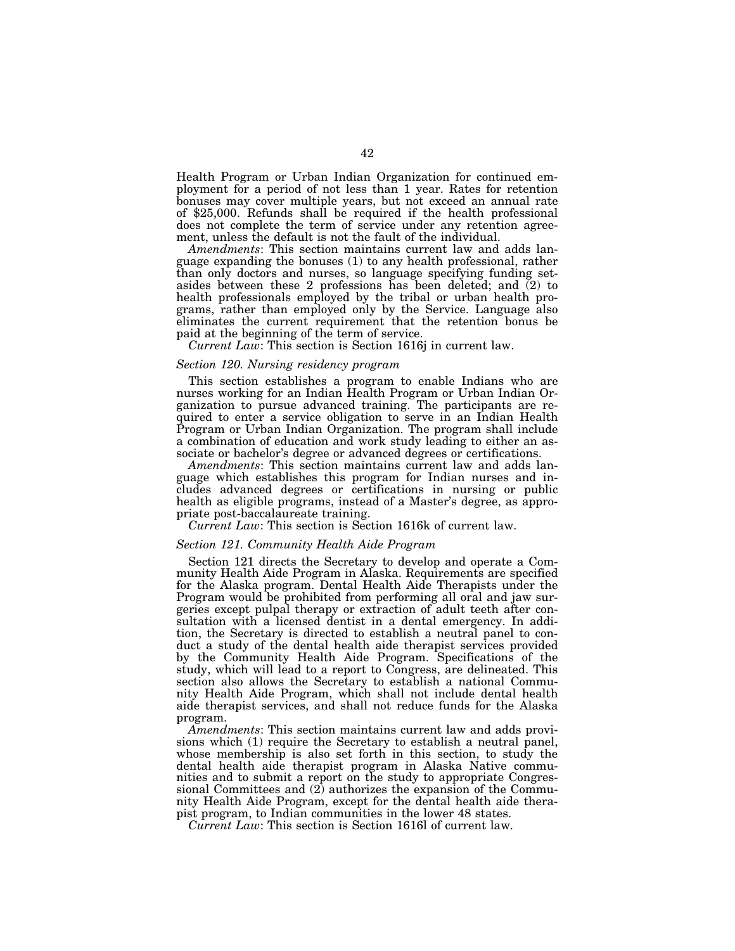Health Program or Urban Indian Organization for continued employment for a period of not less than 1 year. Rates for retention bonuses may cover multiple years, but not exceed an annual rate of \$25,000. Refunds shall be required if the health professional does not complete the term of service under any retention agreement, unless the default is not the fault of the individual.

*Amendments*: This section maintains current law and adds language expanding the bonuses (1) to any health professional, rather than only doctors and nurses, so language specifying funding setasides between these 2 professions has been deleted; and (2) to health professionals employed by the tribal or urban health programs, rather than employed only by the Service. Language also eliminates the current requirement that the retention bonus be paid at the beginning of the term of service.

*Current Law*: This section is Section 1616j in current law.

## *Section 120. Nursing residency program*

This section establishes a program to enable Indians who are nurses working for an Indian Health Program or Urban Indian Organization to pursue advanced training. The participants are required to enter a service obligation to serve in an Indian Health Program or Urban Indian Organization. The program shall include a combination of education and work study leading to either an associate or bachelor's degree or advanced degrees or certifications.

*Amendments*: This section maintains current law and adds language which establishes this program for Indian nurses and includes advanced degrees or certifications in nursing or public health as eligible programs, instead of a Master's degree, as appropriate post-baccalaureate training.

*Current Law*: This section is Section 1616k of current law.

#### *Section 121. Community Health Aide Program*

Section 121 directs the Secretary to develop and operate a Community Health Aide Program in Alaska. Requirements are specified for the Alaska program. Dental Health Aide Therapists under the Program would be prohibited from performing all oral and jaw surgeries except pulpal therapy or extraction of adult teeth after consultation with a licensed dentist in a dental emergency. In addition, the Secretary is directed to establish a neutral panel to conduct a study of the dental health aide therapist services provided by the Community Health Aide Program. Specifications of the study, which will lead to a report to Congress, are delineated. This section also allows the Secretary to establish a national Community Health Aide Program, which shall not include dental health aide therapist services, and shall not reduce funds for the Alaska program.

*Amendments*: This section maintains current law and adds provisions which (1) require the Secretary to establish a neutral panel, whose membership is also set forth in this section, to study the dental health aide therapist program in Alaska Native communities and to submit a report on the study to appropriate Congressional Committees and  $(2)$  authorizes the expansion of the Community Health Aide Program, except for the dental health aide therapist program, to Indian communities in the lower 48 states.

*Current Law*: This section is Section 1616l of current law.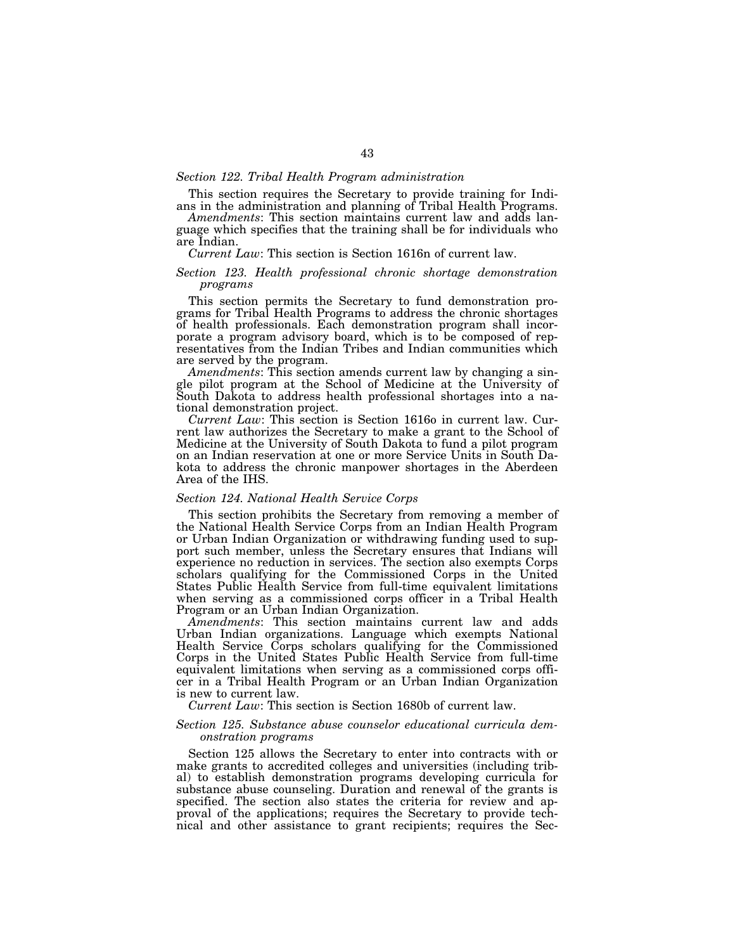#### *Section 122. Tribal Health Program administration*

This section requires the Secretary to provide training for Indi-

ans in the administration and planning of Tribal Health Programs. *Amendments*: This section maintains current law and adds language which specifies that the training shall be for individuals who are Indian.

#### *Current Law*: This section is Section 1616n of current law.

## *Section 123. Health professional chronic shortage demonstration programs*

This section permits the Secretary to fund demonstration programs for Tribal Health Programs to address the chronic shortages of health professionals. Each demonstration program shall incorporate a program advisory board, which is to be composed of representatives from the Indian Tribes and Indian communities which are served by the program.

*Amendments*: This section amends current law by changing a single pilot program at the School of Medicine at the University of South Dakota to address health professional shortages into a national demonstration project.

*Current Law*: This section is Section 1616o in current law. Current law authorizes the Secretary to make a grant to the School of Medicine at the University of South Dakota to fund a pilot program on an Indian reservation at one or more Service Units in South Dakota to address the chronic manpower shortages in the Aberdeen Area of the IHS.

## *Section 124. National Health Service Corps*

This section prohibits the Secretary from removing a member of the National Health Service Corps from an Indian Health Program or Urban Indian Organization or withdrawing funding used to support such member, unless the Secretary ensures that Indians will experience no reduction in services. The section also exempts Corps scholars qualifying for the Commissioned Corps in the United States Public Health Service from full-time equivalent limitations when serving as a commissioned corps officer in a Tribal Health Program or an Urban Indian Organization.

*Amendments*: This section maintains current law and adds Urban Indian organizations. Language which exempts National Health Service Corps scholars qualifying for the Commissioned Corps in the United States Public Health Service from full-time equivalent limitations when serving as a commissioned corps officer in a Tribal Health Program or an Urban Indian Organization is new to current law.

*Current Law*: This section is Section 1680b of current law.

## *Section 125. Substance abuse counselor educational curricula demonstration programs*

Section 125 allows the Secretary to enter into contracts with or make grants to accredited colleges and universities (including tribal) to establish demonstration programs developing curricula for substance abuse counseling. Duration and renewal of the grants is specified. The section also states the criteria for review and approval of the applications; requires the Secretary to provide technical and other assistance to grant recipients; requires the Sec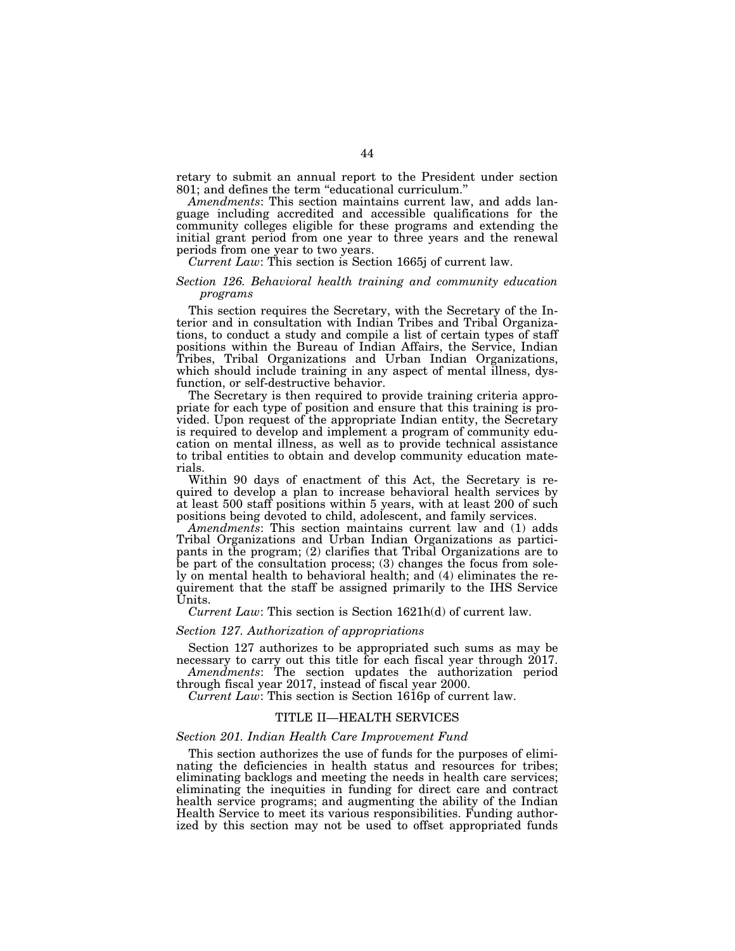retary to submit an annual report to the President under section 801; and defines the term ''educational curriculum.''

*Amendments*: This section maintains current law, and adds language including accredited and accessible qualifications for the community colleges eligible for these programs and extending the initial grant period from one year to three years and the renewal periods from one year to two years.

*Current Law*: This section is Section 1665j of current law.

#### *Section 126. Behavioral health training and community education programs*

This section requires the Secretary, with the Secretary of the Interior and in consultation with Indian Tribes and Tribal Organizations, to conduct a study and compile a list of certain types of staff positions within the Bureau of Indian Affairs, the Service, Indian Tribes, Tribal Organizations and Urban Indian Organizations, which should include training in any aspect of mental illness, dysfunction, or self-destructive behavior.

The Secretary is then required to provide training criteria appropriate for each type of position and ensure that this training is provided. Upon request of the appropriate Indian entity, the Secretary is required to develop and implement a program of community education on mental illness, as well as to provide technical assistance to tribal entities to obtain and develop community education materials.

Within 90 days of enactment of this Act, the Secretary is required to develop a plan to increase behavioral health services by at least 500 staff positions within 5 years, with at least 200 of such positions being devoted to child, adolescent, and family services.

*Amendments*: This section maintains current law and (1) adds Tribal Organizations and Urban Indian Organizations as participants in the program; (2) clarifies that Tribal Organizations are to be part of the consultation process; (3) changes the focus from solely on mental health to behavioral health; and (4) eliminates the requirement that the staff be assigned primarily to the IHS Service Units.

*Current Law*: This section is Section 1621h(d) of current law.

#### *Section 127. Authorization of appropriations*

Section 127 authorizes to be appropriated such sums as may be necessary to carry out this title for each fiscal year through 2017.

*Amendments*: The section updates the authorization period through fiscal year 2017, instead of fiscal year 2000.

*Current Law*: This section is Section 1616p of current law.

## TITLE II—HEALTH SERVICES

#### *Section 201. Indian Health Care Improvement Fund*

This section authorizes the use of funds for the purposes of eliminating the deficiencies in health status and resources for tribes; eliminating backlogs and meeting the needs in health care services; eliminating the inequities in funding for direct care and contract health service programs; and augmenting the ability of the Indian Health Service to meet its various responsibilities. Funding authorized by this section may not be used to offset appropriated funds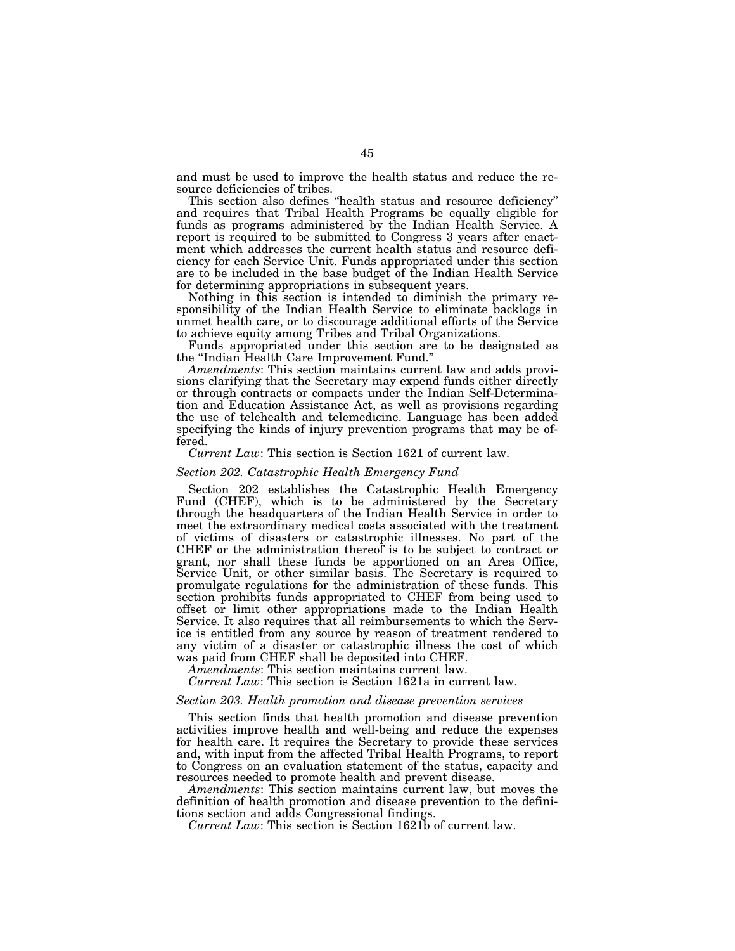and must be used to improve the health status and reduce the resource deficiencies of tribes.

This section also defines ''health status and resource deficiency'' and requires that Tribal Health Programs be equally eligible for funds as programs administered by the Indian Health Service. A report is required to be submitted to Congress 3 years after enactment which addresses the current health status and resource deficiency for each Service Unit. Funds appropriated under this section are to be included in the base budget of the Indian Health Service for determining appropriations in subsequent years.

Nothing in this section is intended to diminish the primary responsibility of the Indian Health Service to eliminate backlogs in unmet health care, or to discourage additional efforts of the Service to achieve equity among Tribes and Tribal Organizations.

Funds appropriated under this section are to be designated as

the ''Indian Health Care Improvement Fund.'' *Amendments*: This section maintains current law and adds provisions clarifying that the Secretary may expend funds either directly or through contracts or compacts under the Indian Self-Determination and Education Assistance Act, as well as provisions regarding the use of telehealth and telemedicine. Language has been added specifying the kinds of injury prevention programs that may be offered.

#### *Current Law*: This section is Section 1621 of current law.

#### *Section 202. Catastrophic Health Emergency Fund*

Section 202 establishes the Catastrophic Health Emergency Fund (CHEF), which is to be administered by the Secretary through the headquarters of the Indian Health Service in order to meet the extraordinary medical costs associated with the treatment of victims of disasters or catastrophic illnesses. No part of the CHEF or the administration thereof is to be subject to contract or grant, nor shall these funds be apportioned on an Area Office, Service Unit, or other similar basis. The Secretary is required to promulgate regulations for the administration of these funds. This section prohibits funds appropriated to CHEF from being used to offset or limit other appropriations made to the Indian Health Service. It also requires that all reimbursements to which the Service is entitled from any source by reason of treatment rendered to any victim of a disaster or catastrophic illness the cost of which was paid from CHEF shall be deposited into CHEF.

*Amendments*: This section maintains current law.

*Current Law*: This section is Section 1621a in current law.

## *Section 203. Health promotion and disease prevention services*

This section finds that health promotion and disease prevention activities improve health and well-being and reduce the expenses for health care. It requires the Secretary to provide these services and, with input from the affected Tribal Health Programs, to report to Congress on an evaluation statement of the status, capacity and resources needed to promote health and prevent disease.

*Amendments*: This section maintains current law, but moves the definition of health promotion and disease prevention to the definitions section and adds Congressional findings.

*Current Law*: This section is Section 1621b of current law.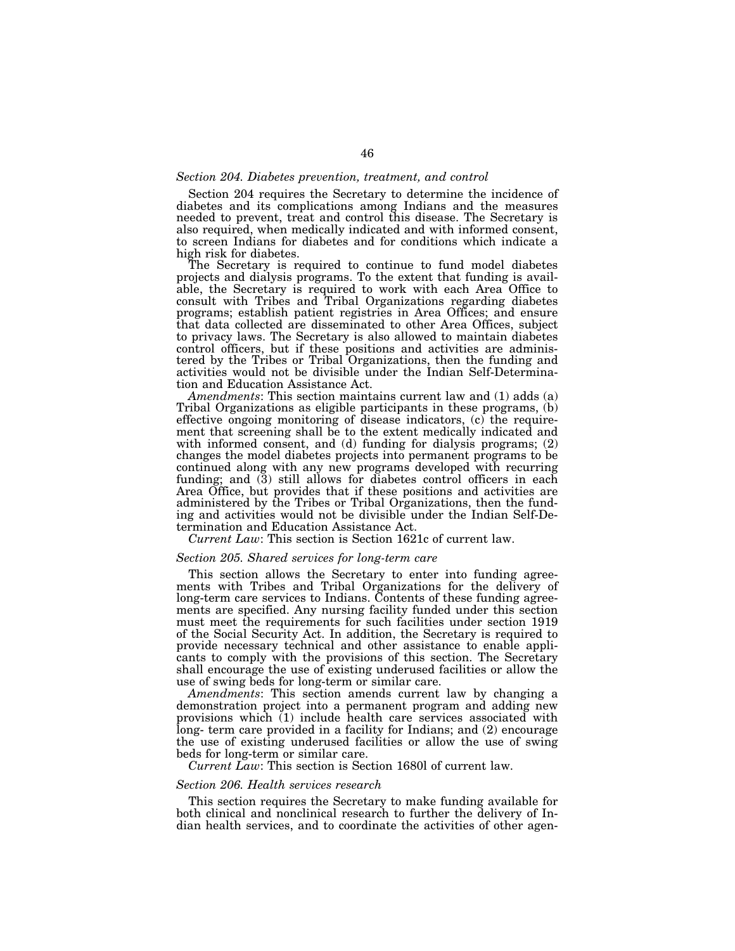#### *Section 204. Diabetes prevention, treatment, and control*

Section 204 requires the Secretary to determine the incidence of diabetes and its complications among Indians and the measures needed to prevent, treat and control this disease. The Secretary is also required, when medically indicated and with informed consent, to screen Indians for diabetes and for conditions which indicate a high risk for diabetes.

The Secretary is required to continue to fund model diabetes projects and dialysis programs. To the extent that funding is available, the Secretary is required to work with each Area Office to consult with Tribes and Tribal Organizations regarding diabetes programs; establish patient registries in Area Offices; and ensure that data collected are disseminated to other Area Offices, subject to privacy laws. The Secretary is also allowed to maintain diabetes control officers, but if these positions and activities are administered by the Tribes or Tribal Organizations, then the funding and activities would not be divisible under the Indian Self-Determination and Education Assistance Act.

*Amendments*: This section maintains current law and (1) adds (a) Tribal Organizations as eligible participants in these programs, (b) effective ongoing monitoring of disease indicators, (c) the requirement that screening shall be to the extent medically indicated and with informed consent, and (d) funding for dialysis programs; (2) changes the model diabetes projects into permanent programs to be continued along with any new programs developed with recurring funding; and  $(3)$  still allows for diabetes control officers in each Area Office, but provides that if these positions and activities are administered by the Tribes or Tribal Organizations, then the funding and activities would not be divisible under the Indian Self-Determination and Education Assistance Act.

*Current Law*: This section is Section 1621c of current law.

#### *Section 205. Shared services for long-term care*

This section allows the Secretary to enter into funding agreements with Tribes and Tribal Organizations for the delivery of long-term care services to Indians. Contents of these funding agreements are specified. Any nursing facility funded under this section must meet the requirements for such facilities under section 1919 of the Social Security Act. In addition, the Secretary is required to provide necessary technical and other assistance to enable applicants to comply with the provisions of this section. The Secretary shall encourage the use of existing underused facilities or allow the use of swing beds for long-term or similar care.

*Amendments*: This section amends current law by changing a demonstration project into a permanent program and adding new provisions which (1) include health care services associated with long- term care provided in a facility for Indians; and (2) encourage the use of existing underused facilities or allow the use of swing beds for long-term or similar care.

*Current Law*: This section is Section 1680l of current law.

## *Section 206. Health services research*

This section requires the Secretary to make funding available for both clinical and nonclinical research to further the delivery of Indian health services, and to coordinate the activities of other agen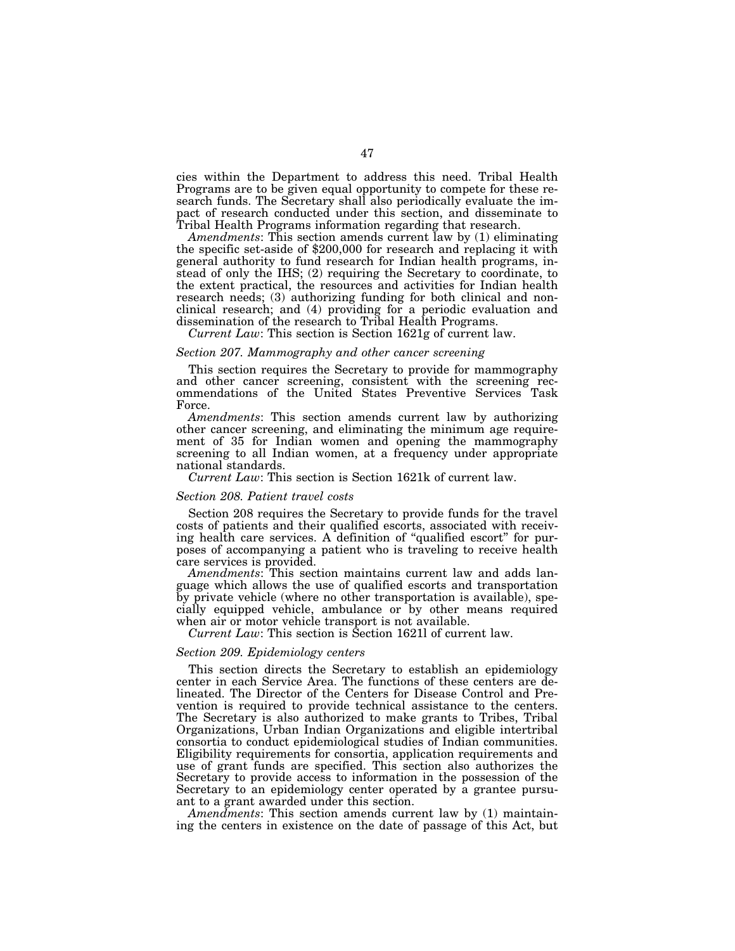cies within the Department to address this need. Tribal Health Programs are to be given equal opportunity to compete for these research funds. The Secretary shall also periodically evaluate the impact of research conducted under this section, and disseminate to Tribal Health Programs information regarding that research.<br>Amendments: This section amends current law by (1) eliminating

the specific set-aside of \$200,000 for research and replacing it with general authority to fund research for Indian health programs, instead of only the IHS; (2) requiring the Secretary to coordinate, to the extent practical, the resources and activities for Indian health research needs; (3) authorizing funding for both clinical and nonclinical research; and (4) providing for a periodic evaluation and dissemination of the research to Tribal Health Programs.

*Current Law*: This section is Section 1621g of current law.

# *Section 207. Mammography and other cancer screening*

This section requires the Secretary to provide for mammography and other cancer screening, consistent with the screening recommendations of the United States Preventive Services Task Force.

*Amendments*: This section amends current law by authorizing other cancer screening, and eliminating the minimum age requirement of 35 for Indian women and opening the mammography screening to all Indian women, at a frequency under appropriate national standards.

*Current Law*: This section is Section 1621k of current law.

#### *Section 208. Patient travel costs*

Section 208 requires the Secretary to provide funds for the travel costs of patients and their qualified escorts, associated with receiving health care services. A definition of ''qualified escort'' for purposes of accompanying a patient who is traveling to receive health care services is provided.

*Amendments*: This section maintains current law and adds language which allows the use of qualified escorts and transportation by private vehicle (where no other transportation is available), specially equipped vehicle, ambulance or by other means required when air or motor vehicle transport is not available.

*Current Law*: This section is Section 1621l of current law.

## *Section 209. Epidemiology centers*

This section directs the Secretary to establish an epidemiology center in each Service Area. The functions of these centers are delineated. The Director of the Centers for Disease Control and Prevention is required to provide technical assistance to the centers. The Secretary is also authorized to make grants to Tribes, Tribal Organizations, Urban Indian Organizations and eligible intertribal consortia to conduct epidemiological studies of Indian communities. Eligibility requirements for consortia, application requirements and use of grant funds are specified. This section also authorizes the Secretary to provide access to information in the possession of the Secretary to an epidemiology center operated by a grantee pursuant to a grant awarded under this section.

*Amendments*: This section amends current law by (1) maintaining the centers in existence on the date of passage of this Act, but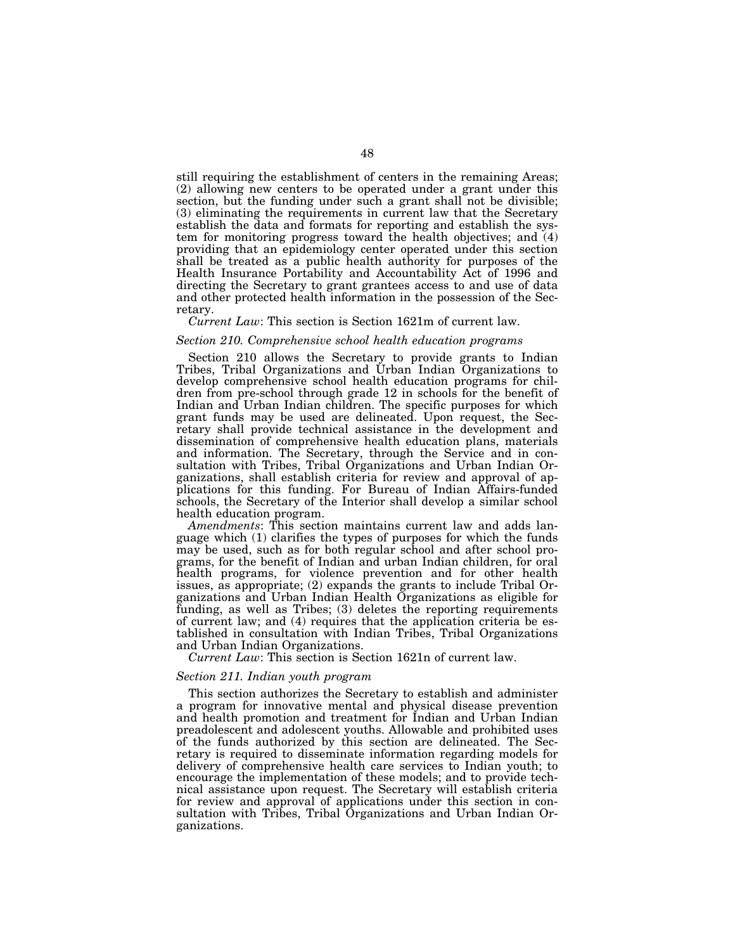still requiring the establishment of centers in the remaining Areas; (2) allowing new centers to be operated under a grant under this section, but the funding under such a grant shall not be divisible; (3) eliminating the requirements in current law that the Secretary establish the data and formats for reporting and establish the system for monitoring progress toward the health objectives; and (4) providing that an epidemiology center operated under this section shall be treated as a public health authority for purposes of the Health Insurance Portability and Accountability Act of 1996 and directing the Secretary to grant grantees access to and use of data and other protected health information in the possession of the Secretary.

## *Current Law*: This section is Section 1621m of current law.

#### *Section 210. Comprehensive school health education programs*

Section 210 allows the Secretary to provide grants to Indian Tribes, Tribal Organizations and Urban Indian Organizations to develop comprehensive school health education programs for children from pre-school through grade 12 in schools for the benefit of Indian and Urban Indian children. The specific purposes for which grant funds may be used are delineated. Upon request, the Secretary shall provide technical assistance in the development and dissemination of comprehensive health education plans, materials and information. The Secretary, through the Service and in consultation with Tribes, Tribal Organizations and Urban Indian Organizations, shall establish criteria for review and approval of applications for this funding. For Bureau of Indian Affairs-funded schools, the Secretary of the Interior shall develop a similar school health education program.

*Amendments*: This section maintains current law and adds language which (1) clarifies the types of purposes for which the funds may be used, such as for both regular school and after school programs, for the benefit of Indian and urban Indian children, for oral health programs, for violence prevention and for other health issues, as appropriate; (2) expands the grants to include Tribal Organizations and Urban Indian Health Organizations as eligible for funding, as well as Tribes; (3) deletes the reporting requirements of current law; and (4) requires that the application criteria be established in consultation with Indian Tribes, Tribal Organizations and Urban Indian Organizations.

*Current Law*: This section is Section 1621n of current law.

## *Section 211. Indian youth program*

This section authorizes the Secretary to establish and administer a program for innovative mental and physical disease prevention and health promotion and treatment for Indian and Urban Indian preadolescent and adolescent youths. Allowable and prohibited uses of the funds authorized by this section are delineated. The Secretary is required to disseminate information regarding models for delivery of comprehensive health care services to Indian youth; to encourage the implementation of these models; and to provide technical assistance upon request. The Secretary will establish criteria for review and approval of applications under this section in consultation with Tribes, Tribal Organizations and Urban Indian Organizations.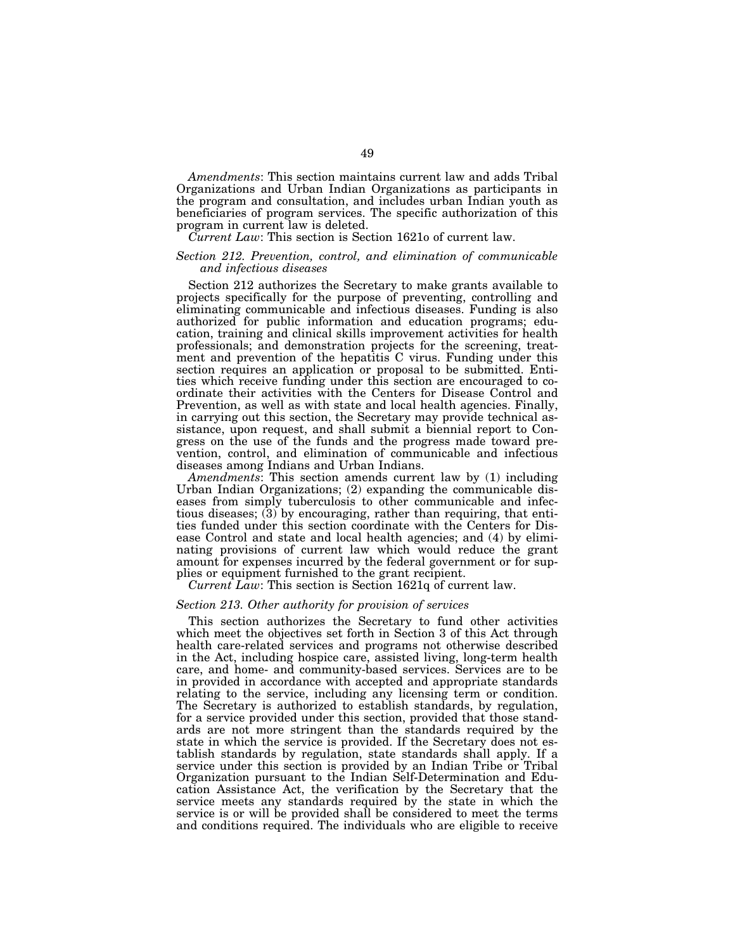*Amendments*: This section maintains current law and adds Tribal Organizations and Urban Indian Organizations as participants in the program and consultation, and includes urban Indian youth as beneficiaries of program services. The specific authorization of this program in current law is deleted.

#### *Current Law*: This section is Section 1621o of current law.

## *Section 212. Prevention, control, and elimination of communicable and infectious diseases*

Section 212 authorizes the Secretary to make grants available to projects specifically for the purpose of preventing, controlling and eliminating communicable and infectious diseases. Funding is also authorized for public information and education programs; education, training and clinical skills improvement activities for health professionals; and demonstration projects for the screening, treatment and prevention of the hepatitis C virus. Funding under this section requires an application or proposal to be submitted. Entities which receive funding under this section are encouraged to coordinate their activities with the Centers for Disease Control and Prevention, as well as with state and local health agencies. Finally, in carrying out this section, the Secretary may provide technical assistance, upon request, and shall submit a biennial report to Congress on the use of the funds and the progress made toward prevention, control, and elimination of communicable and infectious diseases among Indians and Urban Indians.

*Amendments*: This section amends current law by (1) including Urban Indian Organizations; (2) expanding the communicable diseases from simply tuberculosis to other communicable and infectious diseases; (3) by encouraging, rather than requiring, that entities funded under this section coordinate with the Centers for Disease Control and state and local health agencies; and (4) by eliminating provisions of current law which would reduce the grant amount for expenses incurred by the federal government or for supplies or equipment furnished to the grant recipient.

*Current Law*: This section is Section 1621q of current law.

#### *Section 213. Other authority for provision of services*

This section authorizes the Secretary to fund other activities which meet the objectives set forth in Section 3 of this Act through health care-related services and programs not otherwise described in the Act, including hospice care, assisted living, long-term health care, and home- and community-based services. Services are to be in provided in accordance with accepted and appropriate standards relating to the service, including any licensing term or condition. The Secretary is authorized to establish standards, by regulation, for a service provided under this section, provided that those standards are not more stringent than the standards required by the state in which the service is provided. If the Secretary does not establish standards by regulation, state standards shall apply. If a service under this section is provided by an Indian Tribe or Tribal Organization pursuant to the Indian Self-Determination and Education Assistance Act, the verification by the Secretary that the service meets any standards required by the state in which the service is or will be provided shall be considered to meet the terms and conditions required. The individuals who are eligible to receive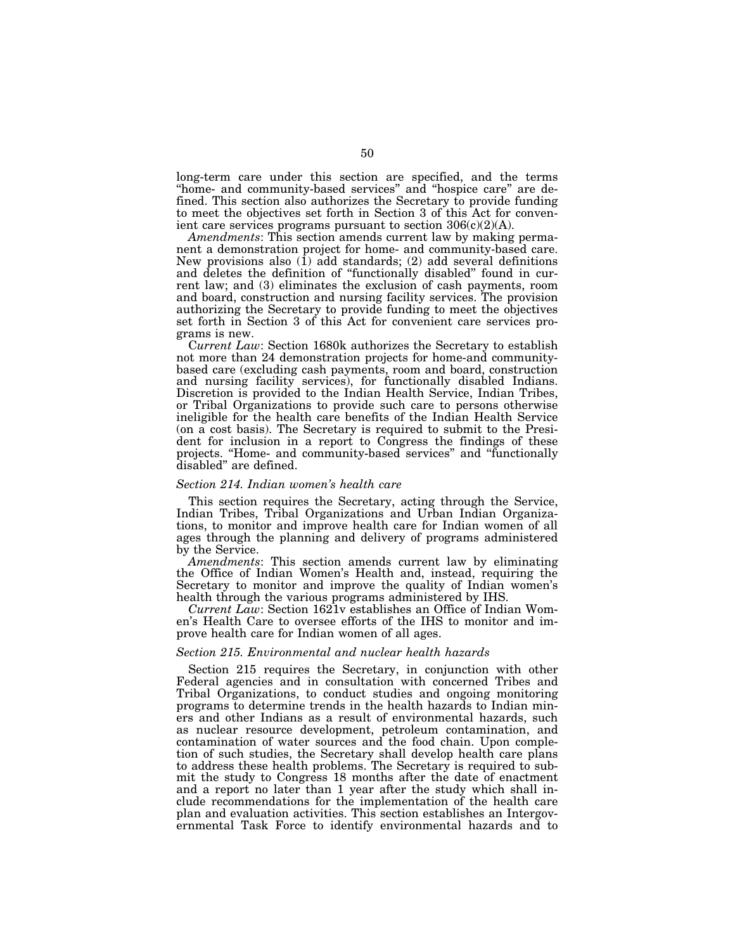long-term care under this section are specified, and the terms ''home- and community-based services'' and ''hospice care'' are defined. This section also authorizes the Secretary to provide funding to meet the objectives set forth in Section 3 of this Act for convenient care services programs pursuant to section  $306(c)(2)(A)$ .

*Amendments*: This section amends current law by making permanent a demonstration project for home- and community-based care. New provisions also (1) add standards; (2) add several definitions and deletes the definition of ''functionally disabled'' found in current law; and (3) eliminates the exclusion of cash payments, room and board, construction and nursing facility services. The provision authorizing the Secretary to provide funding to meet the objectives set forth in Section 3 of this Act for convenient care services programs is new.

C*urrent Law*: Section 1680k authorizes the Secretary to establish not more than 24 demonstration projects for home-and communitybased care (excluding cash payments, room and board, construction and nursing facility services), for functionally disabled Indians. Discretion is provided to the Indian Health Service, Indian Tribes, or Tribal Organizations to provide such care to persons otherwise ineligible for the health care benefits of the Indian Health Service (on a cost basis). The Secretary is required to submit to the President for inclusion in a report to Congress the findings of these projects. ''Home- and community-based services'' and ''functionally disabled'' are defined.

#### *Section 214. Indian women's health care*

This section requires the Secretary, acting through the Service, Indian Tribes, Tribal Organizations and Urban Indian Organizations, to monitor and improve health care for Indian women of all ages through the planning and delivery of programs administered by the Service.

*Amendments*: This section amends current law by eliminating the Office of Indian Women's Health and, instead, requiring the Secretary to monitor and improve the quality of Indian women's health through the various programs administered by IHS.

*Current Law*: Section 1621v establishes an Office of Indian Women's Health Care to oversee efforts of the IHS to monitor and improve health care for Indian women of all ages.

## *Section 215. Environmental and nuclear health hazards*

Section 215 requires the Secretary, in conjunction with other Federal agencies and in consultation with concerned Tribes and Tribal Organizations, to conduct studies and ongoing monitoring programs to determine trends in the health hazards to Indian miners and other Indians as a result of environmental hazards, such as nuclear resource development, petroleum contamination, and contamination of water sources and the food chain. Upon completion of such studies, the Secretary shall develop health care plans to address these health problems. The Secretary is required to submit the study to Congress 18 months after the date of enactment and a report no later than 1 year after the study which shall include recommendations for the implementation of the health care plan and evaluation activities. This section establishes an Intergovernmental Task Force to identify environmental hazards and to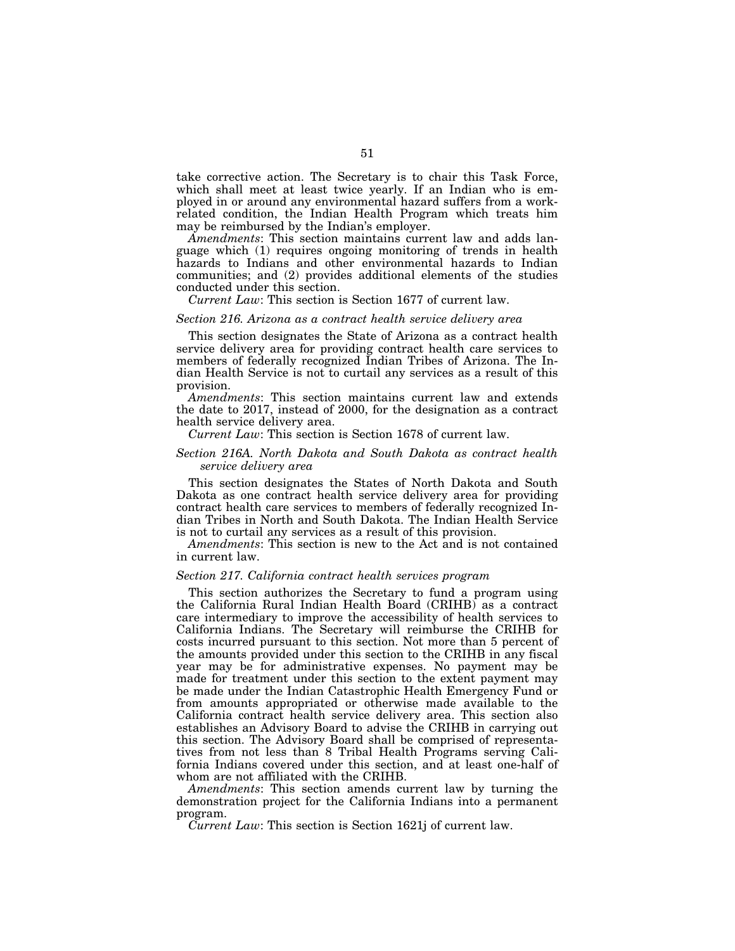take corrective action. The Secretary is to chair this Task Force, which shall meet at least twice yearly. If an Indian who is employed in or around any environmental hazard suffers from a workrelated condition, the Indian Health Program which treats him may be reimbursed by the Indian's employer.

*Amendments*: This section maintains current law and adds language which (1) requires ongoing monitoring of trends in health hazards to Indians and other environmental hazards to Indian communities; and (2) provides additional elements of the studies conducted under this section.

*Current Law*: This section is Section 1677 of current law.

#### *Section 216. Arizona as a contract health service delivery area*

This section designates the State of Arizona as a contract health service delivery area for providing contract health care services to members of federally recognized Indian Tribes of Arizona. The Indian Health Service is not to curtail any services as a result of this provision.

*Amendments*: This section maintains current law and extends the date to 2017, instead of 2000, for the designation as a contract health service delivery area.

# *Current Law*: This section is Section 1678 of current law.

## *Section 216A. North Dakota and South Dakota as contract health service delivery area*

This section designates the States of North Dakota and South Dakota as one contract health service delivery area for providing contract health care services to members of federally recognized Indian Tribes in North and South Dakota. The Indian Health Service is not to curtail any services as a result of this provision.

*Amendments*: This section is new to the Act and is not contained in current law.

#### *Section 217. California contract health services program*

This section authorizes the Secretary to fund a program using the California Rural Indian Health Board (CRIHB) as a contract care intermediary to improve the accessibility of health services to California Indians. The Secretary will reimburse the CRIHB for costs incurred pursuant to this section. Not more than 5 percent of the amounts provided under this section to the CRIHB in any fiscal year may be for administrative expenses. No payment may be made for treatment under this section to the extent payment may be made under the Indian Catastrophic Health Emergency Fund or from amounts appropriated or otherwise made available to the California contract health service delivery area. This section also establishes an Advisory Board to advise the CRIHB in carrying out this section. The Advisory Board shall be comprised of representatives from not less than 8 Tribal Health Programs serving California Indians covered under this section, and at least one-half of whom are not affiliated with the CRIHB.

*Amendments*: This section amends current law by turning the demonstration project for the California Indians into a permanent program.

*Current Law*: This section is Section 1621j of current law.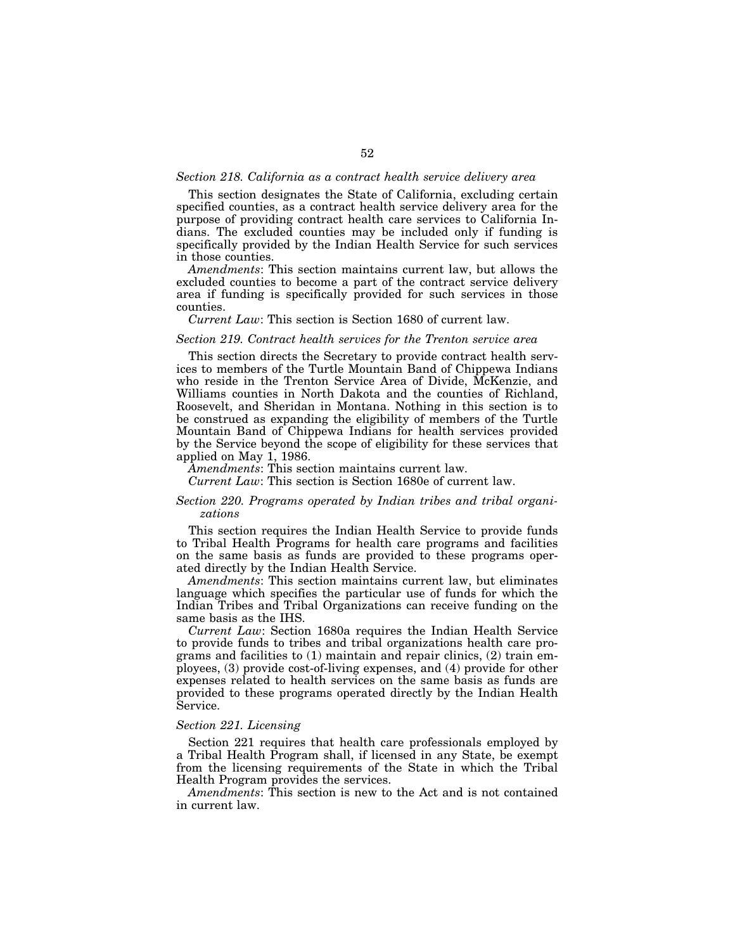#### *Section 218. California as a contract health service delivery area*

This section designates the State of California, excluding certain specified counties, as a contract health service delivery area for the purpose of providing contract health care services to California Indians. The excluded counties may be included only if funding is specifically provided by the Indian Health Service for such services in those counties.

*Amendments*: This section maintains current law, but allows the excluded counties to become a part of the contract service delivery area if funding is specifically provided for such services in those counties.

#### *Current Law*: This section is Section 1680 of current law.

## *Section 219. Contract health services for the Trenton service area*

This section directs the Secretary to provide contract health services to members of the Turtle Mountain Band of Chippewa Indians who reside in the Trenton Service Area of Divide, McKenzie, and Williams counties in North Dakota and the counties of Richland, Roosevelt, and Sheridan in Montana. Nothing in this section is to be construed as expanding the eligibility of members of the Turtle Mountain Band of Chippewa Indians for health services provided by the Service beyond the scope of eligibility for these services that applied on May 1, 1986.

*Amendments*: This section maintains current law.

*Current Law*: This section is Section 1680e of current law.

## *Section 220. Programs operated by Indian tribes and tribal organizations*

This section requires the Indian Health Service to provide funds to Tribal Health Programs for health care programs and facilities on the same basis as funds are provided to these programs operated directly by the Indian Health Service.

*Amendments*: This section maintains current law, but eliminates language which specifies the particular use of funds for which the Indian Tribes and Tribal Organizations can receive funding on the same basis as the IHS.

*Current Law*: Section 1680a requires the Indian Health Service to provide funds to tribes and tribal organizations health care programs and facilities to (1) maintain and repair clinics, (2) train employees, (3) provide cost-of-living expenses, and (4) provide for other expenses related to health services on the same basis as funds are provided to these programs operated directly by the Indian Health Service.

## *Section 221. Licensing*

Section 221 requires that health care professionals employed by a Tribal Health Program shall, if licensed in any State, be exempt from the licensing requirements of the State in which the Tribal Health Program provides the services.

*Amendments*: This section is new to the Act and is not contained in current law.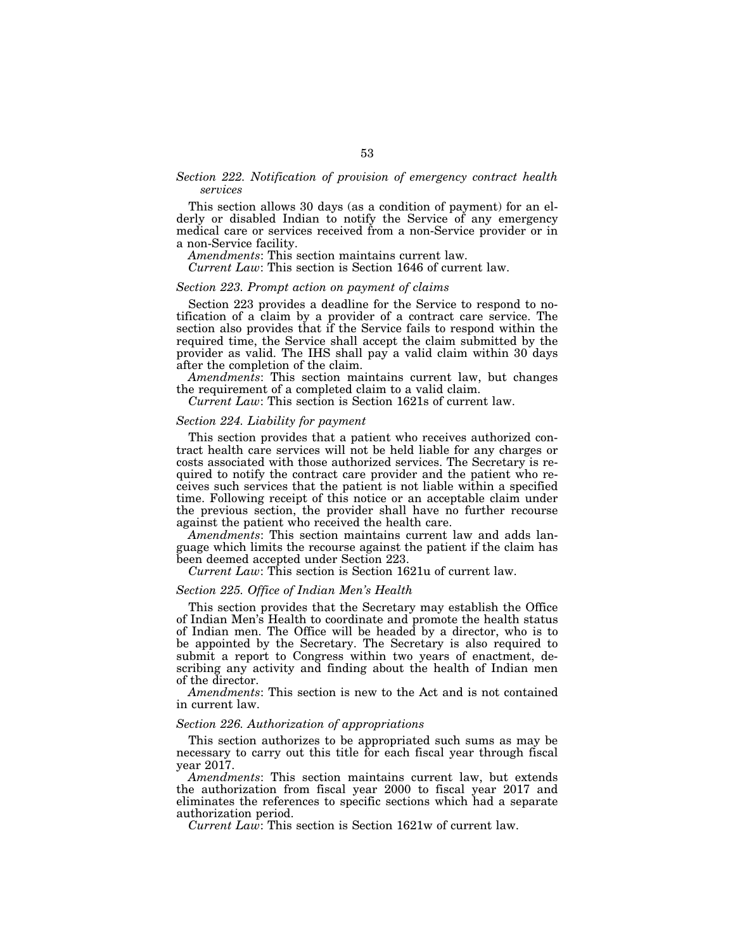# *Section 222. Notification of provision of emergency contract health services*

This section allows 30 days (as a condition of payment) for an elderly or disabled Indian to notify the Service of any emergency medical care or services received from a non-Service provider or in a non-Service facility.

*Amendments*: This section maintains current law.

*Current Law*: This section is Section 1646 of current law.

#### *Section 223. Prompt action on payment of claims*

Section 223 provides a deadline for the Service to respond to notification of a claim by a provider of a contract care service. The section also provides that if the Service fails to respond within the required time, the Service shall accept the claim submitted by the provider as valid. The IHS shall pay a valid claim within 30 days after the completion of the claim.

*Amendments*: This section maintains current law, but changes the requirement of a completed claim to a valid claim.

*Current Law*: This section is Section 1621s of current law.

## *Section 224. Liability for payment*

This section provides that a patient who receives authorized contract health care services will not be held liable for any charges or costs associated with those authorized services. The Secretary is required to notify the contract care provider and the patient who receives such services that the patient is not liable within a specified time. Following receipt of this notice or an acceptable claim under the previous section, the provider shall have no further recourse against the patient who received the health care.

*Amendments*: This section maintains current law and adds language which limits the recourse against the patient if the claim has been deemed accepted under Section 223.

*Current Law*: This section is Section 1621u of current law.

#### *Section 225. Office of Indian Men's Health*

This section provides that the Secretary may establish the Office of Indian Men's Health to coordinate and promote the health status of Indian men. The Office will be headed by a director, who is to be appointed by the Secretary. The Secretary is also required to submit a report to Congress within two years of enactment, describing any activity and finding about the health of Indian men of the director.

*Amendments*: This section is new to the Act and is not contained in current law.

#### *Section 226. Authorization of appropriations*

This section authorizes to be appropriated such sums as may be necessary to carry out this title for each fiscal year through fiscal year 2017.

*Amendments*: This section maintains current law, but extends the authorization from fiscal year 2000 to fiscal year 2017 and eliminates the references to specific sections which had a separate authorization period.

*Current Law*: This section is Section 1621w of current law.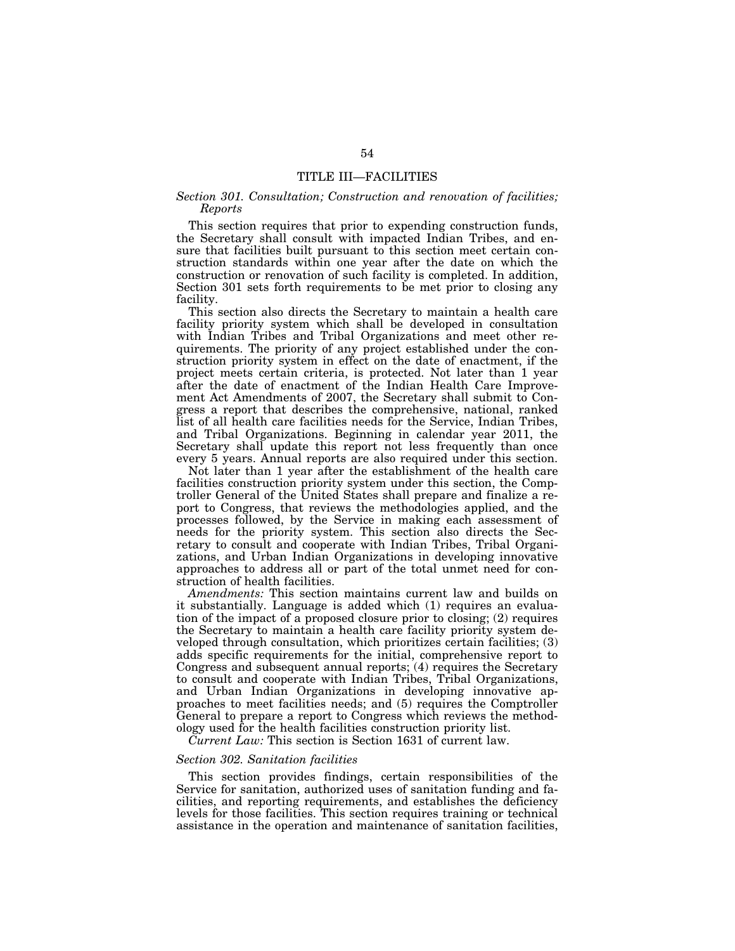# TITLE III—FACILITIES

# *Section 301. Consultation; Construction and renovation of facilities; Reports*

This section requires that prior to expending construction funds, the Secretary shall consult with impacted Indian Tribes, and ensure that facilities built pursuant to this section meet certain construction standards within one year after the date on which the construction or renovation of such facility is completed. In addition, Section 301 sets forth requirements to be met prior to closing any facility.

This section also directs the Secretary to maintain a health care facility priority system which shall be developed in consultation with Indian Tribes and Tribal Organizations and meet other requirements. The priority of any project established under the construction priority system in effect on the date of enactment, if the project meets certain criteria, is protected. Not later than 1 year after the date of enactment of the Indian Health Care Improvement Act Amendments of 2007, the Secretary shall submit to Congress a report that describes the comprehensive, national, ranked list of all health care facilities needs for the Service, Indian Tribes, and Tribal Organizations. Beginning in calendar year 2011, the Secretary shall update this report not less frequently than once every 5 years. Annual reports are also required under this section.

Not later than 1 year after the establishment of the health care facilities construction priority system under this section, the Comptroller General of the United States shall prepare and finalize a report to Congress, that reviews the methodologies applied, and the processes followed, by the Service in making each assessment of needs for the priority system. This section also directs the Secretary to consult and cooperate with Indian Tribes, Tribal Organizations, and Urban Indian Organizations in developing innovative approaches to address all or part of the total unmet need for construction of health facilities.

*Amendments:* This section maintains current law and builds on it substantially. Language is added which (1) requires an evaluation of the impact of a proposed closure prior to closing; (2) requires the Secretary to maintain a health care facility priority system developed through consultation, which prioritizes certain facilities; (3) adds specific requirements for the initial, comprehensive report to Congress and subsequent annual reports; (4) requires the Secretary to consult and cooperate with Indian Tribes, Tribal Organizations, and Urban Indian Organizations in developing innovative approaches to meet facilities needs; and (5) requires the Comptroller General to prepare a report to Congress which reviews the methodology used for the health facilities construction priority list.

*Current Law:* This section is Section 1631 of current law.

## *Section 302. Sanitation facilities*

This section provides findings, certain responsibilities of the Service for sanitation, authorized uses of sanitation funding and facilities, and reporting requirements, and establishes the deficiency levels for those facilities. This section requires training or technical assistance in the operation and maintenance of sanitation facilities,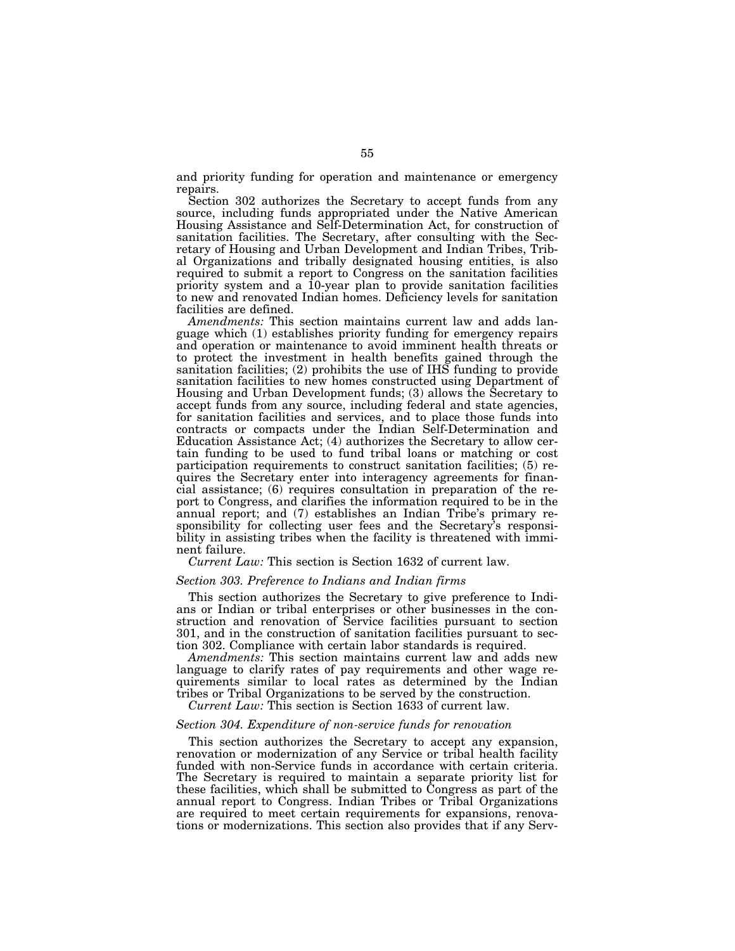and priority funding for operation and maintenance or emergency repairs.

Section 302 authorizes the Secretary to accept funds from any source, including funds appropriated under the Native American Housing Assistance and Self-Determination Act, for construction of sanitation facilities. The Secretary, after consulting with the Secretary of Housing and Urban Development and Indian Tribes, Tribal Organizations and tribally designated housing entities, is also required to submit a report to Congress on the sanitation facilities priority system and a 10-year plan to provide sanitation facilities to new and renovated Indian homes. Deficiency levels for sanitation facilities are defined.

*Amendments:* This section maintains current law and adds language which (1) establishes priority funding for emergency repairs and operation or maintenance to avoid imminent health threats or to protect the investment in health benefits gained through the sanitation facilities; (2) prohibits the use of IHS funding to provide sanitation facilities to new homes constructed using Department of Housing and Urban Development funds; (3) allows the Secretary to accept funds from any source, including federal and state agencies, for sanitation facilities and services, and to place those funds into contracts or compacts under the Indian Self-Determination and Education Assistance Act; (4) authorizes the Secretary to allow certain funding to be used to fund tribal loans or matching or cost participation requirements to construct sanitation facilities; (5) requires the Secretary enter into interagency agreements for financial assistance; (6) requires consultation in preparation of the report to Congress, and clarifies the information required to be in the annual report; and (7) establishes an Indian Tribe's primary responsibility for collecting user fees and the Secretary's responsibility in assisting tribes when the facility is threatened with imminent failure.

*Current Law:* This section is Section 1632 of current law.

## *Section 303. Preference to Indians and Indian firms*

This section authorizes the Secretary to give preference to Indians or Indian or tribal enterprises or other businesses in the construction and renovation of Service facilities pursuant to section 301, and in the construction of sanitation facilities pursuant to section 302. Compliance with certain labor standards is required.

*Amendments:* This section maintains current law and adds new language to clarify rates of pay requirements and other wage requirements similar to local rates as determined by the Indian tribes or Tribal Organizations to be served by the construction.

*Current Law:* This section is Section 1633 of current law.

## *Section 304. Expenditure of non-service funds for renovation*

This section authorizes the Secretary to accept any expansion, renovation or modernization of any Service or tribal health facility funded with non-Service funds in accordance with certain criteria. The Secretary is required to maintain a separate priority list for these facilities, which shall be submitted to Congress as part of the annual report to Congress. Indian Tribes or Tribal Organizations are required to meet certain requirements for expansions, renovations or modernizations. This section also provides that if any Serv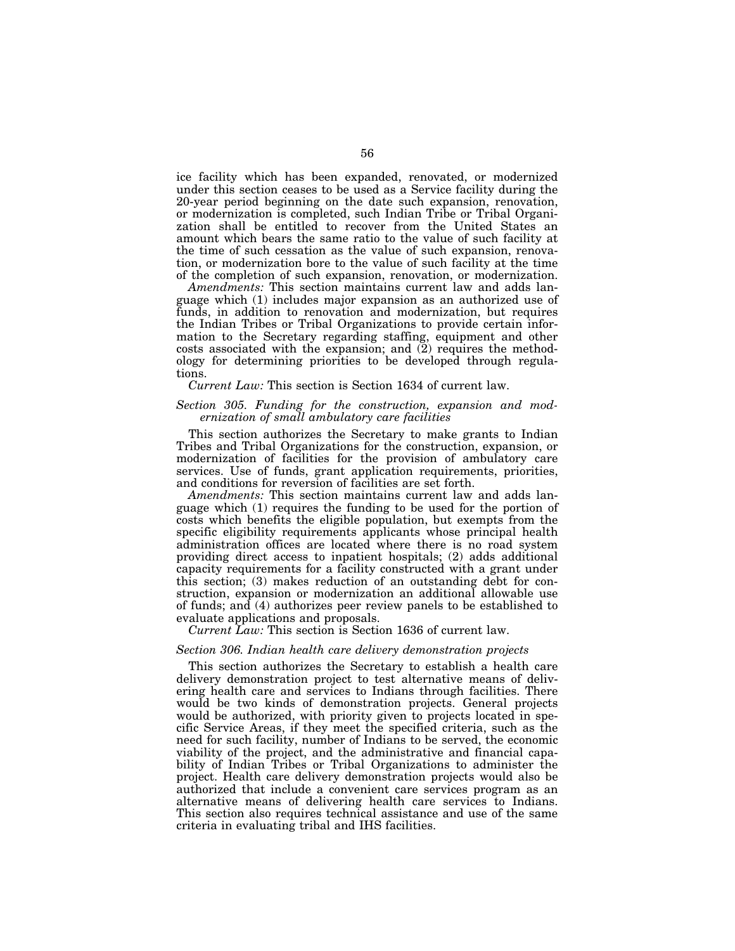ice facility which has been expanded, renovated, or modernized under this section ceases to be used as a Service facility during the 20-year period beginning on the date such expansion, renovation, or modernization is completed, such Indian Tribe or Tribal Organization shall be entitled to recover from the United States an amount which bears the same ratio to the value of such facility at the time of such cessation as the value of such expansion, renovation, or modernization bore to the value of such facility at the time of the completion of such expansion, renovation, or modernization.

*Amendments:* This section maintains current law and adds language which (1) includes major expansion as an authorized use of funds, in addition to renovation and modernization, but requires the Indian Tribes or Tribal Organizations to provide certain information to the Secretary regarding staffing, equipment and other costs associated with the expansion; and (2) requires the methodology for determining priorities to be developed through regulations.

*Current Law:* This section is Section 1634 of current law.

## *Section 305. Funding for the construction, expansion and modernization of small ambulatory care facilities*

This section authorizes the Secretary to make grants to Indian Tribes and Tribal Organizations for the construction, expansion, or modernization of facilities for the provision of ambulatory care services. Use of funds, grant application requirements, priorities, and conditions for reversion of facilities are set forth.

*Amendments:* This section maintains current law and adds language which (1) requires the funding to be used for the portion of costs which benefits the eligible population, but exempts from the specific eligibility requirements applicants whose principal health administration offices are located where there is no road system providing direct access to inpatient hospitals; (2) adds additional capacity requirements for a facility constructed with a grant under this section; (3) makes reduction of an outstanding debt for construction, expansion or modernization an additional allowable use of funds; and (4) authorizes peer review panels to be established to evaluate applications and proposals.

*Current Law:* This section is Section 1636 of current law.

#### *Section 306. Indian health care delivery demonstration projects*

This section authorizes the Secretary to establish a health care delivery demonstration project to test alternative means of delivering health care and services to Indians through facilities. There would be two kinds of demonstration projects. General projects would be authorized, with priority given to projects located in specific Service Areas, if they meet the specified criteria, such as the need for such facility, number of Indians to be served, the economic viability of the project, and the administrative and financial capability of Indian Tribes or Tribal Organizations to administer the project. Health care delivery demonstration projects would also be authorized that include a convenient care services program as an alternative means of delivering health care services to Indians. This section also requires technical assistance and use of the same criteria in evaluating tribal and IHS facilities.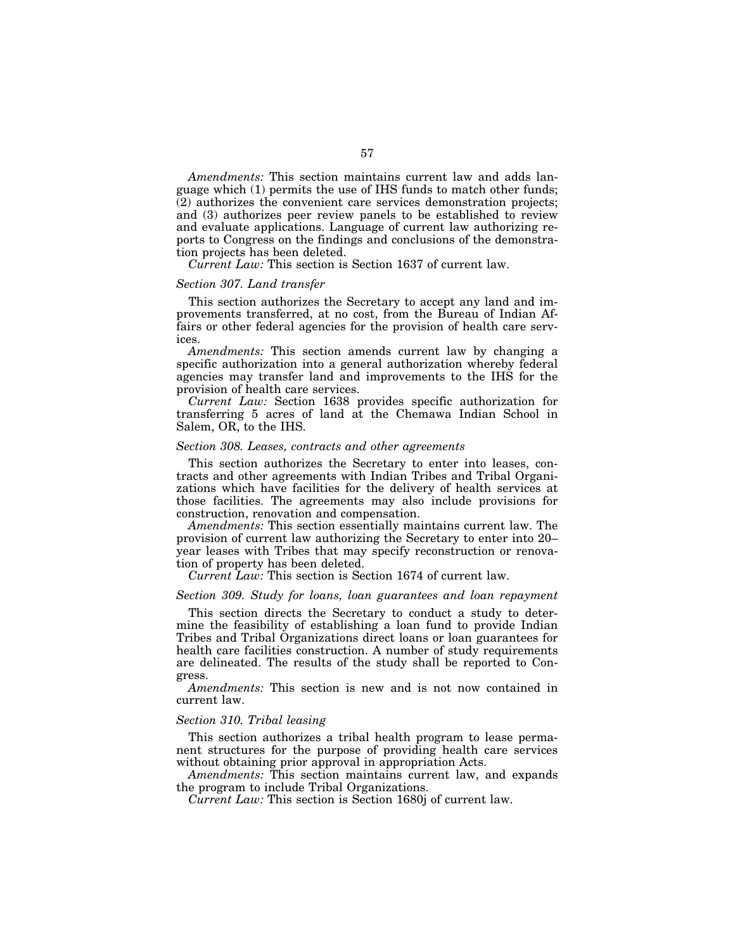*Amendments:* This section maintains current law and adds language which (1) permits the use of IHS funds to match other funds; (2) authorizes the convenient care services demonstration projects; and (3) authorizes peer review panels to be established to review and evaluate applications. Language of current law authorizing reports to Congress on the findings and conclusions of the demonstration projects has been deleted.

*Current Law:* This section is Section 1637 of current law.

## *Section 307. Land transfer*

This section authorizes the Secretary to accept any land and improvements transferred, at no cost, from the Bureau of Indian Affairs or other federal agencies for the provision of health care services.

*Amendments:* This section amends current law by changing a specific authorization into a general authorization whereby federal agencies may transfer land and improvements to the IHS for the provision of health care services.

*Current Law:* Section 1638 provides specific authorization for transferring 5 acres of land at the Chemawa Indian School in Salem, OR, to the IHS.

#### *Section 308. Leases, contracts and other agreements*

This section authorizes the Secretary to enter into leases, contracts and other agreements with Indian Tribes and Tribal Organizations which have facilities for the delivery of health services at those facilities. The agreements may also include provisions for construction, renovation and compensation.

*Amendments:* This section essentially maintains current law. The provision of current law authorizing the Secretary to enter into 20– year leases with Tribes that may specify reconstruction or renovation of property has been deleted.

*Current Law:* This section is Section 1674 of current law.

## *Section 309. Study for loans, loan guarantees and loan repayment*

This section directs the Secretary to conduct a study to determine the feasibility of establishing a loan fund to provide Indian Tribes and Tribal Organizations direct loans or loan guarantees for health care facilities construction. A number of study requirements are delineated. The results of the study shall be reported to Congress.

*Amendments:* This section is new and is not now contained in current law.

## *Section 310. Tribal leasing*

This section authorizes a tribal health program to lease permanent structures for the purpose of providing health care services without obtaining prior approval in appropriation Acts.

*Amendments:* This section maintains current law, and expands the program to include Tribal Organizations.

*Current Law:* This section is Section 1680j of current law.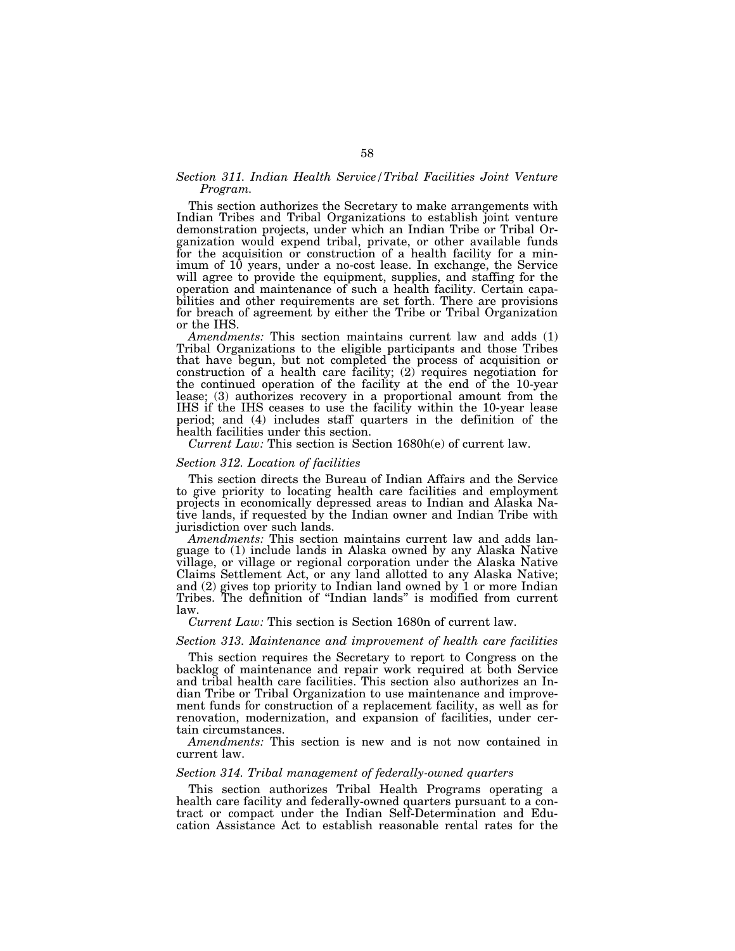## *Section 311. Indian Health Service/Tribal Facilities Joint Venture Program.*

This section authorizes the Secretary to make arrangements with Indian Tribes and Tribal Organizations to establish joint venture demonstration projects, under which an Indian Tribe or Tribal Organization would expend tribal, private, or other available funds for the acquisition or construction of a health facility for a minimum of 10 years, under a no-cost lease. In exchange, the Service will agree to provide the equipment, supplies, and staffing for the operation and maintenance of such a health facility. Certain capabilities and other requirements are set forth. There are provisions for breach of agreement by either the Tribe or Tribal Organization or the IHS.

*Amendments:* This section maintains current law and adds (1) Tribal Organizations to the eligible participants and those Tribes that have begun, but not completed the process of acquisition or construction of a health care facility; (2) requires negotiation for the continued operation of the facility at the end of the 10-year lease; (3) authorizes recovery in a proportional amount from the IHS if the IHS ceases to use the facility within the 10-year lease period; and (4) includes staff quarters in the definition of the health facilities under this section.

*Current Law:* This section is Section 1680h(e) of current law.

## *Section 312. Location of facilities*

This section directs the Bureau of Indian Affairs and the Service to give priority to locating health care facilities and employment projects in economically depressed areas to Indian and Alaska Native lands, if requested by the Indian owner and Indian Tribe with jurisdiction over such lands.

*Amendments:* This section maintains current law and adds language to (1) include lands in Alaska owned by any Alaska Native village, or village or regional corporation under the Alaska Native Claims Settlement Act, or any land allotted to any Alaska Native; and (2) gives top priority to Indian land owned by 1 or more Indian Tribes. The definition of ''Indian lands'' is modified from current law.

*Current Law:* This section is Section 1680n of current law.

## *Section 313. Maintenance and improvement of health care facilities*

This section requires the Secretary to report to Congress on the backlog of maintenance and repair work required at both Service and tribal health care facilities. This section also authorizes an Indian Tribe or Tribal Organization to use maintenance and improvement funds for construction of a replacement facility, as well as for renovation, modernization, and expansion of facilities, under certain circumstances.

*Amendments:* This section is new and is not now contained in current law.

## *Section 314. Tribal management of federally-owned quarters*

This section authorizes Tribal Health Programs operating a health care facility and federally-owned quarters pursuant to a contract or compact under the Indian Self-Determination and Education Assistance Act to establish reasonable rental rates for the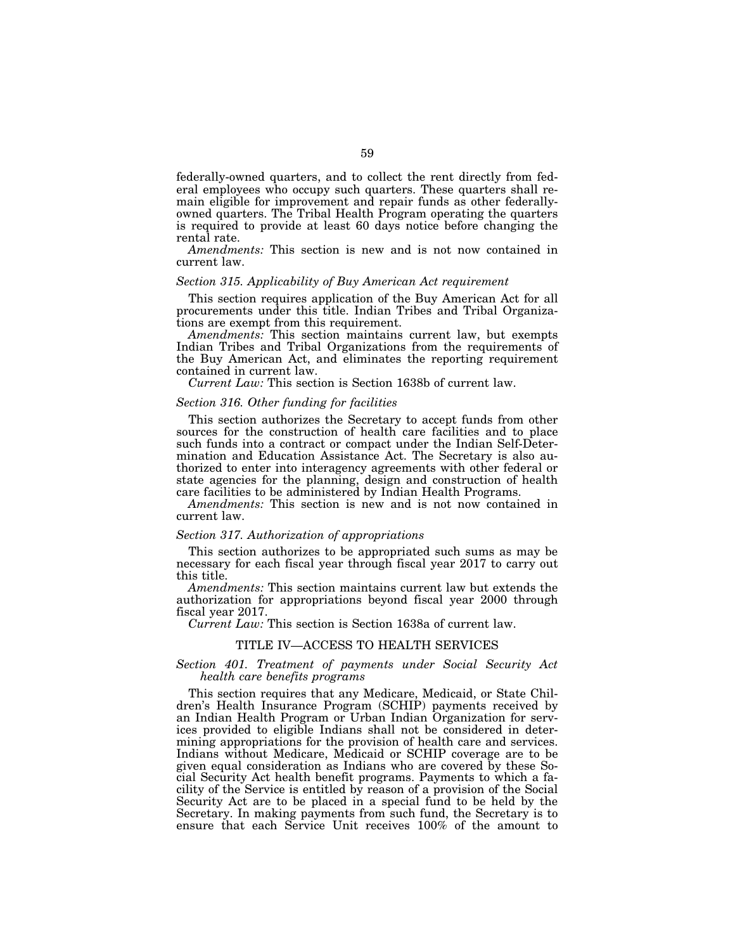federally-owned quarters, and to collect the rent directly from federal employees who occupy such quarters. These quarters shall remain eligible for improvement and repair funds as other federallyowned quarters. The Tribal Health Program operating the quarters is required to provide at least 60 days notice before changing the rental rate.

*Amendments:* This section is new and is not now contained in current law.

#### *Section 315. Applicability of Buy American Act requirement*

This section requires application of the Buy American Act for all procurements under this title. Indian Tribes and Tribal Organizations are exempt from this requirement.

*Amendments:* This section maintains current law, but exempts Indian Tribes and Tribal Organizations from the requirements of the Buy American Act, and eliminates the reporting requirement contained in current law.

*Current Law:* This section is Section 1638b of current law.

## *Section 316. Other funding for facilities*

This section authorizes the Secretary to accept funds from other sources for the construction of health care facilities and to place such funds into a contract or compact under the Indian Self-Determination and Education Assistance Act. The Secretary is also authorized to enter into interagency agreements with other federal or state agencies for the planning, design and construction of health care facilities to be administered by Indian Health Programs.

*Amendments:* This section is new and is not now contained in current law.

# *Section 317. Authorization of appropriations*

This section authorizes to be appropriated such sums as may be necessary for each fiscal year through fiscal year 2017 to carry out this title.

*Amendments:* This section maintains current law but extends the authorization for appropriations beyond fiscal year 2000 through fiscal year 2017.

*Current Law:* This section is Section 1638a of current law.

#### TITLE IV—ACCESS TO HEALTH SERVICES

## *Section 401. Treatment of payments under Social Security Act health care benefits programs*

This section requires that any Medicare, Medicaid, or State Children's Health Insurance Program (SCHIP) payments received by an Indian Health Program or Urban Indian Organization for services provided to eligible Indians shall not be considered in determining appropriations for the provision of health care and services. Indians without Medicare, Medicaid or SCHIP coverage are to be given equal consideration as Indians who are covered by these Social Security Act health benefit programs. Payments to which a facility of the Service is entitled by reason of a provision of the Social Security Act are to be placed in a special fund to be held by the Secretary. In making payments from such fund, the Secretary is to ensure that each Service Unit receives 100% of the amount to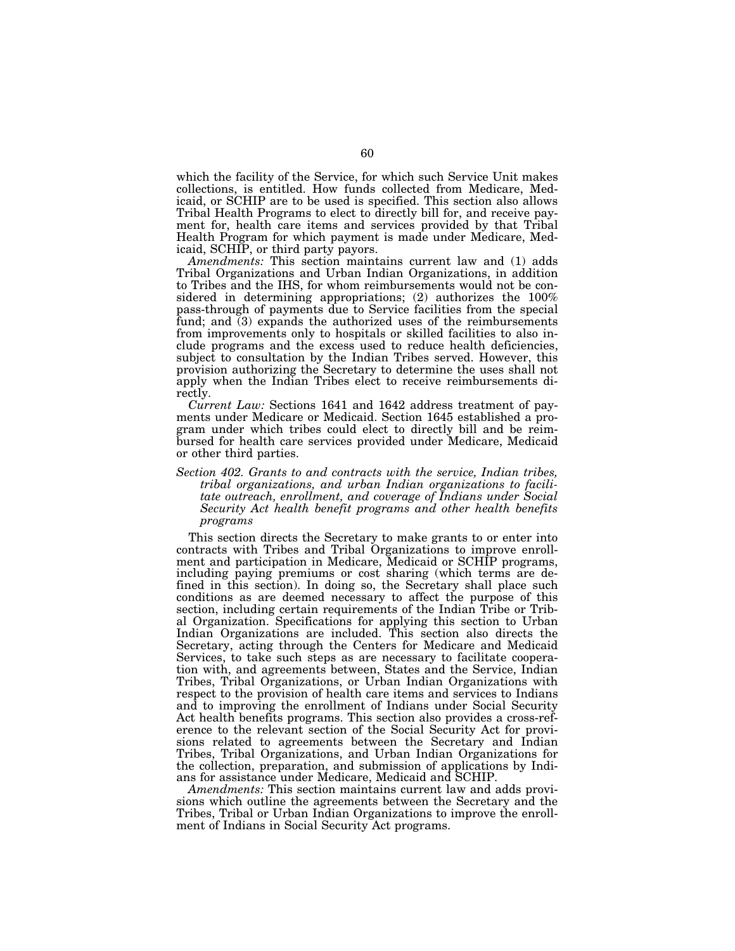which the facility of the Service, for which such Service Unit makes collections, is entitled. How funds collected from Medicare, Medicaid, or SCHIP are to be used is specified. This section also allows Tribal Health Programs to elect to directly bill for, and receive payment for, health care items and services provided by that Tribal Health Program for which payment is made under Medicare, Medicaid, SCHIP, or third party payors.

*Amendments:* This section maintains current law and (1) adds Tribal Organizations and Urban Indian Organizations, in addition to Tribes and the IHS, for whom reimbursements would not be considered in determining appropriations; (2) authorizes the 100% pass-through of payments due to Service facilities from the special fund; and (3) expands the authorized uses of the reimbursements from improvements only to hospitals or skilled facilities to also include programs and the excess used to reduce health deficiencies, subject to consultation by the Indian Tribes served. However, this provision authorizing the Secretary to determine the uses shall not apply when the Indian Tribes elect to receive reimbursements directly.

*Current Law:* Sections 1641 and 1642 address treatment of payments under Medicare or Medicaid. Section 1645 established a program under which tribes could elect to directly bill and be reimbursed for health care services provided under Medicare, Medicaid or other third parties.

## *Section 402. Grants to and contracts with the service, Indian tribes, tribal organizations, and urban Indian organizations to facilitate outreach, enrollment, and coverage of Indians under Social Security Act health benefit programs and other health benefits programs*

This section directs the Secretary to make grants to or enter into contracts with Tribes and Tribal Organizations to improve enrollment and participation in Medicare, Medicaid or SCHIP programs, including paying premiums or cost sharing (which terms are defined in this section). In doing so, the Secretary shall place such conditions as are deemed necessary to affect the purpose of this section, including certain requirements of the Indian Tribe or Tribal Organization. Specifications for applying this section to Urban Indian Organizations are included. This section also directs the Secretary, acting through the Centers for Medicare and Medicaid Services, to take such steps as are necessary to facilitate cooperation with, and agreements between, States and the Service, Indian Tribes, Tribal Organizations, or Urban Indian Organizations with respect to the provision of health care items and services to Indians and to improving the enrollment of Indians under Social Security Act health benefits programs. This section also provides a cross-reference to the relevant section of the Social Security Act for provisions related to agreements between the Secretary and Indian Tribes, Tribal Organizations, and Urban Indian Organizations for the collection, preparation, and submission of applications by Indians for assistance under Medicare, Medicaid and SCHIP.

*Amendments:* This section maintains current law and adds provisions which outline the agreements between the Secretary and the Tribes, Tribal or Urban Indian Organizations to improve the enrollment of Indians in Social Security Act programs.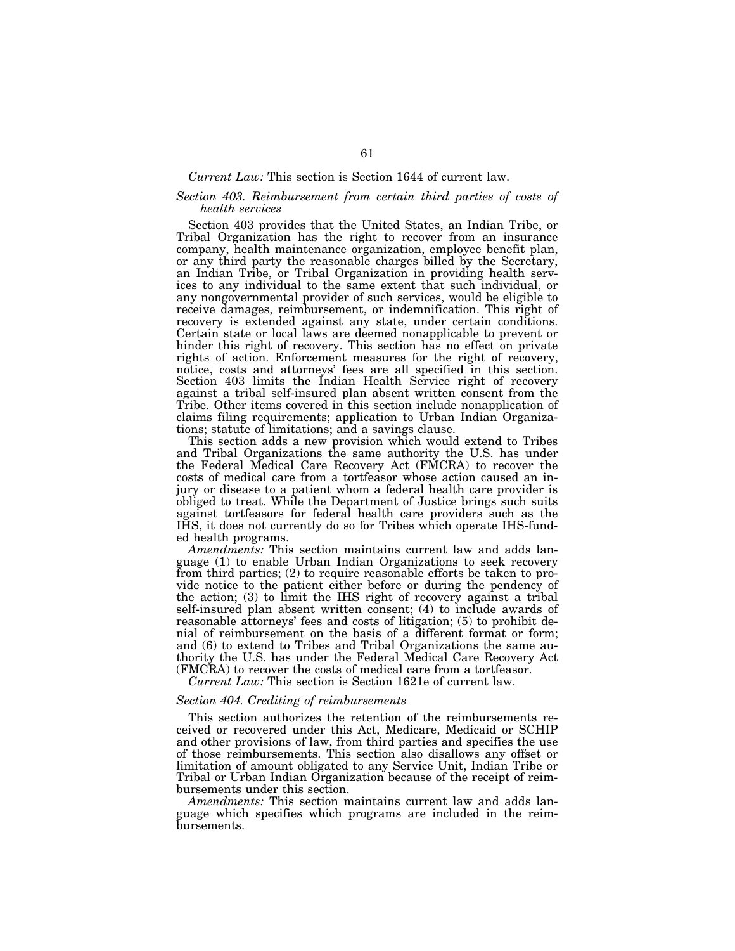#### *Current Law:* This section is Section 1644 of current law.

## *Section 403. Reimbursement from certain third parties of costs of health services*

Section 403 provides that the United States, an Indian Tribe, or Tribal Organization has the right to recover from an insurance company, health maintenance organization, employee benefit plan, or any third party the reasonable charges billed by the Secretary, an Indian Tribe, or Tribal Organization in providing health services to any individual to the same extent that such individual, or any nongovernmental provider of such services, would be eligible to receive damages, reimbursement, or indemnification. This right of recovery is extended against any state, under certain conditions. Certain state or local laws are deemed nonapplicable to prevent or hinder this right of recovery. This section has no effect on private rights of action. Enforcement measures for the right of recovery, notice, costs and attorneys' fees are all specified in this section. Section 403 limits the Indian Health Service right of recovery against a tribal self-insured plan absent written consent from the Tribe. Other items covered in this section include nonapplication of claims filing requirements; application to Urban Indian Organizations; statute of limitations; and a savings clause.

This section adds a new provision which would extend to Tribes and Tribal Organizations the same authority the U.S. has under the Federal Medical Care Recovery Act (FMCRA) to recover the costs of medical care from a tortfeasor whose action caused an injury or disease to a patient whom a federal health care provider is obliged to treat. While the Department of Justice brings such suits against tortfeasors for federal health care providers such as the IHS, it does not currently do so for Tribes which operate IHS-funded health programs.

*Amendments:* This section maintains current law and adds language (1) to enable Urban Indian Organizations to seek recovery from third parties; (2) to require reasonable efforts be taken to provide notice to the patient either before or during the pendency of the action; (3) to limit the IHS right of recovery against a tribal self-insured plan absent written consent; (4) to include awards of reasonable attorneys' fees and costs of litigation; (5) to prohibit denial of reimbursement on the basis of a different format or form; and (6) to extend to Tribes and Tribal Organizations the same authority the U.S. has under the Federal Medical Care Recovery Act (FMCRA) to recover the costs of medical care from a tortfeasor.

*Current Law:* This section is Section 1621e of current law.

# *Section 404. Crediting of reimbursements*

This section authorizes the retention of the reimbursements received or recovered under this Act, Medicare, Medicaid or SCHIP and other provisions of law, from third parties and specifies the use of those reimbursements. This section also disallows any offset or limitation of amount obligated to any Service Unit, Indian Tribe or Tribal or Urban Indian Organization because of the receipt of reimbursements under this section.

*Amendments:* This section maintains current law and adds language which specifies which programs are included in the reimbursements.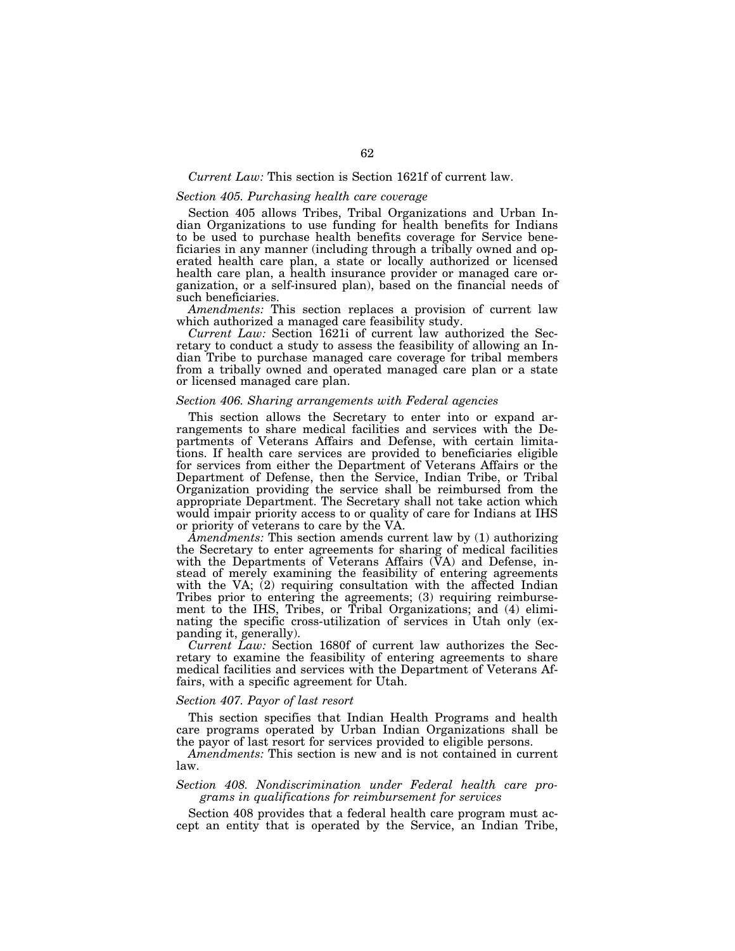#### *Current Law:* This section is Section 1621f of current law.

## *Section 405. Purchasing health care coverage*

Section 405 allows Tribes, Tribal Organizations and Urban Indian Organizations to use funding for health benefits for Indians to be used to purchase health benefits coverage for Service beneficiaries in any manner (including through a tribally owned and operated health care plan, a state or locally authorized or licensed health care plan, a health insurance provider or managed care organization, or a self-insured plan), based on the financial needs of such beneficiaries.

*Amendments:* This section replaces a provision of current law which authorized a managed care feasibility study.

*Current Law:* Section 1621i of current law authorized the Secretary to conduct a study to assess the feasibility of allowing an Indian Tribe to purchase managed care coverage for tribal members from a tribally owned and operated managed care plan or a state or licensed managed care plan.

# *Section 406. Sharing arrangements with Federal agencies*

This section allows the Secretary to enter into or expand arrangements to share medical facilities and services with the Departments of Veterans Affairs and Defense, with certain limitations. If health care services are provided to beneficiaries eligible for services from either the Department of Veterans Affairs or the Department of Defense, then the Service, Indian Tribe, or Tribal Organization providing the service shall be reimbursed from the appropriate Department. The Secretary shall not take action which would impair priority access to or quality of care for Indians at IHS or priority of veterans to care by the VA.

*Amendments:* This section amends current law by (1) authorizing the Secretary to enter agreements for sharing of medical facilities with the Departments of Veterans Affairs  $(VA)$  and Defense, instead of merely examining the feasibility of entering agreements with the VA; (2) requiring consultation with the affected Indian Tribes prior to entering the agreements; (3) requiring reimbursement to the IHS, Tribes, or Tribal Organizations; and (4) eliminating the specific cross-utilization of services in Utah only (expanding it, generally).

*Current Law:* Section 1680f of current law authorizes the Secretary to examine the feasibility of entering agreements to share medical facilities and services with the Department of Veterans Affairs, with a specific agreement for Utah.

## *Section 407. Payor of last resort*

This section specifies that Indian Health Programs and health care programs operated by Urban Indian Organizations shall be the payor of last resort for services provided to eligible persons.

*Amendments:* This section is new and is not contained in current law.

## *Section 408. Nondiscrimination under Federal health care programs in qualifications for reimbursement for services*

Section 408 provides that a federal health care program must accept an entity that is operated by the Service, an Indian Tribe,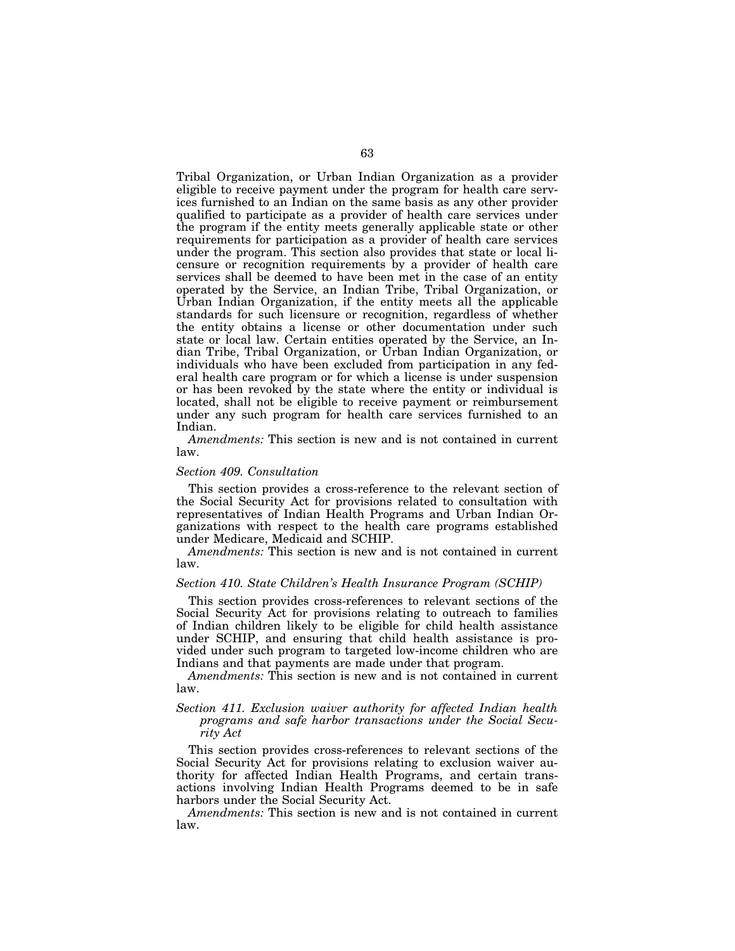Tribal Organization, or Urban Indian Organization as a provider eligible to receive payment under the program for health care services furnished to an Indian on the same basis as any other provider qualified to participate as a provider of health care services under the program if the entity meets generally applicable state or other requirements for participation as a provider of health care services under the program. This section also provides that state or local licensure or recognition requirements by a provider of health care services shall be deemed to have been met in the case of an entity operated by the Service, an Indian Tribe, Tribal Organization, or Urban Indian Organization, if the entity meets all the applicable standards for such licensure or recognition, regardless of whether the entity obtains a license or other documentation under such state or local law. Certain entities operated by the Service, an Indian Tribe, Tribal Organization, or Urban Indian Organization, or individuals who have been excluded from participation in any federal health care program or for which a license is under suspension or has been revoked by the state where the entity or individual is located, shall not be eligible to receive payment or reimbursement under any such program for health care services furnished to an Indian.

*Amendments:* This section is new and is not contained in current law.

#### *Section 409. Consultation*

This section provides a cross-reference to the relevant section of the Social Security Act for provisions related to consultation with representatives of Indian Health Programs and Urban Indian Organizations with respect to the health care programs established under Medicare, Medicaid and SCHIP.

*Amendments:* This section is new and is not contained in current law.

#### *Section 410. State Children's Health Insurance Program (SCHIP)*

This section provides cross-references to relevant sections of the Social Security Act for provisions relating to outreach to families of Indian children likely to be eligible for child health assistance under SCHIP, and ensuring that child health assistance is provided under such program to targeted low-income children who are Indians and that payments are made under that program.

*Amendments:* This section is new and is not contained in current law.

## *Section 411. Exclusion waiver authority for affected Indian health programs and safe harbor transactions under the Social Security Act*

This section provides cross-references to relevant sections of the Social Security Act for provisions relating to exclusion waiver authority for affected Indian Health Programs, and certain transactions involving Indian Health Programs deemed to be in safe harbors under the Social Security Act.

*Amendments:* This section is new and is not contained in current law.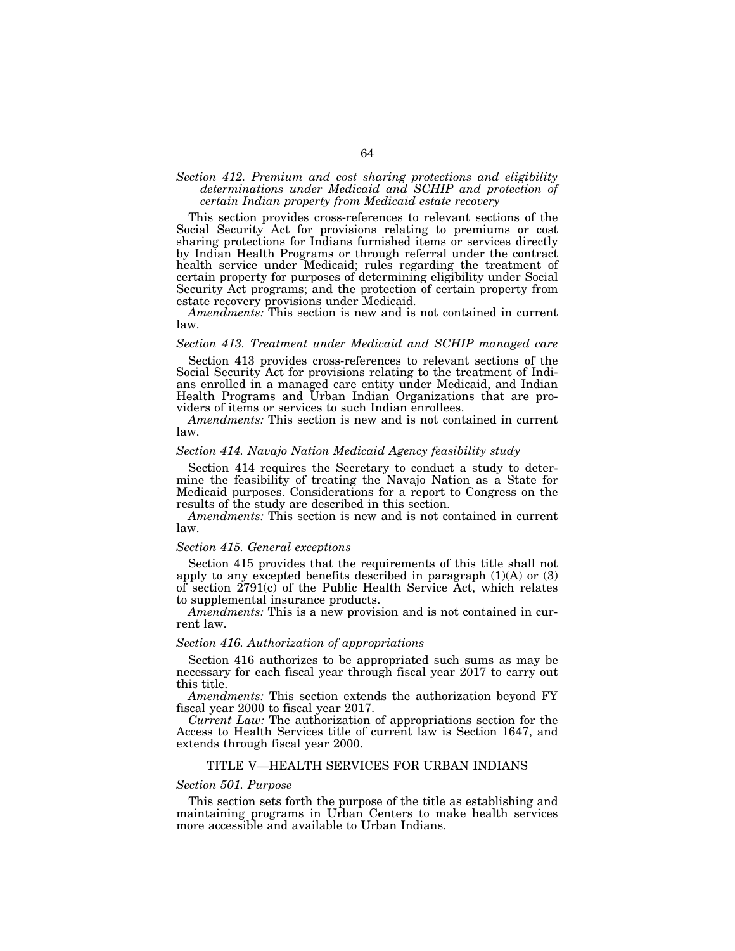# *Section 412. Premium and cost sharing protections and eligibility determinations under Medicaid and SCHIP and protection of certain Indian property from Medicaid estate recovery*

This section provides cross-references to relevant sections of the Social Security Act for provisions relating to premiums or cost sharing protections for Indians furnished items or services directly by Indian Health Programs or through referral under the contract health service under Medicaid; rules regarding the treatment of certain property for purposes of determining eligibility under Social Security Act programs; and the protection of certain property from estate recovery provisions under Medicaid.

*Amendments:* This section is new and is not contained in current law.

## *Section 413. Treatment under Medicaid and SCHIP managed care*

Section 413 provides cross-references to relevant sections of the Social Security Act for provisions relating to the treatment of Indians enrolled in a managed care entity under Medicaid, and Indian Health Programs and Urban Indian Organizations that are providers of items or services to such Indian enrollees.

*Amendments:* This section is new and is not contained in current law.

## *Section 414. Navajo Nation Medicaid Agency feasibility study*

Section 414 requires the Secretary to conduct a study to determine the feasibility of treating the Navajo Nation as a State for Medicaid purposes. Considerations for a report to Congress on the results of the study are described in this section.

*Amendments:* This section is new and is not contained in current law.

#### *Section 415. General exceptions*

Section 415 provides that the requirements of this title shall not apply to any excepted benefits described in paragraph  $(1)(A)$  or  $(3)$ of section 2791(c) of the Public Health Service Act, which relates to supplemental insurance products.

*Amendments:* This is a new provision and is not contained in current law.

#### *Section 416. Authorization of appropriations*

Section 416 authorizes to be appropriated such sums as may be necessary for each fiscal year through fiscal year 2017 to carry out this title.

*Amendments:* This section extends the authorization beyond FY fiscal year 2000 to fiscal year 2017.

*Current Law:* The authorization of appropriations section for the Access to Health Services title of current law is Section 1647, and extends through fiscal year 2000.

#### TITLE V—HEALTH SERVICES FOR URBAN INDIANS

# *Section 501. Purpose*

This section sets forth the purpose of the title as establishing and maintaining programs in Urban Centers to make health services more accessible and available to Urban Indians.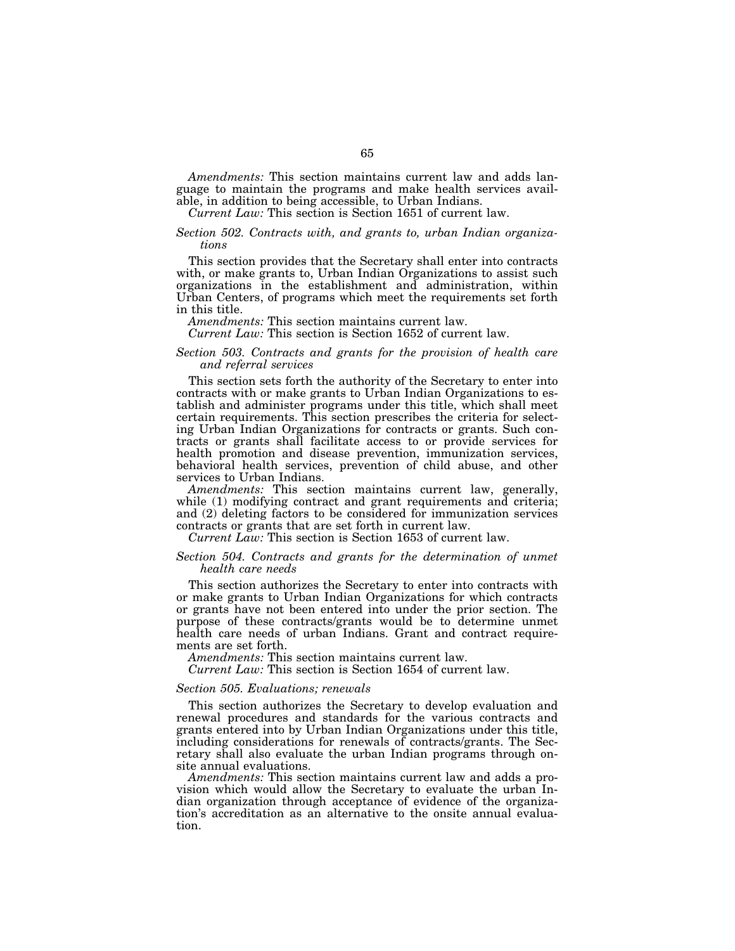*Amendments:* This section maintains current law and adds language to maintain the programs and make health services available, in addition to being accessible, to Urban Indians.

*Current Law:* This section is Section 1651 of current law.

## *Section 502. Contracts with, and grants to, urban Indian organizations*

This section provides that the Secretary shall enter into contracts with, or make grants to, Urban Indian Organizations to assist such organizations in the establishment and administration, within Urban Centers, of programs which meet the requirements set forth in this title.

*Amendments:* This section maintains current law.

*Current Law:* This section is Section 1652 of current law.

## *Section 503. Contracts and grants for the provision of health care and referral services*

This section sets forth the authority of the Secretary to enter into contracts with or make grants to Urban Indian Organizations to establish and administer programs under this title, which shall meet certain requirements. This section prescribes the criteria for selecting Urban Indian Organizations for contracts or grants. Such contracts or grants shall facilitate access to or provide services for health promotion and disease prevention, immunization services, behavioral health services, prevention of child abuse, and other services to Urban Indians.

*Amendments:* This section maintains current law, generally, while (1) modifying contract and grant requirements and criteria; and (2) deleting factors to be considered for immunization services contracts or grants that are set forth in current law.

*Current Law:* This section is Section 1653 of current law.

#### *Section 504. Contracts and grants for the determination of unmet health care needs*

This section authorizes the Secretary to enter into contracts with or make grants to Urban Indian Organizations for which contracts or grants have not been entered into under the prior section. The purpose of these contracts/grants would be to determine unmet health care needs of urban Indians. Grant and contract requirements are set forth.

*Amendments:* This section maintains current law.

*Current Law:* This section is Section 1654 of current law.

## *Section 505. Evaluations; renewals*

This section authorizes the Secretary to develop evaluation and renewal procedures and standards for the various contracts and grants entered into by Urban Indian Organizations under this title, including considerations for renewals of contracts/grants. The Secretary shall also evaluate the urban Indian programs through onsite annual evaluations.

*Amendments:* This section maintains current law and adds a provision which would allow the Secretary to evaluate the urban Indian organization through acceptance of evidence of the organization's accreditation as an alternative to the onsite annual evaluation.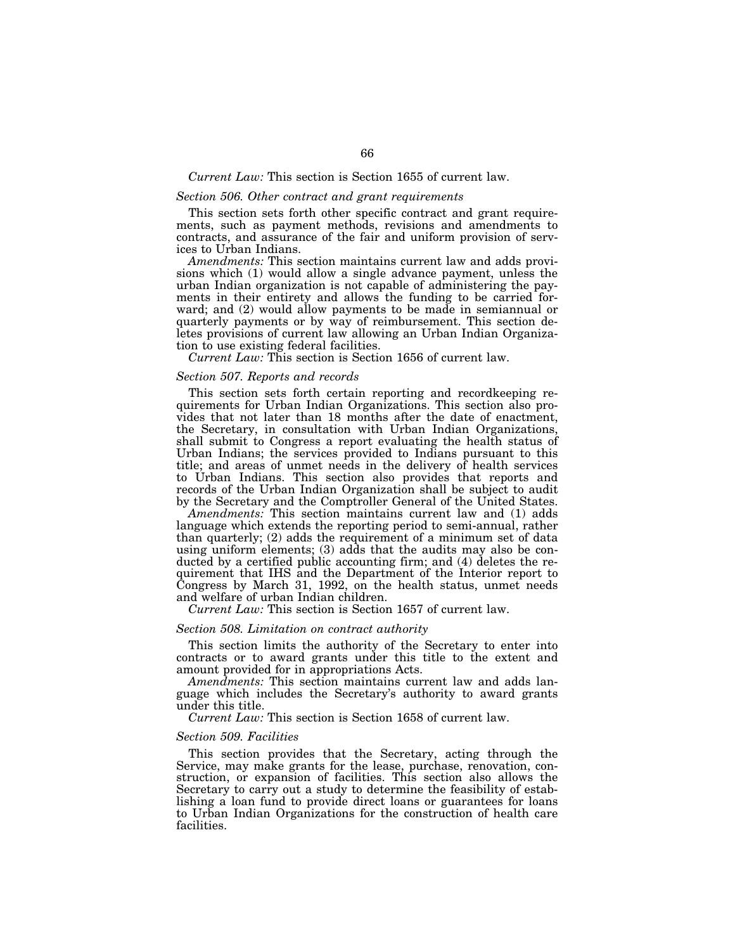#### *Current Law:* This section is Section 1655 of current law.

## *Section 506. Other contract and grant requirements*

This section sets forth other specific contract and grant requirements, such as payment methods, revisions and amendments to contracts, and assurance of the fair and uniform provision of services to Urban Indians.

*Amendments:* This section maintains current law and adds provisions which (1) would allow a single advance payment, unless the urban Indian organization is not capable of administering the payments in their entirety and allows the funding to be carried forward; and  $(2)$  would allow payments to be made in semiannual or quarterly payments or by way of reimbursement. This section deletes provisions of current law allowing an Urban Indian Organization to use existing federal facilities.

*Current Law:* This section is Section 1656 of current law.

#### *Section 507. Reports and records*

This section sets forth certain reporting and recordkeeping requirements for Urban Indian Organizations. This section also provides that not later than 18 months after the date of enactment, the Secretary, in consultation with Urban Indian Organizations, shall submit to Congress a report evaluating the health status of Urban Indians; the services provided to Indians pursuant to this title; and areas of unmet needs in the delivery of health services to Urban Indians. This section also provides that reports and records of the Urban Indian Organization shall be subject to audit by the Secretary and the Comptroller General of the United States.

*Amendments:* This section maintains current law and (1) adds language which extends the reporting period to semi-annual, rather than quarterly; (2) adds the requirement of a minimum set of data using uniform elements; (3) adds that the audits may also be conducted by a certified public accounting firm; and (4) deletes the requirement that IHS and the Department of the Interior report to Congress by March 31, 1992, on the health status, unmet needs and welfare of urban Indian children.

*Current Law:* This section is Section 1657 of current law.

#### *Section 508. Limitation on contract authority*

This section limits the authority of the Secretary to enter into contracts or to award grants under this title to the extent and amount provided for in appropriations Acts.

*Amendments:* This section maintains current law and adds language which includes the Secretary's authority to award grants under this title.

*Current Law:* This section is Section 1658 of current law.

#### *Section 509. Facilities*

This section provides that the Secretary, acting through the Service, may make grants for the lease, purchase, renovation, construction, or expansion of facilities. This section also allows the Secretary to carry out a study to determine the feasibility of establishing a loan fund to provide direct loans or guarantees for loans to Urban Indian Organizations for the construction of health care facilities.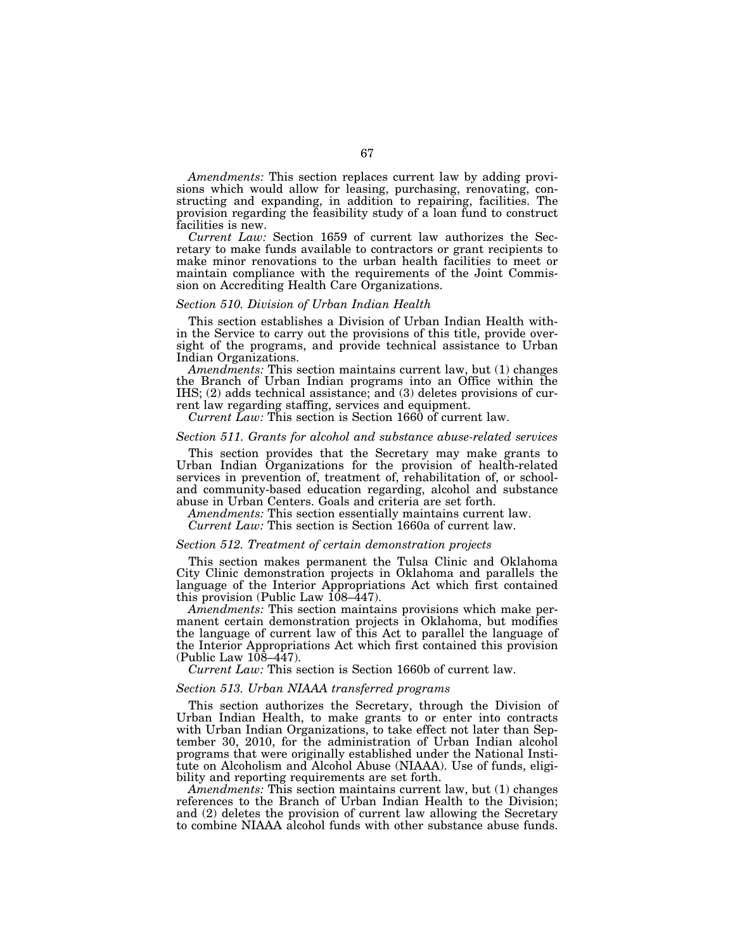*Amendments:* This section replaces current law by adding provisions which would allow for leasing, purchasing, renovating, constructing and expanding, in addition to repairing, facilities. The provision regarding the feasibility study of a loan fund to construct facilities is new.

*Current Law:* Section 1659 of current law authorizes the Secretary to make funds available to contractors or grant recipients to make minor renovations to the urban health facilities to meet or maintain compliance with the requirements of the Joint Commission on Accrediting Health Care Organizations.

#### *Section 510. Division of Urban Indian Health*

This section establishes a Division of Urban Indian Health within the Service to carry out the provisions of this title, provide oversight of the programs, and provide technical assistance to Urban Indian Organizations.

*Amendments:* This section maintains current law, but (1) changes the Branch of Urban Indian programs into an Office within the IHS; (2) adds technical assistance; and (3) deletes provisions of current law regarding staffing, services and equipment.

*Current Law:* This section is Section 1660 of current law.

#### *Section 511. Grants for alcohol and substance abuse-related services*

This section provides that the Secretary may make grants to Urban Indian Organizations for the provision of health-related services in prevention of, treatment of, rehabilitation of, or schooland community-based education regarding, alcohol and substance abuse in Urban Centers. Goals and criteria are set forth.

*Amendments:* This section essentially maintains current law.

*Current Law:* This section is Section 1660a of current law.

#### *Section 512. Treatment of certain demonstration projects*

This section makes permanent the Tulsa Clinic and Oklahoma City Clinic demonstration projects in Oklahoma and parallels the language of the Interior Appropriations Act which first contained this provision (Public Law 108–447).

*Amendments:* This section maintains provisions which make permanent certain demonstration projects in Oklahoma, but modifies the language of current law of this Act to parallel the language of the Interior Appropriations Act which first contained this provision (Public Law  $10\overline{8} - 447$ ).

*Current Law:* This section is Section 1660b of current law.

## *Section 513. Urban NIAAA transferred programs*

This section authorizes the Secretary, through the Division of Urban Indian Health, to make grants to or enter into contracts with Urban Indian Organizations, to take effect not later than September 30, 2010, for the administration of Urban Indian alcohol programs that were originally established under the National Institute on Alcoholism and Alcohol Abuse (NIAAA). Use of funds, eligibility and reporting requirements are set forth.

*Amendments:* This section maintains current law, but (1) changes references to the Branch of Urban Indian Health to the Division; and (2) deletes the provision of current law allowing the Secretary to combine NIAAA alcohol funds with other substance abuse funds.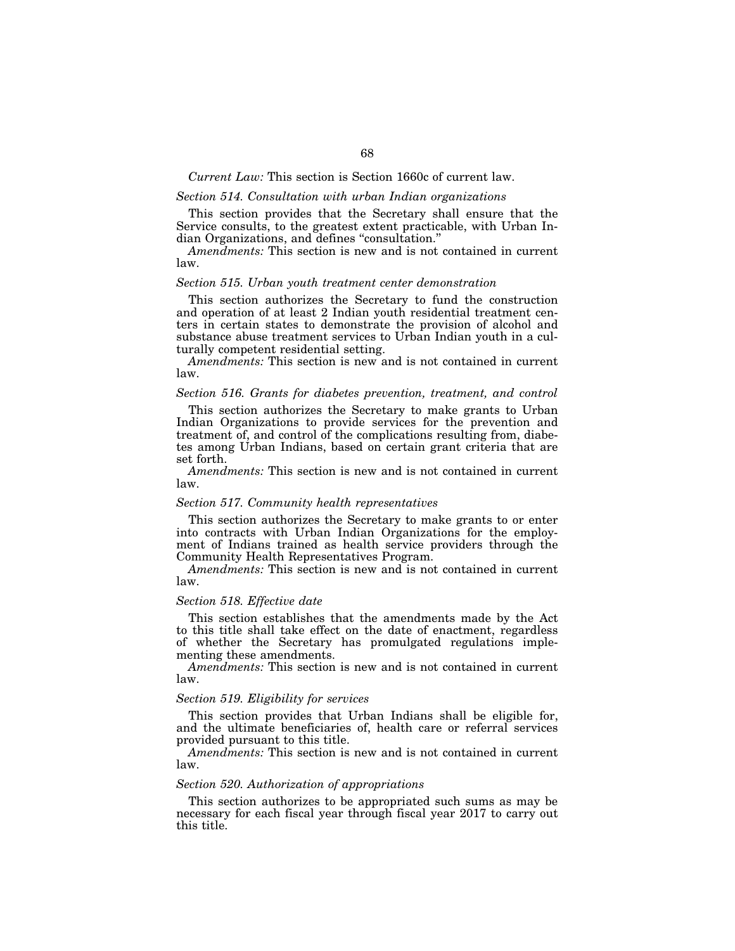## *Current Law:* This section is Section 1660c of current law.

# *Section 514. Consultation with urban Indian organizations*

This section provides that the Secretary shall ensure that the Service consults, to the greatest extent practicable, with Urban Indian Organizations, and defines ''consultation.''

*Amendments:* This section is new and is not contained in current law.

## *Section 515. Urban youth treatment center demonstration*

This section authorizes the Secretary to fund the construction and operation of at least 2 Indian youth residential treatment centers in certain states to demonstrate the provision of alcohol and substance abuse treatment services to Urban Indian youth in a culturally competent residential setting.

*Amendments:* This section is new and is not contained in current law.

# *Section 516. Grants for diabetes prevention, treatment, and control*

This section authorizes the Secretary to make grants to Urban Indian Organizations to provide services for the prevention and treatment of, and control of the complications resulting from, diabetes among Urban Indians, based on certain grant criteria that are set forth.

*Amendments:* This section is new and is not contained in current law.

#### *Section 517. Community health representatives*

This section authorizes the Secretary to make grants to or enter into contracts with Urban Indian Organizations for the employment of Indians trained as health service providers through the Community Health Representatives Program.

*Amendments:* This section is new and is not contained in current law.

## *Section 518. Effective date*

This section establishes that the amendments made by the Act to this title shall take effect on the date of enactment, regardless of whether the Secretary has promulgated regulations implementing these amendments.

*Amendments:* This section is new and is not contained in current law.

## *Section 519. Eligibility for services*

This section provides that Urban Indians shall be eligible for, and the ultimate beneficiaries of, health care or referral services provided pursuant to this title.

*Amendments:* This section is new and is not contained in current law.

## *Section 520. Authorization of appropriations*

This section authorizes to be appropriated such sums as may be necessary for each fiscal year through fiscal year 2017 to carry out this title.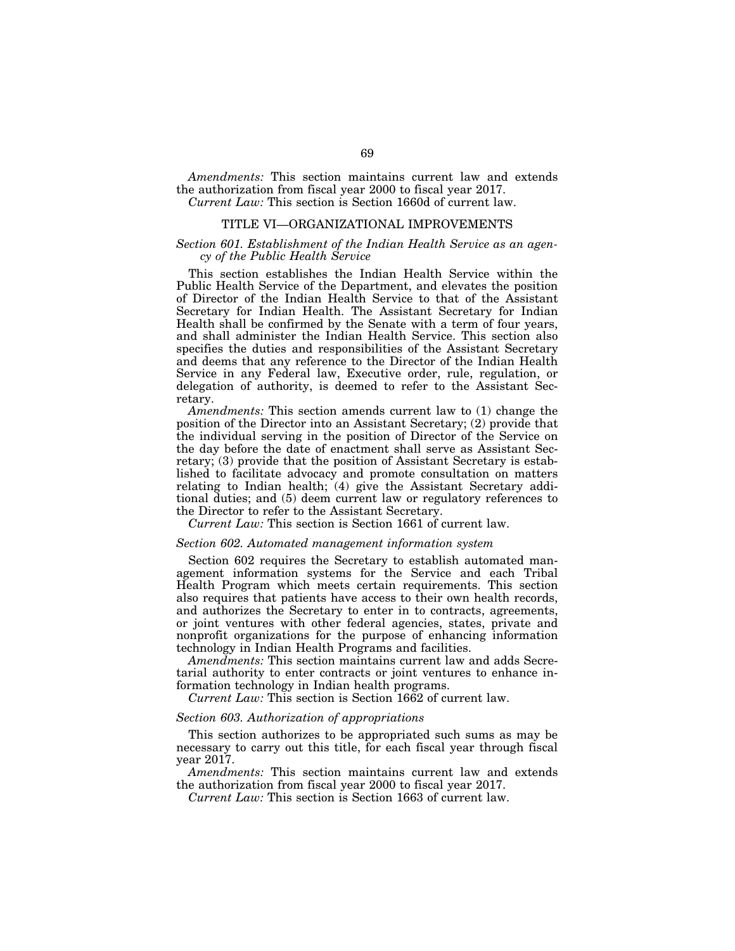*Amendments:* This section maintains current law and extends the authorization from fiscal year 2000 to fiscal year 2017. *Current Law:* This section is Section 1660d of current law.

# TITLE VI—ORGANIZATIONAL IMPROVEMENTS

## *Section 601. Establishment of the Indian Health Service as an agency of the Public Health Service*

This section establishes the Indian Health Service within the Public Health Service of the Department, and elevates the position of Director of the Indian Health Service to that of the Assistant Secretary for Indian Health. The Assistant Secretary for Indian Health shall be confirmed by the Senate with a term of four years, and shall administer the Indian Health Service. This section also specifies the duties and responsibilities of the Assistant Secretary and deems that any reference to the Director of the Indian Health Service in any Federal law, Executive order, rule, regulation, or delegation of authority, is deemed to refer to the Assistant Secretary.

*Amendments:* This section amends current law to (1) change the position of the Director into an Assistant Secretary; (2) provide that the individual serving in the position of Director of the Service on the day before the date of enactment shall serve as Assistant Secretary; (3) provide that the position of Assistant Secretary is established to facilitate advocacy and promote consultation on matters relating to Indian health; (4) give the Assistant Secretary additional duties; and (5) deem current law or regulatory references to the Director to refer to the Assistant Secretary.

*Current Law:* This section is Section 1661 of current law.

#### *Section 602. Automated management information system*

Section 602 requires the Secretary to establish automated management information systems for the Service and each Tribal Health Program which meets certain requirements. This section also requires that patients have access to their own health records, and authorizes the Secretary to enter in to contracts, agreements, or joint ventures with other federal agencies, states, private and nonprofit organizations for the purpose of enhancing information technology in Indian Health Programs and facilities.

*Amendments:* This section maintains current law and adds Secretarial authority to enter contracts or joint ventures to enhance information technology in Indian health programs.

*Current Law:* This section is Section 1662 of current law.

#### *Section 603. Authorization of appropriations*

This section authorizes to be appropriated such sums as may be necessary to carry out this title, for each fiscal year through fiscal year 2017.

*Amendments:* This section maintains current law and extends the authorization from fiscal year 2000 to fiscal year 2017.

*Current Law:* This section is Section 1663 of current law.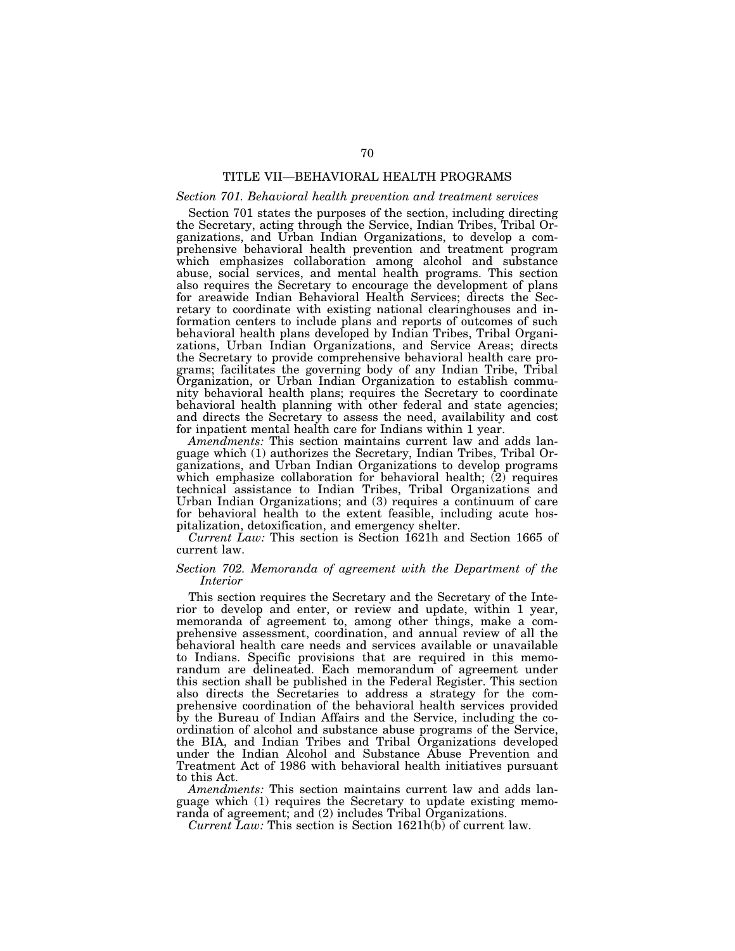# TITLE VII—BEHAVIORAL HEALTH PROGRAMS

## *Section 701. Behavioral health prevention and treatment services*

Section 701 states the purposes of the section, including directing the Secretary, acting through the Service, Indian Tribes, Tribal Organizations, and Urban Indian Organizations, to develop a comprehensive behavioral health prevention and treatment program which emphasizes collaboration among alcohol and substance abuse, social services, and mental health programs. This section also requires the Secretary to encourage the development of plans for areawide Indian Behavioral Health Services; directs the Secretary to coordinate with existing national clearinghouses and information centers to include plans and reports of outcomes of such behavioral health plans developed by Indian Tribes, Tribal Organizations, Urban Indian Organizations, and Service Areas; directs the Secretary to provide comprehensive behavioral health care programs; facilitates the governing body of any Indian Tribe, Tribal Organization, or Urban Indian Organization to establish community behavioral health plans; requires the Secretary to coordinate behavioral health planning with other federal and state agencies; and directs the Secretary to assess the need, availability and cost for inpatient mental health care for Indians within 1 year.

*Amendments:* This section maintains current law and adds language which (1) authorizes the Secretary, Indian Tribes, Tribal Organizations, and Urban Indian Organizations to develop programs which emphasize collaboration for behavioral health; (2) requires technical assistance to Indian Tribes, Tribal Organizations and Urban Indian Organizations; and (3) requires a continuum of care for behavioral health to the extent feasible, including acute hospitalization, detoxification, and emergency shelter.

*Current Law:* This section is Section 1621h and Section 1665 of current law.

## *Section 702. Memoranda of agreement with the Department of the Interior*

This section requires the Secretary and the Secretary of the Interior to develop and enter, or review and update, within 1 year, memoranda of agreement to, among other things, make a comprehensive assessment, coordination, and annual review of all the behavioral health care needs and services available or unavailable to Indians. Specific provisions that are required in this memorandum are delineated. Each memorandum of agreement under this section shall be published in the Federal Register. This section also directs the Secretaries to address a strategy for the comprehensive coordination of the behavioral health services provided by the Bureau of Indian Affairs and the Service, including the coordination of alcohol and substance abuse programs of the Service, the BIA, and Indian Tribes and Tribal Organizations developed under the Indian Alcohol and Substance Abuse Prevention and Treatment Act of 1986 with behavioral health initiatives pursuant to this Act.

*Amendments:* This section maintains current law and adds language which (1) requires the Secretary to update existing memoranda of agreement; and (2) includes Tribal Organizations.

*Current Law:* This section is Section 1621h(b) of current law.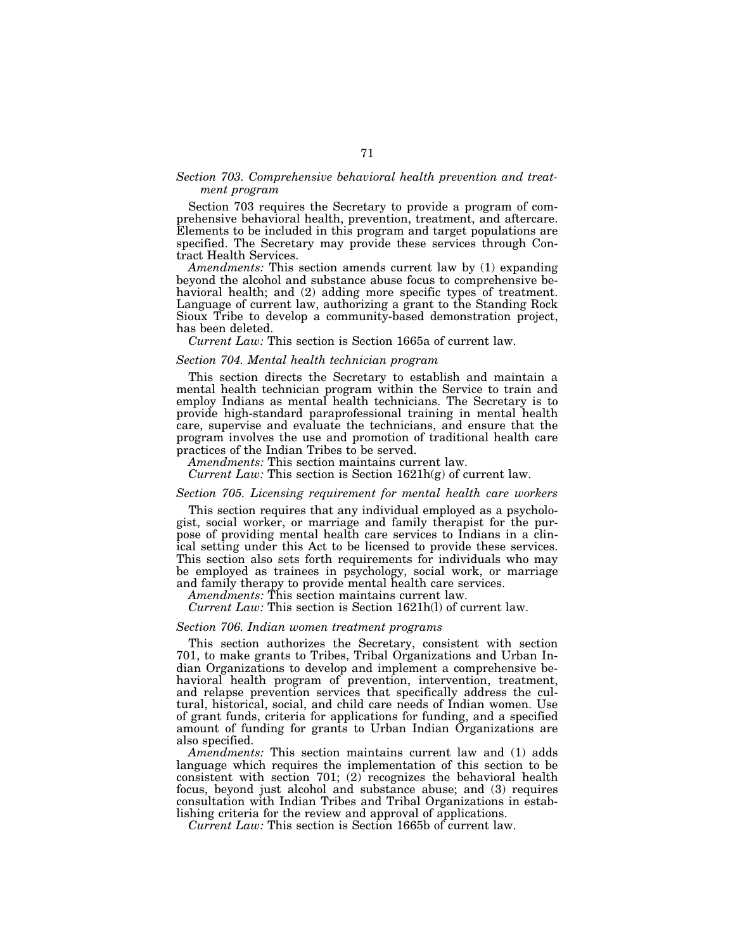## *Section 703. Comprehensive behavioral health prevention and treatment program*

Section 703 requires the Secretary to provide a program of comprehensive behavioral health, prevention, treatment, and aftercare. Elements to be included in this program and target populations are specified. The Secretary may provide these services through Contract Health Services.

*Amendments:* This section amends current law by (1) expanding beyond the alcohol and substance abuse focus to comprehensive behavioral health; and (2) adding more specific types of treatment. Language of current law, authorizing a grant to the Standing Rock Sioux Tribe to develop a community-based demonstration project, has been deleted.

*Current Law:* This section is Section 1665a of current law.

#### *Section 704. Mental health technician program*

This section directs the Secretary to establish and maintain a mental health technician program within the Service to train and employ Indians as mental health technicians. The Secretary is to provide high-standard paraprofessional training in mental health care, supervise and evaluate the technicians, and ensure that the program involves the use and promotion of traditional health care practices of the Indian Tribes to be served.

*Amendments:* This section maintains current law.

*Current Law:* This section is Section 1621h(g) of current law.

## *Section 705. Licensing requirement for mental health care workers*

This section requires that any individual employed as a psychologist, social worker, or marriage and family therapist for the purpose of providing mental health care services to Indians in a clinical setting under this Act to be licensed to provide these services. This section also sets forth requirements for individuals who may be employed as trainees in psychology, social work, or marriage and family therapy to provide mental health care services.

*Amendments:* This section maintains current law.

*Current Law:* This section is Section 1621h(l) of current law.

# *Section 706. Indian women treatment programs*

This section authorizes the Secretary, consistent with section 701, to make grants to Tribes, Tribal Organizations and Urban Indian Organizations to develop and implement a comprehensive behavioral health program of prevention, intervention, treatment, and relapse prevention services that specifically address the cultural, historical, social, and child care needs of Indian women. Use of grant funds, criteria for applications for funding, and a specified amount of funding for grants to Urban Indian Organizations are also specified.

*Amendments:* This section maintains current law and (1) adds language which requires the implementation of this section to be consistent with section 701;  $(2)$  recognizes the behavioral health focus, beyond just alcohol and substance abuse; and (3) requires consultation with Indian Tribes and Tribal Organizations in establishing criteria for the review and approval of applications.

*Current Law:* This section is Section 1665b of current law.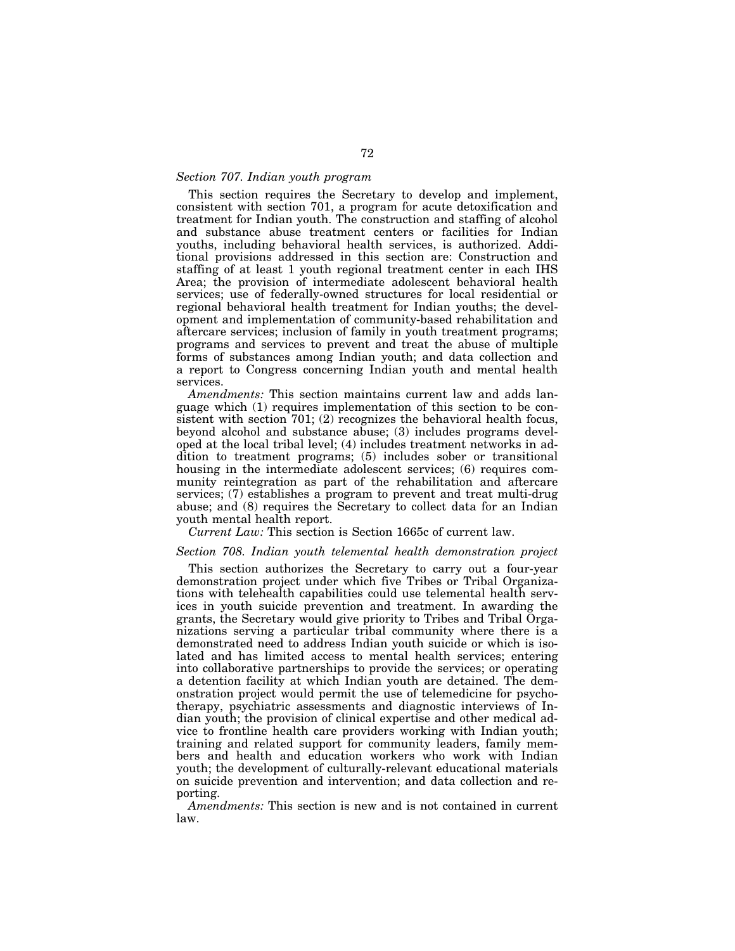## *Section 707. Indian youth program*

This section requires the Secretary to develop and implement, consistent with section 701, a program for acute detoxification and treatment for Indian youth. The construction and staffing of alcohol and substance abuse treatment centers or facilities for Indian youths, including behavioral health services, is authorized. Additional provisions addressed in this section are: Construction and staffing of at least 1 youth regional treatment center in each IHS Area; the provision of intermediate adolescent behavioral health services; use of federally-owned structures for local residential or regional behavioral health treatment for Indian youths; the development and implementation of community-based rehabilitation and aftercare services; inclusion of family in youth treatment programs; programs and services to prevent and treat the abuse of multiple forms of substances among Indian youth; and data collection and a report to Congress concerning Indian youth and mental health services.

*Amendments:* This section maintains current law and adds language which (1) requires implementation of this section to be consistent with section 701; (2) recognizes the behavioral health focus, beyond alcohol and substance abuse; (3) includes programs developed at the local tribal level; (4) includes treatment networks in addition to treatment programs; (5) includes sober or transitional housing in the intermediate adolescent services; (6) requires community reintegration as part of the rehabilitation and aftercare services; (7) establishes a program to prevent and treat multi-drug abuse; and (8) requires the Secretary to collect data for an Indian youth mental health report.

*Current Law:* This section is Section 1665c of current law.

## *Section 708. Indian youth telemental health demonstration project*

This section authorizes the Secretary to carry out a four-year demonstration project under which five Tribes or Tribal Organizations with telehealth capabilities could use telemental health services in youth suicide prevention and treatment. In awarding the grants, the Secretary would give priority to Tribes and Tribal Organizations serving a particular tribal community where there is a demonstrated need to address Indian youth suicide or which is isolated and has limited access to mental health services; entering into collaborative partnerships to provide the services; or operating a detention facility at which Indian youth are detained. The demonstration project would permit the use of telemedicine for psychotherapy, psychiatric assessments and diagnostic interviews of Indian youth; the provision of clinical expertise and other medical advice to frontline health care providers working with Indian youth; training and related support for community leaders, family members and health and education workers who work with Indian youth; the development of culturally-relevant educational materials on suicide prevention and intervention; and data collection and reporting.

*Amendments:* This section is new and is not contained in current law.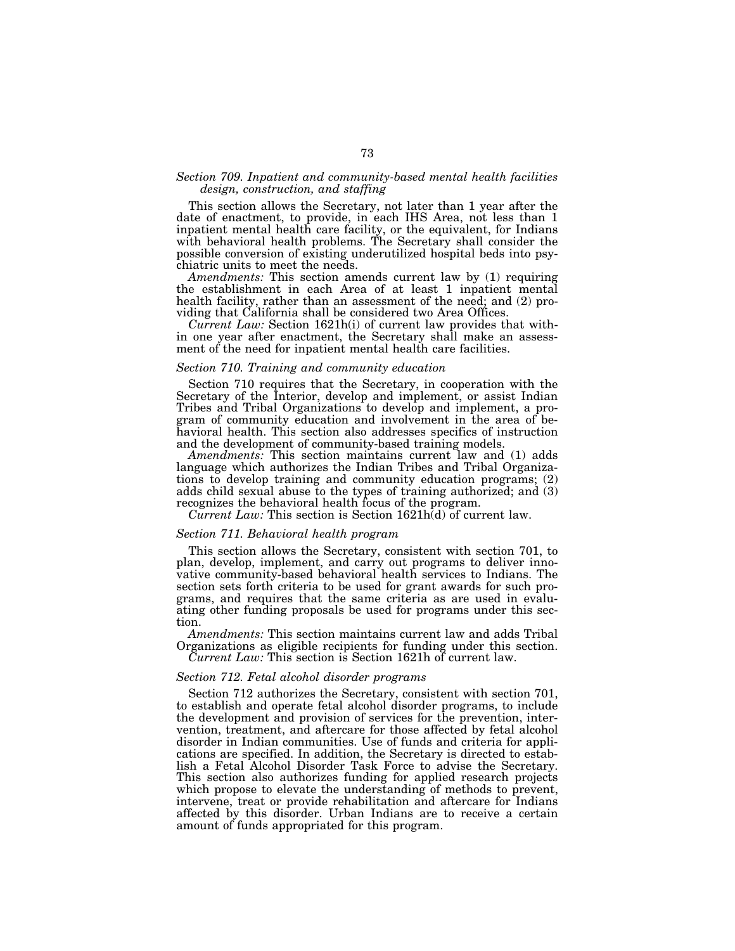## *Section 709. Inpatient and community-based mental health facilities design, construction, and staffing*

This section allows the Secretary, not later than 1 year after the date of enactment, to provide, in each IHS Area, not less than 1 inpatient mental health care facility, or the equivalent, for Indians with behavioral health problems. The Secretary shall consider the possible conversion of existing underutilized hospital beds into psychiatric units to meet the needs.

*Amendments:* This section amends current law by (1) requiring the establishment in each Area of at least 1 inpatient mental health facility, rather than an assessment of the need; and (2) providing that California shall be considered two Area Offices.

*Current Law:* Section 1621h(i) of current law provides that within one year after enactment, the Secretary shall make an assessment of the need for inpatient mental health care facilities.

# *Section 710. Training and community education*

Section 710 requires that the Secretary, in cooperation with the Secretary of the Interior, develop and implement, or assist Indian Tribes and Tribal Organizations to develop and implement, a program of community education and involvement in the area of behavioral health. This section also addresses specifics of instruction and the development of community-based training models.

*Amendments:* This section maintains current law and (1) adds language which authorizes the Indian Tribes and Tribal Organizations to develop training and community education programs; (2) adds child sexual abuse to the types of training authorized; and (3) recognizes the behavioral health focus of the program.

*Current Law:* This section is Section 1621h(d) of current law.

#### *Section 711. Behavioral health program*

This section allows the Secretary, consistent with section 701, to plan, develop, implement, and carry out programs to deliver innovative community-based behavioral health services to Indians. The section sets forth criteria to be used for grant awards for such programs, and requires that the same criteria as are used in evaluating other funding proposals be used for programs under this section.

*Amendments:* This section maintains current law and adds Tribal Organizations as eligible recipients for funding under this section. *Current Law:* This section is Section 1621h of current law.

#### *Section 712. Fetal alcohol disorder programs*

Section 712 authorizes the Secretary, consistent with section 701, to establish and operate fetal alcohol disorder programs, to include the development and provision of services for the prevention, intervention, treatment, and aftercare for those affected by fetal alcohol disorder in Indian communities. Use of funds and criteria for applications are specified. In addition, the Secretary is directed to establish a Fetal Alcohol Disorder Task Force to advise the Secretary. This section also authorizes funding for applied research projects which propose to elevate the understanding of methods to prevent, intervene, treat or provide rehabilitation and aftercare for Indians affected by this disorder. Urban Indians are to receive a certain amount of funds appropriated for this program.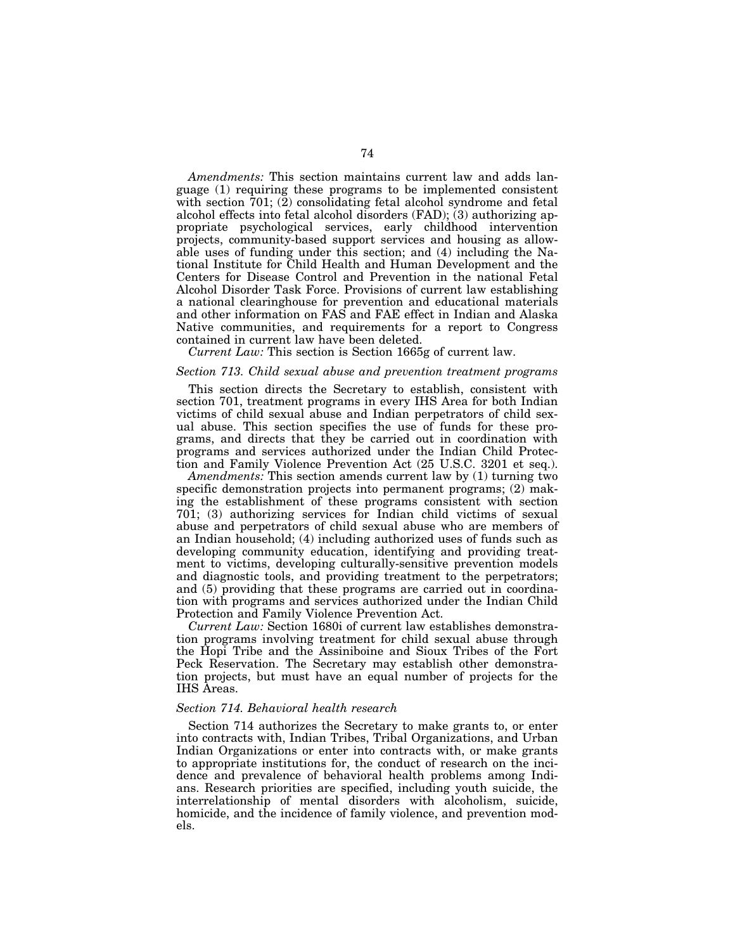*Amendments:* This section maintains current law and adds language (1) requiring these programs to be implemented consistent with section 701; (2) consolidating fetal alcohol syndrome and fetal alcohol effects into fetal alcohol disorders (FAD); (3) authorizing appropriate psychological services, early childhood intervention projects, community-based support services and housing as allowable uses of funding under this section; and (4) including the National Institute for Child Health and Human Development and the Centers for Disease Control and Prevention in the national Fetal Alcohol Disorder Task Force. Provisions of current law establishing a national clearinghouse for prevention and educational materials and other information on FAS and FAE effect in Indian and Alaska Native communities, and requirements for a report to Congress contained in current law have been deleted.

*Current Law:* This section is Section 1665g of current law.

#### *Section 713. Child sexual abuse and prevention treatment programs*

This section directs the Secretary to establish, consistent with section 701, treatment programs in every IHS Area for both Indian victims of child sexual abuse and Indian perpetrators of child sexual abuse. This section specifies the use of funds for these programs, and directs that they be carried out in coordination with programs and services authorized under the Indian Child Protection and Family Violence Prevention Act (25 U.S.C. 3201 et seq.).

*Amendments:* This section amends current law by (1) turning two specific demonstration projects into permanent programs; (2) making the establishment of these programs consistent with section 701; (3) authorizing services for Indian child victims of sexual abuse and perpetrators of child sexual abuse who are members of an Indian household; (4) including authorized uses of funds such as developing community education, identifying and providing treatment to victims, developing culturally-sensitive prevention models and diagnostic tools, and providing treatment to the perpetrators; and (5) providing that these programs are carried out in coordination with programs and services authorized under the Indian Child Protection and Family Violence Prevention Act.

*Current Law:* Section 1680i of current law establishes demonstration programs involving treatment for child sexual abuse through the Hopi Tribe and the Assiniboine and Sioux Tribes of the Fort Peck Reservation. The Secretary may establish other demonstration projects, but must have an equal number of projects for the IHS Areas.

# *Section 714. Behavioral health research*

Section 714 authorizes the Secretary to make grants to, or enter into contracts with, Indian Tribes, Tribal Organizations, and Urban Indian Organizations or enter into contracts with, or make grants to appropriate institutions for, the conduct of research on the incidence and prevalence of behavioral health problems among Indians. Research priorities are specified, including youth suicide, the interrelationship of mental disorders with alcoholism, suicide, homicide, and the incidence of family violence, and prevention models.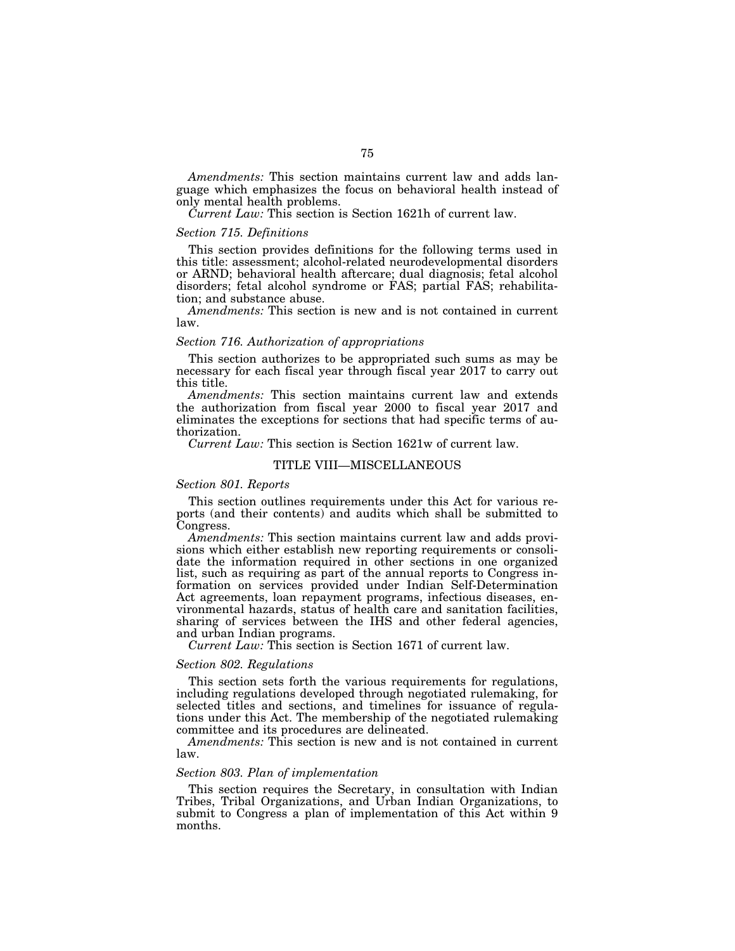*Amendments:* This section maintains current law and adds language which emphasizes the focus on behavioral health instead of only mental health problems.

*Current Law:* This section is Section 1621h of current law.

## *Section 715. Definitions*

This section provides definitions for the following terms used in this title: assessment; alcohol-related neurodevelopmental disorders or ARND; behavioral health aftercare; dual diagnosis; fetal alcohol disorders; fetal alcohol syndrome or FAS; partial FAS; rehabilitation; and substance abuse.

*Amendments:* This section is new and is not contained in current law.

### *Section 716. Authorization of appropriations*

This section authorizes to be appropriated such sums as may be necessary for each fiscal year through fiscal year 2017 to carry out this title.

*Amendments:* This section maintains current law and extends the authorization from fiscal year 2000 to fiscal year 2017 and eliminates the exceptions for sections that had specific terms of authorization.

*Current Law:* This section is Section 1621w of current law.

#### TITLE VIII—MISCELLANEOUS

#### *Section 801. Reports*

This section outlines requirements under this Act for various reports (and their contents) and audits which shall be submitted to Congress.

*Amendments:* This section maintains current law and adds provisions which either establish new reporting requirements or consolidate the information required in other sections in one organized list, such as requiring as part of the annual reports to Congress information on services provided under Indian Self-Determination Act agreements, loan repayment programs, infectious diseases, environmental hazards, status of health care and sanitation facilities, sharing of services between the IHS and other federal agencies, and urban Indian programs.

*Current Law:* This section is Section 1671 of current law.

## *Section 802. Regulations*

This section sets forth the various requirements for regulations, including regulations developed through negotiated rulemaking, for selected titles and sections, and timelines for issuance of regulations under this Act. The membership of the negotiated rulemaking committee and its procedures are delineated.

*Amendments:* This section is new and is not contained in current law.

## *Section 803. Plan of implementation*

This section requires the Secretary, in consultation with Indian Tribes, Tribal Organizations, and Urban Indian Organizations, to submit to Congress a plan of implementation of this Act within 9 months.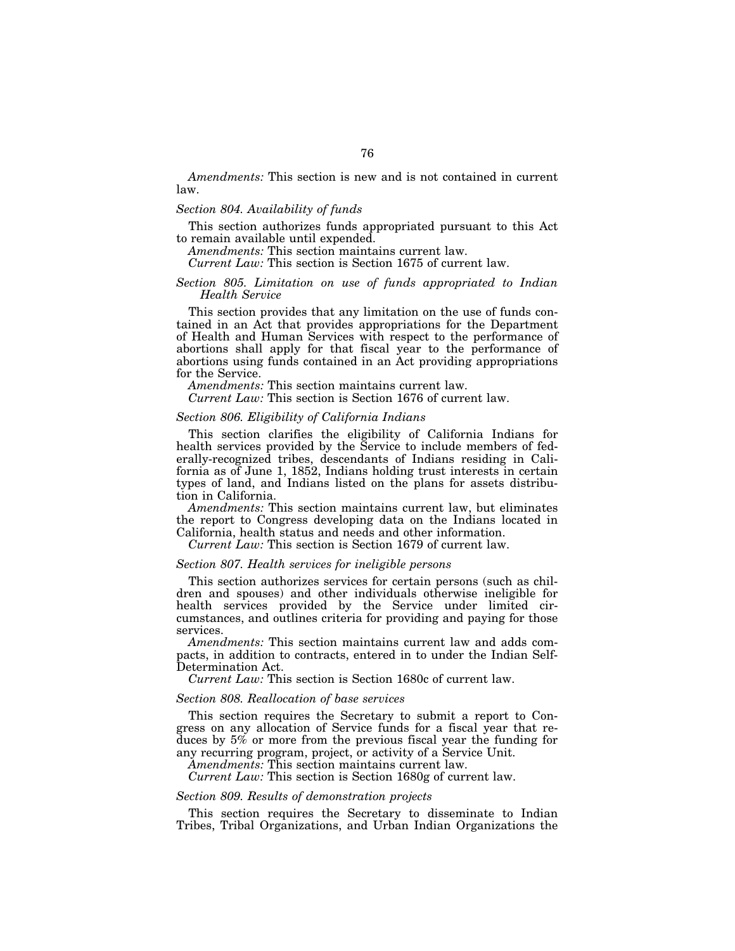*Amendments:* This section is new and is not contained in current law.

## *Section 804. Availability of funds*

This section authorizes funds appropriated pursuant to this Act to remain available until expended.

*Amendments:* This section maintains current law.

*Current Law:* This section is Section 1675 of current law.

# *Section 805. Limitation on use of funds appropriated to Indian Health Service*

This section provides that any limitation on the use of funds contained in an Act that provides appropriations for the Department of Health and Human Services with respect to the performance of abortions shall apply for that fiscal year to the performance of abortions using funds contained in an Act providing appropriations for the Service.

*Amendments:* This section maintains current law.

*Current Law:* This section is Section 1676 of current law.

## *Section 806. Eligibility of California Indians*

This section clarifies the eligibility of California Indians for health services provided by the Service to include members of federally-recognized tribes, descendants of Indians residing in California as of June 1, 1852, Indians holding trust interests in certain types of land, and Indians listed on the plans for assets distribution in California.

*Amendments:* This section maintains current law, but eliminates the report to Congress developing data on the Indians located in California, health status and needs and other information.

*Current Law:* This section is Section 1679 of current law.

## *Section 807. Health services for ineligible persons*

This section authorizes services for certain persons (such as children and spouses) and other individuals otherwise ineligible for health services provided by the Service under limited circumstances, and outlines criteria for providing and paying for those services.

*Amendments:* This section maintains current law and adds compacts, in addition to contracts, entered in to under the Indian Self-Determination Act.

*Current Law:* This section is Section 1680c of current law.

## *Section 808. Reallocation of base services*

This section requires the Secretary to submit a report to Congress on any allocation of Service funds for a fiscal year that reduces by 5% or more from the previous fiscal year the funding for any recurring program, project, or activity of a Service Unit.

*Amendments:* This section maintains current law.

*Current Law:* This section is Section 1680g of current law.

### *Section 809. Results of demonstration projects*

This section requires the Secretary to disseminate to Indian Tribes, Tribal Organizations, and Urban Indian Organizations the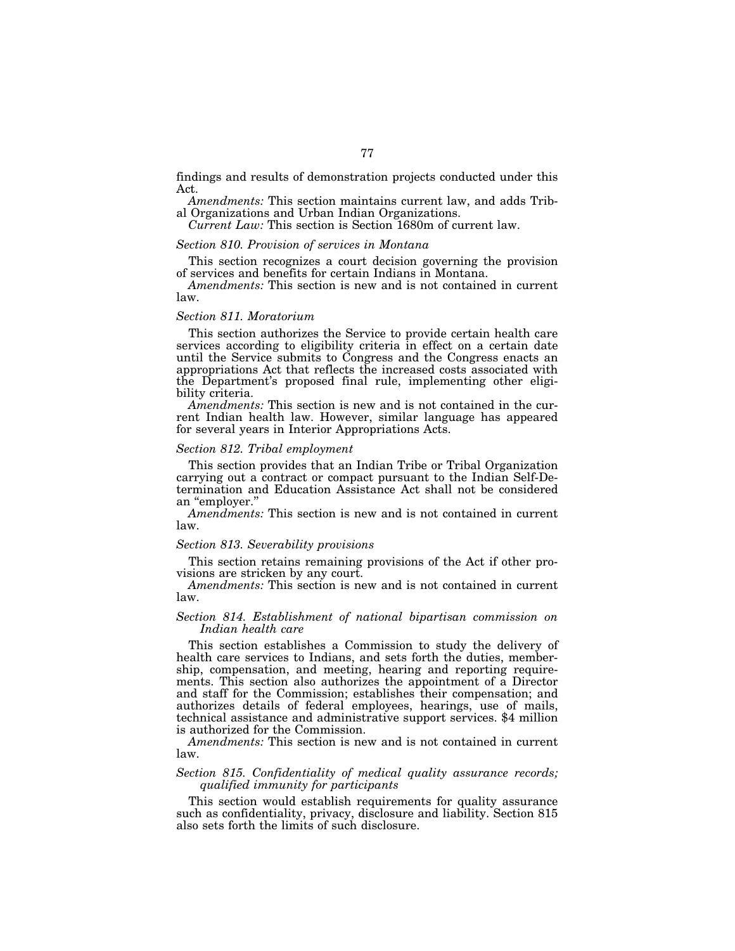findings and results of demonstration projects conducted under this Act.

*Amendments:* This section maintains current law, and adds Tribal Organizations and Urban Indian Organizations.

*Current Law:* This section is Section 1680m of current law.

# *Section 810. Provision of services in Montana*

This section recognizes a court decision governing the provision of services and benefits for certain Indians in Montana.

*Amendments:* This section is new and is not contained in current law.

#### *Section 811. Moratorium*

This section authorizes the Service to provide certain health care services according to eligibility criteria in effect on a certain date until the Service submits to Congress and the Congress enacts an appropriations Act that reflects the increased costs associated with the Department's proposed final rule, implementing other eligibility criteria.

*Amendments:* This section is new and is not contained in the current Indian health law. However, similar language has appeared for several years in Interior Appropriations Acts.

# *Section 812. Tribal employment*

This section provides that an Indian Tribe or Tribal Organization carrying out a contract or compact pursuant to the Indian Self-Determination and Education Assistance Act shall not be considered

Amendments: This section is new and is not contained in current law.

#### *Section 813. Severability provisions*

This section retains remaining provisions of the Act if other provisions are stricken by any court.

*Amendments:* This section is new and is not contained in current law.

## *Section 814. Establishment of national bipartisan commission on Indian health care*

This section establishes a Commission to study the delivery of health care services to Indians, and sets forth the duties, membership, compensation, and meeting, hearing and reporting requirements. This section also authorizes the appointment of a Director and staff for the Commission; establishes their compensation; and authorizes details of federal employees, hearings, use of mails, technical assistance and administrative support services. \$4 million is authorized for the Commission.

*Amendments:* This section is new and is not contained in current law.

## *Section 815. Confidentiality of medical quality assurance records; qualified immunity for participants*

This section would establish requirements for quality assurance such as confidentiality, privacy, disclosure and liability. Section 815 also sets forth the limits of such disclosure.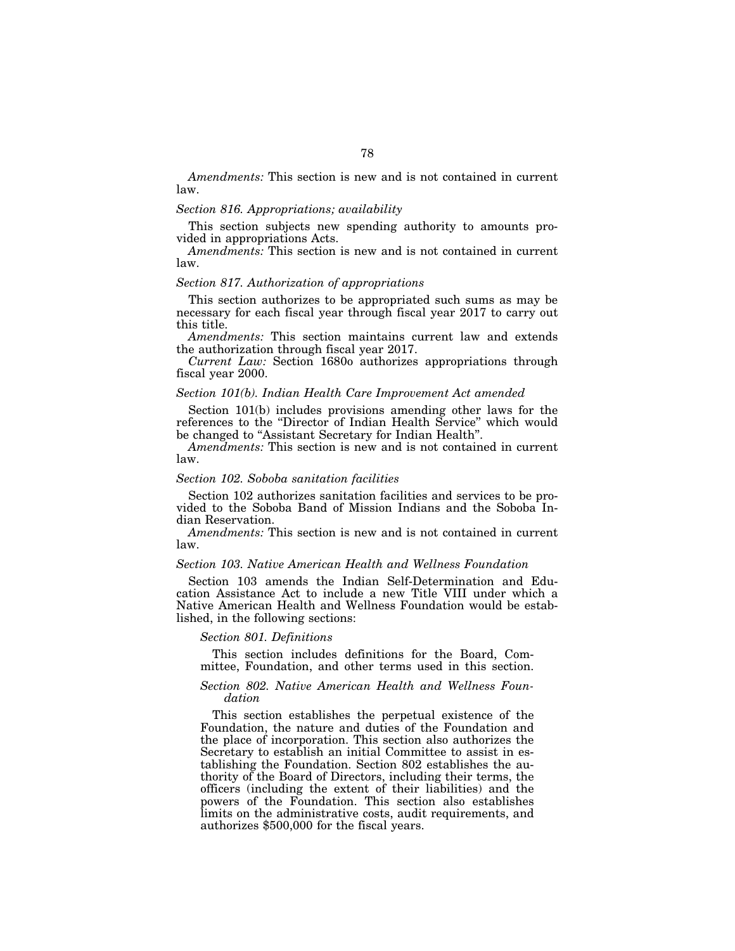*Amendments:* This section is new and is not contained in current law.

# *Section 816. Appropriations; availability*

This section subjects new spending authority to amounts provided in appropriations Acts.

*Amendments:* This section is new and is not contained in current law.

### *Section 817. Authorization of appropriations*

This section authorizes to be appropriated such sums as may be necessary for each fiscal year through fiscal year 2017 to carry out this title.

*Amendments:* This section maintains current law and extends the authorization through fiscal year 2017.

*Current Law:* Section 1680o authorizes appropriations through fiscal year 2000.

#### *Section 101(b). Indian Health Care Improvement Act amended*

Section 101(b) includes provisions amending other laws for the references to the ''Director of Indian Health Service'' which would be changed to "Assistant Secretary for Indian Health".

*Amendments:* This section is new and is not contained in current law.

#### *Section 102. Soboba sanitation facilities*

Section 102 authorizes sanitation facilities and services to be provided to the Soboba Band of Mission Indians and the Soboba Indian Reservation.

*Amendments:* This section is new and is not contained in current law.

## *Section 103. Native American Health and Wellness Foundation*

Section 103 amends the Indian Self-Determination and Education Assistance Act to include a new Title VIII under which a Native American Health and Wellness Foundation would be established, in the following sections:

#### *Section 801. Definitions*

This section includes definitions for the Board, Committee, Foundation, and other terms used in this section.

# *Section 802. Native American Health and Wellness Foundation*

This section establishes the perpetual existence of the Foundation, the nature and duties of the Foundation and the place of incorporation. This section also authorizes the Secretary to establish an initial Committee to assist in establishing the Foundation. Section 802 establishes the authority of the Board of Directors, including their terms, the officers (including the extent of their liabilities) and the powers of the Foundation. This section also establishes limits on the administrative costs, audit requirements, and authorizes \$500,000 for the fiscal years.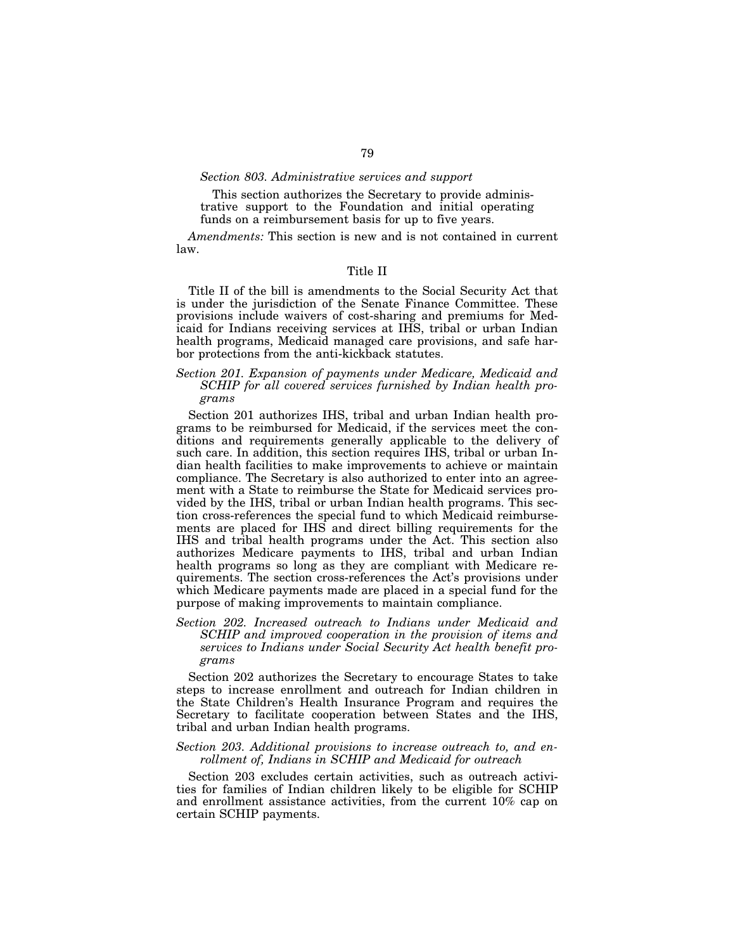## *Section 803. Administrative services and support*

This section authorizes the Secretary to provide administrative support to the Foundation and initial operating funds on a reimbursement basis for up to five years.

*Amendments:* This section is new and is not contained in current law.

#### Title II

Title II of the bill is amendments to the Social Security Act that is under the jurisdiction of the Senate Finance Committee. These provisions include waivers of cost-sharing and premiums for Medicaid for Indians receiving services at IHS, tribal or urban Indian health programs, Medicaid managed care provisions, and safe harbor protections from the anti-kickback statutes.

# *Section 201. Expansion of payments under Medicare, Medicaid and SCHIP for all covered services furnished by Indian health programs*

Section 201 authorizes IHS, tribal and urban Indian health programs to be reimbursed for Medicaid, if the services meet the conditions and requirements generally applicable to the delivery of such care. In addition, this section requires IHS, tribal or urban Indian health facilities to make improvements to achieve or maintain compliance. The Secretary is also authorized to enter into an agreement with a State to reimburse the State for Medicaid services provided by the IHS, tribal or urban Indian health programs. This section cross-references the special fund to which Medicaid reimbursements are placed for IHS and direct billing requirements for the IHS and tribal health programs under the Act. This section also authorizes Medicare payments to IHS, tribal and urban Indian health programs so long as they are compliant with Medicare requirements. The section cross-references the Act's provisions under which Medicare payments made are placed in a special fund for the purpose of making improvements to maintain compliance.

*Section 202. Increased outreach to Indians under Medicaid and SCHIP and improved cooperation in the provision of items and services to Indians under Social Security Act health benefit programs* 

Section 202 authorizes the Secretary to encourage States to take steps to increase enrollment and outreach for Indian children in the State Children's Health Insurance Program and requires the Secretary to facilitate cooperation between States and the IHS, tribal and urban Indian health programs.

# *Section 203. Additional provisions to increase outreach to, and enrollment of, Indians in SCHIP and Medicaid for outreach*

Section 203 excludes certain activities, such as outreach activities for families of Indian children likely to be eligible for SCHIP and enrollment assistance activities, from the current 10% cap on certain SCHIP payments.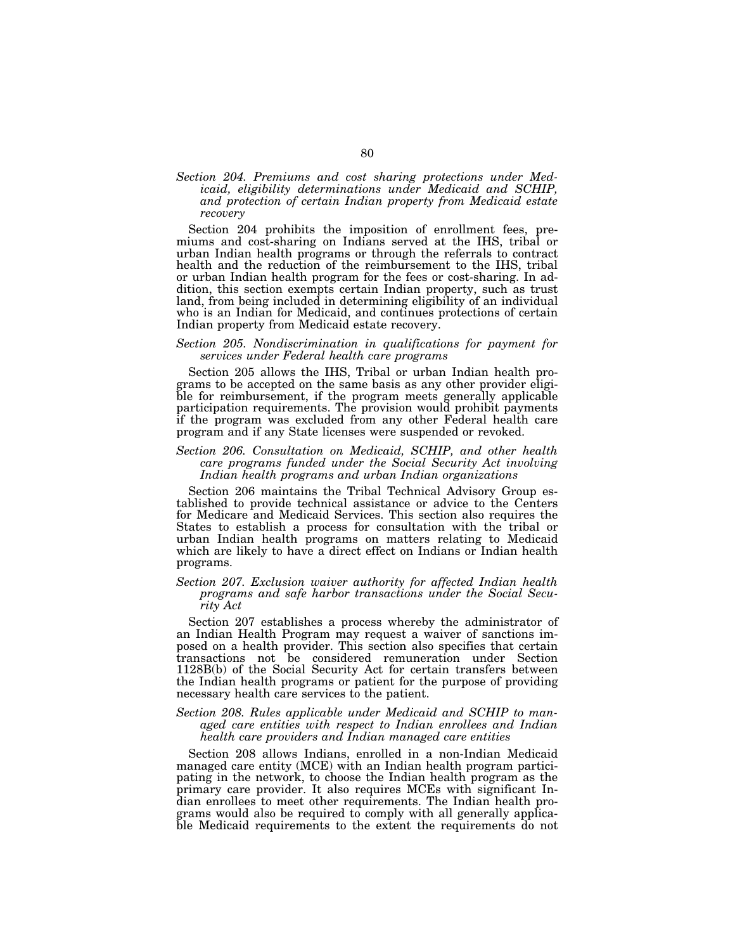# *Section 204. Premiums and cost sharing protections under Medicaid, eligibility determinations under Medicaid and SCHIP, and protection of certain Indian property from Medicaid estate recovery*

Section 204 prohibits the imposition of enrollment fees, premiums and cost-sharing on Indians served at the IHS, tribal or urban Indian health programs or through the referrals to contract health and the reduction of the reimbursement to the IHS, tribal or urban Indian health program for the fees or cost-sharing. In addition, this section exempts certain Indian property, such as trust land, from being included in determining eligibility of an individual who is an Indian for Medicaid, and continues protections of certain Indian property from Medicaid estate recovery.

## *Section 205. Nondiscrimination in qualifications for payment for services under Federal health care programs*

Section 205 allows the IHS, Tribal or urban Indian health programs to be accepted on the same basis as any other provider eligible for reimbursement, if the program meets generally applicable participation requirements. The provision would prohibit payments if the program was excluded from any other Federal health care program and if any State licenses were suspended or revoked.

# *Section 206. Consultation on Medicaid, SCHIP, and other health care programs funded under the Social Security Act involving Indian health programs and urban Indian organizations*

Section 206 maintains the Tribal Technical Advisory Group established to provide technical assistance or advice to the Centers for Medicare and Medicaid Services. This section also requires the States to establish a process for consultation with the tribal or urban Indian health programs on matters relating to Medicaid which are likely to have a direct effect on Indians or Indian health programs.

# *Section 207. Exclusion waiver authority for affected Indian health programs and safe harbor transactions under the Social Security Act*

Section 207 establishes a process whereby the administrator of an Indian Health Program may request a waiver of sanctions imposed on a health provider. This section also specifies that certain transactions not be considered remuneration under Section 1128B(b) of the Social Security Act for certain transfers between the Indian health programs or patient for the purpose of providing necessary health care services to the patient.

# *Section 208. Rules applicable under Medicaid and SCHIP to managed care entities with respect to Indian enrollees and Indian health care providers and Indian managed care entities*

Section 208 allows Indians, enrolled in a non-Indian Medicaid managed care entity (MCE) with an Indian health program participating in the network, to choose the Indian health program as the primary care provider. It also requires MCEs with significant Indian enrollees to meet other requirements. The Indian health programs would also be required to comply with all generally applicable Medicaid requirements to the extent the requirements do not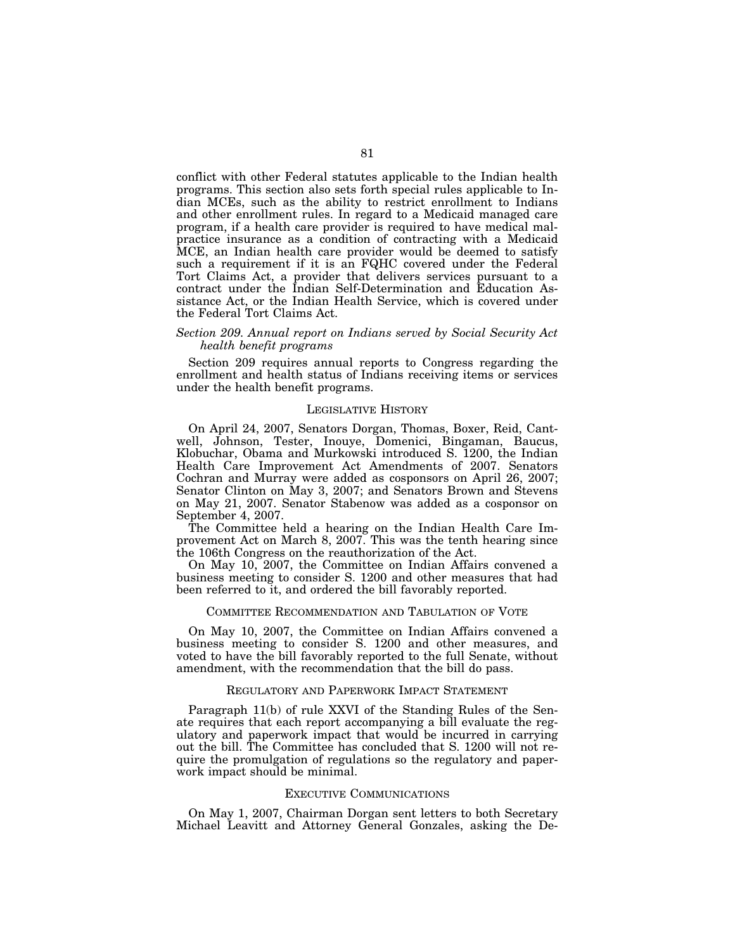conflict with other Federal statutes applicable to the Indian health programs. This section also sets forth special rules applicable to Indian MCEs, such as the ability to restrict enrollment to Indians and other enrollment rules. In regard to a Medicaid managed care program, if a health care provider is required to have medical malpractice insurance as a condition of contracting with a Medicaid MCE, an Indian health care provider would be deemed to satisfy such a requirement if it is an FQHC covered under the Federal Tort Claims Act, a provider that delivers services pursuant to a contract under the Indian Self-Determination and Education Assistance Act, or the Indian Health Service, which is covered under the Federal Tort Claims Act.

# *Section 209. Annual report on Indians served by Social Security Act health benefit programs*

Section 209 requires annual reports to Congress regarding the enrollment and health status of Indians receiving items or services under the health benefit programs.

#### LEGISLATIVE HISTORY

On April 24, 2007, Senators Dorgan, Thomas, Boxer, Reid, Cantwell, Johnson, Tester, Inouye, Domenici, Bingaman, Baucus, Klobuchar, Obama and Murkowski introduced S. 1200, the Indian Health Care Improvement Act Amendments of 2007. Senators Cochran and Murray were added as cosponsors on April 26, 2007; Senator Clinton on May 3, 2007; and Senators Brown and Stevens on May 21, 2007. Senator Stabenow was added as a cosponsor on September 4, 2007.

The Committee held a hearing on the Indian Health Care Improvement Act on March 8, 2007. This was the tenth hearing since the 106th Congress on the reauthorization of the Act.

On May 10, 2007, the Committee on Indian Affairs convened a business meeting to consider S. 1200 and other measures that had been referred to it, and ordered the bill favorably reported.

#### COMMITTEE RECOMMENDATION AND TABULATION OF VOTE

On May 10, 2007, the Committee on Indian Affairs convened a business meeting to consider S. 1200 and other measures, and voted to have the bill favorably reported to the full Senate, without amendment, with the recommendation that the bill do pass.

#### REGULATORY AND PAPERWORK IMPACT STATEMENT

Paragraph 11(b) of rule XXVI of the Standing Rules of the Senate requires that each report accompanying a bill evaluate the regulatory and paperwork impact that would be incurred in carrying out the bill. The Committee has concluded that S. 1200 will not require the promulgation of regulations so the regulatory and paperwork impact should be minimal.

# EXECUTIVE COMMUNICATIONS

On May 1, 2007, Chairman Dorgan sent letters to both Secretary Michael Leavitt and Attorney General Gonzales, asking the De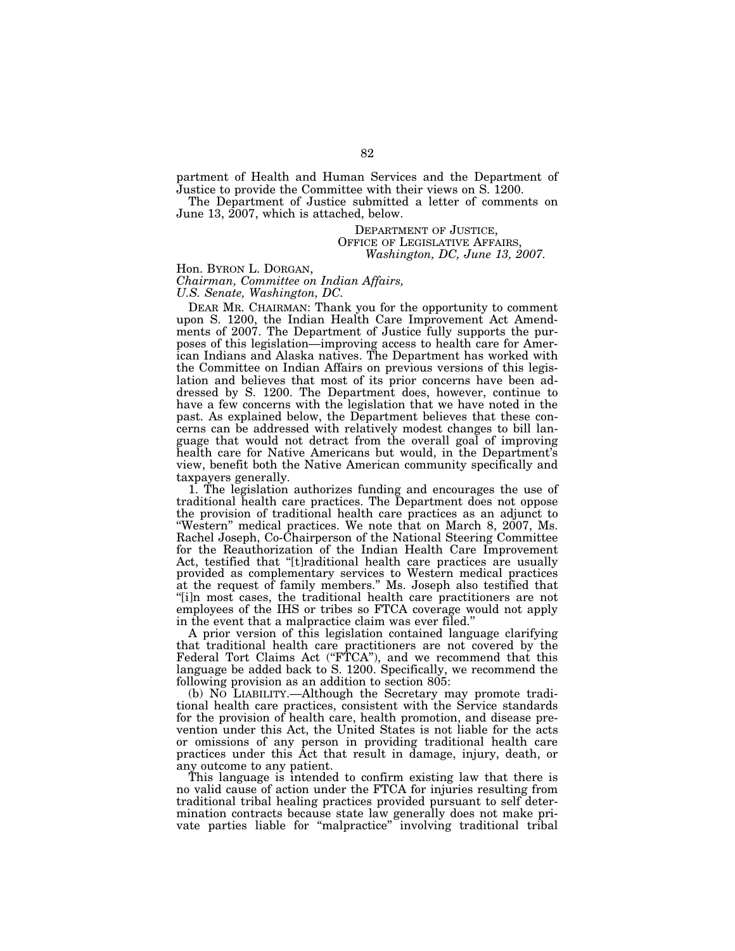partment of Health and Human Services and the Department of Justice to provide the Committee with their views on S. 1200.

The Department of Justice submitted a letter of comments on June 13, 2007, which is attached, below.

> DEPARTMENT OF JUSTICE, OFFICE OF LEGISLATIVE AFFAIRS, *Washington, DC, June 13, 2007.*

Hon. BYRON L. DORGAN,

*Chairman, Committee on Indian Affairs,* 

*U.S. Senate, Washington, DC.* 

DEAR MR. CHAIRMAN: Thank you for the opportunity to comment upon S. 1200, the Indian Health Care Improvement Act Amendments of 2007. The Department of Justice fully supports the purposes of this legislation—improving access to health care for American Indians and Alaska natives. The Department has worked with the Committee on Indian Affairs on previous versions of this legislation and believes that most of its prior concerns have been addressed by S. 1200. The Department does, however, continue to have a few concerns with the legislation that we have noted in the past. As explained below, the Department believes that these concerns can be addressed with relatively modest changes to bill language that would not detract from the overall goal of improving health care for Native Americans but would, in the Department's view, benefit both the Native American community specifically and taxpayers generally.

1. The legislation authorizes funding and encourages the use of traditional health care practices. The Department does not oppose the provision of traditional health care practices as an adjunct to ''Western'' medical practices. We note that on March 8, 2007, Ms. Rachel Joseph, Co-Chairperson of the National Steering Committee for the Reauthorization of the Indian Health Care Improvement Act, testified that "[t]raditional health care practices are usually provided as complementary services to Western medical practices at the request of family members.'' Ms. Joseph also testified that "[i]n most cases, the traditional health care practitioners are not employees of the IHS or tribes so FTCA coverage would not apply in the event that a malpractice claim was ever filed.''

A prior version of this legislation contained language clarifying that traditional health care practitioners are not covered by the Federal Tort Claims Act ("FTCA"), and we recommend that this language be added back to S. 1200. Specifically, we recommend the following provision as an addition to section 805:

(b) NO LIABILITY.—Although the Secretary may promote traditional health care practices, consistent with the Service standards for the provision of health care, health promotion, and disease prevention under this Act, the United States is not liable for the acts or omissions of any person in providing traditional health care practices under this Act that result in damage, injury, death, or any outcome to any patient.

This language is intended to confirm existing law that there is no valid cause of action under the FTCA for injuries resulting from traditional tribal healing practices provided pursuant to self determination contracts because state law generally does not make private parties liable for ''malpractice'' involving traditional tribal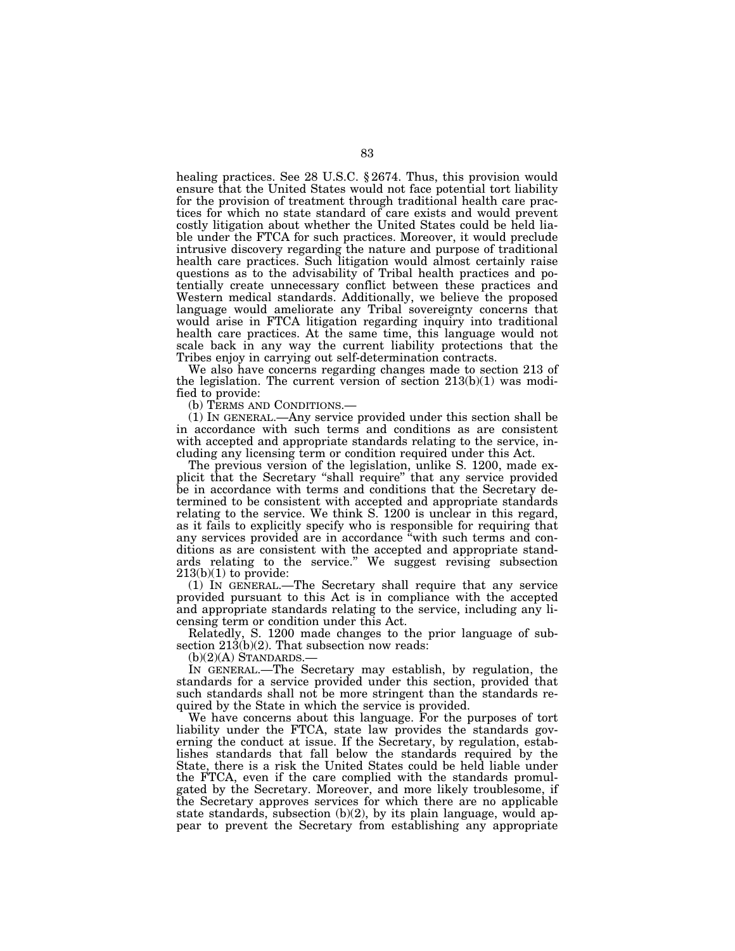healing practices. See 28 U.S.C. § 2674. Thus, this provision would ensure that the United States would not face potential tort liability for the provision of treatment through traditional health care practices for which no state standard of care exists and would prevent costly litigation about whether the United States could be held liable under the FTCA for such practices. Moreover, it would preclude intrusive discovery regarding the nature and purpose of traditional health care practices. Such litigation would almost certainly raise questions as to the advisability of Tribal health practices and potentially create unnecessary conflict between these practices and Western medical standards. Additionally, we believe the proposed language would ameliorate any Tribal sovereignty concerns that would arise in FTCA litigation regarding inquiry into traditional health care practices. At the same time, this language would not scale back in any way the current liability protections that the Tribes enjoy in carrying out self-determination contracts.

We also have concerns regarding changes made to section 213 of the legislation. The current version of section 213(b)(1) was modified to provide:

(b) TERMS AND CONDITIONS.—

(1) IN GENERAL.—Any service provided under this section shall be in accordance with such terms and conditions as are consistent with accepted and appropriate standards relating to the service, including any licensing term or condition required under this Act.

The previous version of the legislation, unlike S. 1200, made explicit that the Secretary ''shall require'' that any service provided be in accordance with terms and conditions that the Secretary determined to be consistent with accepted and appropriate standards relating to the service. We think S. 1200 is unclear in this regard, as it fails to explicitly specify who is responsible for requiring that any services provided are in accordance ''with such terms and conditions as are consistent with the accepted and appropriate standards relating to the service.'' We suggest revising subsection  $213(b)(1)$  to provide:

(1) IN GENERAL.—The Secretary shall require that any service provided pursuant to this Act is in compliance with the accepted and appropriate standards relating to the service, including any licensing term or condition under this Act.

Relatedly, S. 1200 made changes to the prior language of subsection  $21\overline{3}$ (b)(2). That subsection now reads:

 $(b)(2)(A)$  STANDARDS.

IN GENERAL.—The Secretary may establish, by regulation, the standards for a service provided under this section, provided that such standards shall not be more stringent than the standards required by the State in which the service is provided.

We have concerns about this language. For the purposes of tort liability under the FTCA, state law provides the standards governing the conduct at issue. If the Secretary, by regulation, establishes standards that fall below the standards required by the State, there is a risk the United States could be held liable under the FTCA, even if the care complied with the standards promulgated by the Secretary. Moreover, and more likely troublesome, if the Secretary approves services for which there are no applicable state standards, subsection  $(b)(2)$ , by its plain language, would appear to prevent the Secretary from establishing any appropriate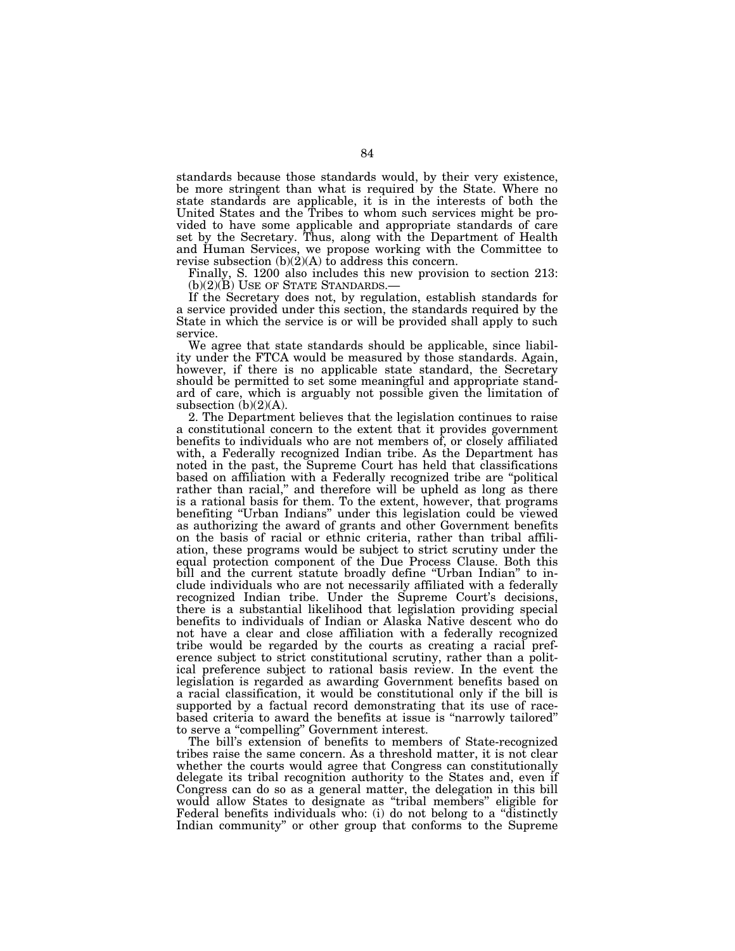standards because those standards would, by their very existence, be more stringent than what is required by the State. Where no state standards are applicable, it is in the interests of both the United States and the Tribes to whom such services might be provided to have some applicable and appropriate standards of care set by the Secretary. Thus, along with the Department of Health and Human Services, we propose working with the Committee to revise subsection  $(b)(2)(A)$  to address this concern.

Finally, S. 1200 also includes this new provision to section 213:<br>(b)(2)(B) USE OF STATE STANDARDS.—

If the Secretary does not, by regulation, establish standards for a service provided under this section, the standards required by the State in which the service is or will be provided shall apply to such service.

We agree that state standards should be applicable, since liability under the FTCA would be measured by those standards. Again, however, if there is no applicable state standard, the Secretary should be permitted to set some meaningful and appropriate standard of care, which is arguably not possible given the limitation of subsection  $(b)(2)(A)$ .

2. The Department believes that the legislation continues to raise a constitutional concern to the extent that it provides government benefits to individuals who are not members of, or closely affiliated with, a Federally recognized Indian tribe. As the Department has noted in the past, the Supreme Court has held that classifications based on affiliation with a Federally recognized tribe are ''political rather than racial," and therefore will be upheld as long as there is a rational basis for them. To the extent, however, that programs benefiting ''Urban Indians'' under this legislation could be viewed as authorizing the award of grants and other Government benefits on the basis of racial or ethnic criteria, rather than tribal affiliation, these programs would be subject to strict scrutiny under the equal protection component of the Due Process Clause. Both this bill and the current statute broadly define "Urban Indian" to include individuals who are not necessarily affiliated with a federally recognized Indian tribe. Under the Supreme Court's decisions, there is a substantial likelihood that legislation providing special benefits to individuals of Indian or Alaska Native descent who do not have a clear and close affiliation with a federally recognized tribe would be regarded by the courts as creating a racial preference subject to strict constitutional scrutiny, rather than a political preference subject to rational basis review. In the event the legislation is regarded as awarding Government benefits based on a racial classification, it would be constitutional only if the bill is supported by a factual record demonstrating that its use of racebased criteria to award the benefits at issue is ''narrowly tailored'' to serve a ''compelling'' Government interest.

The bill's extension of benefits to members of State-recognized tribes raise the same concern. As a threshold matter, it is not clear whether the courts would agree that Congress can constitutionally delegate its tribal recognition authority to the States and, even if Congress can do so as a general matter, the delegation in this bill would allow States to designate as "tribal members" eligible for Federal benefits individuals who: (i) do not belong to a "distinctly Indian community'' or other group that conforms to the Supreme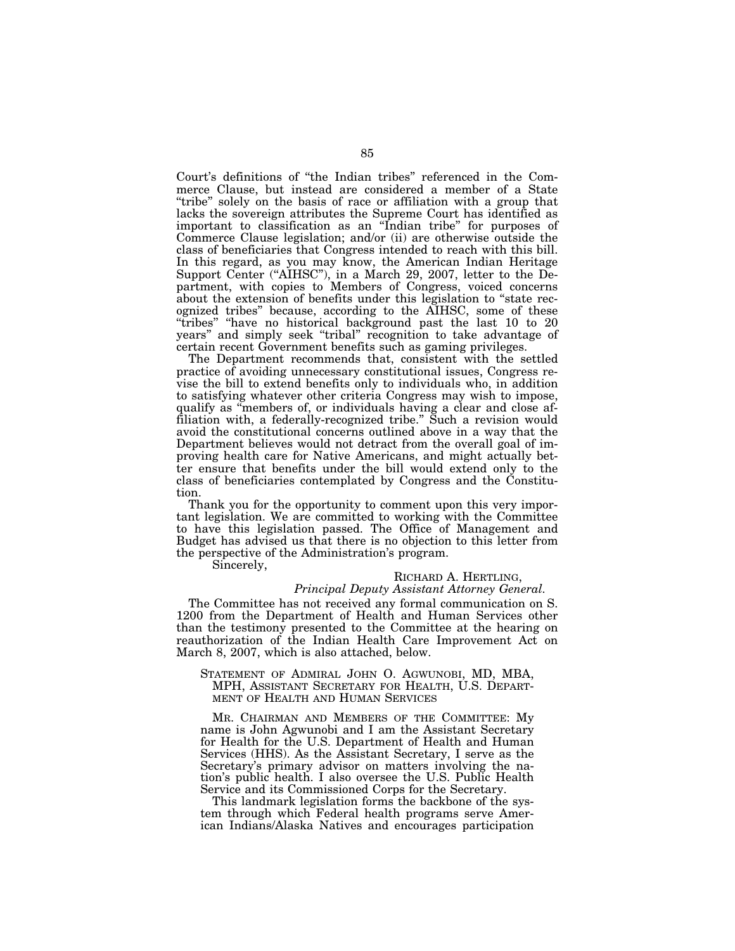Court's definitions of ''the Indian tribes'' referenced in the Commerce Clause, but instead are considered a member of a State "tribe" solely on the basis of race or affiliation with a group that lacks the sovereign attributes the Supreme Court has identified as important to classification as an ''Indian tribe'' for purposes of Commerce Clause legislation; and/or (ii) are otherwise outside the class of beneficiaries that Congress intended to reach with this bill. In this regard, as you may know, the American Indian Heritage Support Center ("AIHSC"), in a March 29, 2007, letter to the Department, with copies to Members of Congress, voiced concerns about the extension of benefits under this legislation to "state recognized tribes'' because, according to the AIHSC, some of these ''tribes'' ''have no historical background past the last 10 to 20 years'' and simply seek ''tribal'' recognition to take advantage of certain recent Government benefits such as gaming privileges.

The Department recommends that, consistent with the settled practice of avoiding unnecessary constitutional issues, Congress revise the bill to extend benefits only to individuals who, in addition to satisfying whatever other criteria Congress may wish to impose, qualify as ''members of, or individuals having a clear and close affiliation with, a federally-recognized tribe.'' Such a revision would avoid the constitutional concerns outlined above in a way that the Department believes would not detract from the overall goal of improving health care for Native Americans, and might actually better ensure that benefits under the bill would extend only to the class of beneficiaries contemplated by Congress and the Constitution.

Thank you for the opportunity to comment upon this very important legislation. We are committed to working with the Committee to have this legislation passed. The Office of Management and Budget has advised us that there is no objection to this letter from the perspective of the Administration's program.

Sincerely,

# RICHARD A. HERTLING,

# *Principal Deputy Assistant Attorney General.*  The Committee has not received any formal communication on S. 1200 from the Department of Health and Human Services other than the testimony presented to the Committee at the hearing on reauthorization of the Indian Health Care Improvement Act on March 8, 2007, which is also attached, below.

STATEMENT OF ADMIRAL JOHN O. AGWUNOBI, MD, MBA, MPH, ASSISTANT SECRETARY FOR HEALTH, U.S. DEPART-MENT OF HEALTH AND HUMAN SERVICES

MR. CHAIRMAN AND MEMBERS OF THE COMMITTEE: My name is John Agwunobi and I am the Assistant Secretary for Health for the U.S. Department of Health and Human Services (HHS). As the Assistant Secretary, I serve as the Secretary's primary advisor on matters involving the nation's public health. I also oversee the U.S. Public Health Service and its Commissioned Corps for the Secretary.

This landmark legislation forms the backbone of the system through which Federal health programs serve American Indians/Alaska Natives and encourages participation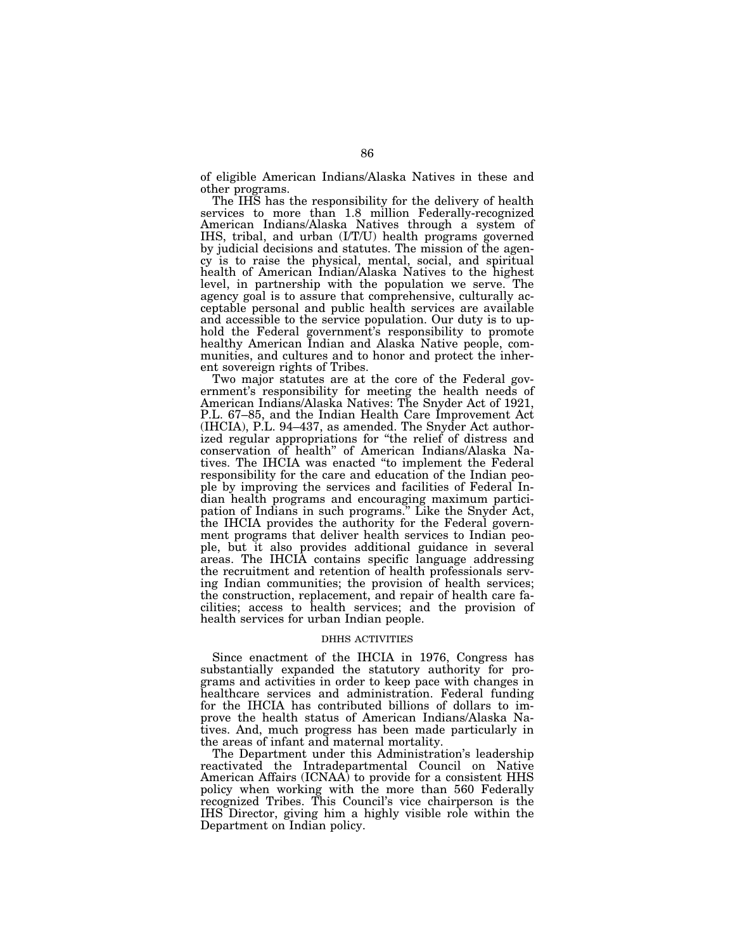of eligible American Indians/Alaska Natives in these and other programs.

The IHS has the responsibility for the delivery of health services to more than 1.8 million Federally-recognized American Indians/Alaska Natives through a system of IHS, tribal, and urban (I/T/U) health programs governed by judicial decisions and statutes. The mission of the agency is to raise the physical, mental, social, and spiritual health of American Indian/Alaska Natives to the highest level, in partnership with the population we serve. The agency goal is to assure that comprehensive, culturally acceptable personal and public health services are available and accessible to the service population. Our duty is to uphold the Federal government's responsibility to promote healthy American Indian and Alaska Native people, communities, and cultures and to honor and protect the inherent sovereign rights of Tribes.

Two major statutes are at the core of the Federal government's responsibility for meeting the health needs of American Indians/Alaska Natives: The Snyder Act of 1921, P.L. 67–85, and the Indian Health Care Improvement Act (IHCIA), P.L. 94–437, as amended. The Snyder Act authorized regular appropriations for ''the relief of distress and conservation of health'' of American Indians/Alaska Natives. The IHCIA was enacted ''to implement the Federal responsibility for the care and education of the Indian people by improving the services and facilities of Federal Indian health programs and encouraging maximum participation of Indians in such programs.'' Like the Snyder Act, the IHCIA provides the authority for the Federal government programs that deliver health services to Indian people, but it also provides additional guidance in several areas. The IHCIA contains specific language addressing the recruitment and retention of health professionals serving Indian communities; the provision of health services; the construction, replacement, and repair of health care facilities; access to health services; and the provision of health services for urban Indian people.

# DHHS ACTIVITIES

Since enactment of the IHCIA in 1976, Congress has substantially expanded the statutory authority for programs and activities in order to keep pace with changes in healthcare services and administration. Federal funding for the IHCIA has contributed billions of dollars to improve the health status of American Indians/Alaska Natives. And, much progress has been made particularly in the areas of infant and maternal mortality.

The Department under this Administration's leadership reactivated the Intradepartmental Council on Native American Affairs (ICNAA) to provide for a consistent HHS policy when working with the more than 560 Federally recognized Tribes. This Council's vice chairperson is the IHS Director, giving him a highly visible role within the Department on Indian policy.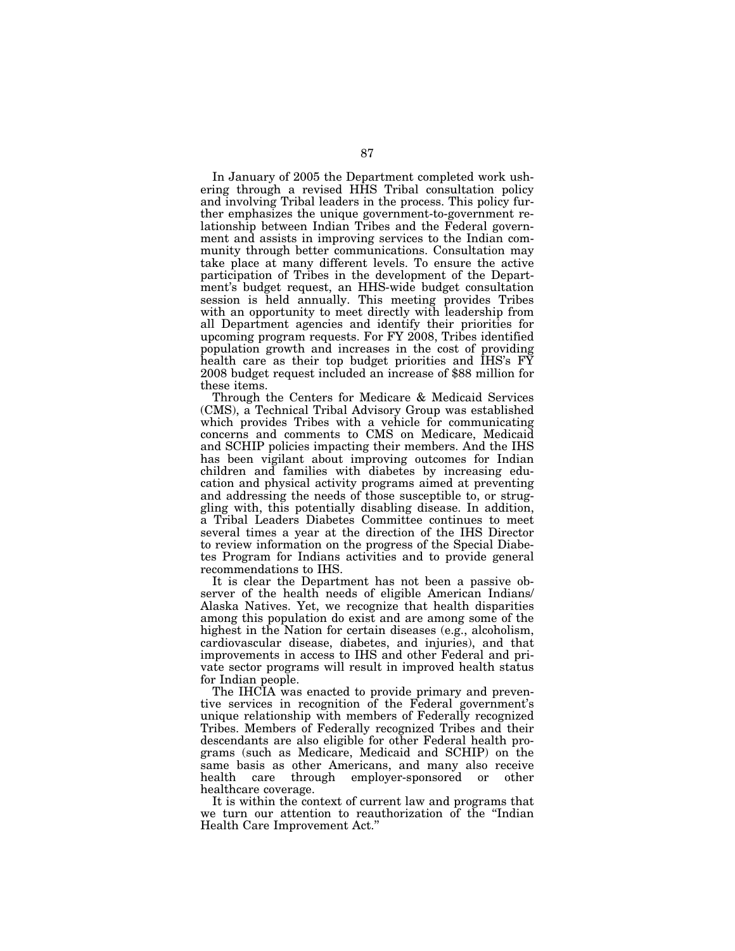In January of 2005 the Department completed work ushering through a revised HHS Tribal consultation policy and involving Tribal leaders in the process. This policy further emphasizes the unique government-to-government relationship between Indian Tribes and the Federal government and assists in improving services to the Indian community through better communications. Consultation may take place at many different levels. To ensure the active participation of Tribes in the development of the Department's budget request, an HHS-wide budget consultation session is held annually. This meeting provides Tribes with an opportunity to meet directly with leadership from all Department agencies and identify their priorities for upcoming program requests. For FY 2008, Tribes identified population growth and increases in the cost of providing health care as their top budget priorities and IHS's FY 2008 budget request included an increase of \$88 million for these items.

Through the Centers for Medicare & Medicaid Services (CMS), a Technical Tribal Advisory Group was established which provides Tribes with a vehicle for communicating concerns and comments to CMS on Medicare, Medicaid and SCHIP policies impacting their members. And the IHS has been vigilant about improving outcomes for Indian children and families with diabetes by increasing education and physical activity programs aimed at preventing and addressing the needs of those susceptible to, or struggling with, this potentially disabling disease. In addition, a Tribal Leaders Diabetes Committee continues to meet several times a year at the direction of the IHS Director to review information on the progress of the Special Diabetes Program for Indians activities and to provide general recommendations to IHS.

It is clear the Department has not been a passive observer of the health needs of eligible American Indians/ Alaska Natives. Yet, we recognize that health disparities among this population do exist and are among some of the highest in the Nation for certain diseases (e.g., alcoholism, cardiovascular disease, diabetes, and injuries), and that improvements in access to IHS and other Federal and private sector programs will result in improved health status for Indian people.

The IHCIA was enacted to provide primary and preventive services in recognition of the Federal government's unique relationship with members of Federally recognized Tribes. Members of Federally recognized Tribes and their descendants are also eligible for other Federal health programs (such as Medicare, Medicaid and SCHIP) on the same basis as other Americans, and many also receive health care through employer-sponsored or other healthcare coverage.

It is within the context of current law and programs that we turn our attention to reauthorization of the ''Indian Health Care Improvement Act.''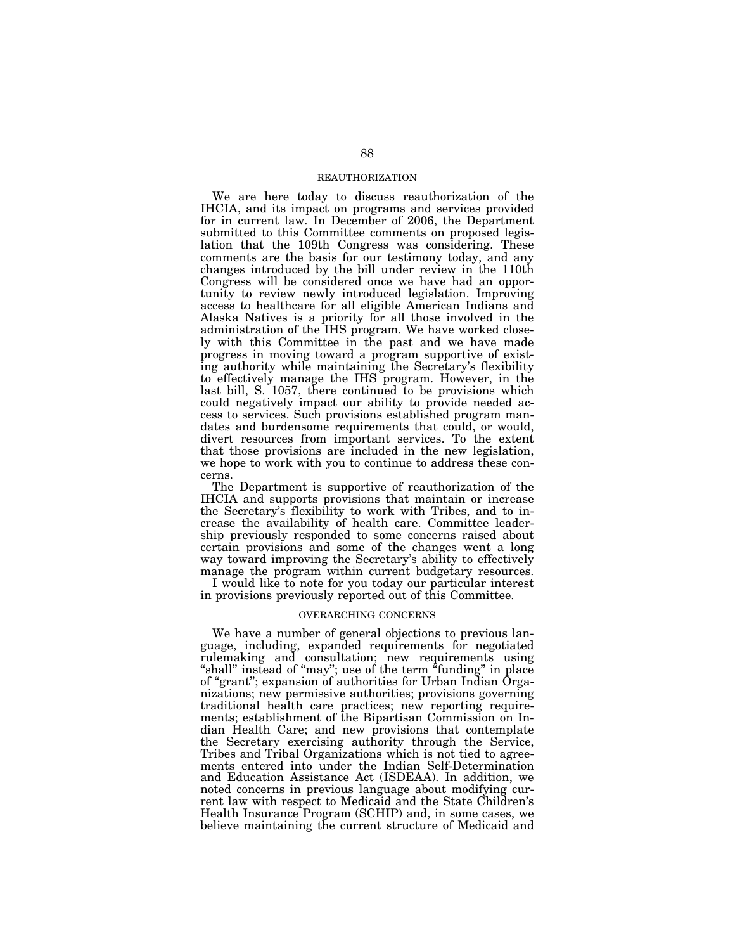## REAUTHORIZATION

We are here today to discuss reauthorization of the IHCIA, and its impact on programs and services provided for in current law. In December of 2006, the Department submitted to this Committee comments on proposed legislation that the 109th Congress was considering. These comments are the basis for our testimony today, and any changes introduced by the bill under review in the 110th Congress will be considered once we have had an opportunity to review newly introduced legislation. Improving access to healthcare for all eligible American Indians and Alaska Natives is a priority for all those involved in the administration of the IHS program. We have worked closely with this Committee in the past and we have made progress in moving toward a program supportive of existing authority while maintaining the Secretary's flexibility to effectively manage the IHS program. However, in the last bill, S. 1057, there continued to be provisions which could negatively impact our ability to provide needed access to services. Such provisions established program mandates and burdensome requirements that could, or would, divert resources from important services. To the extent that those provisions are included in the new legislation, we hope to work with you to continue to address these concerns.

The Department is supportive of reauthorization of the IHCIA and supports provisions that maintain or increase the Secretary's flexibility to work with Tribes, and to increase the availability of health care. Committee leadership previously responded to some concerns raised about certain provisions and some of the changes went a long way toward improving the Secretary's ability to effectively manage the program within current budgetary resources.

I would like to note for you today our particular interest in provisions previously reported out of this Committee.

#### OVERARCHING CONCERNS

We have a number of general objections to previous language, including, expanded requirements for negotiated rulemaking and consultation; new requirements using "shall" instead of "may"; use of the term "funding" in place of ''grant''; expansion of authorities for Urban Indian Organizations; new permissive authorities; provisions governing traditional health care practices; new reporting requirements; establishment of the Bipartisan Commission on Indian Health Care; and new provisions that contemplate the Secretary exercising authority through the Service, Tribes and Tribal Organizations which is not tied to agreements entered into under the Indian Self-Determination and Education Assistance Act (ISDEAA). In addition, we noted concerns in previous language about modifying current law with respect to Medicaid and the State Children's Health Insurance Program (SCHIP) and, in some cases, we believe maintaining the current structure of Medicaid and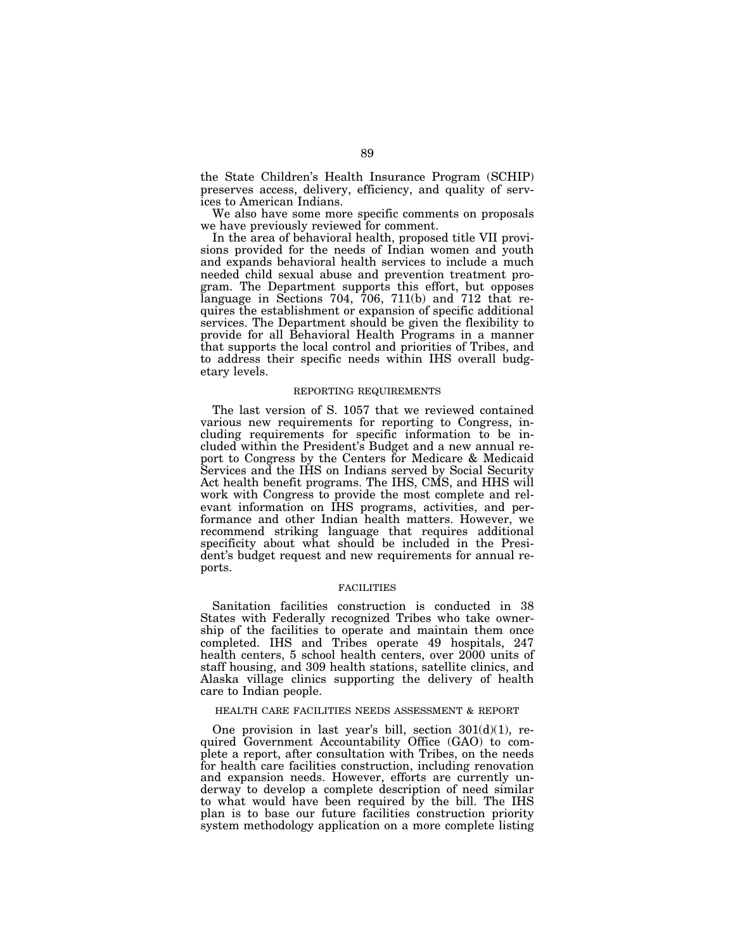the State Children's Health Insurance Program (SCHIP) preserves access, delivery, efficiency, and quality of services to American Indians.

We also have some more specific comments on proposals we have previously reviewed for comment.

In the area of behavioral health, proposed title VII provisions provided for the needs of Indian women and youth and expands behavioral health services to include a much needed child sexual abuse and prevention treatment program. The Department supports this effort, but opposes language in Sections 704, 706, 711(b) and 712 that requires the establishment or expansion of specific additional services. The Department should be given the flexibility to provide for all Behavioral Health Programs in a manner that supports the local control and priorities of Tribes, and to address their specific needs within IHS overall budgetary levels.

#### REPORTING REQUIREMENTS

The last version of S. 1057 that we reviewed contained various new requirements for reporting to Congress, including requirements for specific information to be included within the President's Budget and a new annual report to Congress by the Centers for Medicare & Medicaid Services and the IHS on Indians served by Social Security Act health benefit programs. The IHS, CMS, and HHS will work with Congress to provide the most complete and relevant information on IHS programs, activities, and performance and other Indian health matters. However, we recommend striking language that requires additional specificity about what should be included in the President's budget request and new requirements for annual reports.

# **FACILITIES**

Sanitation facilities construction is conducted in 38 States with Federally recognized Tribes who take ownership of the facilities to operate and maintain them once completed. IHS and Tribes operate 49 hospitals, 247 health centers, 5 school health centers, over 2000 units of staff housing, and 309 health stations, satellite clinics, and Alaska village clinics supporting the delivery of health care to Indian people.

## HEALTH CARE FACILITIES NEEDS ASSESSMENT & REPORT

One provision in last year's bill, section  $301(d)(1)$ , required Government Accountability Office (GAO) to complete a report, after consultation with Tribes, on the needs for health care facilities construction, including renovation and expansion needs. However, efforts are currently underway to develop a complete description of need similar to what would have been required by the bill. The IHS plan is to base our future facilities construction priority system methodology application on a more complete listing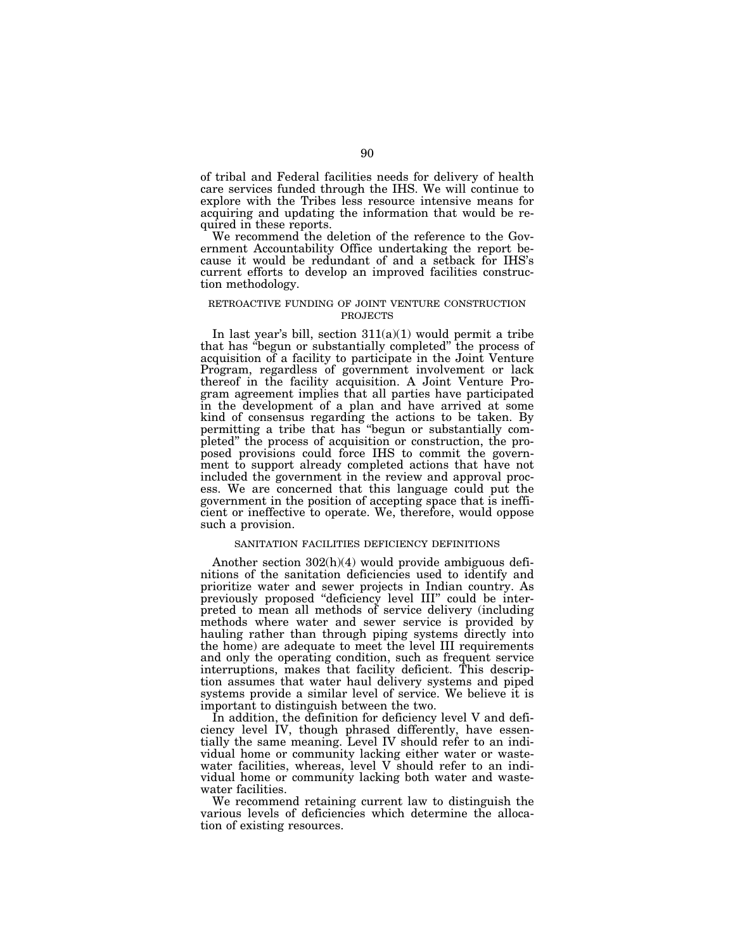of tribal and Federal facilities needs for delivery of health care services funded through the IHS. We will continue to explore with the Tribes less resource intensive means for acquiring and updating the information that would be required in these reports.

We recommend the deletion of the reference to the Government Accountability Office undertaking the report because it would be redundant of and a setback for IHS's current efforts to develop an improved facilities construction methodology.

# RETROACTIVE FUNDING OF JOINT VENTURE CONSTRUCTION PROJECTS

In last year's bill, section 311(a)(1) would permit a tribe that has ''begun or substantially completed'' the process of acquisition of a facility to participate in the Joint Venture Program, regardless of government involvement or lack thereof in the facility acquisition. A Joint Venture Program agreement implies that all parties have participated in the development of a plan and have arrived at some kind of consensus regarding the actions to be taken. By permitting a tribe that has ''begun or substantially completed'' the process of acquisition or construction, the proposed provisions could force IHS to commit the government to support already completed actions that have not included the government in the review and approval process. We are concerned that this language could put the government in the position of accepting space that is inefficient or ineffective to operate. We, therefore, would oppose such a provision.

#### SANITATION FACILITIES DEFICIENCY DEFINITIONS

Another section 302(h)(4) would provide ambiguous definitions of the sanitation deficiencies used to identify and prioritize water and sewer projects in Indian country. As previously proposed ''deficiency level III'' could be interpreted to mean all methods of service delivery (including methods where water and sewer service is provided by hauling rather than through piping systems directly into the home) are adequate to meet the level III requirements and only the operating condition, such as frequent service interruptions, makes that facility deficient. This description assumes that water haul delivery systems and piped systems provide a similar level of service. We believe it is important to distinguish between the two.

In addition, the definition for deficiency level V and deficiency level IV, though phrased differently, have essentially the same meaning. Level IV should refer to an individual home or community lacking either water or wastewater facilities, whereas, level V should refer to an individual home or community lacking both water and wastewater facilities.

We recommend retaining current law to distinguish the various levels of deficiencies which determine the allocation of existing resources.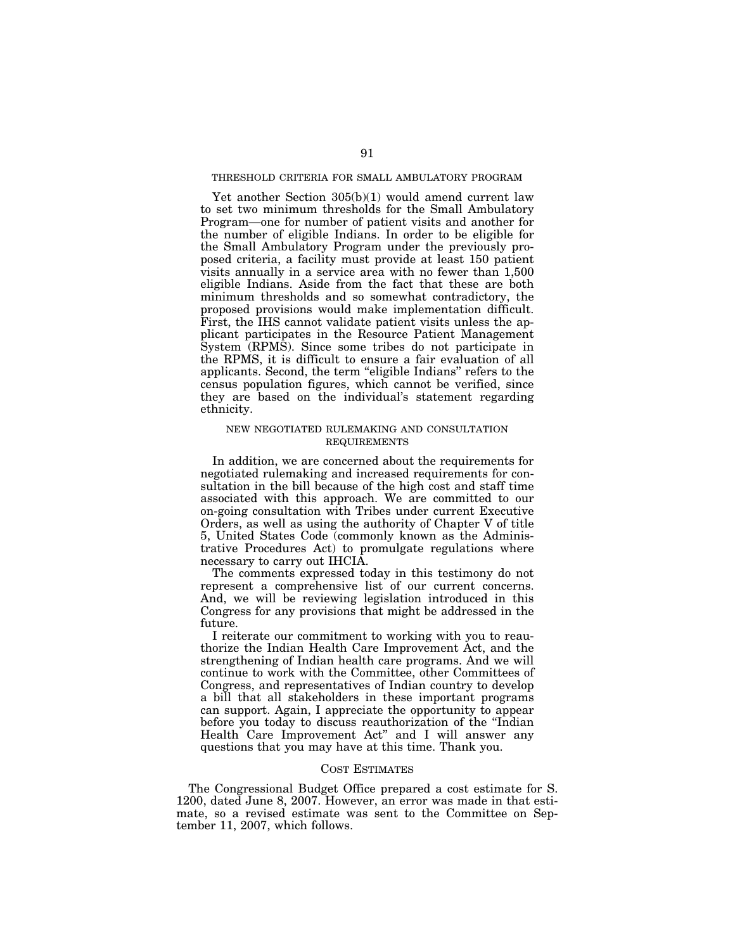# THRESHOLD CRITERIA FOR SMALL AMBULATORY PROGRAM

Yet another Section 305(b)(1) would amend current law to set two minimum thresholds for the Small Ambulatory Program—one for number of patient visits and another for the number of eligible Indians. In order to be eligible for the Small Ambulatory Program under the previously proposed criteria, a facility must provide at least 150 patient visits annually in a service area with no fewer than 1,500 eligible Indians. Aside from the fact that these are both minimum thresholds and so somewhat contradictory, the proposed provisions would make implementation difficult. First, the IHS cannot validate patient visits unless the applicant participates in the Resource Patient Management System (RPMS). Since some tribes do not participate in the RPMS, it is difficult to ensure a fair evaluation of all applicants. Second, the term ''eligible Indians'' refers to the census population figures, which cannot be verified, since they are based on the individual's statement regarding ethnicity.

# NEW NEGOTIATED RULEMAKING AND CONSULTATION REQUIREMENTS

In addition, we are concerned about the requirements for negotiated rulemaking and increased requirements for consultation in the bill because of the high cost and staff time associated with this approach. We are committed to our on-going consultation with Tribes under current Executive Orders, as well as using the authority of Chapter V of title 5, United States Code (commonly known as the Administrative Procedures Act) to promulgate regulations where necessary to carry out IHCIA.

The comments expressed today in this testimony do not represent a comprehensive list of our current concerns. And, we will be reviewing legislation introduced in this Congress for any provisions that might be addressed in the future.

I reiterate our commitment to working with you to reauthorize the Indian Health Care Improvement Act, and the strengthening of Indian health care programs. And we will continue to work with the Committee, other Committees of Congress, and representatives of Indian country to develop a bill that all stakeholders in these important programs can support. Again, I appreciate the opportunity to appear before you today to discuss reauthorization of the ''Indian Health Care Improvement Act'' and I will answer any questions that you may have at this time. Thank you.

## COST ESTIMATES

The Congressional Budget Office prepared a cost estimate for S. 1200, dated June 8, 2007. However, an error was made in that estimate, so a revised estimate was sent to the Committee on September 11, 2007, which follows.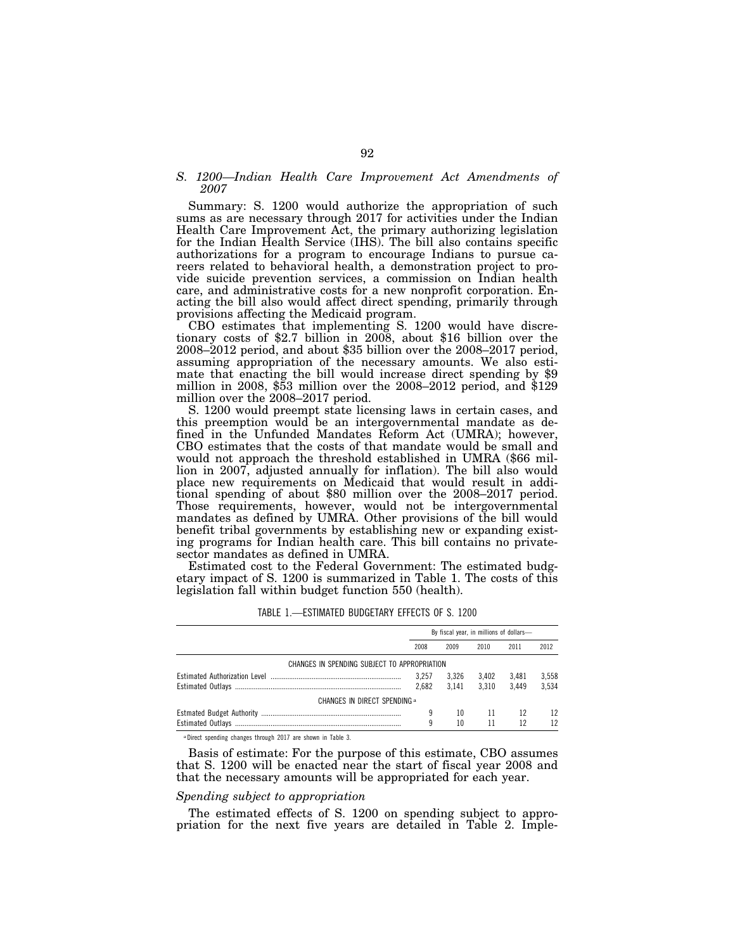#### *S. 1200—Indian Health Care Improvement Act Amendments of 2007*

Summary: S. 1200 would authorize the appropriation of such sums as are necessary through 2017 for activities under the Indian Health Care Improvement Act, the primary authorizing legislation for the Indian Health Service (IHS). The bill also contains specific authorizations for a program to encourage Indians to pursue careers related to behavioral health, a demonstration project to provide suicide prevention services, a commission on Indian health care, and administrative costs for a new nonprofit corporation. Enacting the bill also would affect direct spending, primarily through provisions affecting the Medicaid program.

CBO estimates that implementing S. 1200 would have discretionary costs of \$2.7 billion in 2008, about \$16 billion over the 2008–2012 period, and about \$35 billion over the 2008–2017 period, assuming appropriation of the necessary amounts. We also estimate that enacting the bill would increase direct spending by \$9 million in 2008, \$53 million over the 2008–2012 period, and \$129 million over the 2008–2017 period.

S. 1200 would preempt state licensing laws in certain cases, and this preemption would be an intergovernmental mandate as defined in the Unfunded Mandates Reform Act (UMRA); however, CBO estimates that the costs of that mandate would be small and would not approach the threshold established in UMRA (\$66 million in 2007, adjusted annually for inflation). The bill also would place new requirements on Medicaid that would result in additional spending of about \$80 million over the 2008–2017 period. Those requirements, however, would not be intergovernmental mandates as defined by UMRA. Other provisions of the bill would benefit tribal governments by establishing new or expanding existing programs for Indian health care. This bill contains no privatesector mandates as defined in UMRA.

Estimated cost to the Federal Government: The estimated budgetary impact of S. 1200 is summarized in Table 1. The costs of this legislation fall within budget function 550 (health).

|                                              | By fiscal year, in millions of dollars- |       |       |       |       |  |  |  |
|----------------------------------------------|-----------------------------------------|-------|-------|-------|-------|--|--|--|
|                                              | 2008                                    | 2009  | 2010  | 2011  | 2012  |  |  |  |
| CHANGES IN SPENDING SUBJECT TO APPROPRIATION |                                         |       |       |       |       |  |  |  |
|                                              | 3.257                                   | 3.326 | 3.402 | 3.481 | 3.558 |  |  |  |
|                                              | 2.682                                   | 3.141 | 3.310 | 3.449 | 3.534 |  |  |  |
| CHANGES IN DIRECT SPENDING a                 |                                         |       |       |       |       |  |  |  |
|                                              | 9                                       | 10    | 11    | 12    | 12    |  |  |  |
|                                              | 9                                       | 10    | 11    | 12    | 12    |  |  |  |

TABLE 1.—ESTIMATED BUDGETARY EFFECTS OF S. 1200

a Direct spending changes through 2017 are shown in Table 3.

Basis of estimate: For the purpose of this estimate, CBO assumes that S. 1200 will be enacted near the start of fiscal year 2008 and that the necessary amounts will be appropriated for each year.

#### *Spending subject to appropriation*

The estimated effects of S. 1200 on spending subject to appropriation for the next five years are detailed in Table 2. Imple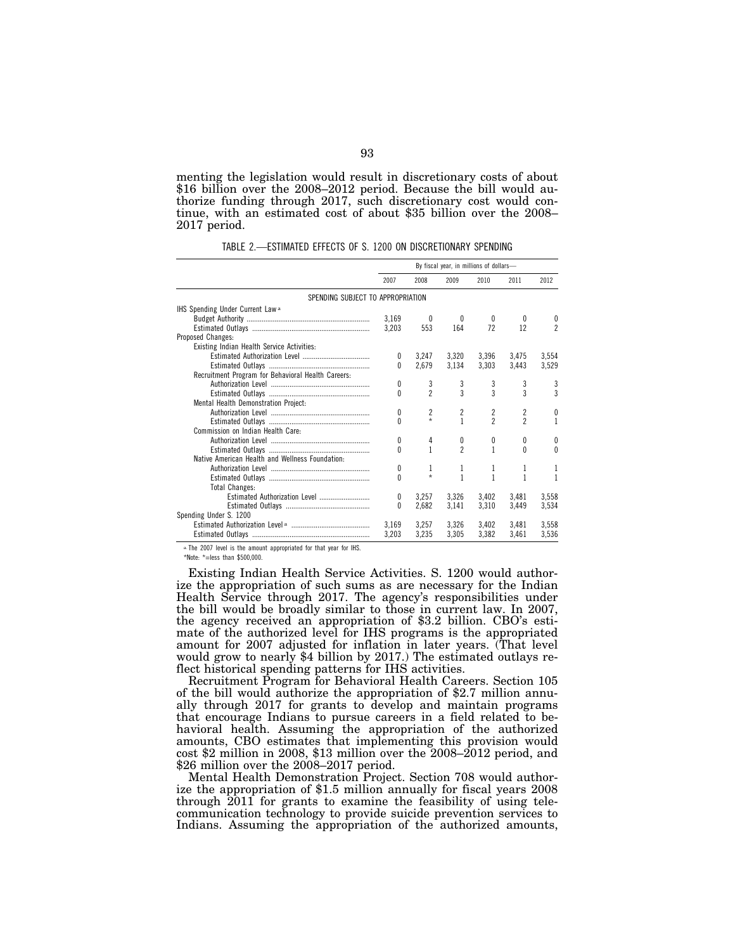menting the legislation would result in discretionary costs of about \$16 billion over the 2008–2012 period. Because the bill would authorize funding through 2017, such discretionary cost would continue, with an estimated cost of about \$35 billion over the 2008– 2017 period.

| TABLE 2.—ESTIMATED EFFECTS OF S. 1200 ON DISCRETIONARY SPENDING |  |  |  |
|-----------------------------------------------------------------|--|--|--|
|                                                                 |  |  |  |

|                                                    | By fiscal year, in millions of dollars- |                |              |                          |                |                |  |  |  |  |
|----------------------------------------------------|-----------------------------------------|----------------|--------------|--------------------------|----------------|----------------|--|--|--|--|
|                                                    | 2007                                    | 2008           | 2009         | 2010                     | 2011           | 2012           |  |  |  |  |
| SPENDING SUBJECT TO APPROPRIATION                  |                                         |                |              |                          |                |                |  |  |  |  |
| IHS Spending Under Current Law <sup>a</sup>        |                                         |                |              |                          |                |                |  |  |  |  |
|                                                    | 3.169                                   |                | 0            | 0                        | $\theta$       | 0              |  |  |  |  |
|                                                    | 3.203                                   | 553            | 164          | 72                       | 12             | $\mathfrak{p}$ |  |  |  |  |
| Proposed Changes:                                  |                                         |                |              |                          |                |                |  |  |  |  |
| Existing Indian Health Service Activities:         |                                         |                |              |                          |                |                |  |  |  |  |
|                                                    | 0                                       | 3.247          | 3.320        | 3.396                    | 3.475          | 3.554          |  |  |  |  |
|                                                    | $\Omega$                                | 2.679          | 3,134        | 3,303                    | 3,443          | 3,529          |  |  |  |  |
| Recruitment Program for Behavioral Health Careers: |                                         |                |              |                          |                |                |  |  |  |  |
|                                                    | 0                                       | 3              | 3            | 3                        | 3              | 3              |  |  |  |  |
|                                                    | 0                                       | $\overline{c}$ | 3            | 3                        | 3              | 3              |  |  |  |  |
| Mental Health Demonstration Project:               |                                         |                |              |                          |                |                |  |  |  |  |
|                                                    | 0                                       | $\overline{c}$ | 2            | 2                        | $\overline{c}$ | 0              |  |  |  |  |
|                                                    | 0                                       | $\star$        | $\mathbf{1}$ | $\overline{\phantom{a}}$ | $\mathfrak{p}$ | 1              |  |  |  |  |
| Commission on Indian Health Care:                  |                                         |                |              |                          |                |                |  |  |  |  |
|                                                    | 0                                       | 4              | 0            | 0                        | 0              | $\theta$       |  |  |  |  |
|                                                    | 0                                       | 1              | 2            | 1                        | 0              | $\Omega$       |  |  |  |  |
| Native American Health and Wellness Foundation:    |                                         |                |              |                          |                |                |  |  |  |  |
|                                                    | 0                                       | 1              | 1            | 1                        | 1              | 1              |  |  |  |  |
|                                                    | 0                                       | $\star$        | 1            | 1                        | 1              |                |  |  |  |  |
| <b>Total Changes:</b>                              |                                         |                |              |                          |                |                |  |  |  |  |
|                                                    | 0                                       | 3.257          | 3.326        | 3.402                    | 3.481          | 3,558          |  |  |  |  |
|                                                    | U                                       | 2.682          | 3.141        | 3.310                    | 3.449          | 3,534          |  |  |  |  |
| Spending Under S. 1200                             |                                         |                |              |                          |                |                |  |  |  |  |
|                                                    | 3.169                                   | 3,257          | 3,326        | 3,402                    | 3,481          | 3,558          |  |  |  |  |
|                                                    | 3,203                                   | 3,235          | 3,305        | 3,382                    | 3,461          | 3,536          |  |  |  |  |

a.The 2007 level is the amount appropriated for that year for IHS.

\*Note: \*=less than \$500,000.

Existing Indian Health Service Activities. S. 1200 would authorize the appropriation of such sums as are necessary for the Indian Health Service through 2017. The agency's responsibilities under the bill would be broadly similar to those in current law. In 2007, the agency received an appropriation of \$3.2 billion. CBO's estimate of the authorized level for IHS programs is the appropriated amount for 2007 adjusted for inflation in later years. (That level would grow to nearly \$4 billion by 2017.) The estimated outlays reflect historical spending patterns for IHS activities.

Recruitment Program for Behavioral Health Careers. Section 105 of the bill would authorize the appropriation of \$2.7 million annually through 2017 for grants to develop and maintain programs that encourage Indians to pursue careers in a field related to behavioral health. Assuming the appropriation of the authorized amounts, CBO estimates that implementing this provision would cost \$2 million in 2008, \$13 million over the 2008–2012 period, and \$26 million over the 2008–2017 period.

Mental Health Demonstration Project. Section 708 would authorize the appropriation of \$1.5 million annually for fiscal years 2008 through 2011 for grants to examine the feasibility of using telecommunication technology to provide suicide prevention services to Indians. Assuming the appropriation of the authorized amounts,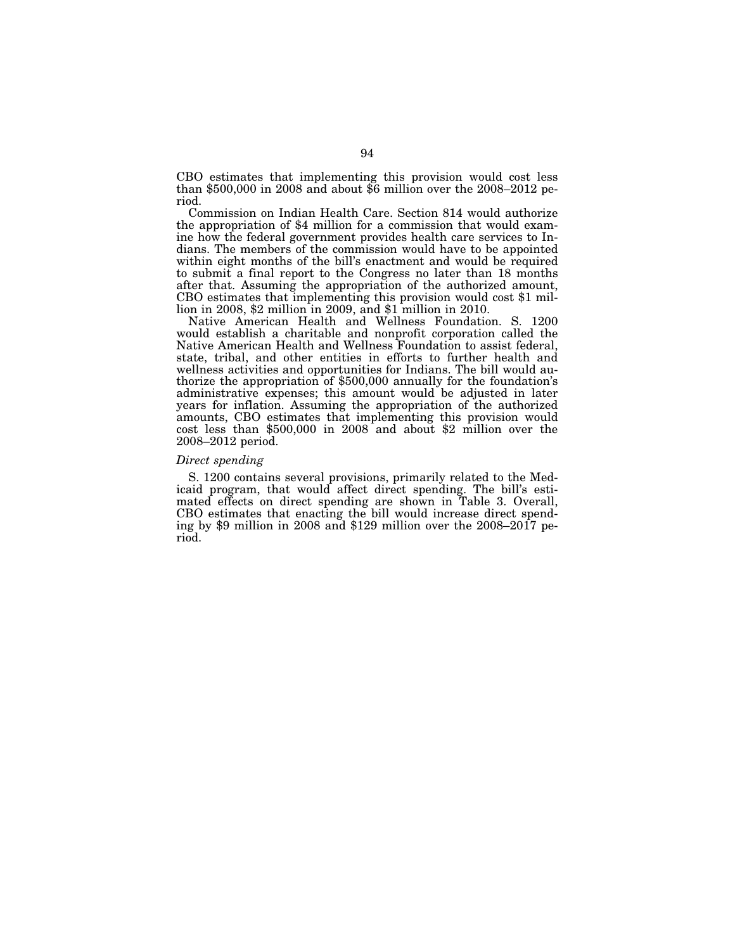CBO estimates that implementing this provision would cost less than \$500,000 in 2008 and about \$6 million over the 2008–2012 period.

Commission on Indian Health Care. Section 814 would authorize the appropriation of \$4 million for a commission that would examine how the federal government provides health care services to Indians. The members of the commission would have to be appointed within eight months of the bill's enactment and would be required to submit a final report to the Congress no later than 18 months after that. Assuming the appropriation of the authorized amount, CBO estimates that implementing this provision would cost \$1 million in 2008, \$2 million in 2009, and \$1 million in 2010.

Native American Health and Wellness Foundation. S. 1200 would establish a charitable and nonprofit corporation called the Native American Health and Wellness Foundation to assist federal, state, tribal, and other entities in efforts to further health and wellness activities and opportunities for Indians. The bill would authorize the appropriation of \$500,000 annually for the foundation's administrative expenses; this amount would be adjusted in later years for inflation. Assuming the appropriation of the authorized amounts, CBO estimates that implementing this provision would cost less than \$500,000 in 2008 and about \$2 million over the 2008–2012 period.

### *Direct spending*

S. 1200 contains several provisions, primarily related to the Medicaid program, that would affect direct spending. The bill's estimated effects on direct spending are shown in Table 3. Overall, CBO estimates that enacting the bill would increase direct spending by \$9 million in 2008 and \$129 million over the 2008–2017 period.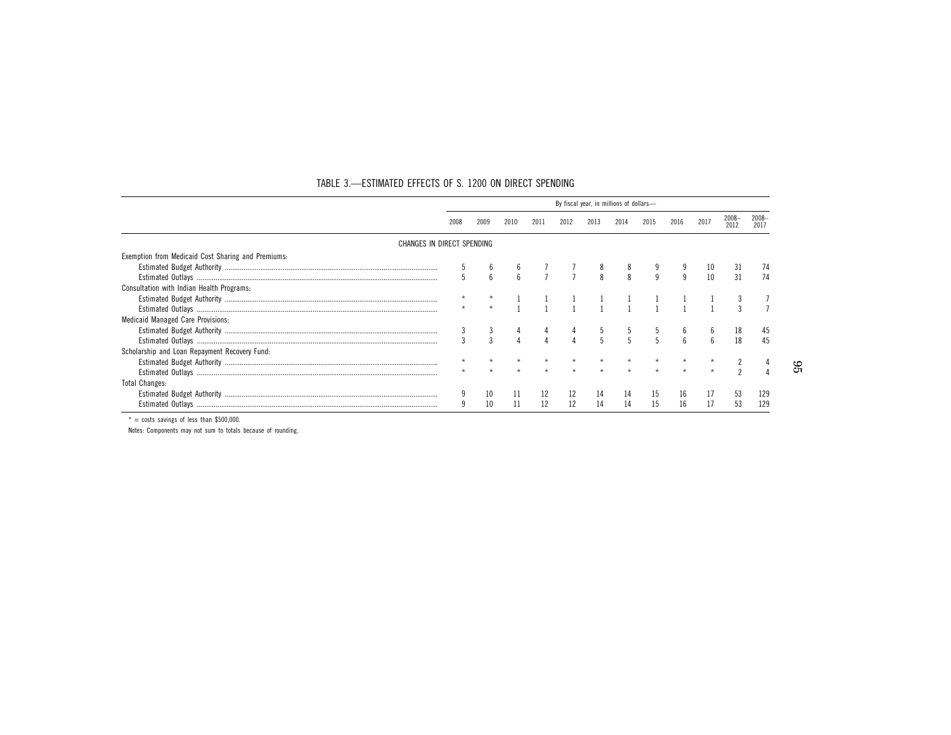|                                                    | By fiscal year, in millions of dollars- |                 |      |      |                |              |                |              |              |     |     |     |
|----------------------------------------------------|-----------------------------------------|-----------------|------|------|----------------|--------------|----------------|--------------|--------------|-----|-----|-----|
|                                                    |                                         | 2009            | 2010 | 2011 | 2012           | 2013         | 2014           | 2015         | 2016         | 201 |     |     |
| CHANGES IN DIRECT SPENDING                         |                                         |                 |      |      |                |              |                |              |              |     |     |     |
| Exemption from Medicaid Cost Sharing and Premiums: |                                         |                 |      |      |                |              |                |              |              |     |     |     |
|                                                    |                                         |                 |      |      |                |              |                |              |              |     |     |     |
|                                                    |                                         | $6\overline{6}$ |      |      | $\overline{7}$ | $\mathsf{R}$ | $\mathbf{8}$   | $\mathsf{q}$ | 9            | 10  | -31 |     |
| Consultation with Indian Health Programs:          |                                         |                 |      |      |                |              |                |              |              |     |     |     |
|                                                    |                                         |                 |      |      |                |              |                |              |              |     |     |     |
|                                                    |                                         |                 |      |      |                |              |                |              |              |     |     |     |
| <b>Medicaid Managed Care Provisions:</b>           |                                         |                 |      |      |                |              |                |              |              |     |     |     |
|                                                    |                                         |                 |      |      |                |              |                |              |              |     |     |     |
|                                                    |                                         |                 |      |      |                | 5            | $\overline{5}$ | 5            | $\mathsf{f}$ |     | 18  |     |
| Scholarship and Loan Repayment Recovery Fund:      |                                         |                 |      |      |                |              |                |              |              |     |     |     |
|                                                    |                                         |                 |      |      |                |              |                |              |              |     |     |     |
|                                                    |                                         |                 |      |      |                |              |                |              |              |     |     |     |
| Total Changes:                                     |                                         |                 |      |      |                |              |                |              |              |     |     |     |
|                                                    |                                         |                 |      |      |                |              |                |              | 16           |     | 53  | 129 |
| Estimated Outlavs                                  |                                         | 10              |      | 12   | 12             | 14           | 14             | 15           | 16           |     | 53  |     |

## TABLE 3. —ESTIMATED EFFECTS OF S. 1200 ON DIRECT SPENDING

 $* = \text{costs}$  savings of less than \$500,000.

Notes: Components may not sum to totals because of rounding.

95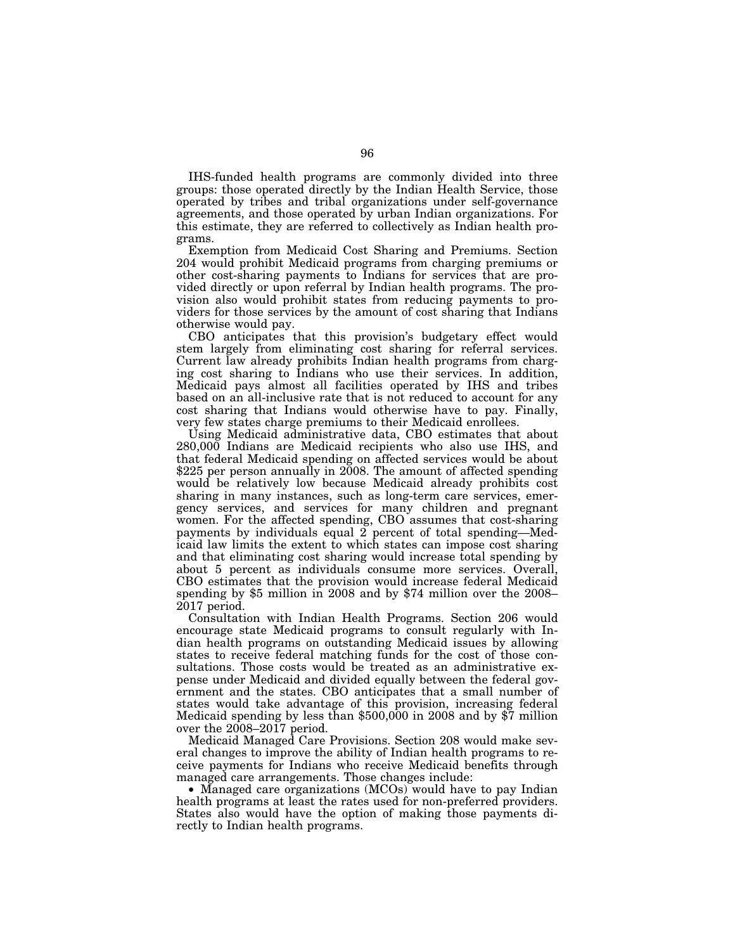IHS-funded health programs are commonly divided into three groups: those operated directly by the Indian Health Service, those operated by tribes and tribal organizations under self-governance agreements, and those operated by urban Indian organizations. For this estimate, they are referred to collectively as Indian health programs.

Exemption from Medicaid Cost Sharing and Premiums. Section 204 would prohibit Medicaid programs from charging premiums or other cost-sharing payments to Indians for services that are provided directly or upon referral by Indian health programs. The provision also would prohibit states from reducing payments to providers for those services by the amount of cost sharing that Indians otherwise would pay.

CBO anticipates that this provision's budgetary effect would stem largely from eliminating cost sharing for referral services. Current law already prohibits Indian health programs from charging cost sharing to Indians who use their services. In addition, Medicaid pays almost all facilities operated by IHS and tribes based on an all-inclusive rate that is not reduced to account for any cost sharing that Indians would otherwise have to pay. Finally, very few states charge premiums to their Medicaid enrollees.

Using Medicaid administrative data, CBO estimates that about 280,000 Indians are Medicaid recipients who also use IHS, and that federal Medicaid spending on affected services would be about \$225 per person annually in 2008. The amount of affected spending would be relatively low because Medicaid already prohibits cost sharing in many instances, such as long-term care services, emergency services, and services for many children and pregnant women. For the affected spending, CBO assumes that cost-sharing payments by individuals equal 2 percent of total spending—Medicaid law limits the extent to which states can impose cost sharing and that eliminating cost sharing would increase total spending by about 5 percent as individuals consume more services. Overall, CBO estimates that the provision would increase federal Medicaid spending by \$5 million in 2008 and by \$74 million over the 2008– 2017 period.

Consultation with Indian Health Programs. Section 206 would encourage state Medicaid programs to consult regularly with Indian health programs on outstanding Medicaid issues by allowing states to receive federal matching funds for the cost of those consultations. Those costs would be treated as an administrative expense under Medicaid and divided equally between the federal government and the states. CBO anticipates that a small number of states would take advantage of this provision, increasing federal Medicaid spending by less than \$500,000 in 2008 and by \$7 million over the 2008–2017 period.

Medicaid Managed Care Provisions. Section 208 would make several changes to improve the ability of Indian health programs to receive payments for Indians who receive Medicaid benefits through managed care arrangements. Those changes include:

• Managed care organizations (MCOs) would have to pay Indian health programs at least the rates used for non-preferred providers. States also would have the option of making those payments directly to Indian health programs.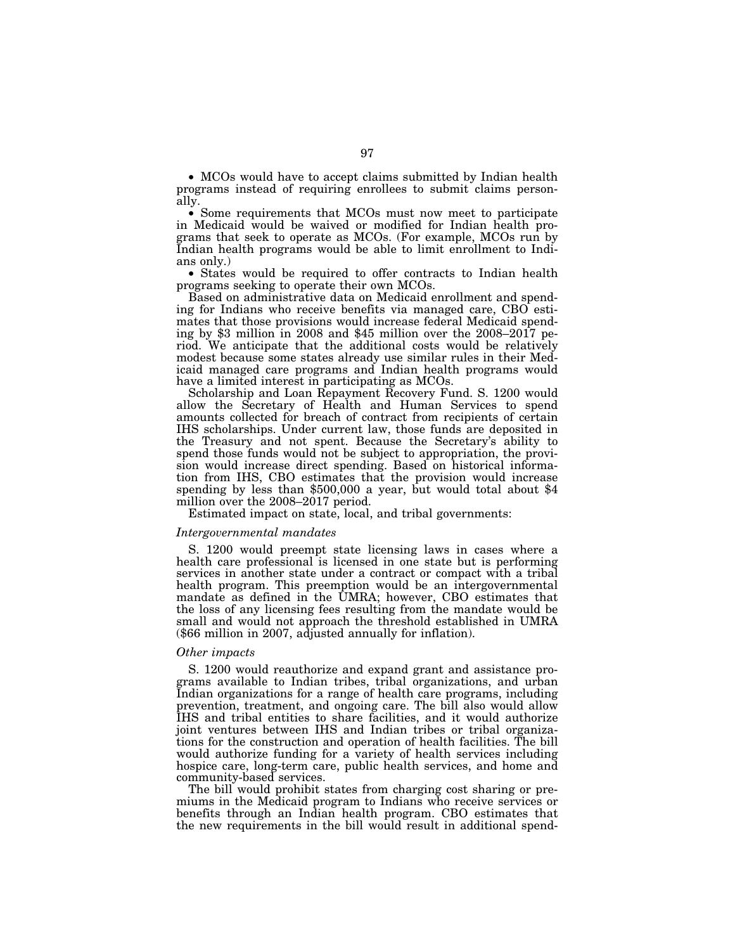• MCOs would have to accept claims submitted by Indian health programs instead of requiring enrollees to submit claims personally.

• Some requirements that MCOs must now meet to participate in Medicaid would be waived or modified for Indian health programs that seek to operate as MCOs. (For example, MCOs run by Indian health programs would be able to limit enrollment to Indians only.)

• States would be required to offer contracts to Indian health programs seeking to operate their own MCOs.

Based on administrative data on Medicaid enrollment and spending for Indians who receive benefits via managed care, CBO estimates that those provisions would increase federal Medicaid spending by \$3 million in 2008 and \$45 million over the 2008–2017 period. We anticipate that the additional costs would be relatively modest because some states already use similar rules in their Medicaid managed care programs and Indian health programs would have a limited interest in participating as MCOs.

Scholarship and Loan Repayment Recovery Fund. S. 1200 would allow the Secretary of Health and Human Services to spend amounts collected for breach of contract from recipients of certain IHS scholarships. Under current law, those funds are deposited in the Treasury and not spent. Because the Secretary's ability to spend those funds would not be subject to appropriation, the provision would increase direct spending. Based on historical information from IHS, CBO estimates that the provision would increase spending by less than \$500,000 a year, but would total about \$4 million over the 2008–2017 period.

Estimated impact on state, local, and tribal governments:

## *Intergovernmental mandates*

S. 1200 would preempt state licensing laws in cases where a health care professional is licensed in one state but is performing services in another state under a contract or compact with a tribal health program. This preemption would be an intergovernmental mandate as defined in the UMRA; however, CBO estimates that the loss of any licensing fees resulting from the mandate would be small and would not approach the threshold established in UMRA (\$66 million in 2007, adjusted annually for inflation).

## *Other impacts*

S. 1200 would reauthorize and expand grant and assistance programs available to Indian tribes, tribal organizations, and urban Indian organizations for a range of health care programs, including prevention, treatment, and ongoing care. The bill also would allow IHS and tribal entities to share facilities, and it would authorize joint ventures between IHS and Indian tribes or tribal organizations for the construction and operation of health facilities. The bill would authorize funding for a variety of health services including hospice care, long-term care, public health services, and home and community-based services.

The bill would prohibit states from charging cost sharing or premiums in the Medicaid program to Indians who receive services or benefits through an Indian health program. CBO estimates that the new requirements in the bill would result in additional spend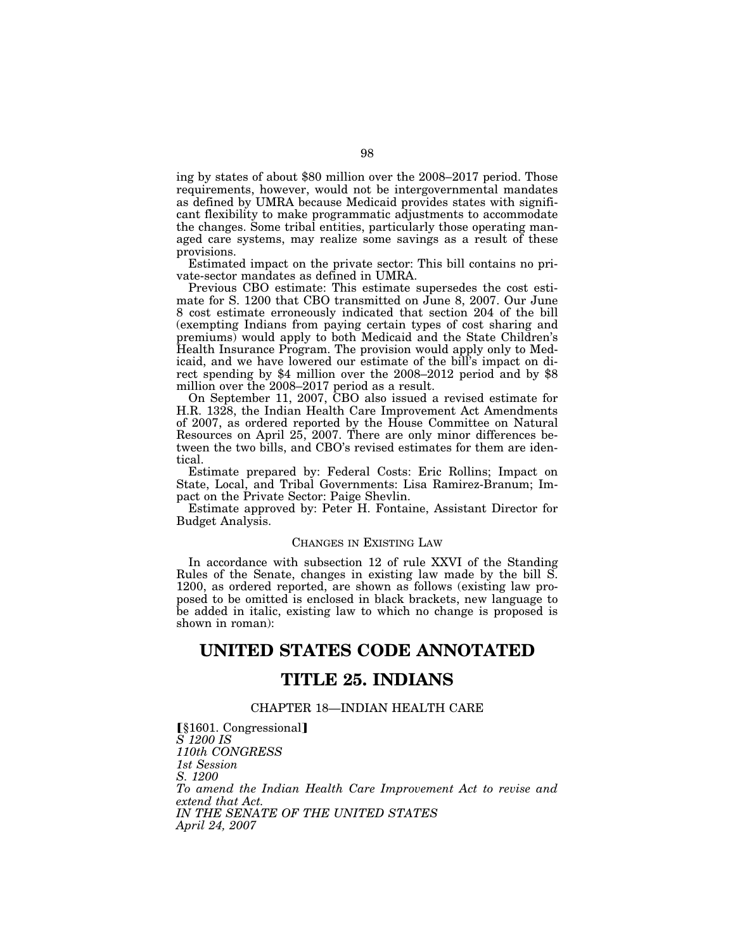ing by states of about \$80 million over the 2008–2017 period. Those requirements, however, would not be intergovernmental mandates as defined by UMRA because Medicaid provides states with significant flexibility to make programmatic adjustments to accommodate the changes. Some tribal entities, particularly those operating managed care systems, may realize some savings as a result of these provisions.

Estimated impact on the private sector: This bill contains no private-sector mandates as defined in UMRA.

Previous CBO estimate: This estimate supersedes the cost estimate for S. 1200 that CBO transmitted on June 8, 2007. Our June 8 cost estimate erroneously indicated that section 204 of the bill (exempting Indians from paying certain types of cost sharing and premiums) would apply to both Medicaid and the State Children's Health Insurance Program. The provision would apply only to Medicaid, and we have lowered our estimate of the bill's impact on direct spending by \$4 million over the 2008–2012 period and by \$8 million over the 2008–2017 period as a result.

On September 11, 2007, CBO also issued a revised estimate for H.R. 1328, the Indian Health Care Improvement Act Amendments of 2007, as ordered reported by the House Committee on Natural Resources on April 25, 2007. There are only minor differences between the two bills, and CBO's revised estimates for them are identical.

Estimate prepared by: Federal Costs: Eric Rollins; Impact on State, Local, and Tribal Governments: Lisa Ramirez-Branum; Impact on the Private Sector: Paige Shevlin.

Estimate approved by: Peter H. Fontaine, Assistant Director for Budget Analysis.

# CHANGES IN EXISTING LAW

In accordance with subsection 12 of rule XXVI of the Standing Rules of the Senate, changes in existing law made by the bill S. 1200, as ordered reported, are shown as follows (existing law proposed to be omitted is enclosed in black brackets, new language to be added in italic, existing law to which no change is proposed is shown in roman):

# **UNITED STATES CODE ANNOTATED**

# **TITLE 25. INDIANS**

# CHAPTER 18—INDIAN HEALTH CARE

[§1601. Congressional] *S 1200 IS 110th CONGRESS 1st Session S. 1200 To amend the Indian Health Care Improvement Act to revise and extend that Act. IN THE SENATE OF THE UNITED STATES April 24, 2007*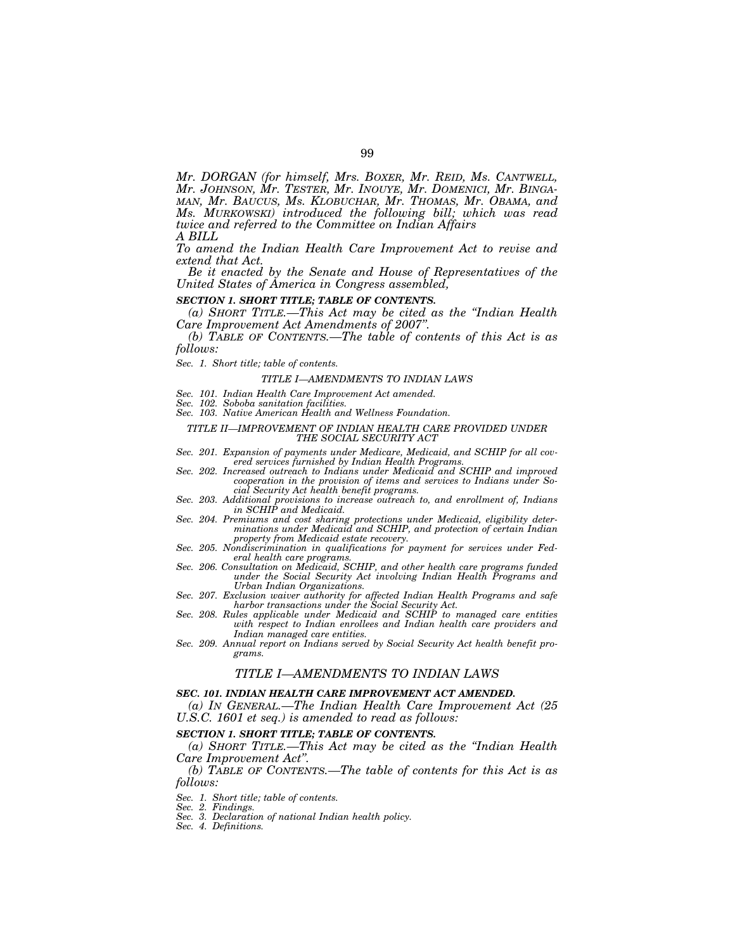*Mr. DORGAN (for himself, Mrs. BOXER, Mr. REID, Ms. CANTWELL, Mr. JOHNSON, Mr. TESTER, Mr. INOUYE, Mr. DOMENICI, Mr. BINGA- MAN, Mr. BAUCUS, Ms. KLOBUCHAR, Mr. THOMAS, Mr. OBAMA, and Ms. MURKOWSKI) introduced the following bill; which was read twice and referred to the Committee on Indian Affairs A BILL* 

*To amend the Indian Health Care Improvement Act to revise and extend that Act.* 

*Be it enacted by the Senate and House of Representatives of the United States of America in Congress assembled,* 

#### *SECTION 1. SHORT TITLE; TABLE OF CONTENTS.*

*(a) SHORT TITLE.—This Act may be cited as the ''Indian Health* 

*(b)* TABLE OF CONTENTS.—The table of contents of this Act is as *follows:* 

#### *Sec. 1. Short title; table of contents.*

#### *TITLE I—AMENDMENTS TO INDIAN LAWS*

- *Sec. 101. Indian Health Care Improvement Act amended.*
- *Sec. 102. Soboba sanitation facilities.*
- *Sec. 103. Native American Health and Wellness Foundation.*

#### *TITLE II—IMPROVEMENT OF INDIAN HEALTH CARE PROVIDED UNDER THE SOCIAL SECURITY ACT*

- *Sec. 201. Expansion of payments under Medicare, Medicaid, and SCHIP for all cov-*
- *ered services furnished by Indian Health Programs. Sec. 202. Increased outreach to Indians under Medicaid and SCHIP and improved cooperation in the provision of items and services to Indians under Social Security Act health benefit programs.*
- *Sec. 203. Additional provisions to increase outreach to, and enrollment of, Indians in SCHIP and Medicaid.*
- *Sec. 204. Premiums and cost sharing protections under Medicaid, eligibility determinations under Medicaid and SCHIP, and protection of certain Indian property from Medicaid estate recovery.*
- *Sec. 205. Nondiscrimination in qualifications for payment for services under Federal health care programs. Sec. 206. Consultation on Medicaid, SCHIP, and other health care programs funded*
- *under the Social Security Act involving Indian Health Programs and Urban Indian Organizations.*
- *Sec. 207. Exclusion waiver authority for affected Indian Health Programs and safe harbor transactions under the Social Security Act. Sec. 208. Rules applicable under Medicaid and SCHIP to managed care entities*
- *with respect to Indian enrollees and Indian health care providers and Indian managed care entities.*
- *Sec. 209. Annual report on Indians served by Social Security Act health benefit programs.*

#### *TITLE I—AMENDMENTS TO INDIAN LAWS*

#### *SEC. 101. INDIAN HEALTH CARE IMPROVEMENT ACT AMENDED.*

*(a) IN GENERAL.—The Indian Health Care Improvement Act (25 U.S.C. 1601 et seq.) is amended to read as follows:* 

### *SECTION 1. SHORT TITLE; TABLE OF CONTENTS.*

*(a) SHORT TITLE.—This Act may be cited as the ''Indian Health Care Improvement Act''.* 

*(b) TABLE OF CONTENTS.—The table of contents for this Act is as follows:* 

*Sec. 1. Short title; table of contents.* 

*Sec. 2. Findings.* 

*Sec. 3. Declaration of national Indian health policy.* 

*Sec. 4. Definitions.*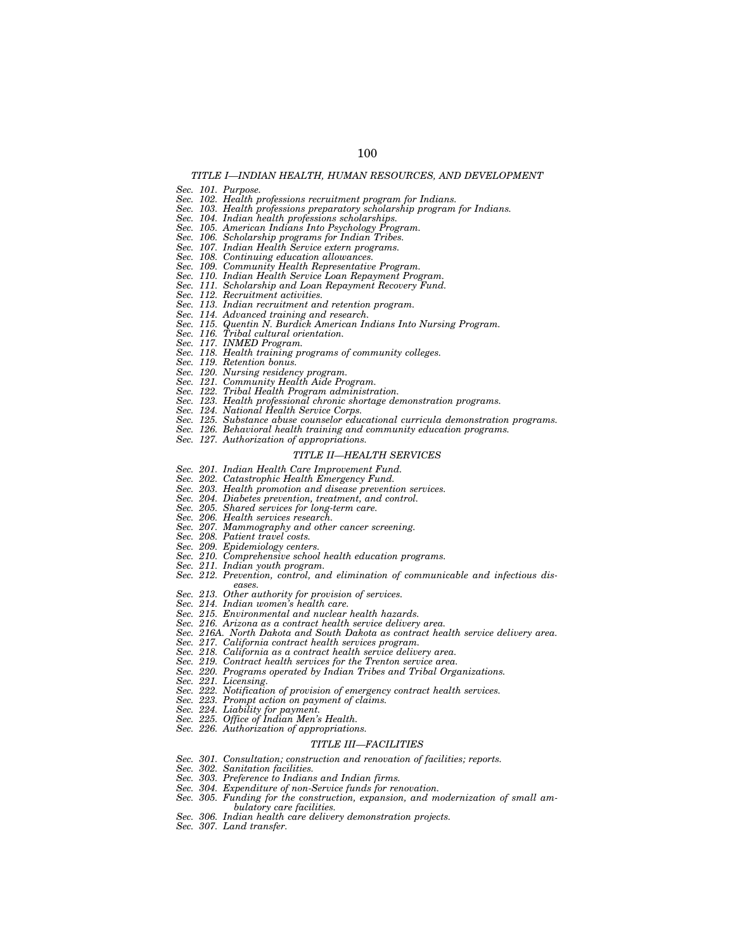# *TITLE I—INDIAN HEALTH, HUMAN RESOURCES, AND DEVELOPMENT*

100

*Sec. 101. Purpose.* 

*Sec. 102. Health professions recruitment program for Indians.* 

- *Sec. 103. Health professions preparatory scholarship program for Indians. Sec. 104. Indian health professions scholarships.*
- 
- *Sec. 105. American Indians Into Psychology Program.*
- *Sec. 106. Scholarship programs for Indian Tribes.*
- *Sec. 107. Indian Health Service extern programs.*
- *Sec. 108. Continuing education allowances.*
- *Sec. 109. Community Health Representative Program.*
- 
- *Sec. 110. Indian Health Service Loan Repayment Program. Sec. 111. Scholarship and Loan Repayment Recovery Fund.*
- $Recruitment \ activities.$
- *Sec. 113. Indian recruitment and retention program.*
- *Sec. 114. Advanced training and research.*
- *Sec. 115. Quentin N. Burdick American Indians Into Nursing Program.*
- *Sec. 116. Tribal cultural orientation.*
- *Sec. 117. INMED Program.*
- *Sec. 118. Health training programs of community colleges.*
- *Sec. 119. Retention bonus.*
- *Sec. 120. Nursing residency program.*
- *Sec. 121. Community Health Aide Program.*
- *Sec. 122. Tribal Health Program administration.*
- *Sec. 123. Health professional chronic shortage demonstration programs.*
- *Sec. 124. National Health Service Corps.*
- *Sec. 125. Substance abuse counselor educational curricula demonstration programs.*
- *Sec. 126. Behavioral health training and community education programs.*
- *Sec. 127. Authorization of appropriations.*

#### *TITLE II—HEALTH SERVICES*

- *Sec. 201. Indian Health Care Improvement Fund.*
- *Sec. 202. Catastrophic Health Emergency Fund.*
- *Sec. 203. Health promotion and disease prevention services.*
- *Sec. 204. Diabetes prevention, treatment, and control.*
- *Sec. 205. Shared services for long-term care.*
- *Sec. 206. Health services research.*
- *Sec. 207. Mammography and other cancer screening.*
- *Patient travel costs.*
- *Sec. 209. Epidemiology centers.*
- *Sec. 210. Comprehensive school health education programs.*
- *Sec. 211. Indian youth program.*
- *Sec. 212. Prevention, control, and elimination of communicable and infectious diseases.*
- *Sec. 213. Other authority for provision of services.*
- *Sec. 214. Indian women's health care.*
- *Sec. 215. Environmental and nuclear health hazards.*
- *Sec. 216. Arizona as a contract health service delivery area.*
- *Sec. 216A. North Dakota and South Dakota as contract health service delivery area.*
- *Sec. 217. California contract health services program.*
- *Sec. 218. California as a contract health service delivery area.*
- *Sec. 219. Contract health services for the Trenton service area.*
- *Sec. 220. Programs operated by Indian Tribes and Tribal Organizations.*
- *Sec. 221. Licensing.*
- *Notification of provision of emergency contract health services.*
- *Sec. 223. Prompt action on payment of claims.*
- *Sec. 224. Liability for payment.*
- *Sec. 225. Office of Indian Men's Health.*
- *Sec. 226. Authorization of appropriations.*

#### *TITLE III—FACILITIES*

- *Sec. 301. Consultation; construction and renovation of facilities; reports.*
- *Sec. 302. Sanitation facilities.*
- *Sec. 303. Preference to Indians and Indian firms.*
- *Sec. 304. Expenditure of non-Service funds for renovation.*
- *Sec. 305. Funding for the construction, expansion, and modernization of small ambulatory care facilities.*
- *Sec. 306. Indian health care delivery demonstration projects.*
- *Sec. 307. Land transfer.*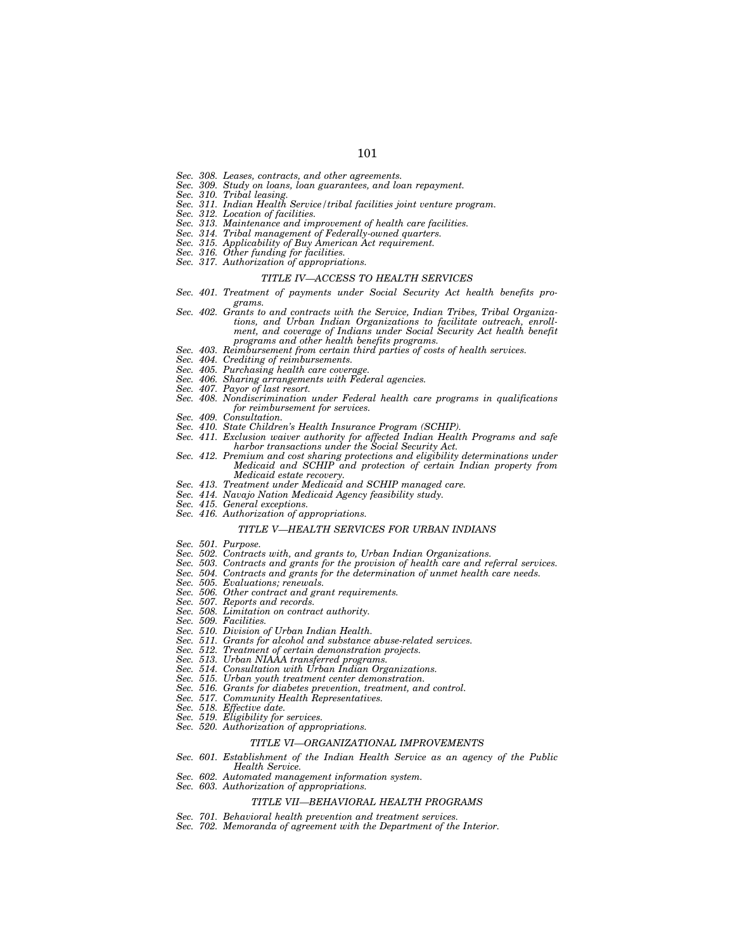- *Sec. 308. Leases, contracts, and other agreements.*
- *Sec. 309. Study on loans, loan guarantees, and loan repayment.*
- *Sec. 310. Tribal leasing.*
- *Sec. 311. Indian Health Service/tribal facilities joint venture program.*
- *Sec. 312. Location of facilities.*
- *Sec. 313. Maintenance and improvement of health care facilities.*
- *Sec. 314. Tribal management of Federally-owned quarters.*
- *Sec. 315. Applicability of Buy American Act requirement.*
- *Sec. 316. Other funding for facilities.*
- *Sec. 317. Authorization of appropriations.*

#### *TITLE IV—ACCESS TO HEALTH SERVICES*

- *Sec. 401. Treatment of payments under Social Security Act health benefits programs.*
- *Sec. 402. Grants to and contracts with the Service, Indian Tribes, Tribal Organizations, and Urban Indian Organizations to facilitate outreach, enrollment, and coverage of Indians under Social Security Act health benefit programs and other health benefits programs.*
- *Sec. 403. Reimbursement from certain third parties of costs of health services.*
- *Sec. 404. Crediting of reimbursements.*
- 
- *Sec. 405. Purchasing health care coverage. Sec. 406. Sharing arrangements with Federal agencies.*
- *Payor of last resort.*
- *Sec. 408. Nondiscrimination under Federal health care programs in qualifications for reimbursement for services.*
- *Sec. 409. Consultation.*
- *Sec. 410. State Children's Health Insurance Program (SCHIP).*
- *Sec. 411. Exclusion waiver authority for affected Indian Health Programs and safe harbor transactions under the Social Security Act.*
- Sec. 412. Premium and cost sharing protections and eligibility determinations under *Medicaid and SCHIP and protection of certain Indian property from Medicaid estate recovery.*
- *Sec. 413. Treatment under Medicaid and SCHIP managed care.*
- *Sec. 414. Navajo Nation Medicaid Agency feasibility study.*
- *Sec. 415. General exceptions.*
- *Sec. 416. Authorization of appropriations.*

#### *TITLE V—HEALTH SERVICES FOR URBAN INDIANS*

- *Sec. 501. Purpose.*
- *Sec. 502. Contracts with, and grants to, Urban Indian Organizations.*
- *Sec. 503. Contracts and grants for the provision of health care and referral services.*
- *Sec. 504. Contracts and grants for the determination of unmet health care needs.*
- *Sec. 505. Evaluations; renewals.*
- *Sec. 506. Other contract and grant requirements.*
- *Sec. 507. Reports and records.*
- *Sec. 508. Limitation on contract authority.*
- *Sec. 509. Facilities.*
- 
- *Sec. 510. Division of Urban Indian Health. Sec. 511. Grants for alcohol and substance abuse-related services.*
- *Sec. 512. Treatment of certain demonstration projects.*
- *Sec. 513. Urban NIAAA transferred programs.*
- *Sec. 514. Consultation with Urban Indian Organizations.*
- *Sec. 515. Urban youth treatment center demonstration.*
- *Sec. 516. Grants for diabetes prevention, treatment, and control.*
- *Community Health Representatives.*
- *Sec. 518. Effective date.*
- *Sec. 519. Eligibility for services.*
- *Sec. 520. Authorization of appropriations.*

#### *TITLE VI—ORGANIZATIONAL IMPROVEMENTS*

- *Sec. 601. Establishment of the Indian Health Service as an agency of the Public Health Service.*
- *Sec. 602. Automated management information system.*
- *Sec. 603. Authorization of appropriations.*

#### *TITLE VII—BEHAVIORAL HEALTH PROGRAMS*

- *Sec. 701. Behavioral health prevention and treatment services.*
- *Sec. 702. Memoranda of agreement with the Department of the Interior.*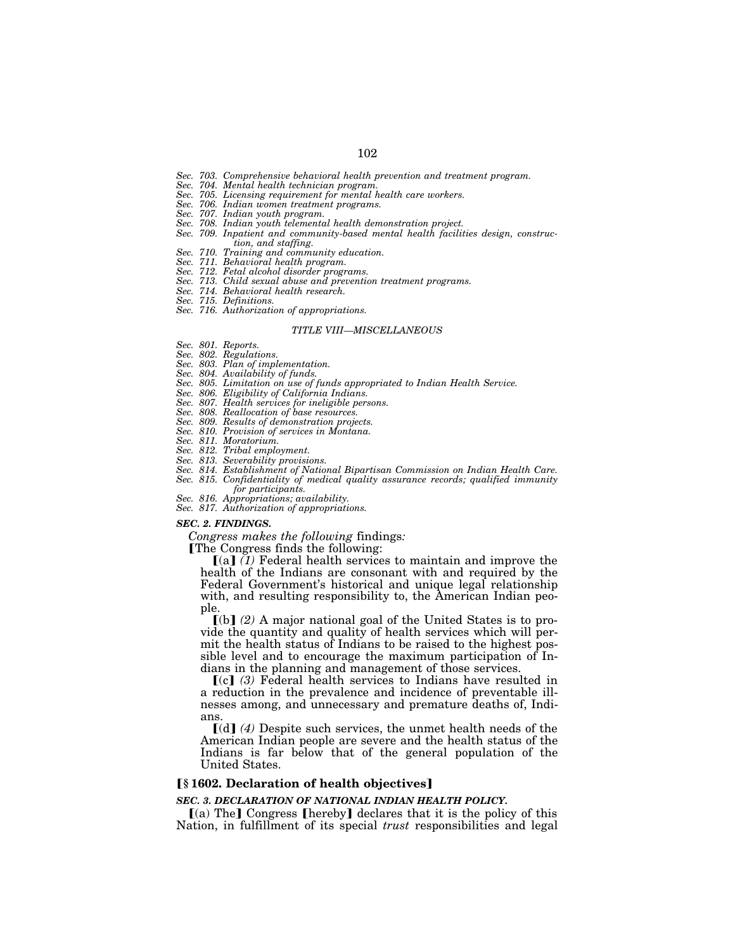- *Sec. 703. Comprehensive behavioral health prevention and treatment program.*
- *Sec. 704. Mental health technician program.*
- *Sec. 705. Licensing requirement for mental health care workers.*
- *Sec. 706. Indian women treatment programs.*
- *Sec. 707. Indian youth program.*
- *Sec. 708. Indian youth telemental health demonstration project.*
- *Sec. 709. Inpatient and community-based mental health facilities design, construction, and staffing.*
- *Sec. 710. Training and community education.*
- *Sec. 711. Behavioral health program.*
- *Sec. 712. Fetal alcohol disorder programs.*
- *Sec. 713. Child sexual abuse and prevention treatment programs.*
- *Sec. 714. Behavioral health research.*
- *Sec. 715. Definitions.*
- *Sec. 716. Authorization of appropriations.*

#### *TITLE VIII—MISCELLANEOUS*

- *Sec. 801. Reports.*
- *Sec. 802. Regulations.*
- *Sec. 803. Plan of implementation.*
- *Sec. 804. Availability of funds.*
- *Sec. 805. Limitation on use of funds appropriated to Indian Health Service.*
- *Sec. 806. Eligibility of California Indians.*
- *Sec. 807. Health services for ineligible persons.*
- *Sec. 808. Reallocation of base resources.*
- *Sec. 809. Results of demonstration projects.*
- *Sec. 810. Provision of services in Montana.*
- *Sec. 811. Moratorium.*
- *Sec. 812. Tribal employment.*
- *Sec. 813. Severability provisions.*
- *Sec. 814. Establishment of National Bipartisan Commission on Indian Health Care.*  Sec. 815. Confidentiality of medical quality assurance records; qualified immunity
- *for participants. Sec. 816. Appropriations; availability.*
- 
- *Sec. 817. Authorization of appropriations.*

#### *SEC. 2. FINDINGS.*

*Congress makes the following* findings*:* 

The Congress finds the following:

[(a] (1) Federal health services to maintain and improve the health of the Indians are consonant with and required by the Federal Government's historical and unique legal relationship with, and resulting responsibility to, the American Indian people.

ø(b¿ *(2)* A major national goal of the United States is to provide the quantity and quality of health services which will permit the health status of Indians to be raised to the highest possible level and to encourage the maximum participation of Indians in the planning and management of those services.

ø(c¿ *(3)* Federal health services to Indians have resulted in a reduction in the prevalence and incidence of preventable illnesses among, and unnecessary and premature deaths of, Indians.

 $\lceil$ (d) (4) Despite such services, the unmet health needs of the American Indian people are severe and the health status of the Indians is far below that of the general population of the United States.

## ø**§ 1602. Declaration of health objectives**¿

#### *SEC. 3. DECLARATION OF NATIONAL INDIAN HEALTH POLICY.*

 $(a)$  The] Congress [hereby] declares that it is the policy of this Nation, in fulfillment of its special *trust* responsibilities and legal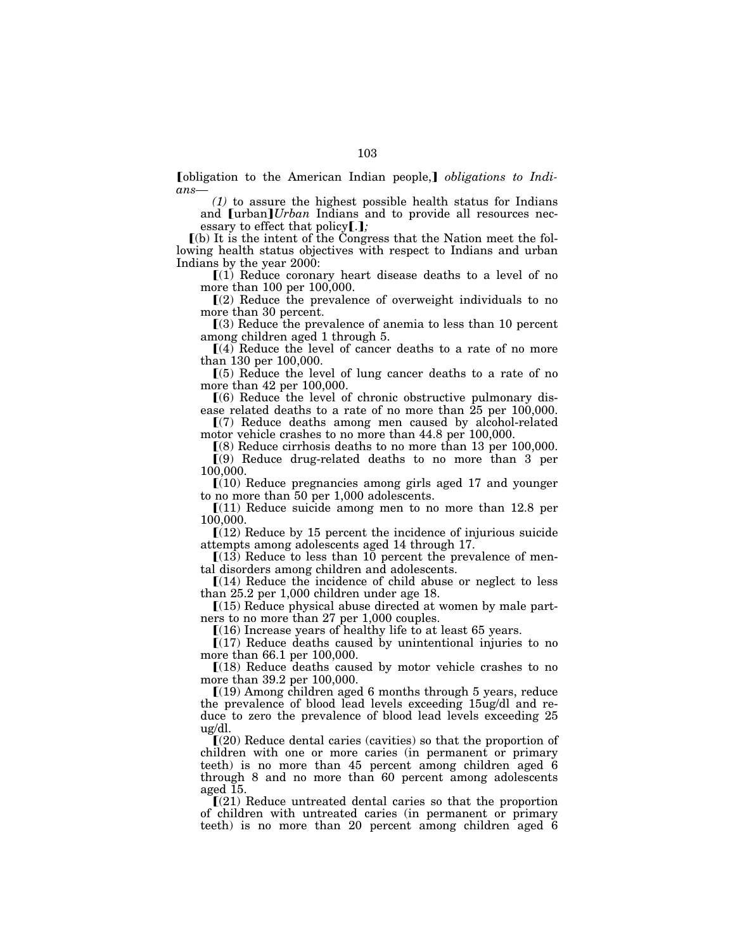**Tobligation** to the American Indian people, **1** *obligations to Indians—*

*(1)* to assure the highest possible health status for Indians and [urban*]Urban* Indians and to provide all resources necessary to effect that policy[.];

ø(b) It is the intent of the Congress that the Nation meet the following health status objectives with respect to Indians and urban Indians by the year 2000:

 $(1)$  Reduce coronary heart disease deaths to a level of no more than 100 per 100,000.

 $(2)$  Reduce the prevalence of overweight individuals to no more than 30 percent.

 $(3)$  Reduce the prevalence of anemia to less than 10 percent among children aged 1 through 5.

 $(4)$  Reduce the level of cancer deaths to a rate of no more than 130 per 100,000.

 $(5)$  Reduce the level of lung cancer deaths to a rate of no more than 42 per 100,000.

 $(6)$  Reduce the level of chronic obstructive pulmonary disease related deaths to a rate of no more than 25 per 100,000.

ø(7) Reduce deaths among men caused by alcohol-related motor vehicle crashes to no more than 44.8 per 100,000.

ø(8) Reduce cirrhosis deaths to no more than 13 per 100,000.

 $(9)$  Reduce drug-related deaths to no more than 3 per 100,000.

 $(10)$  Reduce pregnancies among girls aged 17 and younger to no more than 50 per 1,000 adolescents.

 $[(11)$  Reduce suicide among men to no more than 12.8 per 100,000.

 $[(12)$  Reduce by 15 percent the incidence of injurious suicide attempts among adolescents aged 14 through 17.

 $(13)$  Reduce to less than 10 percent the prevalence of mental disorders among children and adolescents.

 $[(14)$  Reduce the incidence of child abuse or neglect to less than 25.2 per 1,000 children under age 18.

 $(15)$  Reduce physical abuse directed at women by male partners to no more than 27 per 1,000 couples.

 $(16)$  Increase years of healthy life to at least 65 years.

 $(17)$  Reduce deaths caused by unintentional injuries to no more than 66.1 per 100,000.

 $(18)$  Reduce deaths caused by motor vehicle crashes to no more than 39.2 per 100,000.

ø(19) Among children aged 6 months through 5 years, reduce the prevalence of blood lead levels exceeding 15ug/dl and reduce to zero the prevalence of blood lead levels exceeding 25 ug/dl.

 $(20)$  Reduce dental caries (cavities) so that the proportion of children with one or more caries (in permanent or primary teeth) is no more than 45 percent among children aged 6 through 8 and no more than 60 percent among adolescents aged 15.

 $\Gamma(21)$  Reduce untreated dental caries so that the proportion of children with untreated caries (in permanent or primary teeth) is no more than 20 percent among children aged 6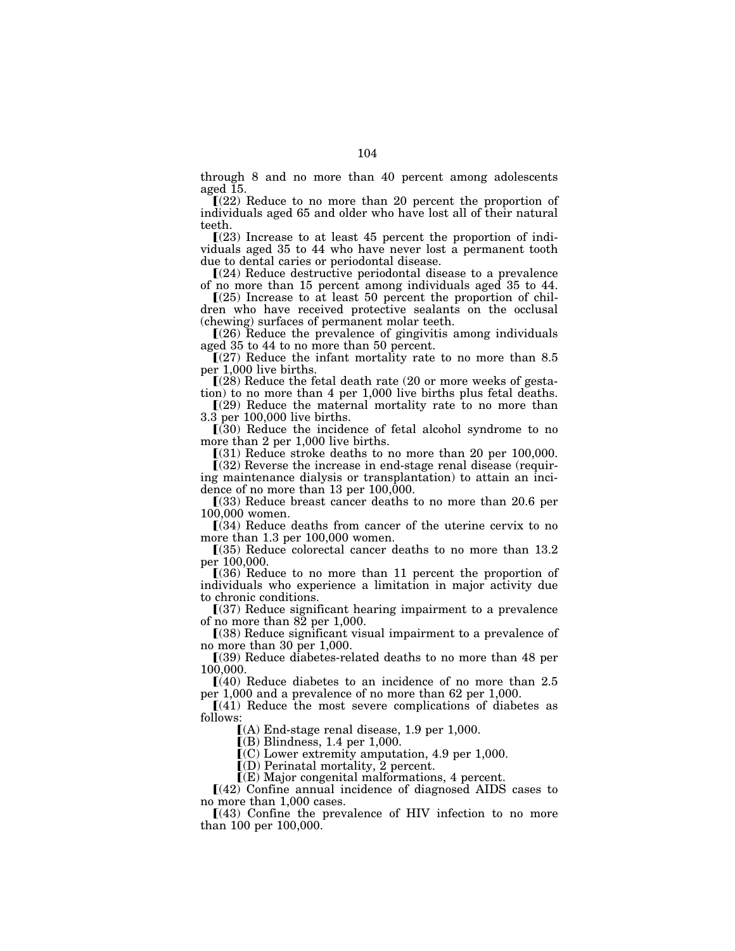through 8 and no more than 40 percent among adolescents aged 15.

 $(22)$  Reduce to no more than 20 percent the proportion of individuals aged 65 and older who have lost all of their natural teeth.

 $\Gamma(23)$  Increase to at least 45 percent the proportion of individuals aged 35 to 44 who have never lost a permanent tooth due to dental caries or periodontal disease.

 $[(24)$  Reduce destructive periodontal disease to a prevalence of no more than 15 percent among individuals aged 35 to 44.

 $(25)$  Increase to at least 50 percent the proportion of children who have received protective sealants on the occlusal (chewing) surfaces of permanent molar teeth.

 $(26)$  Reduce the prevalence of gingivitis among individuals aged 35 to 44 to no more than 50 percent.

 $(27)$  Reduce the infant mortality rate to no more than 8.5 per 1,000 live births.

 $(28)$  Reduce the fetal death rate  $(20 \text{ or more weeks of gesta-})$ tion) to no more than 4 per 1,000 live births plus fetal deaths.

 $(29)$  Reduce the maternal mortality rate to no more than 3.3 per 100,000 live births.

 $(30)$  Reduce the incidence of fetal alcohol syndrome to no more than 2 per 1,000 live births.

 $(31)$  Reduce stroke deaths to no more than 20 per 100,000.

 $(32)$  Reverse the increase in end-stage renal disease (requiring maintenance dialysis or transplantation) to attain an incidence of no more than 13 per 100,000.

ø(33) Reduce breast cancer deaths to no more than 20.6 per 100,000 women.

 $(34)$  Reduce deaths from cancer of the uterine cervix to no more than 1.3 per 100,000 women.

 $(35)$  Reduce colorectal cancer deaths to no more than 13.2 per 100,000.

 $(36)$  Reduce to no more than 11 percent the proportion of individuals who experience a limitation in major activity due to chronic conditions.

 $(37)$  Reduce significant hearing impairment to a prevalence of no more than 82 per 1,000.

ø(38) Reduce significant visual impairment to a prevalence of no more than 30 per 1,000.

ø(39) Reduce diabetes-related deaths to no more than 48 per 100,000.

 $\Gamma(40)$  Reduce diabetes to an incidence of no more than 2.5 per 1,000 and a prevalence of no more than 62 per 1,000.

 $[(41)$  Reduce the most severe complications of diabetes as follows:

ø(A) End-stage renal disease, 1.9 per 1,000.

 $[(B)$  Blindness, 1.4 per 1,000.

 $\mathcal{I}(C)$  Lower extremity amputation, 4.9 per 1,000.

 $I(D)$  Perinatal mortality, 2 percent.

ø(E) Major congenital malformations, 4 percent.

 $[(42)$  Confine annual incidence of diagnosed AIDS cases to no more than 1,000 cases.

 $(43)$  Confine the prevalence of HIV infection to no more than 100 per 100,000.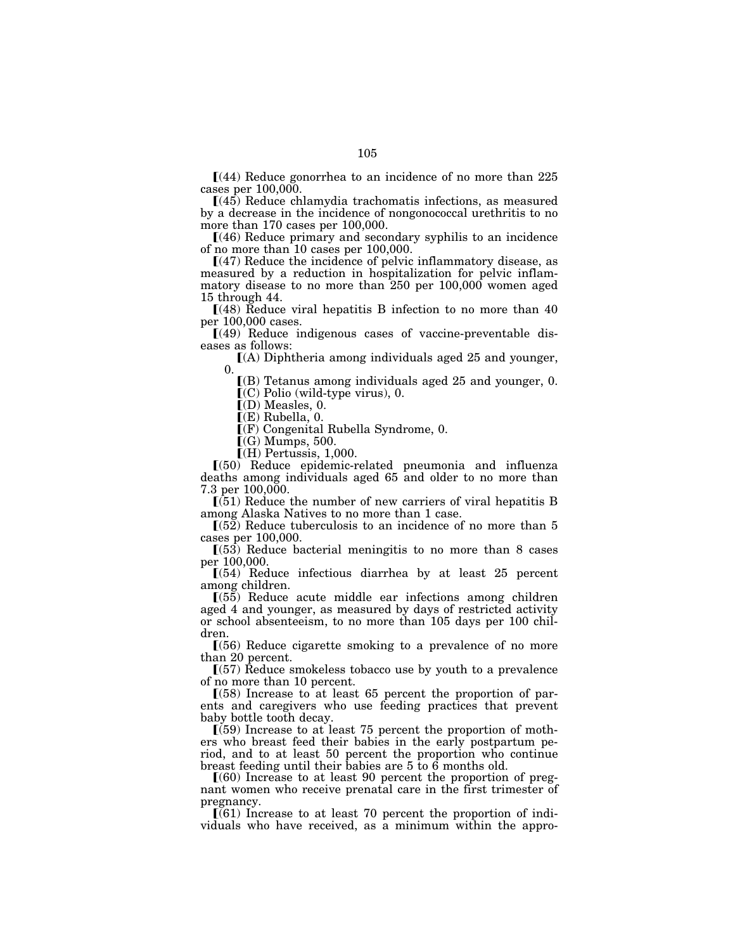$[(44)$  Reduce gonorrhea to an incidence of no more than 225 cases per 100,000.

 $(45)$  Reduce chlamydia trachomatis infections, as measured by a decrease in the incidence of nongonococcal urethritis to no more than 170 cases per 100,000.

 $(46)$  Reduce primary and secondary syphilis to an incidence of no more than 10 cases per 100,000.

ø(47) Reduce the incidence of pelvic inflammatory disease, as measured by a reduction in hospitalization for pelvic inflammatory disease to no more than 250 per 100,000 women aged 15 through 44.

 $(48)$  Reduce viral hepatitis B infection to no more than 40 per 100,000 cases.

 $(49)$  Reduce indigenous cases of vaccine-preventable diseases as follows:

 $(A)$  Diphtheria among individuals aged 25 and younger, 0.

 $($ B) Tetanus among individuals aged 25 and younger, 0.  $(C)$  Polio (wild-type virus), 0.

 $\mathbf{I}(\mathbf{D})$  Measles, 0.

 $\mathbb{F}(E)$  Rubella, 0.

 $\bar{I}(F)$  Congenital Rubella Syndrome, 0.

 $\Gamma(G)$  Mumps, 500.

 $\Gamma(H)$  Pertussis, 1,000.

ø(50) Reduce epidemic-related pneumonia and influenza deaths among individuals aged 65 and older to no more than 7.3 per 100,000.

 $\left[\frac{51}{51}\right]$  Reduce the number of new carriers of viral hepatitis B among Alaska Natives to no more than 1 case.

 $(52)$  Reduce tuberculosis to an incidence of no more than 5 cases per 100,000.

 $(53)$  Reduce bacterial meningitis to no more than 8 cases per 100,000.

 $(54)$  Reduce infectious diarrhea by at least 25 percent among children.

 $(55)$  Reduce acute middle ear infections among children aged 4 and younger, as measured by days of restricted activity or school absenteeism, to no more than 105 days per 100 children.

 $(56)$  Reduce cigarette smoking to a prevalence of no more than 20 percent.

 $(57)$  Reduce smokeless tobacco use by youth to a prevalence of no more than 10 percent.

 $(58)$  Increase to at least 65 percent the proportion of parents and caregivers who use feeding practices that prevent baby bottle tooth decay.

 $(59)$  Increase to at least 75 percent the proportion of mothers who breast feed their babies in the early postpartum period, and to at least 50 percent the proportion who continue breast feeding until their babies are 5 to 6 months old.

 $(60)$  Increase to at least 90 percent the proportion of pregnant women who receive prenatal care in the first trimester of pregnancy.

 $\left[$ (61) Increase to at least 70 percent the proportion of individuals who have received, as a minimum within the appro-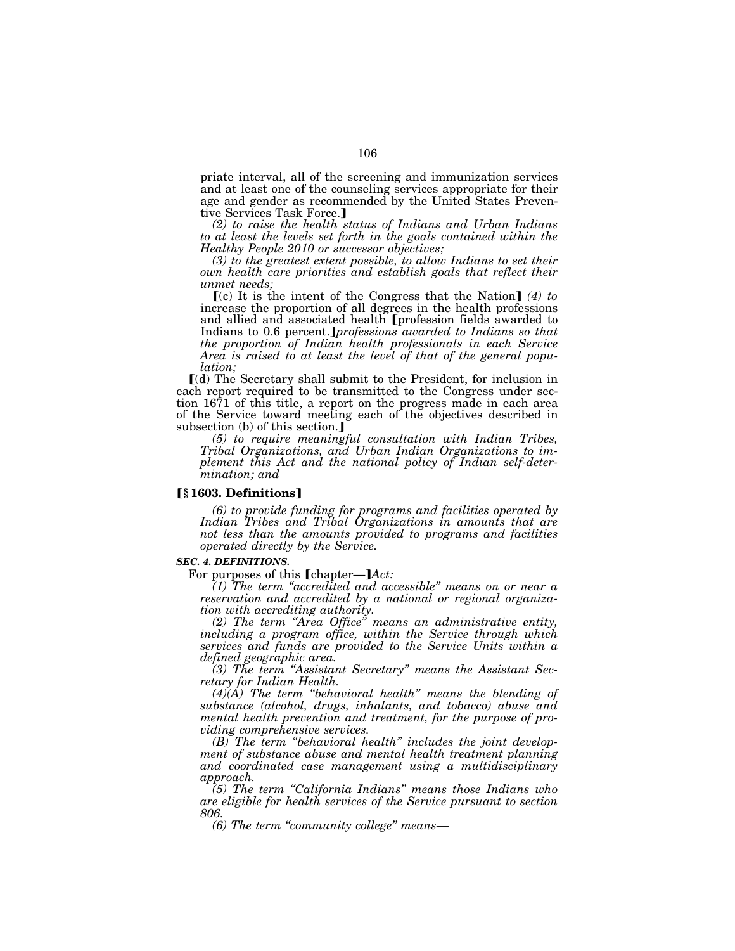priate interval, all of the screening and immunization services and at least one of the counseling services appropriate for their age and gender as recommended by the United States Preventive Services Task Force.]

*(2) to raise the health status of Indians and Urban Indians to at least the levels set forth in the goals contained within the Healthy People 2010 or successor objectives;* 

*(3) to the greatest extent possible, to allow Indians to set their own health care priorities and establish goals that reflect their unmet needs;* 

 $(c)$  It is the intent of the Congress that the Nation  $(4)$  to increase the proportion of all degrees in the health professions and allied and associated health [profession fields awarded to Indians to 0.6 percent.*Jprofessions awarded to Indians so that the proportion of Indian health professionals in each Service Area is raised to at least the level of that of the general population;* 

ø(d) The Secretary shall submit to the President, for inclusion in each report required to be transmitted to the Congress under section 1671 of this title, a report on the progress made in each area of the Service toward meeting each of the objectives described in subsection (b) of this section.]

*(5) to require meaningful consultation with Indian Tribes, Tribal Organizations, and Urban Indian Organizations to implement this Act and the national policy of Indian self-determination; and* 

#### ø**§ 1603. Definitions**¿

*(6) to provide funding for programs and facilities operated by Indian Tribes and Tribal Organizations in amounts that are not less than the amounts provided to programs and facilities operated directly by the Service.* 

#### *SEC. 4. DEFINITIONS.*

For purposes of this [chapter—] $Act$ :

*(1) The term ''accredited and accessible'' means on or near a reservation and accredited by a national or regional organization with accrediting authority.* 

*(2) The term ''Area Office'' means an administrative entity, including a program office, within the Service through which services and funds are provided to the Service Units within a defined geographic area.* 

*(3) The term ''Assistant Secretary'' means the Assistant Secretary for Indian Health.* 

*(4)(A) The term ''behavioral health'' means the blending of substance (alcohol, drugs, inhalants, and tobacco) abuse and mental health prevention and treatment, for the purpose of providing comprehensive services.* 

*(B) The term ''behavioral health'' includes the joint development of substance abuse and mental health treatment planning and coordinated case management using a multidisciplinary approach.* 

*(5) The term ''California Indians'' means those Indians who are eligible for health services of the Service pursuant to section 806.* 

*(6) The term ''community college'' means—*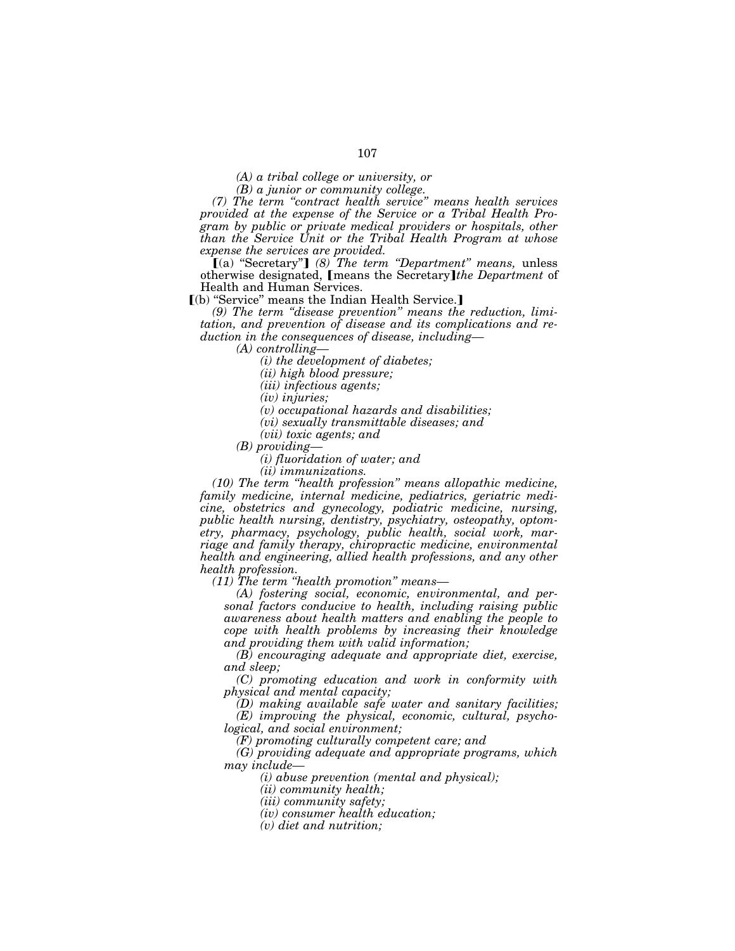*(A) a tribal college or university, or* 

*(B) a junior or community college.* 

*(7) The term ''contract health service'' means health services provided at the expense of the Service or a Tribal Health Program by public or private medical providers or hospitals, other than the Service Unit or the Tribal Health Program at whose expense the services are provided.* 

[(a) "Secretary"] (8) The term "Department" means, unless otherwise designated, [means the Secretary]*the Department* of Health and Human Services.

 $\lceil$ (b) "Service" means the Indian Health Service.

*(9) The term ''disease prevention'' means the reduction, limitation, and prevention of disease and its complications and reduction in the consequences of disease, including—*

*(A) controlling—*

*(i) the development of diabetes;* 

*(ii) high blood pressure;* 

*(iii) infectious agents;* 

*(iv) injuries;* 

*(v) occupational hazards and disabilities;* 

*(vi) sexually transmittable diseases; and* 

*(vii) toxic agents; and* 

*(B) providing—*

*(i) fluoridation of water; and* 

*(ii) immunizations.* 

*(10) The term ''health profession'' means allopathic medicine, family medicine, internal medicine, pediatrics, geriatric medicine, obstetrics and gynecology, podiatric medicine, nursing, public health nursing, dentistry, psychiatry, osteopathy, optometry, pharmacy, psychology, public health, social work, marriage and family therapy, chiropractic medicine, environmental health and engineering, allied health professions, and any other health profession.* 

*(11) The term ''health promotion'' means—*

*(A) fostering social, economic, environmental, and personal factors conducive to health, including raising public awareness about health matters and enabling the people to cope with health problems by increasing their knowledge and providing them with valid information;* 

*(B) encouraging adequate and appropriate diet, exercise, and sleep;* 

*(C) promoting education and work in conformity with physical and mental capacity;* 

*(D) making available safe water and sanitary facilities; (E) improving the physical, economic, cultural, psychological, and social environment;* 

*(F) promoting culturally competent care; and* 

*(G) providing adequate and appropriate programs, which may include—*

*(i) abuse prevention (mental and physical);* 

*(ii) community health;* 

*(iii) community safety;* 

*(iv) consumer health education;* 

*(v) diet and nutrition;*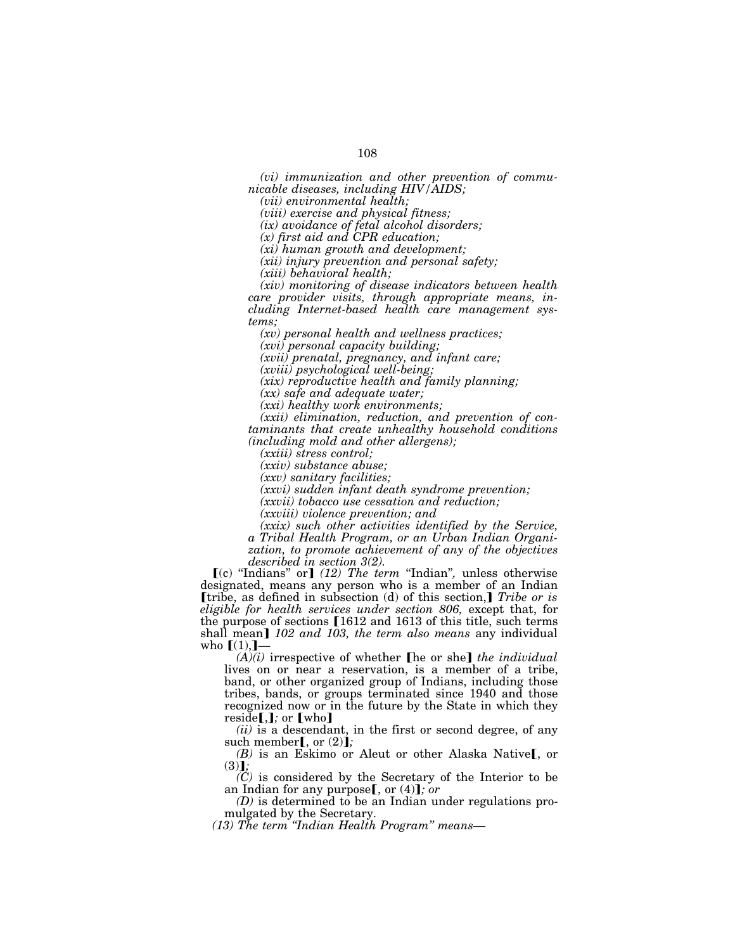*(vi) immunization and other prevention of communicable diseases, including HIV/AIDS;* 

*(vii) environmental health;* 

*(viii) exercise and physical fitness;* 

*(ix) avoidance of fetal alcohol disorders;* 

*(x) first aid and CPR education;* 

*(xi) human growth and development;* 

*(xii) injury prevention and personal safety;* 

*(xiii) behavioral health;* 

*(xiv) monitoring of disease indicators between health care provider visits, through appropriate means, including Internet-based health care management systems;* 

*(xv) personal health and wellness practices;* 

*(xvi) personal capacity building;* 

*(xvii) prenatal, pregnancy, and infant care;* 

*(xviii) psychological well-being;* 

*(xix) reproductive health and family planning;* 

*(xx) safe and adequate water;* 

*(xxi) healthy work environments;* 

*(xxii) elimination, reduction, and prevention of contaminants that create unhealthy household conditions (including mold and other allergens);* 

*(xxiii) stress control;* 

*(xxiv) substance abuse;* 

*(xxv) sanitary facilities;* 

*(xxvi) sudden infant death syndrome prevention;* 

*(xxvii) tobacco use cessation and reduction;* 

*(xxviii) violence prevention; and* 

*(xxix) such other activities identified by the Service, a Tribal Health Program, or an Urban Indian Organization, to promote achievement of any of the objectives described in section 3(2).* 

ø(c) ''Indians'' or¿ *(12) The term* ''Indian''*,* unless otherwise designated, means any person who is a member of an Indian **[tribe, as defined in subsection (d) of this section,** *Tribe or is eligible for health services under section 806,* except that, for the purpose of sections  $[1612$  and 1613 of this title, such terms shall mean] 102 and 103, the term also means any individual who  $[(1),]$ 

 $(A)(i)$  irrespective of whether [he or she] *the individual* lives on or near a reservation, is a member of a tribe, band, or other organized group of Indians, including those tribes, bands, or groups terminated since 1940 and those recognized now or in the future by the State in which they reside $\left[ , \right]$ *;* or  $\left[$  who $\right]$ 

*(ii)* is a descendant, in the first or second degree, of any such member $[$ , or  $(2)$  $]$ ;

*(B)* is an Eskimo or Aleut or other Alaska Native<sub>[, or</sub>  $(3)$ .

*(C)* is considered by the Secretary of the Interior to be an Indian for any purpose<sup>[, or (4)]; or</sup>

*(D)* is determined to be an Indian under regulations promulgated by the Secretary.

*(13) The term ''Indian Health Program'' means—*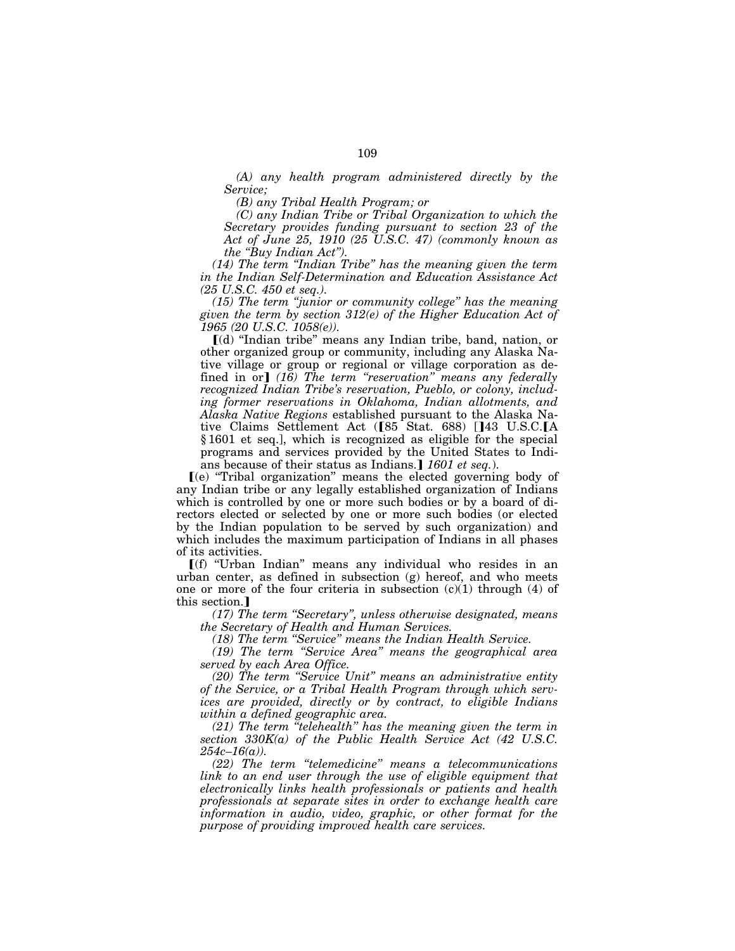*(A) any health program administered directly by the Service;* 

*(B) any Tribal Health Program; or* 

*(C) any Indian Tribe or Tribal Organization to which the Secretary provides funding pursuant to section 23 of the Act of June 25, 1910 (25 U.S.C. 47) (commonly known as the ''Buy Indian Act'').* 

*(14) The term ''Indian Tribe'' has the meaning given the term in the Indian Self-Determination and Education Assistance Act (25 U.S.C. 450 et seq.).* 

*(15) The term ''junior or community college'' has the meaning given the term by section 312(e) of the Higher Education Act of 1965 (20 U.S.C. 1058(e)).* 

ø(d) ''Indian tribe'' means any Indian tribe, band, nation, or other organized group or community, including any Alaska Native village or group or regional or village corporation as defined in or] (16) The term "reservation" means any federally *recognized Indian Tribe's reservation, Pueblo, or colony, including former reservations in Oklahoma, Indian allotments, and Alaska Native Regions* established pursuant to the Alaska Native Claims Settlement Act ( $[85 \text{ Stat. } 688)$  []43 U.S.C. $[A]$ § 1601 et seq.], which is recognized as eligible for the special programs and services provided by the United States to Indians because of their status as Indians.] 1601 et seq.).

ø(e) ''Tribal organization'' means the elected governing body of any Indian tribe or any legally established organization of Indians which is controlled by one or more such bodies or by a board of directors elected or selected by one or more such bodies (or elected by the Indian population to be served by such organization) and which includes the maximum participation of Indians in all phases of its activities.

 $[(f)$  "Urban Indian" means any individual who resides in an urban center, as defined in subsection (g) hereof, and who meets one or more of the four criteria in subsection  $(c)(1)$  through  $(4)$  of this section.

*(17) The term ''Secretary'', unless otherwise designated, means the Secretary of Health and Human Services.* 

*(18) The term ''Service'' means the Indian Health Service.* 

*(19) The term ''Service Area'' means the geographical area served by each Area Office.* 

*(20) The term ''Service Unit'' means an administrative entity of the Service, or a Tribal Health Program through which services are provided, directly or by contract, to eligible Indians within a defined geographic area.* 

*(21) The term ''telehealth'' has the meaning given the term in section 330K(a) of the Public Health Service Act (42 U.S.C. 254c–16(a)).* 

*(22) The term ''telemedicine'' means a telecommunications link to an end user through the use of eligible equipment that electronically links health professionals or patients and health professionals at separate sites in order to exchange health care information in audio, video, graphic, or other format for the purpose of providing improved health care services.*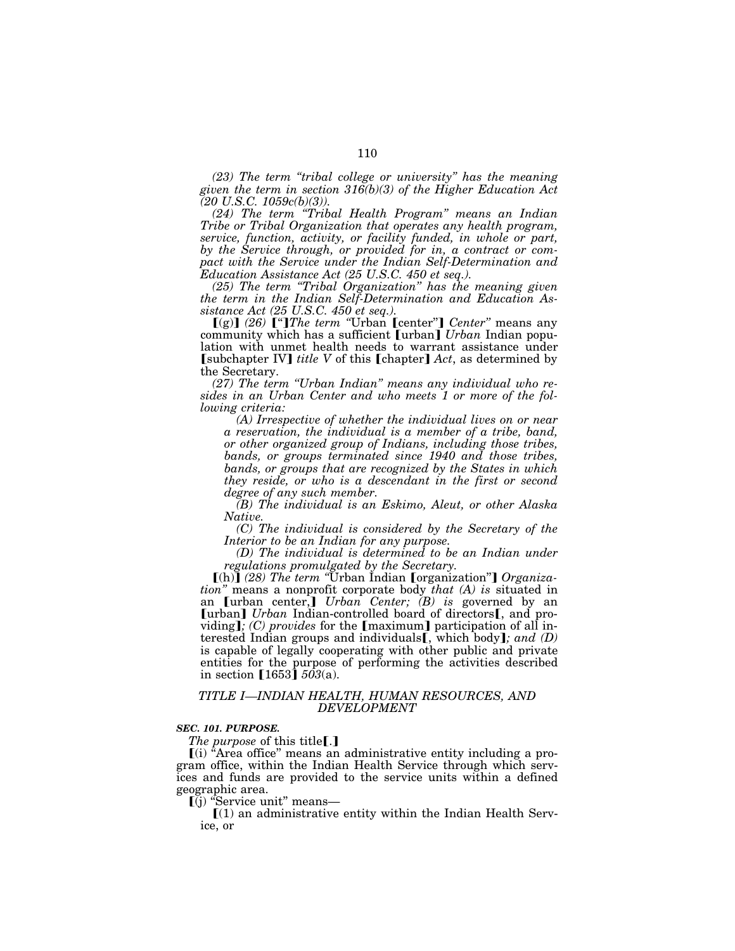*(23) The term ''tribal college or university'' has the meaning given the term in section 316(b)(3) of the Higher Education Act (20 U.S.C. 1059c(b)(3)).* 

*(24) The term ''Tribal Health Program'' means an Indian Tribe or Tribal Organization that operates any health program, service, function, activity, or facility funded, in whole or part, by the Service through, or provided for in, a contract or compact with the Service under the Indian Self-Determination and Education Assistance Act (25 U.S.C. 450 et seq.).* 

*(25) The term ''Tribal Organization'' has the meaning given the term in the Indian Self-Determination and Education Assistance Act (25 U.S.C. 450 et seq.).* 

[(g)] (26) <sup>["</sup>]*The term* "Urban [center"] *Center*" means any community which has a sufficient [urban] *Urban* Indian population with unmet health needs to warrant assistance under **[subchapter IV]** *title V* of this **[chapter]** *Act*, as determined by the Secretary.

*(27) The term ''Urban Indian'' means any individual who resides in an Urban Center and who meets 1 or more of the following criteria:* 

*(A) Irrespective of whether the individual lives on or near a reservation, the individual is a member of a tribe, band, or other organized group of Indians, including those tribes, bands, or groups terminated since 1940 and those tribes, bands, or groups that are recognized by the States in which they reside, or who is a descendant in the first or second degree of any such member.* 

*(B) The individual is an Eskimo, Aleut, or other Alaska Native.* 

*(C) The individual is considered by the Secretary of the Interior to be an Indian for any purpose.* 

*(D) The individual is determined to be an Indian under regulations promulgated by the Secretary.* 

**[(h)]** (28) The term "Urban Indian **[**organization"**]** Organiza*tion''* means a nonprofit corporate body *that (A) is* situated in an **[urban center,]** *Urban Center; (B) is* governed by an [urban] *Urban* Indian-controlled board of directors<sub>[, and pro-</sub> viding]; (C) provides for the [maximum] participation of all interested Indian groups and individuals<sup>[, which body]; and (D)</sup> is capable of legally cooperating with other public and private entities for the purpose of performing the activities described in section  $[1653]$   $503(a)$ .

#### *TITLE I—INDIAN HEALTH, HUMAN RESOURCES, AND DEVELOPMENT*

#### *SEC. 101. PURPOSE.*

*The purpose* of this title<sup>[1]</sup>

 $(i)$  "Area office" means an administrative entity including a program office, within the Indian Health Service through which services and funds are provided to the service units within a defined geographic area.<br>
[(j) "Service unit" means—

 $\mathcal{L}(1)$  an administrative entity within the Indian Health Service, or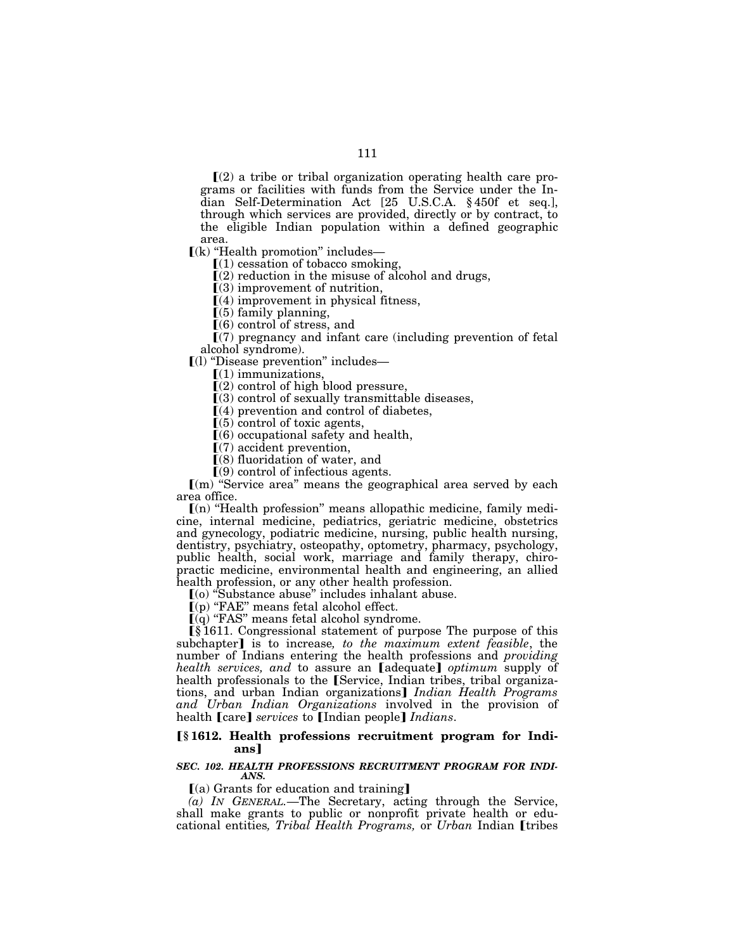$\Gamma(2)$  a tribe or tribal organization operating health care programs or facilities with funds from the Service under the Indian Self-Determination Act [25 U.S.C.A. § 450f et seq.], through which services are provided, directly or by contract, to the eligible Indian population within a defined geographic area.

 $\llbracket$ (k) "Health promotion" includes-

 $(1)$  cessation of tobacco smoking,

 $\Gamma(2)$  reduction in the misuse of alcohol and drugs,

 $(3)$  improvement of nutrition,

 $(4)$  improvement in physical fitness,

 $(5)$  family planning,

 $(6)$  control of stress, and

 $(7)$  pregnancy and infant care (including prevention of fetal alcohol syndrome).

ø(l) ''Disease prevention'' includes—

ø(1) immunizations,

 $(2)$  control of high blood pressure,

 $(3)$  control of sexually transmittable diseases,

 $(4)$  prevention and control of diabetes,

 $(5)$  control of toxic agents,

 $(6)$  occupational safety and health,

 $(7)$  accident prevention,

 $(8)$  fluoridation of water, and

 $(9)$  control of infectious agents.

 $(m)$  "Service area" means the geographical area served by each area office.

 $(n)$  "Health profession" means allopathic medicine, family medicine, internal medicine, pediatrics, geriatric medicine, obstetrics and gynecology, podiatric medicine, nursing, public health nursing, dentistry, psychiatry, osteopathy, optometry, pharmacy, psychology, public health, social work, marriage and family therapy, chiropractic medicine, environmental health and engineering, an allied health profession, or any other health profession.

ø(o) ''Substance abuse'' includes inhalant abuse.

 $\tilde{I}(p)$  "FAE" means fetal alcohol effect.

 $\bar{I}(q)$  "FAS" means fetal alcohol syndrome.

ø§ 1611. Congressional statement of purpose The purpose of this subchapter<sup>]</sup> is to increase, to the maximum extent feasible, the number of Indians entering the health professions and *providing health services, and to assure an [adequate] optimum supply of* health professionals to the [Service, Indian tribes, tribal organizations, and urban Indian organizations] *Indian Health Programs and Urban Indian Organizations* involved in the provision of health [care] *services* to [Indian people] *Indians*.

### ø**§ 1612. Health professions recruitment program for Indians**¿

### *SEC. 102. HEALTH PROFESSIONS RECRUITMENT PROGRAM FOR INDI-ANS.*

 $(a)$  Grants for education and training]

*(a) IN GENERAL.*—The Secretary, acting through the Service, shall make grants to public or nonprofit private health or educational entities, Tribal Health Programs, or Urban Indian [tribes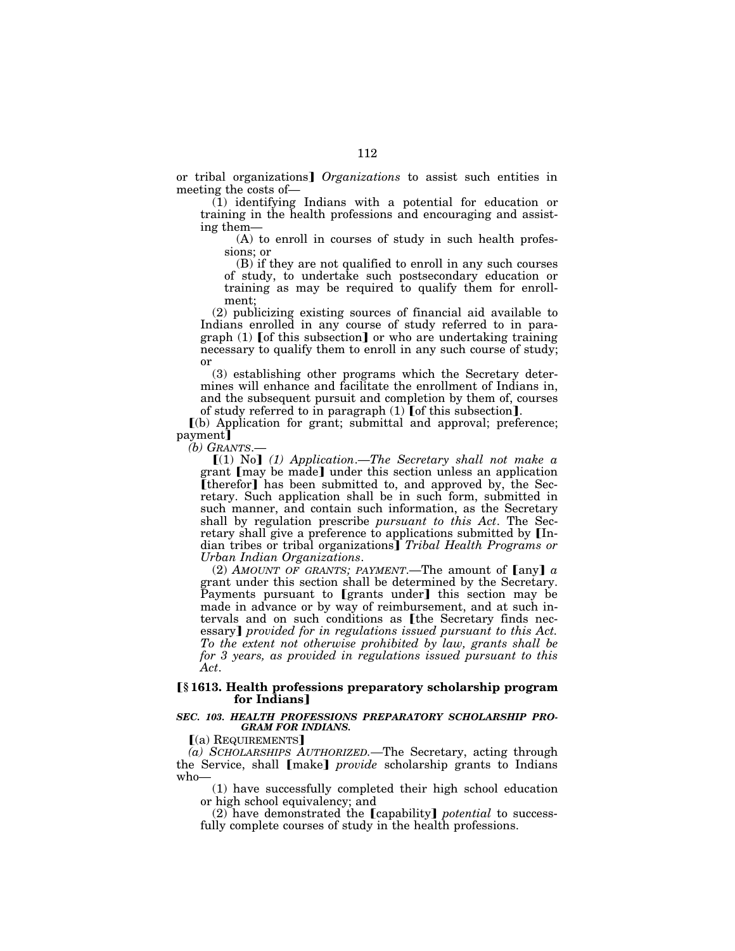or tribal organizations¿ *Organizations* to assist such entities in meeting the costs of—

(1) identifying Indians with a potential for education or training in the health professions and encouraging and assisting them—

(A) to enroll in courses of study in such health professions; or

(B) if they are not qualified to enroll in any such courses of study, to undertake such postsecondary education or training as may be required to qualify them for enrollment;

(2) publicizing existing sources of financial aid available to Indians enrolled in any course of study referred to in paragraph  $(1)$  [of this subsection] or who are undertaking training necessary to qualify them to enroll in any such course of study; or

(3) establishing other programs which the Secretary determines will enhance and facilitate the enrollment of Indians in, and the subsequent pursuit and completion by them of, courses of study referred to in paragraph  $(1)$  [of this subsection].

ø(b) Application for grant; submittal and approval; preference; payment]

*(b) GRANTS*.—

ø(1) No¿ *(1) Application*.—*The Secretary shall not make a*  grant [may be made] under this section unless an application [therefor] has been submitted to, and approved by, the Secretary. Such application shall be in such form, submitted in such manner, and contain such information, as the Secretary shall by regulation prescribe *pursuant to this Act*. The Secretary shall give a preference to applications submitted by [Indian tribes or tribal organizations] *Tribal Health Programs or Urban Indian Organizations*.

(2) *AMOUNT OF GRANTS; PAYMENT*.—The amount of  $\lceil \text{any} \rceil$  *a* grant under this section shall be determined by the Secretary. Payments pursuant to [grants under] this section may be made in advance or by way of reimbursement, and at such intervals and on such conditions as [the Secretary finds necessary] *provided for in regulations issued pursuant to this Act. To the extent not otherwise prohibited by law, grants shall be for 3 years, as provided in regulations issued pursuant to this Act*.

### ø**§ 1613. Health professions preparatory scholarship program for Indians**¿

#### *SEC. 103. HEALTH PROFESSIONS PREPARATORY SCHOLARSHIP PRO-GRAM FOR INDIANS.*

 $(a)$  REQUIREMENTS

*(a) SCHOLARSHIPS AUTHORIZED.—*The Secretary, acting through the Service, shall [make] *provide* scholarship grants to Indians who—

(1) have successfully completed their high school education or high school equivalency; and

(2) have demonstrated the **[**capability**]** *potential* to successfully complete courses of study in the health professions.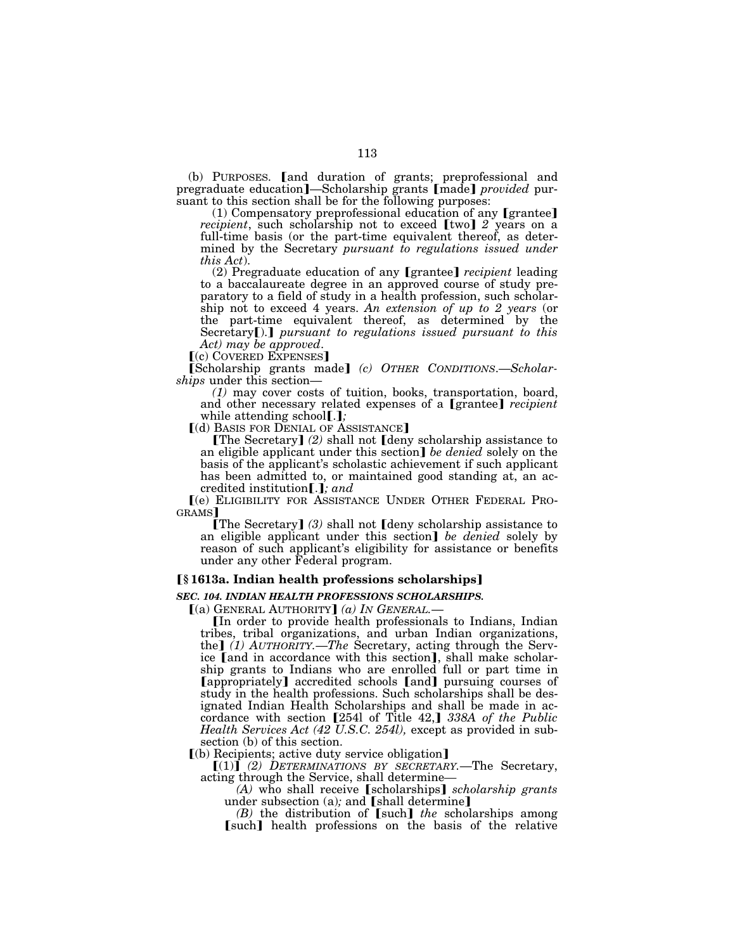(b) PURPOSES. [and duration of grants; preprofessional and pregraduate education]—Scholarship grants [made] *provided* pursuant to this section shall be for the following purposes:

(1) Compensatory preprofessional education of any  $[$ grantee $]$ *recipient*, such scholarship not to exceed [two] 2 years on a full-time basis (or the part-time equivalent thereof, as determined by the Secretary *pursuant to regulations issued under this Act*).

(2) Pregraduate education of any **[grantee]** *recipient* leading to a baccalaureate degree in an approved course of study preparatory to a field of study in a health profession, such scholarship not to exceed 4 years. *An extension of up to 2 years* (or the part-time equivalent thereof, as determined by the Secretary<sup>[1]</sup>. *pursuant to regulations issued pursuant to this Act) may be approved*.

[(c) COVERED EXPENSES]

[Scholarship grants made] (c) OTHER CONDITIONS.-Scholar*ships* under this section—

*(1)* may cover costs of tuition, books, transportation, board, and other necessary related expenses of a *[grantee] recipient* while attending school<sup>[.]</sup>;

[(d) BASIS FOR DENIAL OF ASSISTANCE]

**[The Secretary]** (2) shall not **[deny scholarship assistance to** an eligible applicant under this section] *be denied* solely on the basis of the applicant's scholastic achievement if such applicant has been admitted to, or maintained good standing at, an accredited institution[.]; and

ø(e) ELIGIBILITY FOR ASSISTANCE UNDER OTHER FEDERAL PRO-GRAMS

**[The Secretary]** (3) shall not **[deny scholarship assistance to** an eligible applicant under this section] be denied solely by reason of such applicant's eligibility for assistance or benefits under any other Federal program.

# ø**§ 1613a. Indian health professions scholarships**¿

# *SEC. 104. INDIAN HEALTH PROFESSIONS SCHOLARSHIPS.*

 $(a)$  GENERAL AUTHORITY]  $(a)$  IN GENERAL.

øIn order to provide health professionals to Indians, Indian tribes, tribal organizations, and urban Indian organizations, the<sup>]</sup> (1) AUTHORITY.—The Secretary, acting through the Service [and in accordance with this section], shall make scholarship grants to Indians who are enrolled full or part time in **[appropriately]** accredited schools **[and]** pursuing courses of study in the health professions. Such scholarships shall be designated Indian Health Scholarships and shall be made in accordance with section [254l of Title 42,] 338A of the Public *Health Services Act (42 U.S.C. 254l),* except as provided in subsection (b) of this section.

 $(6)$  Recipients; active duty service obligation]

 $[(1)]$  (2) DETERMINATIONS BY SECRETARY.—The Secretary, acting through the Service, shall determine*—*

*(A)* who shall receive [scholarships] *scholarship grants* under subsection (a); and [shall determine]

*(B)* the distribution of [such] *the* scholarships among [such] health professions on the basis of the relative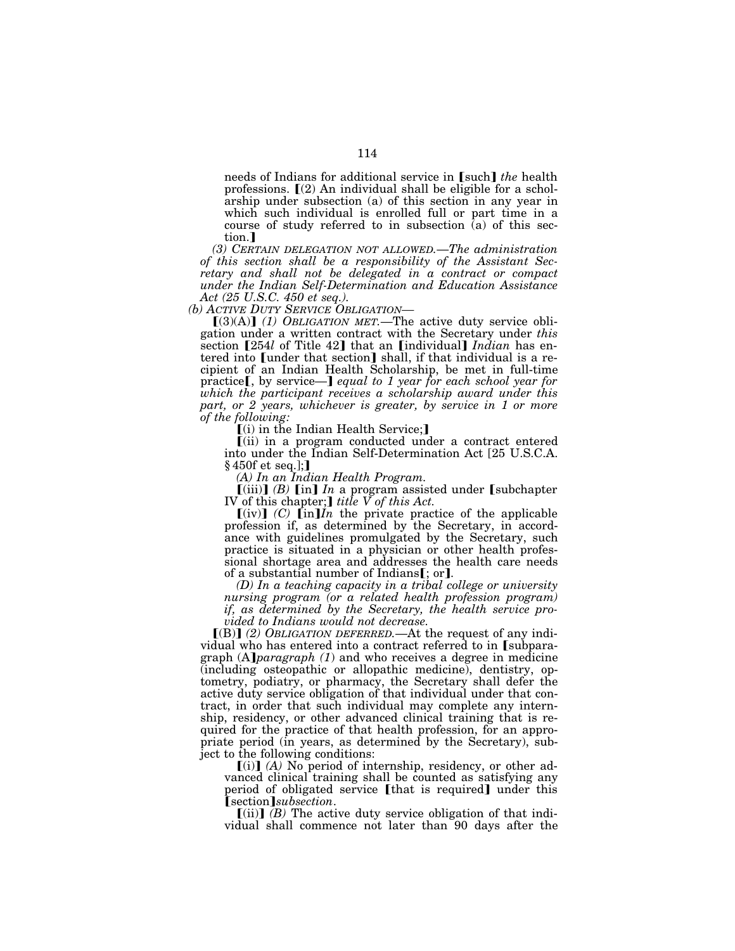needs of Indians for additional service in **[such]** the health professions.  $\mathbb{I}(2)$  An individual shall be eligible for a scholarship under subsection (a) of this section in any year in which such individual is enrolled full or part time in a course of study referred to in subsection (a) of this section.

*(3) CERTAIN DELEGATION NOT ALLOWED.*—*The administration of this section shall be a responsibility of the Assistant Secretary and shall not be delegated in a contract or compact under the Indian Self-Determination and Education Assistance Act (25 U.S.C. 450 et seq.).* 

*(b) ACTIVE DUTY SERVICE OBLIGATION—*

 $(3)(A)$  (1) OBLIGATION MET.—The active duty service obligation under a written contract with the Secretary under *this*  section [254*l* of Title 42] that an [individual] *Indian* has entered into [under that section] shall, if that individual is a recipient of an Indian Health Scholarship, be met in full-time practice<sub>[, by service—] equal to 1 year for each school year for</sub> *which the participant receives a scholarship award under this part, or 2 years, whichever is greater, by service in 1 or more of the following:* 

ø(i) in the Indian Health Service;¿

ø(ii) in a program conducted under a contract entered into under the Indian Self-Determination Act [25 U.S.C.A. § 450f et seq.];]

*(A) In an Indian Health Program.* 

 $\lbrack$ (iii) $\rbrack$  *(B)*  $\lbrack$  *In*  $\rbrack$  *<i>In* a program assisted under  $\lbrack$  subchapter IV of this chapter;] *title*  $\breve{V}$  of this Act.

 $[(iv)]$  *(C)*  $[\text{in}]$ *In* the private practice of the applicable profession if, as determined by the Secretary, in accordance with guidelines promulgated by the Secretary, such practice is situated in a physician or other health professional shortage area and addresses the health care needs of a substantial number of Indians[; or].

*(D) In a teaching capacity in a tribal college or university nursing program (or a related health profession program) if, as determined by the Secretary, the health service provided to Indians would not decrease.* 

[(B)] (2) OBLIGATION DEFERRED.—At the request of any individual who has entered into a contract referred to in [subparagraph (A]*paragraph (1)* and who receives a degree in medicine (including osteopathic or allopathic medicine), dentistry, optometry, podiatry, or pharmacy, the Secretary shall defer the active duty service obligation of that individual under that contract, in order that such individual may complete any internship, residency, or other advanced clinical training that is required for the practice of that health profession, for an appropriate period (in years, as determined by the Secretary), subject to the following conditions:

 $[(i)]$   $(A)$  No period of internship, residency, or other advanced clinical training shall be counted as satisfying any period of obligated service [that is required] under this øsection¿*subsection*.

 $[(ii)]$   $(B)$  The active duty service obligation of that individual shall commence not later than 90 days after the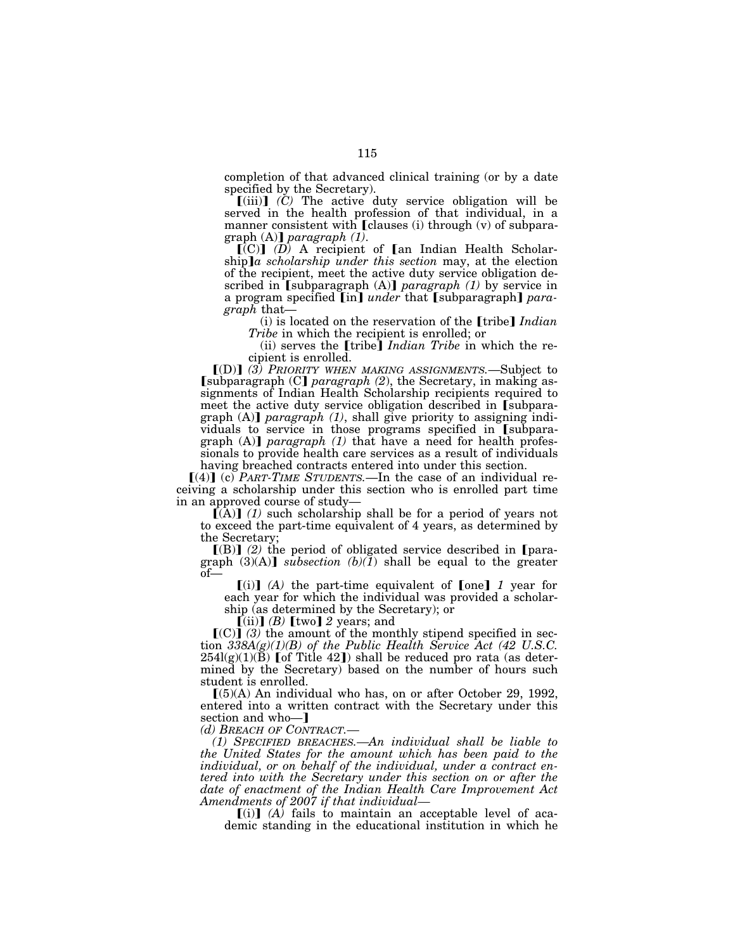completion of that advanced clinical training (or by a date specified by the Secretary).

 $[(iii)]$   $(\check{C})$  The active duty service obligation will be served in the health profession of that individual, in a manner consistent with **[clauses** (i) through (v) of subpara-<br>graph  $(A)$ ] *paragraph*  $(1)$ .

 $\left[\begin{matrix} \overline{C} \end{matrix}\right]$  (*D*) A recipient of  $\left[\begin{matrix} \overline{C} \end{matrix}\right]$  and Indian Health Scholarship]*a* scholarship under this section may, at the election of the recipient, meet the active duty service obligation described in [subparagraph (A)] *paragraph (1)* by service in a program specified [in] *under* that [subparagraph] *paragraph* that—<br>(i) is located on the reservation of the [tribe] *Indian* 

*Tribe* in which the recipient is enrolled; or

(ii) serves the **[tribe]** *Indian Tribe* in which the recipient is enrolled.

ø(D)¿ *(3) PRIORITY WHEN MAKING ASSIGNMENTS.*—Subject to [subparagraph (C] paragraph (2), the Secretary, in making assignments of Indian Health Scholarship recipients required to meet the active duty service obligation described in [subparagraph  $(A)$  *paragraph*  $(1)$ , shall give priority to assigning individuals to service in those programs specified in [subparagraph (A)] *paragraph* (1) that have a need for health professionals to provide health care services as a result of individuals having breached contracts entered into under this section.

 $[(4)]$  (c) *PART-TIME STUDENTS*.—In the case of an individual receiving a scholarship under this section who is enrolled part time

 $[(A)]$  (1) such scholarship shall be for a period of years not to exceed the part-time equivalent of 4 years, as determined by the Secretary;

 $[(B)]$  (2) the period of obligated service described in [paragraph  $(3)(A)$  *subsection*  $(b)(I)$  shall be equal to the greater  $of$ 

 $[(i)]$   $(A)$  the part-time equivalent of  $[one]$  1 year for each year for which the individual was provided a scholarship (as determined by the Secretary); or

 $(iii)$  $(B)$   $[kwo]$   $2$  years; and

 $(C)$  (3) the amount of the monthly stipend specified in section *338A(g)(1)(B) of the Public Health Service Act (42 U.S.C.*<br>254l(g)(1)(B) [of Title 42]) shall be reduced pro rata (as determined by the Secretary) based on the number of hours such student is enrolled.

 $[(5)(A)$  An individual who has, on or after October 29, 1992, entered into a written contract with the Secretary under this section and who-]

*(d) BREACH OF CONTRACT.—*

*(1) SPECIFIED BREACHES.—An individual shall be liable to the United States for the amount which has been paid to the individual, or on behalf of the individual, under a contract entered into with the Secretary under this section on or after the date of enactment of the Indian Health Care Improvement Act Amendments of 2007 if that individual—*

 $\lceil$ (i) $\rceil$  (A) fails to maintain an acceptable level of academic standing in the educational institution in which he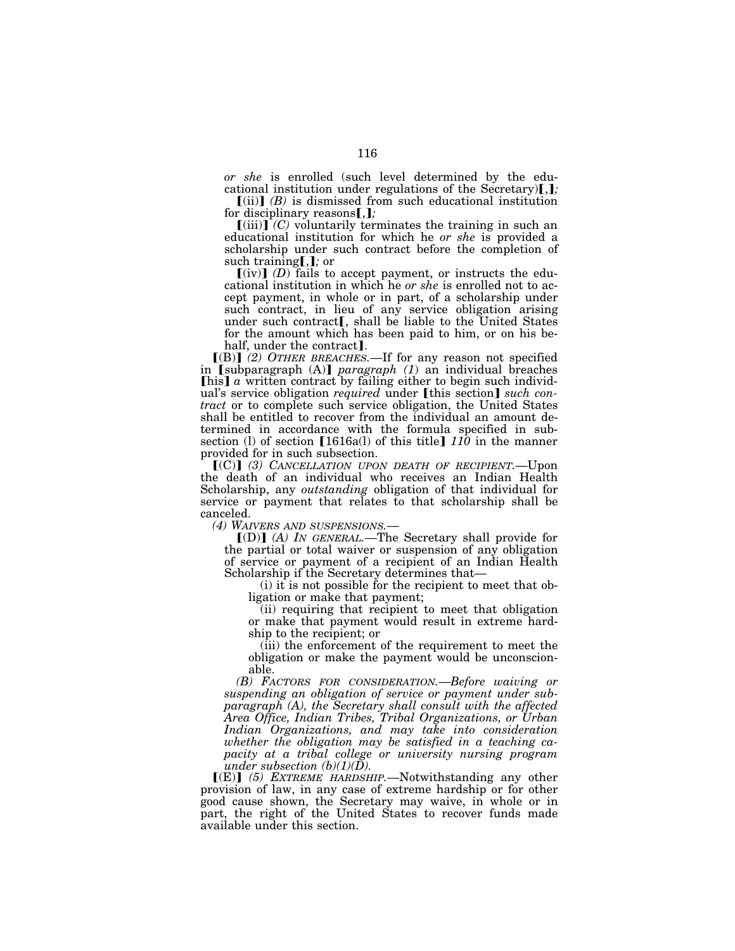*or she* is enrolled (such level determined by the educational institution under regulations of the Secretary)[,];

 $\left[ \mathrm{(ii)} \right]$  *(B)* is dismissed from such educational institution for disciplinary reasons[,];

 $\left[\text{(iii)}\right]$  *(C)* voluntarily terminates the training in such an educational institution for which he *or she* is provided a scholarship under such contract before the completion of such training[,]; or

 $\left[\text{(iv)}\right]$  *(D)* fails to accept payment, or instructs the educational institution in which he *or she* is enrolled not to accept payment, in whole or in part, of a scholarship under such contract, in lieu of any service obligation arising<br>under such contract [, shall be liable to the United States for the amount which has been paid to him, or on his be-<br>half, under the contract.

 $\llbracket$ (B) $\rrbracket$  (2) OTHER BREACHES.—If for any reason not specified in [subparagraph (A)] *paragraph (1)* an individual breaches  $[his] a written contract by failing either to begin such individual$ ual's service obligation *required* under [this section] *such contract* or to complete such service obligation, the United States shall be entitled to recover from the individual an amount determined in accordance with the formula specified in subsection (l) of section  $[1616a(l)$  of this title]  $110$  in the manner provided for in such subsection.

**[(C)]** (3) CANCELLATION UPON DEATH OF RECIPIENT.—Upon the death of an individual who receives an Indian Health Scholarship, any *outstanding* obligation of that individual for service or payment that relates to that scholarship shall be canceled.

*(4) WAIVERS AND SUSPENSIONS.*—

[(D)] (A) IN GENERAL.—The Secretary shall provide for the partial or total waiver or suspension of any obligation of service or payment of a recipient of an Indian Health Scholarship if the Secretary determines that—

(i) it is not possible for the recipient to meet that obligation or make that payment;

(ii) requiring that recipient to meet that obligation or make that payment would result in extreme hardship to the recipient; or

(iii) the enforcement of the requirement to meet the obligation or make the payment would be unconscionable.

*(B) FACTORS FOR CONSIDERATION.*—*Before waiving or suspending an obligation of service or payment under subparagraph (A), the Secretary shall consult with the affected Area Office, Indian Tribes, Tribal Organizations, or Urban Indian Organizations, and may take into consideration whether the obligation may be satisfied in a teaching capacity at a tribal college or university nursing program under subsection (b)(1)(D).* 

[(E)] (5) EXTREME HARDSHIP.—Notwithstanding any other provision of law, in any case of extreme hardship or for other good cause shown, the Secretary may waive, in whole or in part, the right of the United States to recover funds made available under this section.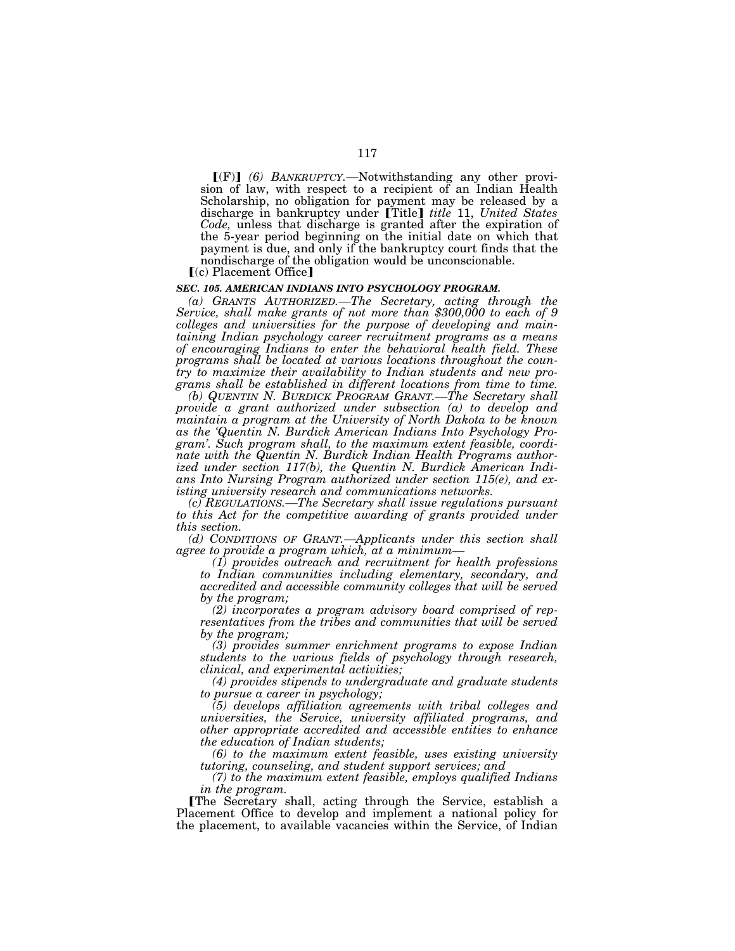$\Gamma(F)$  (6) BANKRUPTCY.—Notwithstanding any other provision of law, with respect to a recipient of an Indian Health Scholarship, no obligation for payment may be released by a discharge in bankruptcy under [Title] *title* 11, *United States Code,* unless that discharge is granted after the expiration of the 5-year period beginning on the initial date on which that payment is due, and only if the bankruptcy court finds that the nondischarge of the obligation would be unconscionable.

 $(c)$  Placement Office]

#### *SEC. 105. AMERICAN INDIANS INTO PSYCHOLOGY PROGRAM.*

*(a) GRANTS AUTHORIZED.—The Secretary, acting through the Service, shall make grants of not more than \$300,000 to each of 9 colleges and universities for the purpose of developing and maintaining Indian psychology career recruitment programs as a means of encouraging Indians to enter the behavioral health field. These programs shall be located at various locations throughout the country to maximize their availability to Indian students and new programs shall be established in different locations from time to time.* 

*(b) QUENTIN N. BURDICK PROGRAM GRANT.—The Secretary shall provide a grant authorized under subsection (a) to develop and maintain a program at the University of North Dakota to be known as the 'Quentin N. Burdick American Indians Into Psychology Program'. Such program shall, to the maximum extent feasible, coordinate with the Quentin N. Burdick Indian Health Programs authorized under section 117(b), the Quentin N. Burdick American Indians Into Nursing Program authorized under section 115(e), and existing university research and communications networks.* 

*(c) REGULATIONS.—The Secretary shall issue regulations pursuant*  to this Act for the competitive awarding of grants provided under *this section.* 

*(d) CONDITIONS OF GRANT.—Applicants under this section shall* 

*agree to provide a program which, at a minimum— (1) provides outreach and recruitment for health professions to Indian communities including elementary, secondary, and accredited and accessible community colleges that will be served by the program;* 

*(2) incorporates a program advisory board comprised of representatives from the tribes and communities that will be served by the program;* 

*(3) provides summer enrichment programs to expose Indian students to the various fields of psychology through research, clinical, and experimental activities;* 

*(4) provides stipends to undergraduate and graduate students to pursue a career in psychology;* 

*(5) develops affiliation agreements with tribal colleges and universities, the Service, university affiliated programs, and other appropriate accredited and accessible entities to enhance the education of Indian students;* 

*(6) to the maximum extent feasible, uses existing university tutoring, counseling, and student support services; and* 

*(7) to the maximum extent feasible, employs qualified Indians in the program.* 

øThe Secretary shall, acting through the Service, establish a Placement Office to develop and implement a national policy for the placement, to available vacancies within the Service, of Indian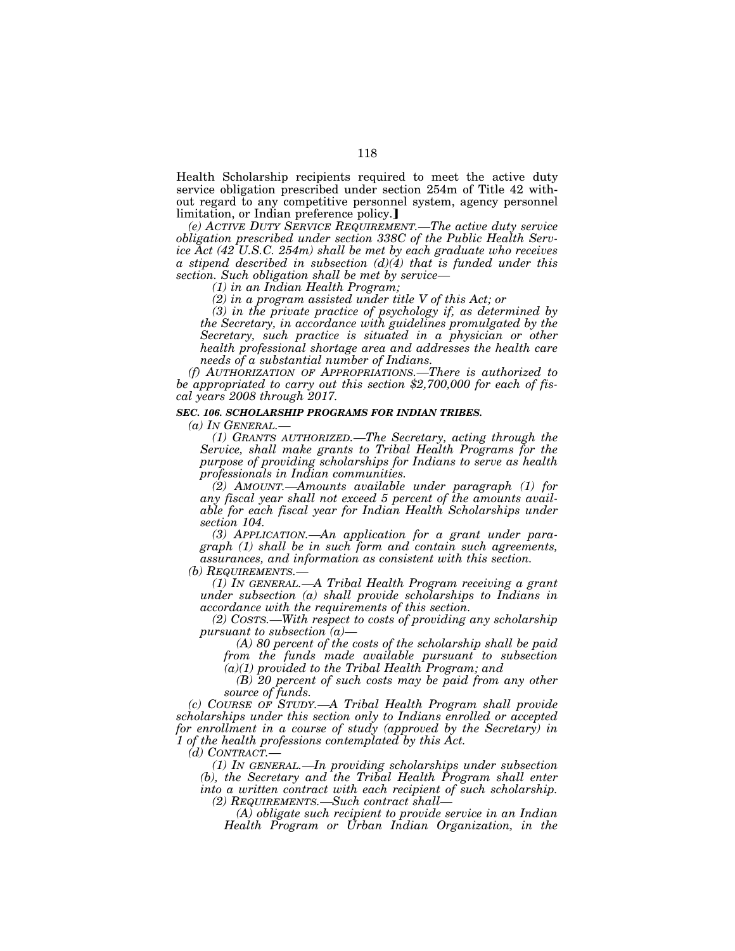Health Scholarship recipients required to meet the active duty service obligation prescribed under section 254m of Title 42 without regard to any competitive personnel system, agency personnel limitation, or Indian preference policy.

*(e) ACTIVE DUTY SERVICE REQUIREMENT.—The active duty service obligation prescribed under section 338C of the Public Health Service Act (42 U.S.C. 254m) shall be met by each graduate who receives a stipend described in subsection (d)(4) that is funded under this section. Such obligation shall be met by service—*

*(1) in an Indian Health Program;* 

*(2) in a program assisted under title V of this Act; or* 

*(3) in the private practice of psychology if, as determined by the Secretary, in accordance with guidelines promulgated by the*  Secretary, such practice is situated in a physician or other *health professional shortage area and addresses the health care needs of a substantial number of Indians.* 

*(f) AUTHORIZATION OF APPROPRIATIONS.—There is authorized to be appropriated to carry out this section \$2,700,000 for each of fiscal years 2008 through 2017.* 

### *SEC. 106. SCHOLARSHIP PROGRAMS FOR INDIAN TRIBES.*

*(a) IN GENERAL.—*

*(1) GRANTS AUTHORIZED.—The Secretary, acting through the Service, shall make grants to Tribal Health Programs for the purpose of providing scholarships for Indians to serve as health professionals in Indian communities.* 

*(2) AMOUNT.—Amounts available under paragraph (1) for any fiscal year shall not exceed 5 percent of the amounts available for each fiscal year for Indian Health Scholarships under section 104.* 

*(3) APPLICATION.—An application for a grant under paragraph (1) shall be in such form and contain such agreements, assurances, and information as consistent with this section.* 

*(b) REQUIREMENTS.—*

*(1) IN GENERAL.—A Tribal Health Program receiving a grant under subsection (a) shall provide scholarships to Indians in accordance with the requirements of this section.* 

*(2) COSTS.—With respect to costs of providing any scholarship pursuant to subsection (a)—*

*(A) 80 percent of the costs of the scholarship shall be paid from the funds made available pursuant to subsection* 

*(a)(1) provided to the Tribal Health Program; and* 

*(B) 20 percent of such costs may be paid from any other source of funds.* 

*(c) COURSE OF STUDY.—A Tribal Health Program shall provide scholarships under this section only to Indians enrolled or accepted for enrollment in a course of study (approved by the Secretary) in 1 of the health professions contemplated by this Act.* 

*(d) CONTRACT.—*

*(1) IN GENERAL.—In providing scholarships under subsection (b), the Secretary and the Tribal Health Program shall enter into a written contract with each recipient of such scholarship. (2) REQUIREMENTS.—Such contract shall—*

*(A) obligate such recipient to provide service in an Indian Health Program or Urban Indian Organization, in the*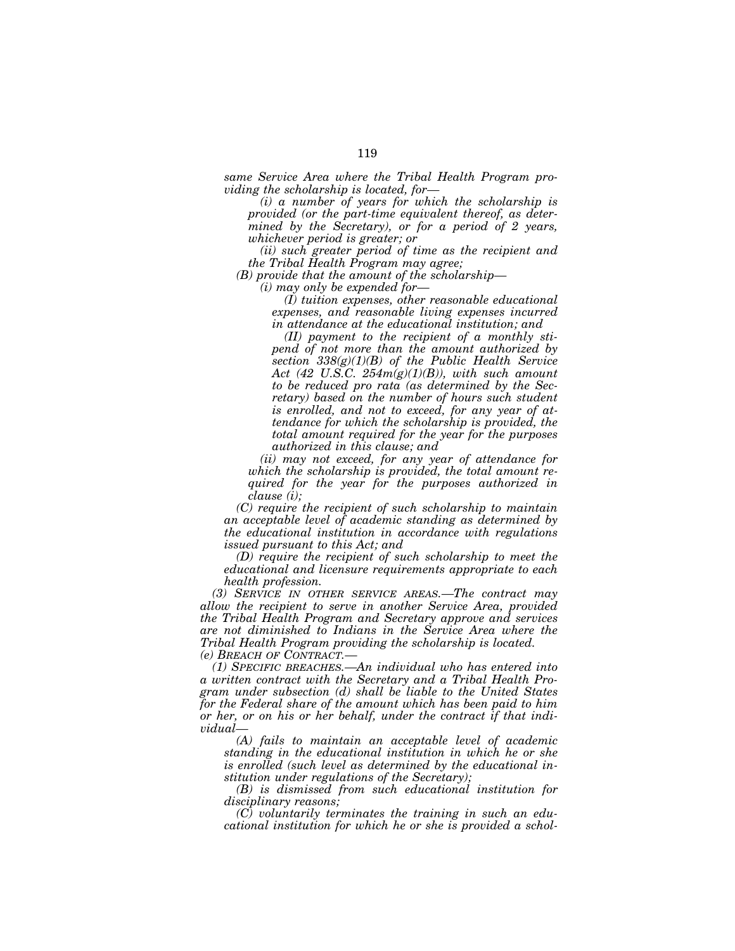*same Service Area where the Tribal Health Program providing the scholarship is located, for—*

*(i) a number of years for which the scholarship is provided (or the part-time equivalent thereof, as determined by the Secretary), or for a period of 2 years, whichever period is greater; or* 

*(ii) such greater period of time as the recipient and the Tribal Health Program may agree;* 

*(B) provide that the amount of the scholarship—*

*(i) may only be expended for—*

*(I) tuition expenses, other reasonable educational expenses, and reasonable living expenses incurred in attendance at the educational institution; and* 

*(II) payment to the recipient of a monthly stipend of not more than the amount authorized by section 338(g)(1)(B) of the Public Health Service Act (42 U.S.C. 254m(g)(1)(B)), with such amount to be reduced pro rata (as determined by the Secretary) based on the number of hours such student is enrolled, and not to exceed, for any year of attendance for which the scholarship is provided, the total amount required for the year for the purposes authorized in this clause; and* 

*(ii) may not exceed, for any year of attendance for which the scholarship is provided, the total amount required for the year for the purposes authorized in clause (i);* 

*(C) require the recipient of such scholarship to maintain an acceptable level of academic standing as determined by the educational institution in accordance with regulations issued pursuant to this Act; and* 

*(D) require the recipient of such scholarship to meet the educational and licensure requirements appropriate to each health profession.* 

*(3) SERVICE IN OTHER SERVICE AREAS.—The contract may allow the recipient to serve in another Service Area, provided the Tribal Health Program and Secretary approve and services are not diminished to Indians in the Service Area where the Tribal Health Program providing the scholarship is located. (e) BREACH OF CONTRACT.—*

*(1) SPECIFIC BREACHES.—An individual who has entered into a written contract with the Secretary and a Tribal Health Program under subsection (d) shall be liable to the United States for the Federal share of the amount which has been paid to him or her, or on his or her behalf, under the contract if that individual—*

*(A) fails to maintain an acceptable level of academic standing in the educational institution in which he or she is enrolled (such level as determined by the educational institution under regulations of the Secretary);* 

*(B) is dismissed from such educational institution for disciplinary reasons;* 

*(C) voluntarily terminates the training in such an educational institution for which he or she is provided a schol-*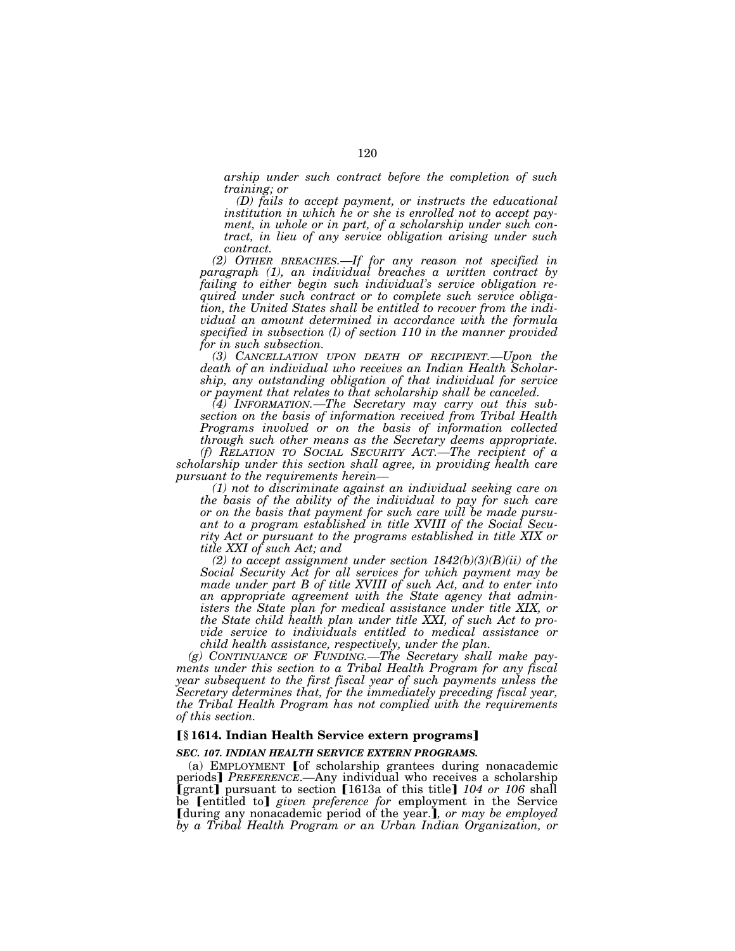*arship under such contract before the completion of such training; or* 

*(D) fails to accept payment, or instructs the educational institution in which he or she is enrolled not to accept payment, in whole or in part, of a scholarship under such contract, in lieu of any service obligation arising under such contract.* 

*(2) OTHER BREACHES.—If for any reason not specified in paragraph (1), an individual breaches a written contract by failing to either begin such individual's service obligation required under such contract or to complete such service obligation, the United States shall be entitled to recover from the individual an amount determined in accordance with the formula specified in subsection (l) of section 110 in the manner provided for in such subsection.* 

*(3) CANCELLATION UPON DEATH OF RECIPIENT.—Upon the death of an individual who receives an Indian Health Scholarship, any outstanding obligation of that individual for service or payment that relates to that scholarship shall be canceled.* 

*(4) INFORMATION.—The Secretary may carry out this subsection on the basis of information received from Tribal Health Programs involved or on the basis of information collected through such other means as the Secretary deems appropriate.* 

*(f) RELATION TO SOCIAL SECURITY ACT.—The recipient of a scholarship under this section shall agree, in providing health care pursuant to the requirements herein—*

*(1) not to discriminate against an individual seeking care on the basis of the ability of the individual to pay for such care or on the basis that payment for such care will be made pursuant to a program established in title XVIII of the Social Security Act or pursuant to the programs established in title XIX or title XXI of such Act; and* 

*(2) to accept assignment under section 1842(b)(3)(B)(ii) of the Social Security Act for all services for which payment may be made under part B of title XVIII of such Act, and to enter into an appropriate agreement with the State agency that admin*isters the State plan for medical assistance under title XIX, or *the State child health plan under title XXI, of such Act to provide service to individuals entitled to medical assistance or child health assistance, respectively, under the plan.* 

*(g) CONTINUANCE OF FUNDING.—The Secretary shall make payments under this section to a Tribal Health Program for any fiscal year subsequent to the first fiscal year of such payments unless the Secretary determines that, for the immediately preceding fiscal year, the Tribal Health Program has not complied with the requirements of this section.* 

# ø**§ 1614. Indian Health Service extern programs**¿

### *SEC. 107. INDIAN HEALTH SERVICE EXTERN PROGRAMS.*

(a) EMPLOYMENT  $[$  of scholarship grantees during nonacademic periods] PREFERENCE.-Any individual who receives a scholarship **[grant]** pursuant to section [1613a of this title] 104 or 106 shall be [entitled to] *given preference for* employment in the Service **I** during any nonacademic period of the year.], or may be employed *by a Tribal Health Program or an Urban Indian Organization, or*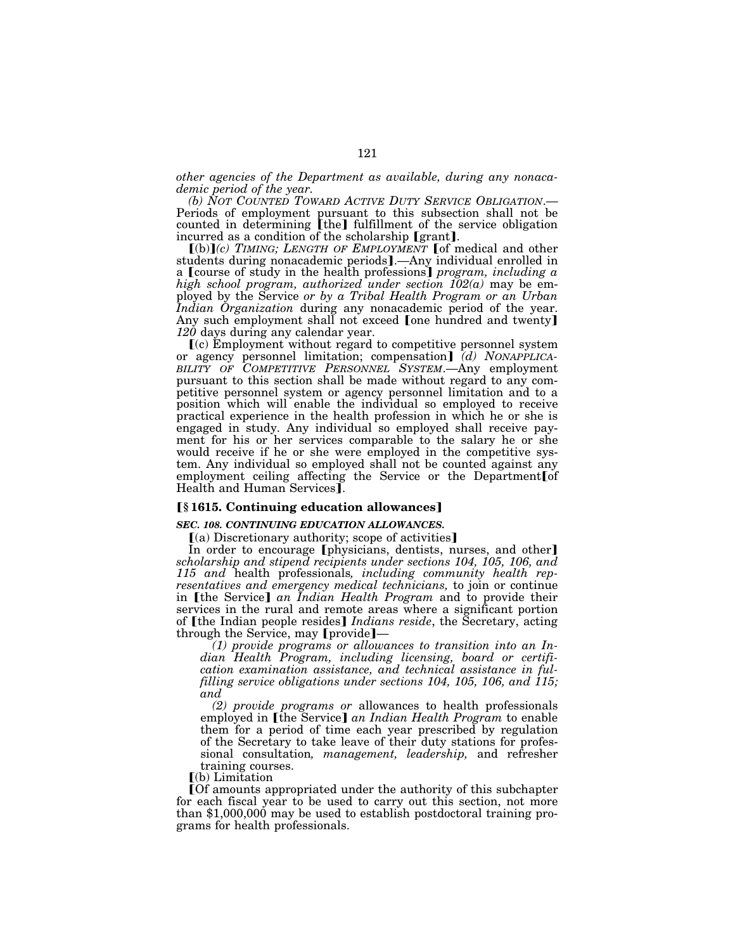*other agencies of the Department as available, during any nonacademic period of the year.* 

Periods of employment pursuant to this subsection shall not be counted in determining  $[$ the $]$  fulfillment of the service obligation incurred as a condition of the scholarship  $[$ grant $]$ .

 $[(b)](c)$  *TIMING; LENGTH OF EMPLOYMENT* [of medical and other students during nonacademic periods].—Any individual enrolled in a **[**course of study in the health professions] *program, including a high school program, authorized under section 102(a)* may be employed by the Service *or by a Tribal Health Program or an Urban Indian Organization* during any nonacademic period of the year. Any such employment shall not exceed [one hundred and twenty] *120* days during any calendar year.

ø(c) Employment without regard to competitive personnel system or agency personnel limitation; compensation] (d) NONAPPLICA-*BILITY OF COMPETITIVE PERSONNEL SYSTEM*.—Any employment pursuant to this section shall be made without regard to any competitive personnel system or agency personnel limitation and to a position which will enable the individual so employed to receive practical experience in the health profession in which he or she is engaged in study. Any individual so employed shall receive payment for his or her services comparable to the salary he or she would receive if he or she were employed in the competitive system. Any individual so employed shall not be counted against any employment ceiling affecting the Service or the Department $\lceil$  of Health and Human Services].

### ø**§ 1615. Continuing education allowances**¿

### *SEC. 108. CONTINUING EDUCATION ALLOWANCES.*

 $(a)$  Discretionary authority; scope of activities]

In order to encourage [physicians, dentists, nurses, and other] *scholarship and stipend recipients under sections 104, 105, 106, and 115 and* health professionals*, including community health representatives and emergency medical technicians,* to join or continue in [the Service] *an Indian Health Program* and to provide their services in the rural and remote areas where a significant portion of [the Indian people resides] *Indians reside*, the Secretary, acting through the Service, may [provide]-

*(1) provide programs or allowances to transition into an Indian Health Program, including licensing, board or certification examination assistance, and technical assistance in fulfilling service obligations under sections 104, 105, 106, and 115; and* 

*(2) provide programs or* allowances to health professionals employed in [the Service] an Indian Health Program to enable them for a period of time each year prescribed by regulation of the Secretary to take leave of their duty stations for professional consultation*, management, leadership,* and refresher training courses.

 $(a)$  Limitation

øOf amounts appropriated under the authority of this subchapter for each fiscal year to be used to carry out this section, not more than \$1,000,000 may be used to establish postdoctoral training programs for health professionals.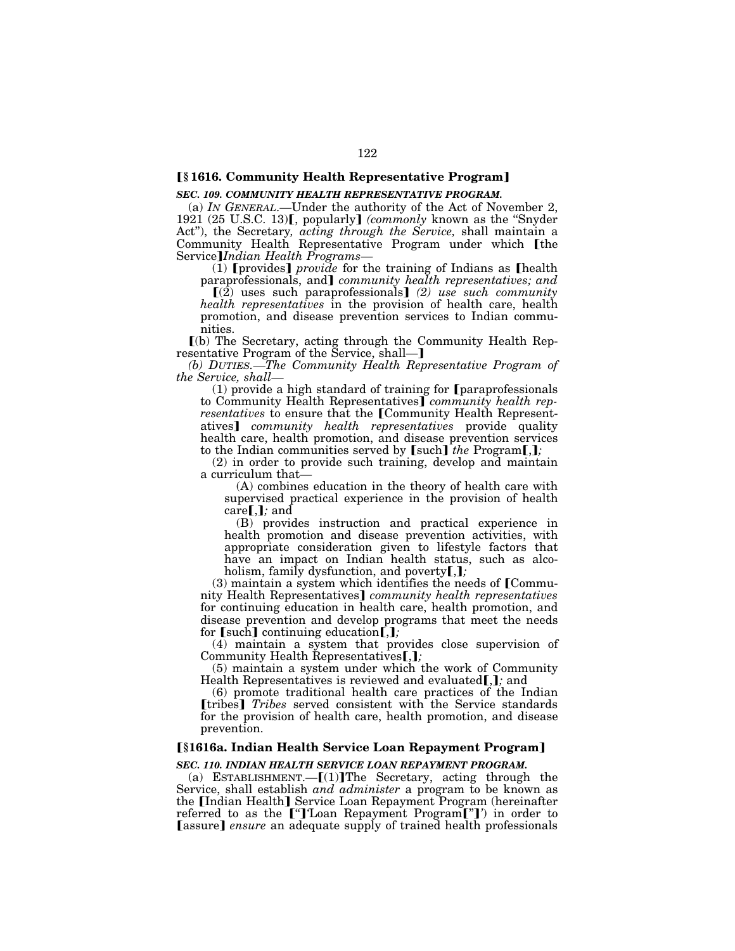# ø**§ 1616. Community Health Representative Program**¿

#### *SEC. 109. COMMUNITY HEALTH REPRESENTATIVE PROGRAM.*

(a) *IN GENERAL*.—Under the authority of the Act of November 2, 1921 (25 U.S.C. 13)**[**, popularly] *(commonly* known as the "Snyder") Act''), the Secretary*, acting through the Service,* shall maintain a Community Health Representative Program under which [the Service¿*Indian Health Programs*—

 $(1)$  [provides] *provide* for the training of Indians as [health paraprofessionals, and] *community health representatives; and* 

 $\left[\left(2\right)$  uses such paraprofessionals] (2) use such community *health representatives* in the provision of health care, health promotion, and disease prevention services to Indian commu-

nities.

ø(b) The Secretary, acting through the Community Health Representative Program of the Service, shall-]

*(b) DUTIES.—The Community Health Representative Program of the Service, shall—*

 $(1)$  provide a high standard of training for [paraprofessionals] to Community Health Representatives] *community health representatives* to ensure that the [Community Health Representatives] *community health representatives* provide quality health care, health promotion, and disease prevention services<br>to the Indian communities served by [such] *the* Program[,];

(2) in order to provide such training, develop and maintain a curriculum that—

(A) combines education in the theory of health care with supervised practical experience in the provision of health  $care$ **[,]**; and

(B) provides instruction and practical experience in health promotion and disease prevention activities, with appropriate consideration given to lifestyle factors that have an impact on Indian health status, such as alcoholism, family dysfunction, and poverty**[,]**;

 $(3)$  maintain a system which identifies the needs of [Community Health Representatives<sup></sup> *community health representatives* for continuing education in health care, health promotion, and disease prevention and develop programs that meet the needs for  $[such]$  continuing education $\left[\frac{1}{n}\right]$ ;

(4) maintain a system that provides close supervision of Community Health Representatives<sup>[1]</sup>;

(5) maintain a system under which the work of Community Health Representatives is reviewed and evaluated.  $\mathbf{I}$ , and

(6) promote traditional health care practices of the Indian [tribes] *Tribes* served consistent with the Service standards for the provision of health care, health promotion, and disease prevention.

### ø**§1616a. Indian Health Service Loan Repayment Program**¿

#### *SEC. 110. INDIAN HEALTH SERVICE LOAN REPAYMENT PROGRAM.*

(a) ESTABLISHMENT. $-[1]$ The Secretary, acting through the Service, shall establish *and administer* a program to be known as the [Indian Health] Service Loan Repayment Program (hereinafter referred to as the <sup>["</sup>]<sup>'</sup>Loan Repayment Program<sup>["']</sup>' in order to [assure] ensure an adequate supply of trained health professionals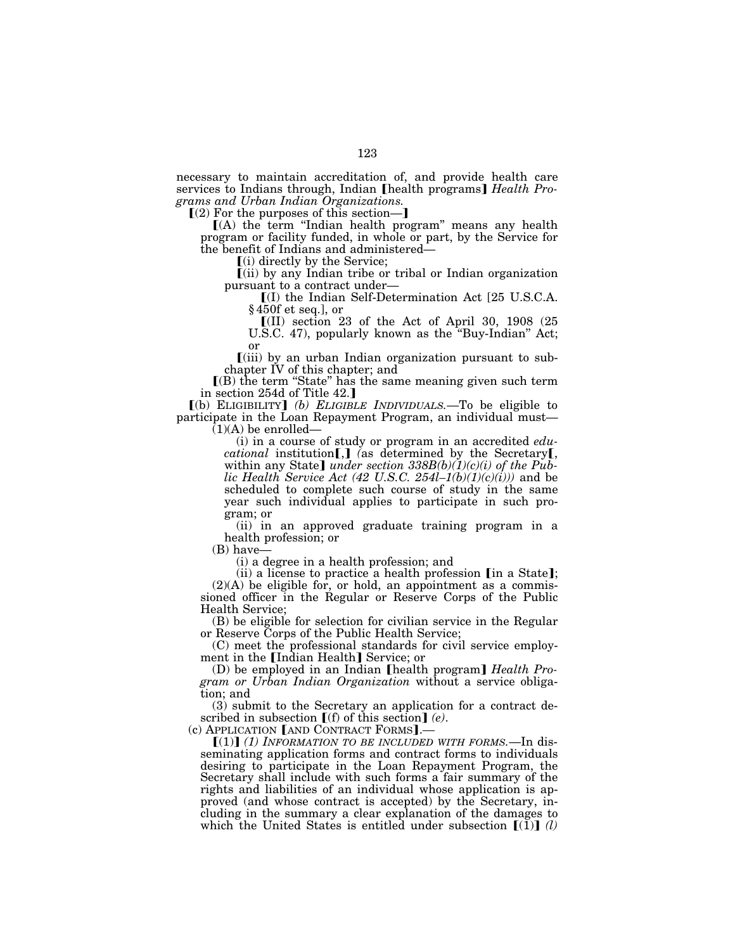necessary to maintain accreditation of, and provide health care services to Indians through, Indian [health programs] *Health Programs and Urban Indian Organizations.* 

 $(2)$  For the purposes of this section-

ø(A) the term ''Indian health program'' means any health program or facility funded, in whole or part, by the Service for the benefit of Indians and administered—<br> $(i)$  directly by the Service;

 $\lceil$ (ii) by any Indian tribe or tribal or Indian organization pursuant to a contract under—<br> $[(I)$  the Indian Self-Determination Act [25 U.S.C.A.

§ 450f et seq.], or

 $[$ (II) section 23 of the Act of April 30, 1908 (25) U.S.C. 47), popularly known as the ''Buy-Indian'' Act; or

 $\lceil$ (iii) by an urban Indian organization pursuant to subchapter IV of this chapter; and

 $(6)$  the term "State" has the same meaning given such term in section 254d of Title 42.]

ø(b) ELIGIBILITY¿ *(b) ELIGIBLE INDIVIDUALS.*—To be eligible to participate in the Loan Repayment Program, an individual must—  $(1)(A)$  be enrolled–

> (i) in a course of study or program in an accredited *educational* institution<sup>[,]</sup> (as determined by the Secretary<sub>[,</sub> within any State] *under section*  $338B(b)(1)(c)(i)$  *of the Public Health Service Act (42 U.S.C. 254l–1(b)(1)(c)(i)))* and be scheduled to complete such course of study in the same year such individual applies to participate in such program; or

> (ii) in an approved graduate training program in a health profession; or

(B) have—

(i) a degree in a health profession; and

(ii) a license to practice a health profession  $[$ in a State $]$ ;  $(2)(A)$  be eligible for, or hold, an appointment as a commissioned officer in the Regular or Reserve Corps of the Public Health Service;

(B) be eligible for selection for civilian service in the Regular or Reserve Corps of the Public Health Service;

(C) meet the professional standards for civil service employment in the [Indian Health] Service; or

(D) be employed in an Indian [health program] *Health Program or Urban Indian Organization* without a service obligation; and

(3) submit to the Secretary an application for a contract described in subsection  $[(f)$  of this section] (e).<br>(c) APPLICATION [AND CONTRACT FORMS].—

 $[(1)]$  (1) INFORMATION TO BE INCLUDED WITH FORMS.—In disseminating application forms and contract forms to individuals desiring to participate in the Loan Repayment Program, the Secretary shall include with such forms a fair summary of the rights and liabilities of an individual whose application is approved (and whose contract is accepted) by the Secretary, including in the summary a clear explanation of the damages to which the United States is entitled under subsection  $\llbracket (\tilde{1}) \rrbracket$  *(l)*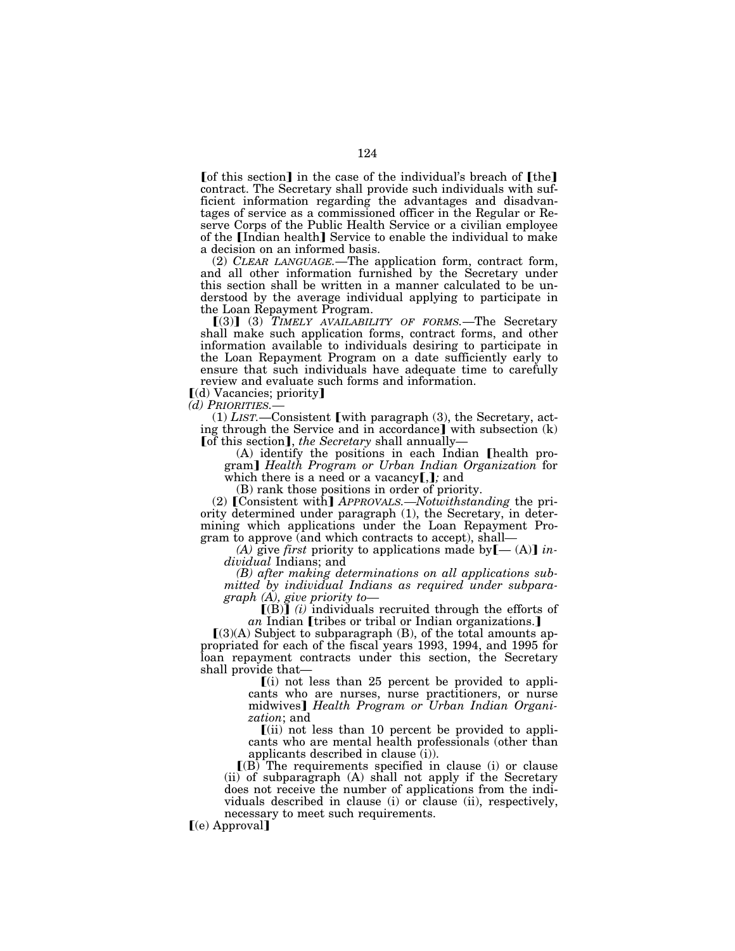$\lceil \text{of this section} \rceil$  in the case of the individual's breach of  $\lceil \text{the} \rceil$ contract. The Secretary shall provide such individuals with sufficient information regarding the advantages and disadvantages of service as a commissioned officer in the Regular or Reserve Corps of the Public Health Service or a civilian employee of the **Indian health** Service to enable the individual to make a decision on an informed basis.

(2) *CLEAR LANGUAGE.*—The application form, contract form, and all other information furnished by the Secretary under this section shall be written in a manner calculated to be understood by the average individual applying to participate in the Loan Repayment Program.

 $(3)$  (3) *TIMELY AVAILABILITY OF FORMS*.—The Secretary shall make such application forms, contract forms, and other information available to individuals desiring to participate in the Loan Repayment Program on a date sufficiently early to ensure that such individuals have adequate time to carefully review and evaluate such forms and information.

 $\lbrack d \rbrack$  Vacancies; priority

*(d) PRIORITIES.—*

 $(1)$  *LIST*.—Consistent [with paragraph  $(3)$ , the Secretary, acting through the Service and in accordance] with subsection  $(k)$  [of this section], the Secretary shall annually—

(A) identify the positions in each Indian **[health pro**gram¿ *Health Program or Urban Indian Organization* for which there is a need or a vacancy [,]; and

(B) rank those positions in order of priority.

(2) [Consistent with] *APPROVALS.—Notwithstanding* the priority determined under paragraph (1), the Secretary, in determining which applications under the Loan Repayment Program to approve (and which contracts to accept), shall—<br> *(A)* give *first* priority to applications made by  $[- (A)]$  *in*-

*dividual* Indians; and

*(B) after making determinations on all applications submitted by individual Indians as required under subparagraph (A), give priority to—*

 $[(B)]$  *(i)* individuals recruited through the efforts of *an* Indian *[tribes or tribal or Indian organizations.]* 

 $(3)(A)$  Subject to subparagraph (B), of the total amounts appropriated for each of the fiscal years 1993, 1994, and 1995 for loan repayment contracts under this section, the Secretary shall provide that—

 $(i)$  not less than 25 percent be provided to applicants who are nurses, nurse practitioners, or nurse midwives] *Health Program or Urban Indian Organization*; and

 $(iii)$  not less than 10 percent be provided to applicants who are mental health professionals (other than applicants described in clause (i)).

 $(R)$  The requirements specified in clause (i) or clause (ii) of subparagraph (A) shall not apply if the Secretary does not receive the number of applications from the individuals described in clause (i) or clause (ii), respectively, necessary to meet such requirements.

 $(e)$  Approval]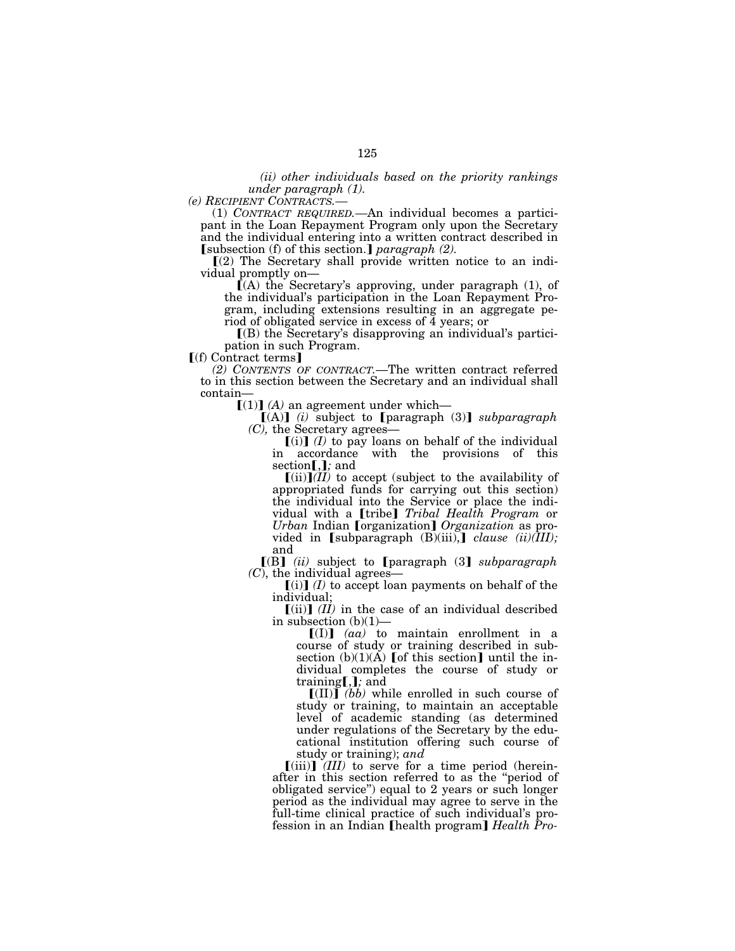*(ii) other individuals based on the priority rankings under paragraph (1).* 

*(e) RECIPIENT CONTRACTS.—* (1) *CONTRACT REQUIRED.—*An individual becomes a participant in the Loan Repayment Program only upon the Secretary and the individual entering into a written contract described in **[**subsection (f) of this section.] *paragraph (2)*.

 $\lbrack (2)$  The Secretary shall provide written notice to an individual promptly on—

 $\dot{I}(A)$  the Secretary's approving, under paragraph (1), of the individual's participation in the Loan Repayment Program, including extensions resulting in an aggregate period of obligated service in excess of 4 years; or

 $(6)$  the Secretary's disapproving an individual's participation in such Program.

 $\lceil$ (f) Contract terms]

*(2) CONTENTS OF CONTRACT.*—The written contract referred to in this section between the Secretary and an individual shall contain—

 $[(1)]$   $(A)$  an agreement under which-

 $[(A)]$  *(i)* subject to [paragraph (3)] *subparagraph (C),* the Secretary agrees—

 $(i)$  *(I)* to pay loans on behalf of the individual in accordance with the provisions of this section [.]; and

 $\left[\text{(ii)}\right]$ *(II)* to accept (subject to the availability of appropriated funds for carrying out this section) the individual into the Service or place the individual with a *[tribe] Tribal Health Program* or *Urban* Indian *[organization] Organization* as provided in  $\lbrack \text{subparamh (B)(iii)}, \rbrack$  *clause (ii)(III);* and

 $[(B]$  *(ii)* subject to [paragraph (3] *subparagraph (C)*, the individual agrees—

 $\left[\text{(i)}\right]$  *(I)* to accept loan payments on behalf of the individual;

 $[(ii)]$  *(II)* in the case of an individual described in subsection (b)(1)—

 $[(1)]$   $(aa)$  to maintain enrollment in a course of study or training described in subsection  $(b)(1)(\overrightarrow{A})$  [of this section] until the individual completes the course of study or training[,]; and

 $\llbracket$ (II) $\rrbracket$  *(bb)* while enrolled in such course of study or training, to maintain an acceptable level of academic standing (as determined under regulations of the Secretary by the educational institution offering such course of study or training); *and* 

 $[(iii)]$  *(III)* to serve for a time period (hereinafter in this section referred to as the ''period of obligated service'') equal to 2 years or such longer period as the individual may agree to serve in the full-time clinical practice of such individual's profession in an Indian [health program] *Health Pro-*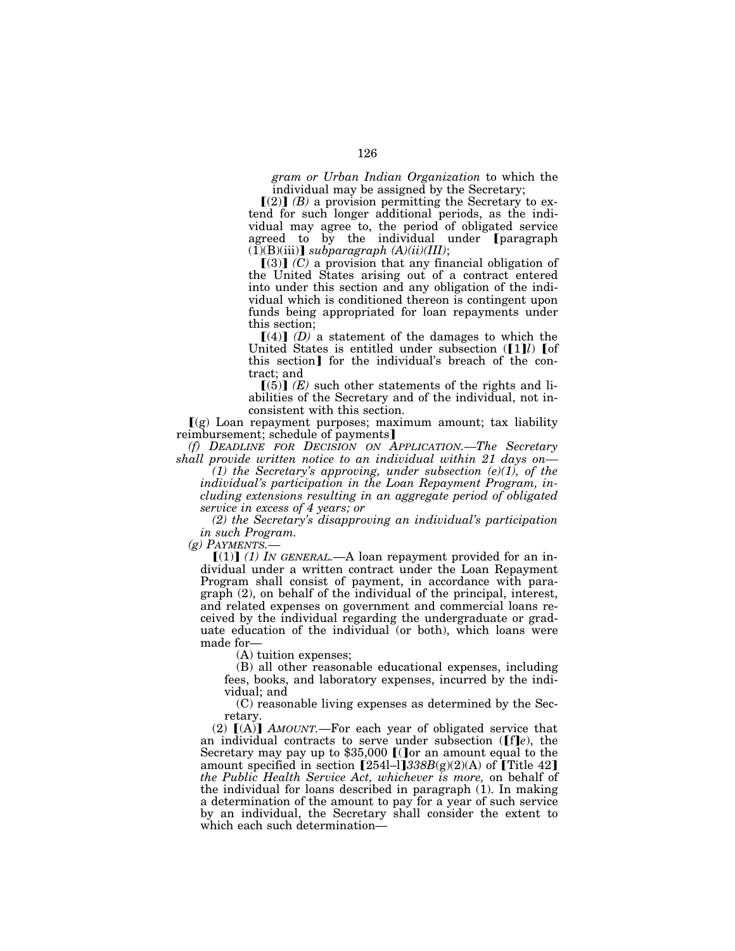*gram or Urban Indian Organization* to which the individual may be assigned by the Secretary;

 $(2)$  *(B)* a provision permitting the Secretary to extend for such longer additional periods, as the individual may agree to, the period of obligated service agreed to by the individual under [paragraph  $(1)(B)(iii)$  *subparagraph*  $(A)(ii)(III)$ ;

 $[(3)]$   $(C)$  a provision that any financial obligation of the United States arising out of a contract entered into under this section and any obligation of the individual which is conditioned thereon is contingent upon funds being appropriated for loan repayments under this section;

 $[(4)]$  *(D)* a statement of the damages to which the United States is entitled under subsection ([1]*l*) [of this section<sup>1</sup> for the individual's breach of the contract; and

 $(5)$  *(E)* such other statements of the rights and liabilities of the Secretary and of the individual, not inconsistent with this section.

 $(q)$  Loan repayment purposes; maximum amount; tax liability reimbursement; schedule of payments]

*(f) DEADLINE FOR DECISION ON APPLICATION.—The Secretary shall provide written notice to an individual within 21 days on—*

*(1) the Secretary's approving, under subsection (e)(1), of the individual's participation in the Loan Repayment Program, including extensions resulting in an aggregate period of obligated service in excess of 4 years; or* 

*(2) the Secretary's disapproving an individual's participation in such Program.* 

*(g) PAYMENTS.—*

 $\lceil (1) \rceil$  *(1)* IN GENERAL.—A loan repayment provided for an individual under a written contract under the Loan Repayment Program shall consist of payment, in accordance with paragraph (2), on behalf of the individual of the principal, interest, and related expenses on government and commercial loans received by the individual regarding the undergraduate or graduate education of the individual (or both), which loans were made for—

(A) tuition expenses;

(B) all other reasonable educational expenses, including fees, books, and laboratory expenses, incurred by the individual; and

(C) reasonable living expenses as determined by the Secretary.

(2)  $[(A)]$  *AMOUNT*.—For each year of obligated service that an individual contracts to serve under subsection ( $[f\hat{e}]e$ ), the Secretary may pay up to  $$35,000$  [(Jor an amount equal to the amount specified in section  $[254]$ –l] $338B(g)(2)(A)$  of  $[Title 42]$ *the Public Health Service Act, whichever is more,* on behalf of the individual for loans described in paragraph (1). In making a determination of the amount to pay for a year of such service by an individual, the Secretary shall consider the extent to which each such determination—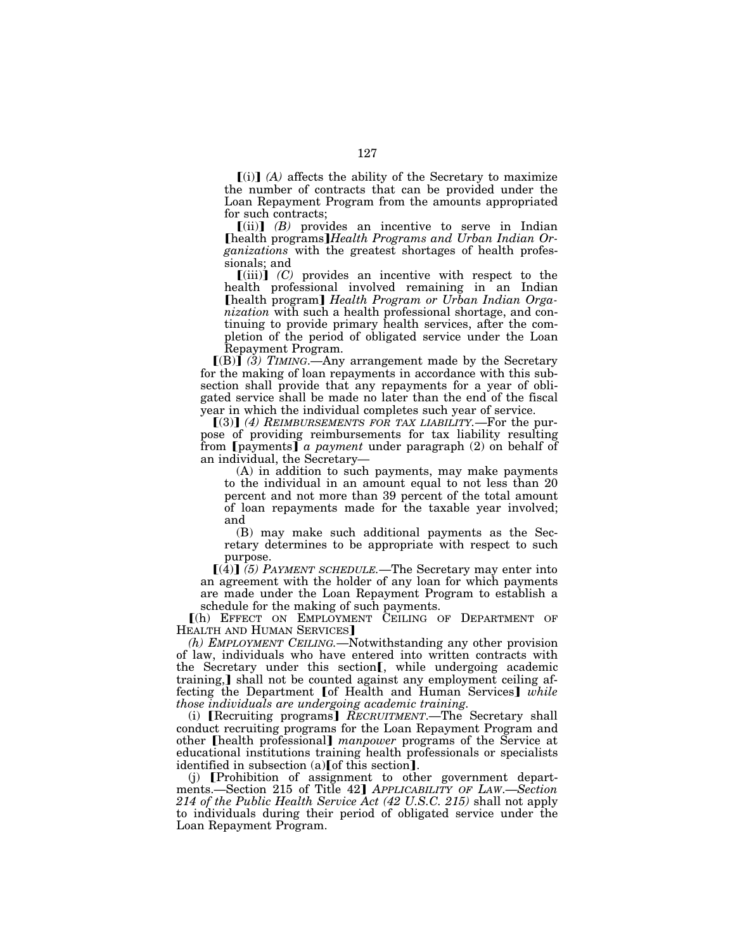$\lceil$ (i) $\rceil$  (A) affects the ability of the Secretary to maximize the number of contracts that can be provided under the Loan Repayment Program from the amounts appropriated for such contracts;

 $[(ii)]$   $(B)$  provides an incentive to serve in Indian øhealth programs¿*Health Programs and Urban Indian Organizations* with the greatest shortages of health professionals; and

 $\lceil$ (iii) $\rceil$  *(C)* provides an incentive with respect to the health professional involved remaining in an Indian øhealth program¿ *Health Program or Urban Indian Organization* with such a health professional shortage, and continuing to provide primary health services, after the completion of the period of obligated service under the Loan Repayment Program.

 $[(B)]$  (3) TIMING.—Any arrangement made by the Secretary for the making of loan repayments in accordance with this subsection shall provide that any repayments for a year of obligated service shall be made no later than the end of the fiscal year in which the individual completes such year of service.

[(3)] (4) REIMBURSEMENTS FOR TAX LIABILITY.—For the purpose of providing reimbursements for tax liability resulting from **[**payments] *a payment* under paragraph (2) on behalf of an individual, the Secretary—

(A) in addition to such payments, may make payments to the individual in an amount equal to not less than 20 percent and not more than 39 percent of the total amount of loan repayments made for the taxable year involved; and

(B) may make such additional payments as the Secretary determines to be appropriate with respect to such purpose.

 $[(4)]$  (5) PAYMENT SCHEDULE.—The Secretary may enter into an agreement with the holder of any loan for which payments are made under the Loan Repayment Program to establish a schedule for the making of such payments.

ø(h) EFFECT ON EMPLOYMENT CEILING OF DEPARTMENT OF HEALTH AND HUMAN SERVICES<sup>1</sup>

*(h) EMPLOYMENT CEILING.*—Notwithstanding any other provision of law, individuals who have entered into written contracts with the Secretary under this section<sup>[, while undergoing academic</sup> training, shall not be counted against any employment ceiling affecting the Department [of Health and Human Services] *while those individuals are undergoing academic training.* 

(i) **[Recruiting programs]** *RECRUITMENT*.—The Secretary shall conduct recruiting programs for the Loan Repayment Program and other **[health professional]** *manpower* programs of the Service at educational institutions training health professionals or specialists identified in subsection  $(a)$  [of this section].

(j) [Prohibition of assignment to other government departments.—Section 215 of Title 42¿ *APPLICABILITY OF LAW*.—*Section 214 of the Public Health Service Act (42 U.S.C. 215)* shall not apply to individuals during their period of obligated service under the Loan Repayment Program.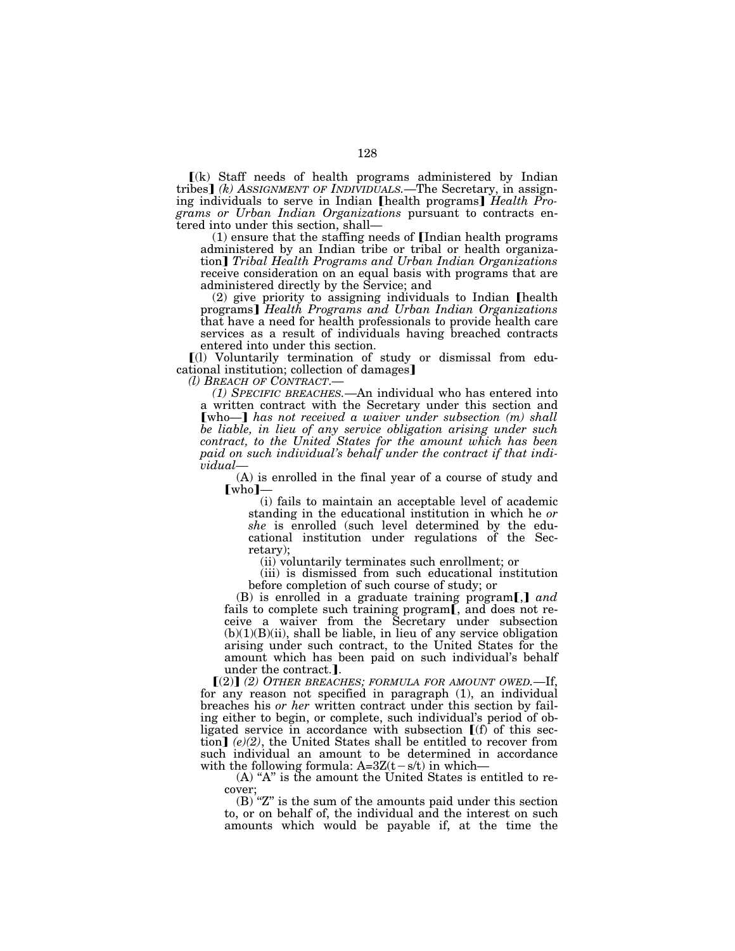$(k)$  Staff needs of health programs administered by Indian tribes¿ *(k) ASSIGNMENT OF INDIVIDUALS.*—The Secretary, in assigning individuals to serve in Indian [health programs] *Health Programs or Urban Indian Organizations* pursuant to contracts en-

 $(1)$  ensure that the staffing needs of [Indian health programs administered by an Indian tribe or tribal or health organization¿ *Tribal Health Programs and Urban Indian Organizations*  receive consideration on an equal basis with programs that are administered directly by the Service; and

 $(2)$  give priority to assigning individuals to Indian [health programs¿ *Health Programs and Urban Indian Organizations*  that have a need for health professionals to provide health care services as a result of individuals having breached contracts entered into under this section.

ø(l) Voluntarily termination of study or dismissal from educational institution; collection of damages]<br>(*l*) *BREACH OF CONTRACT*.—

*(1) SPECIFIC BREACHES.*—An individual who has entered into a written contract with the Secretary under this section and **[who—]** has not received a waiver under subsection (m) shall *be liable, in lieu of any service obligation arising under such contract, to the United States for the amount which has been paid on such individual's behalf under the contract if that individual—*

(A) is enrolled in the final year of a course of study and  $[who]$ –

(i) fails to maintain an acceptable level of academic standing in the educational institution in which he *or she* is enrolled (such level determined by the educational institution under regulations of the Secretary);

(ii) voluntarily terminates such enrollment; or

(iii) is dismissed from such educational institution before completion of such course of study; or

(B) is enrolled in a graduate training program,  $\text{and}$ fails to complete such training program[, and does not receive a waiver from the Secretary under subsection  $(b)(1)(B)(ii)$ , shall be liable, in lieu of any service obligation arising under such contract, to the United States for the amount which has been paid on such individual's behalf under the contract.].

 $[(2)]$  (2) OTHER BREACHES; FORMULA FOR AMOUNT OWED.—If, for any reason not specified in paragraph (1), an individual breaches his *or her* written contract under this section by failing either to begin, or complete, such individual's period of obligated service in accordance with subsection  $[(f)$  of this sec- $\text{tion}$  (e)(2), the United States shall be entitled to recover from such individual an amount to be determined in accordance with the following formula:  $A=3Z(t-s/t)$  in which—

 $(A)$  "A" is the amount the United States is entitled to recover;

 $(b)$  "Z" is the sum of the amounts paid under this section to, or on behalf of, the individual and the interest on such amounts which would be payable if, at the time the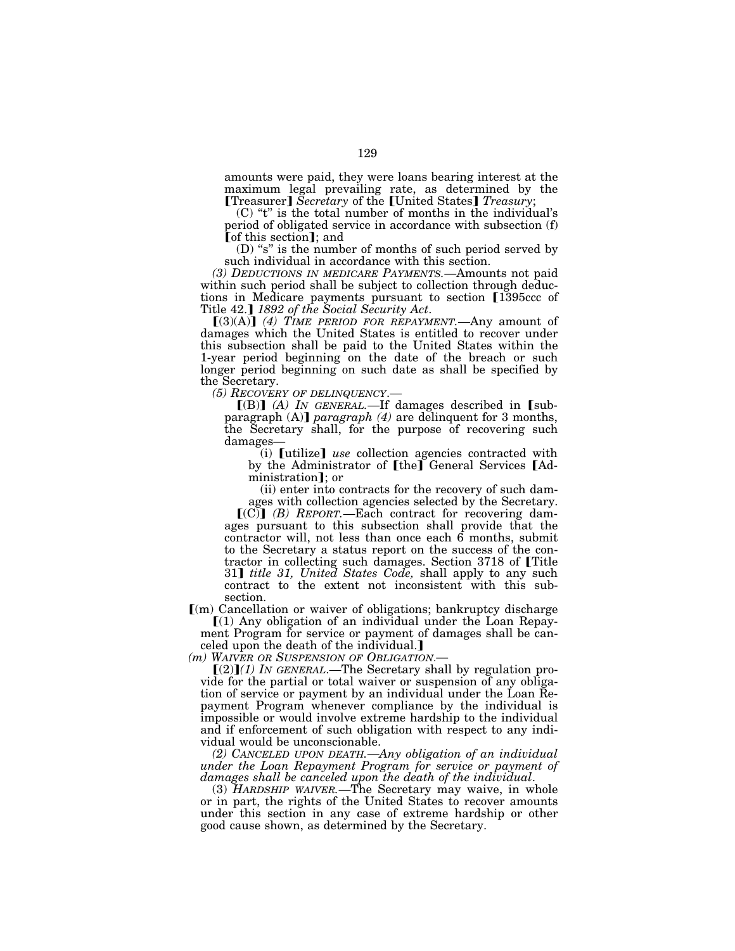amounts were paid, they were loans bearing interest at the maximum legal prevailing rate, as determined by the **[Treasurer]** Secretary of the [United States] Treasury;

 $(C)$  "t" is the total number of months in the individual's period of obligated service in accordance with subsection (f) **[**of this section]; and

(D) "s" is the number of months of such period served by such individual in accordance with this section.

*(3) DEDUCTIONS IN MEDICARE PAYMENTS.*—Amounts not paid within such period shall be subject to collection through deductions in Medicare payments pursuant to section [1395ccc of Title 42.] 1892 of the Social Security Act.<br>
[(3)(A)] (4) TIME PERIOD FOR REPAYMENT.—Any amount of

damages which the United States is entitled to recover under this subsection shall be paid to the United States within the 1-year period beginning on the date of the breach or such longer period beginning on such date as shall be specified by the Secretary.

*(5) RECOVERY OF DELINQUENCY*.—

 $[(B)]$   $(A)$  *IN GENERAL*.—If damages described in [subparagraph (A)] *paragraph* (4) are delinquent for 3 months, the Secretary shall, for the purpose of recovering such damages—

 $(i)$  [utilize] *use* collection agencies contracted with by the Administrator of [the] General Services [Administration]; or

(ii) enter into contracts for the recovery of such damages with collection agencies selected by the Secretary.

 $[(C)]$   $(B)$  *REPORT*.—Each contract for recovering damages pursuant to this subsection shall provide that the contractor will, not less than once each 6 months, submit to the Secretary a status report on the success of the contractor in collecting such damages. Section 3718 of [Title] 31] *title 31, United States Code*, shall apply to any such contract to the extent not inconsistent with this subsection.

ø(m) Cancellation or waiver of obligations; bankruptcy discharge  $(1)$  Any obligation of an individual under the Loan Repay-

ment Program for service or payment of damages shall be canceled upon the death of the individual.

*(m) WAIVER OR SUSPENSION OF OBLIGATION*.—

 $[(2)]$ (1) IN GENERAL.—The Secretary shall by regulation provide for the partial or total waiver or suspension of any obligation of service or payment by an individual under the Loan Repayment Program whenever compliance by the individual is impossible or would involve extreme hardship to the individual and if enforcement of such obligation with respect to any individual would be unconscionable.

*(2) CANCELED UPON DEATH.*—*Any obligation of an individual under the Loan Repayment Program for service or payment of* 

*damages shall be canceled upon the death of the individual*. (3) *HARDSHIP WAIVER.*—The Secretary may waive, in whole or in part, the rights of the United States to recover amounts under this section in any case of extreme hardship or other good cause shown, as determined by the Secretary.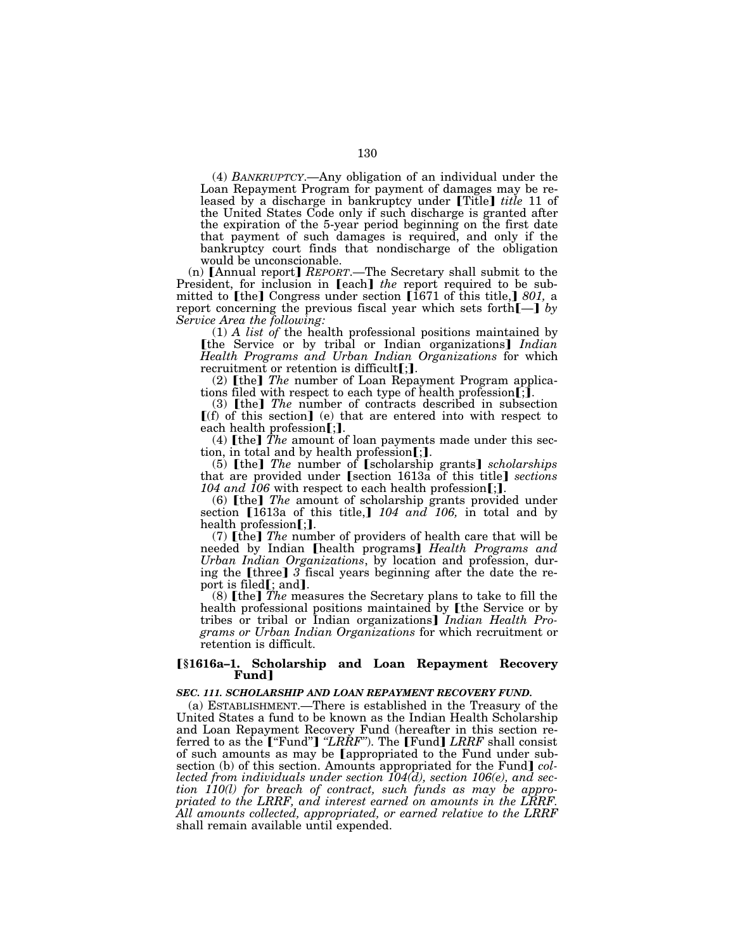(4) *BANKRUPTCY*.—Any obligation of an individual under the Loan Repayment Program for payment of damages may be released by a discharge in bankruptcy under [Title] *title* 11 of the United States Code only if such discharge is granted after the expiration of the 5-year period beginning on the first date that payment of such damages is required, and only if the bankruptcy court finds that nondischarge of the obligation would be unconscionable.

(n)  $\lceil$ Annual report $\rceil$  *REPORT*.—The Secretary shall submit to the President, for inclusion in [each] *the* report required to be submitted to [the] Congress under section [1671 of this title,] 801, a report concerning the previous fiscal year which sets forth $\llbracket - \rrbracket$  by *Service Area the following:* 

(1) *A list of* the health professional positions maintained by **[the Service or by tribal or Indian organizations]** *Indian Health Programs and Urban Indian Organizations* for which recruitment or retention is difficult $[j]$ .

(2) **[the]** *The* number of Loan Repayment Program applications filed with respect to each type of health profession  $\tilde{\mathbf{r}}$ .

(3) **[the]** *The* number of contracts described in subsection  $[(f)$  of this section] (e) that are entered into with respect to each health profession $[j]$ .

(4)  $\lceil \text{the} \rceil$  *The* amount of loan payments made under this section, in total and by health profession $[]$ .

(5) [the] *The* number of [scholarship grants] *scholarships* that are provided under [section 1613a of this title] *sections* 104 and  $106$  with respect to each health profession[;].

(6) [the] *The* amount of scholarship grants provided under section  $[1613a$  of this title, $]$  104 and 106, in total and by health profession $\left[$ ;  $\right]$ .

(7) **[the]** *The* number of providers of health care that will be needed by Indian [health programs] *Health Programs and Urban Indian Organizations*, by location and profession, during the [three] 3 fiscal years beginning after the date the report is filed $[$ ; and $]$ .

(8)  $[the]$   $\overline{Th}$ *e* measures the Secretary plans to take to fill the health professional positions maintained by [the Service or by tribes or tribal or Indian organizations¿ *Indian Health Programs or Urban Indian Organizations* for which recruitment or retention is difficult.

### ø**§1616a–1. Scholarship and Loan Repayment Recovery Fund**¿

### *SEC. 111. SCHOLARSHIP AND LOAN REPAYMENT RECOVERY FUND.*

(a) ESTABLISHMENT.—There is established in the Treasury of the United States a fund to be known as the Indian Health Scholarship and Loan Repayment Recovery Fund (hereafter in this section re-<br>ferred to as the **[**"Fund"**]** *''LRRF*"). The **[**Fund**]** *LRRF* shall consist of such amounts as may be [appropriated to the Fund under subsection (b) of this section. Amounts appropriated for the Fund] *collected from individuals under section 104(d), section 106(e), and section 110(l) for breach of contract, such funds as may be appropriated to the LRRF, and interest earned on amounts in the LRRF. All amounts collected, appropriated, or earned relative to the LRRF*  shall remain available until expended.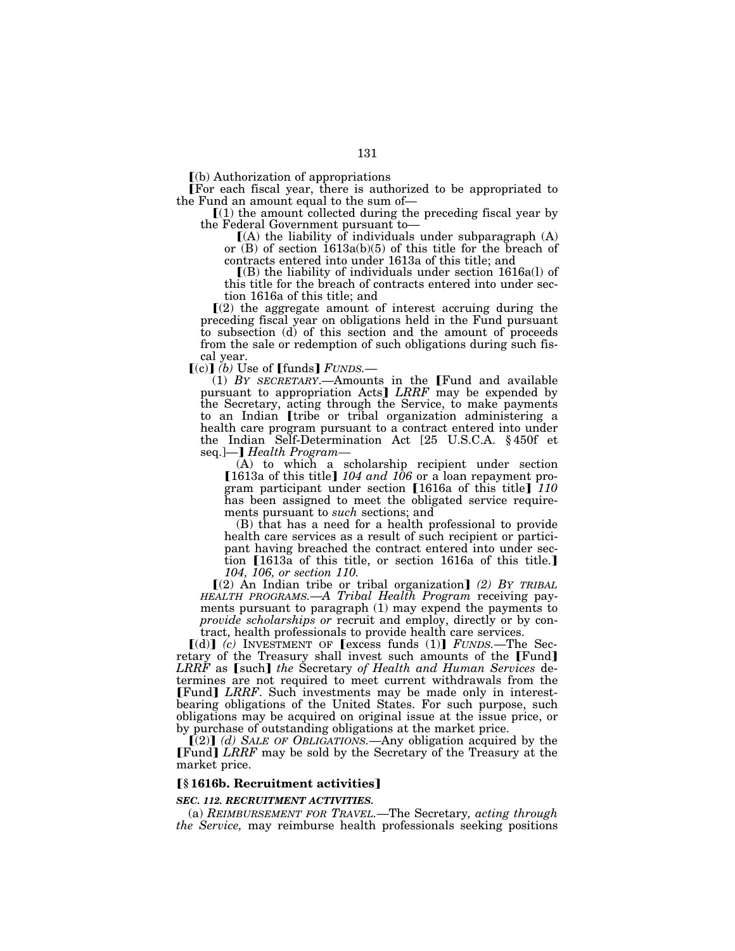$\Gamma$ (b) Authorization of appropriations

øFor each fiscal year, there is authorized to be appropriated to

the Fund an amount equal to the sum of—<br>  $[(1)$  the amount collected during the preceding fiscal year by<br>
the Federal Government pursuant to—

 $f(A)$  the liability of individuals under subparagraph  $(A)$ or (B) of section 1613a(b)(5) of this title for the breach of contracts entered into under 1613a of this title; and

 $\Gamma(B)$  the liability of individuals under section 1616a(l) of this title for the breach of contracts entered into under section 1616a of this title; and

 $(2)$  the aggregate amount of interest accruing during the preceding fiscal year on obligations held in the Fund pursuant to subsection (d) of this section and the amount of proceeds from the sale or redemption of such obligations during such fiscal year.

 $[(c)]$  *(b)* Use of  $[{\text{funds}}]$  *FUNDS.*—

 $(1)$  *BY SECRETARY*.—Amounts in the [Fund and available pursuant to appropriation Acts] LRRF may be expended by the Secretary, acting through the Service, to make payments to an Indian [tribe or tribal organization administering a health care program pursuant to a contract entered into under the Indian Self-Determination Act [25 U.S.C.A. § 450f et seq.]—**]** *Health Program–* 

(A) to which a scholarship recipient under section [1613a of this title]  $104$  and  $106$  or a loan repayment program participant under section [1616a of this title]  $110$ has been assigned to meet the obligated service requirements pursuant to *such* sections; and

(B) that has a need for a health professional to provide health care services as a result of such recipient or participant having breached the contract entered into under section  $[1613a]$  of this title, or section 1616a of this title. *104, 106, or section 110.* 

ø(2) An Indian tribe or tribal organization¿ *(2) BY TRIBAL HEALTH PROGRAMS.*—*A Tribal Health Program* receiving payments pursuant to paragraph (1) may expend the payments to *provide scholarships or* recruit and employ, directly or by contract, health professionals to provide health care services.

 $[(d)]$   $(c)$  INVESTMENT OF [excess funds (1)]  $FUNDS$ . The Secretary of the Treasury shall invest such amounts of the [Fund] *LRRF* as [such] *the Secretary of Health and Human Services* determines are not required to meet current withdrawals from the [Fund] *LRRF*. Such investments may be made only in interestbearing obligations of the United States. For such purpose, such obligations may be acquired on original issue at the issue price, or by purchase of outstanding obligations at the market price.

 $\left[\begin{pmatrix} 2 \end{pmatrix}\right]$  *(d)* SALE OF OBLIGATIONS.—Any obligation acquired by the **[Fund]** *LRRF* may be sold by the Secretary of the Treasury at the market price.

# ø**§ 1616b. Recruitment activities**¿

#### *SEC. 112. RECRUITMENT ACTIVITIES.*

(a) *REIMBURSEMENT FOR TRAVEL.*—The Secretary*, acting through the Service,* may reimburse health professionals seeking positions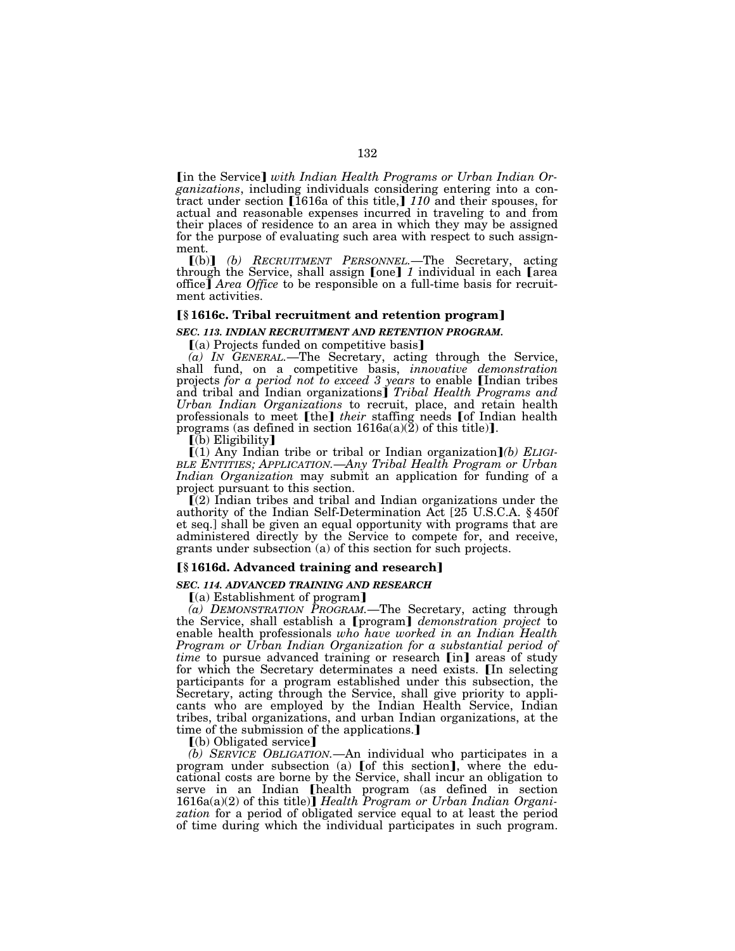**I'm the Service** *with Indian Health Programs or Urban Indian Organizations*, including individuals considering entering into a contract under section [1616a of this title,]  $110$  and their spouses, for actual and reasonable expenses incurred in traveling to and from their places of residence to an area in which they may be assigned for the purpose of evaluating such area with respect to such assignment.

ø(b)¿ *(b) RECRUITMENT PERSONNEL.*—The Secretary, acting through the Service, shall assign [one] 1 individual in each [area office] *Area Office* to be responsible on a full-time basis for recruitment activities.

### ø**§ 1616c. Tribal recruitment and retention program**¿

#### *SEC. 113. INDIAN RECRUITMENT AND RETENTION PROGRAM.*

 $(a)$  Projects funded on competitive basis

*(a) IN GENERAL.*—The Secretary, acting through the Service, shall fund, on a competitive basis, *innovative demonstration*  projects *for a period not to exceed 3 years* to enable *[Indian tribes* and tribal and Indian organizations¿ *Tribal Health Programs and Urban Indian Organizations* to recruit, place, and retain health professionals to meet [the] *their* staffing needs [of Indian health programs (as defined in section  $1616a(a)(2)$  of this title)].

 $\overline{[b]}$  Eligibility

(1) Any Indian tribe or tribal or Indian organization (b) ELIGI-*BLE ENTITIES; APPLICATION.*—*Any Tribal Health Program or Urban Indian Organization* may submit an application for funding of a project pursuant to this section.

 $(a)$  Indian tribes and tribal and Indian organizations under the authority of the Indian Self-Determination Act [25 U.S.C.A. § 450f et seq.] shall be given an equal opportunity with programs that are administered directly by the Service to compete for, and receive, grants under subsection (a) of this section for such projects.

### ø**§ 1616d. Advanced training and research**¿

#### *SEC. 114. ADVANCED TRAINING AND RESEARCH*

 $(a)$  Establishment of program]

*(a) DEMONSTRATION PROGRAM.*—The Secretary, acting through the Service, shall establish a *[program] demonstration project* to enable health professionals *who have worked in an Indian Health Program or Urban Indian Organization for a substantial period of time* to pursue advanced training or research [in] areas of study for which the Secretary determinates a need exists. In selecting participants for a program established under this subsection, the Secretary, acting through the Service, shall give priority to applicants who are employed by the Indian Health Service, Indian tribes, tribal organizations, and urban Indian organizations, at the time of the submission of the applications.]

 $(b)$  Obligated service

*(b) SERVICE OBLIGATION.*—An individual who participates in a program under subsection (a) [of this section], where the educational costs are borne by the Service, shall incur an obligation to serve in an Indian [health program (as defined in section 1616a(a)(2) of this title)] *Health Program or Urban Indian Organization* for a period of obligated service equal to at least the period of time during which the individual participates in such program.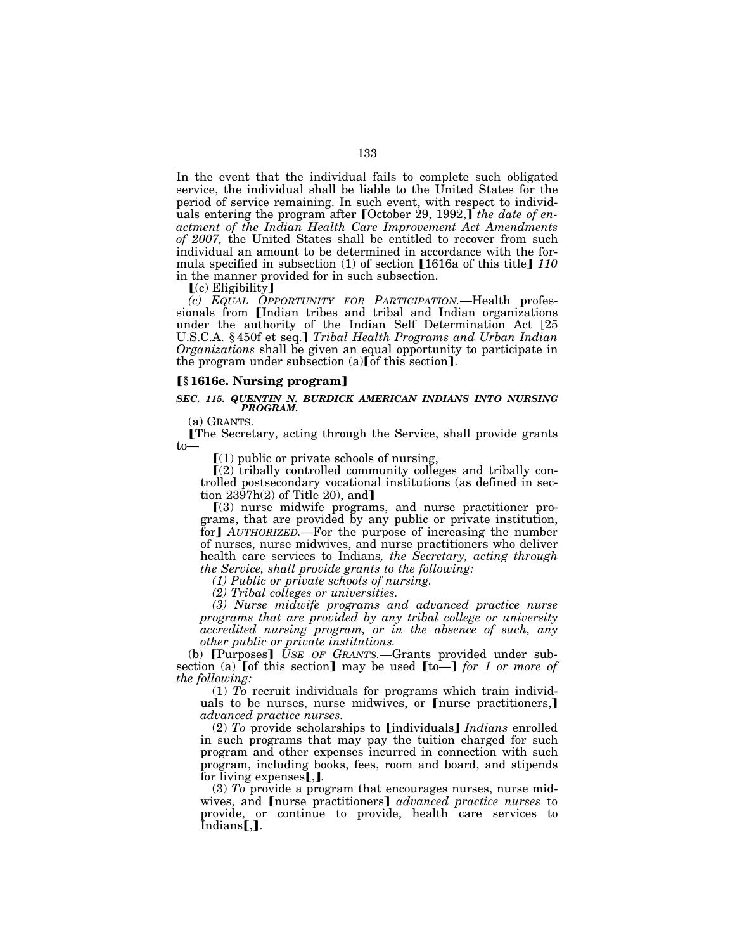In the event that the individual fails to complete such obligated service, the individual shall be liable to the United States for the period of service remaining. In such event, with respect to individuals entering the program after [October 29, 1992,] the date of en*actment of the Indian Health Care Improvement Act Amendments of 2007,* the United States shall be entitled to recover from such individual an amount to be determined in accordance with the formula specified in subsection (1) of section [1616a of this title] 110 in the manner provided for in such subsection.

 $(c)$  Eligibility]

*(c) EQUAL OPPORTUNITY FOR PARTICIPATION.*—Health professionals from [Indian tribes and tribal and Indian organizations under the authority of the Indian Self Determination Act [25 U.S.C.A. §450f et seq.] *Tribal Health Programs and Urban Indian Organizations* shall be given an equal opportunity to participate in the program under subsection  $(a)$  [of this section].

#### ø**§ 1616e. Nursing program**¿

#### *SEC. 115. QUENTIN N. BURDICK AMERICAN INDIANS INTO NURSING PROGRAM.*

(a) GRANTS.

øThe Secretary, acting through the Service, shall provide grants to—

 $(1)$  public or private schools of nursing,

 $\Gamma(2)$  tribally controlled community colleges and tribally controlled postsecondary vocational institutions (as defined in section  $23\overline{97h(2)}$  of Title 20), and

 $(3)$  nurse midwife programs, and nurse practitioner programs, that are provided by any public or private institution, for *AUTHORIZED*.—For the purpose of increasing the number of nurses, nurse midwives, and nurse practitioners who deliver health care services to Indians*, the Secretary, acting through the Service, shall provide grants to the following:* 

*(1) Public or private schools of nursing.* 

*(2) Tribal colleges or universities.* 

*(3) Nurse midwife programs and advanced practice nurse programs that are provided by any tribal college or university accredited nursing program, or in the absence of such, any other public or private institutions.* 

(b) **[Purposes]** USE OF GRANTS.—Grants provided under subsection (a)  $\lceil \text{of this section} \rceil$  may be used  $\lceil \text{to} \rceil$  *for 1 or more of the following:* 

(1) *To* recruit individuals for programs which train individuals to be nurses, nurse midwives, or  $\lceil$  nurse practitioners, $\rceil$ *advanced practice nurses.* 

(2) To provide scholarships to [individuals] *Indians* enrolled in such programs that may pay the tuition charged for such program and other expenses incurred in connection with such program, including books, fees, room and board, and stipends for living expenses<sup>[1]</sup>.

(3) *To* provide a program that encourages nurses, nurse midwives, and Inurse practitioners *advanced practice nurses* to provide, or continue to provide, health care services to  $Indians$ ,].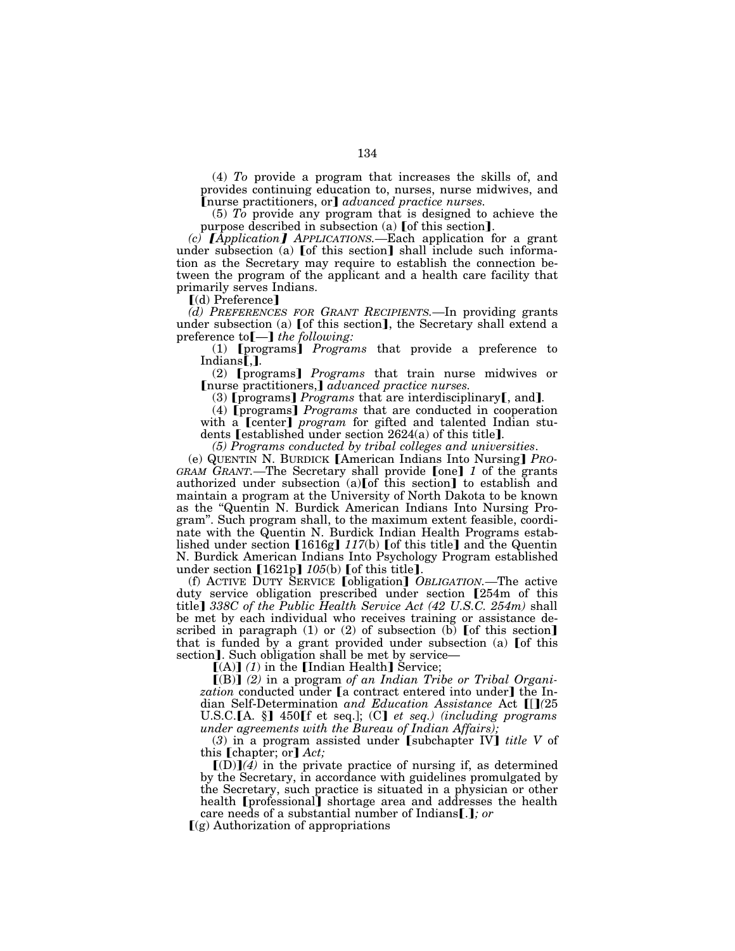(4) *To* provide a program that increases the skills of, and provides continuing education to, nurses, nurse midwives, and [nurse practitioners, or] *advanced practice nurses.* 

(5) *To* provide any program that is designed to achieve the purpose described in subsection (a)  $[$  of this section $]$ .

*(c)* ƒ*Application*≈ *APPLICATIONS.—*Each application for a grant under subsection (a)  $[$  of this section $]$  shall include such information as the Secretary may require to establish the connection between the program of the applicant and a health care facility that primarily serves Indians.

 $\lceil$ (d) Preference $\rceil$ 

*(d) PREFERENCES FOR GRANT RECIPIENTS.—*In providing grants under subsection (a) [of this section], the Secretary shall extend a preference to [-] *the following:* 

(1) **[**programs] *Programs* that provide a preference to Indians**[.]**.

(2) **[**programs] *Programs* that train nurse midwives or [nurse practitioners,] *advanced practice nurses.* 

(3) **[**programs**]** *Programs* that are interdisciplinary**[**, and**]**.

(4) **[**programs**]** *Programs* that are conducted in cooperation with a [center] *program* for gifted and talented Indian students **[established** under section 2624(a) of this title**]**.

*(5) Programs conducted by tribal colleges and universities*.

(e) QUENTIN N. BURDICK **[American Indians Into Nursing**] *PRO-GRAM GRANT*.—The Secretary shall provide [one] 1 of the grants authorized under subsection  $(a)$  [of this section] to establish and maintain a program at the University of North Dakota to be known as the ''Quentin N. Burdick American Indians Into Nursing Program''. Such program shall, to the maximum extent feasible, coordinate with the Quentin N. Burdick Indian Health Programs established under section  $[1616g]$   $117(b)$  [of this title] and the Quentin N. Burdick American Indians Into Psychology Program established under section  $[1621p]$   $105(b)$  [of this title].

(f) ACTIVE DUTY SERVICE **[obligation]** *OBLIGATION*.—The active duty service obligation prescribed under section [254m of this title] 338C of the Public Health Service Act (42 U.S.C. 254m) shall be met by each individual who receives training or assistance described in paragraph  $(1)$  or  $(2)$  of subsection  $(b)$  [of this section] that is funded by a grant provided under subsection (a) [of this section]. Such obligation shall be met by service—

 $[(A)]$  (1) in the [Indian Health] Service;

[(B)] (2) in a program of an Indian Tribe or Tribal Organization conducted under [a contract entered into under] the Indian Self-Determination *and Education Assistance* Act [[](25 U.S.C.[A. §] 450[f et seq.]; (C] et seq.) (including programs *under agreements with the Bureau of Indian Affairs);* 

(3) in a program assisted under Subchapter IV *title V* of this **[chapter**; or] *Act*;

 $[(D)]$  $(\overline{4})$  in the private practice of nursing if, as determined by the Secretary, in accordance with guidelines promulgated by the Secretary, such practice is situated in a physician or other health **[**professional] shortage area and addresses the health

care needs of a substantial number of Indians [.]; or  $(q)$  Authorization of appropriations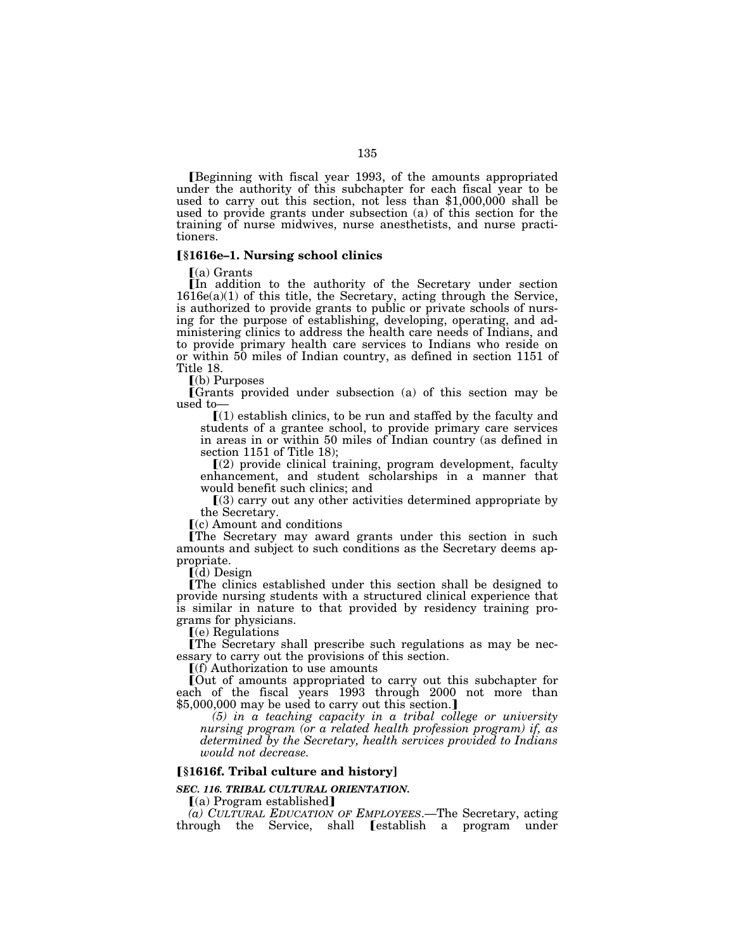øBeginning with fiscal year 1993, of the amounts appropriated under the authority of this subchapter for each fiscal year to be used to carry out this section, not less than \$1,000,000 shall be used to provide grants under subsection (a) of this section for the training of nurse midwives, nurse anesthetists, and nurse practitioners.

### ø**§1616e–1. Nursing school clinics**

 $(a)$  Grants

øIn addition to the authority of the Secretary under section  $1616e(a)(1)$  of this title, the Secretary, acting through the Service, is authorized to provide grants to public or private schools of nursing for the purpose of establishing, developing, operating, and administering clinics to address the health care needs of Indians, and to provide primary health care services to Indians who reside on or within 50 miles of Indian country, as defined in section 1151 of Title 18.

 $(a)$  Purposes

øGrants provided under subsection (a) of this section may be used to—

 $(1)$  establish clinics, to be run and staffed by the faculty and students of a grantee school, to provide primary care services in areas in or within 50 miles of Indian country (as defined in section 1151 of Title 18);

 $(2)$  provide clinical training, program development, faculty enhancement, and student scholarships in a manner that would benefit such clinics; and

 $(3)$  carry out any other activities determined appropriate by the Secretary.

 $(c)$  Amount and conditions

øThe Secretary may award grants under this section in such amounts and subject to such conditions as the Secretary deems appropriate.

 $\lceil$ (d) Design

øThe clinics established under this section shall be designed to provide nursing students with a structured clinical experience that is similar in nature to that provided by residency training programs for physicians.

 $(e)$  Regulations

øThe Secretary shall prescribe such regulations as may be necessary to carry out the provisions of this section.

 $\Gamma(f)$  Authorization to use amounts

øOut of amounts appropriated to carry out this subchapter for each of the fiscal years 1993 through 2000 not more than  $$5,000,000$  may be used to carry out this section.]

*(5) in a teaching capacity in a tribal college or university nursing program (or a related health profession program) if, as determined by the Secretary, health services provided to Indians would not decrease.* 

# ø**§1616f. Tribal culture and history]**

*SEC. 116. TRIBAL CULTURAL ORIENTATION.* 

 $(a)$  Program established

*(a) CULTURAL EDUCATION OF EMPLOYEES*.—The Secretary, acting through the Service, shall [establish a program under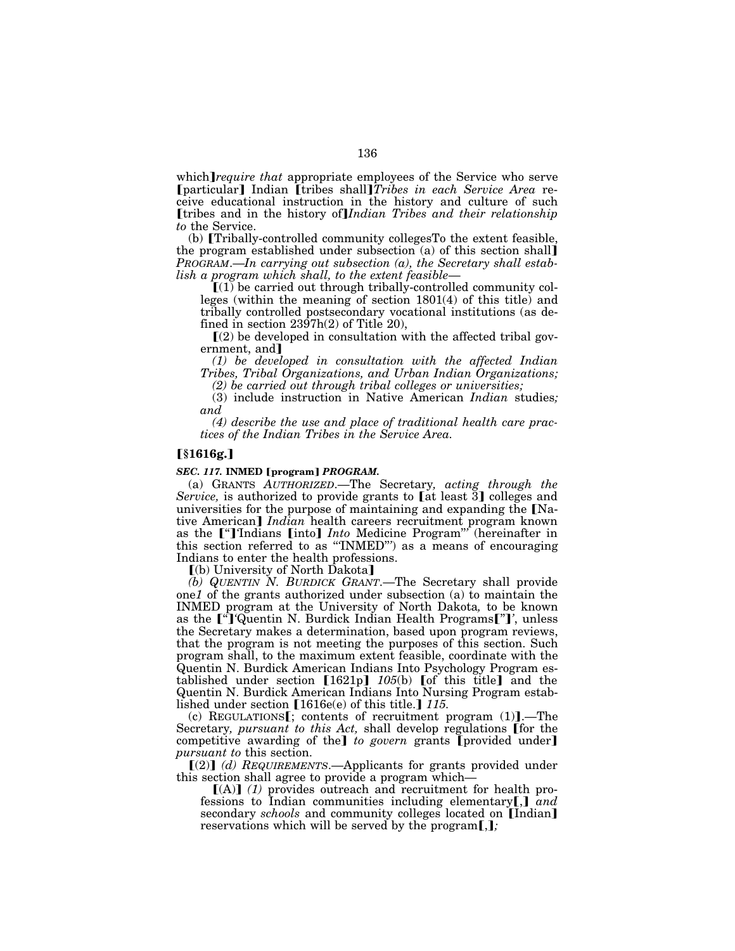which *require that* appropriate employees of the Service who serve [particular] Indian [tribes shall]*Tribes in each Service Area* receive educational instruction in the history and culture of such [tribes and in the history of]*Indian Tribes and their relationship to* the Service.

(b) [Tribally-controlled community collegesTo the extent feasible, the program established under subsection (a) of this section shall¿ *PROGRAM*.—*In carrying out subsection (a), the Secretary shall establish a program which shall, to the extent feasible*—

 $(1)$  be carried out through tribally-controlled community colleges (within the meaning of section 1801(4) of this title) and tribally controlled postsecondary vocational institutions (as defined in section  $2397h(2)$  of Title 20),

 $(2)$  be developed in consultation with the affected tribal government, and]

*(1) be developed in consultation with the affected Indian Tribes, Tribal Organizations, and Urban Indian Organizations;* 

*(2) be carried out through tribal colleges or universities;* 

(3) include instruction in Native American *Indian* studies*; and* 

*(4) describe the use and place of traditional health care practices of the Indian Tribes in the Service Area.* 

### ø**§1616g.**¿

#### *SEC. 117.* **INMED** [program] *PROGRAM.*

(a) GRANTS *AUTHORIZED*.—The Secretary*, acting through the Service*, is authorized to provide grants to [at least 3] colleges and universities for the purpose of maintaining and expanding the  $[Na$ tive American] *Indian* health careers recruitment program known as the ["] Indians [into] *Into* Medicine Program"<sup>'</sup> (hereinafter in this section referred to as ''*'*INMED''*'*) as a means of encouraging Indians to enter the health professions.

[(b) University of North Dakota]

*(b) QUENTIN N. BURDICK GRANT*.—The Secretary shall provide one*1* of the grants authorized under subsection (a) to maintain the INMED program at the University of North Dakota*,* to be known as the <sup>["</sup>]'Quentin N. Burdick Indian Health Programs<sup>["]</sup>', unless the Secretary makes a determination, based upon program reviews, that the program is not meeting the purposes of this section. Such program shall, to the maximum extent feasible, coordinate with the Quentin N. Burdick American Indians Into Psychology Program established under section  $[1621p]$   $105(b)$  of this title and the Quentin N. Burdick American Indians Into Nursing Program established under section  $[1616e(e)$  of this title.]  $115$ .

(c) REGULATIONS $[$ ; contents of recruitment program (1)].—The Secretary, *pursuant to this Act*, shall develop regulations [for the competitive awarding of the] to govern grants [provided under] *pursuant to* this section.

[(2)] (d) REQUIREMENTS.-Applicants for grants provided under this section shall agree to provide a program which—

 $[(A)]$  (1) provides outreach and recruitment for health professions to Indian communities including elementary**[,**] and secondary *schools* and community colleges located on **[Indian]** reservations which will be served by the program $[j]$ ;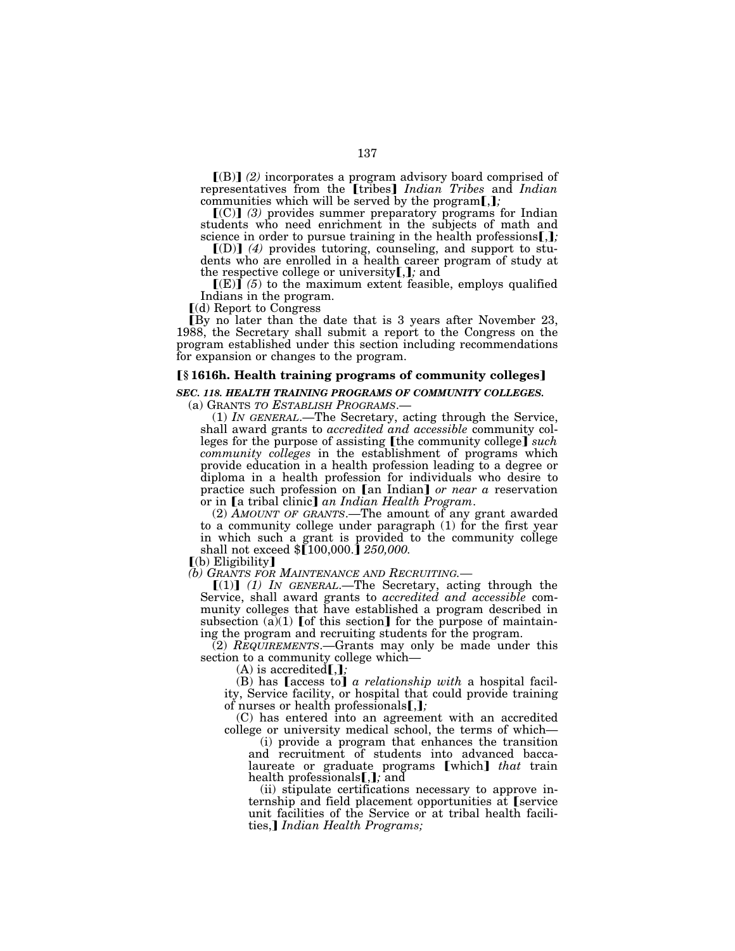$[(B)]$   $(2)$  incorporates a program advisory board comprised of representatives from the [tribes] *Indian Tribes* and *Indian* communities which will be served by the program[,];

[(C)] (3) provides summer preparatory programs for Indian students who need enrichment in the subjects of math and science in order to pursue training in the health professions.

 $[(D)]$   $(4)$  provides tutoring, counseling, and support to students who are enrolled in a health career program of study at the respective college or university[,]; and

 $\left[\mathbf{E}\right]\mathbf{\hat{i}}$  (5) to the maximum extent feasible, employs qualified Indians in the program.

 $(d)$  Report to Congress

øBy no later than the date that is 3 years after November 23, 1988, the Secretary shall submit a report to the Congress on the program established under this section including recommendations for expansion or changes to the program.

# ø**§ 1616h. Health training programs of community colleges**¿

*SEC. 118. HEALTH TRAINING PROGRAMS OF COMMUNITY COLLEGES.* 

(a) GRANTS *TO ESTABLISH PROGRAMS*.— (1) *IN GENERAL*.—The Secretary, acting through the Service, shall award grants to *accredited and accessible* community colleges for the purpose of assisting [the community college] *such community colleges* in the establishment of programs which provide education in a health profession leading to a degree or diploma in a health profession for individuals who desire to practice such profession on [an Indian] or near a reservation<br>or in [a tribal clinic] an Indian Health Program.

(2) *AMOUNT OF GRANTS*.—The amount of any grant awarded to a community college under paragraph (1) for the first year in which such a grant is provided to the community college shall not exceed  $\{100,000.\}$  250,000.

 $(a)$  Eligibility

*(b) GRANTS FOR MAINTENANCE AND RECRUITING.—*

 $[(1)]$  *(1)* IN GENERAL.—The Secretary, acting through the Service, shall award grants to *accredited and accessible* community colleges that have established a program described in subsection (a)(1) [of this section] for the purpose of maintaining the program and recruiting students for the program.

(2) *REQUIREMENTS*.—Grants may only be made under this section to a community college which—

 $(A)$  is accredited $[,$ *;* 

 $(B)$  has **[access to]** *a relationship with* a hospital facility, Service facility, or hospital that could provide training of nurses or health professionals**[,]**;

(C) has entered into an agreement with an accredited college or university medical school, the terms of which—

(i) provide a program that enhances the transition and recruitment of students into advanced baccalaureate or graduate programs **[which**] *that* train health professionals<sup>[, ]</sup>; and

(ii) stipulate certifications necessary to approve internship and field placement opportunities at [service] unit facilities of the Service or at tribal health facilities,*I Indian Health Programs*;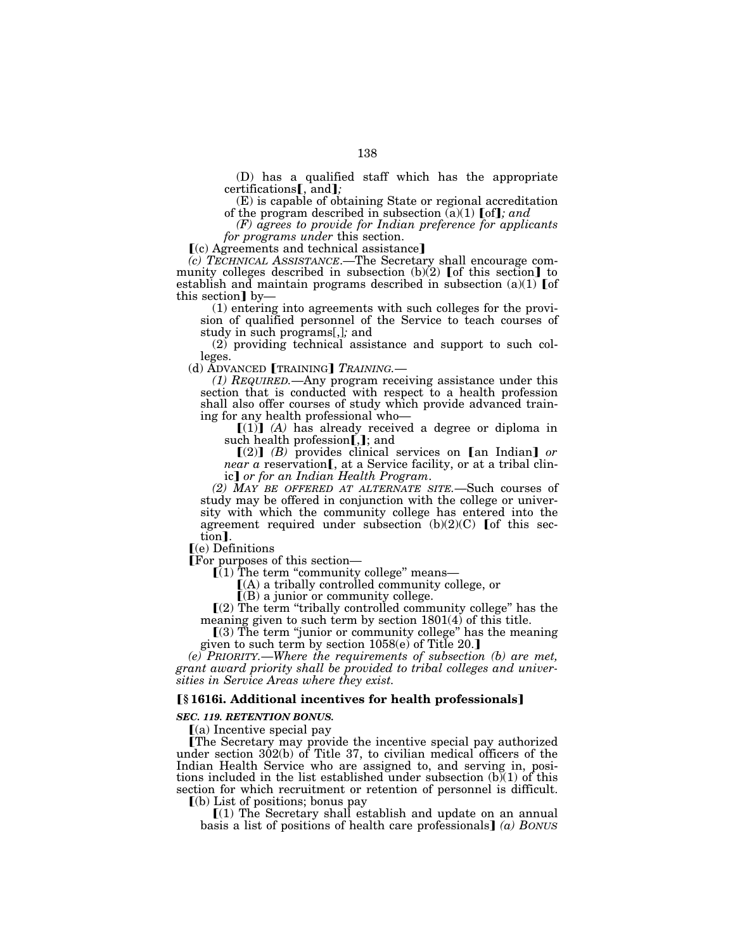(D) has a qualified staff which has the appropriate certifications**[**, and**]**;

(E) is capable of obtaining State or regional accreditation of the program described in subsection  $(a)(1)$  [of]; and

*(F) agrees to provide for Indian preference for applicants for programs under* this section.

 $(c)$  Agreements and technical assistance]

*(c) TECHNICAL ASSISTANCE*.—The Secretary shall encourage community colleges described in subsection  $(b)(2)$  [of this section] to establish and maintain programs described in subsection  $(a)(1)$  [of this section] by-

(1) entering into agreements with such colleges for the provision of qualified personnel of the Service to teach courses of study in such programs[,]*;* and

(2) providing technical assistance and support to such colleges.

(d) ADVANCED **[TRAINING**] *TRAINING*.—

*(1) REQUIRED.*—Any program receiving assistance under this section that is conducted with respect to a health profession shall also offer courses of study which provide advanced training for any health professional who—

 $[(1)]$   $(A)$  has already received a degree or diploma in such health profession[,]; and

 $[(2)]$   $(B)$  provides clinical services on [an Indian] *or near a reservation*, at a Service facility, or at a tribal clinic¿ *or for an Indian Health Program*.

*(2) MAY BE OFFERED AT ALTERNATE SITE.*—Such courses of study may be offered in conjunction with the college or university with which the community college has entered into the agreement required under subsection  $(b)(2)(C)$  [of this section].

ø(e) Definitions

 $\overline{I(1)}$  The term "community college" means—

 $(A)$  a tribally controlled community college, or

 $[(B)$  a junior or community college.

ø(2) The term ''tribally controlled community college'' has the meaning given to such term by section 1801(4) of this title.

 $(3)$  The term "junior or community college" has the meaning given to such term by section  $1058(e)$  of Title 20.]

*(e) PRIORITY.*—*Where the requirements of subsection (b) are met, grant award priority shall be provided to tribal colleges and universities in Service Areas where they exist.* 

# ø**§ 1616i. Additional incentives for health professionals**¿

#### *SEC. 119. RETENTION BONUS.*

 $(a)$  Incentive special pay

The Secretary may provide the incentive special pay authorized under section 302(b) of Title 37, to civilian medical officers of the Indian Health Service who are assigned to, and serving in, positions included in the list established under subsection  $(b)(1)$  of this section for which recruitment or retention of personnel is difficult.

 $(a)$  List of positions; bonus pay

 $(1)$  The Secretary shall establish and update on an annual basis a list of positions of health care professionals  $\int$  *(a) BONUS*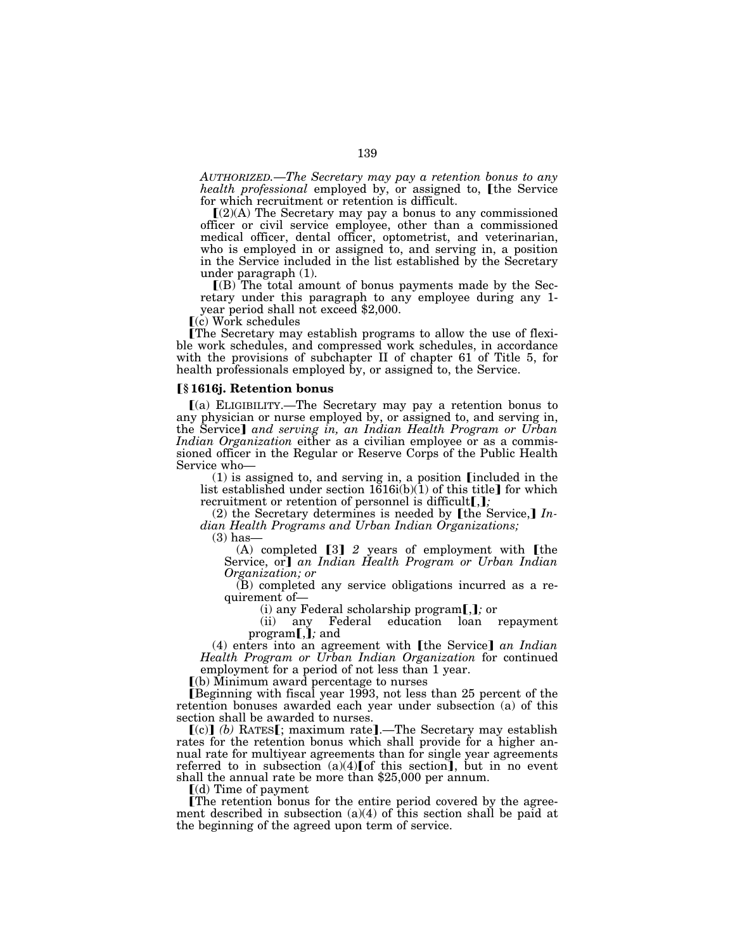*AUTHORIZED.*—*The Secretary may pay a retention bonus to any health professional* employed by, or assigned to, *[the Service* for which recruitment or retention is difficult.

 $(Q(A)$  The Secretary may pay a bonus to any commissioned officer or civil service employee, other than a commissioned medical officer, dental officer, optometrist, and veterinarian, who is employed in or assigned to, and serving in, a position in the Service included in the list established by the Secretary under paragraph (1).

 $\Gamma(B)$  The total amount of bonus payments made by the Secretary under this paragraph to any employee during any 1 year period shall not exceed \$2,000.

 $(c)$  Work schedules

øThe Secretary may establish programs to allow the use of flexible work schedules, and compressed work schedules, in accordance with the provisions of subchapter II of chapter 61 of Title 5, for health professionals employed by, or assigned to, the Service.

#### ø**§ 1616j. Retention bonus**

 $(a)$  ELIGIBILITY.—The Secretary may pay a retention bonus to any physician or nurse employed by, or assigned to, and serving in, the Service] and serving in, an Indian Health Program or Urban *Indian Organization* either as a civilian employee or as a commissioned officer in the Regular or Reserve Corps of the Public Health Service who—

 $(1)$  is assigned to, and serving in, a position [included in the list established under section  $1616i(b)(1)$  of this title] for which recruitment or retention of personnel is difficult[,];

 $(2)$  the Secretary determines is needed by [the Service,]  $In$ *dian Health Programs and Urban Indian Organizations;* 

 $(3)$  has-

 $(A)$  completed  $[3]$  2 years of employment with  $[the]$ Service, or<sup>†</sup> an Indian Health Program or Urban Indian *Organization; or* 

(B) completed any service obligations incurred as a requirement of—<br>(i) any Federal scholarship program[,]; or

(ii) any Federal education loan repayment  $program$ *,j*; and

(4) enters into an agreement with [the Service] an Indian *Health Program or Urban Indian Organization* for continued employment for a period of not less than 1 year.

 $\Gamma$ (b) Minimum award percentage to nurses

Beginning with fiscal year 1993, not less than 25 percent of the retention bonuses awarded each year under subsection (a) of this section shall be awarded to nurses.

 $(c)$  $(b)$  RATES $[$ ; maximum rate].—The Secretary may establish rates for the retention bonus which shall provide for a higher annual rate for multiyear agreements than for single year agreements referred to in subsection  $(a)(4)$  [of this section], but in no event shall the annual rate be more than \$25,000 per annum.

 $(d)$  Time of payment

The retention bonus for the entire period covered by the agreement described in subsection  $(a)(4)$  of this section shall be paid at the beginning of the agreed upon term of service.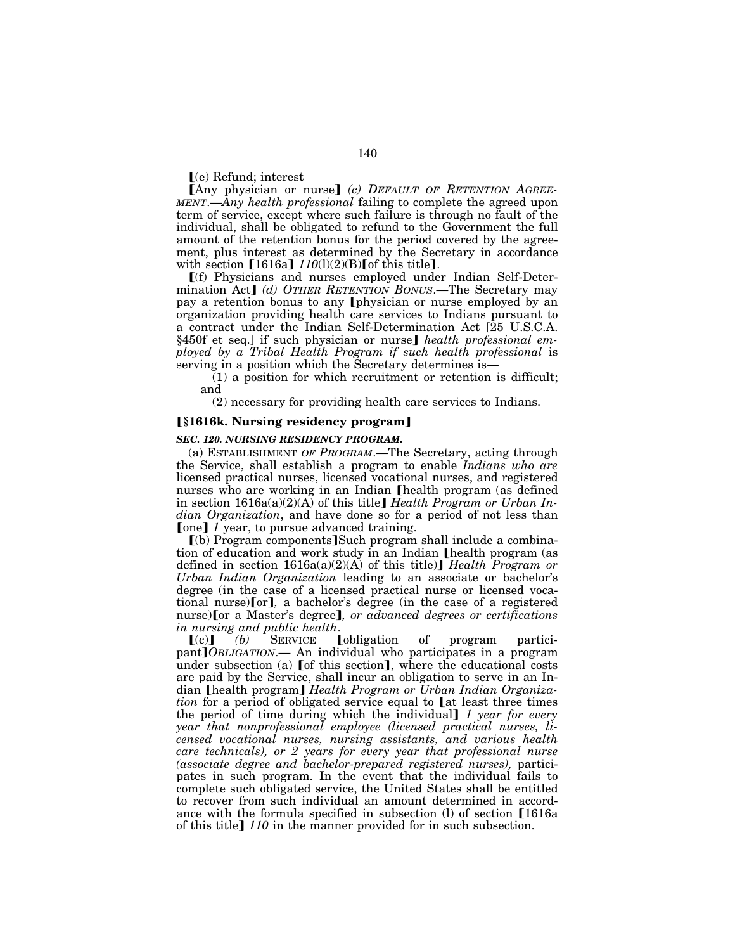$\Gamma$ (e) Refund; interest

[Any physician or nurse] (c) DEFAULT OF RETENTION AGREE-*MENT*.—*Any health professional* failing to complete the agreed upon term of service, except where such failure is through no fault of the individual, shall be obligated to refund to the Government the full amount of the retention bonus for the period covered by the agreement, plus interest as determined by the Secretary in accordance with section [1616a]  $110(1)(2)(B)$  [of this title].

ø(f) Physicians and nurses employed under Indian Self-Determination Act] (d) OTHER RETENTION BONUS.—The Secretary may pay a retention bonus to any [physician or nurse employed by an organization providing health care services to Indians pursuant to a contract under the Indian Self-Determination Act [25 U.S.C.A. §450f et seq.] if such physician or nurse] *health professional employed by a Tribal Health Program if such health professional* is serving in a position which the Secretary determines is—

 $(1)$  a position for which recruitment or retention is difficult; and

(2) necessary for providing health care services to Indians.

### ø**§1616k. Nursing residency program**¿

#### *SEC. 120. NURSING RESIDENCY PROGRAM.*

(a) ESTABLISHMENT *OF PROGRAM*.—The Secretary, acting through the Service, shall establish a program to enable *Indians who are*  licensed practical nurses, licensed vocational nurses, and registered nurses who are working in an Indian **Thealth** program (as defined in section 1616a(a)(2)(A) of this title *Health Program or Urban Indian Organization*, and have done so for a period of not less than **[one]** *1* year, to pursue advanced training.

 $(a)$  Program components Such program shall include a combination of education and work study in an Indian [health program (as defined in section  $1616a(a)(2)(A)$  of this title)] *Health Program or Urban Indian Organization* leading to an associate or bachelor's degree (in the case of a licensed practical nurse or licensed vocational nurse)[or], a bachelor's degree (in the case of a registered nurse)[or a Master's degree], or advanced degrees or certifications *in nursing and public health*.

**(b)** of program participant*]OBLIGATION*.— An individual who participates in a program under subsection (a)  $[$  of this section $]$ , where the educational costs are paid by the Service, shall incur an obligation to serve in an Indian [health program] *Health Program or Urban Indian Organization* for a period of obligated service equal to [at least three times the period of time during which the individual] 1 year for every *year that nonprofessional employee (licensed practical nurses, licensed vocational nurses, nursing assistants, and various health care technicals), or 2 years for every year that professional nurse (associate degree and bachelor-prepared registered nurses),* participates in such program. In the event that the individual fails to complete such obligated service, the United States shall be entitled to recover from such individual an amount determined in accordance with the formula specified in subsection  $(1)$  of section [1616a] of this title] 110 in the manner provided for in such subsection.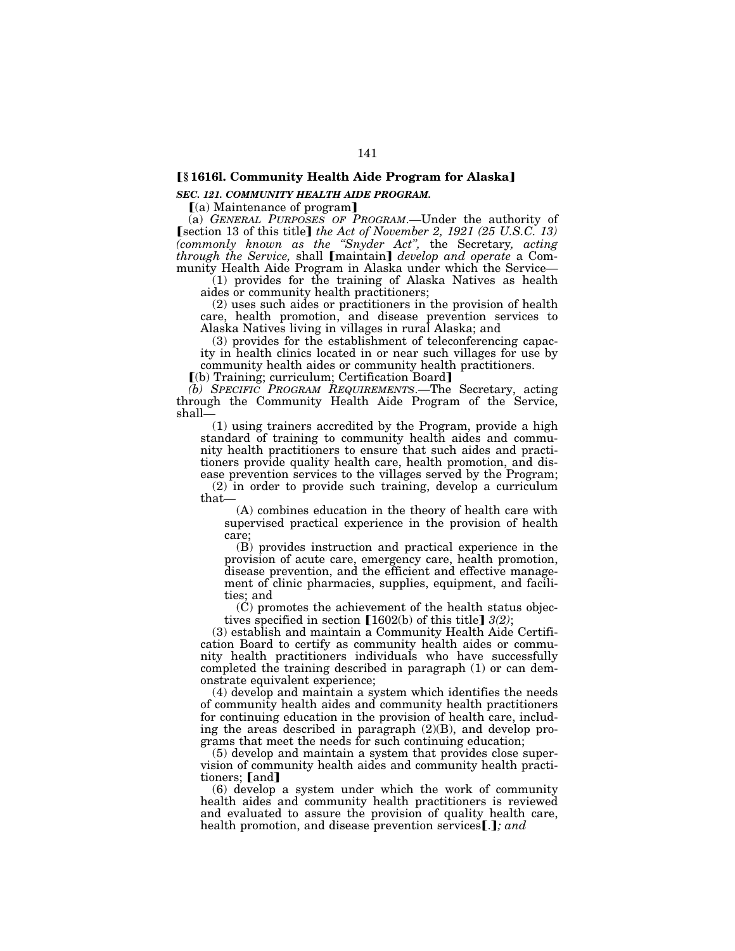# ø**§ 1616l. Community Health Aide Program for Alaska**¿

# *SEC. 121. COMMUNITY HEALTH AIDE PROGRAM.*

 $(a)$  Maintenance of program

(a) *GENERAL PURPOSES OF PROGRAM*.—Under the authority of **[section 13 of this title]** the Act of November 2, 1921 (25 U.S.C. 13) *(commonly known as the ''Snyder Act'',* the Secretary*, acting through the Service, shall [maintain] develop and operate a Com*munity Health Aide Program in Alaska under which the Service—

(1) provides for the training of Alaska Natives as health aides or community health practitioners;

(2) uses such aides or practitioners in the provision of health care, health promotion, and disease prevention services to Alaska Natives living in villages in rural Alaska; and

(3) provides for the establishment of teleconferencing capacity in health clinics located in or near such villages for use by community health aides or community health practitioners.

 $[$ (b) Training; curriculum; Certification Board $]$ 

*(b) SPECIFIC PROGRAM REQUIREMENTS*.—The Secretary, acting through the Community Health Aide Program of the Service, shall—

(1) using trainers accredited by the Program, provide a high standard of training to community health aides and community health practitioners to ensure that such aides and practitioners provide quality health care, health promotion, and disease prevention services to the villages served by the Program;

(2) in order to provide such training, develop a curriculum that—

(A) combines education in the theory of health care with supervised practical experience in the provision of health care;

(B) provides instruction and practical experience in the provision of acute care, emergency care, health promotion, disease prevention, and the efficient and effective management of clinic pharmacies, supplies, equipment, and facilities; and

(C) promotes the achievement of the health status objectives specified in section  $[1602(b)$  of this title]  $3(2)$ ;

(3) establish and maintain a Community Health Aide Certification Board to certify as community health aides or community health practitioners individuals who have successfully completed the training described in paragraph (1) or can demonstrate equivalent experience;

(4) develop and maintain a system which identifies the needs of community health aides and community health practitioners for continuing education in the provision of health care, including the areas described in paragraph (2)(B), and develop programs that meet the needs for such continuing education;

(5) develop and maintain a system that provides close supervision of community health aides and community health practitioners; [and]

(6) develop a system under which the work of community health aides and community health practitioners is reviewed and evaluated to assure the provision of quality health care, health promotion, and disease prevention services [.]; and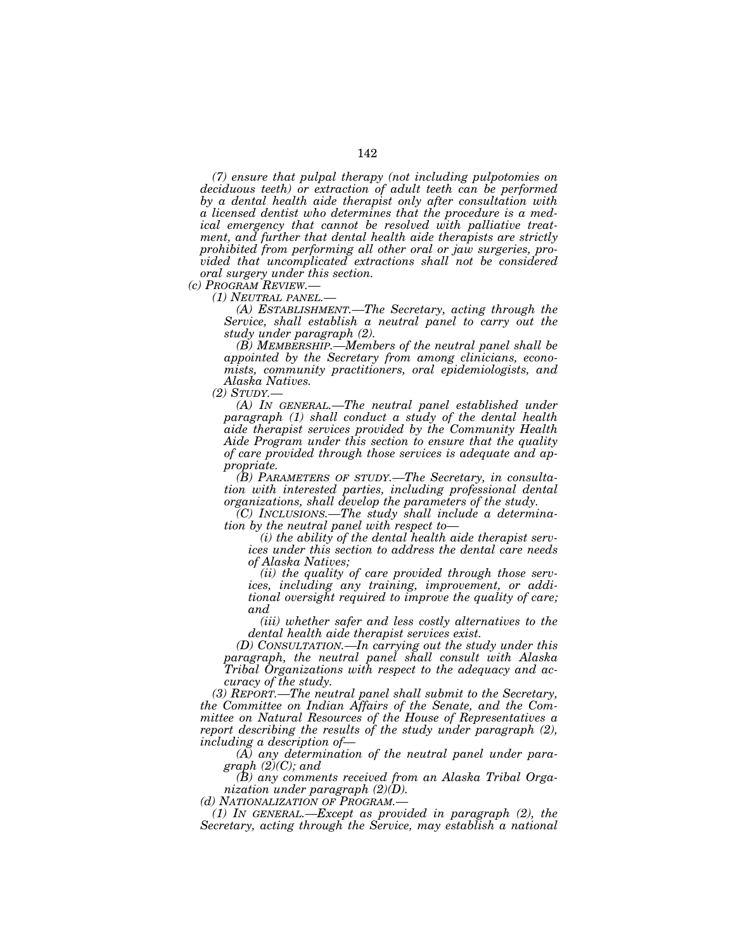*(7) ensure that pulpal therapy (not including pulpotomies on deciduous teeth) or extraction of adult teeth can be performed by a dental health aide therapist only after consultation with a licensed dentist who determines that the procedure is a medical emergency that cannot be resolved with palliative treatment, and further that dental health aide therapists are strictly prohibited from performing all other oral or jaw surgeries, provided that uncomplicated extractions shall not be considered oral surgery under this section.* 

*(c) PROGRAM REVIEW.— (1) NEUTRAL PANEL.— (A) ESTABLISHMENT.—The Secretary, acting through the Service, shall establish a neutral panel to carry out the study under paragraph (2).* 

*(B) MEMBERSHIP.—Members of the neutral panel shall be appointed by the Secretary from among clinicians, economists, community practitioners, oral epidemiologists, and Alaska Natives.* 

*(2) STUDY.—*

*(A) IN GENERAL.—The neutral panel established under paragraph (1) shall conduct a study of the dental health aide therapist services provided by the Community Health Aide Program under this section to ensure that the quality of care provided through those services is adequate and appropriate.* 

*(B) PARAMETERS OF STUDY.—The Secretary, in consultation with interested parties, including professional dental organizations, shall develop the parameters of the study.* 

*(C) INCLUSIONS.—The study shall include a determination by the neutral panel with respect to—*

*(i) the ability of the dental health aide therapist services under this section to address the dental care needs of Alaska Natives;* 

*(ii) the quality of care provided through those services, including any training, improvement, or additional oversight required to improve the quality of care; and* 

*(iii) whether safer and less costly alternatives to the dental health aide therapist services exist.* 

*(D) CONSULTATION.—In carrying out the study under this paragraph, the neutral panel shall consult with Alaska Tribal Organizations with respect to the adequacy and accuracy of the study.* 

*(3) REPORT.—The neutral panel shall submit to the Secretary, the Committee on Indian Affairs of the Senate, and the Committee on Natural Resources of the House of Representatives a report describing the results of the study under paragraph (2), including a description of—*

*(A) any determination of the neutral panel under paragraph (2)(C); and* 

*(B) any comments received from an Alaska Tribal Organization under paragraph (2)(D).* 

*(d) NATIONALIZATION OF PROGRAM.—*

*(1) IN GENERAL.—Except as provided in paragraph (2), the Secretary, acting through the Service, may establish a national*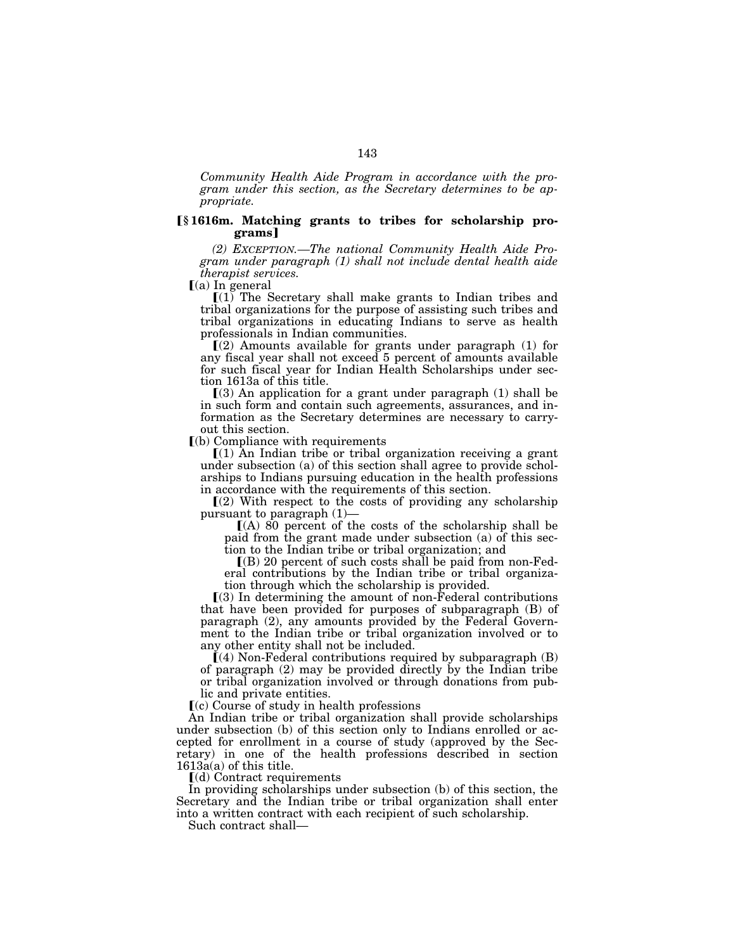*Community Health Aide Program in accordance with the program under this section, as the Secretary determines to be appropriate.* 

# ø**§ 1616m. Matching grants to tribes for scholarship programs**¿

*(2) EXCEPTION.—The national Community Health Aide Program under paragraph (1) shall not include dental health aide therapist services.* 

 $(a)$  In general

 $[(1)$  The Secretary shall make grants to Indian tribes and tribal organizations for the purpose of assisting such tribes and tribal organizations in educating Indians to serve as health professionals in Indian communities.

 $(2)$  Amounts available for grants under paragraph  $(1)$  for any fiscal year shall not exceed 5 percent of amounts available for such fiscal year for Indian Health Scholarships under section 1613a of this title.

 $(3)$  An application for a grant under paragraph  $(1)$  shall be in such form and contain such agreements, assurances, and information as the Secretary determines are necessary to carryout this section.

 $(a)$  Compliance with requirements

 $(1)$  An Indian tribe or tribal organization receiving a grant under subsection (a) of this section shall agree to provide scholarships to Indians pursuing education in the health professions in accordance with the requirements of this section.

 $(2)$  With respect to the costs of providing any scholarship pursuant to paragraph  $(1)$ —

 $[(A)$  80 percent of the costs of the scholarship shall be paid from the grant made under subsection (a) of this section to the Indian tribe or tribal organization; and

 $($ B $)$  20 percent of such costs shall be paid from non-Federal contributions by the Indian tribe or tribal organization through which the scholarship is provided.

 $(3)$  In determining the amount of non-Federal contributions that have been provided for purposes of subparagraph (B) of paragraph (2), any amounts provided by the Federal Government to the Indian tribe or tribal organization involved or to any other entity shall not be included.

 $(4)$  Non-Federal contributions required by subparagraph  $(B)$ of paragraph (2) may be provided directly by the Indian tribe or tribal organization involved or through donations from public and private entities.

 $(c)$  Course of study in health professions

An Indian tribe or tribal organization shall provide scholarships under subsection (b) of this section only to Indians enrolled or accepted for enrollment in a course of study (approved by the Secretary) in one of the health professions described in section  $1613a(a)$  of this title.

 $(d)$  Contract requirements

In providing scholarships under subsection (b) of this section, the Secretary and the Indian tribe or tribal organization shall enter into a written contract with each recipient of such scholarship.

Such contract shall—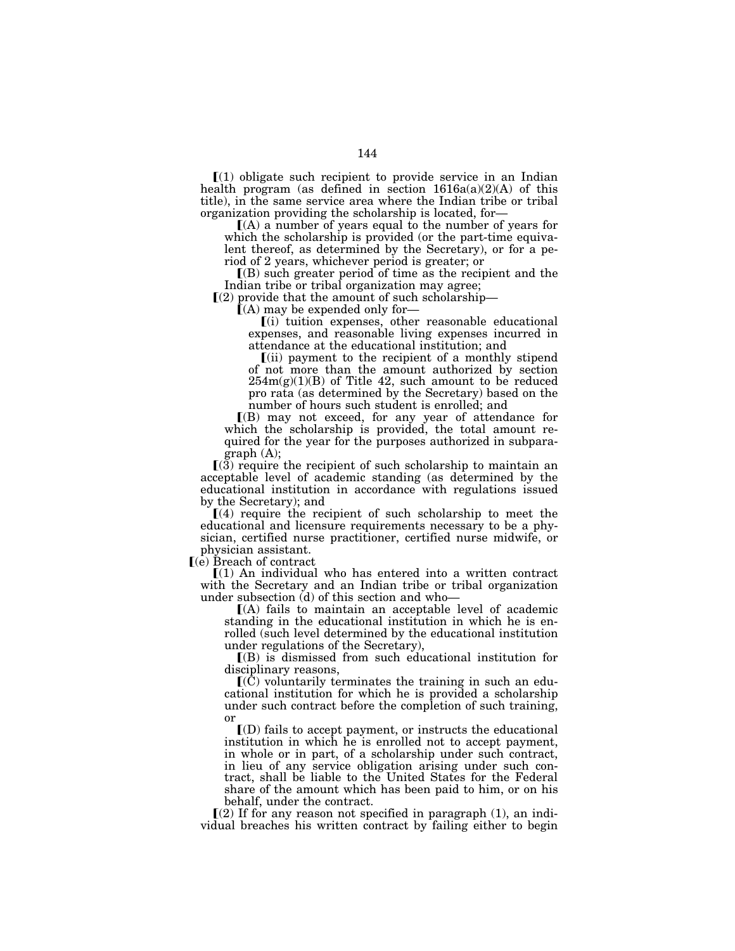$(1)$  obligate such recipient to provide service in an Indian health program (as defined in section  $1616a(a)(2)(A)$  of this title), in the same service area where the Indian tribe or tribal

 $(A)$  a number of years equal to the number of years for which the scholarship is provided (or the part-time equivalent thereof, as determined by the Secretary), or for a period of 2 years, whichever period is greater; or

 $($ B $)$  such greater period of time as the recipient and the Indian tribe or tribal organization may agree;

 $[(2)$  provide that the amount of such scholarship—<br>  $[(A)$  may be expended only for—<br>  $[(i)$  tuition expenses, other reasonable educational expenses, and reasonable living expenses incurred in attendance at the educational institution; and

 $(iii)$  payment to the recipient of a monthly stipend of not more than the amount authorized by section  $254m(g)(1)(B)$  of Title 42, such amount to be reduced pro rata (as determined by the Secretary) based on the number of hours such student is enrolled; and

ø(B) may not exceed, for any year of attendance for which the scholarship is provided, the total amount required for the year for the purposes authorized in subparagraph (A);

 $\Gamma(3)$  require the recipient of such scholarship to maintain an acceptable level of academic standing (as determined by the educational institution in accordance with regulations issued by the Secretary); and

 $(4)$  require the recipient of such scholarship to meet the educational and licensure requirements necessary to be a physician, certified nurse practitioner, certified nurse midwife, or physician assistant.

 $\lceil (e)$  Breach of contract

 $\Gamma(1)$  An individual who has entered into a written contract with the Secretary and an Indian tribe or tribal organization under subsection (d) of this section and who—

ø(A) fails to maintain an acceptable level of academic standing in the educational institution in which he is enrolled (such level determined by the educational institution under regulations of the Secretary),

ø(B) is dismissed from such educational institution for disciplinary reasons,

 $\mathbf{I}(\tilde{\mathbf{C}})$  voluntarily terminates the training in such an educational institution for which he is provided a scholarship under such contract before the completion of such training, or

 $I(D)$  fails to accept payment, or instructs the educational institution in which he is enrolled not to accept payment, in whole or in part, of a scholarship under such contract, in lieu of any service obligation arising under such contract, shall be liable to the United States for the Federal share of the amount which has been paid to him, or on his behalf, under the contract.

 $\Gamma(2)$  If for any reason not specified in paragraph (1), an individual breaches his written contract by failing either to begin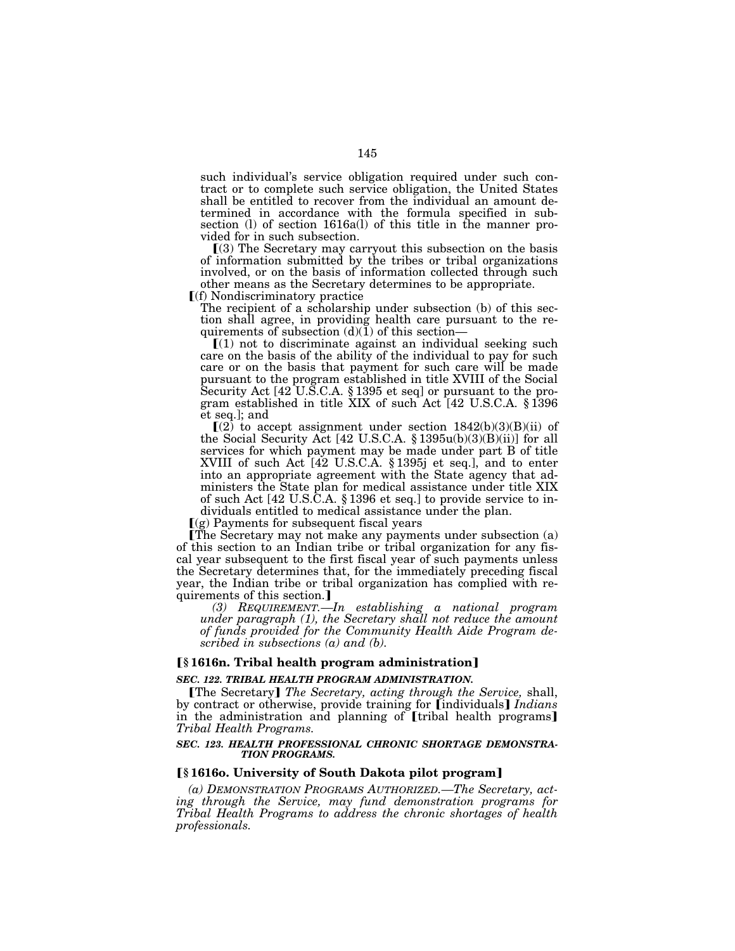such individual's service obligation required under such contract or to complete such service obligation, the United States shall be entitled to recover from the individual an amount determined in accordance with the formula specified in subsection (l) of section 1616a(l) of this title in the manner provided for in such subsection.

 $(3)$  The Secretary may carryout this subsection on the basis of information submitted by the tribes or tribal organizations involved, or on the basis of information collected through such other means as the Secretary determines to be appropriate.

 $\Gamma(f)$  Nondiscriminatory practice

The recipient of a scholarship under subsection (b) of this section shall agree, in providing health care pursuant to the re-

quirements of subsection  $(d)(1)$  of this section—<br> $[(1)$  not to discriminate against an individual seeking such care on the basis of the ability of the individual to pay for such care or on the basis that payment for such care will be made pursuant to the program established in title XVIII of the Social Security Act [42 U.S.C.A. § 1395 et seq] or pursuant to the program established in title XIX of such Act [42 U.S.C.A. § 1396 et seq.]; and

 $(Q)$  to accept assignment under section  $1842(b)(3)(B)(ii)$  of the Social Security Act [42 U.S.C.A. § 1395u(b)(3)(B)(ii)] for all services for which payment may be made under part B of title XVIII of such Act [42 U.S.C.A. § 1395j et seq.], and to enter into an appropriate agreement with the State agency that administers the State plan for medical assistance under title XIX of such Act [42 U.S.C.A. § 1396 et seq.] to provide service to individuals entitled to medical assistance under the plan.

 $\Gamma(g)$  Payments for subsequent fiscal years

øThe Secretary may not make any payments under subsection (a) of this section to an Indian tribe or tribal organization for any fiscal year subsequent to the first fiscal year of such payments unless the Secretary determines that, for the immediately preceding fiscal year, the Indian tribe or tribal organization has complied with requirements of this section.]

*(3) REQUIREMENT.—In establishing a national program under paragraph (1), the Secretary shall not reduce the amount of funds provided for the Community Health Aide Program described in subsections (a) and (b).* 

### ø**§ 1616n. Tribal health program administration**¿

# *SEC. 122. TRIBAL HEALTH PROGRAM ADMINISTRATION.*

øThe Secretary¿ *The Secretary, acting through the Service,* shall, by contract or otherwise, provide training for [individuals] *Indians* in the administration and planning of [tribal health programs] *Tribal Health Programs.* 

#### *SEC. 123. HEALTH PROFESSIONAL CHRONIC SHORTAGE DEMONSTRA-TION PROGRAMS.*

# ø**§ 1616o. University of South Dakota pilot program**¿

*(a) DEMONSTRATION PROGRAMS AUTHORIZED.—The Secretary, acting through the Service, may fund demonstration programs for Tribal Health Programs to address the chronic shortages of health professionals.*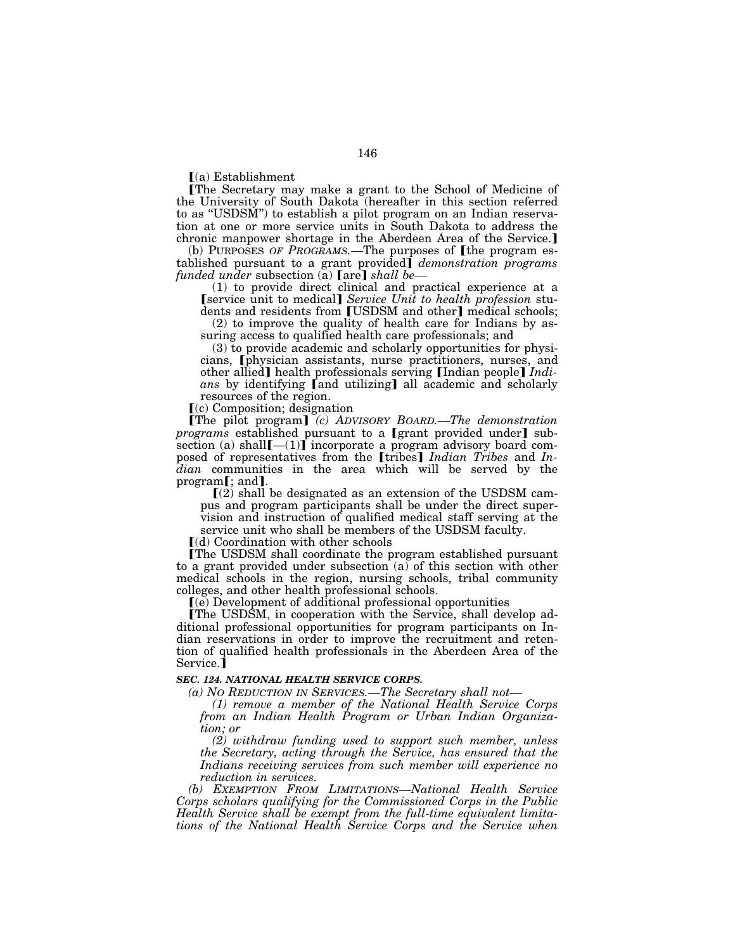$(a)$  Establishment

øThe Secretary may make a grant to the School of Medicine of the University of South Dakota (hereafter in this section referred to as "USDSM") to establish a pilot program on an Indian reservation at one or more service units in South Dakota to address the chronic manpower shortage in the Aberdeen Area of the Service.]

(b) PURPOSES OF PROGRAMS.—The purposes of [the program established pursuant to a grant provided¿ *demonstration programs funded under subsection* (a) **[are]** *shall be*-

(1) to provide direct clinical and practical experience at a **[service unit to medical]** *Service Unit to health profession* students and residents from [USDSM and other] medical schools;

(2) to improve the quality of health care for Indians by assuring access to qualified health care professionals; and

(3) to provide academic and scholarly opportunities for physicians, **[**physician assistants, nurse practitioners, nurses, and other allied] health professionals serving [Indian people] *Indi*ans by identifying [and utilizing] all academic and scholarly resources of the region.

 $(c)$  Composition; designation

øThe pilot program¿ *(c) ADVISORY BOARD.—The demonstration programs* established pursuant to a [grant provided under] subsection (a) shall  $[-(1)]$  incorporate a program advisory board composed of representatives from the [tribes] *Indian Tribes* and *Indian* communities in the area which will be served by the program[; and].

 $(2)$  shall be designated as an extension of the USDSM campus and program participants shall be under the direct supervision and instruction of qualified medical staff serving at the service unit who shall be members of the USDSM faculty.

 $\lceil$ (d) Coordination with other schools

øThe USDSM shall coordinate the program established pursuant to a grant provided under subsection (a) of this section with other medical schools in the region, nursing schools, tribal community colleges, and other health professional schools.

ø(e) Development of additional professional opportunities

øThe USDSM, in cooperation with the Service, shall develop additional professional opportunities for program participants on Indian reservations in order to improve the recruitment and retention of qualified health professionals in the Aberdeen Area of the Service.]

# *SEC. 124. NATIONAL HEALTH SERVICE CORPS.*

*(a) NO REDUCTION IN SERVICES.—The Secretary shall not—*

*(1) remove a member of the National Health Service Corps from an Indian Health Program or Urban Indian Organization; or* 

*(2) withdraw funding used to support such member, unless the Secretary, acting through the Service, has ensured that the Indians receiving services from such member will experience no reduction in services.* 

*(b) EXEMPTION FROM LIMITATIONS—National Health Service Corps scholars qualifying for the Commissioned Corps in the Public Health Service shall be exempt from the full-time equivalent limitations of the National Health Service Corps and the Service when*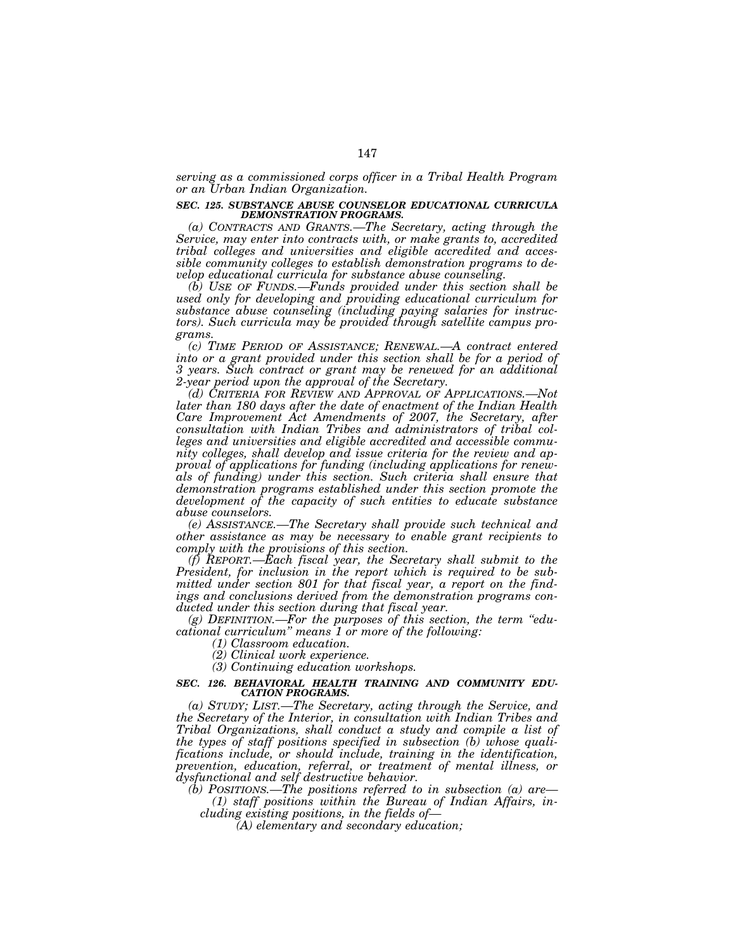*serving as a commissioned corps officer in a Tribal Health Program or an Urban Indian Organization.* 

#### *SEC. 125. SUBSTANCE ABUSE COUNSELOR EDUCATIONAL CURRICULA DEMONSTRATION PROGRAMS.*

*(a) CONTRACTS AND GRANTS.—The Secretary, acting through the Service, may enter into contracts with, or make grants to, accredited tribal colleges and universities and eligible accredited and accessible community colleges to establish demonstration programs to develop educational curricula for substance abuse counseling.* 

*(b) USE OF FUNDS.—Funds provided under this section shall be used only for developing and providing educational curriculum for substance abuse counseling (including paying salaries for instructors). Such curricula may be provided through satellite campus programs.* 

*(c) TIME PERIOD OF ASSISTANCE; RENEWAL.—A contract entered*  into or a grant provided under this section shall be for a period of *3 years. Such contract or grant may be renewed for an additional 2-year period upon the approval of the Secretary.* 

*(d) CRITERIA FOR REVIEW AND APPROVAL OF APPLICATIONS.—Not later than 180 days after the date of enactment of the Indian Health Care Improvement Act Amendments of 2007, the Secretary, after consultation with Indian Tribes and administrators of tribal colleges and universities and eligible accredited and accessible community colleges, shall develop and issue criteria for the review and approval of applications for funding (including applications for renewals of funding) under this section. Such criteria shall ensure that demonstration programs established under this section promote the development of the capacity of such entities to educate substance abuse counselors.* 

*(e) ASSISTANCE.—The Secretary shall provide such technical and other assistance as may be necessary to enable grant recipients to comply with the provisions of this section.* 

*(f) REPORT.—Each fiscal year, the Secretary shall submit to the President, for inclusion in the report which is required to be submitted under section 801 for that fiscal year, a report on the findings and conclusions derived from the demonstration programs conducted under this section during that fiscal year.* 

*(g) DEFINITION.—For the purposes of this section, the term ''educational curriculum'' means 1 or more of the following:* 

*(1) Classroom education.* 

*(2) Clinical work experience.* 

*(3) Continuing education workshops.* 

#### *SEC. 126. BEHAVIORAL HEALTH TRAINING AND COMMUNITY EDU-CATION PROGRAMS.*

*(a) STUDY; LIST.—The Secretary, acting through the Service, and the Secretary of the Interior, in consultation with Indian Tribes and Tribal Organizations, shall conduct a study and compile a list of the types of staff positions specified in subsection (b) whose qualifications include, or should include, training in the identification, prevention, education, referral, or treatment of mental illness, or dysfunctional and self destructive behavior.* 

*(b) POSITIONS.—The positions referred to in subsection (a) are— (1) staff positions within the Bureau of Indian Affairs, in-*

*cluding existing positions, in the fields of—*

*(A) elementary and secondary education;*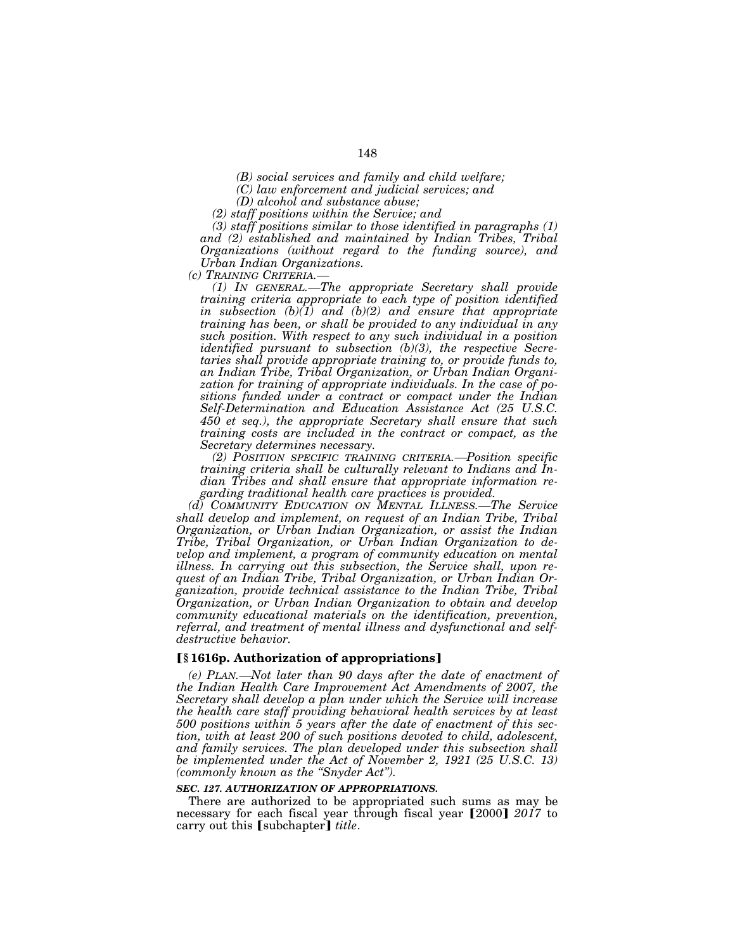*(B) social services and family and child welfare;* 

*(C) law enforcement and judicial services; and* 

*(D) alcohol and substance abuse;* 

*(2) staff positions within the Service; and* 

*(3) staff positions similar to those identified in paragraphs (1) and (2) established and maintained by Indian Tribes, Tribal Organizations (without regard to the funding source), and Urban Indian Organizations.* 

*(c) TRAINING CRITERIA.—*

*(1) IN GENERAL.—The appropriate Secretary shall provide training criteria appropriate to each type of position identified in subsection (b)(1) and (b)(2) and ensure that appropriate training has been, or shall be provided to any individual in any such position. With respect to any such individual in a position identified pursuant to subsection (b)(3), the respective Secretaries shall provide appropriate training to, or provide funds to, an Indian Tribe, Tribal Organization, or Urban Indian Organization for training of appropriate individuals. In the case of positions funded under a contract or compact under the Indian Self-Determination and Education Assistance Act (25 U.S.C. 450 et seq.), the appropriate Secretary shall ensure that such training costs are included in the contract or compact, as the Secretary determines necessary.* 

*(2) POSITION SPECIFIC TRAINING CRITERIA.—Position specific training criteria shall be culturally relevant to Indians and Indian Tribes and shall ensure that appropriate information regarding traditional health care practices is provided.* 

*(d) COMMUNITY EDUCATION ON MENTAL ILLNESS.—The Service shall develop and implement, on request of an Indian Tribe, Tribal Organization, or Urban Indian Organization, or assist the Indian Tribe, Tribal Organization, or Urban Indian Organization to develop and implement, a program of community education on mental illness. In carrying out this subsection, the Service shall, upon request of an Indian Tribe, Tribal Organization, or Urban Indian Organization, provide technical assistance to the Indian Tribe, Tribal Organization, or Urban Indian Organization to obtain and develop community educational materials on the identification, prevention, referral, and treatment of mental illness and dysfunctional and selfdestructive behavior.* 

## ø**§ 1616p. Authorization of appropriations**¿

*(e) PLAN.—Not later than 90 days after the date of enactment of the Indian Health Care Improvement Act Amendments of 2007, the Secretary shall develop a plan under which the Service will increase the health care staff providing behavioral health services by at least 500 positions within 5 years after the date of enactment of this section, with at least 200 of such positions devoted to child, adolescent, and family services. The plan developed under this subsection shall be implemented under the Act of November 2, 1921 (25 U.S.C. 13) (commonly known as the ''Snyder Act'').* 

### *SEC. 127. AUTHORIZATION OF APPROPRIATIONS.*

There are authorized to be appropriated such sums as may be necessary for each fiscal year through fiscal year [2000] 2017 to carry out this [subchapter] *title*.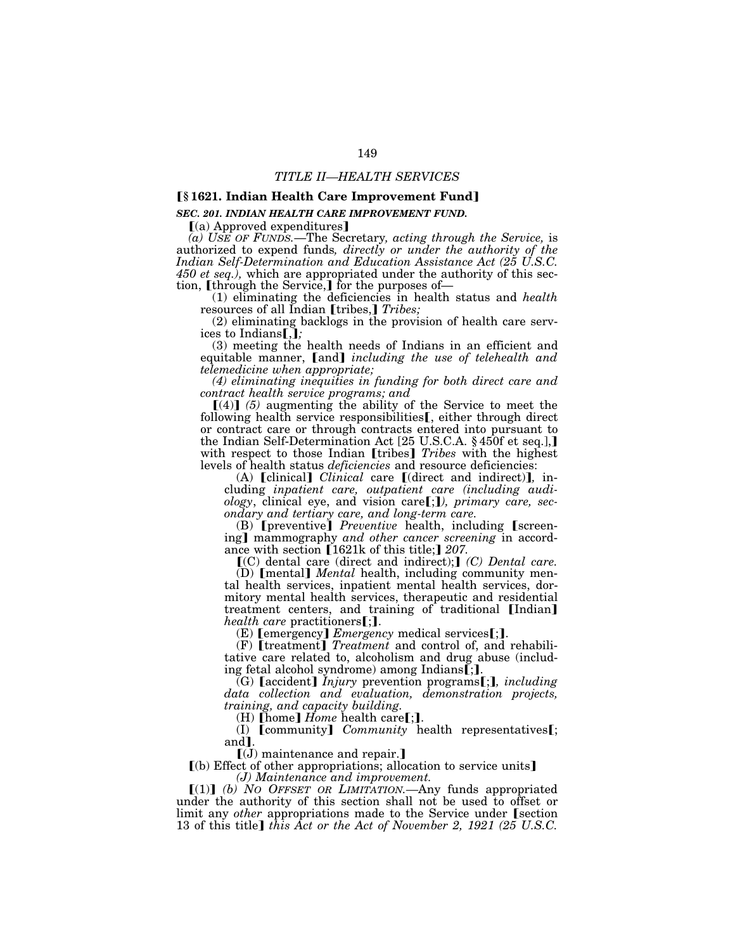# ø**§ 1621. Indian Health Care Improvement Fund**¿

## *SEC. 201. INDIAN HEALTH CARE IMPROVEMENT FUND.*

 $(a)$  Approved expenditures]

*(a) USE OF FUNDS.*—The Secretary*, acting through the Service,* is authorized to expend funds*, directly or under the authority of the Indian Self-Determination and Education Assistance Act (25 U.S.C. 450 et seq.),* which are appropriated under the authority of this section, **[through the Service,]** for the purposes of—

(1) eliminating the deficiencies in health status and *health* resources of all Indian [tribes,] Tribes;

(2) eliminating backlogs in the provision of health care services to Indians[,];

(3) meeting the health needs of Indians in an efficient and equitable manner, [and] *including the use of telehealth and telemedicine when appropriate;* 

*(4) eliminating inequities in funding for both direct care and contract health service programs; and* 

 $[(4)]$  (5) augmenting the ability of the Service to meet the following health service responsibilities  $\mathbf{f}$ , either through direct or contract care or through contracts entered into pursuant to the Indian Self-Determination Act [25 U.S.C.A. § 450f et seq.], with respect to those Indian [tribes] *Tribes* with the highest levels of health status *deficiencies* and resource deficiencies:

(A) [clinical] *Clinical* care [(direct and indirect)], including *inpatient care, outpatient care (including audi-*<br>*ology,* clinical eye, and vision care[;]), primary care, sec-

*ondary and tertiary care, and long-term care.*<br>
(B) [preventive] *Preventive* health, including [screening] mammography *and other cancer screening* in accordance with section [1621k of this title;] 207.

ø(C) dental care (direct and indirect);¿ *(C) Dental care.* 

(D) **[mental]** *Mental* health, including community mental health services, inpatient mental health services, dormitory mental health services, therapeutic and residential treatment centers, and training of traditional [Indian] *health care* practitioners  $[\cdot]$ .

*(E)* [emergency] *Emergency* medical services[;]. (F) [treatment] *Treatment* and control of, and rehabilitative care related to, alcoholism and drug abuse (including fetal alcohol syndrome) among Indians[;].

ing fetal alcohol syndrome) among Indiansø;¿. (G) <sup>ø</sup>accident¿ *Injury* prevention programsø;¿*, including data collection and evaluation, demonstration projects, training, and capacity building.*<br>(H) [home] *Home* health care[;].

(I) **[community]** *Community* health representatives**[**; and].

 $\left[\mathrm{(\mathrm{J})}\right]$  maintenance and repair.

 $(a)$  Effect of other appropriations; allocation to service units *(J) Maintenance and improvement.* 

ø(1)¿ *(b) NO OFFSET OR LIMITATION.—*Any funds appropriated under the authority of this section shall not be used to offset or limit any *other* appropriations made to the Service under Section 13 of this title] *this Act or the Act of November 2, 1921 (25 U.S.C.*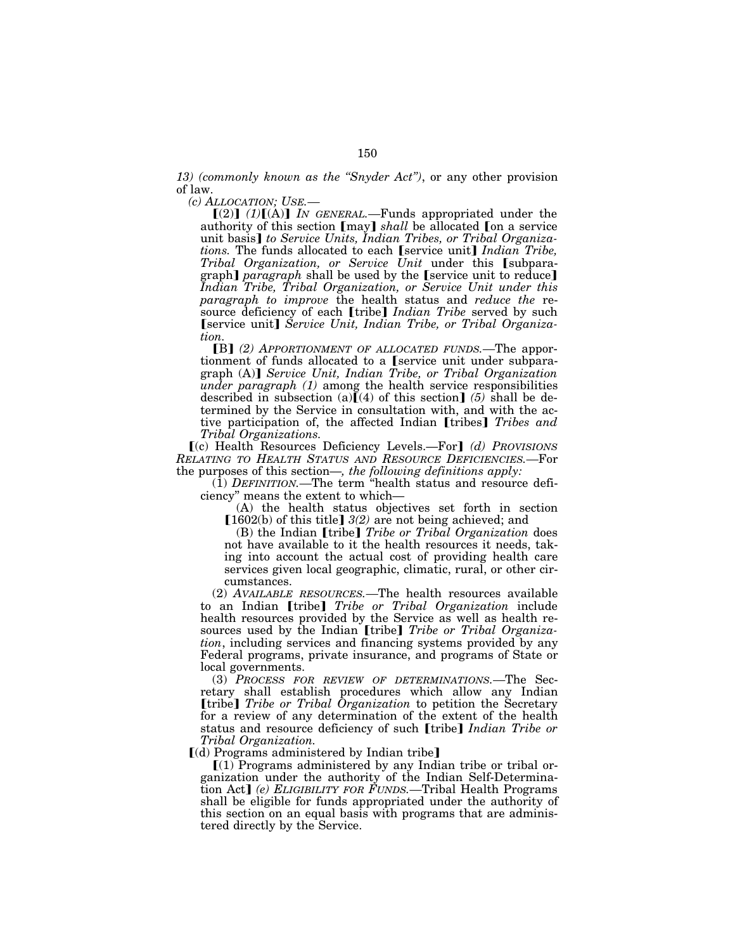*13) (commonly known as the ''Snyder Act'')*, or any other provision of law.

*(c) ALLOCATION; USE.—*

 $[(2)]$   $(1)$  $[(A)]$  *IN GENERAL*.—Funds appropriated under the authority of this section [may] *shall* be allocated [on a service unit basis] to Service Units, Indian Tribes, or Tribal Organiza*tions.* The funds allocated to each [service unit] Indian Tribe, *Tribal Organization, or Service Unit* under this [subparagraph] *paragraph* shall be used by the [service unit to reduce] *Indian Tribe, Tribal Organization, or Service Unit under this paragraph to improve* the health status and *reduce the* resource deficiency of each [tribe] *Indian Tribe* served by such [service unit] Service Unit, Indian Tribe, or Tribal Organiza*tion.* 

[B] (2) APPORTIONMENT OF ALLOCATED FUNDS.—The apportionment of funds allocated to a *[service unit under subpara*graph (A)] *Service Unit, Indian Tribe, or Tribal Organization under paragraph (1)* among the health service responsibilities described in subsection (a) $\tilde{I}(4)$  of this section] (5) shall be determined by the Service in consultation with, and with the active participation of, the affected Indian [tribes] *Tribes and Tribal Organizations.* 

ø(c) Health Resources Deficiency Levels.—For¿ *(d) PROVISIONS RELATING TO HEALTH STATUS AND RESOURCE DEFICIENCIES.—*For the purposes of this section—*, the following definitions apply:* 

(1) *DEFINITION.—*The term ''health status and resource deficiency'' means the extent to which—

(A) the health status objectives set forth in section  $[1602(b)$  of this title]  $3(2)$  are not being achieved; and

(B) the Indian *[tribe] Tribe or Tribal Organization* does not have available to it the health resources it needs, taking into account the actual cost of providing health care services given local geographic, climatic, rural, or other circumstances.

(2) *AVAILABLE RESOURCES.—*The health resources available to an Indian [tribe] *Tribe or Tribal Organization* include health resources provided by the Service as well as health resources used by the Indian [tribe] *Tribe or Tribal Organization*, including services and financing systems provided by any Federal programs, private insurance, and programs of State or local governments.

(3) *PROCESS FOR REVIEW OF DETERMINATIONS.—*The Secretary shall establish procedures which allow any Indian *[tribe] Tribe or Tribal Organization* to petition the Secretary for a review of any determination of the extent of the health status and resource deficiency of such **[tribe**] *Indian Tribe or Tribal Organization.* 

 $(d)$  Programs administered by Indian tribe]

 $(1)$  Programs administered by any Indian tribe or tribal organization under the authority of the Indian Self-Determination Act] *(e) ELIGIBILITY FOR FUNDS*.—Tribal Health Programs shall be eligible for funds appropriated under the authority of this section on an equal basis with programs that are administered directly by the Service.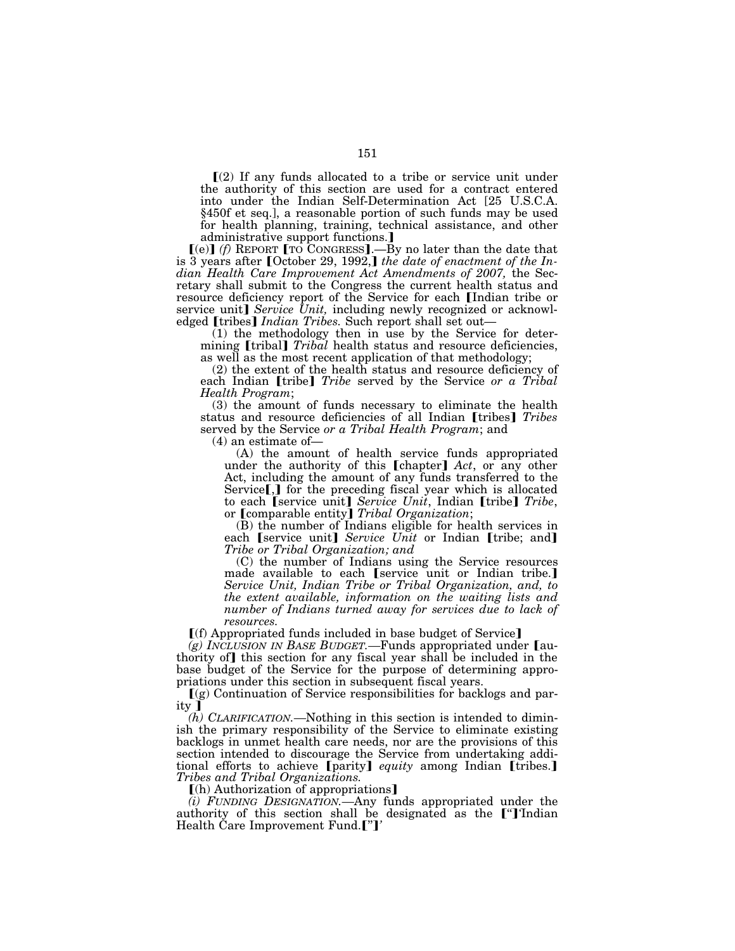$\Gamma(2)$  If any funds allocated to a tribe or service unit under the authority of this section are used for a contract entered into under the Indian Self-Determination Act [25 U.S.C.A. §450f et seq.], a reasonable portion of such funds may be used for health planning, training, technical assistance, and other administrative support functions.]

 $[(e)]$  *(f)* REPORT [TO CONGRESS].—By no later than the date that is 3 years after [October 29, 1992,] the date of enactment of the In*dian Health Care Improvement Act Amendments of 2007,* the Secretary shall submit to the Congress the current health status and resource deficiency report of the Service for each *[Indian tribe or* service unit] Service Unit, including newly recognized or acknowledged *[tribes] Indian Tribes.* Such report shall set out—<br>(1) the methodology then in use by the Service for deter-

mining *[tribal] Tribal* health status and resource deficiencies, as well as the most recent application of that methodology;

(2) the extent of the health status and resource deficiency of each Indian [tribe] *Tribe* served by the Service *or a Tribal Health Program*;

(3) the amount of funds necessary to eliminate the health status and resource deficiencies of all Indian [tribes] *Tribes* served by the Service *or a Tribal Health Program*; and

 $(A)$  the amount of health service funds appropriated under the authority of this **[chapter]** Act, or any other Act, including the amount of any funds transferred to the Service $\left[\int\right]$  for the preceding fiscal year which is allocated to each *[service unit] Service Unit*, Indian *[tribe] Tribe*, or *[comparable entity] Tribal Organization*;

(B) the number of Indians eligible for health services in each [service unit] *Service Unit* or Indian [tribe; and] *Tribe or Tribal Organization; and* 

(C) the number of Indians using the Service resources made available to each *service* unit or Indian tribe. *Service Unit, Indian Tribe or Tribal Organization, and, to the extent available, information on the waiting lists and number of Indians turned away for services due to lack of resources.* 

[(f) Appropriated funds included in base budget of Service]

*(g) INCLUSION IN BASE BUDGET*.—Funds appropriated under [authority of] this section for any fiscal year shall be included in the base budget of the Service for the purpose of determining appropriations under this section in subsequent fiscal years.

 $(q)$  Continuation of Service responsibilities for backlogs and parity ]

*(h) CLARIFICATION.—*Nothing in this section is intended to diminish the primary responsibility of the Service to eliminate existing backlogs in unmet health care needs, nor are the provisions of this section intended to discourage the Service from undertaking additional efforts to achieve [parity] *equity* among Indian [tribes.] *Tribes and Tribal Organizations.* 

 $(n)$  Authorization of appropriations]

*(i) FUNDING DESIGNATION.—*Any funds appropriated under the authority of this section shall be designated as the <sup>"</sup>['Indian' Health Care Improvement Fund.<sup>["]</sup><sup>'</sup>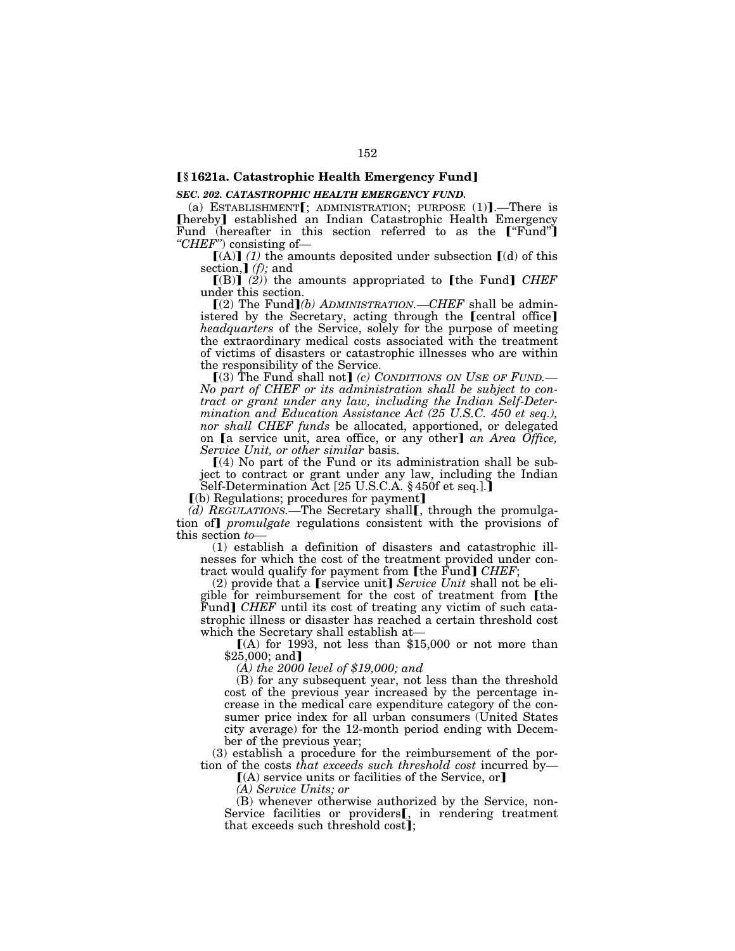# ø**§ 1621a. Catastrophic Health Emergency Fund**¿

### *SEC. 202. CATASTROPHIC HEALTH EMERGENCY FUND.*

(a) ESTABLISHMENT $[$ ; ADMINISTRATION; PURPOSE  $(1)$ ].—There is [hereby] established an Indian Catastrophic Health Emergency Fund (hereafter in this section referred to as the ["Fund"] *''CHEF''*) consisting of—

 $\left[ (A) \right]$  (1) the amounts deposited under subsection  $\left[ (d) \right]$  of this section,  $\int$  *(f)*; and

 $[(B)]$   $(2)$  the amounts appropriated to [the Fund] *CHEF* under this section.

 $[(2)$  The Fund]*(b) ADMINISTRATION.—CHEF* shall be administered by the Secretary, acting through the [central office] *headquarters* of the Service, solely for the purpose of meeting the extraordinary medical costs associated with the treatment of victims of disasters or catastrophic illnesses who are within the responsibility of the Service.

[(3) The Fund shall not] *(c) CONDITIONS ON USE OF FUND*.— *No part of CHEF or its administration shall be subject to contract or grant under any law, including the Indian Self-Determination and Education Assistance Act (25 U.S.C. 450 et seq.), nor shall CHEF funds* be allocated, apportioned, or delegated on **[a** service unit, area office, or any other] an Area Office, *Service Unit, or other similar* basis.

 $(4)$  No part of the Fund or its administration shall be subject to contract or grant under any law, including the Indian Self-Determination Act [25 U.S.C.A. § 450f et seq.].]

 $(6)$  Regulations; procedures for payment]

*(d) REGULATIONS.*—The Secretary shall [, through the promulgation of *promulgate* regulations consistent with the provisions of this section *to*—

(1) establish a definition of disasters and catastrophic illnesses for which the cost of the treatment provided under contract would qualify for payment from [the Fund] *CHEF*;

(2) provide that a [service unit] *Service Unit* shall not be eligible for reimbursement for the cost of treatment from [the Fund] *CHEF* until its cost of treating any victim of such catastrophic illness or disaster has reached a certain threshold cost which the Secretary shall establish at—

 $(A)$  for 1993, not less than \$15,000 or not more than  $$25,000;$  and]

*(A) the 2000 level of \$19,000; and* 

(B) for any subsequent year, not less than the threshold cost of the previous year increased by the percentage increase in the medical care expenditure category of the consumer price index for all urban consumers (United States city average) for the 12-month period ending with December of the previous year;

(3) establish a procedure for the reimbursement of the portion of the costs *that exceeds such threshold cost* incurred by—

 $(A)$  service units or facilities of the Service, or

*(A) Service Units; or* 

(B) whenever otherwise authorized by the Service, non-Service facilities or providers<sup>[, in rendering treatment</sup> that exceeds such threshold cost];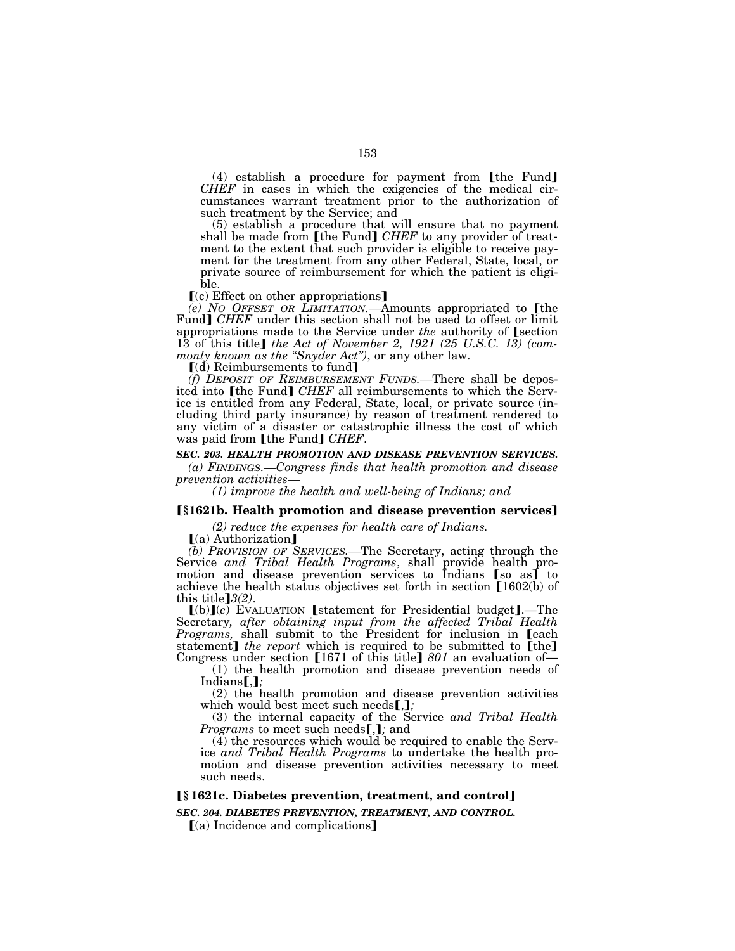$(4)$  establish a procedure for payment from [the Fund] *CHEF* in cases in which the exigencies of the medical circumstances warrant treatment prior to the authorization of such treatment by the Service; and

(5) establish a procedure that will ensure that no payment shall be made from [the Fund] *CHEF* to any provider of treatment to the extent that such provider is eligible to receive payment for the treatment from any other Federal, State, local, or private source of reimbursement for which the patient is eligible.

 $(c)$  Effect on other appropriations]

*(e) NO OFFSET OR LIMITATION.*—Amounts appropriated to [the Fund] *CHEF* under this section shall not be used to offset or limit appropriations made to the Service under *the* authority of **section** 13 of this title] the Act of November 2, 1921 (25 U.S.C. 13) (com*monly known as the ''Snyder Act'')*, or any other law.

 $(d)$  Reimbursements to fund]

*(f) DEPOSIT OF REIMBURSEMENT FUNDS.—*There shall be deposited into **[the Fund]** *CHEF* all reimbursements to which the Service is entitled from any Federal, State, local, or private source (including third party insurance) by reason of treatment rendered to any victim of a disaster or catastrophic illness the cost of which was paid from [the Fund] *CHEF*.

# *SEC. 203. HEALTH PROMOTION AND DISEASE PREVENTION SERVICES.*

*(a) FINDINGS.—Congress finds that health promotion and disease prevention activities— (1) improve the health and well-being of Indians; and* 

### **[§1621b. Health promotion and disease prevention services]**

*(2) reduce the expenses for health care of Indians.* 

[(a) Authorization]

*(b) PROVISION OF SERVICES.—*The Secretary, acting through the Service and Tribal Health Programs, shall provide health promotion and disease prevention services to Indians  $[s_0 \text{ as } j]$  to achieve the health status objectives set forth in section  $[1602(b)$  of this title  $[3(2)$ .

 $\chi$ <sup>2</sup>(b) $\chi$ <sup>2</sup> $\chi$ <sup>2</sup>. EVALUATION **[statement for Presidential budget**].—The Secretary*, after obtaining input from the affected Tribal Health Programs*, shall submit to the President for inclusion in [each statement] *the report* which is required to be submitted to [the] Congress under section [1671 of this title] 801 an evaluation of—

(1) the health promotion and disease prevention needs of  $Indians$ *,*  $\}$ 

(2) the health promotion and disease prevention activities which would best meet such needs[,];

(3) the internal capacity of the Service *and Tribal Health Programs* to meet such needs[,]; and

 $(\overline{4})$  the resources which would be required to enable the Service *and Tribal Health Programs* to undertake the health promotion and disease prevention activities necessary to meet such needs.

# ø**§ 1621c. Diabetes prevention, treatment, and control**¿

*SEC. 204. DIABETES PREVENTION, TREATMENT, AND CONTROL.* 

 $(a)$  Incidence and complications]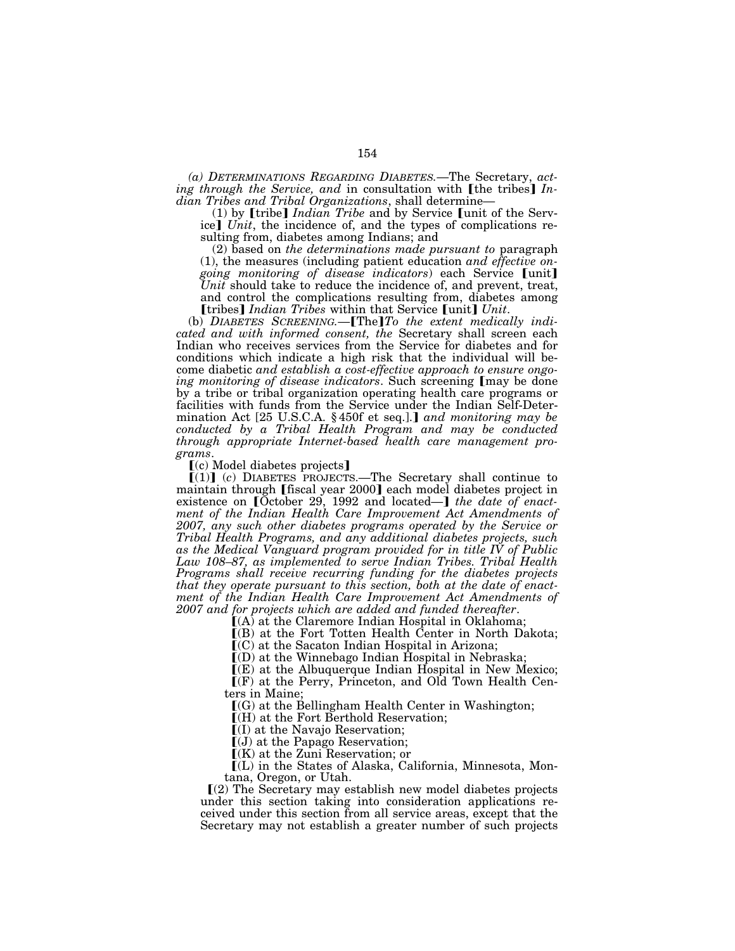*(a) DETERMINATIONS REGARDING DIABETES.*—The Secretary, *acting through the Service, and in consultation with [the tribes] Indian Tribes and Tribal Organizations*, shall determine—<br>(1) by [tribe] *Indian Tribe* and by Service [unit of the Serv-

(1) by **[tribe]** *Indian Tribe* and by Service **[unit** of the Service**]** *Unit*, the incidence of, and the types of complications resulting from, diabetes among Indians; and

(2) based on *the determinations made pursuant to* paragraph (1), the measures (including patient education *and effective on*going monitoring of disease indicators) each Service [unit] *Unit* should take to reduce the incidence of, and prevent, treat, and control the complications resulting from, diabetes among [tribes]  $Indian$  Tribes within that Service [unit]  $Unit$ .

(b) DIABETES SCREENING.—**[The]** To the extent medically indi*cated and with informed consent, the* Secretary shall screen each Indian who receives services from the Service for diabetes and for conditions which indicate a high risk that the individual will become diabetic *and establish a cost-effective approach to ensure ongoing monitoring of disease indicators*. Such screening [may be done by a tribe or tribal organization operating health care programs or facilities with funds from the Service under the Indian Self-Determination Act [25 U.S.C.A. § 450f et seq.].] and monitoring may be *conducted by a Tribal Health Program and may be conducted through appropriate Internet-based health care management programs*.

 $(c)$  Model diabetes projects]

 $[(1)]$  (c) DIABETES PROJECTS.—The Secretary shall continue to maintain through [fiscal year 2000] each model diabetes project in existence on [October 29, 1992 and located—] the date of enact*ment of the Indian Health Care Improvement Act Amendments of 2007, any such other diabetes programs operated by the Service or Tribal Health Programs, and any additional diabetes projects, such as the Medical Vanguard program provided for in title IV of Public Law 108–87, as implemented to serve Indian Tribes. Tribal Health Programs shall receive recurring funding for the diabetes projects that they operate pursuant to this section, both at the date of enactment of the Indian Health Care Improvement Act Amendments of 2007 and for projects which are added and funded thereafter*.

 $I(A)$  at the Claremore Indian Hospital in Oklahoma;

 $($ B) at the Fort Totten Health Center in North Dakota;

 $\tilde{C}(C)$  at the Sacaton Indian Hospital in Arizona;

 $I(D)$  at the Winnebago Indian Hospital in Nebraska;

 $\mathbb{I}(E)$  at the Albuquerque Indian Hospital in New Mexico;  $\mathsf{F}(\mathsf{F})$  at the Perry, Princeton, and Old Town Health Centers in Maine;

 $[(G)$  at the Bellingham Health Center in Washington;

 $(M)$  at the Fort Berthold Reservation;

ø(I) at the Navajo Reservation;

 $\left[$ (J) at the Papago Reservation;

 $K(K)$  at the Zuni Reservation; or

ø(L) in the States of Alaska, California, Minnesota, Montana, Oregon, or Utah.

ø(2) The Secretary may establish new model diabetes projects under this section taking into consideration applications received under this section from all service areas, except that the Secretary may not establish a greater number of such projects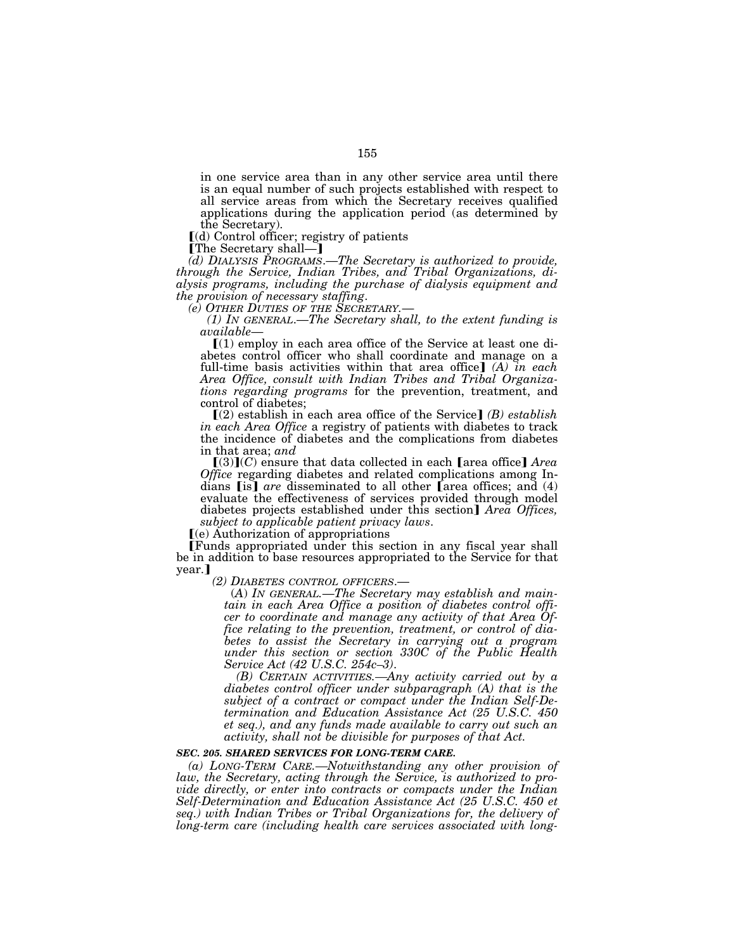in one service area than in any other service area until there is an equal number of such projects established with respect to all service areas from which the Secretary receives qualified applications during the application period (as determined by the Secretary).

 $\lbrack d \rbrack$  Control officer; registry of patients

[The Secretary shall—]

*(d) DIALYSIS PROGRAMS*.—*The Secretary is authorized to provide, through the Service, Indian Tribes, and Tribal Organizations, dialysis programs, including the purchase of dialysis equipment and* 

*the provision of necessary staffing*. *(e) OTHER DUTIES OF THE SECRETARY.*— *(1) IN GENERAL*.—*The Secretary shall, to the extent funding is available*—<br> **[(1) employ in each area office of the Service at least one di-**

abetes control officer who shall coordinate and manage on a full-time basis activities within that area office]  $(A)$  in each *Area Office, consult with Indian Tribes and Tribal Organizations regarding programs* for the prevention, treatment, and control of diabetes;

 $\Gamma(2)$  establish in each area office of the Service  $\Gamma(B)$  *establish in each Area Office* a registry of patients with diabetes to track the incidence of diabetes and the complications from diabetes in that area; *and* 

 $[(3)](C)$  ensure that data collected in each [area office] *Area Office* regarding diabetes and related complications among Indians **[is]** *are* disseminated to all other **[area offices**; and (4) evaluate the effectiveness of services provided through model diabetes projects established under this section<sup>1</sup> *Area Offices, subject to applicable patient privacy laws.*  $[(e)$  Authorization of appropriations

øFunds appropriated under this section in any fiscal year shall be in addition to base resources appropriated to the Service for that year.]<br>(2) DIABETES CONTROL OFFICERS.—

(A) IN GENERAL.—The Secretary may establish and main*tain in each Area Office a position of diabetes control officer to coordinate and manage any activity of that Area Office relating to the prevention, treatment, or control of diabetes to assist the Secretary in carrying out a program under this section or section 330C of the Public Health Service Act (42 U.S.C. 254c–3)*.

*(B) CERTAIN ACTIVITIES.—Any activity carried out by a diabetes control officer under subparagraph (A) that is the subject of a contract or compact under the Indian Self-Determination and Education Assistance Act (25 U.S.C. 450 et seq.), and any funds made available to carry out such an activity, shall not be divisible for purposes of that Act.* 

# *SEC. 205. SHARED SERVICES FOR LONG-TERM CARE.*

*(a) LONG-TERM CARE.—Notwithstanding any other provision of law, the Secretary, acting through the Service, is authorized to provide directly, or enter into contracts or compacts under the Indian Self-Determination and Education Assistance Act (25 U.S.C. 450 et seq.) with Indian Tribes or Tribal Organizations for, the delivery of long-term care (including health care services associated with long-*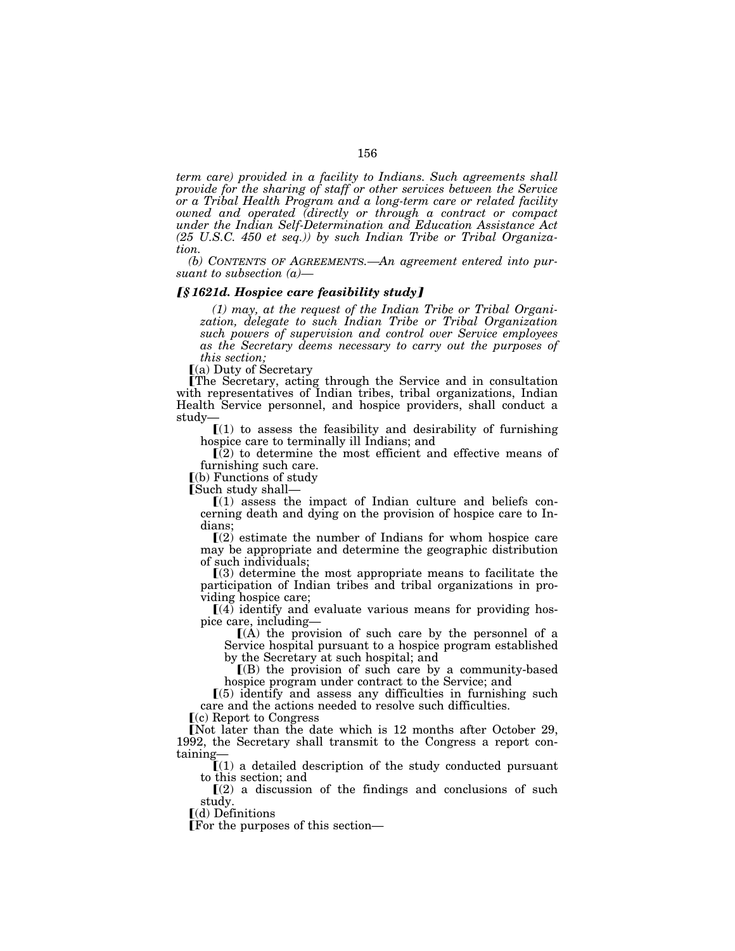*term care) provided in a facility to Indians. Such agreements shall provide for the sharing of staff or other services between the Service or a Tribal Health Program and a long-term care or related facility owned and operated (directly or through a contract or compact under the Indian Self-Determination and Education Assistance Act (25 U.S.C. 450 et seq.)) by such Indian Tribe or Tribal Organization.* 

*(b) CONTENTS OF AGREEMENTS.—An agreement entered into pursuant to subsection (a)—*

### ƒ*§ 1621d. Hospice care feasibility study*≈

*(1) may, at the request of the Indian Tribe or Tribal Organization, delegate to such Indian Tribe or Tribal Organization such powers of supervision and control over Service employees as the Secretary deems necessary to carry out the purposes of this section;* 

 $(a)$  Duty of Secretary

øThe Secretary, acting through the Service and in consultation with representatives of Indian tribes, tribal organizations, Indian Health Service personnel, and hospice providers, shall conduct a study—

 $(1)$  to assess the feasibility and desirability of furnishing hospice care to terminally ill Indians; and

 $\overline{[}(2)$  to determine the most efficient and effective means of furnishing such care.

 $[6]$  Functions of study<br>Such study shall—

 $[(1)$  assess the impact of Indian culture and beliefs concerning death and dying on the provision of hospice care to Indians;

 $\Gamma(2)$  estimate the number of Indians for whom hospice care may be appropriate and determine the geographic distribution of such individuals;

 $\Gamma(3)$  determine the most appropriate means to facilitate the participation of Indian tribes and tribal organizations in providing hospice care;

 $\left[4\right]$  identify and evaluate various means for providing hospice care, including—

 $(A)$  the provision of such care by the personnel of a Service hospital pursuant to a hospice program established by the Secretary at such hospital; and

 $[(B)$  the provision of such care by a community-based hospice program under contract to the Service; and

 $(5)$  identify and assess any difficulties in furnishing such care and the actions needed to resolve such difficulties.

 $(c)$  Report to Congress

ENot later than the date which is 12 months after October 29, 1992, the Secretary shall transmit to the Congress a report containing—

 $I(1)$  a detailed description of the study conducted pursuant to this section; and

 $\Gamma(2)$  a discussion of the findings and conclusions of such study.

 $\lceil$ (d) Definitions

øFor the purposes of this section—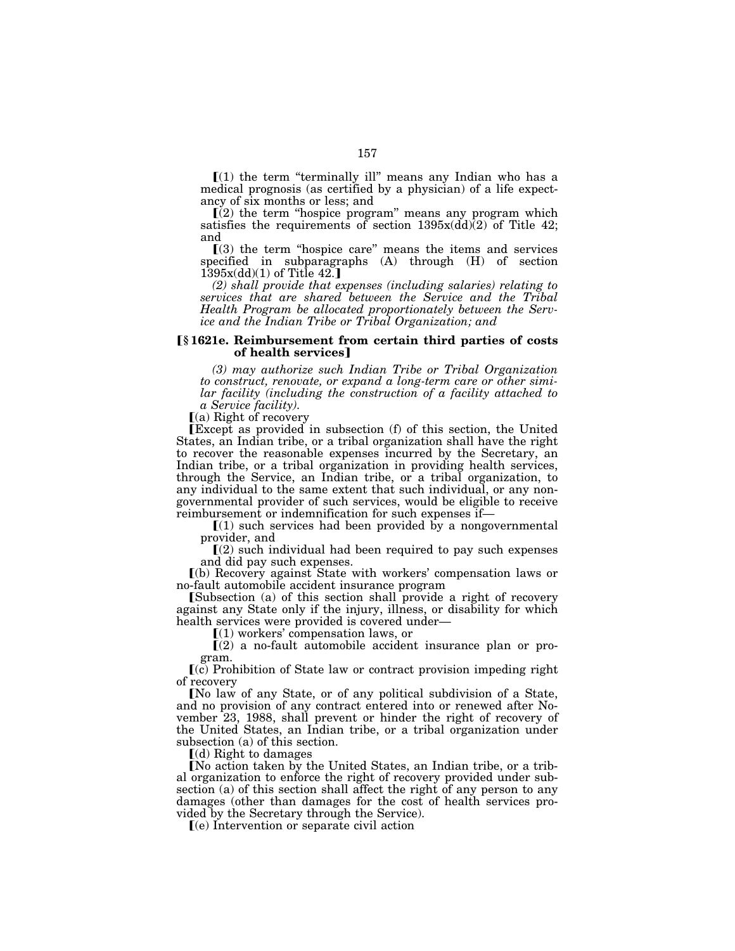$\lceil (1)$  the term "terminally ill" means any Indian who has a medical prognosis (as certified by a physician) of a life expectancy of six months or less; and

 $(i)$  the term "hospice program" means any program which satisfies the requirements of section  $1395x(\text{dd})(2)$  of Title 42; and

 $(3)$  the term "hospice care" means the items and services specified in subparagraphs (A) through (H) of section  $1\overline{3}95x\left(\frac{dd}{1}\right)$  of Title  $42.$ 

*(2) shall provide that expenses (including salaries) relating to services that are shared between the Service and the Tribal Health Program be allocated proportionately between the Service and the Indian Tribe or Tribal Organization; and* 

#### ø**§ 1621e. Reimbursement from certain third parties of costs of health services**

*(3) may authorize such Indian Tribe or Tribal Organization to construct, renovate, or expand a long-term care or other similar facility (including the construction of a facility attached to a Service facility).* 

 $(a)$  Right of recovery

øExcept as provided in subsection (f) of this section, the United States, an Indian tribe, or a tribal organization shall have the right to recover the reasonable expenses incurred by the Secretary, an Indian tribe, or a tribal organization in providing health services, through the Service, an Indian tribe, or a tribal organization, to any individual to the same extent that such individual, or any nongovernmental provider of such services, would be eligible to receive

 $\Gamma(1)$  such services had been provided by a nongovernmental provider, and

 $(2)$  such individual had been required to pay such expenses and did pay such expenses.

ø(b) Recovery against State with workers' compensation laws or no-fault automobile accident insurance program

**[Subsection** (a) of this section shall provide a right of recovery against any State only if the injury, illness, or disability for which health services were provided is covered under—

 $(1)$  workers' compensation laws, or

 $(2)$  a no-fault automobile accident insurance plan or program.

 $(c)$  Prohibition of State law or contract provision impeding right of recovery

[No law of any State, or of any political subdivision of a State, and no provision of any contract entered into or renewed after November 23, 1988, shall prevent or hinder the right of recovery of the United States, an Indian tribe, or a tribal organization under subsection (a) of this section.

 $(d)$  Right to damages

[No action taken by the United States, an Indian tribe, or a tribal organization to enforce the right of recovery provided under subsection (a) of this section shall affect the right of any person to any damages (other than damages for the cost of health services provided by the Secretary through the Service).

 $(e)$  Intervention or separate civil action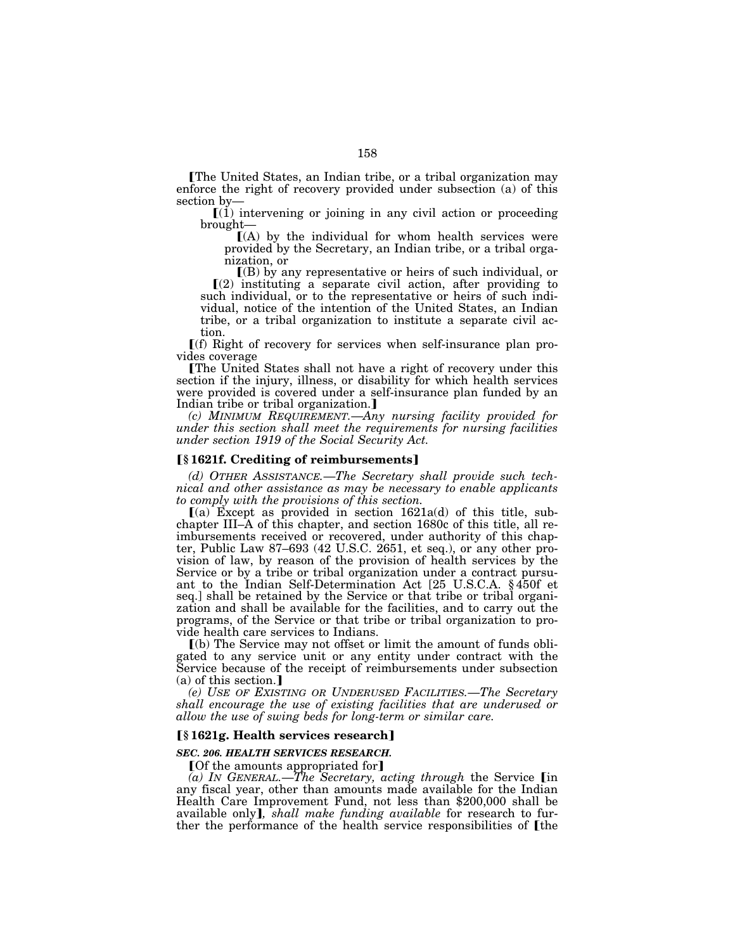The United States, an Indian tribe, or a tribal organization may enforce the right of recovery provided under subsection (a) of this section by—<br> $[(1)$  intervening or joining in any civil action or proceeding

brought—

 $(A)$  by the individual for whom health services were provided by the Secretary, an Indian tribe, or a tribal organization, or

ø(B) by any representative or heirs of such individual, or  $(2)$  instituting a separate civil action, after providing to such individual, or to the representative or heirs of such individual, notice of the intention of the United States, an Indian tribe, or a tribal organization to institute a separate civil action.

 $f(f)$  Right of recovery for services when self-insurance plan provides coverage

øThe United States shall not have a right of recovery under this section if the injury, illness, or disability for which health services were provided is covered under a self-insurance plan funded by an Indian tribe or tribal organization.

*(c) MINIMUM REQUIREMENT.*—*Any nursing facility provided for under this section shall meet the requirements for nursing facilities under section 1919 of the Social Security Act.* 

# ø**§ 1621f. Crediting of reimbursements**¿

*(d) OTHER ASSISTANCE.*—*The Secretary shall provide such technical and other assistance as may be necessary to enable applicants to comply with the provisions of this section.* 

 $(a)$  Except as provided in section 1621a(d) of this title, subchapter III–A of this chapter, and section 1680c of this title, all reimbursements received or recovered, under authority of this chapter, Public Law 87–693 (42 U.S.C. 2651, et seq.), or any other provision of law, by reason of the provision of health services by the Service or by a tribe or tribal organization under a contract pursuant to the Indian Self-Determination Act [25 U.S.C.A. § 450f et seq.] shall be retained by the Service or that tribe or tribal organization and shall be available for the facilities, and to carry out the programs, of the Service or that tribe or tribal organization to provide health care services to Indians.

ø(b) The Service may not offset or limit the amount of funds obligated to any service unit or any entity under contract with the Service because of the receipt of reimbursements under subsection  $(a)$  of this section.]

*(e) USE OF EXISTING OR UNDERUSED FACILITIES.*—*The Secretary shall encourage the use of existing facilities that are underused or allow the use of swing beds for long-term or similar care.* 

# ø**§ 1621g. Health services research**¿

# *SEC. 206. HEALTH SERVICES RESEARCH.*

[Of the amounts appropriated for]

(a) IN GENERAL.—*The Secretary, acting through* the Service [in any fiscal year, other than amounts made available for the Indian Health Care Improvement Fund, not less than \$200,000 shall be available only, *shall make funding available* for research to further the performance of the health service responsibilities of [the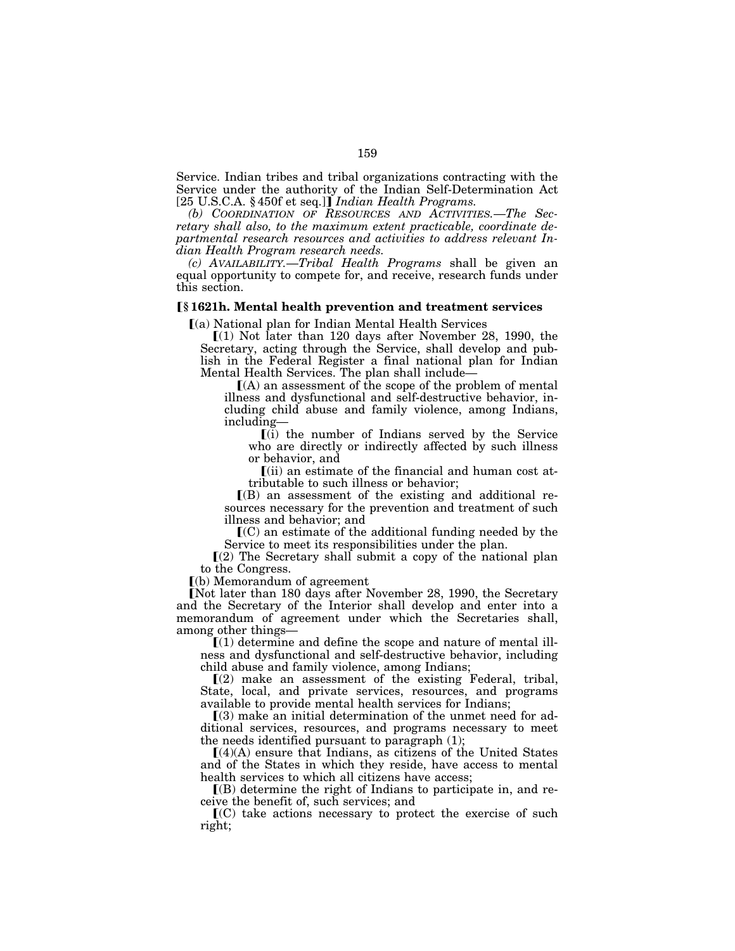Service. Indian tribes and tribal organizations contracting with the Service under the authority of the Indian Self-Determination Act [25 U.S.C.A. § 450f et seq.]] *Indian Health Programs.* 

*(b) COORDINATION OF RESOURCES AND ACTIVITIES.*—*The Secretary shall also, to the maximum extent practicable, coordinate departmental research resources and activities to address relevant Indian Health Program research needs.* 

*(c) AVAILABILITY.*—*Tribal Health Programs* shall be given an equal opportunity to compete for, and receive, research funds under this section.

#### ø**§ 1621h. Mental health prevention and treatment services**

 $(a)$  National plan for Indian Mental Health Services

 $(1)$  Not later than 120 days after November 28, 1990, the Secretary, acting through the Service, shall develop and publish in the Federal Register a final national plan for Indian Mental Health Services. The plan shall include— $[(A)$  an assessment of the scope of the problem of mental

illness and dysfunctional and self-destructive behavior, including child abuse and family violence, among Indians, including—

 $\left[ \left( \overline{\mathbf{i}} \right) \right]$  the number of Indians served by the Service who are directly or indirectly affected by such illness or behavior, and

 $\lceil$ (ii) an estimate of the financial and human cost attributable to such illness or behavior;

 $I(B)$  an assessment of the existing and additional resources necessary for the prevention and treatment of such illness and behavior; and

 $\mathbf{C}(C)$  an estimate of the additional funding needed by the Service to meet its responsibilities under the plan.

 $(2)$  The Secretary shall submit a copy of the national plan to the Congress.

ø(b) Memorandum of agreement

[Not later than 180 days after November 28, 1990, the Secretary and the Secretary of the Interior shall develop and enter into a memorandum of agreement under which the Secretaries shall, among other things—

 $\lceil$ (1) determine and define the scope and nature of mental illness and dysfunctional and self-destructive behavior, including child abuse and family violence, among Indians;

 $(2)$  make an assessment of the existing Federal, tribal, State, local, and private services, resources, and programs available to provide mental health services for Indians;

 $(3)$  make an initial determination of the unmet need for additional services, resources, and programs necessary to meet the needs identified pursuant to paragraph (1);

 $[(4)(A)$  ensure that Indians, as citizens of the United States and of the States in which they reside, have access to mental health services to which all citizens have access;

 $\Gamma(B)$  determine the right of Indians to participate in, and receive the benefit of, such services; and

 $\mathcal{I}(C)$  take actions necessary to protect the exercise of such right;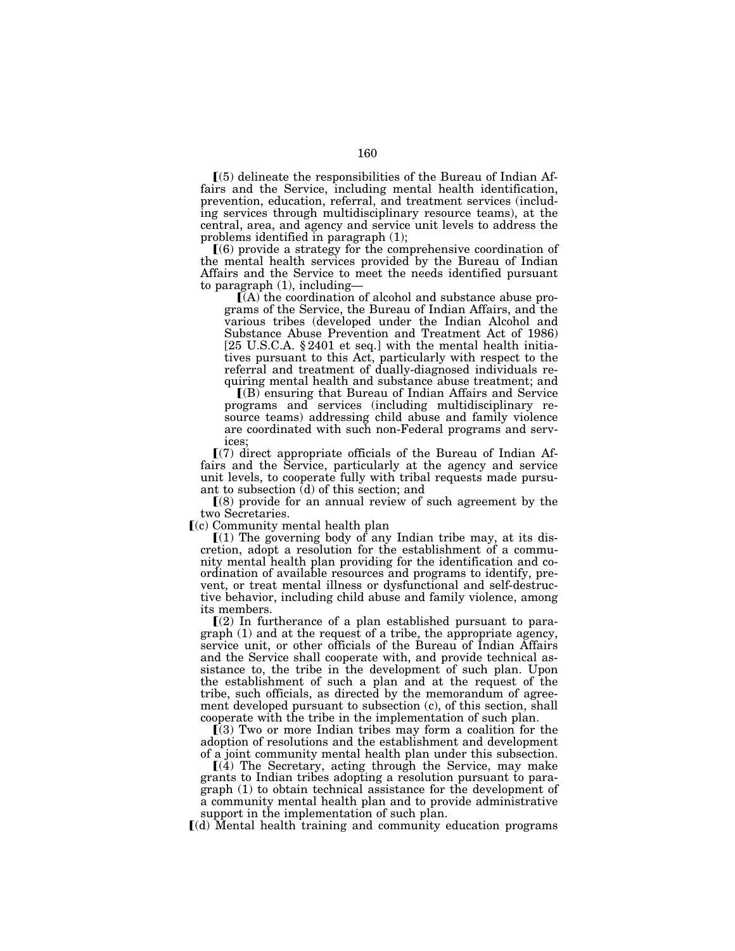$(5)$  delineate the responsibilities of the Bureau of Indian Affairs and the Service, including mental health identification, prevention, education, referral, and treatment services (including services through multidisciplinary resource teams), at the central, area, and agency and service unit levels to address the problems identified in paragraph (1);

 $(6)$  provide a strategy for the comprehensive coordination of the mental health services provided by the Bureau of Indian Affairs and the Service to meet the needs identified pursuant to paragraph  $(1)$ , including—

 $I(A)$  the coordination of alcohol and substance abuse programs of the Service, the Bureau of Indian Affairs, and the various tribes (developed under the Indian Alcohol and Substance Abuse Prevention and Treatment Act of 1986) [25 U.S.C.A. § 2401 et seq.] with the mental health initiatives pursuant to this Act, particularly with respect to the referral and treatment of dually-diagnosed individuals requiring mental health and substance abuse treatment; and

ø(B) ensuring that Bureau of Indian Affairs and Service programs and services (including multidisciplinary resource teams) addressing child abuse and family violence are coordinated with such non-Federal programs and services;

 $(7)$  direct appropriate officials of the Bureau of Indian Affairs and the Service, particularly at the agency and service unit levels, to cooperate fully with tribal requests made pursuant to subsection  $(d)$  of this section; and

 $(8)$  provide for an annual review of such agreement by the two Secretaries.

 $(c)$  Community mental health plan

 $(1)$  The governing body of any Indian tribe may, at its discretion, adopt a resolution for the establishment of a community mental health plan providing for the identification and coordination of available resources and programs to identify, prevent, or treat mental illness or dysfunctional and self-destructive behavior, including child abuse and family violence, among its members.

 $(2)$  In furtherance of a plan established pursuant to paragraph (1) and at the request of a tribe, the appropriate agency, service unit, or other officials of the Bureau of Indian Affairs and the Service shall cooperate with, and provide technical assistance to, the tribe in the development of such plan. Upon the establishment of such a plan and at the request of the tribe, such officials, as directed by the memorandum of agreement developed pursuant to subsection (c), of this section, shall cooperate with the tribe in the implementation of such plan.

 $(3)$  Two or more Indian tribes may form a coalition for the adoption of resolutions and the establishment and development of a joint community mental health plan under this subsection.

 $(a)$  The Secretary, acting through the Service, may make grants to Indian tribes adopting a resolution pursuant to paragraph (1) to obtain technical assistance for the development of a community mental health plan and to provide administrative support in the implementation of such plan.

ø(d) Mental health training and community education programs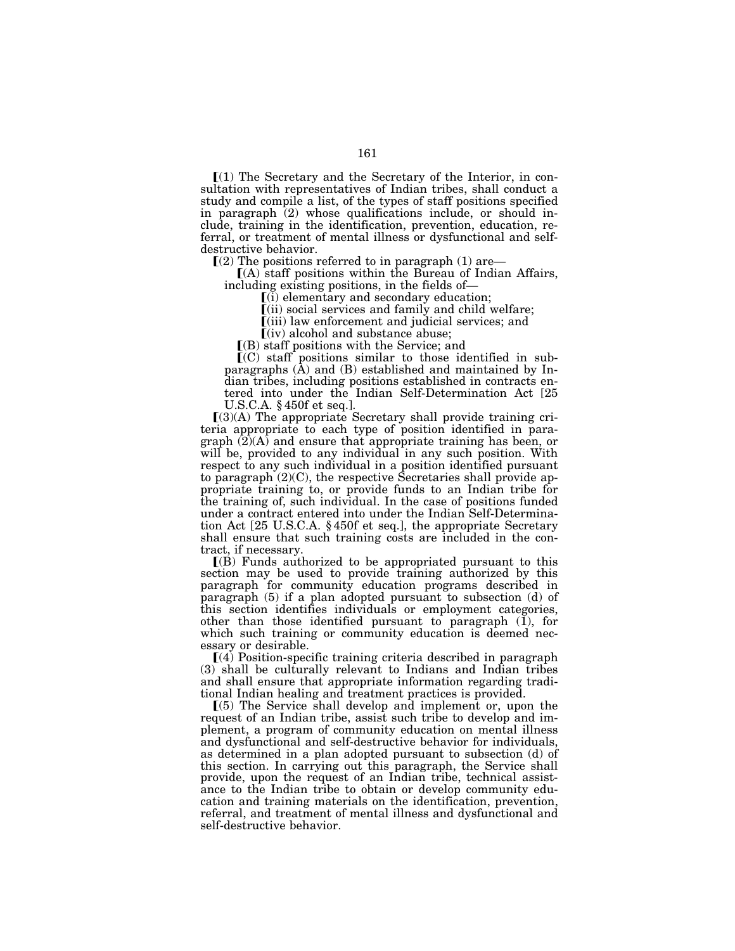$\Gamma(1)$  The Secretary and the Secretary of the Interior, in consultation with representatives of Indian tribes, shall conduct a study and compile a list, of the types of staff positions specified in paragraph  $(2)$  whose qualifications include, or should include, training in the identification, prevention, education, referral, or treatment of mental illness or dysfunctional and selfdestructive behavior.

 $(2)$  The positions referred to in paragraph (1) are—<br> $(4)$  staff positions within the Bureau of Indian Affairs, including existing positions, in the fields of— $[(i)$  elementary and secondary education;

ø(ii) social services and family and child welfare;

ø(iii) law enforcement and judicial services; and

 $\left[$ (iv) alcohol and substance abuse;

 $\Gamma(B)$  staff positions with the Service; and

 $\mathbf{C}(C)$  staff positions similar to those identified in subparagraphs (A) and (B) established and maintained by Indian tribes, including positions established in contracts entered into under the Indian Self-Determination Act [25 U.S.C.A. § 450f et seq.].

 $[(3)(A)$  The appropriate Secretary shall provide training criteria appropriate to each type of position identified in paragraph  $(2)$ (A) and ensure that appropriate training has been, or will be, provided to any individual in any such position. With respect to any such individual in a position identified pursuant to paragraph (2)(C), the respective Secretaries shall provide appropriate training to, or provide funds to an Indian tribe for the training of, such individual. In the case of positions funded under a contract entered into under the Indian Self-Determination Act [25 U.S.C.A. § 450f et seq.], the appropriate Secretary shall ensure that such training costs are included in the contract, if necessary.

 $($ B) Funds authorized to be appropriated pursuant to this section may be used to provide training authorized by this paragraph for community education programs described in paragraph (5) if a plan adopted pursuant to subsection (d) of this section identifies individuals or employment categories, other than those identified pursuant to paragraph (1), for which such training or community education is deemed necessary or desirable.

ø(4) Position-specific training criteria described in paragraph (3) shall be culturally relevant to Indians and Indian tribes and shall ensure that appropriate information regarding traditional Indian healing and treatment practices is provided.

 $(5)$  The Service shall develop and implement or, upon the request of an Indian tribe, assist such tribe to develop and implement, a program of community education on mental illness and dysfunctional and self-destructive behavior for individuals, as determined in a plan adopted pursuant to subsection (d) of this section. In carrying out this paragraph, the Service shall provide, upon the request of an Indian tribe, technical assistance to the Indian tribe to obtain or develop community education and training materials on the identification, prevention, referral, and treatment of mental illness and dysfunctional and self-destructive behavior.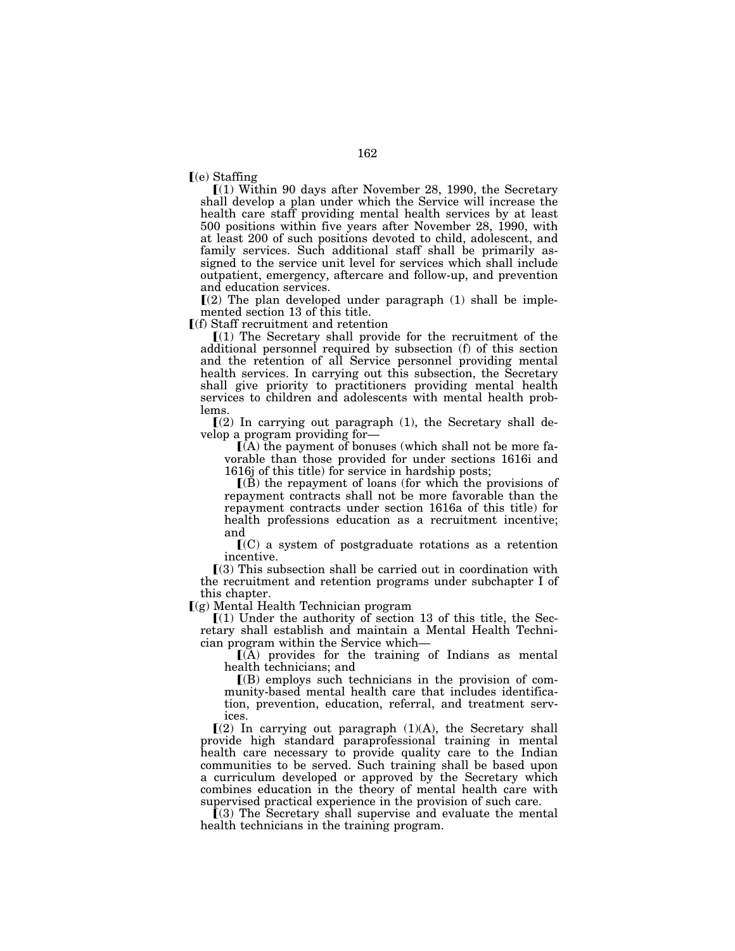$(e)$  Staffing

 $(1)$  Within 90 days after November 28, 1990, the Secretary shall develop a plan under which the Service will increase the health care staff providing mental health services by at least 500 positions within five years after November 28, 1990, with at least 200 of such positions devoted to child, adolescent, and family services. Such additional staff shall be primarily assigned to the service unit level for services which shall include outpatient, emergency, aftercare and follow-up, and prevention and education services.

 $(2)$  The plan developed under paragraph  $(1)$  shall be implemented section 13 of this title.

 $\mathsf{F}(\mathsf{f})$  Staff recruitment and retention

 $[(1)$  The Secretary shall provide for the recruitment of the additional personnel required by subsection (f) of this section and the retention of all Service personnel providing mental health services. In carrying out this subsection, the Secretary shall give priority to practitioners providing mental health services to children and adolescents with mental health problems.

 $(2)$  In carrying out paragraph  $(1)$ , the Secretary shall develop a program providing for—

 $(A)$  the payment of bonuses (which shall not be more favorable than those provided for under sections 1616i and 1616j of this title) for service in hardship posts;

 $($ B) the repayment of loans (for which the provisions of repayment contracts shall not be more favorable than the repayment contracts under section 1616a of this title) for health professions education as a recruitment incentive; and

 $\mathbf{C}(\mathbf{C})$  a system of postgraduate rotations as a retention incentive.

 $(3)$  This subsection shall be carried out in coordination with the recruitment and retention programs under subchapter I of this chapter.

 $(q)$  Mental Health Technician program

 $(1)$  Under the authority of section 13 of this title, the Secretary shall establish and maintain a Mental Health Technician program within the Service which—

 $(A)$  provides for the training of Indians as mental health technicians; and

 $($ B) employs such technicians in the provision of community-based mental health care that includes identification, prevention, education, referral, and treatment services.

 $(2)$  In carrying out paragraph  $(1)(A)$ , the Secretary shall provide high standard paraprofessional training in mental health care necessary to provide quality care to the Indian communities to be served. Such training shall be based upon a curriculum developed or approved by the Secretary which combines education in the theory of mental health care with supervised practical experience in the provision of such care.

 $(3)$  The Secretary shall supervise and evaluate the mental health technicians in the training program.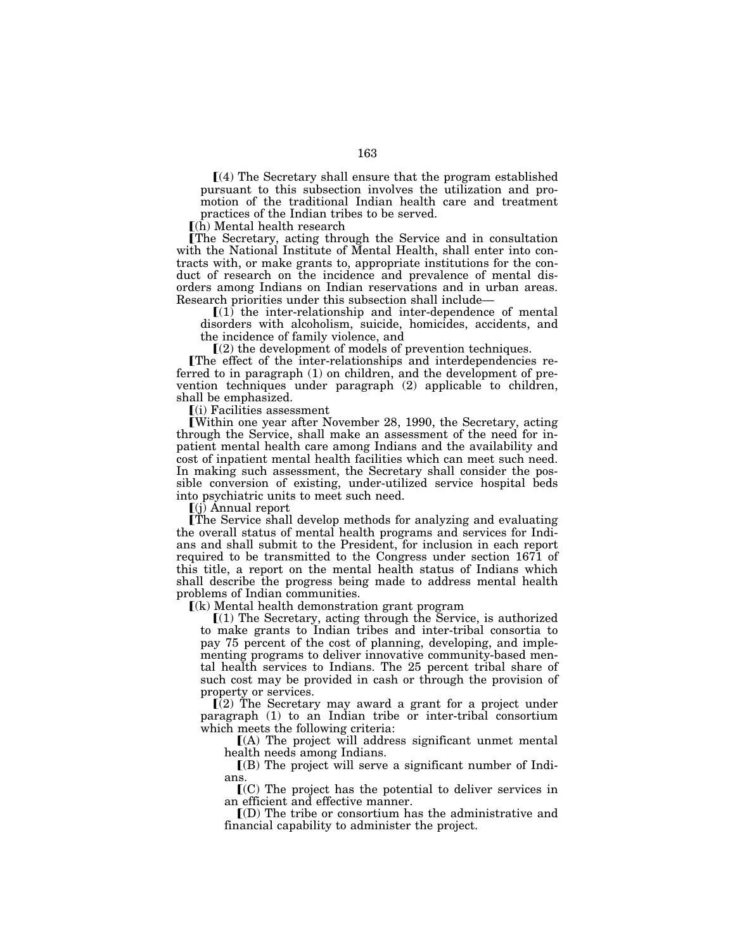$(a)$  The Secretary shall ensure that the program established pursuant to this subsection involves the utilization and promotion of the traditional Indian health care and treatment practices of the Indian tribes to be served.

ø(h) Mental health research

øThe Secretary, acting through the Service and in consultation with the National Institute of Mental Health, shall enter into contracts with, or make grants to, appropriate institutions for the conduct of research on the incidence and prevalence of mental disorders among Indians on Indian reservations and in urban areas. Research priorities under this subsection shall include—

 $(1)$  the inter-relationship and inter-dependence of mental disorders with alcoholism, suicide, homicides, accidents, and the incidence of family violence, and

 $(2)$  the development of models of prevention techniques.

øThe effect of the inter-relationships and interdependencies referred to in paragraph (1) on children, and the development of prevention techniques under paragraph (2) applicable to children, shall be emphasized.

 $(i)$  Facilities assessment

øWithin one year after November 28, 1990, the Secretary, acting through the Service, shall make an assessment of the need for inpatient mental health care among Indians and the availability and cost of inpatient mental health facilities which can meet such need. In making such assessment, the Secretary shall consider the possible conversion of existing, under-utilized service hospital beds into psychiatric units to meet such need.

 $\left[$ (j) Annual report

øThe Service shall develop methods for analyzing and evaluating the overall status of mental health programs and services for Indians and shall submit to the President, for inclusion in each report required to be transmitted to the Congress under section 1671 of this title, a report on the mental health status of Indians which shall describe the progress being made to address mental health problems of Indian communities.

 $(k)$  Mental health demonstration grant program

 $\Gamma(1)$  The Secretary, acting through the Service, is authorized to make grants to Indian tribes and inter-tribal consortia to pay 75 percent of the cost of planning, developing, and implementing programs to deliver innovative community-based mental health services to Indians. The 25 percent tribal share of such cost may be provided in cash or through the provision of property or services.

 $(2)$  The Secretary may award a grant for a project under paragraph (1) to an Indian tribe or inter-tribal consortium which meets the following criteria:

 $(A)$  The project will address significant unmet mental health needs among Indians.

 $($ B) The project will serve a significant number of Indians.

 $\mathcal{I}(C)$  The project has the potential to deliver services in an efficient and effective manner.

 $\mathcal{I}(D)$  The tribe or consortium has the administrative and financial capability to administer the project.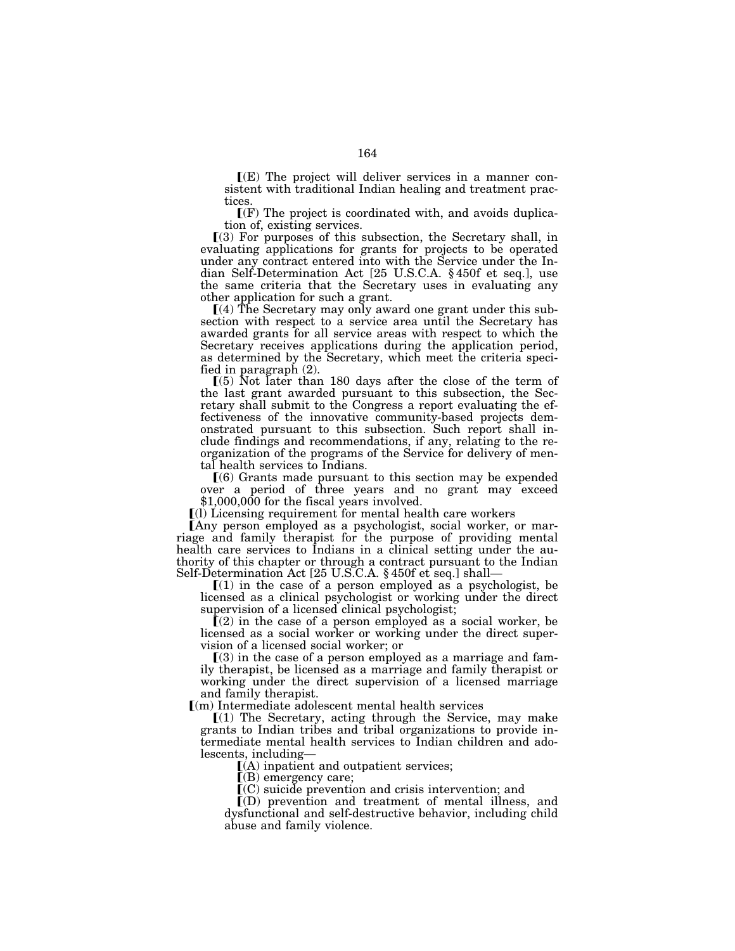$\mathbf{I}(E)$  The project will deliver services in a manner consistent with traditional Indian healing and treatment practices.

 $\Gamma(F)$  The project is coordinated with, and avoids duplication of, existing services.

 $(3)$  For purposes of this subsection, the Secretary shall, in evaluating applications for grants for projects to be operated under any contract entered into with the Service under the Indian Self-Determination Act [25 U.S.C.A. § 450f et seq.], use the same criteria that the Secretary uses in evaluating any other application for such a grant.

 $(4)$  The Secretary may only award one grant under this subsection with respect to a service area until the Secretary has awarded grants for all service areas with respect to which the Secretary receives applications during the application period, as determined by the Secretary, which meet the criteria specified in paragraph (2).

 $(5)$  Not later than 180 days after the close of the term of the last grant awarded pursuant to this subsection, the Secretary shall submit to the Congress a report evaluating the effectiveness of the innovative community-based projects demonstrated pursuant to this subsection. Such report shall include findings and recommendations, if any, relating to the reorganization of the programs of the Service for delivery of mental health services to Indians.

ø(6) Grants made pursuant to this section may be expended over a period of three years and no grant may exceed \$1,000,000 for the fiscal years involved.

 $(1)$  Licensing requirement for mental health care workers

Lany person employed as a psychologist, social worker, or marriage and family therapist for the purpose of providing mental health care services to Indians in a clinical setting under the authority of this chapter or through a contract pursuant to the Indian Self-Determination Act [25 U.S.C.A. § 450f et seq.] shall—

 $(1)$  in the case of a person employed as a psychologist, be licensed as a clinical psychologist or working under the direct supervision of a licensed clinical psychologist;

 $(2)$  in the case of a person employed as a social worker, be licensed as a social worker or working under the direct supervision of a licensed social worker; or

 $(3)$  in the case of a person employed as a marriage and family therapist, be licensed as a marriage and family therapist or working under the direct supervision of a licensed marriage and family therapist.

 $(m)$  Intermediate adolescent mental health services

 $(1)$  The Secretary, acting through the Service, may make grants to Indian tribes and tribal organizations to provide intermediate mental health services to Indian children and adolescents, including—

 $(A)$  inpatient and outpatient services;

 $[$ (B) emergency care;

 $\mathbf{C}(\mathbf{C})$  suicide prevention and crisis intervention; and

 $I(D)$  prevention and treatment of mental illness, and dysfunctional and self-destructive behavior, including child abuse and family violence.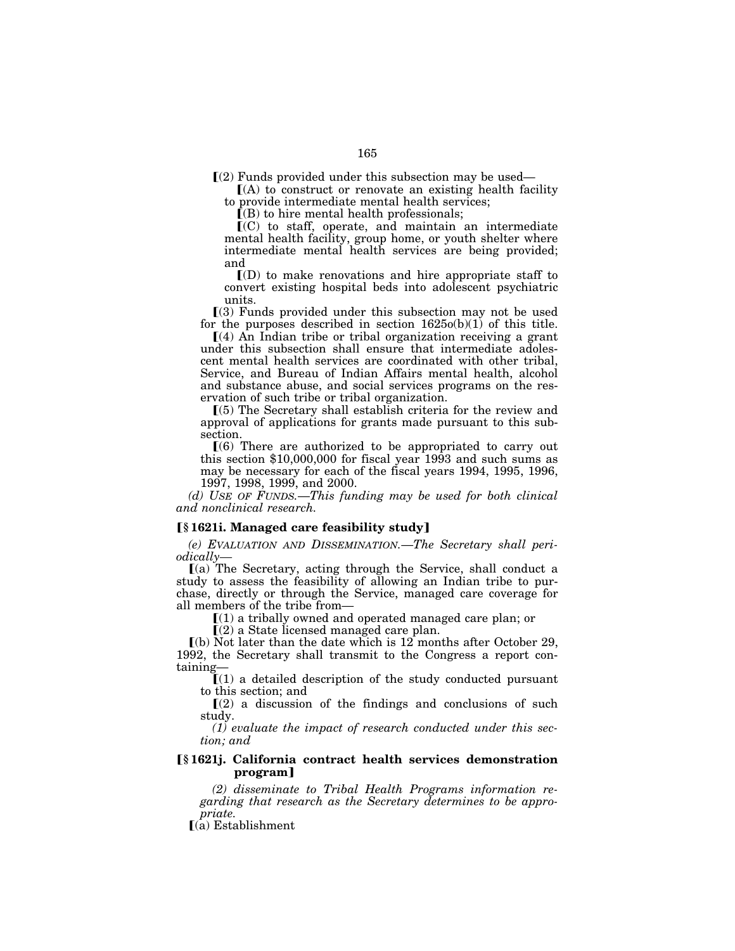$\Gamma(2)$  Funds provided under this subsection may be used—

 $(A)$  to construct or renovate an existing health facility to provide intermediate mental health services;

 $(6)$  to hire mental health professionals;

 $(C)$  to staff, operate, and maintain an intermediate mental health facility, group home, or youth shelter where intermediate mental health services are being provided; and

 $\mathcal{I}(D)$  to make renovations and hire appropriate staff to convert existing hospital beds into adolescent psychiatric units.

 $(3)$  Funds provided under this subsection may not be used for the purposes described in section  $1625o(b)(1)$  of this title.

 $(4)$  An Indian tribe or tribal organization receiving a grant under this subsection shall ensure that intermediate adolescent mental health services are coordinated with other tribal, Service, and Bureau of Indian Affairs mental health, alcohol and substance abuse, and social services programs on the reservation of such tribe or tribal organization.

ø(5) The Secretary shall establish criteria for the review and approval of applications for grants made pursuant to this subsection.

 $(6)$  There are authorized to be appropriated to carry out this section \$10,000,000 for fiscal year 1993 and such sums as may be necessary for each of the fiscal years 1994, 1995, 1996, 1997, 1998, 1999, and 2000.

*(d) USE OF FUNDS.*—*This funding may be used for both clinical and nonclinical research.* 

### ø**§ 1621i. Managed care feasibility study**¿

*(e) EVALUATION AND DISSEMINATION.*—*The Secretary shall periodically—*

ø(a) The Secretary, acting through the Service, shall conduct a study to assess the feasibility of allowing an Indian tribe to purchase, directly or through the Service, managed care coverage for all members of the tribe from—

 $(1)$  a tribally owned and operated managed care plan; or

 $\Gamma(2)$  a State licensed managed care plan.

 $\lceil$ (b) Not later than the date which is 12 months after October 29, 1992, the Secretary shall transmit to the Congress a report containing—

 $(1)$  a detailed description of the study conducted pursuant to this section; and

 $\Gamma(2)$  a discussion of the findings and conclusions of such study.

*(1) evaluate the impact of research conducted under this section; and* 

# ø**§ 1621j. California contract health services demonstration program**¿

*(2) disseminate to Tribal Health Programs information regarding that research as the Secretary determines to be appropriate.* 

 $\int$ (a) Establishment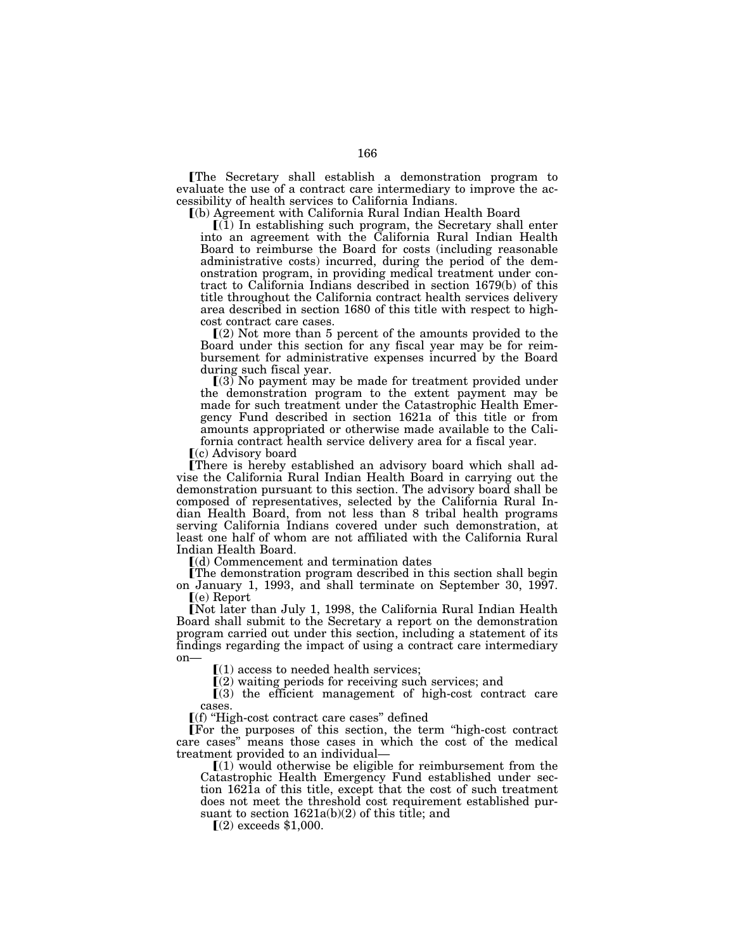øThe Secretary shall establish a demonstration program to evaluate the use of a contract care intermediary to improve the accessibility of health services to California Indians.

ø(b) Agreement with California Rural Indian Health Board

 $(1)$  In establishing such program, the Secretary shall enter into an agreement with the California Rural Indian Health Board to reimburse the Board for costs (including reasonable administrative costs) incurred, during the period of the demonstration program, in providing medical treatment under contract to California Indians described in section 1679(b) of this title throughout the California contract health services delivery area described in section 1680 of this title with respect to highcost contract care cases.

 $(2)$  Not more than 5 percent of the amounts provided to the Board under this section for any fiscal year may be for reimbursement for administrative expenses incurred by the Board during such fiscal year.

 $(3)$  No payment may be made for treatment provided under the demonstration program to the extent payment may be made for such treatment under the Catastrophic Health Emergency Fund described in section 1621a of this title or from amounts appropriated or otherwise made available to the California contract health service delivery area for a fiscal year.

 $(c)$  Advisory board

øThere is hereby established an advisory board which shall advise the California Rural Indian Health Board in carrying out the demonstration pursuant to this section. The advisory board shall be composed of representatives, selected by the California Rural Indian Health Board, from not less than 8 tribal health programs serving California Indians covered under such demonstration, at least one half of whom are not affiliated with the California Rural Indian Health Board.

 $\lceil$ (d) Commencement and termination dates

The demonstration program described in this section shall begin on January 1, 1993, and shall terminate on September 30, 1997.  $(e)$  Report

[Not later than July 1, 1998, the California Rural Indian Health Board shall submit to the Secretary a report on the demonstration program carried out under this section, including a statement of its findings regarding the impact of using a contract care intermediary on—

 $(1)$  access to needed health services;

 $(2)$  waiting periods for receiving such services; and

 $(3)$  the efficient management of high-cost contract care cases.

ø(f) ''High-cost contract care cases'' defined

For the purposes of this section, the term "high-cost contract" care cases'' means those cases in which the cost of the medical treatment provided to an individual—

 $(1)$  would otherwise be eligible for reimbursement from the Catastrophic Health Emergency Fund established under section 1621a of this title, except that the cost of such treatment does not meet the threshold cost requirement established pursuant to section 1621a(b)(2) of this title; and

 $(2)$  exceeds \$1,000.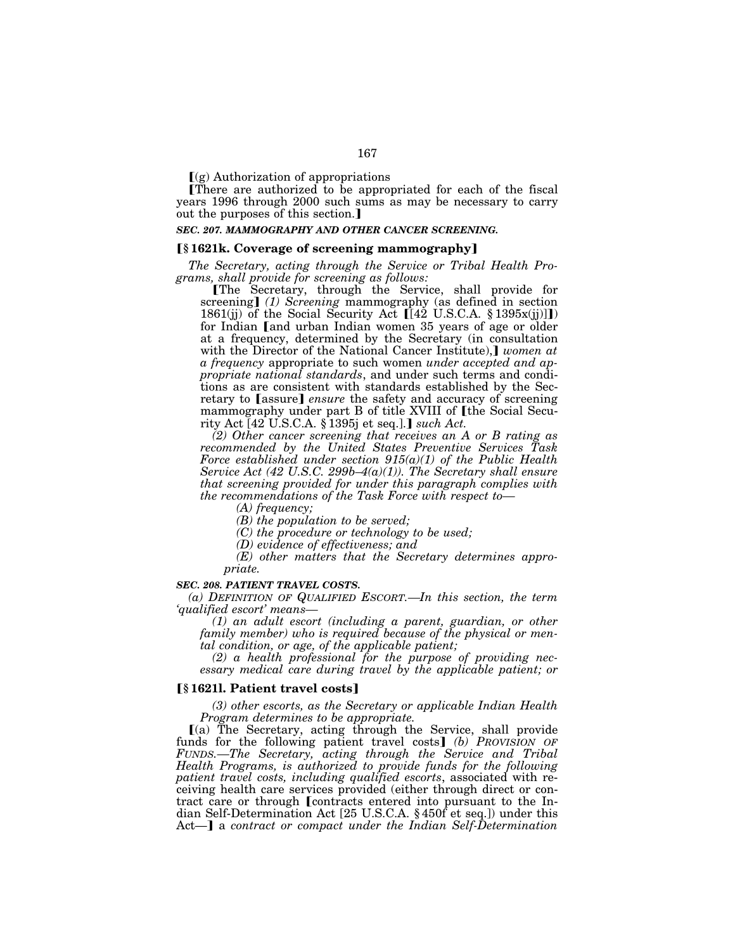$\Gamma(g)$  Authorization of appropriations

There are authorized to be appropriated for each of the fiscal years 1996 through 2000 such sums as may be necessary to carry out the purposes of this section.]

# *SEC. 207. MAMMOGRAPHY AND OTHER CANCER SCREENING.*

## ø**§ 1621k. Coverage of screening mammography**¿

*The Secretary, acting through the Service or Tribal Health Programs, shall provide for screening as follows:* 

øThe Secretary, through the Service, shall provide for screening] (1) Screening mammography (as defined in section 1861(jj) of the Social Security Act  $[[42 \text{ U.S.C.A. } § 1395x(j)]]$ for Indian and urban Indian women 35 years of age or older at a frequency, determined by the Secretary (in consultation with the Director of the National Cancer Institute), *women at a frequency* appropriate to such women *under accepted and appropriate national standards*, and under such terms and conditions as are consistent with standards established by the Secretary to [assure] *ensure* the safety and accuracy of screening mammography under part B of title XVIII of [the Social Security Act  $[42 \text{ U.S.C.A. } \S 1395$  et seq.]. *such Act.* 

*(2) Other cancer screening that receives an A or B rating as recommended by the United States Preventive Services Task Force established under section 915(a)(1) of the Public Health Service Act (42 U.S.C. 299b–4(a)(1)). The Secretary shall ensure that screening provided for under this paragraph complies with the recommendations of the Task Force with respect to—*

*(A) frequency;* 

*(B) the population to be served;* 

*(C) the procedure or technology to be used;* 

*(D) evidence of effectiveness; and* 

*(E) other matters that the Secretary determines appropriate.* 

#### *SEC. 208. PATIENT TRAVEL COSTS.*

*(a) DEFINITION OF QUALIFIED ESCORT.—In this section, the term 'qualified escort' means—*

*(1) an adult escort (including a parent, guardian, or other family member) who is required because of the physical or mental condition, or age, of the applicable patient;* 

*(2) a health professional for the purpose of providing necessary medical care during travel by the applicable patient; or* 

## **[§** 1621]. Patient travel costs]

*(3) other escorts, as the Secretary or applicable Indian Health Program determines to be appropriate.* 

ø(a) The Secretary, acting through the Service, shall provide funds for the following patient travel costs] (b) PROVISION OF *FUNDS.—The Secretary, acting through the Service and Tribal Health Programs, is authorized to provide funds for the following patient travel costs, including qualified escorts*, associated with receiving health care services provided (either through direct or contract care or through **[**contracts entered into pursuant to the Indian Self-Determination Act [25 U.S.C.A. § 450f et seq.]) under this Act-] a *contract or compact under the Indian Self-Determination*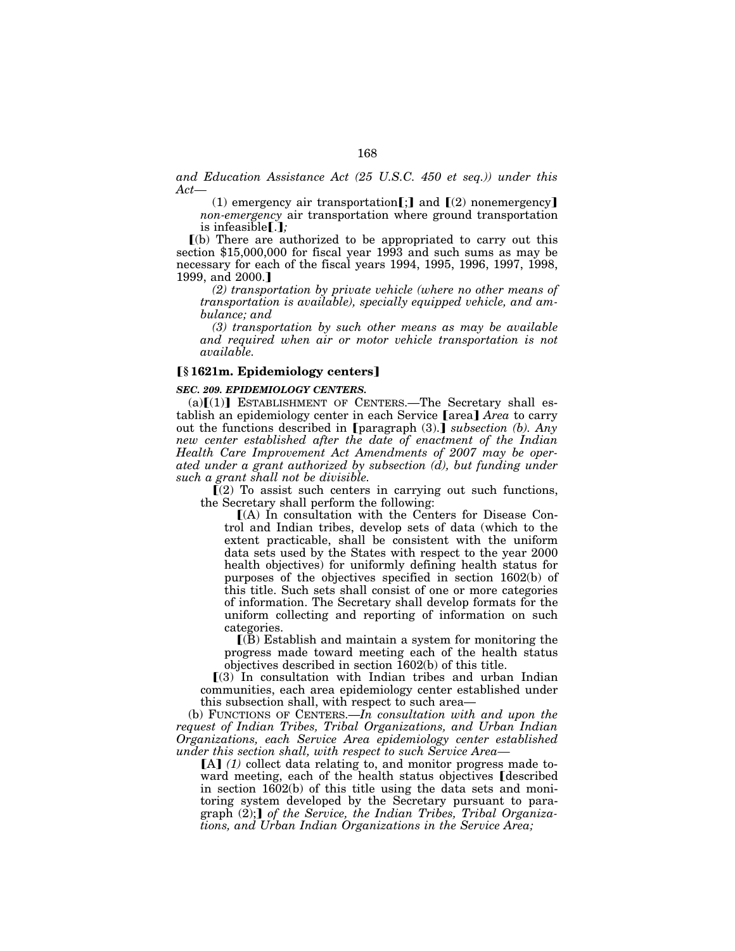*and Education Assistance Act (25 U.S.C. 450 et seq.)) under this Act—*

(1) emergency air transportation  $\lceil \cdot \rceil$  and  $\lceil (2)$  nonemergency *non-emergency* air transportation where ground transportation is infeasible $\lceil . \rceil$ ;

 $(a)$  There are authorized to be appropriated to carry out this section \$15,000,000 for fiscal year 1993 and such sums as may be necessary for each of the fiscal years 1994, 1995, 1996, 1997, 1998, 1999, and 2000.]

*(2) transportation by private vehicle (where no other means of transportation is available), specially equipped vehicle, and ambulance; and* 

*(3) transportation by such other means as may be available and required when air or motor vehicle transportation is not available.* 

# ø**§ 1621m. Epidemiology centers**¿

# *SEC. 209. EPIDEMIOLOGY CENTERS.*

 $(a)[(1)]$  ESTABLISHMENT OF CENTERS.—The Secretary shall establish an epidemiology center in each Service [area] Area to carry out the functions described in [paragraph (3).] *subsection (b)*. Any *new center established after the date of enactment of the Indian Health Care Improvement Act Amendments of 2007 may be operated under a grant authorized by subsection (d), but funding under such a grant shall not be divisible.* 

 $\Gamma(2)$  To assist such centers in carrying out such functions, the Secretary shall perform the following:

 $(A)$  In consultation with the Centers for Disease Control and Indian tribes, develop sets of data (which to the extent practicable, shall be consistent with the uniform data sets used by the States with respect to the year 2000 health objectives) for uniformly defining health status for purposes of the objectives specified in section 1602(b) of this title. Such sets shall consist of one or more categories of information. The Secretary shall develop formats for the uniform collecting and reporting of information on such categories.

 $\mathbf{I}(\mathbf{B})$  Establish and maintain a system for monitoring the progress made toward meeting each of the health status objectives described in section 1602(b) of this title.

 $(3)$  In consultation with Indian tribes and urban Indian communities, each area epidemiology center established under this subsection shall, with respect to such area—

(b) FUNCTIONS OF CENTERS.—*In consultation with and upon the request of Indian Tribes, Tribal Organizations, and Urban Indian Organizations, each Service Area epidemiology center established under this section shall, with respect to such Service Area—*

[A] (1) collect data relating to, and monitor progress made toward meeting, each of the health status objectives **(escribed)** in section 1602(b) of this title using the data sets and monitoring system developed by the Secretary pursuant to paragraph (2); *of the Service, the Indian Tribes, Tribal Organizations, and Urban Indian Organizations in the Service Area;*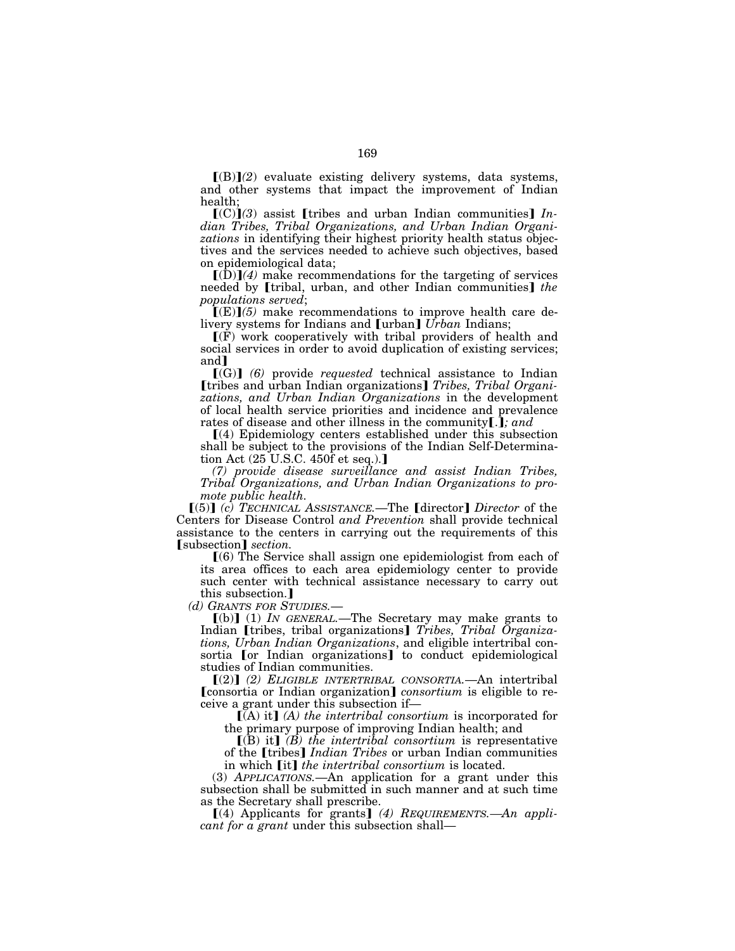$[(B)](2)$  evaluate existing delivery systems, data systems, and other systems that impact the improvement of Indian health;

 $[(C)](3)$  assist [tribes and urban Indian communities] *Indian Tribes, Tribal Organizations, and Urban Indian Organizations* in identifying their highest priority health status objectives and the services needed to achieve such objectives, based on epidemiological data;

 $\lceil (D) \rceil$ (4) make recommendations for the targeting of services needed by [tribal, urban, and other Indian communities] *the populations served*;

 $\Gamma(E)$ *(5)* make recommendations to improve health care delivery systems for Indians and [urban] *Urban* Indians;

 $\Gamma(F)$  work cooperatively with tribal providers of health and social services in order to avoid duplication of existing services; and<sup>1</sup>

 $[(G)]$  (6) provide *requested* technical assistance to Indian **[tribes and urban Indian organizations]** *Tribes, Tribal Organizations, and Urban Indian Organizations* in the development of local health service priorities and incidence and prevalence rates of disease and other illness in the community[.]; and

ø(4) Epidemiology centers established under this subsection shall be subject to the provisions of the Indian Self-Determination Act  $(25 \text{ U.S.C. } 450 \text{ f et seq.})$ .

*(7) provide disease surveillance and assist Indian Tribes, Tribal Organizations, and Urban Indian Organizations to promote public health.* 

[(5)] *(c)* TECHNICAL ASSISTANCE.—The [director] Director of the Centers for Disease Control *and Prevention* shall provide technical assistance to the centers in carrying out the requirements of this **[**subsection] *section*.

 $(6)$  The Service shall assign one epidemiologist from each of its area offices to each area epidemiology center to provide such center with technical assistance necessary to carry out this subsection.]

*(d) GRANTS FOR STUDIES.*—

 $\lceil (b) \rceil$  (1) *IN GENERAL*.—The Secretary may make grants to Indian [tribes, tribal organizations] Tribes, Tribal Organiza*tions, Urban Indian Organizations*, and eligible intertribal consortia or Indian organizations to conduct epidemiological studies of Indian communities.

ø(2)¿ *(2) ELIGIBLE INTERTRIBAL CONSORTIA.*—An intertribal [consortia or Indian organization] *consortium* is eligible to receive a grant under this subsection if—

**[(A) it]** *(A) the intertribal consortium* is incorporated for the primary purpose of improving Indian health; and

 $\left[\mathbf{r}(\mathbf{B})\right]$  *(B)* the intertribal consortium is representative of the *[tribes] Indian Tribes* or urban Indian communities in which *[it] the intertribal consortium* is located.

(3) *APPLICATIONS.*—An application for a grant under this subsection shall be submitted in such manner and at such time as the Secretary shall prescribe.

 $\lceil (4)$  Applicants for grants  $\lceil (4)$  *REQUIREMENTS.* —*An applicant for a grant* under this subsection shall—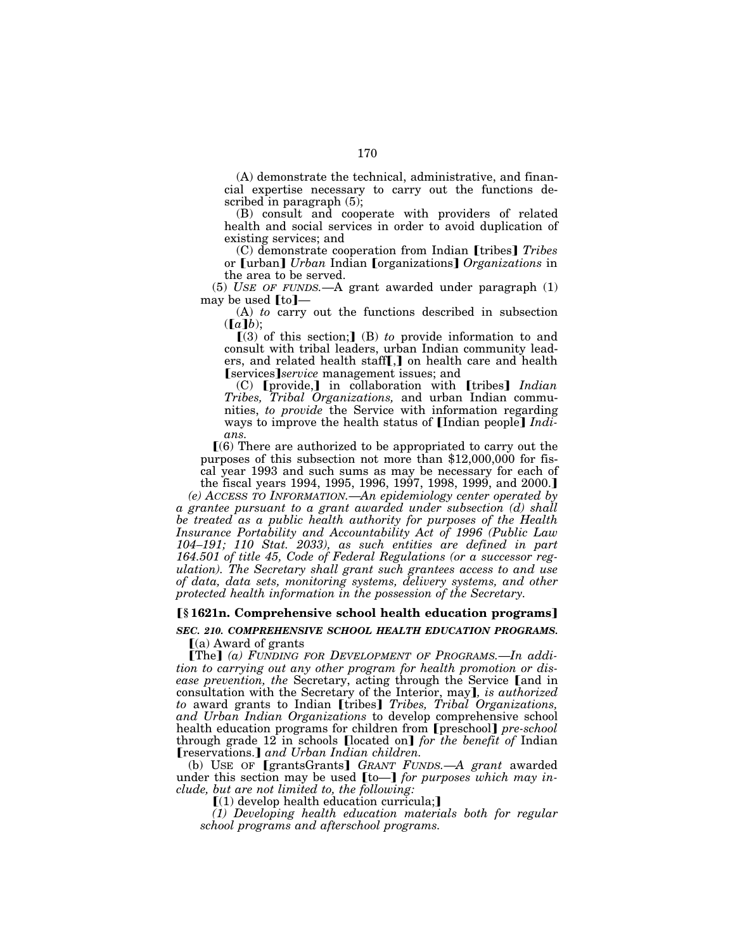(A) demonstrate the technical, administrative, and financial expertise necessary to carry out the functions described in paragraph (5);

(B) consult and cooperate with providers of related health and social services in order to avoid duplication of existing services; and

(C) demonstrate cooperation from Indian [tribes] *Tribes* or [urban] *Urban* Indian [organizations] *Organizations* in the area to be served.

(5) *USE OF FUNDS.*—A grant awarded under paragraph (1) may be used  $[t_0]$ —

(A) *to* carry out the functions described in subsection  $([a]b);$ 

 $(3)$  of this section;  $(B)$  *to* provide information to and consult with tribal leaders, urban Indian community leaders, and related health staff $\left[\right,$  on health care and health **Services** *service* management issues; and

(C) **[provide,]** in collaboration with **[tribes]** *Indian Tribes, Tribal Organizations,* and urban Indian communities, *to provide* the Service with information regarding ways to improve the health status of [Indian people] *Indians.* 

 $(6)$  There are authorized to be appropriated to carry out the purposes of this subsection not more than \$12,000,000 for fiscal year 1993 and such sums as may be necessary for each of the fiscal years 1994, 1995, 1996, 1997, 1998, 1999, and 2000.]

*(e) ACCESS TO INFORMATION.*—*An epidemiology center operated by a grantee pursuant to a grant awarded under subsection (d) shall be treated as a public health authority for purposes of the Health Insurance Portability and Accountability Act of 1996 (Public Law 104–191; 110 Stat. 2033), as such entities are defined in part 164.501 of title 45, Code of Federal Regulations (or a successor regulation). The Secretary shall grant such grantees access to and use of data, data sets, monitoring systems, delivery systems, and other protected health information in the possession of the Secretary.* 

### ø**§ 1621n. Comprehensive school health education programs**¿

**SEC. 210. COMPREHENSIVE SCHOOL HEALTH EDUCATION PROGRAMS.**  $(a)$  Award of grants

**The** (a) FUNDING FOR DEVELOPMENT OF PROGRAMS.—In addi*tion to carrying out any other program for health promotion or disease prevention, the Secretary, acting through the Service [and in* consultation with the Secretary of the Interior, may*]*, *is authorized to* award grants to Indian [tribes] *Tribes, Tribal Organizations, and Urban Indian Organizations* to develop comprehensive school health education programs for children from [preschool] *pre-school* through grade 12 in schools *[located on] for the benefit of* Indian øreservations.¿ *and Urban Indian children.* 

(b) USE OF [grantsGrants] GRANT FUNDS.-A grant awarded under this section may be used  $[\text{to-}]$  *for purposes which may include, but are not limited to, the following:* 

 $(1)$  develop health education curricula;

*(1) Developing health education materials both for regular school programs and afterschool programs.*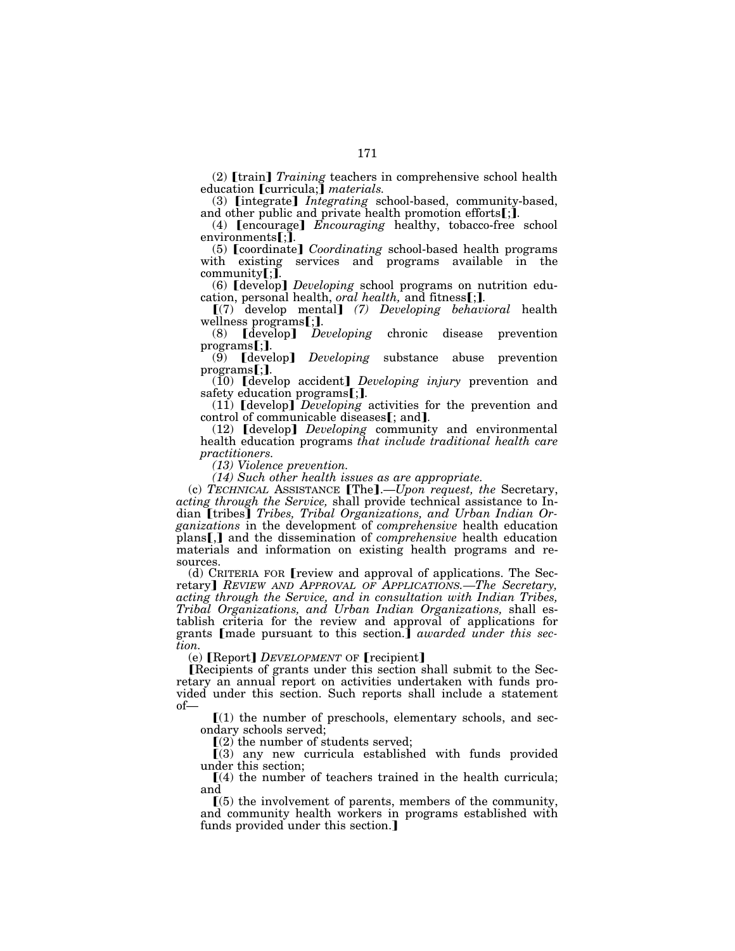(2) **[train]** *Training* teachers in comprehensive school health education [curricula;] *materials.* 

(3) **[integrate]** *Integrating* school-based, community-based, and other public and private health promotion efforts[;].

(4) **[encourage]** *Encouraging* healthy, tobacco-free school environments**[**;**]**.

(5) [coordinate] *Coordinating* school-based health programs with existing services and programs available in the

community[;].<br>(6) [develop] *Developing* school programs on nutrition edu-<br>cation, personal health, *oral health*, and fitness[;].

cation, personal health, *oral health,* and fitnessø;¿*.* ø(7) develop mental¿ *(7) Developing behavioral* health wellness programs[;**]**.<br>(8) [develop] *Developing* chronic disease prevention

programs[;].<br>(9) [develop] *Developing* substance abuse prevention

programs[;].<br>(10) [develop accident] *Developing injury* prevention and safety education programs**[;]**.<br>(11) **[**develop] *Developing* activities for the prevention and

control of communicable diseases**[**; and**]**.<br>(12) **[**develop**]** *Developing* community and environmental health education programs *that include traditional health care practitioners.* 

*(13) Violence prevention.* 

*(14) Such other health issues as are appropriate.* 

(c) *TECHNICAL* ASSISTANCE [The].—*Upon request, the* Secretary, *acting through the Service,* shall provide technical assistance to Indian [tribes] Tribes, Tribal Organizations, and Urban Indian Organizations in the development of *comprehensive* health education plans [.] and the dissemination of *comprehensive* health education materials and information on existing health programs and resources.

 $(d)$  CRITERIA FOR **[**review and approval of applications. The Secretary] *REVIEW AND APPROVAL OF APPLICATIONS.—The Secretary, acting through the Service, and in consultation with Indian Tribes, Tribal Organizations, and Urban Indian Organizations,* shall establish criteria for the review and approval of applications for grants [made pursuant to this section.] *awarded under this section.* 

(e) **[Report]** *DEVELOPMENT* OF **[recipient]** 

Recipients of grants under this section shall submit to the Secretary an annual report on activities undertaken with funds provided under this section. Such reports shall include a statement of—

 $(1)$  the number of preschools, elementary schools, and secondary schools served;

 $(2)$  the number of students served;

 $(3)$  any new curricula established with funds provided under this section;

 $(4)$  the number of teachers trained in the health curricula; and

 $(5)$  the involvement of parents, members of the community, and community health workers in programs established with funds provided under this section.]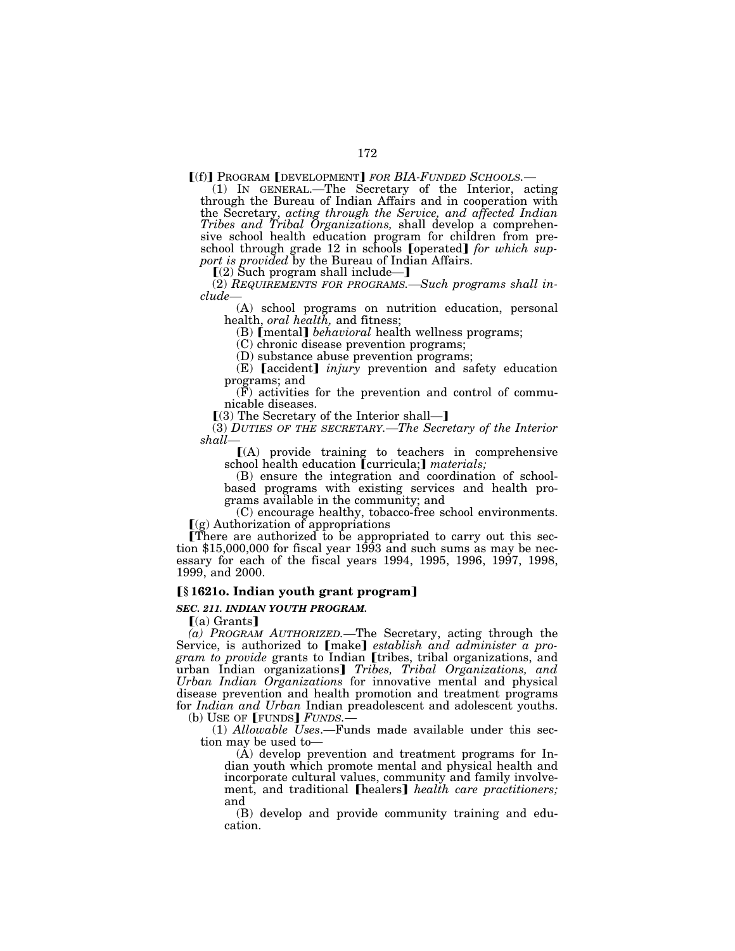[(f)] PROGRAM [DEVELOPMENT] *FOR BIA-FUNDED SCHOOLS.*— (1) IN GENERAL.—The Secretary of the Interior, acting through the Bureau of Indian Affairs and in cooperation with the Secretary, *acting through the Service, and affected Indian Tribes and Tribal Organizations,* shall develop a comprehensive school health education program for children from preschool through grade 12 in schools **[**operated] *for which sup*p*ort is provided* by the Bureau of Indian Affairs.<br>
[(2) Such program shall include—]

(2) *REQUIREMENTS FOR PROGRAMS.—Such programs shall include—*

(A) school programs on nutrition education, personal health, *oral health,* and fitness;

(B) **[mental]** *behavioral* health wellness programs;

(C) chronic disease prevention programs;

(D) substance abuse prevention programs;

(E) **[accident]** *injury* prevention and safety education programs; and

(F) activities for the prevention and control of communicable diseases.

 $(3)$  The Secretary of the Interior shall—]

(3) *DUTIES OF THE SECRETARY.—The Secretary of the Interior shall—*

 $(A)$  provide training to teachers in comprehensive school health education [curricula;] materials;

(B) ensure the integration and coordination of schoolbased programs with existing services and health programs available in the community; and

(C) encourage healthy, tobacco-free school environments.  $(q)$  Authorization of appropriations

There are authorized to be appropriated to carry out this section \$15,000,000 for fiscal year 1993 and such sums as may be necessary for each of the fiscal years 1994, 1995, 1996, 1997, 1998, 1999, and 2000.

# ø**§ 1621o. Indian youth grant program**¿

### *SEC. 211. INDIAN YOUTH PROGRAM.*

 $(a)$  Grants

(*a) PROGRAM AUTHORIZED*.—The Secretary, acting through the Service, is authorized to [make] *establish and administer a program to provide* grants to Indian *[tribes, tribal organizations, and* urban Indian organizations] Tribes, Tribal Organizations, and *Urban Indian Organizations* for innovative mental and physical disease prevention and health promotion and treatment programs for *Indian and Urban* Indian preadolescent and adolescent youths. (b) USE OF  $[$  **FUNDS** $]$  *FUNDS*.

(1) *Allowable Uses*.—Funds made available under this section may be used to—

(A) develop prevention and treatment programs for Indian youth which promote mental and physical health and incorporate cultural values, community and family involvement, and traditional **[healers]** health care practitioners; and

(B) develop and provide community training and education.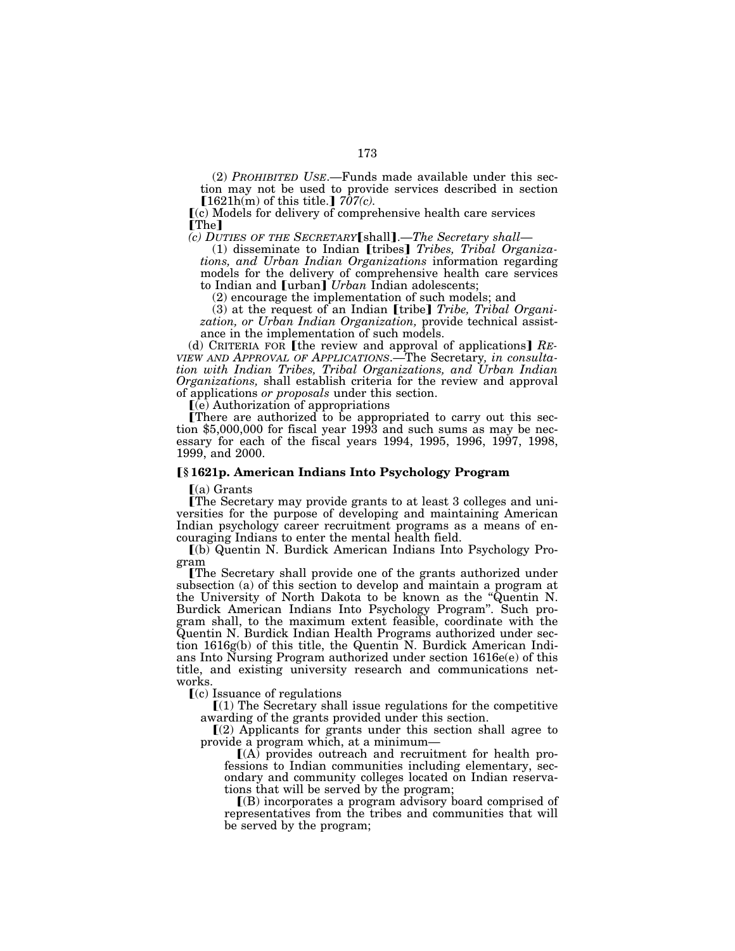(2) *PROHIBITED USE*.—Funds made available under this section may not be used to provide services described in section  $\lceil 1621 \text{h(m)} \text{ of this title.} \rceil$  *707(c).* 

ø(c) Models for delivery of comprehensive health care services [The]<br>(c) DUTIES OF THE SECRETARY [shall].—The Secretary shall—

*(c) DUTIES OF THE SECRETARY*øshall¿.—*The Secretary shall*— (1) disseminate to Indian øtribes¿ *Tribes, Tribal Organizations, and Urban Indian Organizations* information regarding models for the delivery of comprehensive health care services to Indian and **[urban]** *Urban* Indian adolescents;

(2) encourage the implementation of such models; and

(3) at the request of an Indian [tribe] *Tribe*, *Tribal Organization, or Urban Indian Organization,* provide technical assistance in the implementation of such models.

(d) CRITERIA FOR [the review and approval of applications] RE-*VIEW AND APPROVAL OF APPLICATIONS*.—The Secretary*, in consultation with Indian Tribes, Tribal Organizations, and Urban Indian Organizations,* shall establish criteria for the review and approval of applications *or proposals* under this section.

 $(e)$  Authorization of appropriations

There are authorized to be appropriated to carry out this section \$5,000,000 for fiscal year 1993 and such sums as may be necessary for each of the fiscal years 1994, 1995, 1996, 1997, 1998, 1999, and 2000.

# ø**§ 1621p. American Indians Into Psychology Program**

 $(a)$  Grants

øThe Secretary may provide grants to at least 3 colleges and universities for the purpose of developing and maintaining American Indian psychology career recruitment programs as a means of encouraging Indians to enter the mental health field.

ø(b) Quentin N. Burdick American Indians Into Psychology Program

øThe Secretary shall provide one of the grants authorized under subsection (a) of this section to develop and maintain a program at the University of North Dakota to be known as the ''Quentin N. Burdick American Indians Into Psychology Program''. Such program shall, to the maximum extent feasible, coordinate with the Quentin N. Burdick Indian Health Programs authorized under section 1616g(b) of this title, the Quentin N. Burdick American Indians Into Nursing Program authorized under section 1616e(e) of this title, and existing university research and communications networks.

 $(c)$  Issuance of regulations

 $(1)$  The Secretary shall issue regulations for the competitive awarding of the grants provided under this section.

 $\lceil (2)$  Applicants for grants under this section shall agree to provide a program which, at a minimum—

 $[(A)$  provides outreach and recruitment for health professions to Indian communities including elementary, secondary and community colleges located on Indian reservations that will be served by the program;

 $(8)$  incorporates a program advisory board comprised of representatives from the tribes and communities that will be served by the program;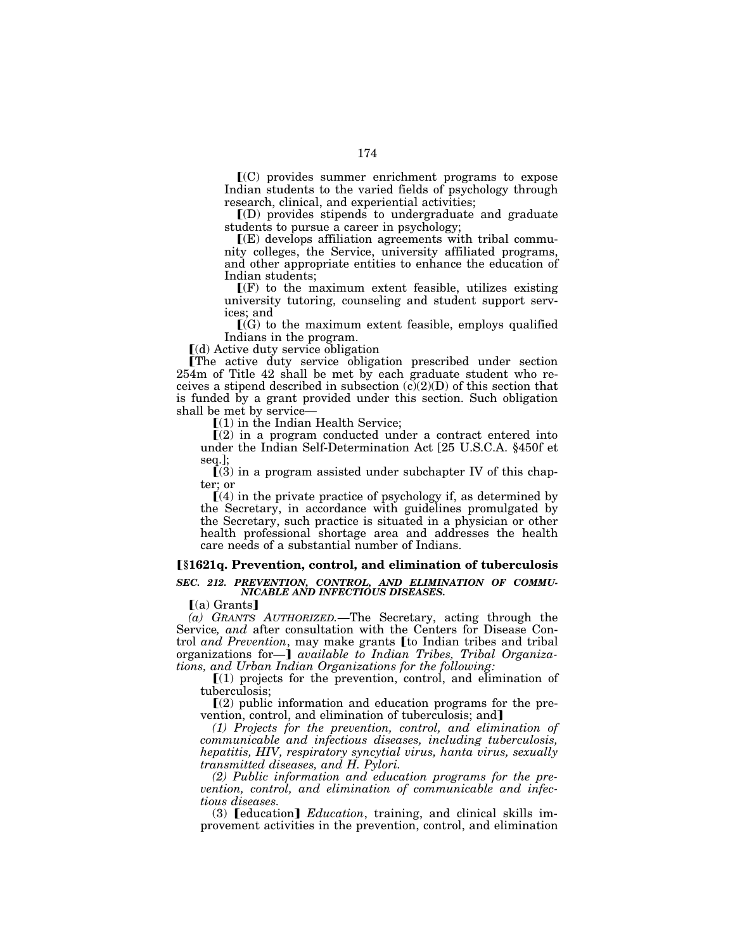$\mathbf{f}(\mathbf{C})$  provides summer enrichment programs to expose Indian students to the varied fields of psychology through research, clinical, and experiential activities;

 $I(D)$  provides stipends to undergraduate and graduate students to pursue a career in psychology;

 $\mathbf{F}(\mathbf{E})$  develops affiliation agreements with tribal community colleges, the Service, university affiliated programs, and other appropriate entities to enhance the education of Indian students;

 $\Gamma(F)$  to the maximum extent feasible, utilizes existing university tutoring, counseling and student support services; and

 $\Gamma(G)$  to the maximum extent feasible, employs qualified Indians in the program.

 $(d)$  Active duty service obligation

øThe active duty service obligation prescribed under section 254m of Title 42 shall be met by each graduate student who receives a stipend described in subsection  $(c)(2)(D)$  of this section that is funded by a grant provided under this section. Such obligation shall be met by service—

 $(1)$  in the Indian Health Service;

 $(2)$  in a program conducted under a contract entered into under the Indian Self-Determination Act [25 U.S.C.A. §450f et seq.];

 $(3)$  in a program assisted under subchapter IV of this chapter; or

 $(4)$  in the private practice of psychology if, as determined by the Secretary, in accordance with guidelines promulgated by the Secretary, such practice is situated in a physician or other health professional shortage area and addresses the health care needs of a substantial number of Indians.

## ø**§1621q. Prevention, control, and elimination of tuberculosis**

### *SEC. 212. PREVENTION, CONTROL, AND ELIMINATION OF COMMU-NICABLE AND INFECTIOUS DISEASES.*

 $(a)$  Grants]

*(a) GRANTS AUTHORIZED.*—The Secretary, acting through the Service*, and* after consultation with the Centers for Disease Control *and Prevention*, may make grants *[to Indian tribes and tribal* organizations for—**]** *available to Indian Tribes, Tribal Organizations, and Urban Indian Organizations for the following:* 

 $(1)$  projects for the prevention, control, and elimination of tuberculosis;

 $\Gamma(2)$  public information and education programs for the prevention, control, and elimination of tuberculosis; and

*(1) Projects for the prevention, control, and elimination of communicable and infectious diseases, including tuberculosis, hepatitis, HIV, respiratory syncytial virus, hanta virus, sexually transmitted diseases, and H. Pylori.* 

*(2) Public information and education programs for the prevention, control, and elimination of communicable and infectious diseases.* 

(3) **[education]** *Education*, training, and clinical skills improvement activities in the prevention, control, and elimination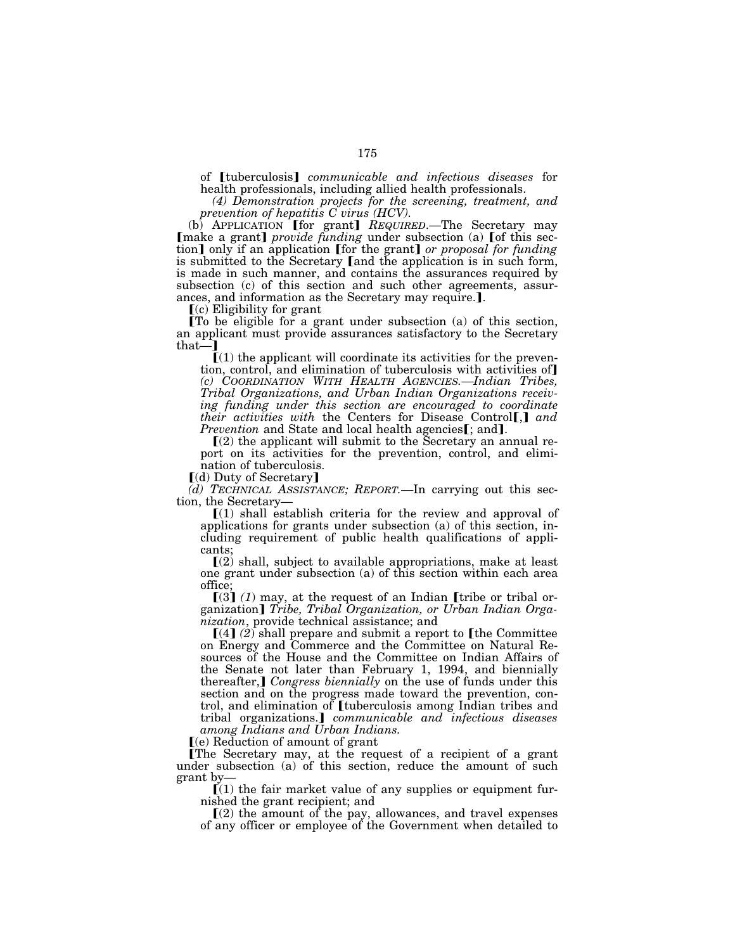of *[tuberculosis] communicable and infectious diseases* for health professionals, including allied health professionals.

*(4) Demonstration projects for the screening, treatment, and prevention of hepatitis C virus (HCV).* 

(b) APPLICATION [for grant] REQUIRED.—The Secretary may [make a grant] *provide funding* under subsection (a) [of this section] only if an application [for the grant] *or proposal for funding* is submitted to the Secretary (and the application is in such form, is made in such manner, and contains the assurances required by subsection (c) of this section and such other agreements, assurances, and information as the Secretary may require.].  $[(c)$  Eligibility for grant

øTo be eligible for a grant under subsection (a) of this section, an applicant must provide assurances satisfactory to the Secretary that—1

 $(1)$  the applicant will coordinate its activities for the prevention, control, and elimination of tuberculosis with activities of *(c) COORDINATION WITH HEALTH AGENCIES.—Indian Tribes, Tribal Organizations, and Urban Indian Organizations receiving funding under this section are encouraged to coordinate their activities with the Centers for Disease Control*<sup>[1]</sup> *and Prevention* and State and local health agencies**[**; and**]**. [(2) the applicant will submit to the Secretary an annual re-

port on its activities for the prevention, control, and elimination of tuberculosis.

[(d) Duty of Secretary]

*(d) TECHNICAL ASSISTANCE; REPORT.—*In carrying out this sec-

tion, the Secretary—<br> $[(1)$  shall establish criteria for the review and approval of applications for grants under subsection (a) of this section, including requirement of public health qualifications of applicants;

 $(2)$  shall, subject to available appropriations, make at least one grant under subsection (a) of this section within each area office;

 $\left[\left(3\right)\left(1\right)\right]$  may, at the request of an Indian [tribe or tribal organization] *Tribe, Tribal Organization, or Urban Indian Organization*, provide technical assistance; and

 $[(4]$   $(2)$  shall prepare and submit a report to [the Committee on Energy and Commerce and the Committee on Natural Resources of the House and the Committee on Indian Affairs of the Senate not later than February 1, 1994, and biennially thereafter, *Congress biennially* on the use of funds under this section and on the progress made toward the prevention, control, and elimination of [tuberculosis among Indian tribes and tribal organizations.] *communicable and infectious diseases among Indians and Urban Indians.* 

 $(e)$  Reduction of amount of grant

øThe Secretary may, at the request of a recipient of a grant under subsection (a) of this section, reduce the amount of such grant by—

 $\tilde{J}(1)$  the fair market value of any supplies or equipment furnished the grant recipient; and

 $(2)$  the amount of the pay, allowances, and travel expenses of any officer or employee of the Government when detailed to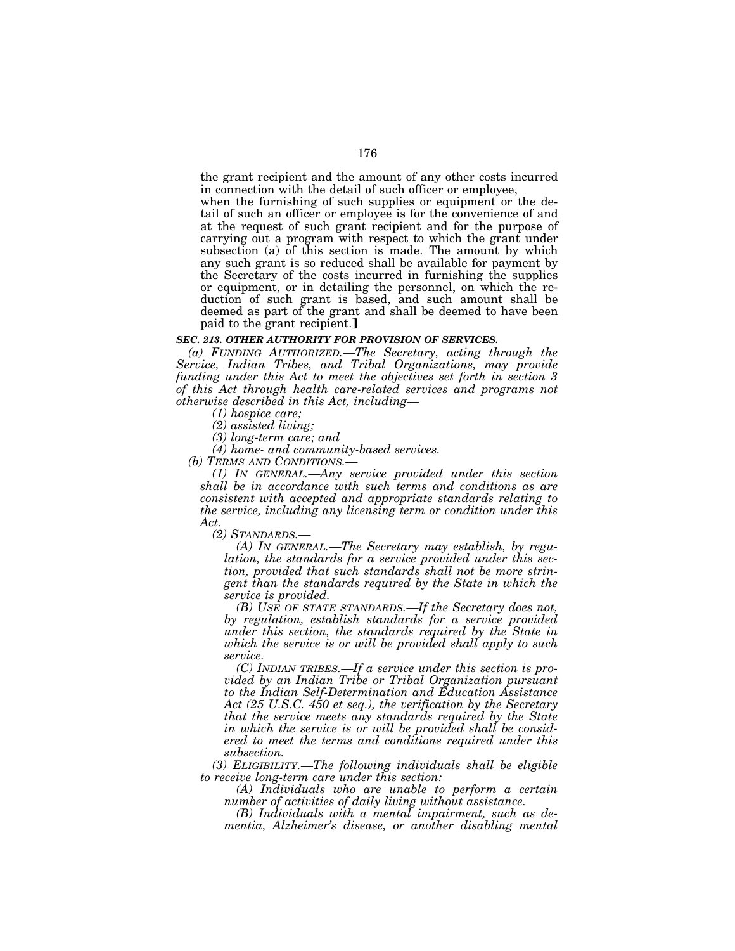the grant recipient and the amount of any other costs incurred in connection with the detail of such officer or employee,

when the furnishing of such supplies or equipment or the detail of such an officer or employee is for the convenience of and at the request of such grant recipient and for the purpose of carrying out a program with respect to which the grant under subsection (a) of this section is made. The amount by which any such grant is so reduced shall be available for payment by the Secretary of the costs incurred in furnishing the supplies or equipment, or in detailing the personnel, on which the reduction of such grant is based, and such amount shall be deemed as part of the grant and shall be deemed to have been paid to the grant recipient.

#### *SEC. 213. OTHER AUTHORITY FOR PROVISION OF SERVICES.*

*(a) FUNDING AUTHORIZED.—The Secretary, acting through the Service, Indian Tribes, and Tribal Organizations, may provide funding under this Act to meet the objectives set forth in section 3 of this Act through health care-related services and programs not otherwise described in this Act, including—*

*(1) hospice care;* 

*(2) assisted living;* 

*(3) long-term care; and* 

*(4) home- and community-based services.* 

*(b) TERMS AND CONDITIONS.—*

*(1) IN GENERAL.—Any service provided under this section shall be in accordance with such terms and conditions as are consistent with accepted and appropriate standards relating to the service, including any licensing term or condition under this Act.* 

*(2) STANDARDS.—*

*(A) IN GENERAL.—The Secretary may establish, by regulation, the standards for a service provided under this section, provided that such standards shall not be more stringent than the standards required by the State in which the service is provided.* 

*(B) USE OF STATE STANDARDS.—If the Secretary does not, by regulation, establish standards for a service provided under this section, the standards required by the State in which the service is or will be provided shall apply to such service.* 

*(C) INDIAN TRIBES.—If a service under this section is provided by an Indian Tribe or Tribal Organization pursuant to the Indian Self-Determination and Education Assistance Act (25 U.S.C. 450 et seq.), the verification by the Secretary that the service meets any standards required by the State in which the service is or will be provided shall be considered to meet the terms and conditions required under this subsection.* 

*(3) ELIGIBILITY.—The following individuals shall be eligible to receive long-term care under this section:* 

*(A) Individuals who are unable to perform a certain number of activities of daily living without assistance.* 

*(B) Individuals with a mental impairment, such as dementia, Alzheimer's disease, or another disabling mental*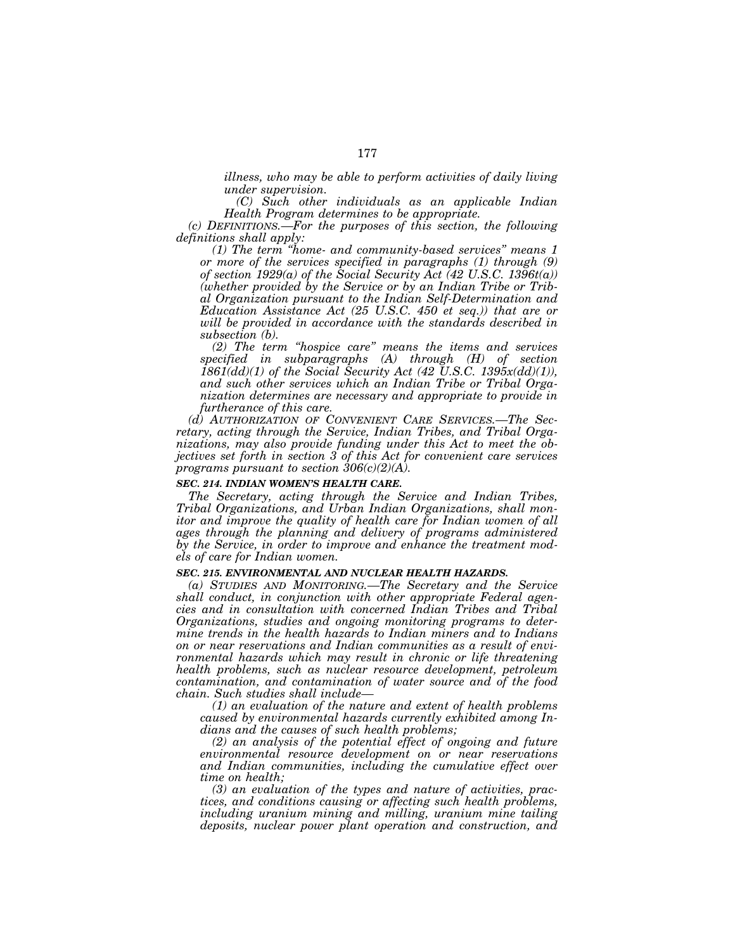*illness, who may be able to perform activities of daily living under supervision.* 

*(C) Such other individuals as an applicable Indian Health Program determines to be appropriate.* 

*(c) DEFINITIONS.—For the purposes of this section, the following definitions shall apply:* 

*(1) The term ''home- and community-based services'' means 1 or more of the services specified in paragraphs (1) through (9) of section 1929(a) of the Social Security Act (42 U.S.C. 1396t(a)) (whether provided by the Service or by an Indian Tribe or Tribal Organization pursuant to the Indian Self-Determination and Education Assistance Act (25 U.S.C. 450 et seq.)) that are or will be provided in accordance with the standards described in subsection (b).* 

*(2) The term ''hospice care'' means the items and services specified in subparagraphs (A) through (H) of section*   $1861\,dd)(1)$  of the Social Security Act (42 U.S.C. 1395 $x(dd)(1)$ ), *and such other services which an Indian Tribe or Tribal Organization determines are necessary and appropriate to provide in furtherance of this care.* 

*(d) AUTHORIZATION OF CONVENIENT CARE SERVICES.—The Secretary, acting through the Service, Indian Tribes, and Tribal Organizations, may also provide funding under this Act to meet the objectives set forth in section 3 of this Act for convenient care services programs pursuant to section 306(c)(2)(A).* 

### *SEC. 214. INDIAN WOMEN'S HEALTH CARE.*

*The Secretary, acting through the Service and Indian Tribes, Tribal Organizations, and Urban Indian Organizations, shall monitor and improve the quality of health care for Indian women of all ages through the planning and delivery of programs administered by the Service, in order to improve and enhance the treatment models of care for Indian women.* 

# *SEC. 215. ENVIRONMENTAL AND NUCLEAR HEALTH HAZARDS.*

*(a) STUDIES AND MONITORING.—The Secretary and the Service shall conduct, in conjunction with other appropriate Federal agencies and in consultation with concerned Indian Tribes and Tribal Organizations, studies and ongoing monitoring programs to determine trends in the health hazards to Indian miners and to Indians on or near reservations and Indian communities as a result of environmental hazards which may result in chronic or life threatening health problems, such as nuclear resource development, petroleum contamination, and contamination of water source and of the food chain. Such studies shall include—*

*(1) an evaluation of the nature and extent of health problems caused by environmental hazards currently exhibited among Indians and the causes of such health problems;* 

*(2) an analysis of the potential effect of ongoing and future environmental resource development on or near reservations and Indian communities, including the cumulative effect over time on health;* 

*(3) an evaluation of the types and nature of activities, practices, and conditions causing or affecting such health problems, including uranium mining and milling, uranium mine tailing deposits, nuclear power plant operation and construction, and*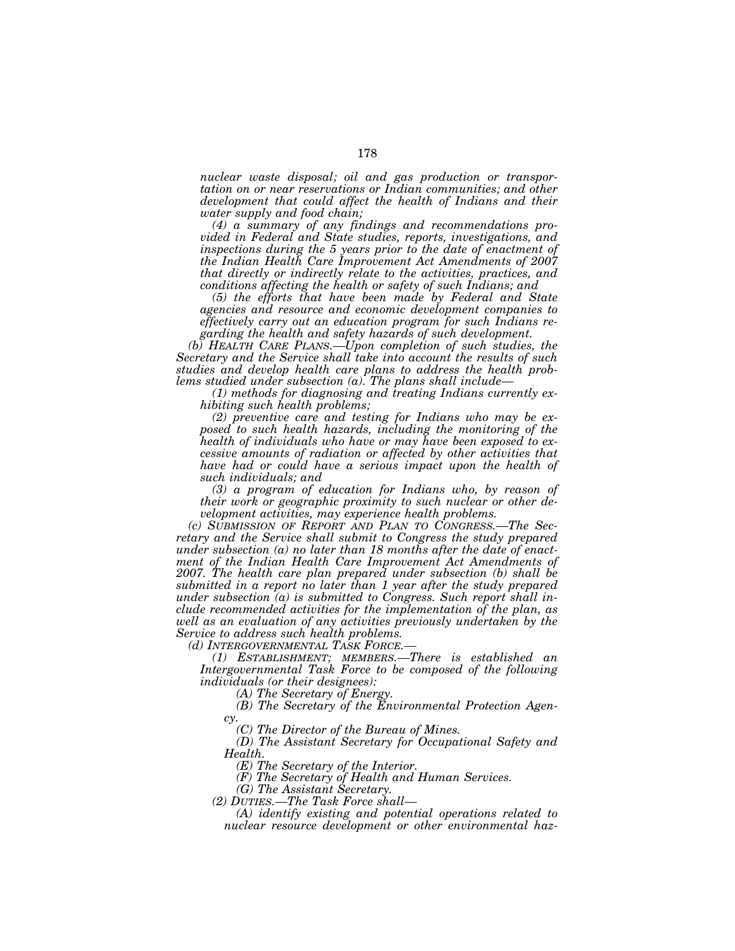*nuclear waste disposal; oil and gas production or transportation on or near reservations or Indian communities; and other development that could affect the health of Indians and their water supply and food chain;* 

*(4) a summary of any findings and recommendations provided in Federal and State studies, reports, investigations, and inspections during the 5 years prior to the date of enactment of the Indian Health Care Improvement Act Amendments of 2007 that directly or indirectly relate to the activities, practices, and conditions affecting the health or safety of such Indians; and* 

*(5) the efforts that have been made by Federal and State agencies and resource and economic development companies to effectively carry out an education program for such Indians regarding the health and safety hazards of such development.* 

*(b) HEALTH CARE PLANS.—Upon completion of such studies, the Secretary and the Service shall take into account the results of such studies and develop health care plans to address the health problems studied under subsection (a). The plans shall include—*

*(1) methods for diagnosing and treating Indians currently exhibiting such health problems;* 

*(2) preventive care and testing for Indians who may be exposed to such health hazards, including the monitoring of the health of individuals who have or may have been exposed to excessive amounts of radiation or affected by other activities that have had or could have a serious impact upon the health of such individuals; and* 

*(3) a program of education for Indians who, by reason of their work or geographic proximity to such nuclear or other development activities, may experience health problems.* 

*(c) SUBMISSION OF REPORT AND PLAN TO CONGRESS.—The Secretary and the Service shall submit to Congress the study prepared under subsection (a) no later than 18 months after the date of enactment of the Indian Health Care Improvement Act Amendments of 2007. The health care plan prepared under subsection (b) shall be submitted in a report no later than 1 year after the study prepared under subsection (a) is submitted to Congress. Such report shall include recommended activities for the implementation of the plan, as well as an evaluation of any activities previously undertaken by the Service to address such health problems.* 

*(d) INTERGOVERNMENTAL TASK FORCE.—*

*(1) ESTABLISHMENT; MEMBERS.—There is established an Intergovernmental Task Force to be composed of the following individuals (or their designees):* 

*(A) The Secretary of Energy.* 

*(B) The Secretary of the Environmental Protection Agen* $c_{\mathcal{V}}$ 

*(C) The Director of the Bureau of Mines.* 

*(D) The Assistant Secretary for Occupational Safety and Health.* 

*(E) The Secretary of the Interior.* 

*(F) The Secretary of Health and Human Services.* 

*(G) The Assistant Secretary.* 

*(2) DUTIES.—The Task Force shall—*

*(A) identify existing and potential operations related to nuclear resource development or other environmental haz-*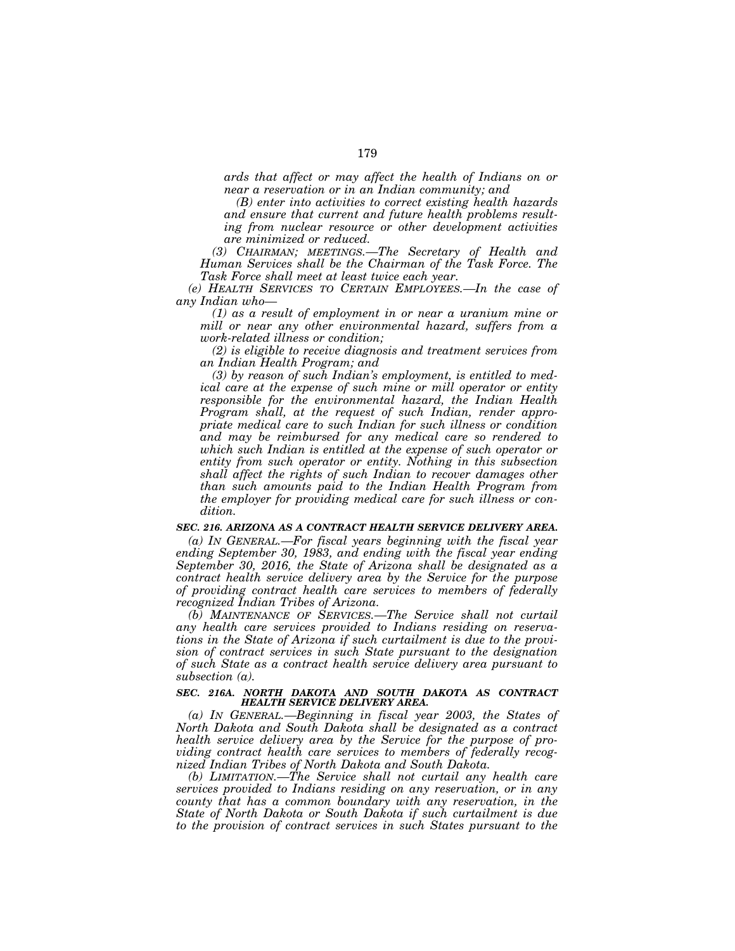*ards that affect or may affect the health of Indians on or near a reservation or in an Indian community; and* 

*(B) enter into activities to correct existing health hazards and ensure that current and future health problems resulting from nuclear resource or other development activities are minimized or reduced.* 

*(3) CHAIRMAN; MEETINGS.—The Secretary of Health and Human Services shall be the Chairman of the Task Force. The Task Force shall meet at least twice each year.* 

*(e) HEALTH SERVICES TO CERTAIN EMPLOYEES.—In the case of any Indian who—*

*(1) as a result of employment in or near a uranium mine or mill or near any other environmental hazard, suffers from a work-related illness or condition;* 

*(2) is eligible to receive diagnosis and treatment services from an Indian Health Program; and* 

*(3) by reason of such Indian's employment, is entitled to medical care at the expense of such mine or mill operator or entity responsible for the environmental hazard, the Indian Health Program shall, at the request of such Indian, render appropriate medical care to such Indian for such illness or condition and may be reimbursed for any medical care so rendered to which such Indian is entitled at the expense of such operator or entity from such operator or entity. Nothing in this subsection shall affect the rights of such Indian to recover damages other than such amounts paid to the Indian Health Program from the employer for providing medical care for such illness or condition.* 

# *SEC. 216. ARIZONA AS A CONTRACT HEALTH SERVICE DELIVERY AREA.*

*(a) IN GENERAL.—For fiscal years beginning with the fiscal year ending September 30, 1983, and ending with the fiscal year ending September 30, 2016, the State of Arizona shall be designated as a contract health service delivery area by the Service for the purpose of providing contract health care services to members of federally recognized Indian Tribes of Arizona.* 

*(b) MAINTENANCE OF SERVICES.—The Service shall not curtail any health care services provided to Indians residing on reservations in the State of Arizona if such curtailment is due to the provision of contract services in such State pursuant to the designation of such State as a contract health service delivery area pursuant to subsection (a).* 

### *SEC. 216A. NORTH DAKOTA AND SOUTH DAKOTA AS CONTRACT HEALTH SERVICE DELIVERY AREA.*

*(a) IN GENERAL.—Beginning in fiscal year 2003, the States of North Dakota and South Dakota shall be designated as a contract health service delivery area by the Service for the purpose of providing contract health care services to members of federally recognized Indian Tribes of North Dakota and South Dakota.* 

*(b) LIMITATION.—The Service shall not curtail any health care services provided to Indians residing on any reservation, or in any county that has a common boundary with any reservation, in the State of North Dakota or South Dakota if such curtailment is due to the provision of contract services in such States pursuant to the*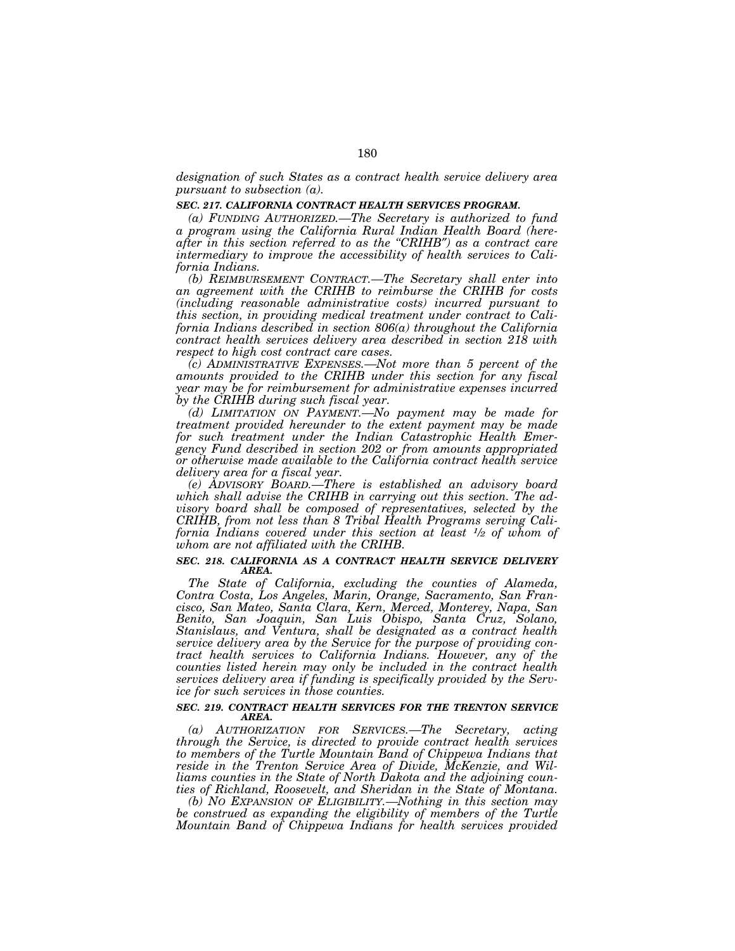*designation of such States as a contract health service delivery area pursuant to subsection (a).* 

#### *SEC. 217. CALIFORNIA CONTRACT HEALTH SERVICES PROGRAM.*

*(a) FUNDING AUTHORIZED.—The Secretary is authorized to fund a program using the California Rural Indian Health Board (hereafter in this section referred to as the ''CRIHB*″*) as a contract care intermediary to improve the accessibility of health services to California Indians.* 

*(b) REIMBURSEMENT CONTRACT.—The Secretary shall enter into an agreement with the CRIHB to reimburse the CRIHB for costs (including reasonable administrative costs) incurred pursuant to this section, in providing medical treatment under contract to California Indians described in section 806(a) throughout the California contract health services delivery area described in section 218 with respect to high cost contract care cases.* 

*(c) ADMINISTRATIVE EXPENSES.—Not more than 5 percent of the amounts provided to the CRIHB under this section for any fiscal year may be for reimbursement for administrative expenses incurred by the CRIHB during such fiscal year.* 

*(d) LIMITATION ON PAYMENT.—No payment may be made for treatment provided hereunder to the extent payment may be made for such treatment under the Indian Catastrophic Health Emergency Fund described in section 202 or from amounts appropriated or otherwise made available to the California contract health service delivery area for a fiscal year.* 

*(e) ADVISORY BOARD.—There is established an advisory board which shall advise the CRIHB in carrying out this section. The advisory board shall be composed of representatives, selected by the CRIHB, from not less than 8 Tribal Health Programs serving California Indians covered under this section at least 1⁄2 of whom of whom are not affiliated with the CRIHB.* 

#### *SEC. 218. CALIFORNIA AS A CONTRACT HEALTH SERVICE DELIVERY AREA.*

*The State of California, excluding the counties of Alameda, Contra Costa, Los Angeles, Marin, Orange, Sacramento, San Francisco, San Mateo, Santa Clara, Kern, Merced, Monterey, Napa, San Benito, San Joaquin, San Luis Obispo, Santa Cruz, Solano, Stanislaus, and Ventura, shall be designated as a contract health service delivery area by the Service for the purpose of providing contract health services to California Indians. However, any of the counties listed herein may only be included in the contract health services delivery area if funding is specifically provided by the Service for such services in those counties.* 

### *SEC. 219. CONTRACT HEALTH SERVICES FOR THE TRENTON SERVICE AREA.*

*(a) AUTHORIZATION FOR SERVICES.—The Secretary, acting through the Service, is directed to provide contract health services to members of the Turtle Mountain Band of Chippewa Indians that reside in the Trenton Service Area of Divide, McKenzie, and Williams counties in the State of North Dakota and the adjoining counties of Richland, Roosevelt, and Sheridan in the State of Montana.* 

*(b) NO EXPANSION OF ELIGIBILITY.—Nothing in this section may be construed as expanding the eligibility of members of the Turtle Mountain Band of Chippewa Indians for health services provided*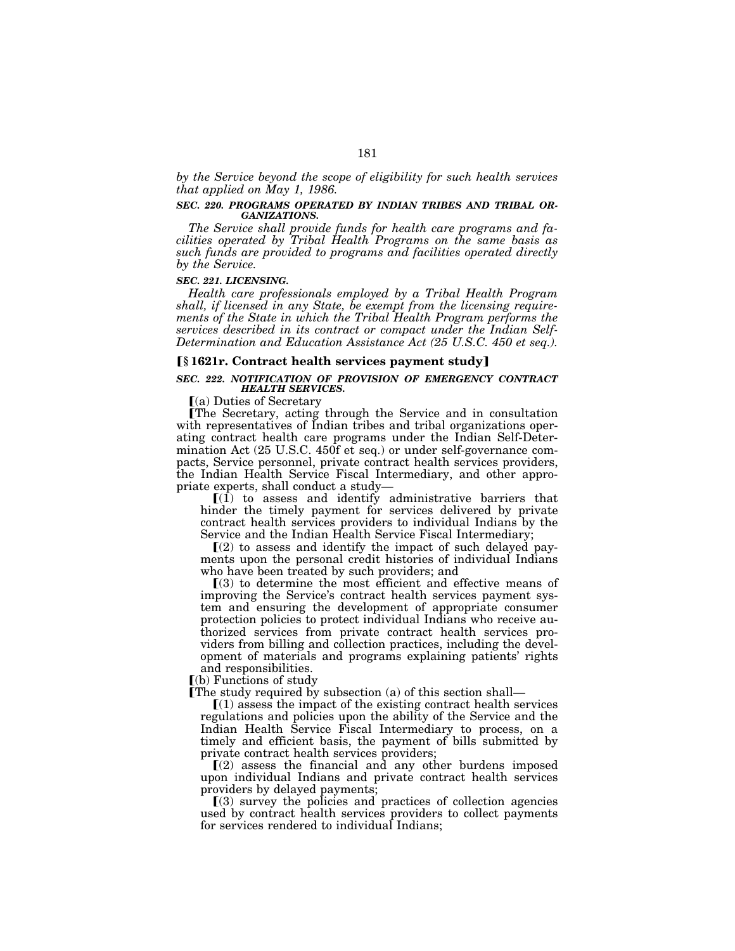*by the Service beyond the scope of eligibility for such health services that applied on May 1, 1986.* 

## *SEC. 220. PROGRAMS OPERATED BY INDIAN TRIBES AND TRIBAL OR-GANIZATIONS.*

*The Service shall provide funds for health care programs and facilities operated by Tribal Health Programs on the same basis as such funds are provided to programs and facilities operated directly by the Service.* 

#### *SEC. 221. LICENSING.*

*Health care professionals employed by a Tribal Health Program shall, if licensed in any State, be exempt from the licensing requirements of the State in which the Tribal Health Program performs the services described in its contract or compact under the Indian Self-Determination and Education Assistance Act (25 U.S.C. 450 et seq.).* 

# ø**§ 1621r. Contract health services payment study**¿

### *SEC. 222. NOTIFICATION OF PROVISION OF EMERGENCY CONTRACT HEALTH SERVICES.*

 $(a)$  Duties of Secretary

øThe Secretary, acting through the Service and in consultation with representatives of Indian tribes and tribal organizations operating contract health care programs under the Indian Self-Determination Act (25 U.S.C. 450f et seq.) or under self-governance compacts, Service personnel, private contract health services providers, the Indian Health Service Fiscal Intermediary, and other appropriate experts, shall conduct a study—

 $[(1)$  to assess and identify administrative barriers that hinder the timely payment for services delivered by private contract health services providers to individual Indians by the Service and the Indian Health Service Fiscal Intermediary;

 $(2)$  to assess and identify the impact of such delayed payments upon the personal credit histories of individual Indians who have been treated by such providers; and

 $(3)$  to determine the most efficient and effective means of improving the Service's contract health services payment system and ensuring the development of appropriate consumer protection policies to protect individual Indians who receive authorized services from private contract health services providers from billing and collection practices, including the development of materials and programs explaining patients' rights and responsibilities.

 $(a)$  Functions of study

The study required by subsection  $(a)$  of this section shall—

 $(1)$  assess the impact of the existing contract health services regulations and policies upon the ability of the Service and the Indian Health Service Fiscal Intermediary to process, on a timely and efficient basis, the payment of bills submitted by

private contract health services providers;<br>
[(2) assess the financial and any other burdens imposed upon individual Indians and private contract health services providers by delayed payments;

 $(3)$  survey the policies and practices of collection agencies used by contract health services providers to collect payments for services rendered to individual Indians;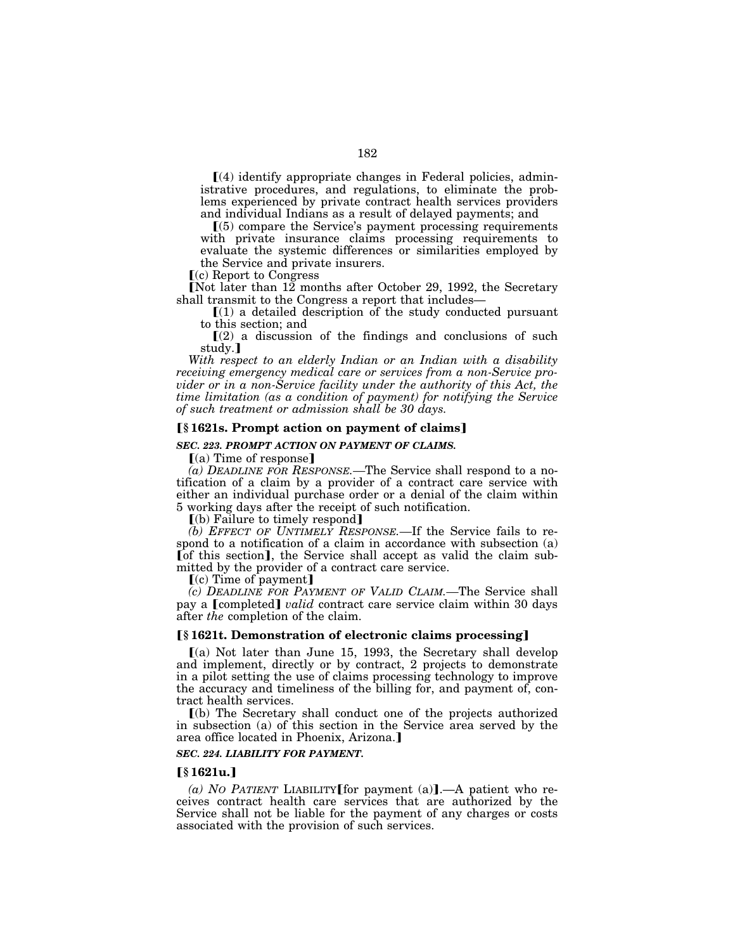$\Gamma(4)$  identify appropriate changes in Federal policies, administrative procedures, and regulations, to eliminate the problems experienced by private contract health services providers and individual Indians as a result of delayed payments; and

 $(5)$  compare the Service's payment processing requirements with private insurance claims processing requirements to evaluate the systemic differences or similarities employed by the Service and private insurers.

 $(c)$  Report to Congress

[Not later than 12 months after October 29, 1992, the Secretary shall transmit to the Congress a report that includes—

 $(1)$  a detailed description of the study conducted pursuant to this section; and

 $(2)$  a discussion of the findings and conclusions of such study.]

*With respect to an elderly Indian or an Indian with a disability receiving emergency medical care or services from a non-Service provider or in a non-Service facility under the authority of this Act, the time limitation (as a condition of payment) for notifying the Service of such treatment or admission shall be 30 days.* 

## **[§1621s. Prompt action on payment of claims]**

### *SEC. 223. PROMPT ACTION ON PAYMENT OF CLAIMS.*

 $(a)$  Time of response

*(a) DEADLINE FOR RESPONSE.—*The Service shall respond to a notification of a claim by a provider of a contract care service with either an individual purchase order or a denial of the claim within 5 working days after the receipt of such notification.

 $\lceil$ (b) Failure to timely respond

*(b) EFFECT OF UNTIMELY RESPONSE.—*If the Service fails to respond to a notification of a claim in accordance with subsection (a) [of this section], the Service shall accept as valid the claim submitted by the provider of a contract care service.

 $\lceil$ (c) Time of payment]

*(c) DEADLINE FOR PAYMENT OF VALID CLAIM.—*The Service shall pay a **[completed]** *valid* contract care service claim within 30 days after *the* completion of the claim.

### ø**§ 1621t. Demonstration of electronic claims processing**¿

 $(a)$  Not later than June 15, 1993, the Secretary shall develop and implement, directly or by contract, 2 projects to demonstrate in a pilot setting the use of claims processing technology to improve the accuracy and timeliness of the billing for, and payment of, contract health services.

ø(b) The Secretary shall conduct one of the projects authorized in subsection (a) of this section in the Service area served by the area office located in Phoenix, Arizona.

## *SEC. 224. LIABILITY FOR PAYMENT.*

## ø**§ 1621u.**¿

(a) NO PATIENT LIABILITY for payment (a).—A patient who receives contract health care services that are authorized by the Service shall not be liable for the payment of any charges or costs associated with the provision of such services.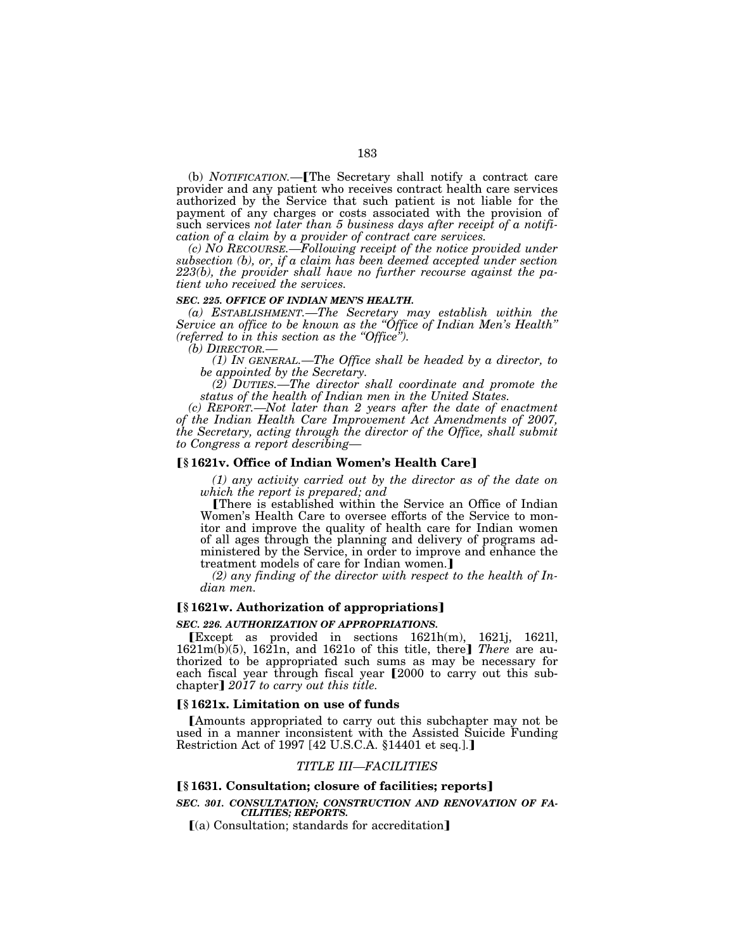(b) *NOTIFICATION*.—**[The Secretary shall notify a contract care** provider and any patient who receives contract health care services authorized by the Service that such patient is not liable for the payment of any charges or costs associated with the provision of such services *not later than 5 business days after receipt of a notification of a claim by a provider of contract care services.* 

*(c) NO RECOURSE.—Following receipt of the notice provided under subsection (b), or, if a claim has been deemed accepted under section 223(b), the provider shall have no further recourse against the patient who received the services.* 

#### *SEC. 225. OFFICE OF INDIAN MEN'S HEALTH.*

*(a) ESTABLISHMENT.—The Secretary may establish within the Service an office to be known as the ''Office of Indian Men's Health'' (referred to in this section as the ''Office'').* 

*(1) IN GENERAL.—The Office shall be headed by a director, to be appointed by the Secretary.* 

*(2) DUTIES.—The director shall coordinate and promote the status of the health of Indian men in the United States.* 

*(c) REPORT.—Not later than 2 years after the date of enactment of the Indian Health Care Improvement Act Amendments of 2007, the Secretary, acting through the director of the Office, shall submit to Congress a report describing—*

# ø**§ 1621v. Office of Indian Women's Health Care**¿

*(1) any activity carried out by the director as of the date on which the report is prepared; and* 

øThere is established within the Service an Office of Indian Women's Health Care to oversee efforts of the Service to monitor and improve the quality of health care for Indian women of all ages through the planning and delivery of programs administered by the Service, in order to improve and enhance the treatment models of care for Indian women.]

*(2) any finding of the director with respect to the health of Indian men.* 

# ø**§ 1621w. Authorization of appropriations**¿

#### *SEC. 226. AUTHORIZATION OF APPROPRIATIONS.*

øExcept as provided in sections 1621h(m), 1621j, 1621l, 1621m(b)(5), 1621n, and 1621o of this title, there¿ *There* are authorized to be appropriated such sums as may be necessary for each fiscal year through fiscal year [2000 to carry out this subchapter] 2017 to carry out this title.

### ø**§ 1621x. Limitation on use of funds**

**IAmounts appropriated to carry out this subchapter may not be** used in a manner inconsistent with the Assisted Suicide Funding Restriction Act of 1997 [42 U.S.C.A. §14401 et seq.].]

# *TITLE III—FACILITIES*

# ø**§ 1631. Consultation; closure of facilities; reports**¿

## *SEC. 301. CONSULTATION; CONSTRUCTION AND RENOVATION OF FA-CILITIES; REPORTS.*

 $(a)$  Consultation; standards for accreditation]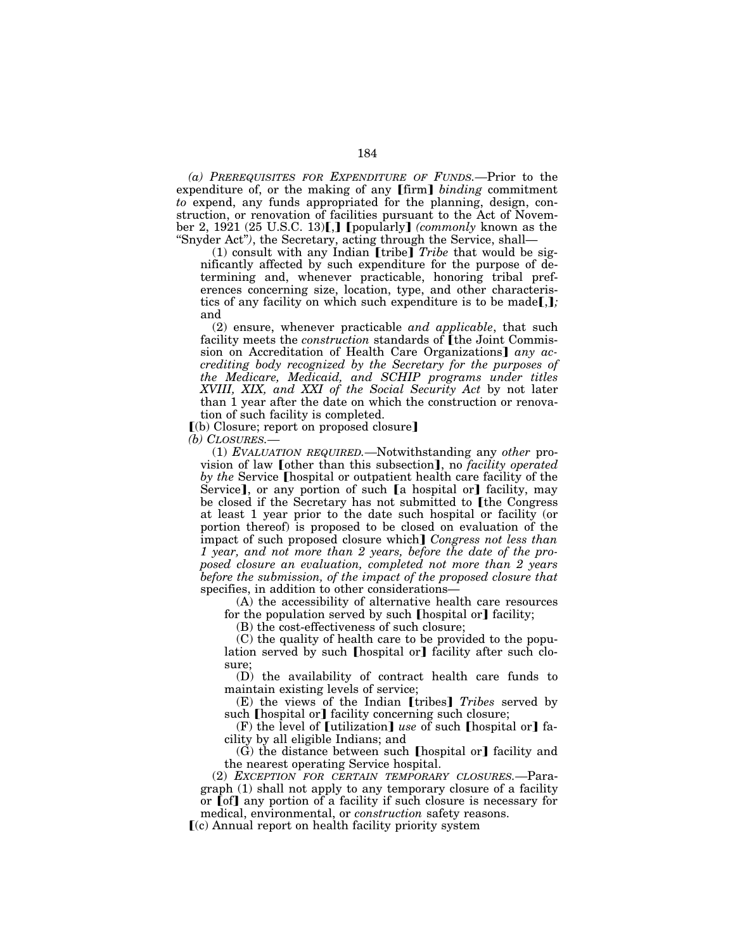*(a) PREREQUISITES FOR EXPENDITURE OF FUNDS.—*Prior to the expenditure of, or the making of any **[firm]** *binding* commitment *to* expend, any funds appropriated for the planning, design, construction, or renovation of facilities pursuant to the Act of November 2, 1921 (25 U.S.C. 13)[,] [popularly] *(commonly known as the* ''Snyder Act''*)*, the Secretary, acting through the Service, shall—

(1) consult with any Indian  $[$ tribe $]$  *Tribe* that would be significantly affected by such expenditure for the purpose of determining and, whenever practicable, honoring tribal preferences concerning size, location, type, and other characteristics of any facility on which such expenditure is to be made[,]; and

(2) ensure, whenever practicable *and applicable*, that such facility meets the *construction* standards of [the Joint Commission on Accreditation of Health Care Organizations any ac*crediting body recognized by the Secretary for the purposes of the Medicare, Medicaid, and SCHIP programs under titles XVIII, XIX, and XXI of the Social Security Act* by not later than 1 year after the date on which the construction or renovation of such facility is completed.

 $(a)$  Closure; report on proposed closure]

*(b) CLOSURES.—*

(1) *EVALUATION REQUIRED.—*Notwithstanding any *other* provision of law **[other than this subsection]**, no *facility operated by the Service* **[hospital or outpatient health care facility of the** Service], or any portion of such [a hospital or] facility, may be closed if the Secretary has not submitted to [the Congress at least 1 year prior to the date such hospital or facility (or portion thereof) is proposed to be closed on evaluation of the impact of such proposed closure which] *Congress not less than 1 year, and not more than 2 years, before the date of the proposed closure an evaluation, completed not more than 2 years before the submission, of the impact of the proposed closure that*  specifies, in addition to other considerations—

(A) the accessibility of alternative health care resources for the population served by such  $[$ hospital or $]$  facility;

(B) the cost-effectiveness of such closure;

(C) the quality of health care to be provided to the population served by such [hospital or] facility after such closure;

(D) the availability of contract health care funds to maintain existing levels of service;

(E) the views of the Indian [tribes] *Tribes* served by such [hospital or] facility concerning such closure;

 $(F)$  the level of [utilization] *use* of such [hospital or] facility by all eligible Indians; and

 $(G)$  the distance between such [hospital or] facility and the nearest operating Service hospital.

(2) *EXCEPTION FOR CERTAIN TEMPORARY CLOSURES.—*Paragraph (1) shall not apply to any temporary closure of a facility or **[of]** any portion of a facility if such closure is necessary for medical, environmental, or *construction* safety reasons.

ø(c) Annual report on health facility priority system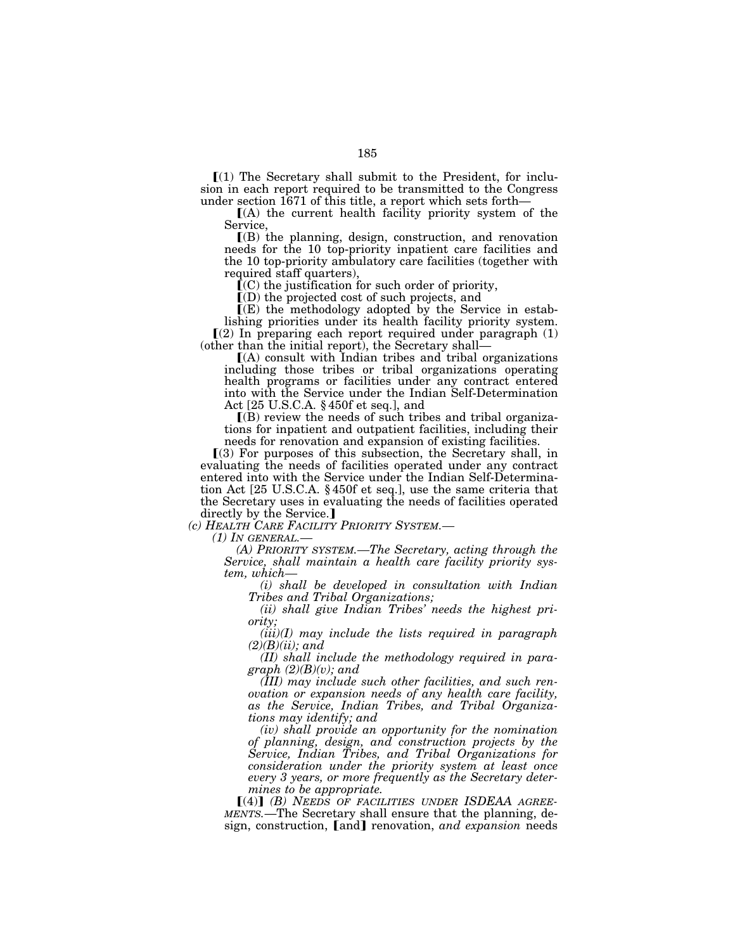$\Gamma(1)$  The Secretary shall submit to the President, for inclusion in each report required to be transmitted to the Congress under section 1671 of this title, a report which sets forth—<br> $[(A)$  the current health facility priority system of the

Service,

 $($ B) the planning, design, construction, and renovation needs for the 10 top-priority inpatient care facilities and the 10 top-priority ambulatory care facilities (together with required staff quarters),

 $(C)$  the justification for such order of priority,

 $\overline{I}(D)$  the projected cost of such projects, and

 $\Gamma(E)$  the methodology adopted by the Service in estab-

lishing priorities under its health facility priority system.  $(2)$  In preparing each report required under paragraph  $(1)$  (other than the initial report), the Secretary shall—

 $(A)$  consult with Indian tribes and tribal organizations including those tribes or tribal organizations operating health programs or facilities under any contract entered into with the Service under the Indian Self-Determination Act [25 U.S.C.A. § 450f et seq.], and

 $\Gamma(B)$  review the needs of such tribes and tribal organizations for inpatient and outpatient facilities, including their needs for renovation and expansion of existing facilities.

 $(3)$  For purposes of this subsection, the Secretary shall, in evaluating the needs of facilities operated under any contract entered into with the Service under the Indian Self-Determination Act [25 U.S.C.A. § 450f et seq.], use the same criteria that the Secretary uses in evaluating the needs of facilities operated directly by the Service.

*(c) HEALTH CARE FACILITY PRIORITY SYSTEM.—*

*(1) IN GENERAL.— (A) PRIORITY SYSTEM.—The Secretary, acting through the Service, shall maintain a health care facility priority sys-*

*(i)* shall be developed in consultation with Indian *Tribes and Tribal Organizations;* 

*(ii) shall give Indian Tribes' needs the highest priority;* 

*(iii)(I) may include the lists required in paragraph (2)(B)(ii); and* 

*(II) shall include the methodology required in paragraph (2)(B)(v); and* 

*(III) may include such other facilities, and such renovation or expansion needs of any health care facility, as the Service, Indian Tribes, and Tribal Organizations may identify; and* 

*(iv) shall provide an opportunity for the nomination of planning, design, and construction projects by the Service, Indian Tribes, and Tribal Organizations for consideration under the priority system at least once every 3 years, or more frequently as the Secretary determines to be appropriate.* 

[(4)] (B) NEEDS OF FACILITIES UNDER ISDEAA AGREE-*MENTS.*—The Secretary shall ensure that the planning, design, construction, [and] renovation, *and expansion* needs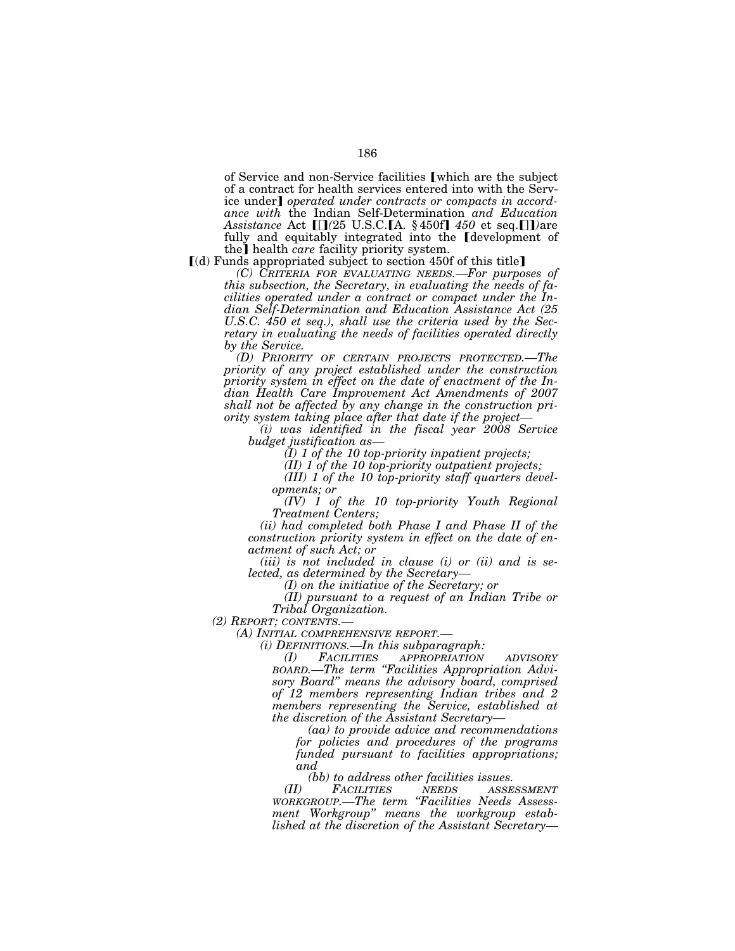of Service and non-Service facilities *[which are the subject* of a contract for health services entered into with the Service under] *operated under contracts or compacts in accordance with* the Indian Self-Determination *and Education Assistance* Act *[[]*(25 U.S.C.**[**A. § 450f] 450 et seq.*[]]*)are fully and equitably integrated into the *development* of the<sup>*j*</sup> health *care* facility priority system.

 $(d)$  Funds appropriated subject to section 450f of this title]

*(C) CRITERIA FOR EVALUATING NEEDS.—For purposes of this subsection, the Secretary, in evaluating the needs of facilities operated under a contract or compact under the Indian Self-Determination and Education Assistance Act (25 U.S.C. 450 et seq.), shall use the criteria used by the Secretary in evaluating the needs of facilities operated directly by the Service.* 

*(D) PRIORITY OF CERTAIN PROJECTS PROTECTED.—The priority of any project established under the construction priority system in effect on the date of enactment of the Indian Health Care Improvement Act Amendments of 2007 shall not be affected by any change in the construction priority system taking place after that date if the project—*

*(i) was identified in the fiscal year 2008 Service budget justification as—*

*(I) 1 of the 10 top-priority inpatient projects;* 

*(II) 1 of the 10 top-priority outpatient projects;* 

*(III) 1 of the 10 top-priority staff quarters developments; or* 

*(IV) 1 of the 10 top-priority Youth Regional Treatment Centers;* 

*(ii) had completed both Phase I and Phase II of the construction priority system in effect on the date of enactment of such Act; or* 

*(iii) is not included in clause (i) or (ii) and is selected, as determined by the Secretary— (I) on the initiative of the Secretary; or* 

*(II) pursuant to a request of an Indian Tribe or Tribal Organization.*<br>(2) *REPORT*; *CONTENTS.*—

*(2) REPORT; CONTENTS.— (A) INITIAL COMPREHENSIVE REPORT.— (i) DEFINITIONS.—In this subparagraph:* 

*(I) FACILITIES APPROPRIATION ADVISORY BOARD.—The term ''Facilities Appropriation Advisory Board'' means the advisory board, comprised of 12 members representing Indian tribes and 2 members representing the Service, established at the discretion of the Assistant Secretary—*

*(aa) to provide advice and recommendations for policies and procedures of the programs funded pursuant to facilities appropriations; and* 

*(bb) to address other facilities issues.* 

*(II) FACILITIES NEEDS ASSESSMENT WORKGROUP.—The term ''Facilities Needs Assessment Workgroup'' means the workgroup established at the discretion of the Assistant Secretary—*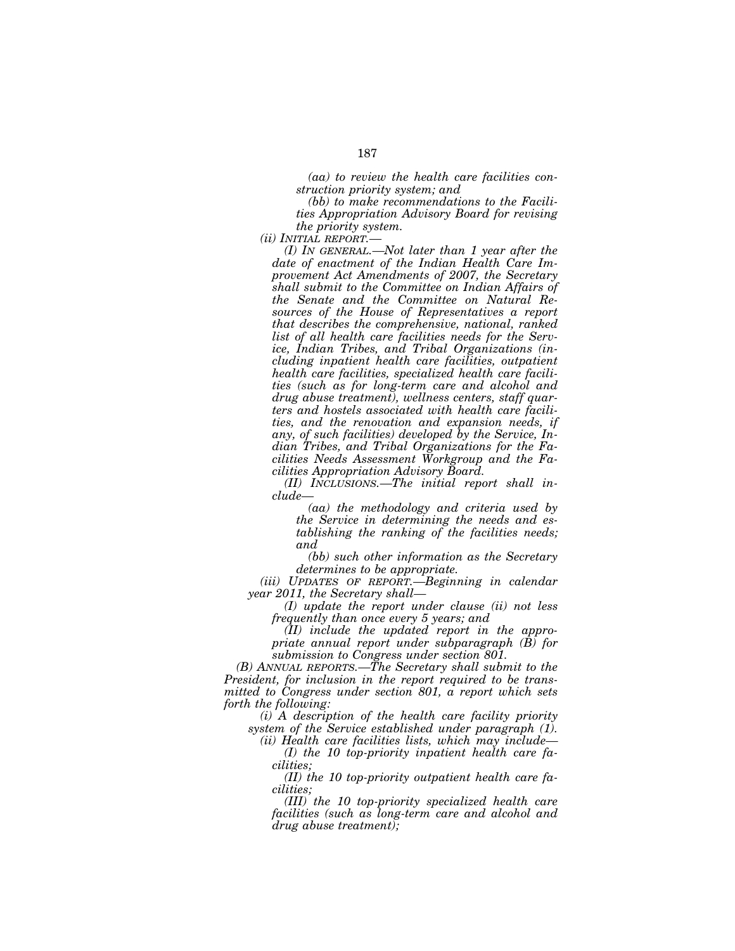*(aa) to review the health care facilities construction priority system; and* 

*(bb) to make recommendations to the Facilities Appropriation Advisory Board for revising the priority system.* 

*(ii) INITIAL REPORT.—*

*(I) IN GENERAL.—Not later than 1 year after the date of enactment of the Indian Health Care Improvement Act Amendments of 2007, the Secretary shall submit to the Committee on Indian Affairs of the Senate and the Committee on Natural Resources of the House of Representatives a report that describes the comprehensive, national, ranked list of all health care facilities needs for the Service, Indian Tribes, and Tribal Organizations (including inpatient health care facilities, outpatient health care facilities, specialized health care facilities (such as for long-term care and alcohol and drug abuse treatment), wellness centers, staff quarters and hostels associated with health care facilities, and the renovation and expansion needs, if any, of such facilities) developed by the Service, Indian Tribes, and Tribal Organizations for the Facilities Needs Assessment Workgroup and the Facilities Appropriation Advisory Board.* 

*(II) INCLUSIONS.—The initial report shall include—*

*(aa) the methodology and criteria used by the Service in determining the needs and establishing the ranking of the facilities needs; and* 

*(bb) such other information as the Secretary determines to be appropriate.* 

*(iii) UPDATES OF REPORT.—Beginning in calendar year 2011, the Secretary shall—*

*(I) update the report under clause (ii) not less frequently than once every 5 years; and* 

*(II) include the updated report in the appropriate annual report under subparagraph (B) for submission to Congress under section 801.* 

*(B) ANNUAL REPORTS.—The Secretary shall submit to the President, for inclusion in the report required to be transmitted to Congress under section 801, a report which sets forth the following:* 

*(i) A description of the health care facility priority system of the Service established under paragraph (1).* 

*(ii) Health care facilities lists, which may include— (I) the 10 top-priority inpatient health care fa-*

*cilities;* 

*(II) the 10 top-priority outpatient health care facilities;* 

*(III) the 10 top-priority specialized health care facilities (such as long-term care and alcohol and drug abuse treatment);*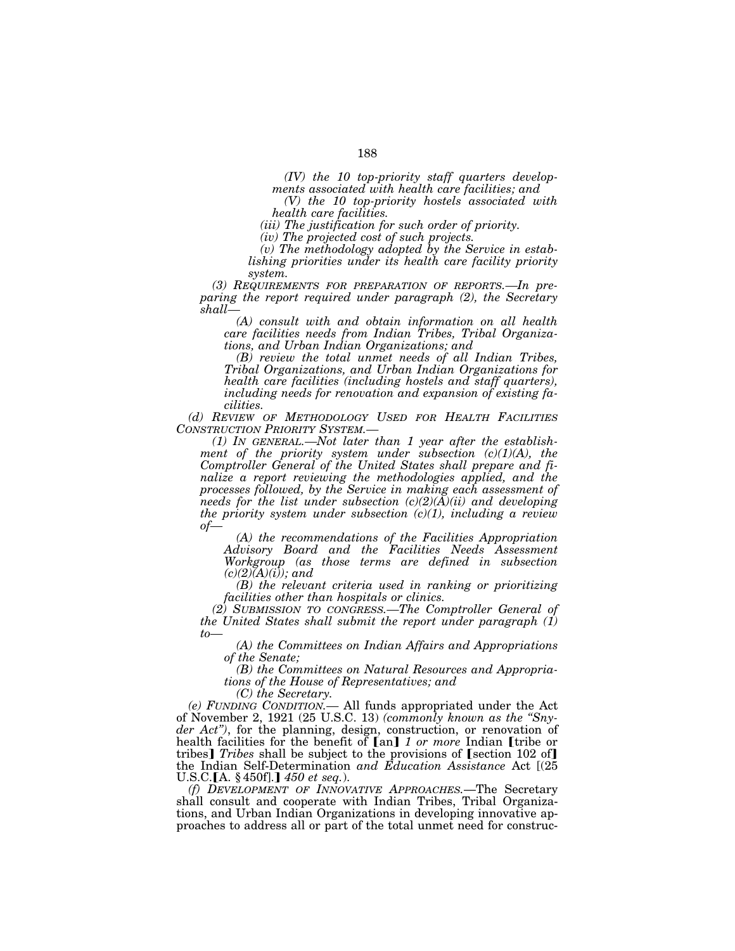*(IV) the 10 top-priority staff quarters developments associated with health care facilities; and* 

*(V) the 10 top-priority hostels associated with health care facilities.* 

*(iii) The justification for such order of priority.* 

*(iv) The projected cost of such projects.* 

*(v) The methodology adopted by the Service in establishing priorities under its health care facility priority system.* 

*(3) REQUIREMENTS FOR PREPARATION OF REPORTS.—In preparing the report required under paragraph (2), the Secretary shall—*

*(A) consult with and obtain information on all health care facilities needs from Indian Tribes, Tribal Organizations, and Urban Indian Organizations; and* 

*(B) review the total unmet needs of all Indian Tribes, Tribal Organizations, and Urban Indian Organizations for health care facilities (including hostels and staff quarters), including needs for renovation and expansion of existing facilities.* 

*(d) REVIEW OF METHODOLOGY USED FOR HEALTH FACILITIES*

*CONSTRIMAL CONSTRIMAL Properior inc. System in the establishment of the priority system under subsection (c)(1)(A), the Comptroller General of the United States shall prepare and finalize a report reviewing the methodologies applied, and the processes followed, by the Service in making each assessment of needs for the list under subsection (c)(2)(A)(ii) and developing the priority system under subsection (c)(1), including a review of— (A) the recommendations of the Facilities Appropriation* 

*Advisory Board and the Facilities Needs Assessment Workgroup (as those terms are defined in subsection*   $(c)(2)$  $(A)(i)$ ; and

*(B) the relevant criteria used in ranking or prioritizing facilities other than hospitals or clinics.* 

*(2) SUBMISSION TO CONGRESS.—The Comptroller General of the United States shall submit the report under paragraph (1)* 

*to— (A) the Committees on Indian Affairs and Appropriations of the Senate;* 

*(B) the Committees on Natural Resources and Appropriations of the House of Representatives; and* 

*(C) the Secretary.* 

*(e) FUNDING CONDITION.—* All funds appropriated under the Act of November 2, 1921 (25 U.S.C. 13) *(commonly known as the ''Snyder Act'')*, for the planning, design, construction, or renovation of health facilities for the benefit of [an] 1 or more Indian [tribe or tribes] *Tribes* shall be subject to the provisions of [section 102 of] the Indian Self-Determination *and Education Assistance* Act [(25 U.S.C.[A. § 450f].] 450 et seq.).

*(f) DEVELOPMENT OF INNOVATIVE APPROACHES.*—The Secretary shall consult and cooperate with Indian Tribes, Tribal Organizations, and Urban Indian Organizations in developing innovative approaches to address all or part of the total unmet need for construc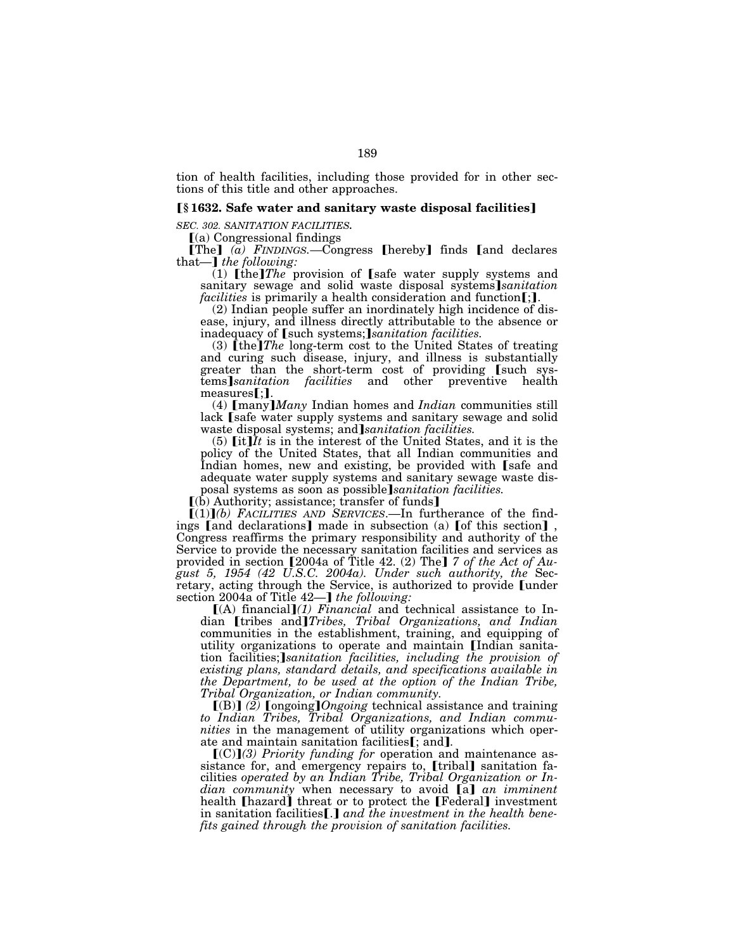tion of health facilities, including those provided for in other sections of this title and other approaches.

### ø**§ 1632. Safe water and sanitary waste disposal facilities**¿

*SEC. 302. SANITATION FACILITIES.* 

 $(a)$  Congressional findings

**[The]**  $\overline{a}$  *FINDINGS.*—Congress **[hereby]** finds **[and declares** that—*] the following*:

(1)  $[$ the $]$ *The* provision of  $[$ safe water supply systems and sanitary sewage and solid waste disposal systems]*sanitation facilities* is primarily a health consideration and function [;].

(2) Indian people suffer an inordinately high incidence of disease, injury, and illness directly attributable to the absence or inadequacy of [such systems;]sanitation facilities.

 $(3)$  [the]*The* long-term cost to the United States of treating and curing such disease, injury, and illness is substantially greater than the short-term cost of providing [such systems]*sanitation facilities* and other preventive health measures [;].<br>(4)  $\text{[many Indian homes and Indian communities still}$ 

lack (safe water supply systems and sanitary sewage and solid waste disposal systems; and *sanitation facilities*.

(5)  $\left[$ it] $\hat{I}t$  is in the interest of the United States, and it is the policy of the United States, that all Indian communities and Indian homes, new and existing, be provided with [safe and adequate water supply systems and sanitary sewage waste disposal systems as soon as possible sanitation facilities.

 $(6)$  Authority; assistance; transfer of funds]

 $[(1)]$ (b) FACILITIES AND SERVICES.—In furtherance of the findings [and declarations] made in subsection (a) [of this section], Congress reaffirms the primary responsibility and authority of the Service to provide the necessary sanitation facilities and services as provided in section [2004a of Title 42. (2) The] 7 of the Act of Au*gust 5, 1954 (42 U.S.C. 2004a). Under such authority, the* Secretary, acting through the Service, is authorized to provide [under section 2004a of Title 42—**]** the following:

 $[(A)$  financial $](1)$  *Financial* and technical assistance to Indian [tribes and]Tribes, Tribal Organizations, and Indian communities in the establishment, training, and equipping of utility organizations to operate and maintain [Indian sanitation facilities; *sanitation facilities, including the provision of existing plans, standard details, and specifications available in the Department, to be used at the option of the Indian Tribe, Tribal Organization, or Indian community.* 

[(B)] (2) **[**ongoing**]***Ongoing* technical assistance and training *to Indian Tribes, Tribal Organizations, and Indian communities* in the management of utility organizations which operate and maintain sanitation facilities[; and].

[(C)](3) Priority funding for operation and maintenance assistance for, and emergency repairs to, [tribal] sanitation facilities *operated by an Indian Tribe, Tribal Organization or Indian community* when necessary to avoid [a] *an imminent* health [hazard] threat or to protect the [Federal] investment in sanitation facilities [.] and the investment in the health bene*fits gained through the provision of sanitation facilities.*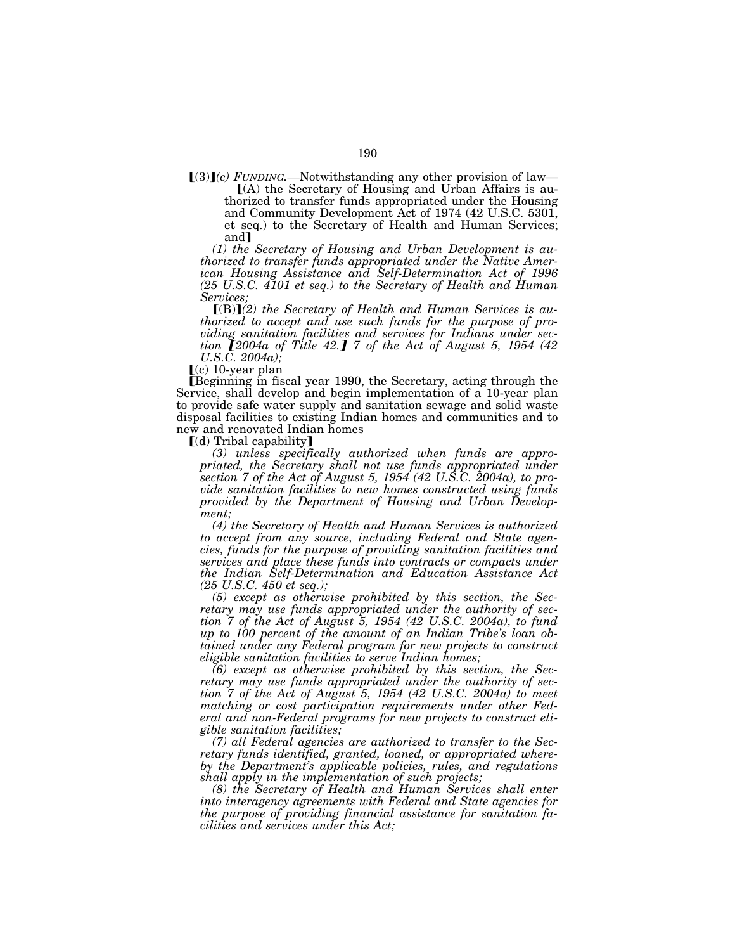$[(3)](c)$  *FUNDING.*—Notwithstanding any other provision of law—<br> $[(A)$  the Secretary of Housing and Urban Affairs is authorized to transfer funds appropriated under the Housing and Community Development Act of 1974 (42 U.S.C. 5301, et seq.) to the Secretary of Health and Human Services; and<sup>1</sup>

*(1) the Secretary of Housing and Urban Development is authorized to transfer funds appropriated under the Native American Housing Assistance and Self-Determination Act of 1996 (25 U.S.C. 4101 et seq.) to the Secretary of Health and Human Services;* 

[(B)](2) the Secretary of Health and Human Services is au*thorized to accept and use such funds for the purpose of providing sanitation facilities and services for Indians under section 12004a of Title 42.*Ⅰ 7 *of the Act of August 5, 1954 (42 U.S.C. 2004a);* 

 $(c)$  10-year plan

øBeginning in fiscal year 1990, the Secretary, acting through the Service, shall develop and begin implementation of a 10-year plan to provide safe water supply and sanitation sewage and solid waste disposal facilities to existing Indian homes and communities and to new and renovated Indian homes

[(d) Tribal capability]

*(3) unless specifically authorized when funds are appropriated, the Secretary shall not use funds appropriated under section 7 of the Act of August 5, 1954 (42 U.S.C. 2004a), to provide sanitation facilities to new homes constructed using funds provided by the Department of Housing and Urban Development;* 

*(4) the Secretary of Health and Human Services is authorized to accept from any source, including Federal and State agencies, funds for the purpose of providing sanitation facilities and services and place these funds into contracts or compacts under the Indian Self-Determination and Education Assistance Act (25 U.S.C. 450 et seq.);* 

*(5) except as otherwise prohibited by this section, the Secretary may use funds appropriated under the authority of section 7 of the Act of August 5, 1954 (42 U.S.C. 2004a), to fund up to 100 percent of the amount of an Indian Tribe's loan obtained under any Federal program for new projects to construct eligible sanitation facilities to serve Indian homes;* 

*(6) except as otherwise prohibited by this section, the Secretary may use funds appropriated under the authority of section 7 of the Act of August 5, 1954 (42 U.S.C. 2004a) to meet matching or cost participation requirements under other Federal and non-Federal programs for new projects to construct eligible sanitation facilities;* 

*(7) all Federal agencies are authorized to transfer to the Secretary funds identified, granted, loaned, or appropriated whereby the Department's applicable policies, rules, and regulations shall apply in the implementation of such projects;* 

*(8) the Secretary of Health and Human Services shall enter into interagency agreements with Federal and State agencies for the purpose of providing financial assistance for sanitation facilities and services under this Act;*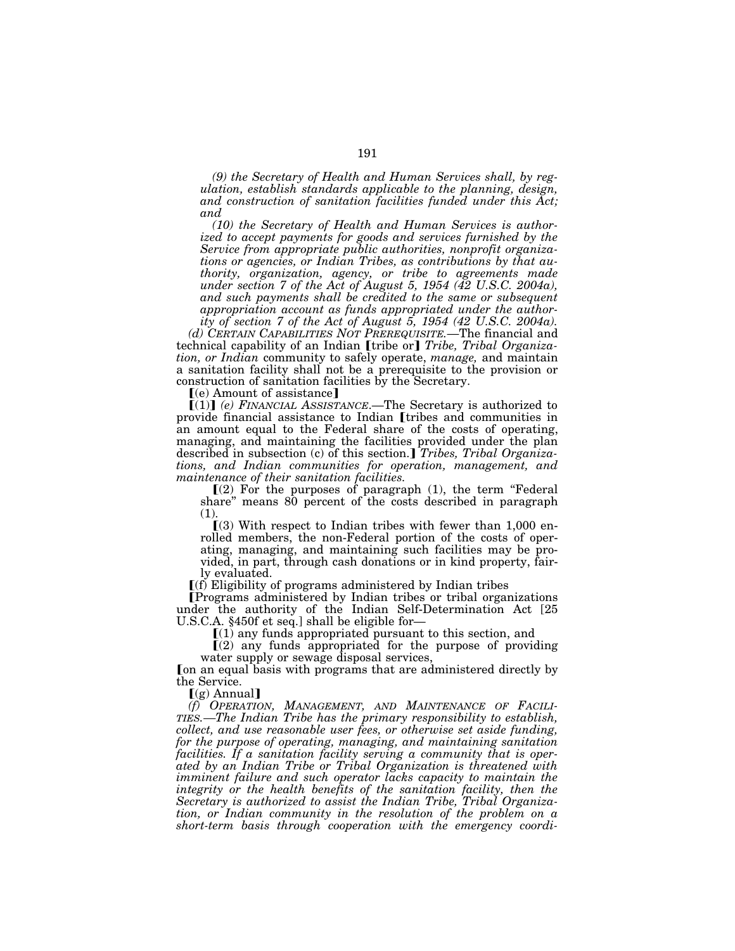*(9) the Secretary of Health and Human Services shall, by regulation, establish standards applicable to the planning, design, and construction of sanitation facilities funded under this Act; and* 

*(10) the Secretary of Health and Human Services is authorized to accept payments for goods and services furnished by the Service from appropriate public authorities, nonprofit organizations or agencies, or Indian Tribes, as contributions by that authority, organization, agency, or tribe to agreements made under section 7 of the Act of August 5, 1954 (42 U.S.C. 2004a), and such payments shall be credited to the same or subsequent appropriation account as funds appropriated under the authority of section 7 of the Act of August 5, 1954 (42 U.S.C. 2004a).* 

*(d) CERTAIN CAPABILITIES NOT PREREQUISITE.*—The financial and technical capability of an Indian *[tribe or] Tribe, Tribal Organization, or Indian* community to safely operate, *manage,* and maintain a sanitation facility shall not be a prerequisite to the provision or construction of sanitation facilities by the Secretary.

 $(e)$  Amount of assistance]

ø(1)¿ *(e) FINANCIAL ASSISTANCE*.—The Secretary is authorized to provide financial assistance to Indian *ultibes* and communities in an amount equal to the Federal share of the costs of operating, managing, and maintaining the facilities provided under the plan described in subsection (c) of this section.] *Tribes, Tribal Organizations, and Indian communities for operation, management, and maintenance of their sanitation facilities.* 

 $(2)$  For the purposes of paragraph  $(1)$ , the term "Federal share'' means 80 percent of the costs described in paragraph (1).

 $(3)$  With respect to Indian tribes with fewer than 1,000 enrolled members, the non-Federal portion of the costs of operating, managing, and maintaining such facilities may be provided, in part, through cash donations or in kind property, fairly evaluated.

 $\lfloor$ (f) Eligibility of programs administered by Indian tribes

øPrograms administered by Indian tribes or tribal organizations under the authority of the Indian Self-Determination Act [25 U.S.C.A. §450f et seq.] shall be eligible for— U.S.C.A. §450f et seq.] shall be eligible for—<br> $[(1)$  any funds appropriated pursuant to this section, and

 $(2)$  any funds appropriated for the purpose of providing water supply or sewage disposal services,

Ion an equal basis with programs that are administered directly by the Service.

 $(q)$  Annual]

*(f) OPERATION, MANAGEMENT, AND MAINTENANCE OF FACILI-TIES.—The Indian Tribe has the primary responsibility to establish, collect, and use reasonable user fees, or otherwise set aside funding, for the purpose of operating, managing, and maintaining sanitation*  facilities. If a sanitation facility serving a community that is oper*ated by an Indian Tribe or Tribal Organization is threatened with imminent failure and such operator lacks capacity to maintain the integrity or the health benefits of the sanitation facility, then the Secretary is authorized to assist the Indian Tribe, Tribal Organization, or Indian community in the resolution of the problem on a short-term basis through cooperation with the emergency coordi-*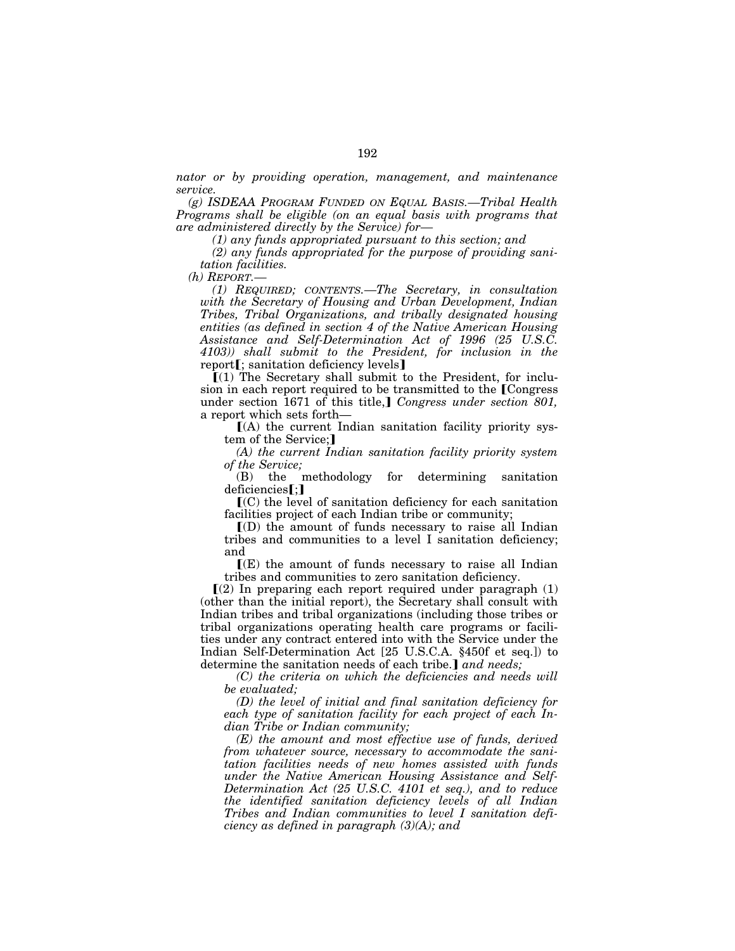*nator or by providing operation, management, and maintenance service.* 

*(g) ISDEAA PROGRAM FUNDED ON EQUAL BASIS.—Tribal Health Programs shall be eligible (on an equal basis with programs that are administered directly by the Service) for—*

*(1) any funds appropriated pursuant to this section; and* 

*(2) any funds appropriated for the purpose of providing sanitation facilities.* 

*(h) REPORT.—*

*(1) REQUIRED; CONTENTS.—The Secretary, in consultation with the Secretary of Housing and Urban Development, Indian Tribes, Tribal Organizations, and tribally designated housing entities (as defined in section 4 of the Native American Housing Assistance and Self-Determination Act of 1996 (25 U.S.C. 4103)) shall submit to the President, for inclusion in the*  report $\mathbf{f}$ ; sanitation deficiency levels $\mathbf{l}$ 

 $\tilde{I}(1)$  The Secretary shall submit to the President, for inclusion in each report required to be transmitted to the Congress under section 1671 of this title,] *Congress under section 801*, a report which sets forth—

 $(A)$  the current Indian sanitation facility priority system of the Service;

*(A) the current Indian sanitation facility priority system of the Service;* 

(B) the methodology for determining sanitation deficiencies[;]

 $\mathbf{I}(\mathbf{C})$  the level of sanitation deficiency for each sanitation facilities project of each Indian tribe or community;

 $I(D)$  the amount of funds necessary to raise all Indian tribes and communities to a level I sanitation deficiency; and

 $\Gamma(E)$  the amount of funds necessary to raise all Indian tribes and communities to zero sanitation deficiency.

 $\Gamma(2)$  In preparing each report required under paragraph  $(1)$ (other than the initial report), the Secretary shall consult with Indian tribes and tribal organizations (including those tribes or tribal organizations operating health care programs or facilities under any contract entered into with the Service under the Indian Self-Determination Act [25 U.S.C.A. §450f et seq.]) to determine the sanitation needs of each tribe.] and needs;

*(C) the criteria on which the deficiencies and needs will be evaluated;* 

*(D) the level of initial and final sanitation deficiency for each type of sanitation facility for each project of each Indian Tribe or Indian community;* 

*(E) the amount and most effective use of funds, derived from whatever source, necessary to accommodate the sanitation facilities needs of new homes assisted with funds under the Native American Housing Assistance and Self-Determination Act (25 U.S.C. 4101 et seq.), and to reduce the identified sanitation deficiency levels of all Indian Tribes and Indian communities to level I sanitation deficiency as defined in paragraph (3)(A); and*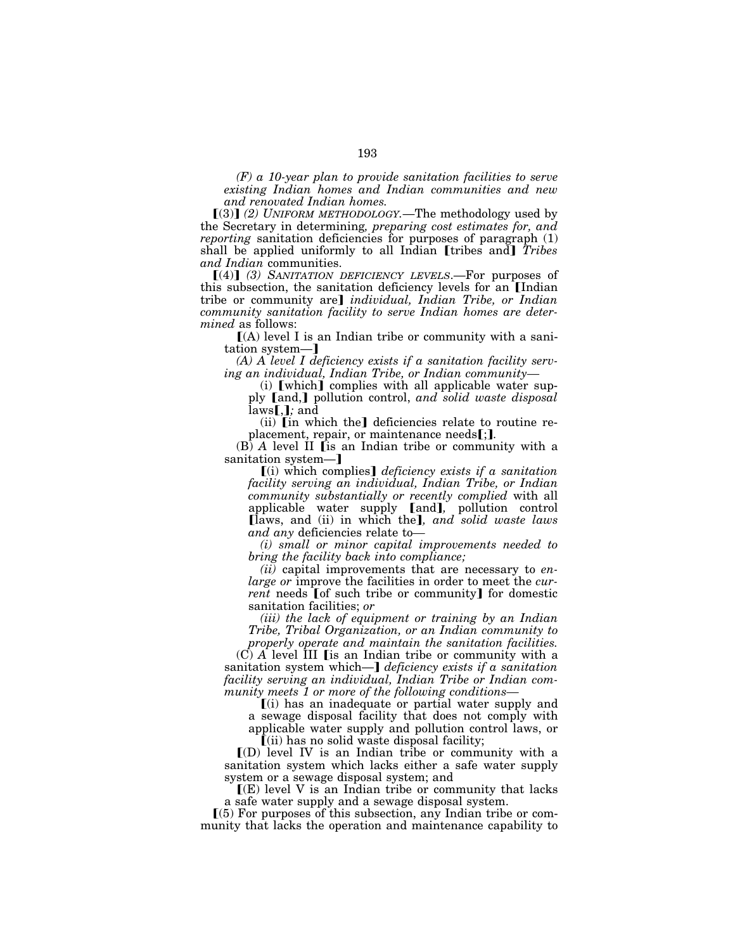*(F) a 10-year plan to provide sanitation facilities to serve existing Indian homes and Indian communities and new and renovated Indian homes.* 

 $(3)$  (2) UNIFORM METHODOLOGY.—The methodology used by the Secretary in determining*, preparing cost estimates for, and reporting* sanitation deficiencies for purposes of paragraph (1) shall be applied uniformly to all Indian [tribes and] *Tribes and Indian* communities.

[(4)] (3) SANITATION DEFICIENCY LEVELS.—For purposes of this subsection, the sanitation deficiency levels for an [Indian] tribe or community are] *individual, Indian Tribe, or Indian community sanitation facility to serve Indian homes are determined* as follows:

 $[(A)$  level I is an Indian tribe or community with a sanitation system-]

*(A) A level I deficiency exists if a sanitation facility serving an individual, Indian Tribe, or Indian community—*

(i)  $[which]$  complies with all applicable water supply [and,] pollution control, *and solid waste disposal*  $laws$ *, <i>j*; and

 $(ii)$  [in which the] deficiencies relate to routine replacement, repair, or maintenance needs[;**]**.

(B) *A* level II *[is an Indian tribe or community with a* sanitation system—

ø(i) which complies¿ *deficiency exists if a sanitation facility serving an individual, Indian Tribe, or Indian community substantially or recently complied* with all applicable water supply [and], pollution control ølaws, and (ii) in which the¿*, and solid waste laws and any* deficiencies relate to*—*

*(i) small or minor capital improvements needed to bring the facility back into compliance;* 

*(ii)* capital improvements that are necessary to *enlarge or* improve the facilities in order to meet the *current* needs [of such tribe or community] for domestic sanitation facilities; *or* 

*(iii) the lack of equipment or training by an Indian Tribe, Tribal Organization, or an Indian community to* 

*properly operate and maintain the sanitation facilities.*   $(C)$   $\overline{A}$  level  $\overline{I}$  III [is an Indian tribe or community with a sanitation system which—] *deficiency exists if a sanitation facility serving an individual, Indian Tribe or Indian community meets 1 or more of the following conditions—*

ø(i) has an inadequate or partial water supply and a sewage disposal facility that does not comply with applicable water supply and pollution control laws, or  $\tilde{f}$ (ii) has no solid waste disposal facility;

 $I(D)$  level IV is an Indian tribe or community with a sanitation system which lacks either a safe water supply system or a sewage disposal system; and

 $\Gamma(E)$  level V is an Indian tribe or community that lacks a safe water supply and a sewage disposal system.

 $(5)$  For purposes of this subsection, any Indian tribe or community that lacks the operation and maintenance capability to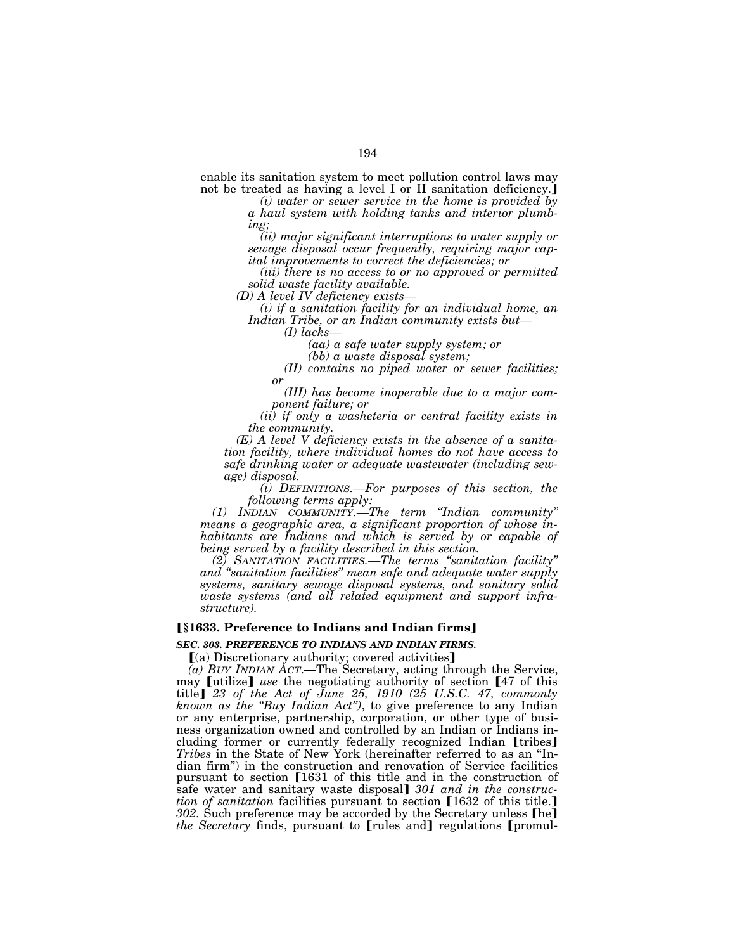enable its sanitation system to meet pollution control laws may not be treated as having a level I or II sanitation deficiency.

*(i) water or sewer service in the home is provided by a haul system with holding tanks and interior plumbing;* 

*(ii) major significant interruptions to water supply or sewage disposal occur frequently, requiring major capital improvements to correct the deficiencies; or* 

*(iii) there is no access to or no approved or permitted solid waste facility available.* 

*(D) A level IV deficiency exists—*

*(i) if a sanitation facility for an individual home, an Indian Tribe, or an Indian community exists but—*

*(I) lacks—*

*(aa) a safe water supply system; or* 

*(bb) a waste disposal system;* 

*(II) contains no piped water or sewer facilities; or* 

*(III) has become inoperable due to a major component failure; or* 

*(ii) if only a washeteria or central facility exists in the community.* 

*(E) A level V deficiency exists in the absence of a sanitation facility, where individual homes do not have access to safe drinking water or adequate wastewater (including sewage) disposal.* 

*(i) DEFINITIONS.—For purposes of this section, the following terms apply:* 

*(1) INDIAN COMMUNITY.—The term ''Indian community'' means a geographic area, a significant proportion of whose inhabitants are Indians and which is served by or capable of being served by a facility described in this section.* 

*(2) SANITATION FACILITIES.—The terms ''sanitation facility'' and ''sanitation facilities'' mean safe and adequate water supply systems, sanitary sewage disposal systems, and sanitary solid waste systems (and all related equipment and support infrastructure).* 

## **[§1633. Preference to Indians and Indian firms]**

#### *SEC. 303. PREFERENCE TO INDIANS AND INDIAN FIRMS.*

[(a) Discretionary authority; covered activities]

*(a) BUY INDIAN ACT*.—The Secretary, acting through the Service, may [utilize] use the negotiating authority of section [47 of this title¿ *23 of the Act of June 25, 1910 (25 U.S.C. 47, commonly known as the ''Buy Indian Act'')*, to give preference to any Indian or any enterprise, partnership, corporation, or other type of business organization owned and controlled by an Indian or Indians including former or currently federally recognized Indian [tribes] *Tribes* in the State of New York (hereinafter referred to as an ''Indian firm'') in the construction and renovation of Service facilities pursuant to section [1631 of this title and in the construction of safe water and sanitary waste disposal] 301 and in the construc*tion of sanitation* facilities pursuant to section [1632 of this title.] *302.* Such preference may be accorded by the Secretary unless [he] *the Secretary* finds, pursuant to [rules and] regulations [promul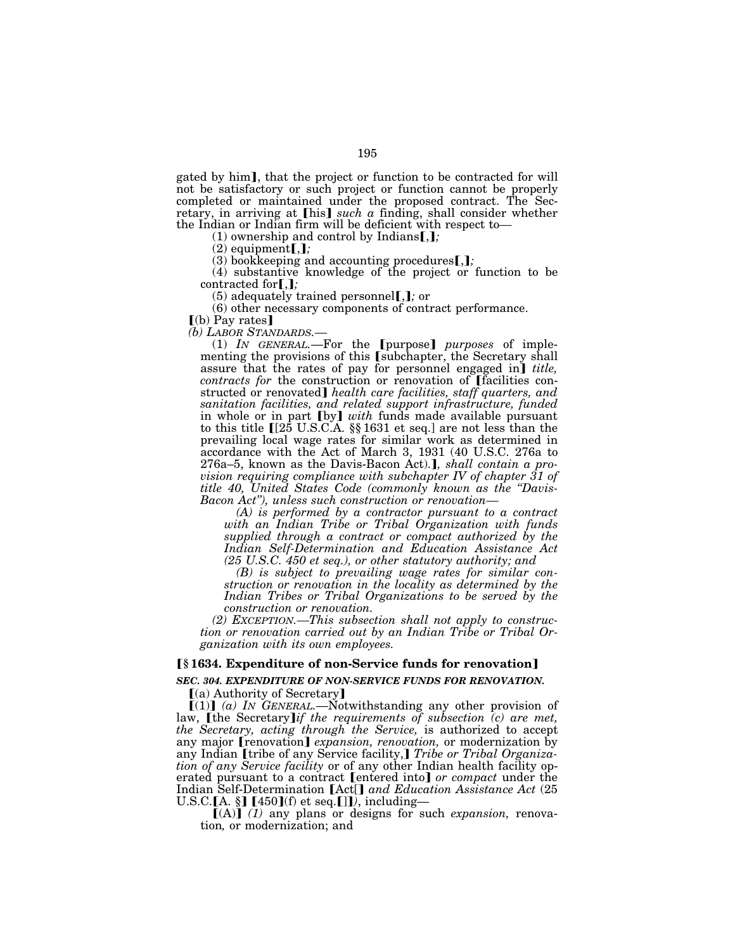gated by him], that the project or function to be contracted for will not be satisfactory or such project or function cannot be properly completed or maintained under the proposed contract. The Secretary, in arriving at [his] *such a* finding, shall consider whether the Indian or Indian firm will be deficient with respect to—<br>(1) ownership and control by Indians**[,]**;

 $(2)$  equipment $[j, j]$ 

 $(3)$  bookkeeping and accounting procedures  $\left[ \right, \right]$ ;

(4) substantive knowledge of the project or function to be contracted for**[**,**]**;

(5) adequately trained personnel.,*j*; or

(6) other necessary components of contract performance.

 $\lceil$ (b) Pay rates $\lceil$ 

*(b) LABOR STANDARDS.—*

(1) *IN GENERAL*.—For the *[purpose] purposes* of implementing the provisions of this [subchapter, the Secretary shall assure that the rates of pay for personnel engaged in] *title*, *contracts for the construction or renovation of [facilities con*structed or renovated] *health care facilities, staff quarters, and sanitation facilities, and related support infrastructure, funded*  in whole or in part [by] with funds made available pursuant to this title  $[[25 \text{ U.S.C.A. } \S \S 1631 \text{ et seq.}]$  are not less than the prevailing local wage rates for similar work as determined in accordance with the Act of March 3, 1931 (40 U.S.C. 276a to 276a–5, known as the Davis-Bacon Act).], shall contain a pro*vision requiring compliance with subchapter IV of chapter 31 of title 40, United States Code (commonly known as the ''Davis-Bacon Act''), unless such construction or renovation—*

*(A) is performed by a contractor pursuant to a contract with an Indian Tribe or Tribal Organization with funds supplied through a contract or compact authorized by the Indian Self-Determination and Education Assistance Act (25 U.S.C. 450 et seq.), or other statutory authority; and* 

*(B) is subject to prevailing wage rates for similar construction or renovation in the locality as determined by the*  Indian Tribes or Tribal Organizations to be served by the *construction or renovation.* 

*(2) EXCEPTION.—This subsection shall not apply to construction or renovation carried out by an Indian Tribe or Tribal Organization with its own employees.* 

### ø**§ 1634. Expenditure of non-Service funds for renovation**¿

*SEC. 304. EXPENDITURE OF NON-SERVICE FUNDS FOR RENOVATION.* 

 $(a)$  Authority of Secretary]

 $[(1)]$  *(a)* IN *GENERAL*.—Notwithstanding any other provision of law, [the Secretary]*if the requirements of subsection (c) are met, the Secretary, acting through the Service,* is authorized to accept any major *[renovation] expansion, renovation*, or modernization by any Indian *[tribe of any Service facility,] Tribe or Tribal Organization of any Service facility* or of any other Indian health facility operated pursuant to a contract [entered into] or compact under the Indian Self-Determination [Act[] and Education Assistance Act (25 U.S.C.[A. §]  $[450]$ (f) et seq.[]]), including—<br> $[({\rm A})]$  *(1)* any plans or designs for such *expansion*, renova-

tion*,* or modernization; and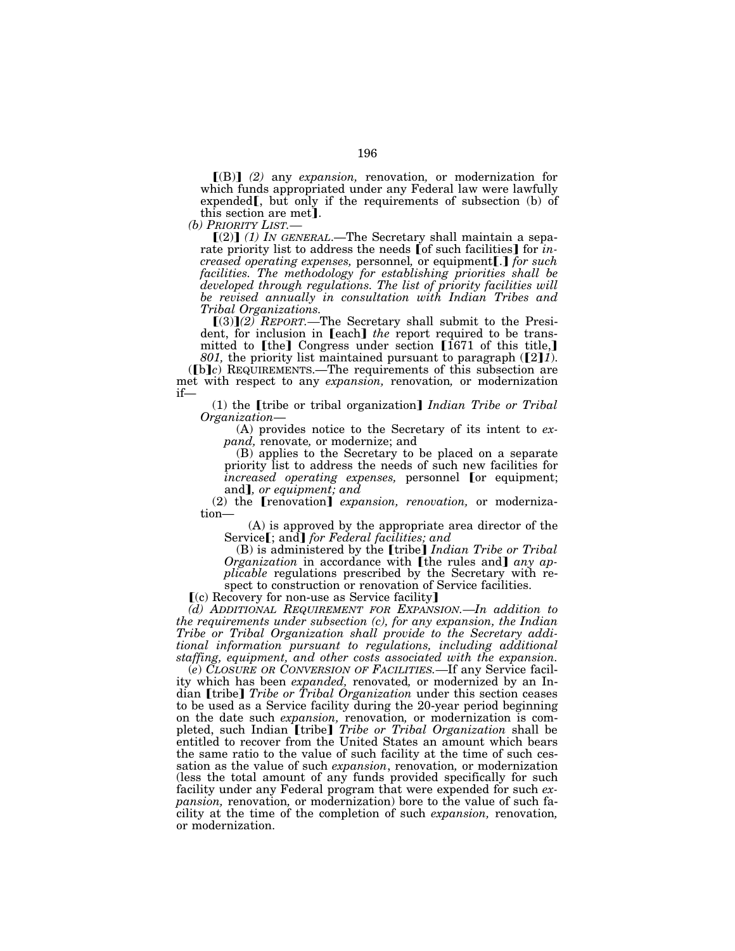ø(B)¿ *(2)* any *expansion,* renovation*,* or modernization for which funds appropriated under any Federal law were lawfully expended  $\mathbf{I}$ , but only if the requirements of subsection (b) of this section are met].<br> *(b) PRIORITY LIST.—*<br> **(2)** *(1) IN GENERAL.—The Secretary shall maintain a sepa-*

rate priority list to address the needs [of such facilities] for *increased operating expenses, personnel, or equipment[.] for such facilities. The methodology for establishing priorities shall be developed through regulations. The list of priority facilities will be revised annually in consultation with Indian Tribes and Tribal Organizations.* 

 $[(3)](2)$  *REPORT*.—The Secretary shall submit to the President, for inclusion in **[each]** *the* report required to be transmitted to  $\lceil \text{the} \rceil$  Congress under section  $\lceil \cdot 1671 \rceil$  of this title, *801*, the priority list maintained pursuant to paragraph ([2]*1*).

(b)c) REQUIREMENTS.—The requirements of this subsection are met with respect to any *expansion*, renovation, or modernization if—

(1) the **[tribe or tribal organization**] *Indian Tribe or Tribal Organization*—

(A) provides notice to the Secretary of its intent to *expand,* renovate*,* or modernize; and

(B) applies to the Secretary to be placed on a separate priority list to address the needs of such new facilities for *increased operating expenses,* personnel [or equipment; and*, or equipment; and* 

(2) the **[renovation]** *expansion, renovation,* or modernization—

(A) is approved by the appropriate area director of the Service<sup>[</sup>; and] for Federal facilities; and

(B) is administered by the [tribe] *Indian Tribe or Tribal Organization* in accordance with [the rules and] *any applicable* regulations prescribed by the Secretary with respect to construction or renovation of Service facilities.

 $(c)$  Recovery for non-use as Service facility]

*(d) ADDITIONAL REQUIREMENT FOR EXPANSION.—In addition to the requirements under subsection (c), for any expansion, the Indian Tribe or Tribal Organization shall provide to the Secretary additional information pursuant to regulations, including additional staffing, equipment, and other costs associated with the expansion.* 

(*e*) *CLOSURE OR CONVERSION OF FACILITIES.—*If any Service facility which has been *expanded,* renovated*,* or modernized by an Indian [tribe] *Tribe or Tribal Organization* under this section ceases to be used as a Service facility during the 20-year period beginning on the date such *expansion,* renovation*,* or modernization is completed, such Indian [tribe] *Tribe or Tribal Organization* shall be entitled to recover from the United States an amount which bears the same ratio to the value of such facility at the time of such cessation as the value of such *expansion*, renovation*,* or modernization (less the total amount of any funds provided specifically for such facility under any Federal program that were expended for such *expansion,* renovation*,* or modernization) bore to the value of such facility at the time of the completion of such *expansion,* renovation*,* or modernization.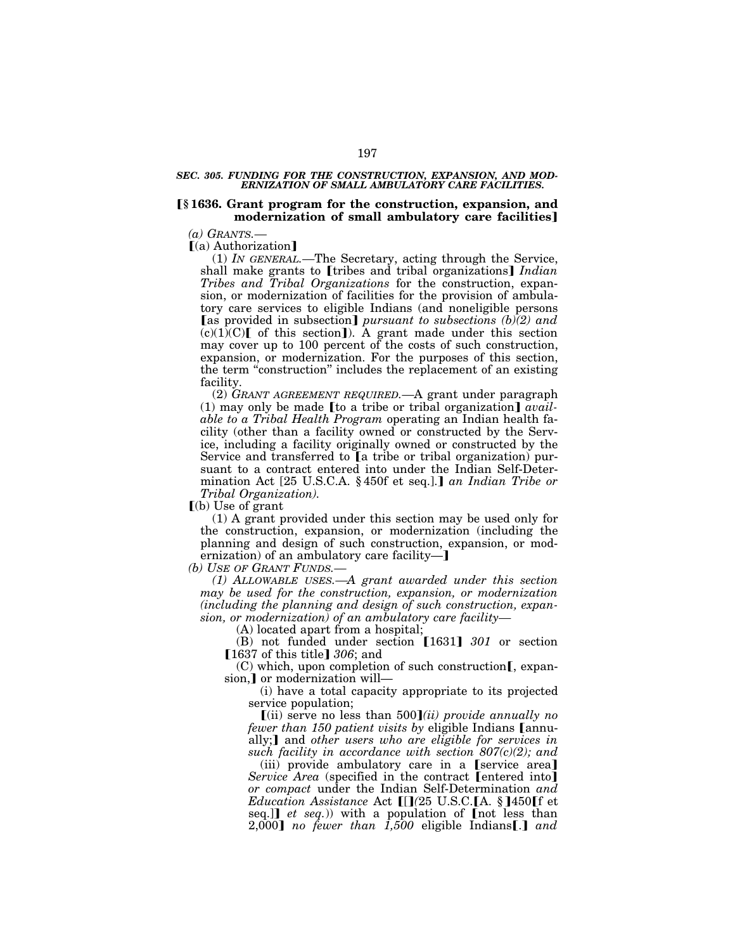### *SEC. 305. FUNDING FOR THE CONSTRUCTION, EXPANSION, AND MOD-ERNIZATION OF SMALL AMBULATORY CARE FACILITIES.*

# ø**§ 1636. Grant program for the construction, expansion, and**  modernization of small ambulatory care facilities]

*(a) GRANTS.—*

 $(a)$  Authorization

(1) *IN GENERAL.—*The Secretary, acting through the Service, shall make grants to [tribes and tribal organizations] *Indian Tribes and Tribal Organizations* for the construction, expansion, or modernization of facilities for the provision of ambulatory care services to eligible Indians (and noneligible persons [as provided in subsection] *pursuant to subsections (b)(2) and*  $(c)(1)$ (C) of this section]). A grant made under this section may cover up to 100 percent of the costs of such construction, expansion, or modernization. For the purposes of this section, the term "construction" includes the replacement of an existing facility.

(2) *GRANT AGREEMENT REQUIRED.—*A grant under paragraph  $(1)$  may only be made [to a tribe or tribal organization]  $avail$ *able to a Tribal Health Program* operating an Indian health facility (other than a facility owned or constructed by the Service, including a facility originally owned or constructed by the Service and transferred to  $[a]$  tribe or tribal organization) pursuant to a contract entered into under the Indian Self-Determination Act [25 U.S.C.A. § 450f et seq.].] an Indian Tribe or *Tribal Organization).* 

 $(a)$  Use of grant

(1) A grant provided under this section may be used only for the construction, expansion, or modernization (including the planning and design of such construction, expansion, or modernization) of an ambulatory care facility- $\mathbf{J}$ 

*(b) USE OF GRANT FUNDS.—*

*(1) ALLOWABLE USES.—A grant awarded under this section may be used for the construction, expansion, or modernization (including the planning and design of such construction, expansion, or modernization) of an ambulatory care facility—*

(A) located apart from a hospital;

(B) not funded under section **[1631]** 301 or section **[1637 of this title] 306; and** 

 $(C)$  which, upon completion of such construction [, expansion,] or modernization will-

(i) have a total capacity appropriate to its projected service population;

(ii) serve no less than  $500$ *(ii) provide annually no fewer than 150 patient visits by eligible Indians Lannu*ally;**]** and *other users who are eligible for services in such facility in accordance with section 807(c)(2); and* 

 $(iii)$  provide ambulatory care in a [service area] *Service Area* (specified in the contract [entered into] *or compact* under the Indian Self-Determination *and Education Assistance* Act  $\prod(25 \text{ U.S.C.} \text{A. } \S$  **[450**] f et seq.] *et seq.*)) with a population of [not less than  $2,000$  *no fewer than 1,500* eligible Indians[.] and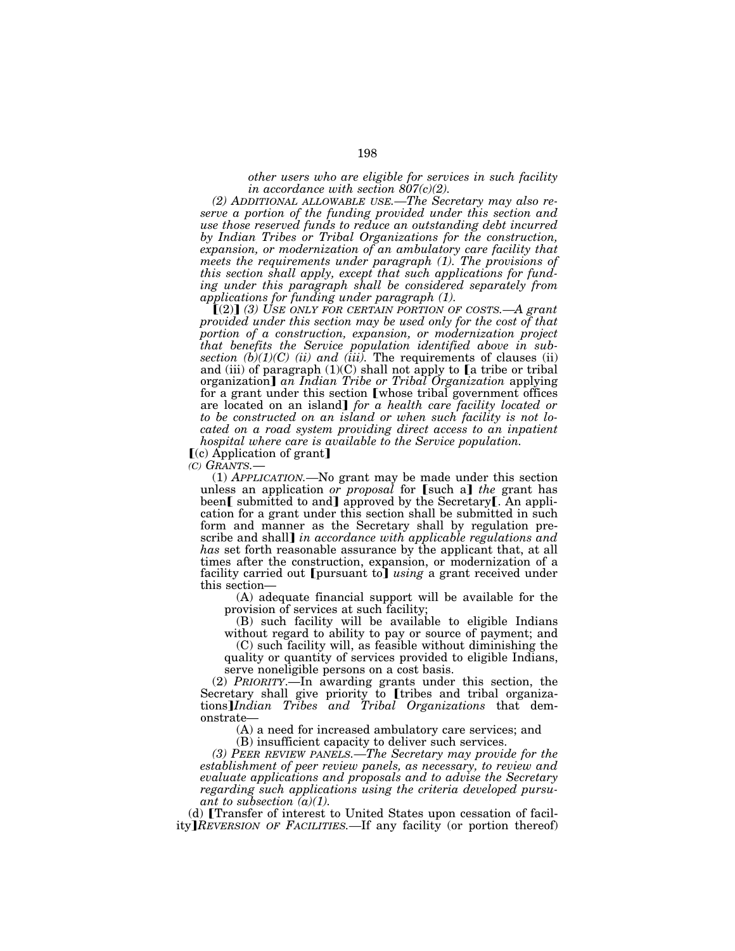*other users who are eligible for services in such facility in accordance with section 807(c)(2).* 

*(2) ADDITIONAL ALLOWABLE USE.—The Secretary may also reserve a portion of the funding provided under this section and use those reserved funds to reduce an outstanding debt incurred by Indian Tribes or Tribal Organizations for the construction, expansion, or modernization of an ambulatory care facility that meets the requirements under paragraph (1). The provisions of this section shall apply, except that such applications for funding under this paragraph shall be considered separately from applications for funding under paragraph (1).* 

 $(2)$  (3) USE ONLY FOR CERTAIN PORTION OF COSTS.—A grant *provided under this section may be used only for the cost of that portion of a construction, expansion, or modernization project that benefits the Service population identified above in subsection*  $(b)(1)(C)$  *(ii) and (iii).* The requirements of clauses (ii) and (iii) of paragraph  $(1)(C)$  shall not apply to  $[a]$  tribe or tribal organization] an Indian Tribe or Tribal Organization applying for a grant under this section [whose tribal government offices are located on an island] *for a health care facility located or to be constructed on an island or when such facility is not located on a road system providing direct access to an inpatient hospital where care is available to the Service population.* 

 $(c)$  Application of grant

*(C) GRANTS.*— (1) *APPLICATION.—*No grant may be made under this section unless an application *or proposal* for [such a] the grant has been[ submitted to and] approved by the Secretary[. An application for a grant under this section shall be submitted in such form and manner as the Secretary shall by regulation prescribe and shall] *in accordance with applicable regulations and has* set forth reasonable assurance by the applicant that, at all times after the construction, expansion, or modernization of a facility carried out [pursuant to] *using* a grant received under this section—

(A) adequate financial support will be available for the provision of services at such facility;

(B) such facility will be available to eligible Indians without regard to ability to pay or source of payment; and

(C) such facility will, as feasible without diminishing the quality or quantity of services provided to eligible Indians, serve noneligible persons on a cost basis.

(2) *PRIORITY*.—In awarding grants under this section, the Secretary shall give priority to **[tribes and tribal organiza**tions¿*Indian Tribes and Tribal Organizations* that demonstrate—

(A) a need for increased ambulatory care services; and

(B) insufficient capacity to deliver such services.

*(3) PEER REVIEW PANELS.—The Secretary may provide for the establishment of peer review panels, as necessary, to review and evaluate applications and proposals and to advise the Secretary regarding such applications using the criteria developed pursuant to subsection (a)(1).* 

 $(d)$  [Transfer of interest to United States upon cessation of facility]*REVERSION OF FACILITIES.*—If any facility (or portion thereof)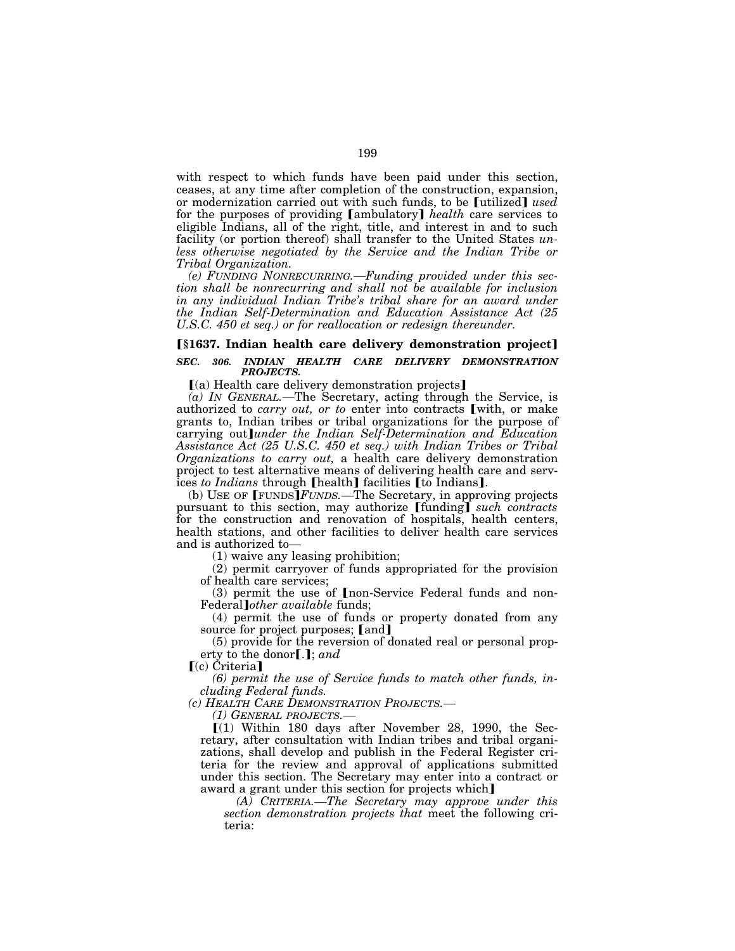with respect to which funds have been paid under this section, ceases, at any time after completion of the construction, expansion, or modernization carried out with such funds, to be [utilized] *used* for the purposes of providing [ambulatory] *health* care services to eligible Indians, all of the right, title, and interest in and to such facility (or portion thereof) shall transfer to the United States *unless otherwise negotiated by the Service and the Indian Tribe or Tribal Organization.* 

*(e) FUNDING NONRECURRING.—Funding provided under this section shall be nonrecurring and shall not be available for inclusion in any individual Indian Tribe's tribal share for an award under the Indian Self-Determination and Education Assistance Act (25 U.S.C. 450 et seq.) or for reallocation or redesign thereunder.* 

# **[§1637. Indian health care delivery demonstration project]** *SEC. 306. INDIAN HEALTH CARE DELIVERY DEMONSTRATION PROJECTS.*

 $(a)$  Health care delivery demonstration projects

*(a) IN GENERAL.*—The Secretary, acting through the Service, is authorized to *carry out, or to* enter into contracts [with, or make grants to, Indian tribes or tribal organizations for the purpose of carrying out*lunder the Indian Self-Determination and Education Assistance Act (25 U.S.C. 450 et seq.) with Indian Tribes or Tribal Organizations to carry out,* a health care delivery demonstration project to test alternative means of delivering health care and services *to Indians* through [health] facilities [to Indians].

(b) USE OF  $[$  FUNDS $]$ *FUNDS*.—The Secretary, in approving projects pursuant to this section, may authorize [funding] *such contracts* for the construction and renovation of hospitals, health centers, health stations, and other facilities to deliver health care services and is authorized to—

(1) waive any leasing prohibition;

(2) permit carryover of funds appropriated for the provision of health care services;

 $(3)$  permit the use of  $[$ non-Service Federal funds and non-Federal¿*other available* funds;

(4) permit the use of funds or property donated from any source for project purposes; [and]

(5) provide for the reversion of donated real or personal property to the donor[.]; *and* 

 $(c)$  Criteria]

*(6) permit the use of Service funds to match other funds, including Federal funds.* 

*(c) HEALTH CARE DEMONSTRATION PROJECTS.—*

*(1) GENERAL PROJECTS.—*

 $(1)$  Within 180 days after November 28, 1990, the Secretary, after consultation with Indian tribes and tribal organizations, shall develop and publish in the Federal Register criteria for the review and approval of applications submitted under this section. The Secretary may enter into a contract or award a grant under this section for projects which

*(A) CRITERIA.—The Secretary may approve under this section demonstration projects that* meet the following criteria: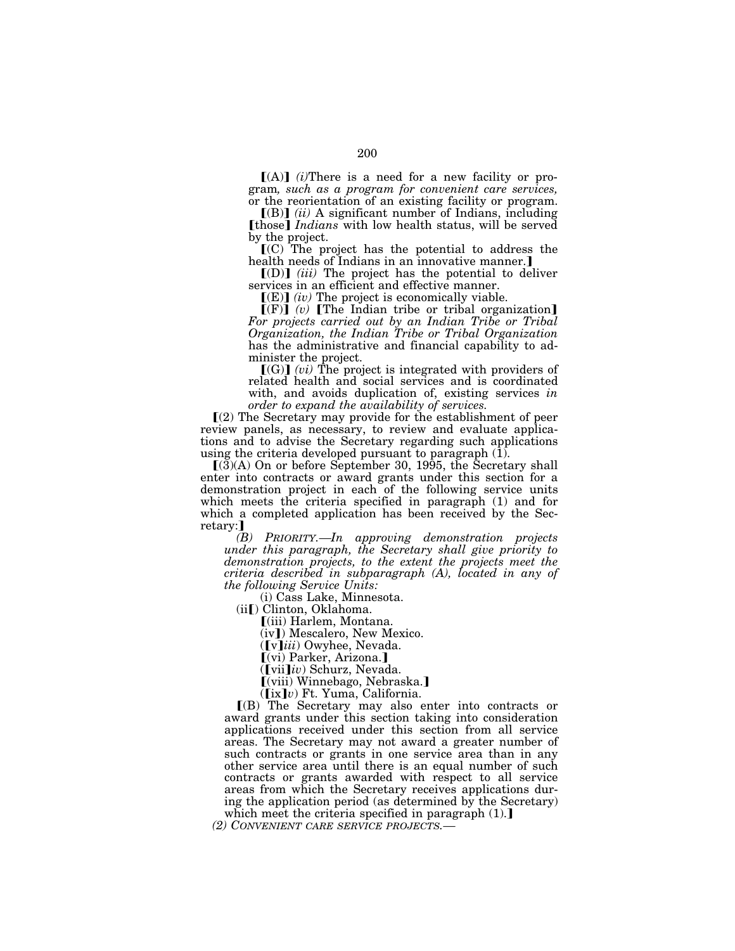$[(A)]$  *(i)*There is a need for a new facility or program*, such as a program for convenient care services,*  or the reorientation of an existing facility or program.

 $[(B)]$   $(ii)$  A significant number of Indians, including **[those]** *Indians* with low health status, will be served by the project.

 $(C)$  The project has the potential to address the health needs of Indians in an innovative manner.]

 $[(D)]$  *(iii)* The project has the potential to deliver services in an efficient and effective manner.

 $[(E)]$  *(iv)* The project is economically viable.

 $[(F)]$  (v) [The Indian tribe or tribal organization] *For projects carried out by an Indian Tribe or Tribal Organization, the Indian Tribe or Tribal Organization*  has the administrative and financial capability to administer the project.

 $[(G)]$  (*vi*) The project is integrated with providers of related health and social services and is coordinated with, and avoids duplication of, existing services *in order to expand the availability of services.* 

 $\Gamma(2)$  The Secretary may provide for the establishment of peer review panels, as necessary, to review and evaluate applications and to advise the Secretary regarding such applications using the criteria developed pursuant to paragraph  $(1)$ .

 $\Gamma(3)$ (A) On or before September 30, 1995, the Secretary shall enter into contracts or award grants under this section for a demonstration project in each of the following service units which meets the criteria specified in paragraph (1) and for which a completed application has been received by the Secretary:]

*(B) PRIORITY.—In approving demonstration projects under this paragraph, the Secretary shall give priority to demonstration projects, to the extent the projects meet the criteria described in subparagraph (A), located in any of the following Service Units:* 

(i) Cass Lake, Minnesota.

(iiø) Clinton, Oklahoma.

ø(iii) Harlem, Montana.

(iv]) Mescalero, New Mexico.

([v]iii) Owyhee, Nevada.

 $\lbrack$ (vi) Parker, Arizona.] ([vii]iv) Schurz, Nevada.

 $\lceil$ (viii) Winnebago, Nebraska.

 $(\left[\text{ix}\right]v)$  Ft. Yuma, California.

ø(B) The Secretary may also enter into contracts or award grants under this section taking into consideration applications received under this section from all service areas. The Secretary may not award a greater number of such contracts or grants in one service area than in any other service area until there is an equal number of such contracts or grants awarded with respect to all service areas from which the Secretary receives applications during the application period (as determined by the Secretary) which meet the criteria specified in paragraph  $(1)$ .

*(2) CONVENIENT CARE SERVICE PROJECTS.—*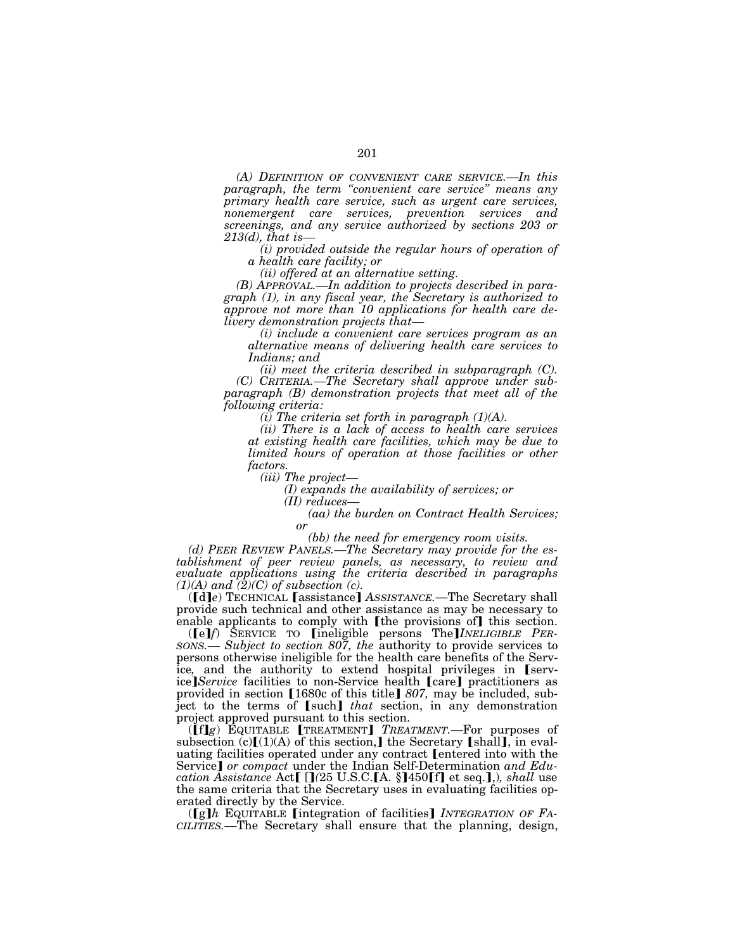*(A) DEFINITION OF CONVENIENT CARE SERVICE.—In this paragraph, the term ''convenient care service'' means any primary health care service, such as urgent care services, nonemergent care services, prevention services and screenings, and any service authorized by sections 203 or* 

*213(d), that is— (i) provided outside the regular hours of operation of a health care facility; or* 

*(ii) offered at an alternative setting.* 

*(B) APPROVAL.—In addition to projects described in paragraph (1), in any fiscal year, the Secretary is authorized to approve not more than 10 applications for health care delivery demonstration projects that— (i) include a convenient care services program as an* 

*alternative means of delivering health care services to Indians; and* 

*(ii) meet the criteria described in subparagraph (C). (C) CRITERIA.—The Secretary shall approve under subparagraph (B) demonstration projects that meet all of the following criteria:* 

*(i) The criteria set forth in paragraph (1)(A).* 

*(ii) There is a lack of access to health care services at existing health care facilities, which may be due to limited hours of operation at those facilities or other factors.* 

*(iii) The project— (I) expands the availability of services; or* 

(aa) the burden on Contract Health Services; *or* 

*(bb) the need for emergency room visits.* 

*(d) PEER REVIEW PANELS.—The Secretary may provide for the establishment of peer review panels, as necessary, to review and evaluate applications using the criteria described in paragraphs*   $(1)(A)$  and  $(2)(C)$  of subsection (c).

([d]e) TECHNICAL [assistance] AssISTANCE.—The Secretary shall provide such technical and other assistance as may be necessary to enable applicants to comply with [the provisions of] this section.

 $({\bf [e]}\hat{f})$  SERVICE TO  ${\bf [ineligible\,\,\,persons\,\,\,The}$  *INELIGIBLE PER-SONS.— Subject to section 807, the authority to provide services to* persons otherwise ineligible for the health care benefits of the Service, and the authority to extend hospital privileges in [service<sup></sup>*Service* facilities to non-Service health *[care]* practitioners as provided in section [1680c of this title] 807, may be included, subject to the terms of [such] *that* section, in any demonstration project approved pursuant to this section.

(**[f]g**) EQUITABLE **[TREATMENT**] *TREATMENT*.—For purposes of subsection (c) $\lceil (1)(A)$  of this section, the Secretary [shall], in evaluating facilities operated under any contract [entered into with the Service] *or compact* under the Indian Self-Determination *and Education Assistance Act* [[*]*(25 U.S.C. [A. §]450 [f] et seq.],), shall use the same criteria that the Secretary uses in evaluating facilities operated directly by the Service.

(**[g]***h* EQUITABLE [integration of facilities] *INTEGRATION OF FA-CILITIES.—*The Secretary shall ensure that the planning, design,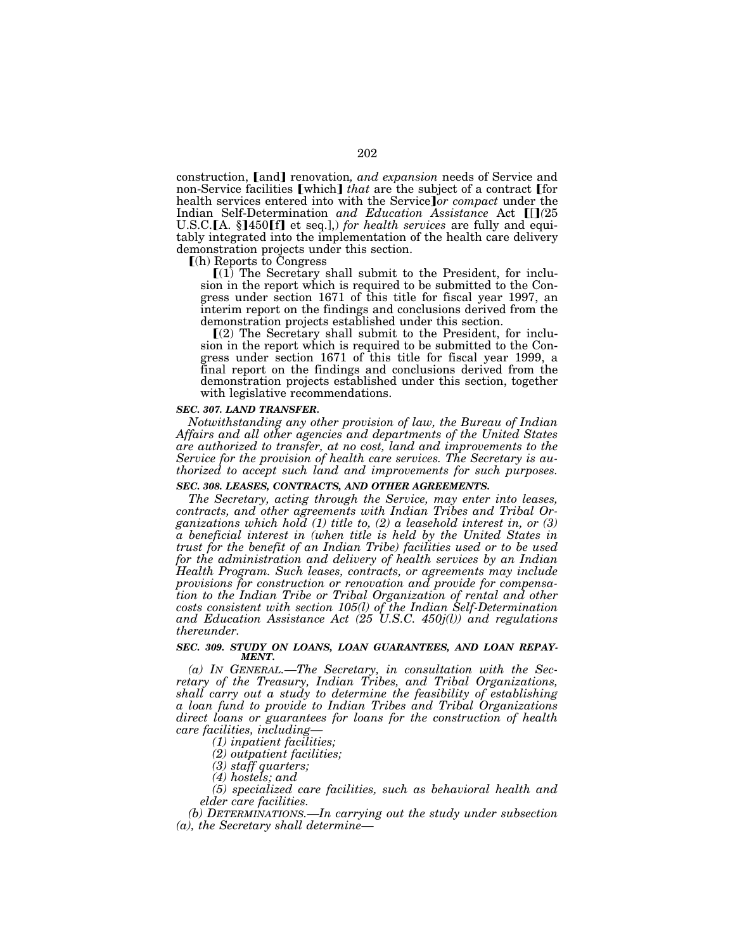construction, [and] renovation, and expansion needs of Service and non-Service facilities [which] *that* are the subject of a contract [for health services entered into with the Service<sup>*or compact* under the</sup> Indian Self-Determination and Education Assistance Act [[](25 U.S.C.[A. §]450[f] et seq.], *for health services* are fully and equitably integrated into the implementation of the health care delivery demonstration projects under this section.

ø(h) Reports to Congress

 $[(1)$  The Secretary shall submit to the President, for inclusion in the report which is required to be submitted to the Congress under section 1671 of this title for fiscal year 1997, an interim report on the findings and conclusions derived from the demonstration projects established under this section.

 $(2)$  The Secretary shall submit to the President, for inclusion in the report which is required to be submitted to the Congress under section 1671 of this title for fiscal year 1999, a final report on the findings and conclusions derived from the demonstration projects established under this section, together with legislative recommendations.

### *SEC. 307. LAND TRANSFER.*

*Notwithstanding any other provision of law, the Bureau of Indian Affairs and all other agencies and departments of the United States are authorized to transfer, at no cost, land and improvements to the Service for the provision of health care services. The Secretary is authorized to accept such land and improvements for such purposes.* 

### *SEC. 308. LEASES, CONTRACTS, AND OTHER AGREEMENTS.*

*The Secretary, acting through the Service, may enter into leases, contracts, and other agreements with Indian Tribes and Tribal Organizations which hold (1) title to, (2) a leasehold interest in, or (3) a beneficial interest in (when title is held by the United States in trust for the benefit of an Indian Tribe) facilities used or to be used for the administration and delivery of health services by an Indian Health Program. Such leases, contracts, or agreements may include provisions for construction or renovation and provide for compensation to the Indian Tribe or Tribal Organization of rental and other costs consistent with section 105(l) of the Indian Self-Determination and Education Assistance Act (25 U.S.C. 450j(l)) and regulations thereunder.* 

### *SEC. 309. STUDY ON LOANS, LOAN GUARANTEES, AND LOAN REPAY-MENT.*

*(a) IN GENERAL.—The Secretary, in consultation with the Secretary of the Treasury, Indian Tribes, and Tribal Organizations, shall carry out a study to determine the feasibility of establishing a loan fund to provide to Indian Tribes and Tribal Organizations direct loans or guarantees for loans for the construction of health care facilities, including—*

*(1) inpatient facilities;* 

*(2) outpatient facilities;* 

*(3) staff quarters;* 

*(4) hostels; and* 

*(5) specialized care facilities, such as behavioral health and elder care facilities.* 

*(b) DETERMINATIONS.—In carrying out the study under subsection (a), the Secretary shall determine—*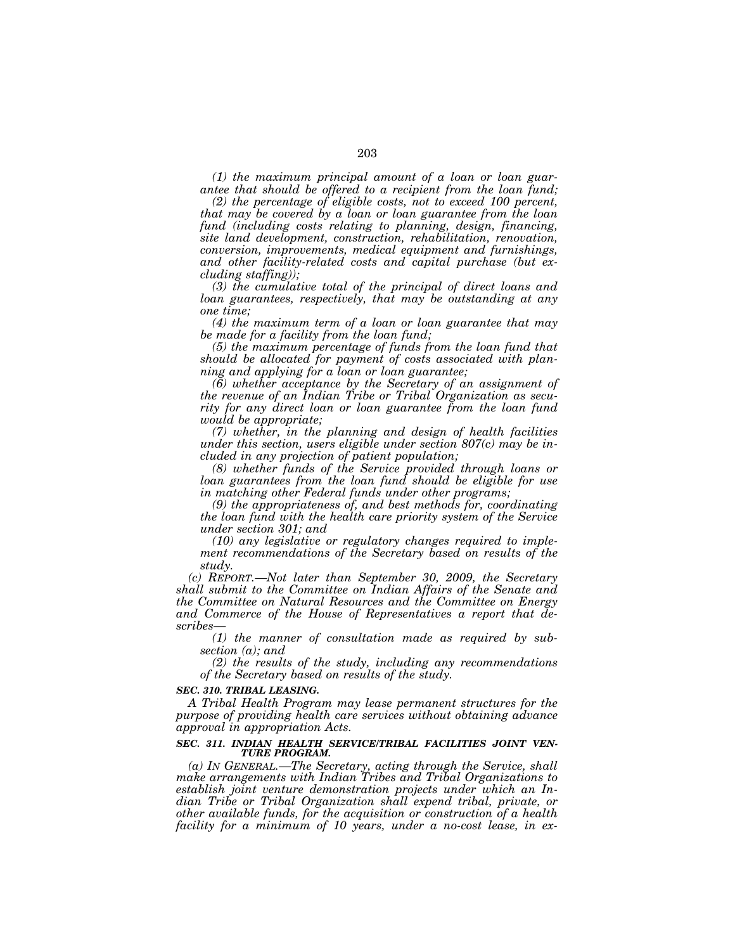*(1) the maximum principal amount of a loan or loan guarantee that should be offered to a recipient from the loan fund;* 

*(2) the percentage of eligible costs, not to exceed 100 percent, that may be covered by a loan or loan guarantee from the loan fund (including costs relating to planning, design, financing, site land development, construction, rehabilitation, renovation, conversion, improvements, medical equipment and furnishings, and other facility-related costs and capital purchase (but excluding staffing));* 

*(3) the cumulative total of the principal of direct loans and loan guarantees, respectively, that may be outstanding at any one time;* 

*(4) the maximum term of a loan or loan guarantee that may be made for a facility from the loan fund;* 

*(5) the maximum percentage of funds from the loan fund that should be allocated for payment of costs associated with planning and applying for a loan or loan guarantee;* 

*(6) whether acceptance by the Secretary of an assignment of the revenue of an Indian Tribe or Tribal Organization as security for any direct loan or loan guarantee from the loan fund would be appropriate;* 

*(7) whether, in the planning and design of health facilities under this section, users eligible under section 807(c) may be included in any projection of patient population;* 

*(8) whether funds of the Service provided through loans or loan guarantees from the loan fund should be eligible for use in matching other Federal funds under other programs;* 

*(9) the appropriateness of, and best methods for, coordinating the loan fund with the health care priority system of the Service under section 301; and* 

*(10) any legislative or regulatory changes required to implement recommendations of the Secretary based on results of the study.* 

*(c) REPORT.—Not later than September 30, 2009, the Secretary shall submit to the Committee on Indian Affairs of the Senate and the Committee on Natural Resources and the Committee on Energy and Commerce of the House of Representatives a report that describes—*

*(1) the manner of consultation made as required by subsection (a); and* 

*(2) the results of the study, including any recommendations of the Secretary based on results of the study.* 

## *SEC. 310. TRIBAL LEASING.*

*A Tribal Health Program may lease permanent structures for the purpose of providing health care services without obtaining advance approval in appropriation Acts.* 

# *SEC. 311. INDIAN HEALTH SERVICE/TRIBAL FACILITIES JOINT VEN-TURE PROGRAM.*

*(a) IN GENERAL.—The Secretary, acting through the Service, shall make arrangements with Indian Tribes and Tribal Organizations to establish joint venture demonstration projects under which an Indian Tribe or Tribal Organization shall expend tribal, private, or other available funds, for the acquisition or construction of a health facility for a minimum of 10 years, under a no-cost lease, in ex-*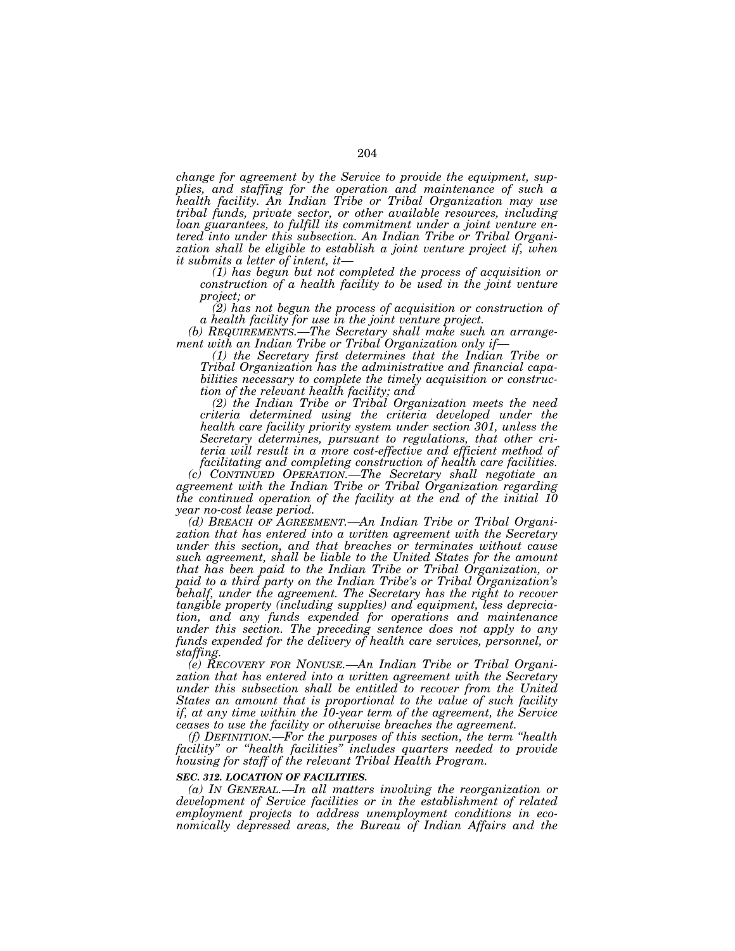*change for agreement by the Service to provide the equipment, supplies, and staffing for the operation and maintenance of such a health facility. An Indian Tribe or Tribal Organization may use tribal funds, private sector, or other available resources, including loan guarantees, to fulfill its commitment under a joint venture entered into under this subsection. An Indian Tribe or Tribal Organi*zation shall be eligible to establish a joint venture project if, when *it submits a letter of intent, it— (1) has begun but not completed the process of acquisition or* 

*construction of a health facility to be used in the joint venture project; or* 

*(2) has not begun the process of acquisition or construction of a health facility for use in the joint venture project.* 

*(b) REQUIREMENTS.—The Secretary shall make such an arrange-*

*(1) the Secretary first determines that the Indian Tribe or Tribal Organization has the administrative and financial capabilities necessary to complete the timely acquisition or construction of the relevant health facility; and* 

*(2) the Indian Tribe or Tribal Organization meets the need criteria determined using the criteria developed under the health care facility priority system under section 301, unless the Secretary determines, pursuant to regulations, that other criteria will result in a more cost-effective and efficient method of facilitating and completing construction of health care facilities.* 

*(c) CONTINUED OPERATION.—The Secretary shall negotiate an agreement with the Indian Tribe or Tribal Organization regarding the continued operation of the facility at the end of the initial 10 year no-cost lease period.* 

*(d) BREACH OF AGREEMENT.—An Indian Tribe or Tribal Organization that has entered into a written agreement with the Secretary under this section, and that breaches or terminates without cause such agreement, shall be liable to the United States for the amount that has been paid to the Indian Tribe or Tribal Organization, or paid to a third party on the Indian Tribe's or Tribal Organization's behalf, under the agreement. The Secretary has the right to recover tangible property (including supplies) and equipment, less depreciation, and any funds expended for operations and maintenance under this section. The preceding sentence does not apply to any funds expended for the delivery of health care services, personnel, or staffing.* 

*(e) RECOVERY FOR NONUSE.—An Indian Tribe or Tribal Organization that has entered into a written agreement with the Secretary under this subsection shall be entitled to recover from the United States an amount that is proportional to the value of such facility if, at any time within the 10-year term of the agreement, the Service ceases to use the facility or otherwise breaches the agreement.* 

*(f) DEFINITION.—For the purposes of this section, the term ''health facility'' or ''health facilities'' includes quarters needed to provide housing for staff of the relevant Tribal Health Program.* 

#### *SEC. 312. LOCATION OF FACILITIES.*

*(a) IN GENERAL.—In all matters involving the reorganization or development of Service facilities or in the establishment of related employment projects to address unemployment conditions in economically depressed areas, the Bureau of Indian Affairs and the*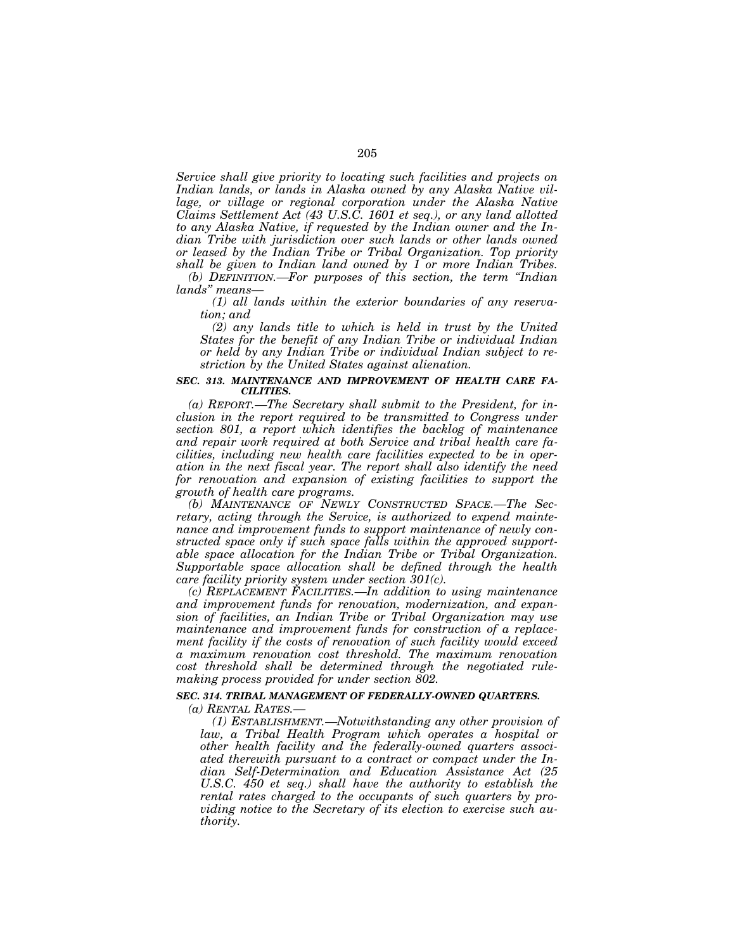*Service shall give priority to locating such facilities and projects on Indian lands, or lands in Alaska owned by any Alaska Native village, or village or regional corporation under the Alaska Native Claims Settlement Act (43 U.S.C. 1601 et seq.), or any land allotted to any Alaska Native, if requested by the Indian owner and the Indian Tribe with jurisdiction over such lands or other lands owned or leased by the Indian Tribe or Tribal Organization. Top priority shall be given to Indian land owned by 1 or more Indian Tribes.* 

*(b) DEFINITION.—For purposes of this section, the term ''Indian lands'' means—*

*(1) all lands within the exterior boundaries of any reservation; and* 

*(2) any lands title to which is held in trust by the United States for the benefit of any Indian Tribe or individual Indian or held by any Indian Tribe or individual Indian subject to restriction by the United States against alienation.* 

## *SEC. 313. MAINTENANCE AND IMPROVEMENT OF HEALTH CARE FA-CILITIES.*

*(a) REPORT.—The Secretary shall submit to the President, for inclusion in the report required to be transmitted to Congress under section 801, a report which identifies the backlog of maintenance and repair work required at both Service and tribal health care facilities, including new health care facilities expected to be in operation in the next fiscal year. The report shall also identify the need*  for renovation and expansion of existing facilities to support the *growth of health care programs.* 

*(b) MAINTENANCE OF NEWLY CONSTRUCTED SPACE.—The Secretary, acting through the Service, is authorized to expend maintenance and improvement funds to support maintenance of newly constructed space only if such space falls within the approved supportable space allocation for the Indian Tribe or Tribal Organization. Supportable space allocation shall be defined through the health care facility priority system under section 301(c).* 

*(c) REPLACEMENT FACILITIES.—In addition to using maintenance and improvement funds for renovation, modernization, and expansion of facilities, an Indian Tribe or Tribal Organization may use maintenance and improvement funds for construction of a replacement facility if the costs of renovation of such facility would exceed a maximum renovation cost threshold. The maximum renovation cost threshold shall be determined through the negotiated rulemaking process provided for under section 802.* 

# *SEC. 314. TRIBAL MANAGEMENT OF FEDERALLY-OWNED QUARTERS.*

*(a) RENTAL RATES.—*

*(1) ESTABLISHMENT.—Notwithstanding any other provision of law, a Tribal Health Program which operates a hospital or other health facility and the federally-owned quarters associated therewith pursuant to a contract or compact under the Indian Self-Determination and Education Assistance Act (25 U.S.C. 450 et seq.) shall have the authority to establish the rental rates charged to the occupants of such quarters by providing notice to the Secretary of its election to exercise such authority.*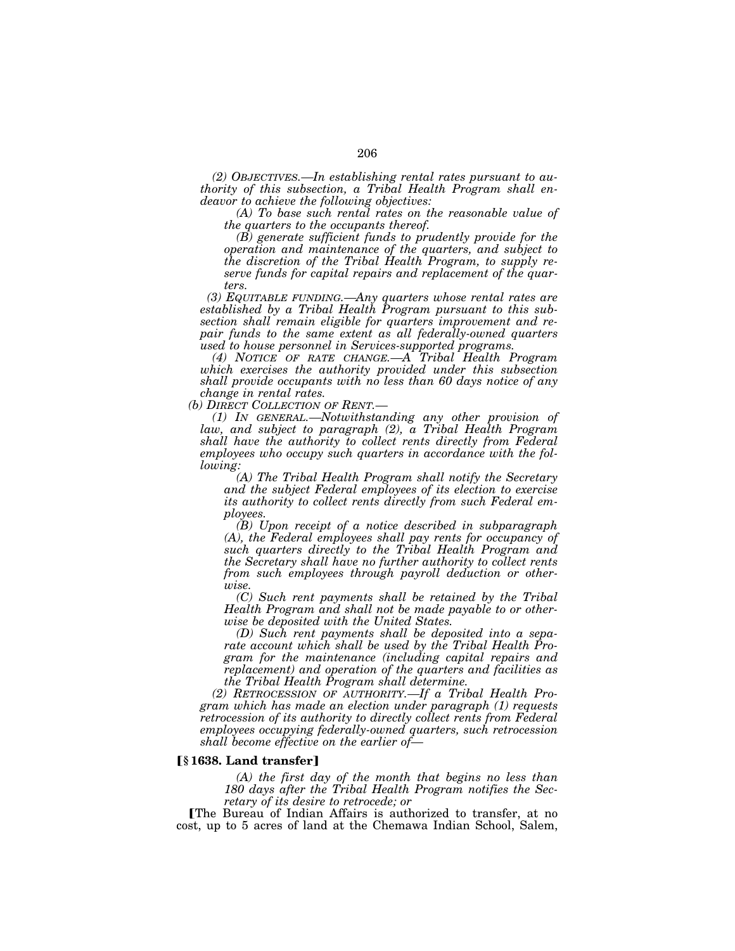*(2) OBJECTIVES.—In establishing rental rates pursuant to authority of this subsection, a Tribal Health Program shall endeavor to achieve the following objectives:* 

*(A) To base such rental rates on the reasonable value of the quarters to the occupants thereof.* 

*(B) generate sufficient funds to prudently provide for the operation and maintenance of the quarters, and subject to the discretion of the Tribal Health Program, to supply reserve funds for capital repairs and replacement of the quarters.* 

*(3) EQUITABLE FUNDING.—Any quarters whose rental rates are established by a Tribal Health Program pursuant to this subsection shall remain eligible for quarters improvement and repair funds to the same extent as all federally-owned quarters used to house personnel in Services-supported programs.* 

*(4) NOTICE OF RATE CHANGE.—A Tribal Health Program which exercises the authority provided under this subsection shall provide occupants with no less than 60 days notice of any change in rental rates.* 

*(b) DIRECT COLLECTION OF RENT.—*

*(1) IN GENERAL.—Notwithstanding any other provision of law, and subject to paragraph (2), a Tribal Health Program shall have the authority to collect rents directly from Federal employees who occupy such quarters in accordance with the following:* 

*(A) The Tribal Health Program shall notify the Secretary and the subject Federal employees of its election to exercise its authority to collect rents directly from such Federal employees.* 

*(B) Upon receipt of a notice described in subparagraph (A), the Federal employees shall pay rents for occupancy of such quarters directly to the Tribal Health Program and the Secretary shall have no further authority to collect rents from such employees through payroll deduction or otherwise.* 

*(C) Such rent payments shall be retained by the Tribal Health Program and shall not be made payable to or otherwise be deposited with the United States.* 

*(D) Such rent payments shall be deposited into a separate account which shall be used by the Tribal Health Program for the maintenance (including capital repairs and replacement) and operation of the quarters and facilities as the Tribal Health Program shall determine.* 

*(2) RETROCESSION OF AUTHORITY.—If a Tribal Health Program which has made an election under paragraph (1) requests retrocession of its authority to directly collect rents from Federal employees occupying federally-owned quarters, such retrocession shall become effective on the earlier of—*

# ø**§ 1638. Land transfer**¿

*(A) the first day of the month that begins no less than 180 days after the Tribal Health Program notifies the Secretary of its desire to retrocede; or* 

The Bureau of Indian Affairs is authorized to transfer, at no cost, up to 5 acres of land at the Chemawa Indian School, Salem,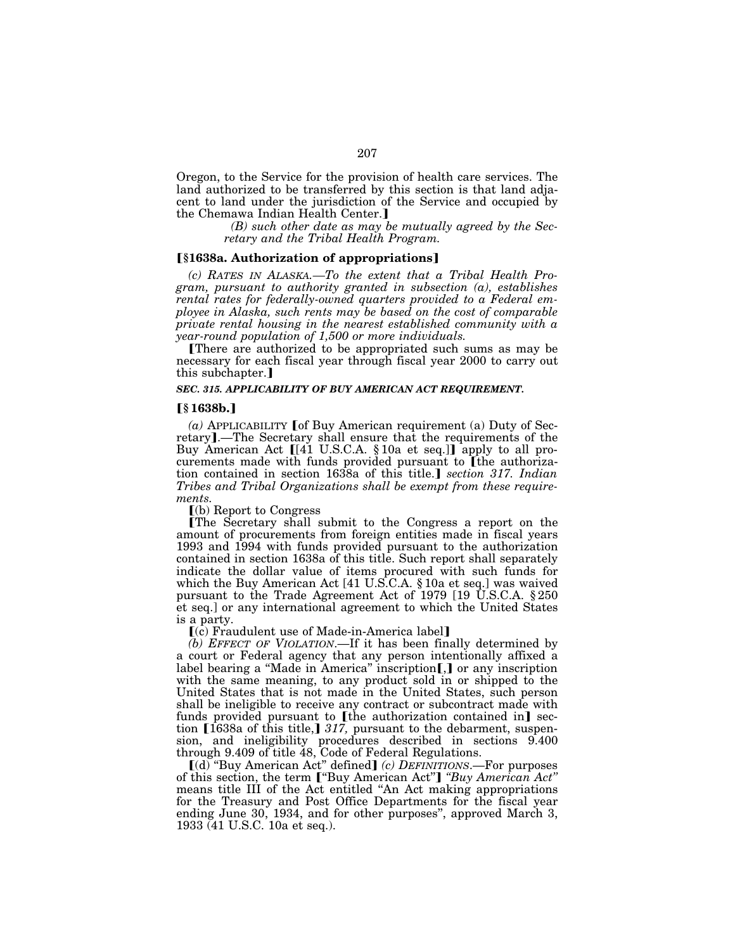Oregon, to the Service for the provision of health care services. The land authorized to be transferred by this section is that land adjacent to land under the jurisdiction of the Service and occupied by the Chemawa Indian Health Center.]

*(B) such other date as may be mutually agreed by the Secretary and the Tribal Health Program.* 

### ø**§1638a. Authorization of appropriations**¿

*(c) RATES IN ALASKA.—To the extent that a Tribal Health Program, pursuant to authority granted in subsection (a), establishes rental rates for federally-owned quarters provided to a Federal employee in Alaska, such rents may be based on the cost of comparable private rental housing in the nearest established community with a year-round population of 1,500 or more individuals.* 

There are authorized to be appropriated such sums as may be necessary for each fiscal year through fiscal year 2000 to carry out this subchapter.

# *SEC. 315. APPLICABILITY OF BUY AMERICAN ACT REQUIREMENT.*

## ø**§ 1638b.**¿

 $(a)$  APPLICABILITY [of Buy American requirement (a) Duty of Secretary].—The Secretary shall ensure that the requirements of the Buy American Act [[41 U.S.C.A. § 10a et seq.]] apply to all procurements made with funds provided pursuant to [the authorization contained in section 1638a of this title.] *section 317. Indian Tribes and Tribal Organizations shall be exempt from these requirements.* 

 $\lceil$ (b) Report to Congress

øThe Secretary shall submit to the Congress a report on the amount of procurements from foreign entities made in fiscal years 1993 and 1994 with funds provided pursuant to the authorization contained in section 1638a of this title. Such report shall separately indicate the dollar value of items procured with such funds for which the Buy American Act [41 U.S.C.A. § 10a et seq.] was waived pursuant to the Trade Agreement Act of 1979 [19 U.S.C.A. § 250 et seq.] or any international agreement to which the United States is a party.

 $(c)$  Fraudulent use of Made-in-America label]

*(b) EFFECT OF VIOLATION*.—If it has been finally determined by a court or Federal agency that any person intentionally affixed a label bearing a "Made in America" inscription $\left[\right]$  or any inscription with the same meaning, to any product sold in or shipped to the United States that is not made in the United States, such person shall be ineligible to receive any contract or subcontract made with funds provided pursuant to  $[$ the authorization contained in $]$  section [1638a of this title,] 317, pursuant to the debarment, suspension, and ineligibility procedures described in sections 9.400 through 9.409 of title 48, Code of Federal Regulations.<br>
[(d) "Buy American Act" defined] *(c) DEFINITIONS*.—For purposes

of this section, the term ["Buy American Act"] "*Buy American Act*" means title III of the Act entitled ''An Act making appropriations for the Treasury and Post Office Departments for the fiscal year ending June 30, 1934, and for other purposes'', approved March 3, 1933 (41 U.S.C. 10a et seq.).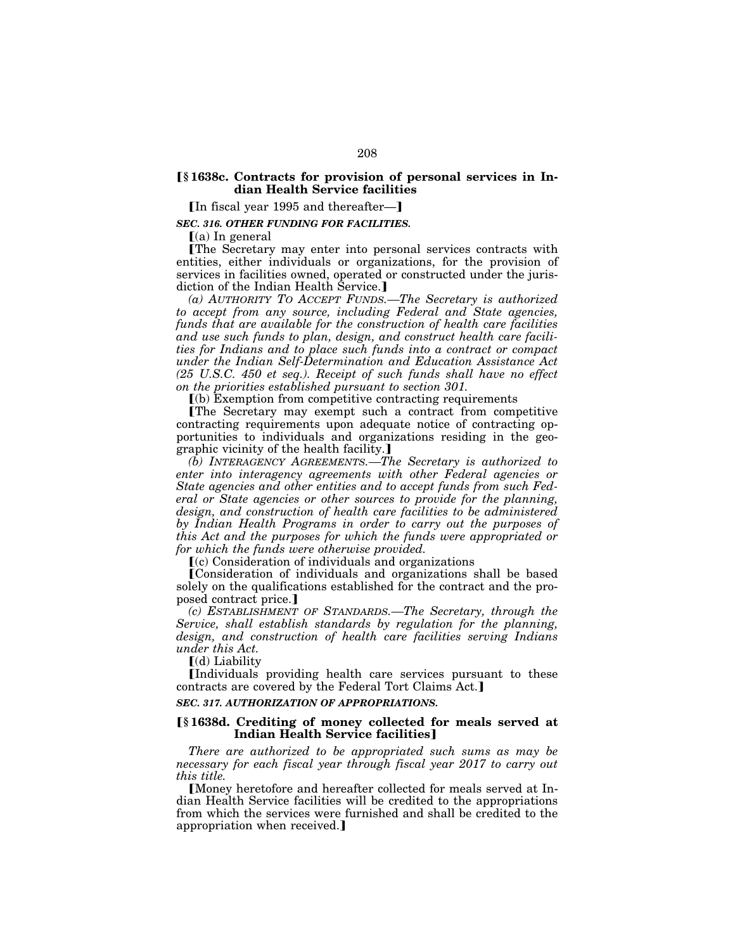# ø**§ 1638c. Contracts for provision of personal services in Indian Health Service facilities**

 $\lceil \ln$  fiscal year 1995 and thereafter-

*SEC. 316. OTHER FUNDING FOR FACILITIES.* 

 $(a)$  In general

øThe Secretary may enter into personal services contracts with entities, either individuals or organizations, for the provision of services in facilities owned, operated or constructed under the jurisdiction of the Indian Health Service.

*(a) AUTHORITY TO ACCEPT FUNDS.—The Secretary is authorized to accept from any source, including Federal and State agencies, funds that are available for the construction of health care facilities and use such funds to plan, design, and construct health care facilities for Indians and to place such funds into a contract or compact under the Indian Self-Determination and Education Assistance Act (25 U.S.C. 450 et seq.). Receipt of such funds shall have no effect on the priorities established pursuant to section 301.* 

 $(a)$  Exemption from competitive contracting requirements

øThe Secretary may exempt such a contract from competitive contracting requirements upon adequate notice of contracting opportunities to individuals and organizations residing in the geographic vicinity of the health facility.

*(b) INTERAGENCY AGREEMENTS.—The Secretary is authorized to enter into interagency agreements with other Federal agencies or State agencies and other entities and to accept funds from such Federal or State agencies or other sources to provide for the planning, design, and construction of health care facilities to be administered by Indian Health Programs in order to carry out the purposes of this Act and the purposes for which the funds were appropriated or for which the funds were otherwise provided.* 

 $(c)$  Consideration of individuals and organizations

øConsideration of individuals and organizations shall be based solely on the qualifications established for the contract and the proposed contract price.]

*(c) ESTABLISHMENT OF STANDARDS.—The Secretary, through the Service, shall establish standards by regulation for the planning, design, and construction of health care facilities serving Indians under this Act.* 

 $\lceil$ (d) Liability

øIndividuals providing health care services pursuant to these contracts are covered by the Federal Tort Claims Act.]

## *SEC. 317. AUTHORIZATION OF APPROPRIATIONS.*

# ø**§ 1638d. Crediting of money collected for meals served at Indian Health Service facilities**

*There are authorized to be appropriated such sums as may be necessary for each fiscal year through fiscal year 2017 to carry out this title.* 

Money heretofore and hereafter collected for meals served at Indian Health Service facilities will be credited to the appropriations from which the services were furnished and shall be credited to the appropriation when received.]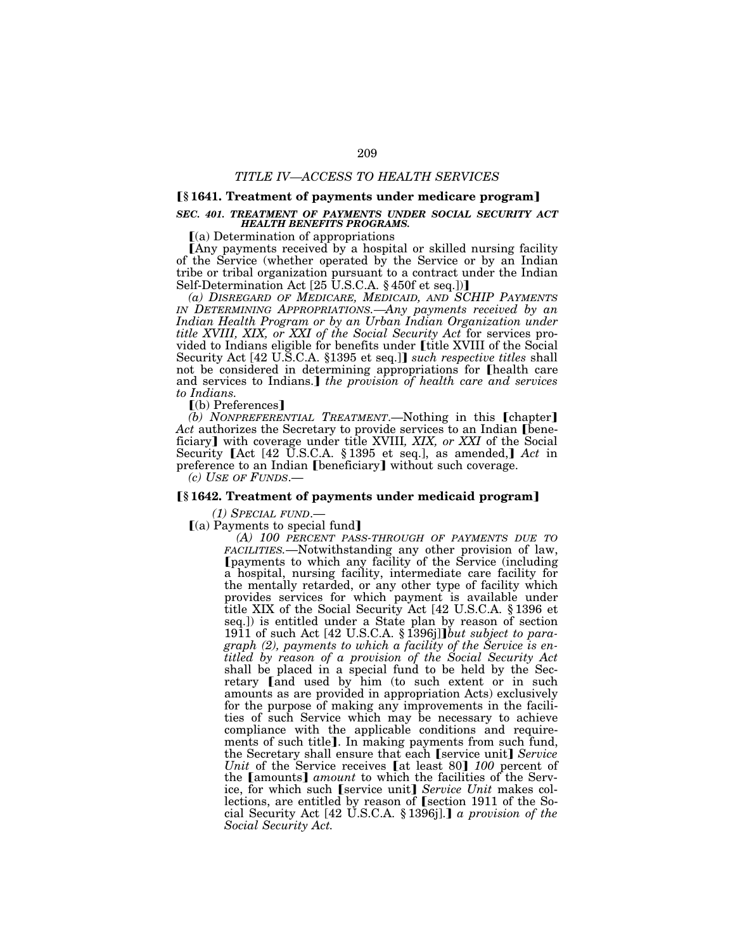## ø**§ 1641. Treatment of payments under medicare program**¿

## *SEC. 401. TREATMENT OF PAYMENTS UNDER SOCIAL SECURITY ACT HEALTH BENEFITS PROGRAMS.*

 $(a)$  Determination of appropriations

[Any payments received by a hospital or skilled nursing facility of the Service (whether operated by the Service or by an Indian tribe or tribal organization pursuant to a contract under the Indian<br>Self-Determination Act [25 U.S.C.A. § 450f et seq.])]

*(a) DISREGARD OF MEDICARE, MEDICAID, AND SCHIP PAYMENTS IN DETERMINING APPROPRIATIONS.—Any payments received by an Indian Health Program or by an Urban Indian Organization under title XVIII, XIX, or XXI of the Social Security Act* for services provided to Indians eligible for benefits under *fittle XVIII* of the Social Security Act [42 U.S.C.A. §1395 et seq.]] *such respective titles* shall not be considered in determining appropriations for [health care and services to Indians.] the provision of health care and services *to Indians.* 

 $[$ (b) Preferences $]$ 

*(b) NONPREFERENTIAL TREATMENT*.—Nothing in this [chapter] Act authorizes the Secretary to provide services to an Indian [beneficiary] with coverage under title XVIII, XIX, or XXI of the Social Security [Act [42 U.S.C.A. § 1395 et seq.], as amended,] Act in preference to an Indian [beneficiary] without such coverage.

*(c) USE OF FUNDS*.—

### ø**§ 1642. Treatment of payments under medicaid program**¿

*(1) SPECIAL FUND*.—

 $(a)$  Payments to special fund

*(A) 100 PERCENT PASS-THROUGH OF PAYMENTS DUE TO FACILITIES.*—Notwithstanding any other provision of law, øpayments to which any facility of the Service (including a hospital, nursing facility, intermediate care facility for the mentally retarded, or any other type of facility which provides services for which payment is available under title XIX of the Social Security Act [42 U.S.C.A. § 1396 et seq.]) is entitled under a State plan by reason of section 1911 of such Act [42 U.S.C.A. § 1396j]*]but subject to paragraph (2), payments to which a facility of the Service is entitled by reason of a provision of the Social Security Act*  shall be placed in a special fund to be held by the Secretary and used by him (to such extent or in such amounts as are provided in appropriation Acts) exclusively for the purpose of making any improvements in the facilities of such Service which may be necessary to achieve compliance with the applicable conditions and requirements of such title]. In making payments from such fund, the Secretary shall ensure that each [service unit] *Service Unit* of the Service receives [at least 80] 100 percent of the [amounts] *amount* to which the facilities of the Service, for which such [service unit] Service Unit makes collections, are entitled by reason of [section 1911 of the Social Security Act [42 U.S.C.A. § 1396j].**]** *a provision of the Social Security Act.*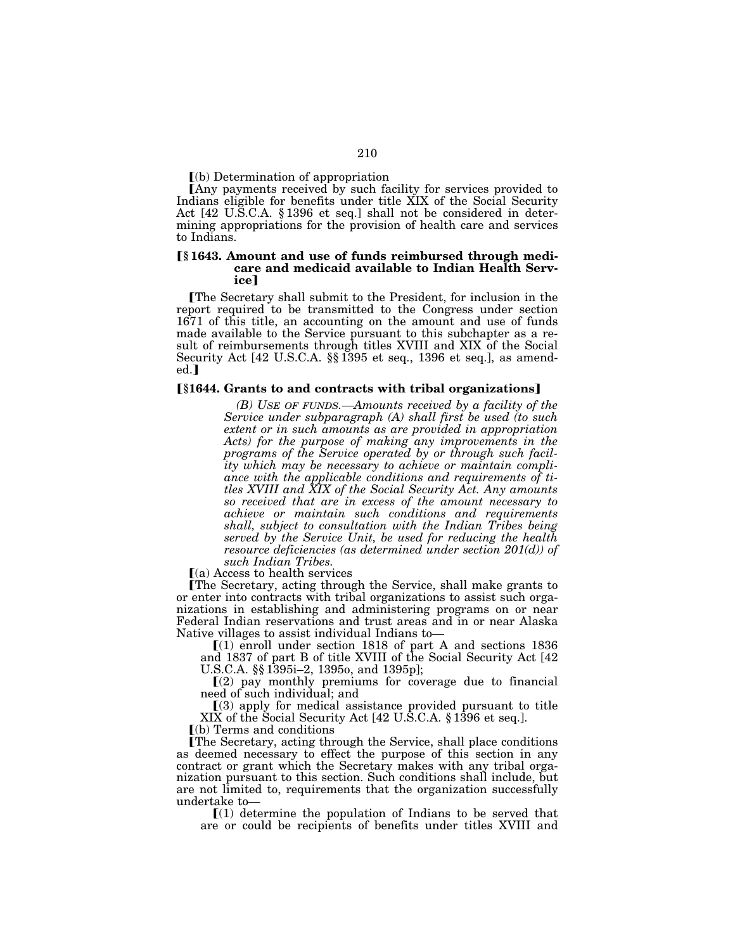$\Gamma$ (b) Determination of appropriation

Any payments received by such facility for services provided to Indians eligible for benefits under title XIX of the Social Security Act [42 U.S.C.A. § 1396 et seq.] shall not be considered in determining appropriations for the provision of health care and services to Indians.

# ø**§ 1643. Amount and use of funds reimbursed through medicare and medicaid available to Indian Health Serv**ice

øThe Secretary shall submit to the President, for inclusion in the report required to be transmitted to the Congress under section 1671 of this title, an accounting on the amount and use of funds made available to the Service pursuant to this subchapter as a result of reimbursements through titles XVIII and XIX of the Social Security Act [42 U.S.C.A. §§ 1395 et seq., 1396 et seq.], as amend $ed.$ 

## ø**§1644. Grants to and contracts with tribal organizations**¿

*(B) USE OF FUNDS.—Amounts received by a facility of the Service under subparagraph (A) shall first be used (to such extent or in such amounts as are provided in appropriation Acts) for the purpose of making any improvements in the programs of the Service operated by or through such facility which may be necessary to achieve or maintain compliance with the applicable conditions and requirements of titles XVIII and XIX of the Social Security Act. Any amounts so received that are in excess of the amount necessary to achieve or maintain such conditions and requirements shall, subject to consultation with the Indian Tribes being served by the Service Unit, be used for reducing the health resource deficiencies (as determined under section 201(d)) of such Indian Tribes.* 

 $(a)$  Access to health services

øThe Secretary, acting through the Service, shall make grants to or enter into contracts with tribal organizations to assist such organizations in establishing and administering programs on or near Federal Indian reservations and trust areas and in or near Alaska Native villages to assist individual Indians to—

 $(1)$  enroll under section 1818 of part A and sections 1836 and 1837 of part B of title XVIII of the Social Security Act [42 U.S.C.A. §§ 1395i–2, 1395o, and 1395p];

 $(2)$  pay monthly premiums for coverage due to financial need of such individual; and

ø(3) apply for medical assistance provided pursuant to title XIX of the Social Security Act [42 U.S.C.A. § 1396 et seq.].

 $(a)$  Terms and conditions

øThe Secretary, acting through the Service, shall place conditions as deemed necessary to effect the purpose of this section in any contract or grant which the Secretary makes with any tribal organization pursuant to this section. Such conditions shall include, but are not limited to, requirements that the organization successfully undertake to—

 $\Gamma(1)$  determine the population of Indians to be served that are or could be recipients of benefits under titles XVIII and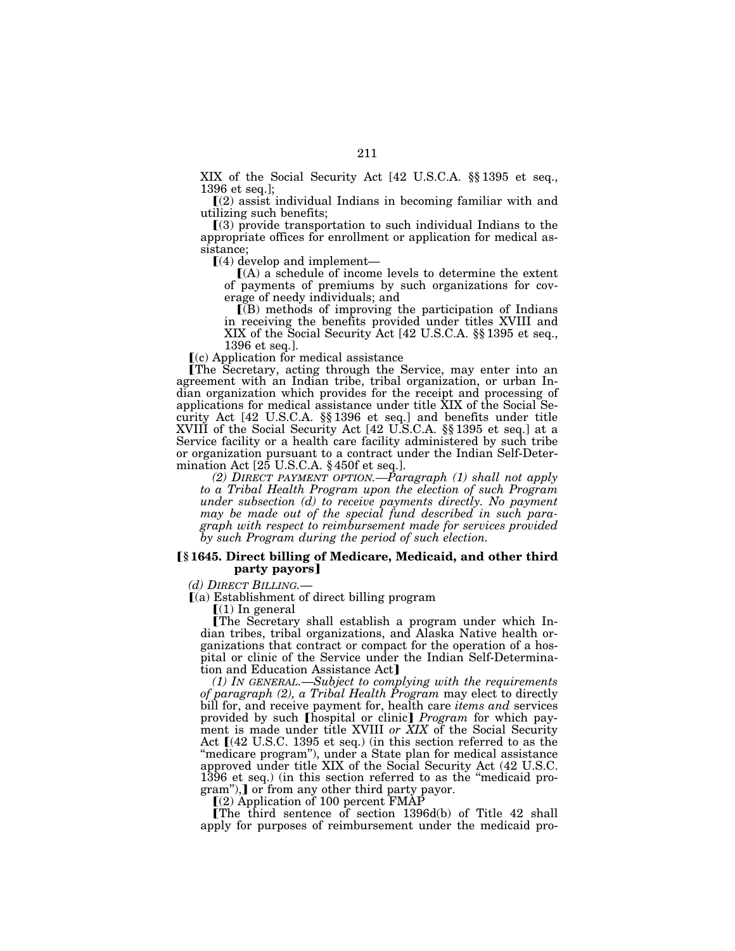XIX of the Social Security Act [42 U.S.C.A. §§ 1395 et seq., 1396 et seq.];

 $(a)$  assist individual Indians in becoming familiar with and utilizing such benefits;

 $(3)$  provide transportation to such individual Indians to the appropriate offices for enrollment or application for medical assistance;<br> $\left[ (4)$  develop and implement—

 $(A)$  a schedule of income levels to determine the extent of payments of premiums by such organizations for coverage of needy individuals; and

 $\overline{I(B)}$  methods of improving the participation of Indians in receiving the benefits provided under titles XVIII and XIX of the Social Security Act [42 U.S.C.A. §§ 1395 et seq., 1396 et seq.].

 $(c)$  Application for medical assistance

øThe Secretary, acting through the Service, may enter into an agreement with an Indian tribe, tribal organization, or urban Indian organization which provides for the receipt and processing of applications for medical assistance under title XIX of the Social Security Act [42 U.S.C.A. §§ 1396 et seq.] and benefits under title XVIII of the Social Security Act [42 U.S.C.A. §§ 1395 et seq.] at a Service facility or a health care facility administered by such tribe or organization pursuant to a contract under the Indian Self-Determination Act [25 U.S.C.A. § 450f et seq.].

*(2) DIRECT PAYMENT OPTION.—Paragraph (1) shall not apply to a Tribal Health Program upon the election of such Program under subsection (d) to receive payments directly. No payment may be made out of the special fund described in such paragraph with respect to reimbursement made for services provided by such Program during the period of such election.* 

### ø**§ 1645. Direct billing of Medicare, Medicaid, and other third party payors**¿

*(d) DIRECT BILLING.*—<br>**[**(a) Establishment of direct billing program

 $(1)$  In general

øThe Secretary shall establish a program under which Indian tribes, tribal organizations, and Alaska Native health organizations that contract or compact for the operation of a hospital or clinic of the Service under the Indian Self-Determination and Education Assistance Act]

*(1) IN GENERAL.*—*Subject to complying with the requirements of paragraph (2), a Tribal Health Program* may elect to directly bill for, and receive payment for, health care *items and* services provided by such [hospital or clinic] *Program* for which payment is made under title XVIII *or XIX* of the Social Security Act  $(42 \text{ U.S.C. } 1395 \text{ et seq.})$  (in this section referred to as the ''medicare program''), under a State plan for medical assistance approved under title XIX of the Social Security Act (42 U.S.C. 1396 et seq.) (in this section referred to as the "medicaid pro $gram$ "), or from any other third party payor.

 $(2)$  Application of 100 percent FMAP

øThe third sentence of section 1396d(b) of Title 42 shall apply for purposes of reimbursement under the medicaid pro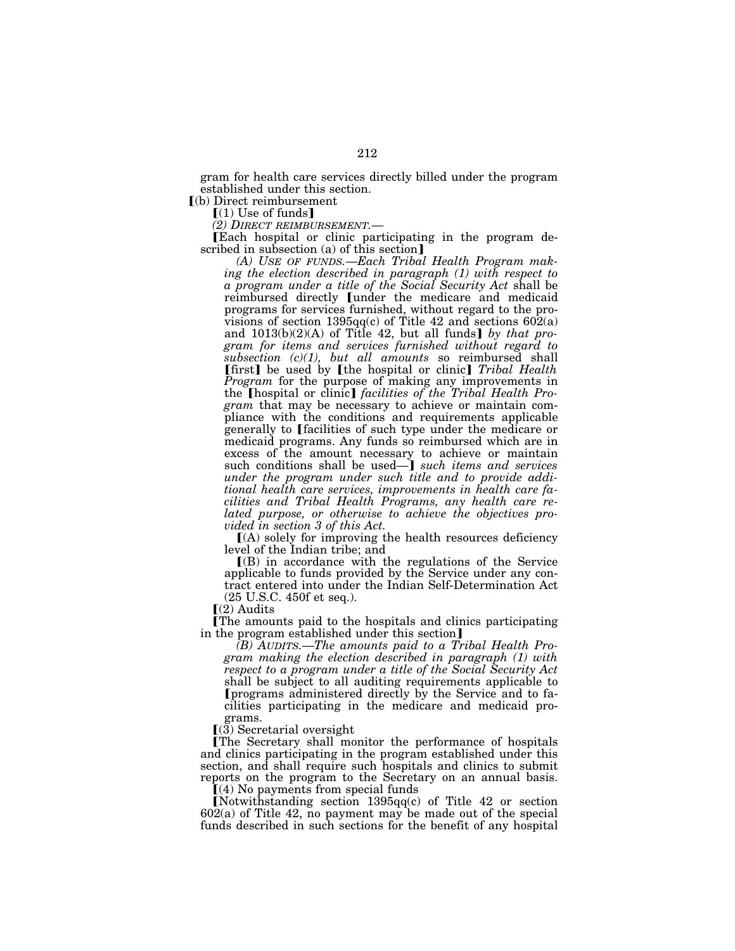gram for health care services directly billed under the program established under this section.

 $\vert$ (b) Direct reimbursement

 $[(1)$  Use of funds]<br>(2) DIRECT REIMBURSEMENT.

**[Each hospital or clinic participating in the program de**scribed in subsection (a) of this section $\mathbf{J}$ 

*(A) USE OF FUNDS.*—*Each Tribal Health Program making the election described in paragraph (1) with respect to a program under a title of the Social Security Act* shall be reimbursed directly [under the medicare and medicaid programs for services furnished, without regard to the provisions of section 1395qq(c) of Title 42 and sections  $602(a)$ and  $1013(b)(2)(A)$  of Title 42, but all funds] by that pro*gram for items and services furnished without regard to subsection (c)(1), but all amounts* so reimbursed shall **[first]** be used by **[the hospital or clinic]** *Tribal Health Program* for the purpose of making any improvements in the **[hospital or clinic]** *facilities of the Tribal Health Program* that may be necessary to achieve or maintain compliance with the conditions and requirements applicable generally to [facilities of such type under the medicare or medicaid programs. Any funds so reimbursed which are in excess of the amount necessary to achieve or maintain such conditions shall be used—**]** *such items and services under the program under such title and to provide additional health care services, improvements in health care facilities and Tribal Health Programs, any health care related purpose, or otherwise to achieve the objectives provided in section 3 of this Act.* 

ø(A) solely for improving the health resources deficiency level of the Indian tribe; and

 $($ B) in accordance with the regulations of the Service applicable to funds provided by the Service under any contract entered into under the Indian Self-Determination Act (25 U.S.C. 450f et seq.).

 $\Gamma(2)$  Audits

øThe amounts paid to the hospitals and clinics participating in the program established under this section]

*(B) AUDITS.*—*The amounts paid to a Tribal Health Program making the election described in paragraph (1) with respect to a program under a title of the Social Security Act*  shall be subject to all auditing requirements applicable to øprograms administered directly by the Service and to facilities participating in the medicare and medicaid programs.

 $(3)$  Secretarial oversight

øThe Secretary shall monitor the performance of hospitals and clinics participating in the program established under this section, and shall require such hospitals and clinics to submit reports on the program to the Secretary on an annual basis.

 $(4)$  No payments from special funds

[Notwithstanding section  $1395qq(c)$  of Title 42 or section  $602(a)$  of Title 42, no payment may be made out of the special funds described in such sections for the benefit of any hospital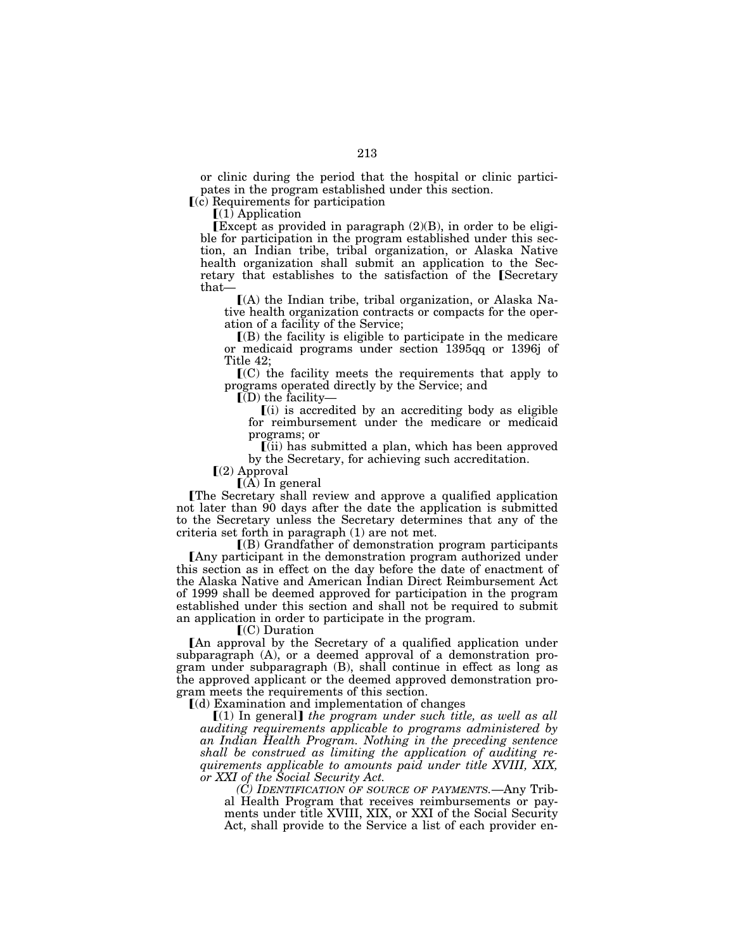or clinic during the period that the hospital or clinic participates in the program established under this section.

ø(c) Requirements for participation

 $(1)$  Application

Except as provided in paragraph  $(2)(B)$ , in order to be eligible for participation in the program established under this section, an Indian tribe, tribal organization, or Alaska Native health organization shall submit an application to the Secretary that establishes to the satisfaction of the [Secretary that—

 $(A)$  the Indian tribe, tribal organization, or Alaska Native health organization contracts or compacts for the operation of a facility of the Service;

 $($ B $)$  the facility is eligible to participate in the medicare or medicaid programs under section 1395qq or 1396j of Title 42;

 $\mathcal{I}(C)$  the facility meets the requirements that apply to programs operated directly by the Service; and

 $\mathbf{I}(\mathbf{D})$  the facility-

 $(i)$  is accredited by an accrediting body as eligible for reimbursement under the medicare or medicaid programs; or

 $\left[$ (ii) has submitted a plan, which has been approved by the Secretary, for achieving such accreditation.

 $(a)$  Approval

 $(A)$  In general

øThe Secretary shall review and approve a qualified application not later than 90 days after the date the application is submitted to the Secretary unless the Secretary determines that any of the criteria set forth in paragraph (1) are not met.

 $($ B) Grandfather of demonstration program participants **F** Any participant in the demonstration program authorized under this section as in effect on the day before the date of enactment of the Alaska Native and American Indian Direct Reimbursement Act of 1999 shall be deemed approved for participation in the program established under this section and shall not be required to submit an application in order to participate in the program.

 $\Gamma$ (C) Duration

An approval by the Secretary of a qualified application under subparagraph (A), or a deemed approval of a demonstration program under subparagraph (B), shall continue in effect as long as the approved applicant or the deemed approved demonstration program meets the requirements of this section.

 $(d)$  Examination and implementation of changes

ø(1) In general¿ *the program under such title, as well as all auditing requirements applicable to programs administered by an Indian Health Program. Nothing in the preceding sentence shall be construed as limiting the application of auditing requirements applicable to amounts paid under title XVIII, XIX, or XXI of the Social Security Act.* 

*(C) IDENTIFICATION OF SOURCE OF PAYMENTS.*—Any Tribal Health Program that receives reimbursements or payments under title XVIII, XIX, or XXI of the Social Security Act, shall provide to the Service a list of each provider en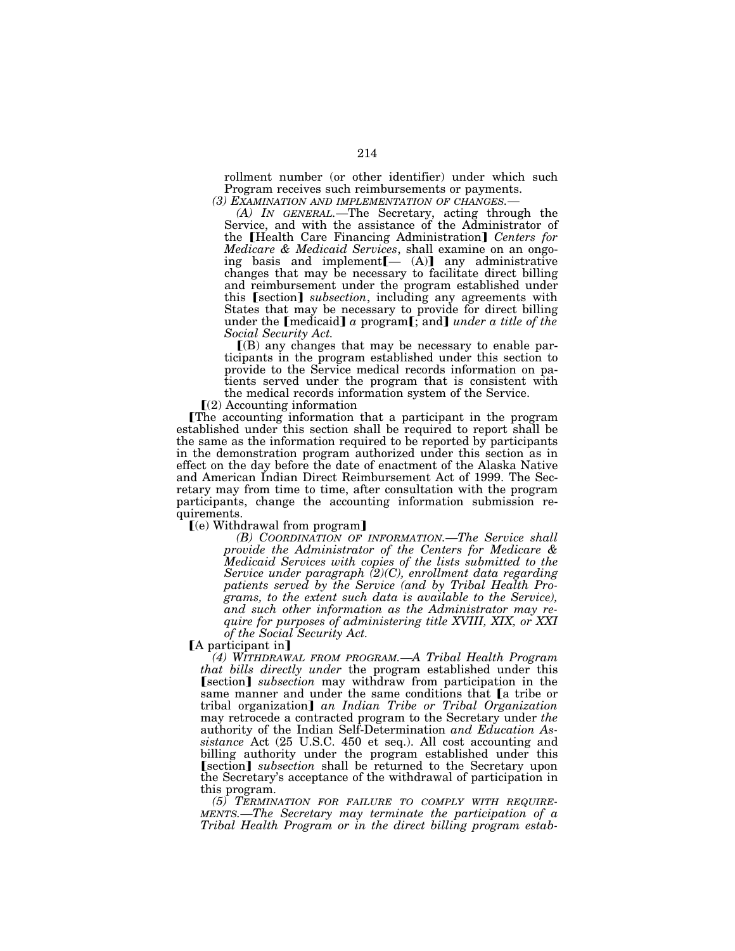rollment number (or other identifier) under which such Program receives such reimbursements or payments.

*(3) EXAMINATION AND IMPLEMENTATION OF CHANGES.*— *(A) IN GENERAL.*—The Secretary, acting through the Service, and with the assistance of the Administrator of the [Health Care Financing Administration] Centers for *Medicare & Medicaid Services*, shall examine on an ongoing basis and implement $[- (A)]$  any administrative changes that may be necessary to facilitate direct billing and reimbursement under the program established under this *[section] subsection*, including any agreements with States that may be necessary to provide for direct billing under the  $\lceil \text{medicaid} \rceil$  *a* program $\lceil \cdot \rceil$ ; and  $\lceil \cdot \rceil$  *under a title of the Social Security Act.* 

 $\Gamma(B)$  any changes that may be necessary to enable participants in the program established under this section to provide to the Service medical records information on patients served under the program that is consistent with the medical records information system of the Service.

 $\Gamma(2)$  Accounting information

øThe accounting information that a participant in the program established under this section shall be required to report shall be the same as the information required to be reported by participants in the demonstration program authorized under this section as in effect on the day before the date of enactment of the Alaska Native and American Indian Direct Reimbursement Act of 1999. The Secretary may from time to time, after consultation with the program participants, change the accounting information submission requirements.

 $\lceil (e)$  Withdrawal from program

*(B) COORDINATION OF INFORMATION.—The Service shall provide the Administrator of the Centers for Medicare & Medicaid Services with copies of the lists submitted to the Service under paragraph (2)(C), enrollment data regarding patients served by the Service (and by Tribal Health Programs, to the extent such data is available to the Service), and such other information as the Administrator may require for purposes of administering title XVIII, XIX, or XXI of the Social Security Act.* 

[A participant in]

*(4) WITHDRAWAL FROM PROGRAM.—A Tribal Health Program that bills directly under* the program established under this **Section** *subsection* may withdraw from participation in the same manner and under the same conditions that  $[a]$  tribe or tribal organization¿ *an Indian Tribe or Tribal Organization*  may retrocede a contracted program to the Secretary under *the*  authority of the Indian Self-Determination *and Education Assistance* Act (25 U.S.C. 450 et seq.). All cost accounting and billing authority under the program established under this **[section]** *subsection* shall be returned to the Secretary upon the Secretary's acceptance of the withdrawal of participation in this program.

*(5) TERMINATION FOR FAILURE TO COMPLY WITH REQUIRE-MENTS.—The Secretary may terminate the participation of a Tribal Health Program or in the direct billing program estab-*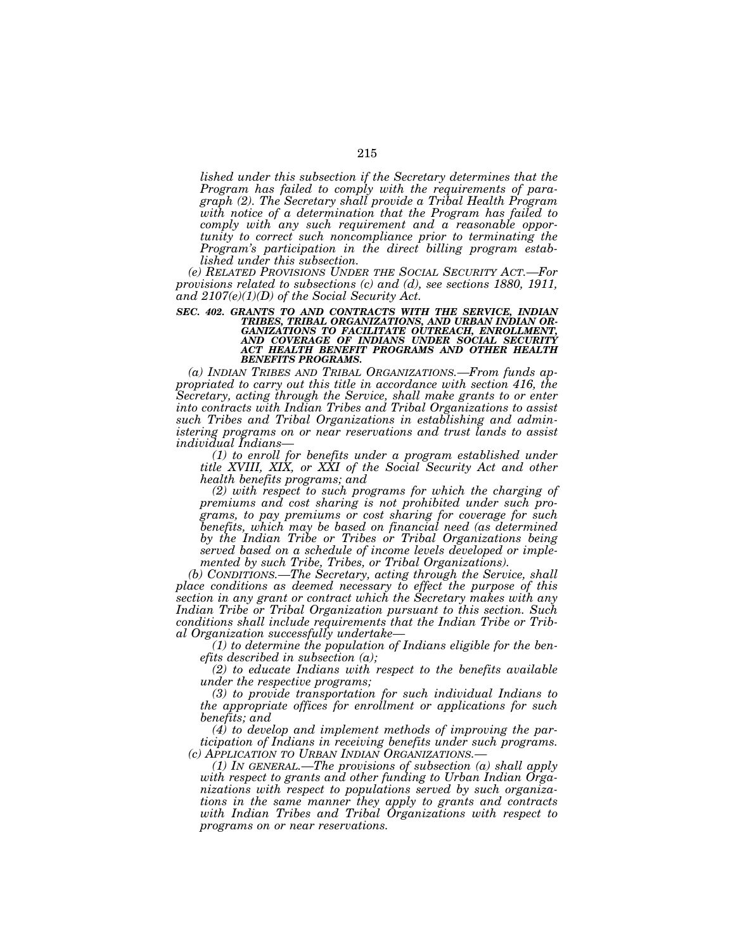*lished under this subsection if the Secretary determines that the Program has failed to comply with the requirements of paragraph (2). The Secretary shall provide a Tribal Health Program with notice of a determination that the Program has failed to comply with any such requirement and a reasonable opportunity to correct such noncompliance prior to terminating the Program's participation in the direct billing program established under this subsection.* 

*(e) RELATED PROVISIONS UNDER THE SOCIAL SECURITY ACT.—For provisions related to subsections (c) and (d), see sections 1880, 1911, and 2107(e)(1)(D) of the Social Security Act.* 

SEC. 402. GRANTS TO AND CONTRACTS WITH THE SERVICE, INDIAN TRIBES, TRIBAL ORGANIZATIONS, AND URBAN INDIAN ORGANIZATIONS TO FACILITATE OUTREACH, ENROLLMENT,<br>GANIZATIONS TO FACILITATE OUTREACH, ENROLLMENT,<br>AND COVERAGE OF IN

*(a) INDIAN TRIBES AND TRIBAL ORGANIZATIONS.—From funds appropriated to carry out this title in accordance with section 416, the Secretary, acting through the Service, shall make grants to or enter into contracts with Indian Tribes and Tribal Organizations to assist such Tribes and Tribal Organizations in establishing and administering programs on or near reservations and trust lands to assist* 

*individual Indians— (1) to enroll for benefits under a program established under title XVIII, XIX, or XXI of the Social Security Act and other health benefits programs; and* 

*(2) with respect to such programs for which the charging of premiums and cost sharing is not prohibited under such programs, to pay premiums or cost sharing for coverage for such benefits, which may be based on financial need (as determined by the Indian Tribe or Tribes or Tribal Organizations being served based on a schedule of income levels developed or implemented by such Tribe, Tribes, or Tribal Organizations).* 

*(b) CONDITIONS.—The Secretary, acting through the Service, shall place conditions as deemed necessary to effect the purpose of this section in any grant or contract which the Secretary makes with any Indian Tribe or Tribal Organization pursuant to this section. Such conditions shall include requirements that the Indian Tribe or Trib-*

*al Organization successfully undertake— (1) to determine the population of Indians eligible for the benefits described in subsection (a);* 

*(2) to educate Indians with respect to the benefits available under the respective programs;* 

*(3) to provide transportation for such individual Indians to the appropriate offices for enrollment or applications for such benefits; and* 

*(4) to develop and implement methods of improving the participation of Indians in receiving benefits under such programs. (c) APPLICATION TO URBAN INDIAN ORGANIZATIONS.—*

*(1) IN GENERAL.—The provisions of subsection (a) shall apply with respect to grants and other funding to Urban Indian Organizations with respect to populations served by such organizations in the same manner they apply to grants and contracts with Indian Tribes and Tribal Organizations with respect to programs on or near reservations.*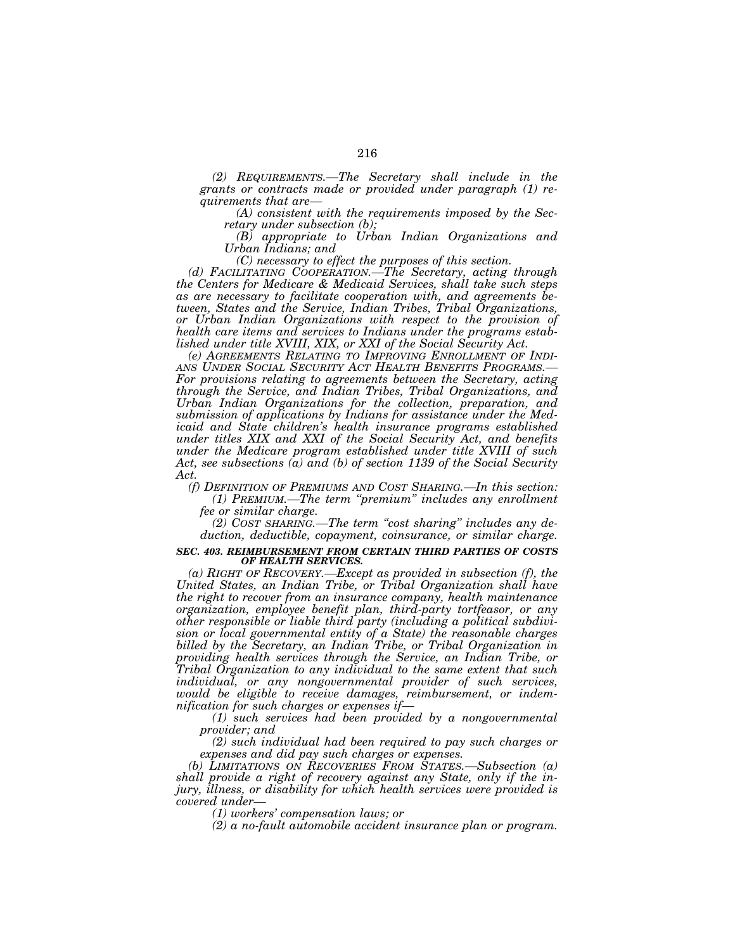*(2) REQUIREMENTS.—The Secretary shall include in the grants or contracts made or provided under paragraph (1) requirements that are— (A) consistent with the requirements imposed by the Sec-*

*retary under subsection (b);* 

*(B) appropriate to Urban Indian Organizations and Urban Indians; and* 

*(C) necessary to effect the purposes of this section.* 

*(d) FACILITATING COOPERATION.—The Secretary, acting through the Centers for Medicare & Medicaid Services, shall take such steps as are necessary to facilitate cooperation with, and agreements between, States and the Service, Indian Tribes, Tribal Organizations, or Urban Indian Organizations with respect to the provision of health care items and services to Indians under the programs established under title XVIII, XIX, or XXI of the Social Security Act.* 

*(e) AGREEMENTS RELATING TO IMPROVING ENROLLMENT OF INDI- For provisions relating to agreements between the Secretary, acting through the Service, and Indian Tribes, Tribal Organizations, and Urban Indian Organizations for the collection, preparation, and submission of applications by Indians for assistance under the Medicaid and State children's health insurance programs established under titles XIX and XXI of the Social Security Act, and benefits under the Medicare program established under title XVIII of such Act, see subsections (a) and (b) of section 1139 of the Social Security Act.* 

*(f) DEFINITION OF PREMIUMS AND COST SHARING.—In this section: (1) PREMIUM.—The term ''premium'' includes any enrollment* 

*fee or similar charge.* 

*(2) COST SHARING.—The term ''cost sharing'' includes any deduction, deductible, copayment, coinsurance, or similar charge.* 

### *SEC. 403. REIMBURSEMENT FROM CERTAIN THIRD PARTIES OF COSTS OF HEALTH SERVICES.*

*(a) RIGHT OF RECOVERY.—Except as provided in subsection (f), the United States, an Indian Tribe, or Tribal Organization shall have the right to recover from an insurance company, health maintenance organization, employee benefit plan, third-party tortfeasor, or any other responsible or liable third party (including a political subdivision or local governmental entity of a State) the reasonable charges billed by the Secretary, an Indian Tribe, or Tribal Organization in providing health services through the Service, an Indian Tribe, or Tribal Organization to any individual to the same extent that such individual, or any nongovernmental provider of such services, would be eligible to receive damages, reimbursement, or indemnification for such charges or expenses if—*

*(1) such services had been provided by a nongovernmental provider; and* 

*(2) such individual had been required to pay such charges or expenses and did pay such charges or expenses.* 

*(b) LIMITATIONS ON RECOVERIES FROM STATES.—Subsection (a) shall provide a right of recovery against any State, only if the injury, illness, or disability for which health services were provided is covered under—*

*(1) workers' compensation laws; or* 

*(2) a no-fault automobile accident insurance plan or program.*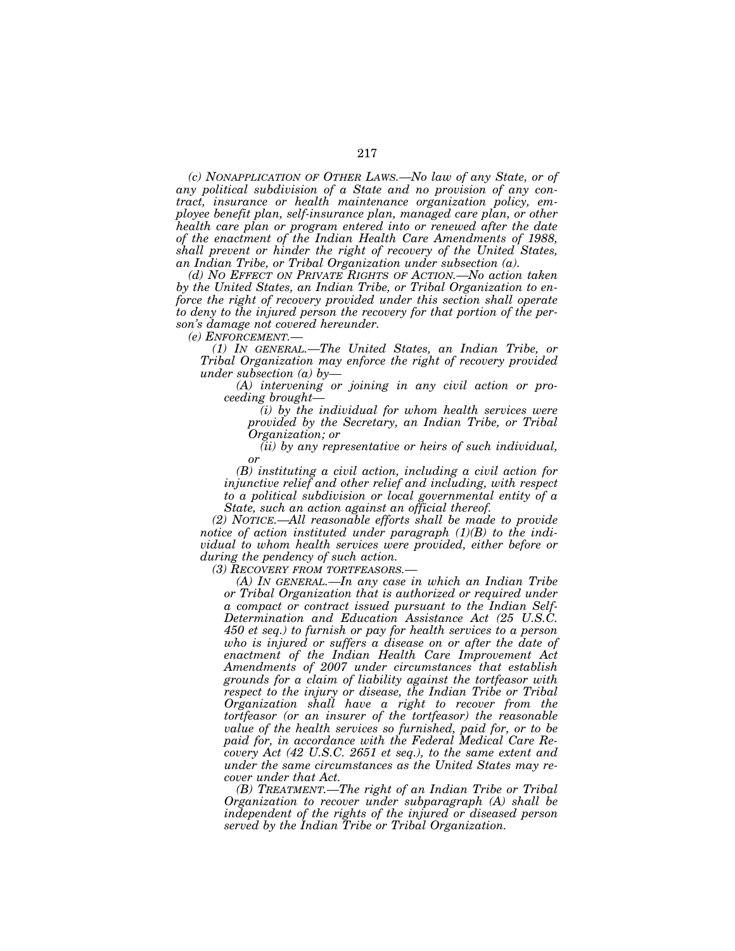*(c) NONAPPLICATION OF OTHER LAWS.—No law of any State, or of any political subdivision of a State and no provision of any contract, insurance or health maintenance organization policy, employee benefit plan, self-insurance plan, managed care plan, or other health care plan or program entered into or renewed after the date of the enactment of the Indian Health Care Amendments of 1988, shall prevent or hinder the right of recovery of the United States, an Indian Tribe, or Tribal Organization under subsection (a).* 

*(d) NO EFFECT ON PRIVATE RIGHTS OF ACTION.—No action taken by the United States, an Indian Tribe, or Tribal Organization to enforce the right of recovery provided under this section shall operate to deny to the injured person the recovery for that portion of the person's damage not covered hereunder.* 

*(e) ENFORCEMENT.—*

*(1) IN GENERAL.—The United States, an Indian Tribe, or Tribal Organization may enforce the right of recovery provided under subsection (a) by—*

*(A) intervening or joining in any civil action or proceeding brought—*

*(i) by the individual for whom health services were provided by the Secretary, an Indian Tribe, or Tribal Organization; or* 

*(ii) by any representative or heirs of such individual, or* 

*(B) instituting a civil action, including a civil action for injunctive relief and other relief and including, with respect to a political subdivision or local governmental entity of a State, such an action against an official thereof.* 

*(2) NOTICE.—All reasonable efforts shall be made to provide notice of action instituted under paragraph (1)(B) to the individual to whom health services were provided, either before or during the pendency of such action.* 

*(3) RECOVERY FROM TORTFEASORS.—*

*(A) IN GENERAL.—In any case in which an Indian Tribe or Tribal Organization that is authorized or required under a compact or contract issued pursuant to the Indian Self-Determination and Education Assistance Act (25 U.S.C. 450 et seq.) to furnish or pay for health services to a person who is injured or suffers a disease on or after the date of enactment of the Indian Health Care Improvement Act Amendments of 2007 under circumstances that establish grounds for a claim of liability against the tortfeasor with respect to the injury or disease, the Indian Tribe or Tribal Organization shall have a right to recover from the tortfeasor (or an insurer of the tortfeasor) the reasonable value of the health services so furnished, paid for, or to be paid for, in accordance with the Federal Medical Care Recovery Act (42 U.S.C. 2651 et seq.), to the same extent and under the same circumstances as the United States may recover under that Act.* 

*(B) TREATMENT.—The right of an Indian Tribe or Tribal Organization to recover under subparagraph (A) shall be independent of the rights of the injured or diseased person served by the Indian Tribe or Tribal Organization.*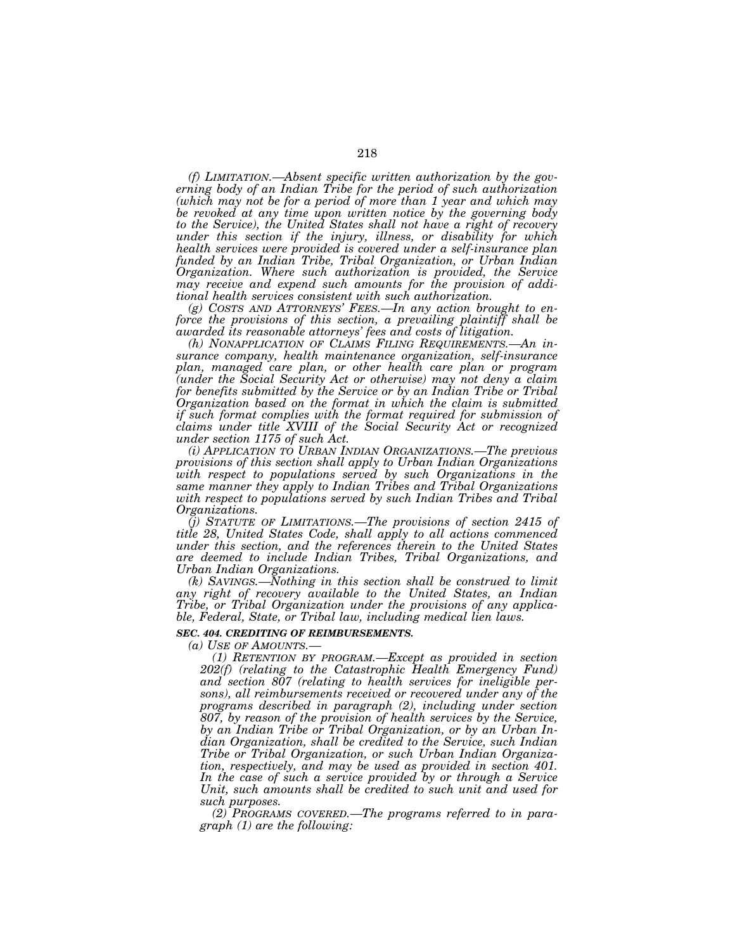*(f) LIMITATION.—Absent specific written authorization by the governing body of an Indian Tribe for the period of such authorization (which may not be for a period of more than 1 year and which may be revoked at any time upon written notice by the governing body to the Service), the United States shall not have a right of recovery under this section if the injury, illness, or disability for which health services were provided is covered under a self-insurance plan funded by an Indian Tribe, Tribal Organization, or Urban Indian Organization. Where such authorization is provided, the Service may receive and expend such amounts for the provision of additional health services consistent with such authorization.* 

*(g) COSTS AND ATTORNEYS' FEES.—In any action brought to enforce the provisions of this section, a prevailing plaintiff shall be awarded its reasonable attorneys' fees and costs of litigation.* 

*(h) NONAPPLICATION OF CLAIMS FILING REQUIREMENTS.—An insurance company, health maintenance organization, self-insurance plan, managed care plan, or other health care plan or program (under the Social Security Act or otherwise) may not deny a claim for benefits submitted by the Service or by an Indian Tribe or Tribal Organization based on the format in which the claim is submitted if such format complies with the format required for submission of claims under title XVIII of the Social Security Act or recognized under section 1175 of such Act.* 

*(i) APPLICATION TO URBAN INDIAN ORGANIZATIONS.—The previous provisions of this section shall apply to Urban Indian Organizations with respect to populations served by such Organizations in the same manner they apply to Indian Tribes and Tribal Organizations with respect to populations served by such Indian Tribes and Tribal Organizations.* 

*(j) STATUTE OF LIMITATIONS.—The provisions of section 2415 of title 28, United States Code, shall apply to all actions commenced under this section, and the references therein to the United States are deemed to include Indian Tribes, Tribal Organizations, and Urban Indian Organizations.* 

*(k) SAVINGS.—Nothing in this section shall be construed to limit any right of recovery available to the United States, an Indian Tribe, or Tribal Organization under the provisions of any applicable, Federal, State, or Tribal law, including medical lien laws.* 

#### *SEC. 404. CREDITING OF REIMBURSEMENTS.*

*(a) USE OF AMOUNTS.— (1) RETENTION BY PROGRAM.—Except as provided in section 202(f) (relating to the Catastrophic Health Emergency Fund) and section 807 (relating to health services for ineligible persons), all reimbursements received or recovered under any of the programs described in paragraph (2), including under section 807, by reason of the provision of health services by the Service, by an Indian Tribe or Tribal Organization, or by an Urban Indian Organization, shall be credited to the Service, such Indian Tribe or Tribal Organization, or such Urban Indian Organization, respectively, and may be used as provided in section 401. In the case of such a service provided by or through a Service Unit, such amounts shall be credited to such unit and used for such purposes.* 

*(2) PROGRAMS COVERED.—The programs referred to in paragraph (1) are the following:*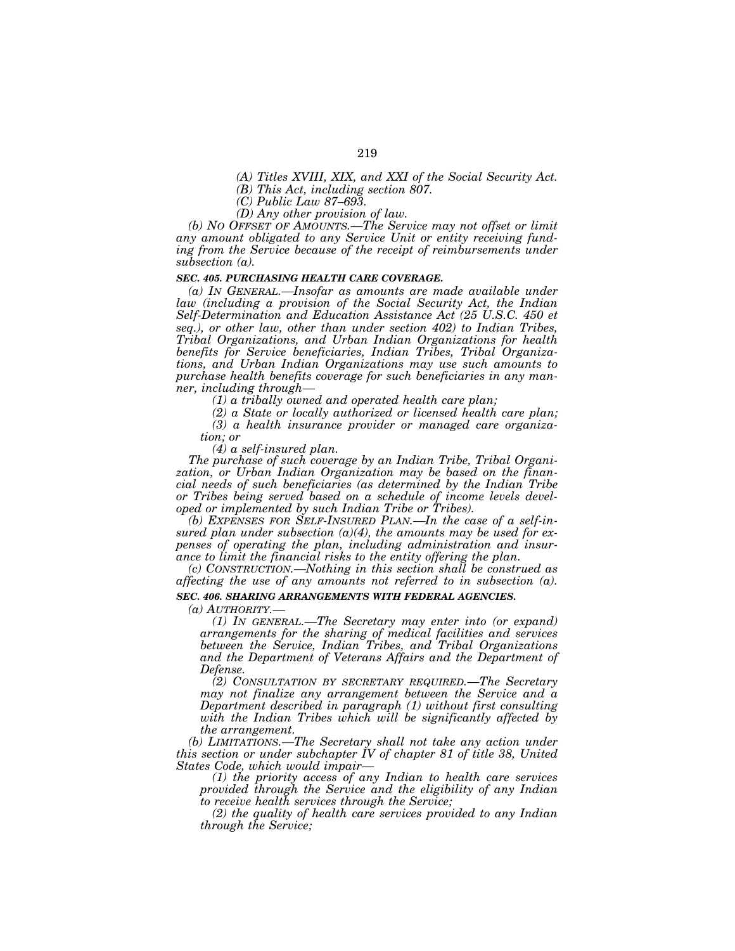*(A) Titles XVIII, XIX, and XXI of the Social Security Act.* 

*(B) This Act, including section 807.* 

*(C) Public Law 87–693.* 

*(D) Any other provision of law.* 

*(b) NO OFFSET OF AMOUNTS.—The Service may not offset or limit any amount obligated to any Service Unit or entity receiving fund*ing from the Service because of the receipt of reimbursements under *subsection (a).* 

#### *SEC. 405. PURCHASING HEALTH CARE COVERAGE.*

*(a) IN GENERAL.—Insofar as amounts are made available under law (including a provision of the Social Security Act, the Indian Self-Determination and Education Assistance Act (25 U.S.C. 450 et seq.), or other law, other than under section 402) to Indian Tribes, Tribal Organizations, and Urban Indian Organizations for health benefits for Service beneficiaries, Indian Tribes, Tribal Organizations, and Urban Indian Organizations may use such amounts to purchase health benefits coverage for such beneficiaries in any manner, including through—*

*(1) a tribally owned and operated health care plan;* 

*(2) a State or locally authorized or licensed health care plan;* 

*(3) a health insurance provider or managed care organiza-*

*tion; or* 

*(4) a self-insured plan.* 

*The purchase of such coverage by an Indian Tribe, Tribal Organization, or Urban Indian Organization may be based on the financial needs of such beneficiaries (as determined by the Indian Tribe or Tribes being served based on a schedule of income levels developed or implemented by such Indian Tribe or Tribes).* 

*(b) EXPENSES FOR SELF-INSURED PLAN.—In the case of a self-insured plan under subsection (a)(4), the amounts may be used for expenses of operating the plan, including administration and insurance to limit the financial risks to the entity offering the plan.* 

*(c) CONSTRUCTION.—Nothing in this section shall be construed as affecting the use of any amounts not referred to in subsection (a).* 

### *SEC. 406. SHARING ARRANGEMENTS WITH FEDERAL AGENCIES.*

*(a) AUTHORITY.—*

*(1) IN GENERAL.—The Secretary may enter into (or expand) arrangements for the sharing of medical facilities and services between the Service, Indian Tribes, and Tribal Organizations and the Department of Veterans Affairs and the Department of Defense.* 

*(2) CONSULTATION BY SECRETARY REQUIRED.—The Secretary may not finalize any arrangement between the Service and a Department described in paragraph (1) without first consulting with the Indian Tribes which will be significantly affected by the arrangement.* 

*(b) LIMITATIONS.—The Secretary shall not take any action under this section or under subchapter IV of chapter 81 of title 38, United States Code, which would impair—* 

*States Code, which would impair— (1) the priority access of any Indian to health care services provided through the Service and the eligibility of any Indian to receive health services through the Service;* 

*(2) the quality of health care services provided to any Indian through the Service;*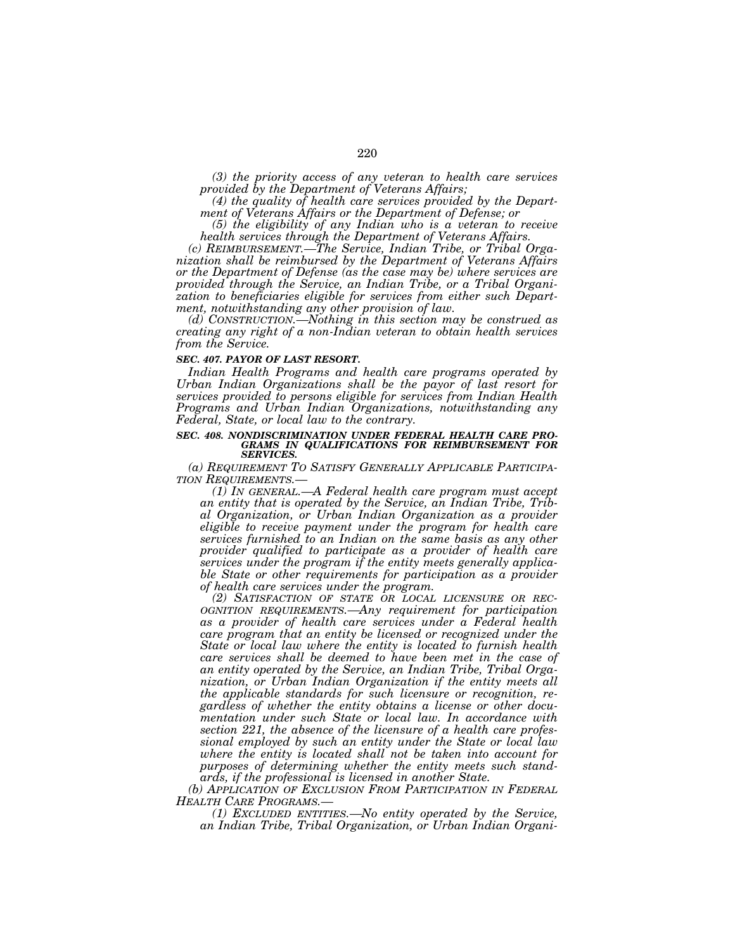*(3) the priority access of any veteran to health care services provided by the Department of Veterans Affairs;* 

*(4) the quality of health care services provided by the Department of Veterans Affairs or the Department of Defense; or* 

*(5) the eligibility of any Indian who is a veteran to receive health services through the Department of Veterans Affairs.* 

*(c) REIMBURSEMENT.—The Service, Indian Tribe, or Tribal Organization shall be reimbursed by the Department of Veterans Affairs or the Department of Defense (as the case may be) where services are provided through the Service, an Indian Tribe, or a Tribal Organization to beneficiaries eligible for services from either such Department, notwithstanding any other provision of law.* 

*(d) CONSTRUCTION.—Nothing in this section may be construed as creating any right of a non-Indian veteran to obtain health services from the Service.* 

#### *SEC. 407. PAYOR OF LAST RESORT.*

*Indian Health Programs and health care programs operated by Urban Indian Organizations shall be the payor of last resort for services provided to persons eligible for services from Indian Health Programs and Urban Indian Organizations, notwithstanding any Federal, State, or local law to the contrary.* 

# *SEC. 408. NONDISCRIMINATION UNDER FEDERAL HEALTH CARE PRO-GRAMS IN QUALIFICATIONS FOR REIMBURSEMENT FOR SERVICES.*

*(a) REQUIREMENT TO SATISFY GENERALLY APPLICABLE PARTICIPA-*

*(1) In GENERAL.—A Federal health care program must accept an entity that is operated by the Service, an Indian Tribe, Tribal Organization, or Urban Indian Organization as a provider eligible to receive payment under the program for health care services furnished to an Indian on the same basis as any other provider qualified to participate as a provider of health care services under the program if the entity meets generally applicable State or other requirements for participation as a provider of health care services under the program.* 

*(2) SATISFACTION OF STATE OR LOCAL LICENSURE OR REC- OGNITION REQUIREMENTS.—Any requirement for participation as a provider of health care services under a Federal health care program that an entity be licensed or recognized under the State or local law where the entity is located to furnish health care services shall be deemed to have been met in the case of an entity operated by the Service, an Indian Tribe, Tribal Organization, or Urban Indian Organization if the entity meets all the applicable standards for such licensure or recognition, regardless of whether the entity obtains a license or other documentation under such State or local law. In accordance with section 221, the absence of the licensure of a health care professional employed by such an entity under the State or local law where the entity is located shall not be taken into account for purposes of determining whether the entity meets such standards, if the professional is licensed in another State.* 

*(b) APPLICATION OF EXCLUSION FROM PARTICIPATION IN FEDERAL HEALTH CARE PROGRAMS.—*

*(1) EXCLUDED ENTITIES.—No entity operated by the Service, an Indian Tribe, Tribal Organization, or Urban Indian Organi-*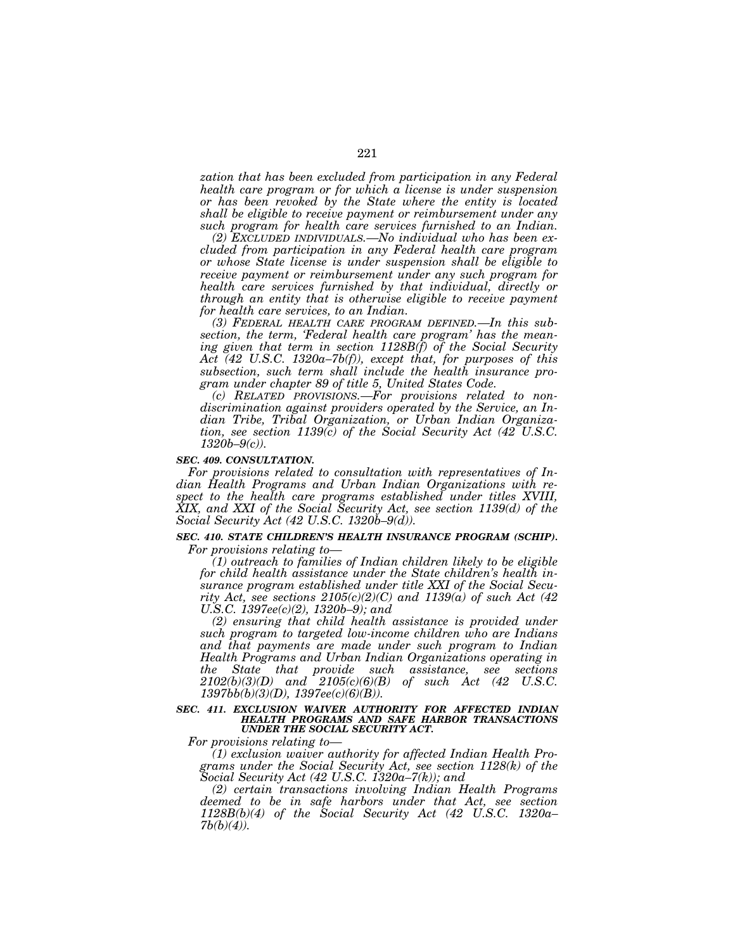*zation that has been excluded from participation in any Federal health care program or for which a license is under suspension or has been revoked by the State where the entity is located shall be eligible to receive payment or reimbursement under any such program for health care services furnished to an Indian.* 

*(2) EXCLUDED INDIVIDUALS.—No individual who has been excluded from participation in any Federal health care program or whose State license is under suspension shall be eligible to receive payment or reimbursement under any such program for health care services furnished by that individual, directly or through an entity that is otherwise eligible to receive payment for health care services, to an Indian.* 

*(3) FEDERAL HEALTH CARE PROGRAM DEFINED.—In this subsection, the term, 'Federal health care program' has the meaning given that term in section 1128B(f) of the Social Security Act (42 U.S.C. 1320a–7b(f)), except that, for purposes of this subsection, such term shall include the health insurance program under chapter 89 of title 5, United States Code.* 

*(c) RELATED PROVISIONS.—For provisions related to nondiscrimination against providers operated by the Service, an Indian Tribe, Tribal Organization, or Urban Indian Organization, see section 1139(c) of the Social Security Act (42 U.S.C. 1320b–9(c)).* 

#### *SEC. 409. CONSULTATION.*

*For provisions related to consultation with representatives of Indian Health Programs and Urban Indian Organizations with respect to the health care programs established under titles XVIII, XIX, and XXI of the Social Security Act, see section 1139(d) of the Social Security Act (42 U.S.C. 1320b–9(d)).* 

# **SEC. 410. STATE CHILDREN'S HEALTH INSURANCE PROGRAM (SCHIP).**

*For provisions relating to—*

*(1) outreach to families of Indian children likely to be eligible for child health assistance under the State children's health insurance program established under title XXI of the Social Security Act, see sections 2105(c)(2)(C) and 1139(a) of such Act (42 U.S.C. 1397ee(c)(2), 1320b–9); and* 

*(2) ensuring that child health assistance is provided under such program to targeted low-income children who are Indians and that payments are made under such program to Indian Health Programs and Urban Indian Organizations operating in the State that provide such assistance, see sections 2102(b)(3)(D) and 2105(c)(6)(B) of such Act (42 U.S.C. 1397bb(b)(3)(D), 1397ee(c)(6)(B)).* 

#### *SEC. 411. EXCLUSION WAIVER AUTHORITY FOR AFFECTED INDIAN HEALTH PROGRAMS AND SAFE HARBOR TRANSACTIONS UNDER THE SOCIAL SECURITY ACT.*

*For provisions relating to—*

*(1) exclusion waiver authority for affected Indian Health Programs under the Social Security Act, see section 1128(k) of the Social Security Act (42 U.S.C. 1320a–7(k)); and* 

*(2) certain transactions involving Indian Health Programs deemed to be in safe harbors under that Act, see section 1128B(b)(4) of the Social Security Act (42 U.S.C. 1320a– 7b(b)(4)).*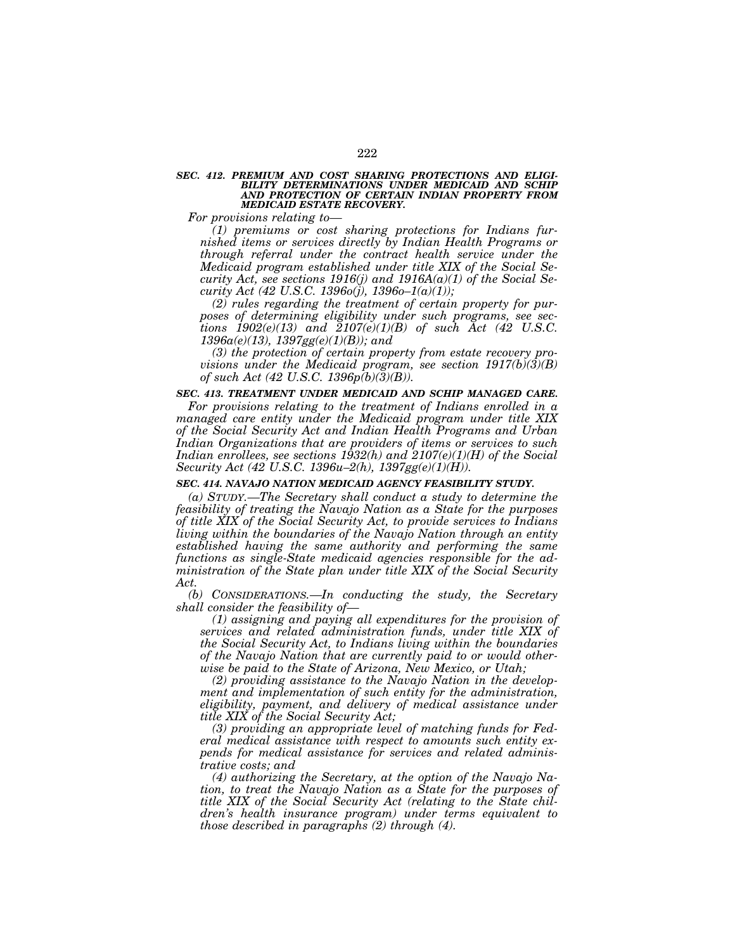#### *SEC. 412. PREMIUM AND COST SHARING PROTECTIONS AND ELIGI-BILITY DETERMINATIONS UNDER MEDICAID AND SCHIP AND PROTECTION OF CERTAIN INDIAN PROPERTY FROM MEDICAID ESTATE RECOVERY.*

*For provisions relating to—*

*(1) premiums or cost sharing protections for Indians furnished items or services directly by Indian Health Programs or through referral under the contract health service under the Medicaid program established under title XIX of the Social Security Act, see sections 1916(j) and 1916A(a)(1) of the Social Security Act (42 U.S.C. 1396o(j), 1396o–1(a)(1));* 

*(2) rules regarding the treatment of certain property for purposes of determining eligibility under such programs, see sections*  $1902(e)(13)$  *and*  $2107(e)(1)(B)$  *of such Act (42 U.S.C. 1396a(e)(13), 1397gg(e)(1)(B)); and* 

*(3) the protection of certain property from estate recovery provisions under the Medicaid program, see section 1917(b)(3)(B) of such Act (42 U.S.C. 1396p(b)(3)(B)).* 

### *SEC. 413. TREATMENT UNDER MEDICAID AND SCHIP MANAGED CARE.*

*For provisions relating to the treatment of Indians enrolled in a managed care entity under the Medicaid program under title XIX of the Social Security Act and Indian Health Programs and Urban Indian Organizations that are providers of items or services to such Indian enrollees, see sections 1932(h) and 2107(e)(1)(H) of the Social Security Act (42 U.S.C. 1396u–2(h), 1397gg(e)(1)(H)).* 

#### *SEC. 414. NAVAJO NATION MEDICAID AGENCY FEASIBILITY STUDY.*

*(a) STUDY.—The Secretary shall conduct a study to determine the feasibility of treating the Navajo Nation as a State for the purposes of title XIX of the Social Security Act, to provide services to Indians living within the boundaries of the Navajo Nation through an entity established having the same authority and performing the same functions as single-State medicaid agencies responsible for the administration of the State plan under title XIX of the Social Security Act.* 

*(b) CONSIDERATIONS.—In conducting the study, the Secretary shall consider the feasibility of—*

*(1) assigning and paying all expenditures for the provision of services and related administration funds, under title XIX of the Social Security Act, to Indians living within the boundaries of the Navajo Nation that are currently paid to or would otherwise be paid to the State of Arizona, New Mexico, or Utah;* 

*(2) providing assistance to the Navajo Nation in the development and implementation of such entity for the administration, eligibility, payment, and delivery of medical assistance under title XIX of the Social Security Act;* 

*(3) providing an appropriate level of matching funds for Federal medical assistance with respect to amounts such entity expends for medical assistance for services and related administrative costs; and* 

*(4) authorizing the Secretary, at the option of the Navajo Nation, to treat the Navajo Nation as a State for the purposes of title XIX of the Social Security Act (relating to the State children's health insurance program) under terms equivalent to those described in paragraphs (2) through (4).*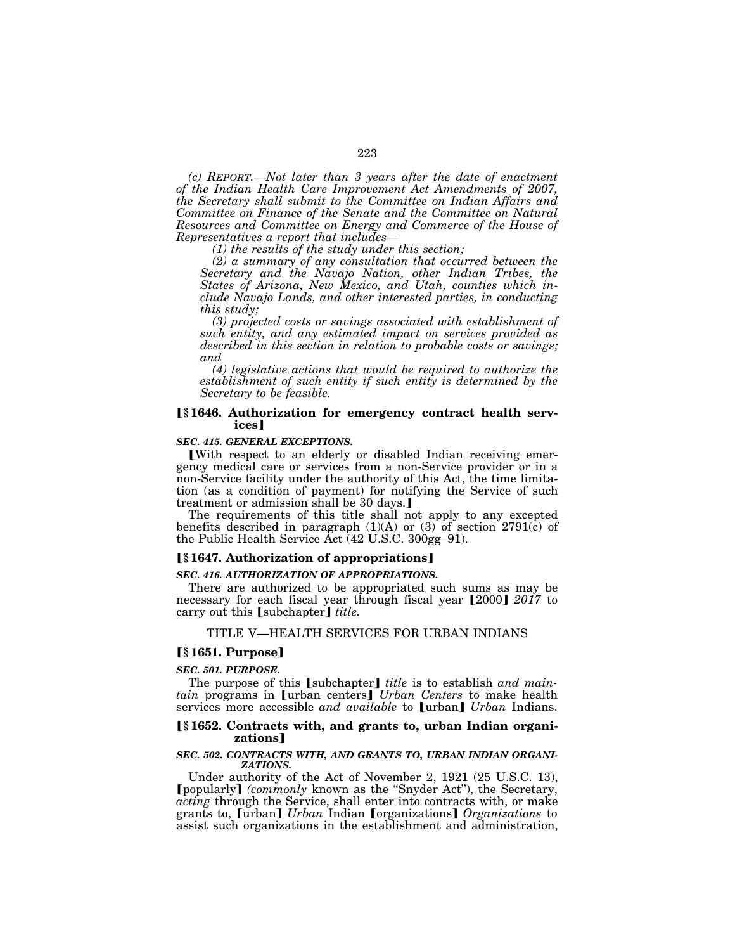*(c) REPORT.—Not later than 3 years after the date of enactment of the Indian Health Care Improvement Act Amendments of 2007, the Secretary shall submit to the Committee on Indian Affairs and Committee on Finance of the Senate and the Committee on Natural Resources and Committee on Energy and Commerce of the House of* 

*(1) the results of the study under this section;* 

*(2) a summary of any consultation that occurred between the Secretary and the Navajo Nation, other Indian Tribes, the States of Arizona, New Mexico, and Utah, counties which include Navajo Lands, and other interested parties, in conducting this study;* 

*(3) projected costs or savings associated with establishment of such entity, and any estimated impact on services provided as described in this section in relation to probable costs or savings; and* 

*(4) legislative actions that would be required to authorize the establishment of such entity if such entity is determined by the Secretary to be feasible.* 

### ø**§ 1646. Authorization for emergency contract health services**¿

### *SEC. 415. GENERAL EXCEPTIONS.*

øWith respect to an elderly or disabled Indian receiving emergency medical care or services from a non-Service provider or in a non-Service facility under the authority of this Act, the time limitation (as a condition of payment) for notifying the Service of such treatment or admission shall be 30 days.

The requirements of this title shall not apply to any excepted benefits described in paragraph  $(1)(A)$  or  $(3)$  of section 2791(c) of the Public Health Service Act (42 U.S.C. 300gg–91).

#### ø**§ 1647. Authorization of appropriations**¿

#### *SEC. 416. AUTHORIZATION OF APPROPRIATIONS.*

There are authorized to be appropriated such sums as may be necessary for each fiscal year through fiscal year [2000]  $2017$  to carry out this [subchapter] *title*.

#### TITLE V—HEALTH SERVICES FOR URBAN INDIANS

### ø**§ 1651. Purpose**¿

#### *SEC. 501. PURPOSE.*

The purpose of this [subchapter] *title* is to establish *and maintain* programs in [urban centers] *Urban Centers* to make health services more accessible *and available* to [urban] *Urban* Indians.

### ø**§ 1652. Contracts with, and grants to, urban Indian organizations**¿

#### *SEC. 502. CONTRACTS WITH, AND GRANTS TO, URBAN INDIAN ORGANI-ZATIONS.*

Under authority of the Act of November 2, 1921 (25 U.S.C. 13), øpopularly¿ *(commonly* known as the ''Snyder Act''), the Secretary, *acting* through the Service, shall enter into contracts with, or make grants to, øurban¿ *Urban* Indian øorganizations¿ *Organizations* to assist such organizations in the establishment and administration,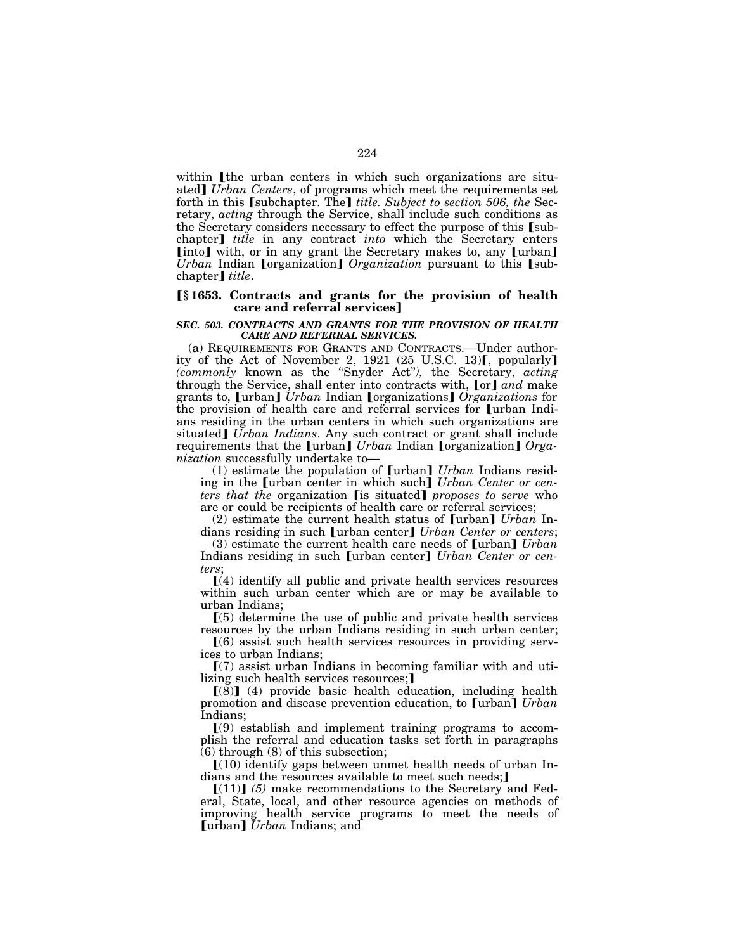within I the urban centers in which such organizations are situated] *Urban Centers*, of programs which meet the requirements set forth in this *[subchapter. The] title. Subject to section 506, the Sec*retary, *acting* through the Service, shall include such conditions as the Secretary considers necessary to effect the purpose of this [subchapter] *title* in any contract *into* which the Secretary enters [into] with, or in any grant the Secretary makes to, any [urban] *Urban* Indian *[organization] Organization* pursuant to this *[sub*chapter] *title*.

### ø**§ 1653. Contracts and grants for the provision of health care and referral services**

#### *SEC. 503. CONTRACTS AND GRANTS FOR THE PROVISION OF HEALTH CARE AND REFERRAL SERVICES.*

(a) REQUIREMENTS FOR GRANTS AND CONTRACTS.—Under authority of the Act of November 2, 1921 (25 U.S.C. 13)[, popularly] *(commonly* known as the ''Snyder Act''*),* the Secretary, *acting*  through the Service, shall enter into contracts with, [or] and make grants to, [urban] *Urban* Indian [organizations] *Organizations* for the provision of health care and referral services for [urban Indians residing in the urban centers in which such organizations are situated] *Urban Indians*. Any such contract or grant shall include requirements that the [urban] *Urban* Indian [organization] *Organization* successfully undertake to—

(1) estimate the population of [urban] *Urban* Indians residing in the **[urban center in which such]** *Urban Center or centers that the organization* [is situated] *proposes to serve* who are or could be recipients of health care or referral services;

(2) estimate the current health status of [urban] *Urban* Indians residing in such **[urban center]** *Urban Center or centers*;

(3) estimate the current health care needs of [urban] *Urban* Indians residing in such [urban center] *Urban Center or centers*;

 $(4)$  identify all public and private health services resources within such urban center which are or may be available to urban Indians;

 $(5)$  determine the use of public and private health services resources by the urban Indians residing in such urban center;

 $(6)$  assist such health services resources in providing services to urban Indians;

 $(7)$  assist urban Indians in becoming familiar with and utilizing such health services resources;

 $[(8)]$  (4) provide basic health education, including health promotion and disease prevention education, to **[urban]** Urban Indians;

 $(9)$  establish and implement training programs to accomplish the referral and education tasks set forth in paragraphs (6) through (8) of this subsection;

 $[(10)$  identify gaps between unmet health needs of urban Indians and the resources available to meet such needs;

 $[(11)]$  (5) make recommendations to the Secretary and Federal, State, local, and other resource agencies on methods of improving health service programs to meet the needs of **[urban]** *Urban* Indians; and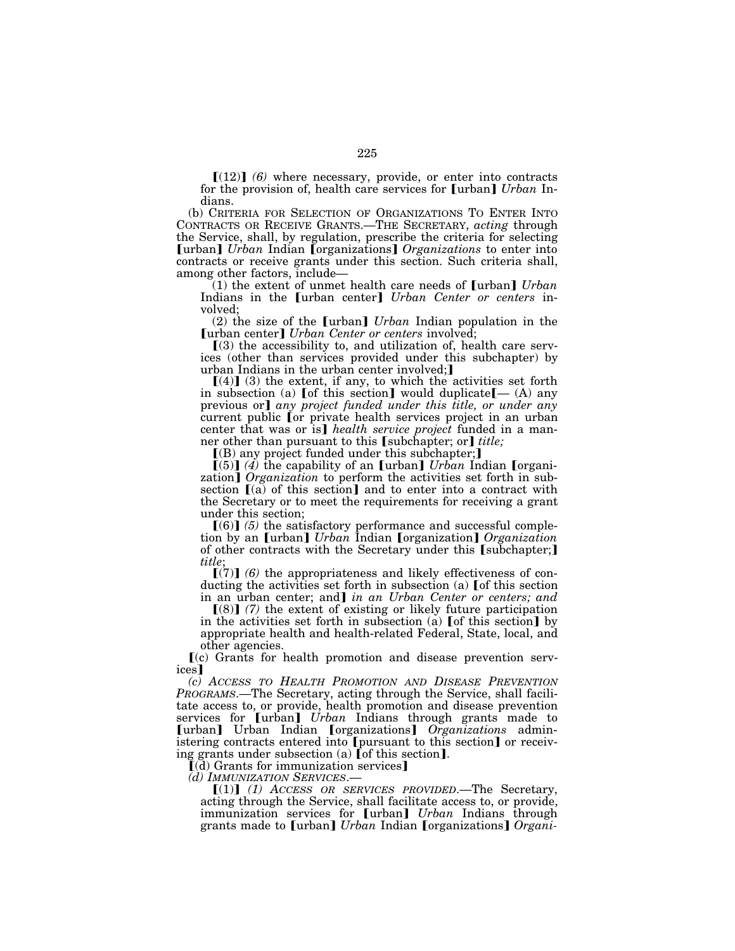$[(12)]$  (6) where necessary, provide, or enter into contracts for the provision of, health care services for [urban] *Urban* Indians.

(b) CRITERIA FOR SELECTION OF ORGANIZATIONS TO ENTER INTO CONTRACTS OR RECEIVE GRANTS.—THE SECRETARY, *acting* through the Service, shall, by regulation, prescribe the criteria for selecting **[urban]** *Urban* Indian [organizations] *Organizations* to enter into contracts or receive grants under this section. Such criteria shall,

 $(1)$  the extent of unmet health care needs of  $\lceil \text{urban} \rceil$  *Urban* Indians in the [urban center] *Urban Center or centers* involved;

(2) the size of the [urban] *Urban* Indian population in the **[urban center]** *Urban Center or centers* involved;

 $(3)$  the accessibility to, and utilization of, health care services (other than services provided under this subchapter) by urban Indians in the urban center involved;

 $[(4)]$  (3) the extent, if any, to which the activities set forth in subsection (a) [of this section] would duplicate $[$ — (A) any previous or] any project funded under this title, or under any current public for private health services project in an urban center that was or is] *health service project* funded in a manner other than pursuant to this [subchapter; or] *title;* 

 $($ B) any project funded under this subchapter; $]$ 

 $\lceil (5) \rceil$  (4) the capability of an  $\lceil \cdot \rceil$  *Urban* Indian  $\lceil \cdot \cdot \rceil$  *nergani*zation] *Organization* to perform the activities set forth in subsection  $I(a)$  of this section] and to enter into a contract with the Secretary or to meet the requirements for receiving a grant under this section;

 $[(6)]$  (5) the satisfactory performance and successful completion by an *Urban*] *Urban* Indian *[organization] Organization* of other contracts with the Secretary under this [subchapter;] *title*;

 $\lceil (7) \rceil$  (6) the appropriateness and likely effectiveness of conducting the activities set forth in subsection (a) [of this section in an urban center; and] *in an Urban Center or centers; and* 

 $(8)$  (7) the extent of existing or likely future participation in the activities set forth in subsection (a)  $\lbrack$  of this section $\lbrack$  by appropriate health and health-related Federal, State, local, and other agencies.

ø(c) Grants for health promotion and disease prevention services<sup>1</sup>

*(c) ACCESS TO HEALTH PROMOTION AND DISEASE PREVENTION PROGRAMS*.—The Secretary, acting through the Service, shall facilitate access to, or provide, health promotion and disease prevention services for [urban] *Urban* Indians through grants made to [urban] Urban Indian [organizations] *Organizations* administering contracts entered into [pursuant to this section] or receiving grants under subsection (a) [of this section].<br> $[(d)$  Grants for immunization services]<br>(*d) IMMUNIZATION SERVICES*.—

 $[(1)]$   $(1)$  *ACCESS OR SERVICES PROVIDED*.—The Secretary, acting through the Service, shall facilitate access to, or provide, immunization services for **[urban]** *Urban* Indians through grants made to [urban] *Urban* Indian [organizations] *Organi-*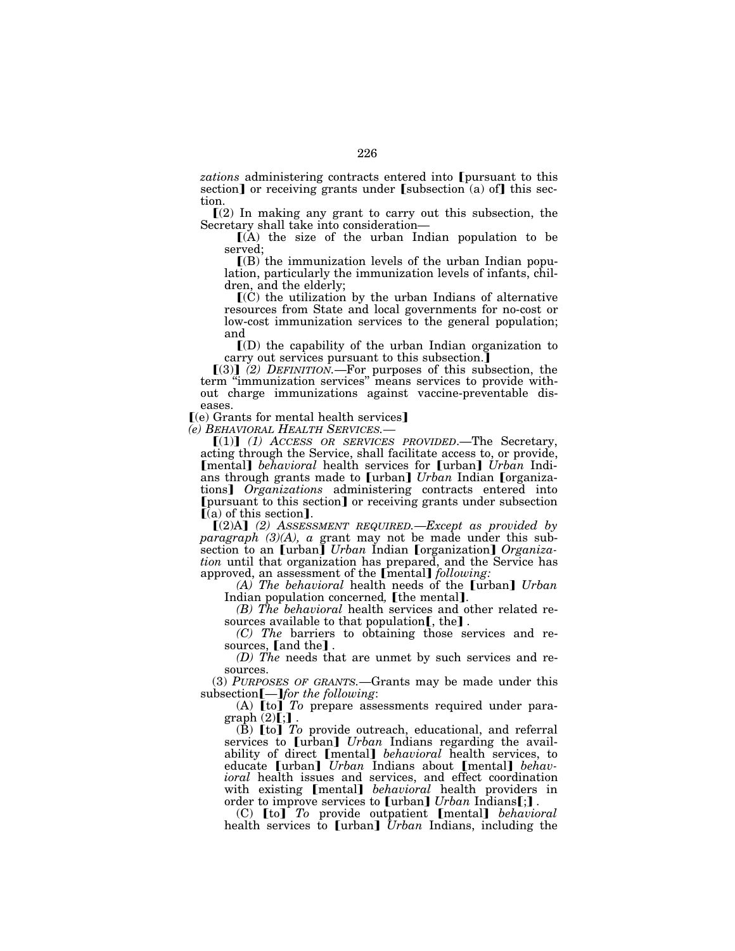*zations* administering contracts entered into **[pursuant to this** section] or receiving grants under  $[subsection (a) of]$  this section.

 $(2)$  In making any grant to carry out this subsection, the Secretary shall take into consideration—

 $\Gamma(A)$  the size of the urban Indian population to be served;

 $(6)$  the immunization levels of the urban Indian population, particularly the immunization levels of infants, children, and the elderly;

 $\mathbf{I}(C)$  the utilization by the urban Indians of alternative resources from State and local governments for no-cost or low-cost immunization services to the general population; and

 $\Gamma(D)$  the capability of the urban Indian organization to carry out services pursuant to this subsection.

 $(3)$  (2) DEFINITION.—For purposes of this subsection, the term ''immunization services'' means services to provide without charge immunizations against vaccine-preventable diseases.

 $(e)$  Grants for mental health services]<br>(e) BEHAVIORAL HEALTH SERVICES.—

[(1)] (1) ACCESS OR SERVICES PROVIDED.—The Secretary, acting through the Service, shall facilitate access to, or provide, **[mental]** *behavioral* health services for **[urban]** *Urban* Indians through grants made to [urban] *Urban* Indian [organizations] *Organizations* administering contracts entered into [pursuant to this section] or receiving grants under subsection  $[(a)$  of this section].

 $[(2)A]$  (2) Assessment Required.—*Except* as provided by *paragraph (3)(A), a* grant may not be made under this subsection to an [urban] *Urban* Indian [organization] *Organization* until that organization has prepared, and the Service has approved, an assessment of the [mental] *following:* 

*(A) The behavioral* health needs of the [urban] *Urban* 

Indian population concerned, [the mental].<br>*(B) The behavioral* health services and other related re-<br>sources available to that population[, the].

(C) The barriers to obtaining those services and re-

sources, [and the].<br>(*D) The* needs that are unmet by such services and resources.

(3) *PURPOSES OF GRANTS.*—Grants may be made under this subsection **[**—*] for the following*:

(A) **[to]** To prepare assessments required under paragraph  $(2)[;]$ .

(B) **[to]** *To* provide outreach, educational, and referral services to [urban] *Urban* Indians regarding the availability of direct *[mental] behavioral* health services, to educate *[urban] Urban Indians about <i>[mental] behavioral* health issues and services, and effect coordination with existing *[mental] behavioral* health providers in order to improve services to [urban] *Urban* Indians[;].<br>(C) [to] *To* provide outpatient [mental] *behavioral* 

health services to [urban] Urban Indians, including the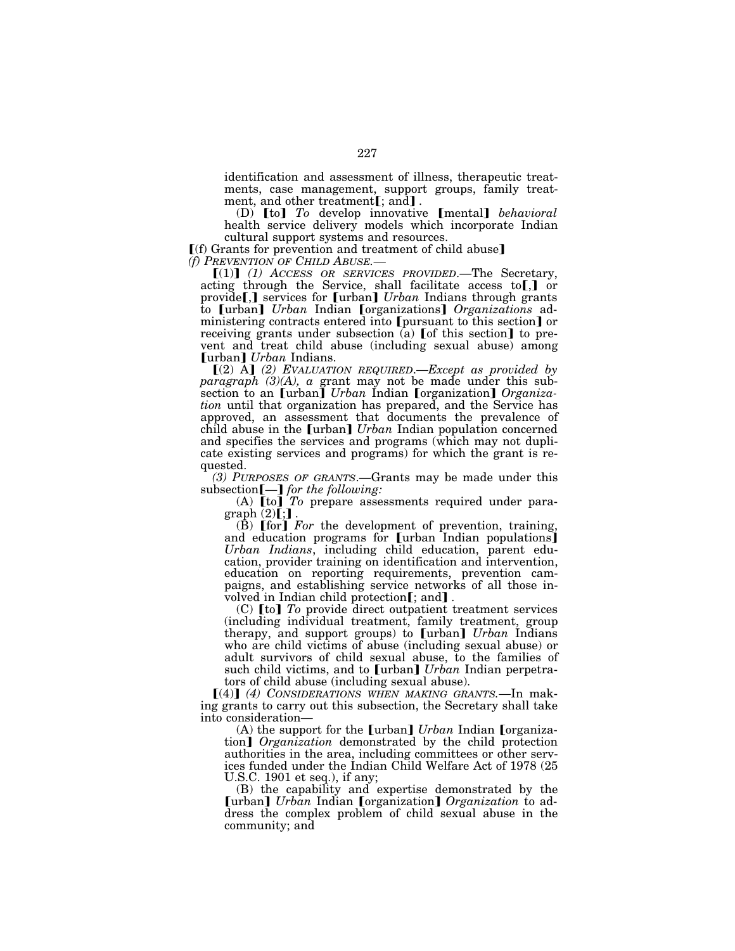identification and assessment of illness, therapeutic treatments, case management, support groups, family treat-<br>ment, and other treatment[; and].

(D) **[to]** To develop innovative **[mental]** *behavioral* health service delivery models which incorporate Indian cultural support systems and resources.

 $[(f)$  Grants for prevention and treatment of child abuse] *(f) PREVENTION OF CHILD ABUSE.—*<br>  $[(1)]$  *(1) ACCESS OR SERVICES PROVIDED*.—The Secretary,

acting through the Service, shall facilitate access to  $[$ , or provide<sup>[</sup>,] services for [urban] *Urban* Indians through grants to [urban] *Urban* Indian [organizations] *Organizations* administering contracts entered into [pursuant to this section] or receiving grants under subsection  $(a)$  [of this section] to prevent and treat child abuse (including sexual abuse) among [urban] *Urban* Indians.

 $[(2)$  A]  $(2)$  EVALUATION REQUIRED. - Except as provided by *paragraph (3)(A), a* grant may not be made under this subsection to an [urban] *Urban* Indian [organization] *Organization* until that organization has prepared, and the Service has approved, an assessment that documents the prevalence of child abuse in the *[urban] Urban Indian population* concerned and specifies the services and programs (which may not duplicate existing services and programs) for which the grant is requested.

*(3) PURPOSES OF GRANTS*.—Grants may be made under this subsection [-] for the following:

(A) [to] *To* prepare assessments required under para $graph (2)[$ ; $]$ .<br>(B)  $[for]$  *For the development of prevention, training,* 

and education programs for  $[$ urban Indian populations $]$ *Urban Indians*, including child education, parent education, provider training on identification and intervention, education on reporting requirements, prevention campaigns, and establishing service networks of all those involved in Indian child protection[; and].

(C) **[to]** To provide direct outpatient treatment services (including individual treatment, family treatment, group therapy, and support groups) to [urban] *Urban* Indians who are child victims of abuse (including sexual abuse) or adult survivors of child sexual abuse, to the families of such child victims, and to [urban] *Urban* Indian perpetrators of child abuse (including sexual abuse).

 $[(4)]$  *(4)* CONSIDERATIONS WHEN MAKING GRANTS. - In making grants to carry out this subsection, the Secretary shall take into consideration—

(A) the support for the [urban] *Urban* Indian [organization] *Organization* demonstrated by the child protection authorities in the area, including committees or other services funded under the Indian Child Welfare Act of 1978 (25 U.S.C. 1901 et seq.), if any;

(B) the capability and expertise demonstrated by the **[urban]** *Urban* Indian **[**organization] *Organization* to address the complex problem of child sexual abuse in the community; and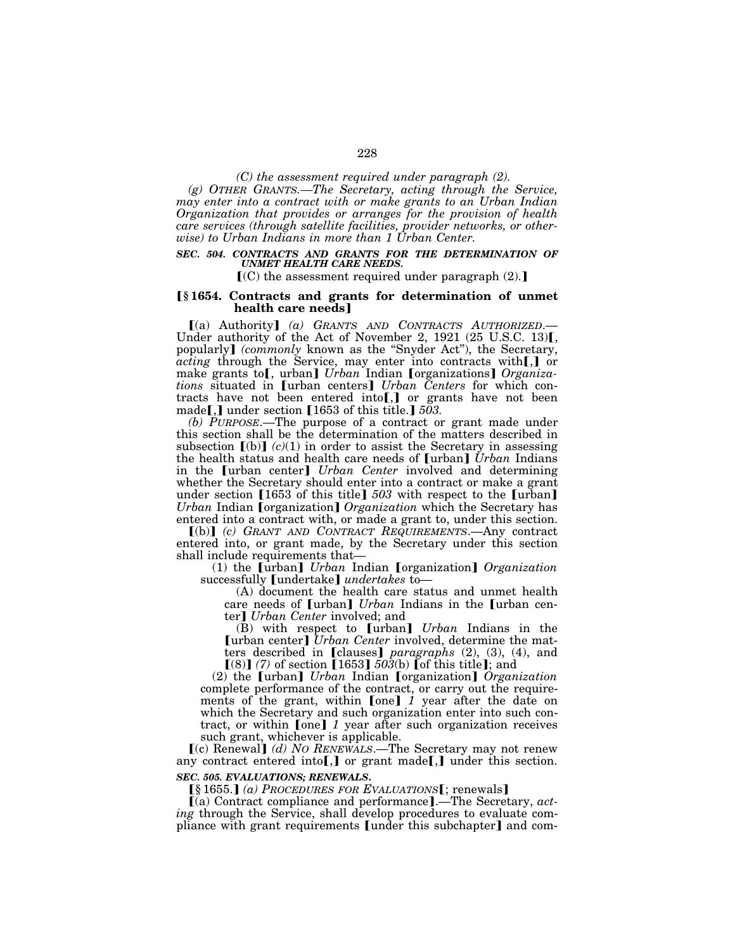*(C) the assessment required under paragraph (2).* 

*(g) OTHER GRANTS.—The Secretary, acting through the Service, may enter into a contract with or make grants to an Urban Indian Organization that provides or arranges for the provision of health care services (through satellite facilities, provider networks, or otherwise) to Urban Indians in more than 1 Urban Center.* 

#### *SEC. 504. CONTRACTS AND GRANTS FOR THE DETERMINATION OF UNMET HEALTH CARE NEEDS.*

 $\mathbb{I}(\mathbb{C})$  the assessment required under paragraph (2).

### ø**§ 1654. Contracts and grants for determination of unmet health care needs**¿

ø(a) Authority¿ *(a) GRANTS AND CONTRACTS AUTHORIZED*.— Under authority of the Act of November 2,  $1921$  (25 U.S.C. 13)[, popularly] *(commonly known as the "Snyder Act")*, the Secretary, *acting* through the Service, may enter into contracts with[,] or make grants to[, urban] *Urban* Indian [organizations] *Organizations* situated in [urban centers] *Urban Centers* for which contracts have not been entered into[,] or grants have not been made[,] under section  $[1653$  of this title.]  $503$ .

*(b) PURPOSE*.—The purpose of a contract or grant made under this section shall be the determination of the matters described in subsection  $\lceil (b) \rceil$   $(c)(1)$  in order to assist the Secretary in assessing the health status and health care needs of [urban] *Urban* Indians in the **[urban center]** *Urban Center* involved and determining whether the Secretary should enter into a contract or make a grant under section [1653 of this title] 503 with respect to the [urban] *Urban* Indian *[organization] Organization* which the Secretary has entered into a contract with, or made a grant to, under this section.

ø(b)¿ *(c) GRANT AND CONTRACT REQUIREMENTS*.—Any contract entered into, or grant made, by the Secretary under this section shall include requirements that—

(1) the [urban] *Urban* Indian [organization] *Organization* successfully *[undertake] undertakes* to-

(A) document the health care status and unmet health care needs of **[urban]** *Urban* Indians in the **[urban cen**ter] *Urban Center* involved; and

(B) with respect to [urban] *Urban* Indians in the [urban center] *Urban Center* involved, determine the matters described in [clauses] *paragraphs* (2), (3), (4), and  $[(8)]$  (7) of section  $[1653]$   $503(b)$  of this title]; and

(2) the [urban] *Urban* Indian [organization] *Organization* complete performance of the contract, or carry out the requirements of the grant, within [one] 1 year after the date on which the Secretary and such organization enter into such contract, or within [one] 1 year after such organization receives such grant, whichever is applicable.

[(c) Renewal] *(d) No RENEWALS*.—The Secretary may not renew any contract entered into  $\left[\right]$  or grant made  $\left[\right]$ , under this section. *SEC. 505. EVALUATIONS; RENEWALS***.** 

**[§1655.]** *(a) PROCEDURES FOR EVALUATIONS***[**; renewals**]** 

ø(a) Contract compliance and performance¿.—The Secretary, *acting* through the Service, shall develop procedures to evaluate compliance with grant requirements [under this subchapter] and com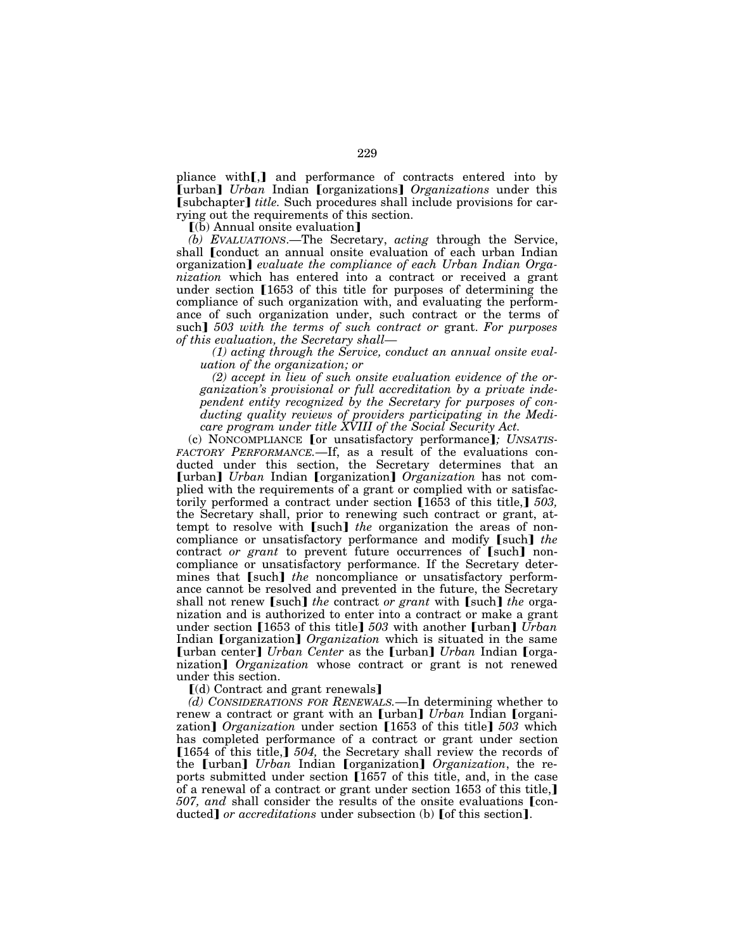pliance with[,] and performance of contracts entered into by **[urban]** *Urban* Indian **[**organizations**]** *Organizations* under this **[subchapter]** *title.* Such procedures shall include provisions for carrying out the requirements of this section.

 $\lceil$ (b) Annual onsite evaluation $\rceil$ 

*(b) EVALUATIONS*.—The Secretary, *acting* through the Service, shall [conduct an annual onsite evaluation of each urban Indian organization] *evaluate the compliance of each Urban Indian Organization* which has entered into a contract or received a grant under section  $[1653$  of this title for purposes of determining the compliance of such organization with, and evaluating the performance of such organization under, such contract or the terms of such] 503 with the terms of such contract or grant. For purposes *of this evaluation, the Secretary shall—*

*(1) acting through the Service, conduct an annual onsite evaluation of the organization; or* 

*(2) accept in lieu of such onsite evaluation evidence of the organization's provisional or full accreditation by a private independent entity recognized by the Secretary for purposes of conducting quality reviews of providers participating in the Medicare program under title XVIII of the Social Security Act.* 

(c) NONCOMPLIANCE [or unsatisfactory performance]; UNSATIS-*FACTORY PERFORMANCE.*—If, as a result of the evaluations conducted under this section, the Secretary determines that an [urban] *Urban* Indian [organization] *Organization* has not complied with the requirements of a grant or complied with or satisfactorily performed a contract under section [1653 of this title,] 503, the Secretary shall, prior to renewing such contract or grant, attempt to resolve with [such] *the* organization the areas of noncompliance or unsatisfactory performance and modify [such] the contract *or grant* to prevent future occurrences of [such] noncompliance or unsatisfactory performance. If the Secretary determines that [such] *the* noncompliance or unsatisfactory performance cannot be resolved and prevented in the future, the Secretary shall not renew [such] *the contract or grant* with [such] *the orga*nization and is authorized to enter into a contract or make a grant under section [1653 of this title] 503 with another [urban] *Urban* Indian **[**organization**]** *Organization* which is situated in the same [urban center] *Urban Center* as the [urban] *Urban* Indian [organization] *Organization* whose contract or grant is not renewed under this section.

 $\lceil$ (d) Contract and grant renewals $\lceil$ 

*(d) CONSIDERATIONS FOR RENEWALS.*—In determining whether to renew a contract or grant with an [urban] *Urban* Indian [organization] *Organization* under section [1653 of this title] 503 which has completed performance of a contract or grant under section [1654 of this title,] 504, the Secretary shall review the records of the [urban] *Urban* Indian [organization] *Organization*, the reports submitted under section  $[1657]$  of this title, and, in the case of a renewal of a contract or grant under section 1653 of this title, *507, and shall consider the results of the onsite evaluations* [conducted] *or accreditations* under subsection (b) [of this section].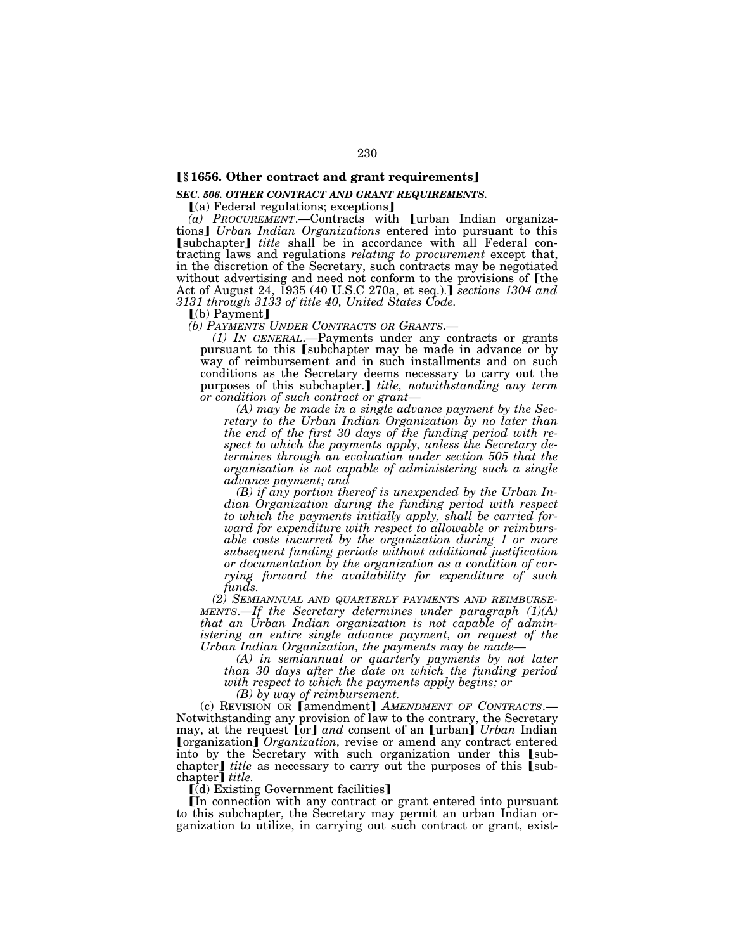### **[§** 1656. Other contract and grant requirements]

### *SEC. 506. OTHER CONTRACT AND GRANT REQUIREMENTS.*

 $(a)$  Federal regulations; exceptions]

 $(a)$  *PROCUREMENT*.—Contracts with **[**urban Indian organizations¿ *Urban Indian Organizations* entered into pursuant to this **[subchapter]** *title* shall be in accordance with all Federal contracting laws and regulations *relating to procurement* except that, in the discretion of the Secretary, such contracts may be negotiated without advertising and need not conform to the provisions of the Act of August 24, 1935 (40 U.S.C 270a, et seq.).] *sections 1304 and 3131 through 3133 of title 40, United States Code.* 

[(b) Payment]<br>(b) PAYMENTS UNDER CONTRACTS OR GRANTS.—

*(1) IN GENERAL*.—Payments under any contracts or grants pursuant to this [subchapter may be made in advance or by way of reimbursement and in such installments and on such conditions as the Secretary deems necessary to carry out the purposes of this subchapter.*] title, notwithstanding any term or condition of such contract or grant*— *(A) may be made in a single advance payment by the Sec-*

*retary to the Urban Indian Organization by no later than the end of the first 30 days of the funding period with respect to which the payments apply, unless the Secretary determines through an evaluation under section 505 that the organization is not capable of administering such a single advance payment; and* 

*(B) if any portion thereof is unexpended by the Urban Indian Organization during the funding period with respect to which the payments initially apply, shall be carried forward for expenditure with respect to allowable or reimbursable costs incurred by the organization during 1 or more subsequent funding periods without additional justification or documentation by the organization as a condition of carrying forward the availability for expenditure of such funds.* 

*(2) SEMIANNUAL AND QUARTERLY PAYMENTS AND REIMBURSE- MENTS*.—*If the Secretary determines under paragraph (1)(A) that an Urban Indian organization is not capable of administering an entire single advance payment, on request of the Urban Indian Organization, the payments may be made— (A) in semiannual or quarterly payments by not later* 

*than 30 days after the date on which the funding period with respect to which the payments apply begins; or* 

*(B) by way of reimbursement.*<br> **(c) REVISION OR [amendment]** *AMENDMENT OF CONTRACTS***.—** Notwithstanding any provision of law to the contrary, the Secretary may, at the request [or] and consent of an [urban] *Urban* Indian [organization] *Organization*, revise or amend any contract entered into by the Secretary with such organization under this [subchapter] *title* as necessary to carry out the purposes of this [subchapter<sup>*j*</sup> title.

 $\lceil$ (d) Existing Government facilities

øIn connection with any contract or grant entered into pursuant to this subchapter, the Secretary may permit an urban Indian organization to utilize, in carrying out such contract or grant, exist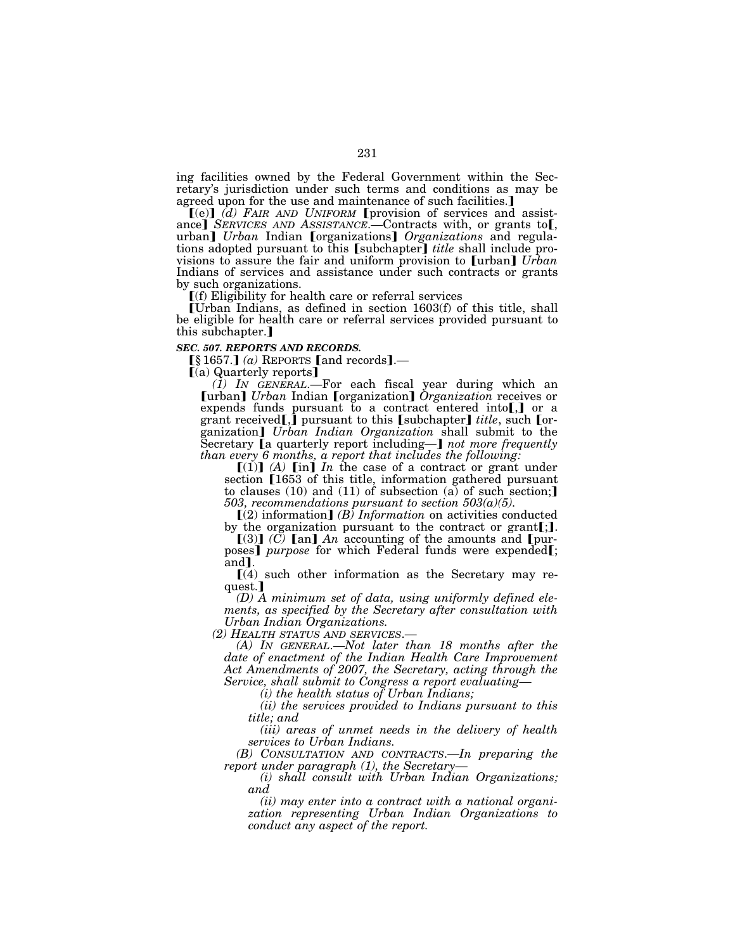ing facilities owned by the Federal Government within the Secretary's jurisdiction under such terms and conditions as may be agreed upon for the use and maintenance of such facilities.]

 $[(e)]$   $(d)$  FAIR AND UNIFORM **[provision** of services and assistance] *SERVICES AND ASSISTANCE*.—Contracts with, or grants to<sub>[</sub>, urban] *Urban* Indian [organizations] *Organizations* and regulations adopted pursuant to this [subchapter] *title* shall include provisions to assure the fair and uniform provision to [urban] *Urban* Indians of services and assistance under such contracts or grants by such organizations.

 $[f]$  Eligibility for health care or referral services

øUrban Indians, as defined in section 1603(f) of this title, shall be eligible for health care or referral services provided pursuant to this subchapter.

#### *SEC. 507. REPORTS AND RECORDS.*

 $\S 1657$ .] *(a)* REPORTS [and records].—<br> $\lceil$ (a) Quarterly reports]

*(1) IN GENERAL*.—For each fiscal year during which an **[urban]** *Urban* Indian **[**organization**]** *Organization* receives or expends funds pursuant to a contract entered into  $\left[\right]$  or a grant received<sup>[1]</sup>, pursuant to this [subchapter] *title*, such [organization] *Urban Indian Organization* shall submit to the Secretary **a** quarterly report including—**]** not more frequently *than every 6 months, a report that includes the following:* 

 $[(1)]$   $(A)$   $[$ in]  $In$  the case of a contract or grant under section [1653 of this title, information gathered pursuant to clauses (10) and (11) of subsection (a) of such section; *503, recommendations pursuant to section 503(a)(5).* 

 $(Q)$  information] *(B) Information* on activities conducted by the organization pursuant to the contract or grant[;].<br>[(3)] *(C)* [an] *An* accounting of the amounts and [pur-

poses] *purpose* for which Federal funds were expended[;

and].  $[(4)$  such other information as the Secretary may request.

*(D) A minimum set of data, using uniformly defined elements, as specified by the Secretary after consultation with Urban Indian Organizations.* 

*(2) HEALTH STATUS AND SERVICES*.— *(A) IN GENERAL*.—*Not later than 18 months after the date of enactment of the Indian Health Care Improvement Act Amendments of 2007, the Secretary, acting through the Service, shall submit to Congress a report evaluating—*

*(i) the health status of Urban Indians;* 

*(ii) the services provided to Indians pursuant to this title; and* 

*(iii) areas of unmet needs in the delivery of health services to Urban Indians.* 

*(B) CONSULTATION AND CONTRACTS*.—*In preparing the report under paragraph (1), the Secretary—*

*(i) shall consult with Urban Indian Organizations; and* 

*(ii) may enter into a contract with a national organization representing Urban Indian Organizations to conduct any aspect of the report.*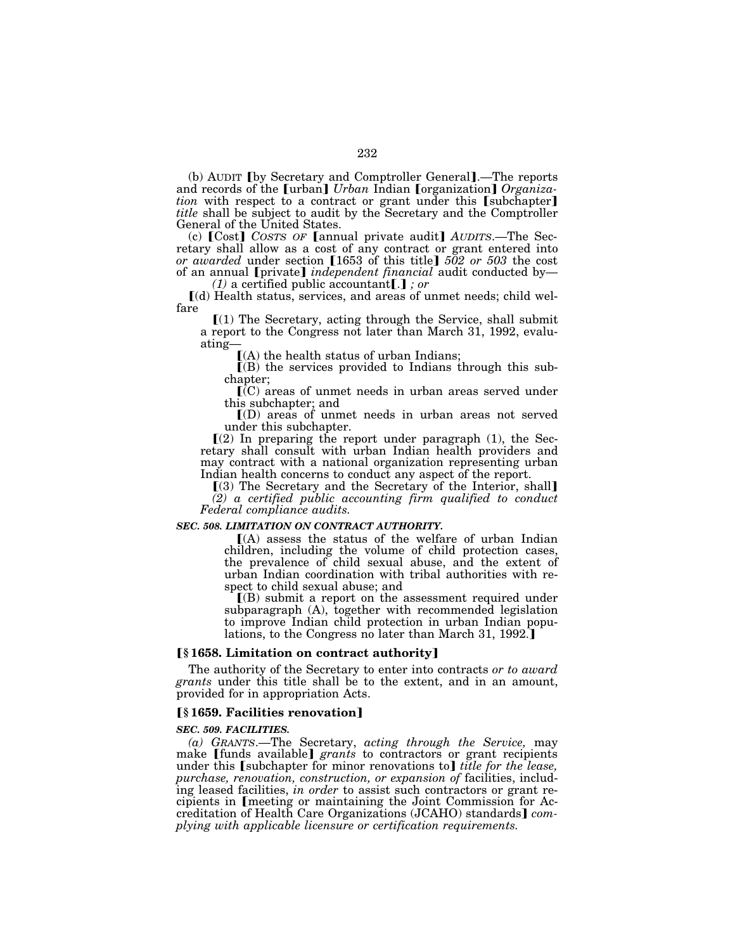(b) AUDIT **J** by Secretary and Comptroller General **1.**—The reports and records of the [urban] *Urban* Indian [organization] *Organization* with respect to a contract or grant under this [subchapter] *title* shall be subject to audit by the Secretary and the Comptroller General of the United States.

(c) [Cost] *COSTS OF* [annual private audit] *AUDITS*.—The Secretary shall allow as a cost of any contract or grant entered into *or awarded* under section [1653 of this title]  $502$  or 503 the cost of an annual **[private]** *independent financial* audit conducted by— *(1)* a certified public accountant**[.]**; *or* 

ø(d) Health status, services, and areas of unmet needs; child welfare

 $(1)$  The Secretary, acting through the Service, shall submit a report to the Congress not later than March 31, 1992, evaluating—

 $(A)$  the health status of urban Indians;

 $(6)$  the services provided to Indians through this subchapter;

 $\overline{C}(C)$  areas of unmet needs in urban areas served under this subchapter; and

 $I(D)$  areas of unmet needs in urban areas not served under this subchapter.

 $(2)$  In preparing the report under paragraph  $(1)$ , the Secretary shall consult with urban Indian health providers and may contract with a national organization representing urban Indian health concerns to conduct any aspect of the report.

[(3) The Secretary and the Secretary of the Interior, shall] *(2) a certified public accounting firm qualified to conduct Federal compliance audits.* 

#### *SEC. 508. LIMITATION ON CONTRACT AUTHORITY.*

 $(A)$  assess the status of the welfare of urban Indian children, including the volume of child protection cases, the prevalence of child sexual abuse, and the extent of urban Indian coordination with tribal authorities with respect to child sexual abuse; and

 $(6)$  submit a report on the assessment required under subparagraph (A), together with recommended legislation to improve Indian child protection in urban Indian populations, to the Congress no later than March 31, 1992.

### **Ⅰ§1658. Limitation on contract authority** Ⅰ

The authority of the Secretary to enter into contracts *or to award grants* under this title shall be to the extent, and in an amount, provided for in appropriation Acts.

### ø**§ 1659. Facilities renovation**¿

#### *SEC. 509. FACILITIES.*

*(a) GRANTS*.—The Secretary, *acting through the Service,* may make [funds available] grants to contractors or grant recipients under this [subchapter for minor renovations to] *title for the lease*, *purchase, renovation, construction, or expansion of* facilities, including leased facilities, *in order* to assist such contractors or grant recipients in [meeting or maintaining the Joint Commission for Accreditation of Health Care Organizations (JCAHO) standards  $com$ *plying with applicable licensure or certification requirements.*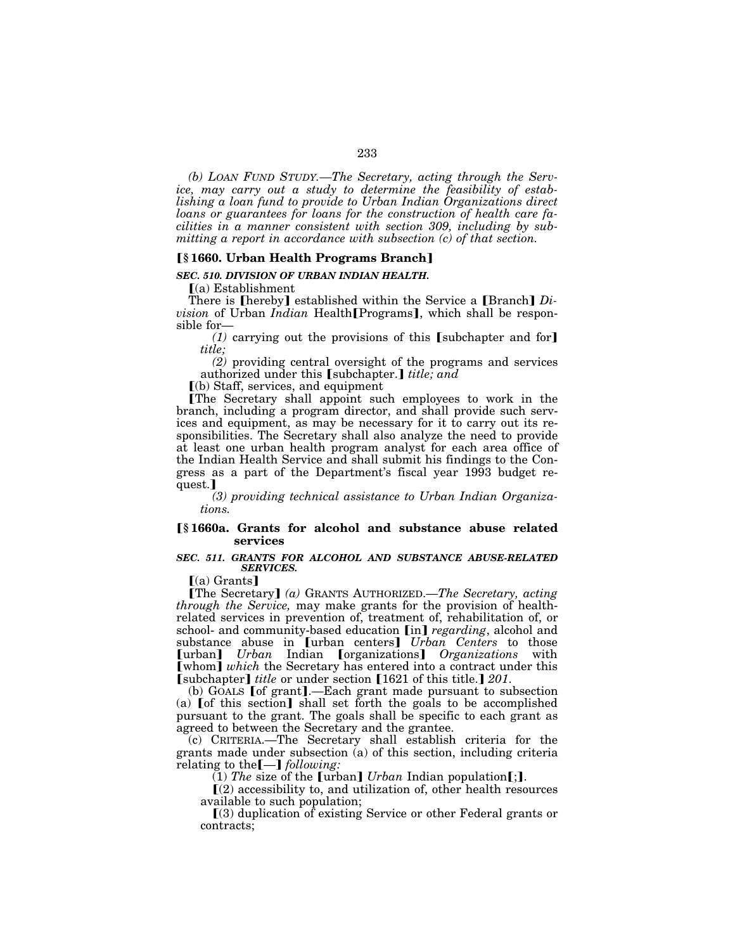*(b) LOAN FUND STUDY.—The Secretary, acting through the Service, may carry out a study to determine the feasibility of establishing a loan fund to provide to Urban Indian Organizations direct loans or guarantees for loans for the construction of health care facilities in a manner consistent with section 309, including by submitting a report in accordance with subsection (c) of that section.* 

### ø**§ 1660. Urban Health Programs Branch**¿

*SEC. 510. DIVISION OF URBAN INDIAN HEALTH.* 

 $(a)$  Establishment

There is **[hereby]** established within the Service a **[Branch**] *Division* of Urban *Indian* Health<sup>[Programs], which shall be respon-</sup> sible for—

 $(1)$  carrying out the provisions of this [subchapter and for] *title;* 

*(2)* providing central oversight of the programs and services authorized under this [subchapter.] *title; and* 

 $(a)$  Staff, services, and equipment

The Secretary shall appoint such employees to work in the branch, including a program director, and shall provide such services and equipment, as may be necessary for it to carry out its responsibilities. The Secretary shall also analyze the need to provide at least one urban health program analyst for each area office of the Indian Health Service and shall submit his findings to the Congress as a part of the Department's fiscal year 1993 budget request.<sup>1</sup>

*(3) providing technical assistance to Urban Indian Organizations.* 

### ø**§ 1660a. Grants for alcohol and substance abuse related services**

### *SEC. 511. GRANTS FOR ALCOHOL AND SUBSTANCE ABUSE-RELATED SERVICES.*

 $(a)$  Grants]

**[The Secretary]** (a) GRANTS AUTHORIZED.—*The Secretary, acting through the Service,* may make grants for the provision of healthrelated services in prevention of, treatment of, rehabilitation of, or school- and community-based education [in] *regarding*, alcohol and substance abuse in [urban centers] *Urban Centers* to those [urban] *Urban* Indian [organizations] *Organizations* with [whom] which the Secretary has entered into a contract under this [subchapter] *title* or under section [1621 of this title.] 201.

 $(b)$  GOALS [of grant].—Each grant made pursuant to subsection (a)  $\lceil$  of this section shall set forth the goals to be accomplished pursuant to the grant. The goals shall be specific to each grant as agreed to between the Secretary and the grantee.

(c) CRITERIA.—The Secretary shall establish criteria for the grants made under subsection (a) of this section, including criteria relating to the [-] *following*:

 $(1)$  *The* size of the [urban] *Urban* Indian population[;].

 $\Gamma(2)$  accessibility to, and utilization of, other health resources available to such population;

 $(3)$  duplication of existing Service or other Federal grants or contracts;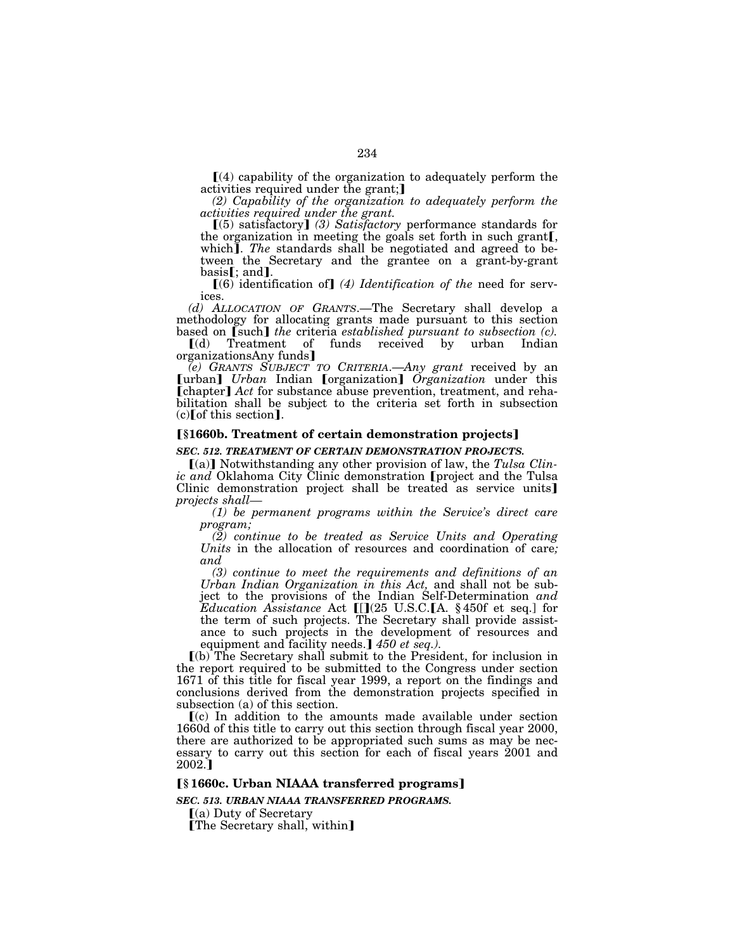$\Gamma(4)$  capability of the organization to adequately perform the activities required under the grant;

*(2) Capability of the organization to adequately perform the activities required under the grant.* 

 $(5)$  satisfactory] *(3) Satisfactory* performance standards for the organization in meeting the goals set forth in such grant[. which]. The standards shall be negotiated and agreed to between the Secretary and the grantee on a grant-by-grant basis[; and].<br>(6) identification of] (4) *Identification of the* need for serv-

ices.

*(d) ALLOCATION OF GRANTS*.—The Secretary shall develop a methodology for allocating grants made pursuant to this section

based on [such] *the* criteria *established pursuant to subsection (c)*.<br>
[(d) Treatment of funds received by urban Indian ø(d) Treatment of funds received by urban Indian organizationsAny funds]

*(e) GRANTS SUBJECT TO CRITERIA*.—*Any grant* received by an **[urban]** *Urban* Indian **[**organization] *Organization* under this **[chapter]** Act for substance abuse prevention, treatment, and rehabilitation shall be subject to the criteria set forth in subsection  $(c)$  of this section].

### ø**§1660b. Treatment of certain demonstration projects**¿

*SEC. 512. TREATMENT OF CERTAIN DEMONSTRATION PROJECTS.* 

[(a)] Notwithstanding any other provision of law, the *Tulsa Clinic and* Oklahoma City Clinic demonstration [project and the Tulsa Clinic demonstration project shall be treated as service units] *projects shall—*

*(1) be permanent programs within the Service's direct care program;* 

*(2) continue to be treated as Service Units and Operating Units* in the allocation of resources and coordination of care*; and* 

*(3) continue to meet the requirements and definitions of an Urban Indian Organization in this Act,* and shall not be subject to the provisions of the Indian Self-Determination *and Education Assistance* Act  $[[](25 \text{ U.S.C.}[\text{A. § 450f et seq.}])$  for the term of such projects. The Secretary shall provide assistance to such projects in the development of resources and equipment and facility needs.] 450 et seq.).

ø(b) The Secretary shall submit to the President, for inclusion in the report required to be submitted to the Congress under section 1671 of this title for fiscal year 1999, a report on the findings and conclusions derived from the demonstration projects specified in subsection (a) of this section.

 $(c)$  In addition to the amounts made available under section 1660d of this title to carry out this section through fiscal year 2000, there are authorized to be appropriated such sums as may be necessary to carry out this section for each of fiscal years 2001 and  $2002.$ <sup>1</sup>

### ø**§ 1660c. Urban NIAAA transferred programs**¿

*SEC. 513. URBAN NIAAA TRANSFERRED PROGRAMS.* 

 $(a)$  Duty of Secretary

**[The Secretary shall, within]**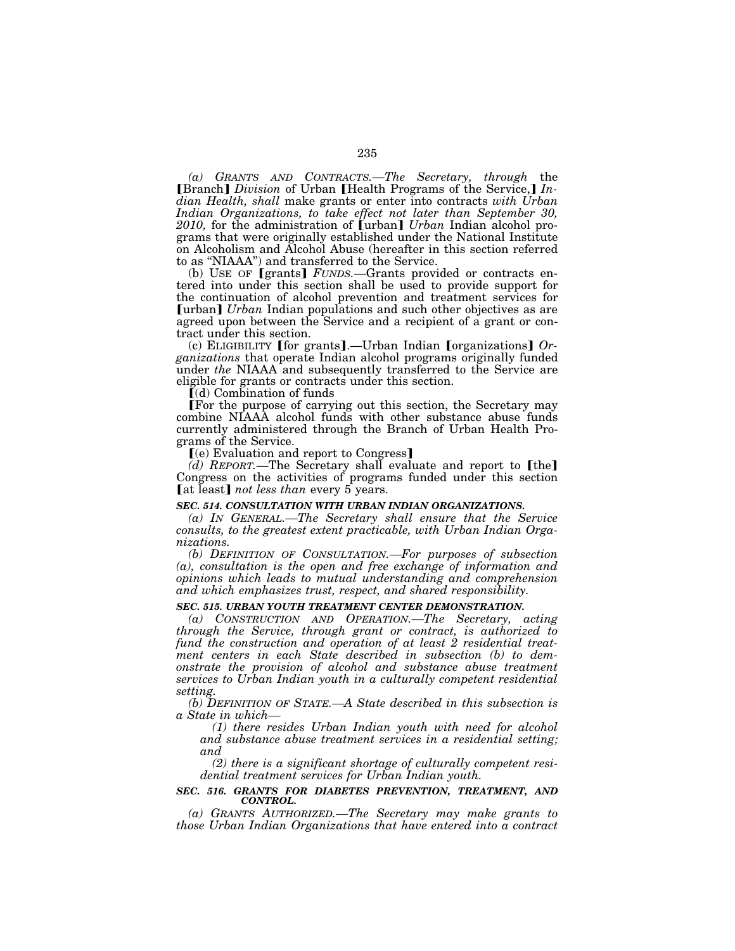*(a) GRANTS AND CONTRACTS.—The Secretary, through* the **[Branch]** *Division* of Urban **[Health Programs of the Service,]** *Indian Health, shall* make grants or enter into contracts *with Urban Indian Organizations, to take effect not later than September 30, 2010,* for the administration of [urban] *Urban* Indian alcohol programs that were originally established under the National Institute on Alcoholism and Alcohol Abuse (hereafter in this section referred to as ''NIAAA'') and transferred to the Service.

(b) USE OF [grants] *FUNDS*.—Grants provided or contracts entered into under this section shall be used to provide support for the continuation of alcohol prevention and treatment services for **[urban]** *Urban* Indian populations and such other objectives as are agreed upon between the Service and a recipient of a grant or contract under this section.

(c) ELIGIBILITY **[for grants].—Urban Indian [organizations]** *Organizations* that operate Indian alcohol programs originally funded under *the* NIAAA and subsequently transferred to the Service are eligible for grants or contracts under this section.

 $(d)$  Combination of funds

øFor the purpose of carrying out this section, the Secretary may combine NIAAA alcohol funds with other substance abuse funds currently administered through the Branch of Urban Health Programs of the Service.

 $(e)$  Evaluation and report to Congress]

*(d) REPORT*.—The Secretary shall evaluate and report to **[the]** Congress on the activities of programs funded under this section [at least] *not less than* every 5 years.

### *SEC. 514. CONSULTATION WITH URBAN INDIAN ORGANIZATIONS.*

*(a) IN GENERAL.—The Secretary shall ensure that the Service consults, to the greatest extent practicable, with Urban Indian Organizations.* 

*(b) DEFINITION OF CONSULTATION.—For purposes of subsection (a), consultation is the open and free exchange of information and opinions which leads to mutual understanding and comprehension and which emphasizes trust, respect, and shared responsibility.* 

### *SEC. 515. URBAN YOUTH TREATMENT CENTER DEMONSTRATION.*

*(a) CONSTRUCTION AND OPERATION.—The Secretary, acting through the Service, through grant or contract, is authorized to fund the construction and operation of at least 2 residential treatment centers in each State described in subsection (b) to demonstrate the provision of alcohol and substance abuse treatment services to Urban Indian youth in a culturally competent residential setting.* 

*(b) DEFINITION OF STATE.—A State described in this subsection is a State in which—*

*(1) there resides Urban Indian youth with need for alcohol and substance abuse treatment services in a residential setting; and* 

*(2) there is a significant shortage of culturally competent residential treatment services for Urban Indian youth.* 

#### *SEC. 516. GRANTS FOR DIABETES PREVENTION, TREATMENT, AND CONTROL.*

*(a) GRANTS AUTHORIZED.—The Secretary may make grants to those Urban Indian Organizations that have entered into a contract*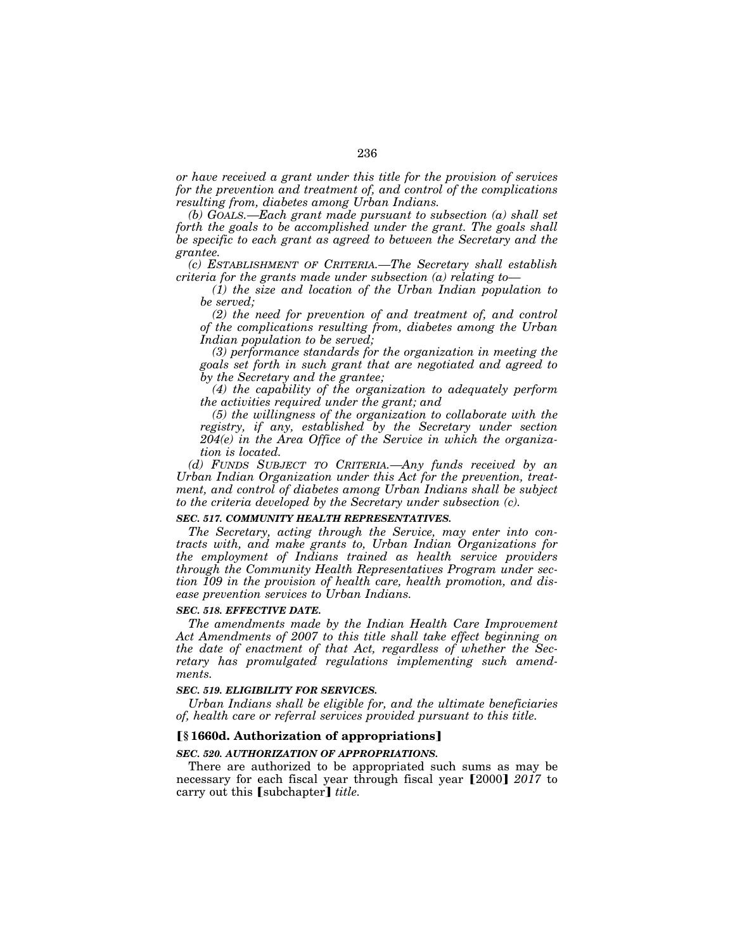*or have received a grant under this title for the provision of services for the prevention and treatment of, and control of the complications resulting from, diabetes among Urban Indians.* 

*(b) GOALS.—Each grant made pursuant to subsection (a) shall set forth the goals to be accomplished under the grant. The goals shall be specific to each grant as agreed to between the Secretary and the grantee.* 

*(c) ESTABLISHMENT OF CRITERIA.—The Secretary shall establish criteria for the grants made under subsection (a) relating to—*

*(1) the size and location of the Urban Indian population to be served;* 

*(2) the need for prevention of and treatment of, and control of the complications resulting from, diabetes among the Urban Indian population to be served;* 

*(3) performance standards for the organization in meeting the goals set forth in such grant that are negotiated and agreed to by the Secretary and the grantee;* 

*(4) the capability of the organization to adequately perform the activities required under the grant; and* 

*(5) the willingness of the organization to collaborate with the registry, if any, established by the Secretary under section 204(e) in the Area Office of the Service in which the organization is located.* 

*(d) FUNDS SUBJECT TO CRITERIA.—Any funds received by an Urban Indian Organization under this Act for the prevention, treatment, and control of diabetes among Urban Indians shall be subject to the criteria developed by the Secretary under subsection (c).* 

#### *SEC. 517. COMMUNITY HEALTH REPRESENTATIVES.*

*The Secretary, acting through the Service, may enter into contracts with, and make grants to, Urban Indian Organizations for the employment of Indians trained as health service providers through the Community Health Representatives Program under section 109 in the provision of health care, health promotion, and disease prevention services to Urban Indians.* 

#### *SEC. 518. EFFECTIVE DATE.*

*The amendments made by the Indian Health Care Improvement Act Amendments of 2007 to this title shall take effect beginning on the date of enactment of that Act, regardless of whether the Secretary has promulgated regulations implementing such amendments.* 

#### *SEC. 519. ELIGIBILITY FOR SERVICES.*

*Urban Indians shall be eligible for, and the ultimate beneficiaries of, health care or referral services provided pursuant to this title.* 

#### ø**§ 1660d. Authorization of appropriations**¿

### *SEC. 520. AUTHORIZATION OF APPROPRIATIONS.*

There are authorized to be appropriated such sums as may be necessary for each fiscal year through fiscal year [2000]  $2017$  to carry out this [subchapter] *title*.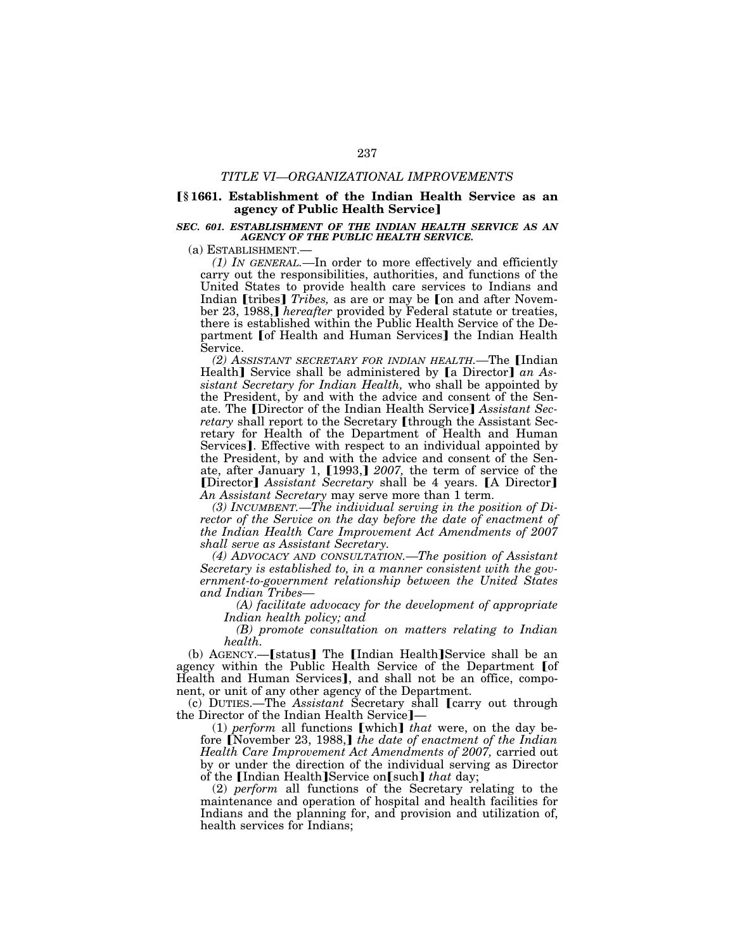#### *TITLE VI—ORGANIZATIONAL IMPROVEMENTS*

### ø**§ 1661. Establishment of the Indian Health Service as an agency of Public Health Service**

#### *SEC. 601. ESTABLISHMENT OF THE INDIAN HEALTH SERVICE AS AN AGENCY OF THE PUBLIC HEALTH SERVICE.*

(a) ESTABLISHMENT.—

*(1) IN GENERAL.—*In order to more effectively and efficiently carry out the responsibilities, authorities, and functions of the United States to provide health care services to Indians and Indian [tribes] *Tribes*, as are or may be [on and after November 23, 1988, *hereafter* provided by Federal statute or treaties, there is established within the Public Health Service of the Department Jof Health and Human Services] the Indian Health Service.

*(2) ASSISTANT SECRETARY FOR INDIAN HEALTH.*—The [Indian Health] Service shall be administered by **[a** Director] an As*sistant Secretary for Indian Health,* who shall be appointed by the President, by and with the advice and consent of the Senate. The [Director of the Indian Health Service] Assistant Sec*retary* shall report to the Secretary [through the Assistant Secretary for Health of the Department of Health and Human Services]. Effective with respect to an individual appointed by the President, by and with the advice and consent of the Senate, after January 1, [1993,] 2007, the term of service of the **[Director]** Assistant Secretary shall be 4 years. **[A Director]** *An Assistant Secretary* may serve more than 1 term.

*(3) INCUMBENT.—The individual serving in the position of Director of the Service on the day before the date of enactment of the Indian Health Care Improvement Act Amendments of 2007 shall serve as Assistant Secretary.* 

*(4) ADVOCACY AND CONSULTATION.—The position of Assistant Secretary is established to, in a manner consistent with the government-to-government relationship between the United States and Indian Tribes—*

*(A) facilitate advocacy for the development of appropriate Indian health policy; and* 

*(B) promote consultation on matters relating to Indian health.* 

(b) AGENCY.—[status] The [Indian Health]Service shall be an agency within the Public Health Service of the Department [of Health and Human Services], and shall not be an office, compo-

nent, or unit of any other agency of the Department.<br>
(c) DUTIES.—The *Assistant* Secretary shall **[**carry out through the Director of the Indian Health Service<sup>-</sup>

 $(1)$  *perform* all functions [which] *that* were, on the day before [November 23, 1988,] the date of enactment of the Indian *Health Care Improvement Act Amendments of 2007,* carried out by or under the direction of the individual serving as Director of the [Indian Health]Service on[such] that day;

(2) *perform* all functions of the Secretary relating to the maintenance and operation of hospital and health facilities for Indians and the planning for, and provision and utilization of, health services for Indians;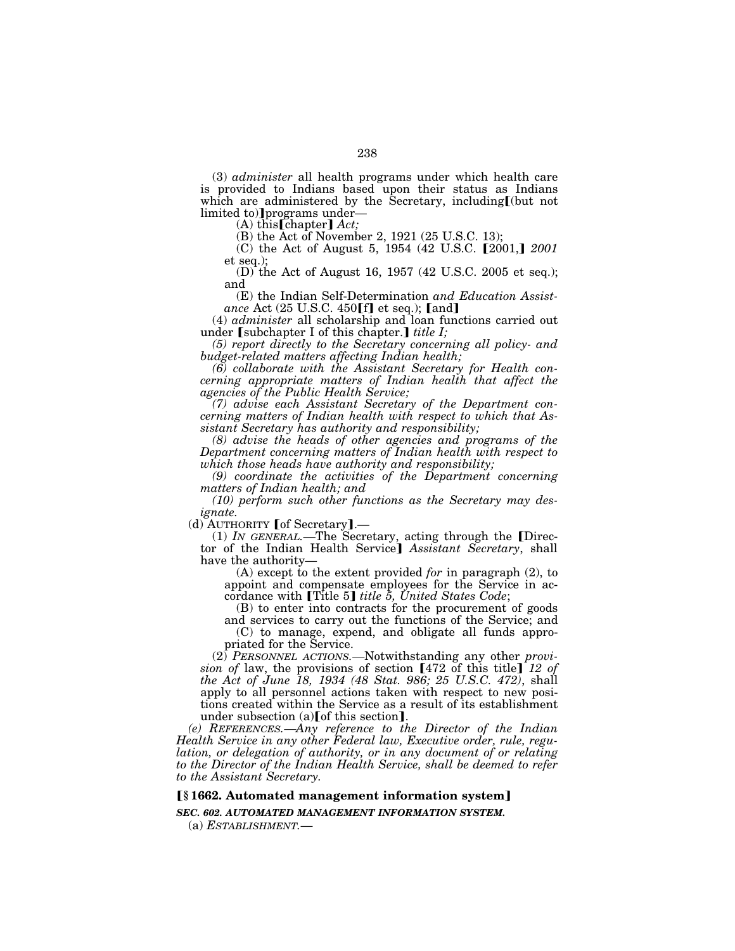(3) *administer* all health programs under which health care is provided to Indians based upon their status as Indians<br>which are administered by the Secretary, including[(but not limited to)] programs under-<br>(A) this [chapter] *Act*;

(B) the Act of November 2, 1921 (25 U.S.C. 13);

(C) the Act of August 5, 1954 (42 U.S.C. [2001,] 2001 et seq.);

(D) the Act of August 16, 1957 (42 U.S.C. 2005 et seq.); and

(E) the Indian Self-Determination *and Education Assist*ance Act (25 U.S.C. 450[f] et seq.); [and]

(4) *administer* all scholarship and loan functions carried out under **[subchapter I of this chapter.]** *title I;* 

*(5) report directly to the Secretary concerning all policy- and budget-related matters affecting Indian health;* 

*(6) collaborate with the Assistant Secretary for Health concerning appropriate matters of Indian health that affect the agencies of the Public Health Service;* 

*(7) advise each Assistant Secretary of the Department concerning matters of Indian health with respect to which that Assistant Secretary has authority and responsibility;* 

*(8) advise the heads of other agencies and programs of the Department concerning matters of Indian health with respect to which those heads have authority and responsibility;* 

*(9) coordinate the activities of the Department concerning matters of Indian health; and* 

*(10) perform such other functions as the Secretary may designate.* 

(d) AUTHORITY [of Secretary].—

(1) *IN GENERAL*.—The Secretary, acting through the [Director of the Indian Health Service<sup>]</sup> Assistant Secretary, shall have the authority—

(A) except to the extent provided *for* in paragraph (2), to appoint and compensate employees for the Service in accordance with **[Title 5]** *title 5*, *United States Code*;

(B) to enter into contracts for the procurement of goods and services to carry out the functions of the Service; and (C) to manage, expend, and obligate all funds appro-

priated for the Service.

(2) *PERSONNEL ACTIONS.—*Notwithstanding any other *provision of law, the provisions of section*  $[472 \text{ of this title}]$  12 of *the Act of June 18, 1934 (48 Stat. 986; 25 U.S.C. 472)*, shall apply to all personnel actions taken with respect to new positions created within the Service as a result of its establishment under subsection  $(a)$  [of this section].

*(e) REFERENCES.—Any reference to the Director of the Indian Health Service in any other Federal law, Executive order, rule, regulation, or delegation of authority, or in any document of or relating to the Director of the Indian Health Service, shall be deemed to refer to the Assistant Secretary.* 

# ø**§ 1662. Automated management information system**¿

*SEC. 602. AUTOMATED MANAGEMENT INFORMATION SYSTEM.* 

(a) *ESTABLISHMENT.*—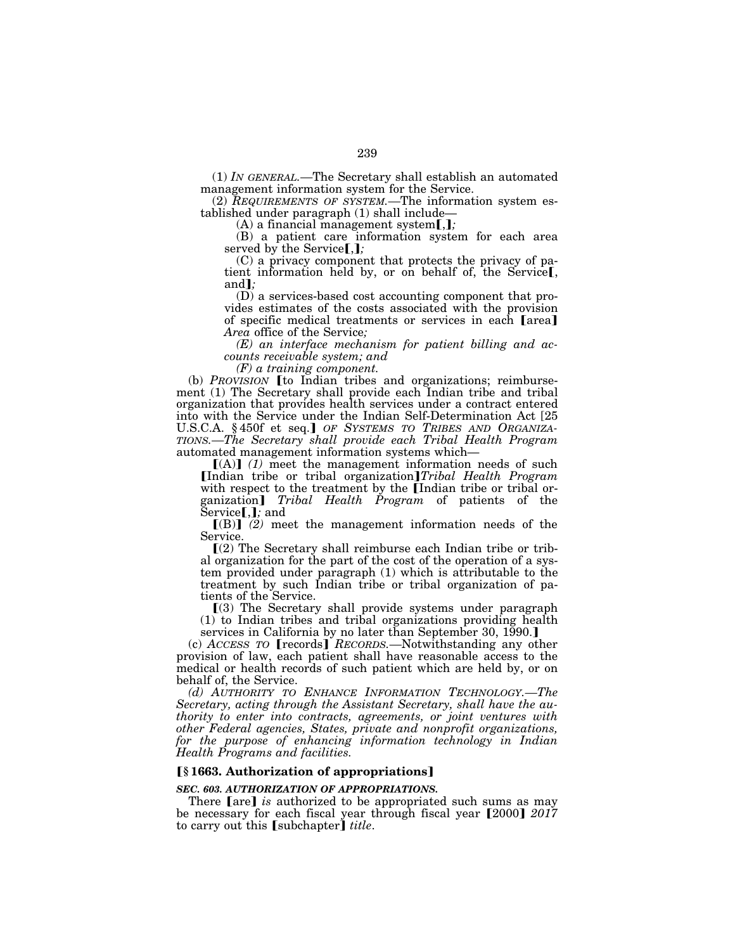(1) *IN GENERAL.—*The Secretary shall establish an automated management information system for the Service.

(2) *REQUIREMENTS OF SYSTEM.—*The information system established under paragraph  $(1)$  shall include—<br> $(A)$  a financial management system[,];

(B) a patient care information system for each area served by the Service[,];

(C) a privacy component that protects the privacy of patient information held by, or on behalf of, the Service<sub>[,</sub> and<sup>*]*</sup>;

(D) a services-based cost accounting component that provides estimates of the costs associated with the provision of specific medical treatments or services in each **[area]** *Area* office of the Service*;* 

*(E) an interface mechanism for patient billing and accounts receivable system; and* 

*(F) a training component.* 

(b) *PROVISION* [to Indian tribes and organizations; reimbursement (1) The Secretary shall provide each Indian tribe and tribal organization that provides health services under a contract entered into with the Service under the Indian Self-Determination Act [25 U.S.C.A. §450f et seq.] OF SYSTEMS TO TRIBES AND ORGANIZA-*TIONS.—The Secretary shall provide each Tribal Health Program*  automated management information systems which—

 $[(A)]$  (1) meet the management information needs of such [Indian tribe or tribal organization]*Tribal Health Program* with respect to the treatment by the **[Indian tribe or tribal or**ganization] *Tribal Health Program* of patients of the Service [, ]; and

 $[(B)]$   $(2)$  meet the management information needs of the Service.

 $\Gamma(2)$  The Secretary shall reimburse each Indian tribe or tribal organization for the part of the cost of the operation of a system provided under paragraph (1) which is attributable to the treatment by such Indian tribe or tribal organization of patients of the Service.

 $(3)$  The Secretary shall provide systems under paragraph (1) to Indian tribes and tribal organizations providing health services in California by no later than September 30, 1990.

(c) *ACCESS TO* [records] *RECORDS*.—Notwithstanding any other provision of law, each patient shall have reasonable access to the medical or health records of such patient which are held by, or on behalf of, the Service.

*(d) AUTHORITY TO ENHANCE INFORMATION TECHNOLOGY.—The Secretary, acting through the Assistant Secretary, shall have the authority to enter into contracts, agreements, or joint ventures with other Federal agencies, States, private and nonprofit organizations, for the purpose of enhancing information technology in Indian Health Programs and facilities.* 

### ø**§ 1663. Authorization of appropriations**¿

#### *SEC. 603. AUTHORIZATION OF APPROPRIATIONS.*

There **[are]** *is* authorized to be appropriated such sums as may be necessary for each fiscal year through fiscal year [2000] 2017 to carry out this [subchapter] *title*.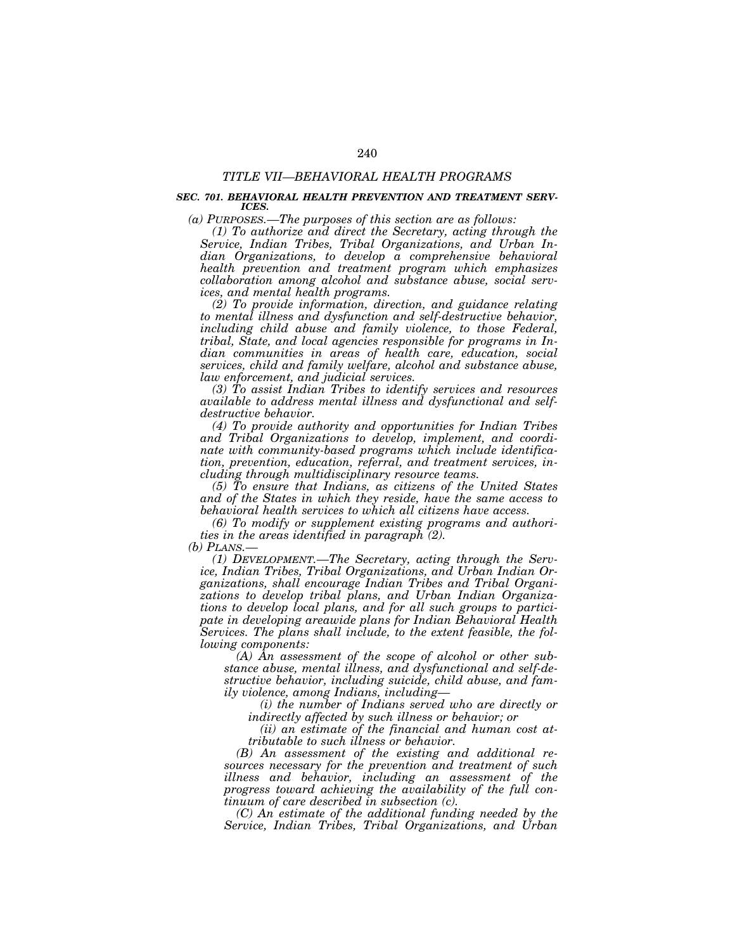### *TITLE VII—BEHAVIORAL HEALTH PROGRAMS*

### *SEC. 701. BEHAVIORAL HEALTH PREVENTION AND TREATMENT SERV-ICES.*

*(a) PURPOSES.—The purposes of this section are as follows:* 

*(1) To authorize and direct the Secretary, acting through the Service, Indian Tribes, Tribal Organizations, and Urban Indian Organizations, to develop a comprehensive behavioral health prevention and treatment program which emphasizes collaboration among alcohol and substance abuse, social services, and mental health programs.* 

*(2) To provide information, direction, and guidance relating to mental illness and dysfunction and self-destructive behavior, including child abuse and family violence, to those Federal, tribal, State, and local agencies responsible for programs in Indian communities in areas of health care, education, social services, child and family welfare, alcohol and substance abuse, law enforcement, and judicial services.* 

*(3) To assist Indian Tribes to identify services and resources available to address mental illness and dysfunctional and selfdestructive behavior.* 

*(4) To provide authority and opportunities for Indian Tribes and Tribal Organizations to develop, implement, and coordinate with community-based programs which include identification, prevention, education, referral, and treatment services, including through multidisciplinary resource teams.* 

*(5) To ensure that Indians, as citizens of the United States and of the States in which they reside, have the same access to behavioral health services to which all citizens have access.* 

*(6) To modify or supplement existing programs and authorities in the areas identified in paragraph (2).* 

*(b) PLANS.—*

*(1) DEVELOPMENT.—The Secretary, acting through the Service, Indian Tribes, Tribal Organizations, and Urban Indian Organizations, shall encourage Indian Tribes and Tribal Organizations to develop tribal plans, and Urban Indian Organizations to develop local plans, and for all such groups to participate in developing areawide plans for Indian Behavioral Health Services. The plans shall include, to the extent feasible, the following components:* 

*(A) An assessment of the scope of alcohol or other substance abuse, mental illness, and dysfunctional and self-destructive behavior, including suicide, child abuse, and family violence, among Indians, including—*

*(i) the number of Indians served who are directly or indirectly affected by such illness or behavior; or* 

*(ii) an estimate of the financial and human cost attributable to such illness or behavior.* 

*(B) An assessment of the existing and additional resources necessary for the prevention and treatment of such illness and behavior, including an assessment of the progress toward achieving the availability of the full continuum of care described in subsection (c).* 

*(C) An estimate of the additional funding needed by the Service, Indian Tribes, Tribal Organizations, and Urban*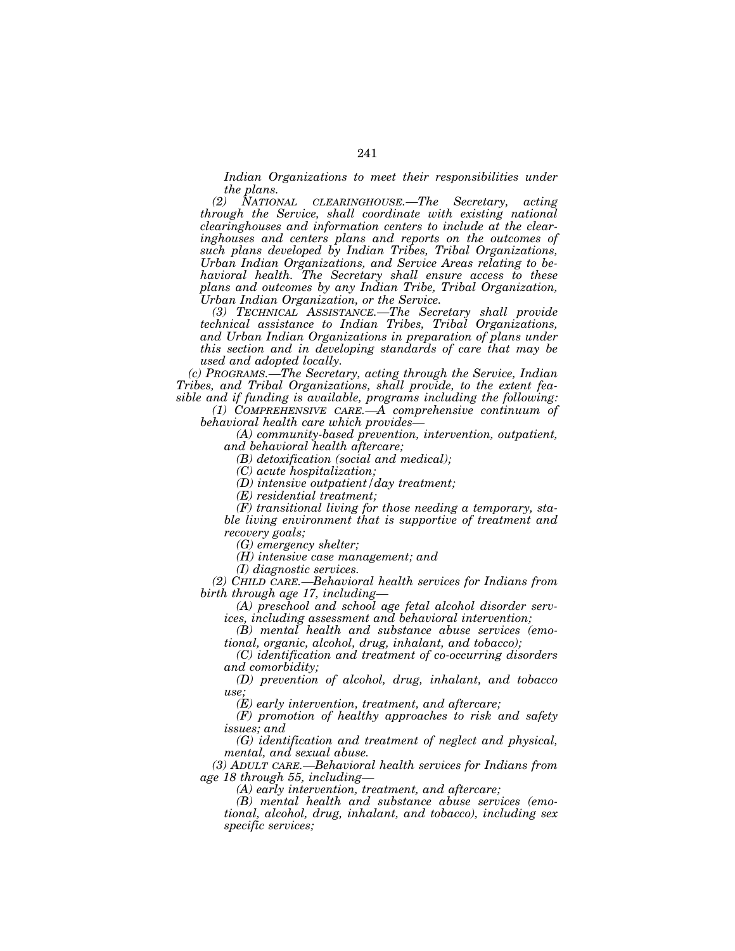*Indian Organizations to meet their responsibilities under the plans.* 

*(2) NATIONAL CLEARINGHOUSE.—The Secretary, acting through the Service, shall coordinate with existing national clearinghouses and information centers to include at the clearinghouses and centers plans and reports on the outcomes of such plans developed by Indian Tribes, Tribal Organizations, Urban Indian Organizations, and Service Areas relating to behavioral health. The Secretary shall ensure access to these plans and outcomes by any Indian Tribe, Tribal Organization, Urban Indian Organization, or the Service.* 

*(3) TECHNICAL ASSISTANCE.—The Secretary shall provide technical assistance to Indian Tribes, Tribal Organizations,*  and Urban Indian Organizations in preparation of plans under *this section and in developing standards of care that may be used and adopted locally.* 

*(c) PROGRAMS.—The Secretary, acting through the Service, Indian Tribes, and Tribal Organizations, shall provide, to the extent feasible and if funding is available, programs including the following:* 

*(1) COMPREHENSIVE CARE.—A comprehensive continuum of behavioral health care which provides—*

*(A) community-based prevention, intervention, outpatient,* 

*and behavioral health aftercare;* 

*(B) detoxification (social and medical);* 

*(C) acute hospitalization;* 

*(D) intensive outpatient/day treatment;* 

*(E) residential treatment;* 

*(F) transitional living for those needing a temporary, stable living environment that is supportive of treatment and recovery goals;* 

*(G) emergency shelter;* 

*(H) intensive case management; and* 

*(I) diagnostic services.* 

*(2) CHILD CARE.—Behavioral health services for Indians from birth through age 17, including—*

*(A) preschool and school age fetal alcohol disorder services, including assessment and behavioral intervention;* 

*(B) mental health and substance abuse services (emotional, organic, alcohol, drug, inhalant, and tobacco);* 

*(C) identification and treatment of co-occurring disorders and comorbidity;* 

*(D) prevention of alcohol, drug, inhalant, and tobacco use;* 

*(E) early intervention, treatment, and aftercare;* 

*(F) promotion of healthy approaches to risk and safety issues; and* 

*(G) identification and treatment of neglect and physical, mental, and sexual abuse.* 

*(3) ADULT CARE.—Behavioral health services for Indians from age 18 through 55, including—*

*(A) early intervention, treatment, and aftercare;* 

*(B) mental health and substance abuse services (emotional, alcohol, drug, inhalant, and tobacco), including sex specific services;*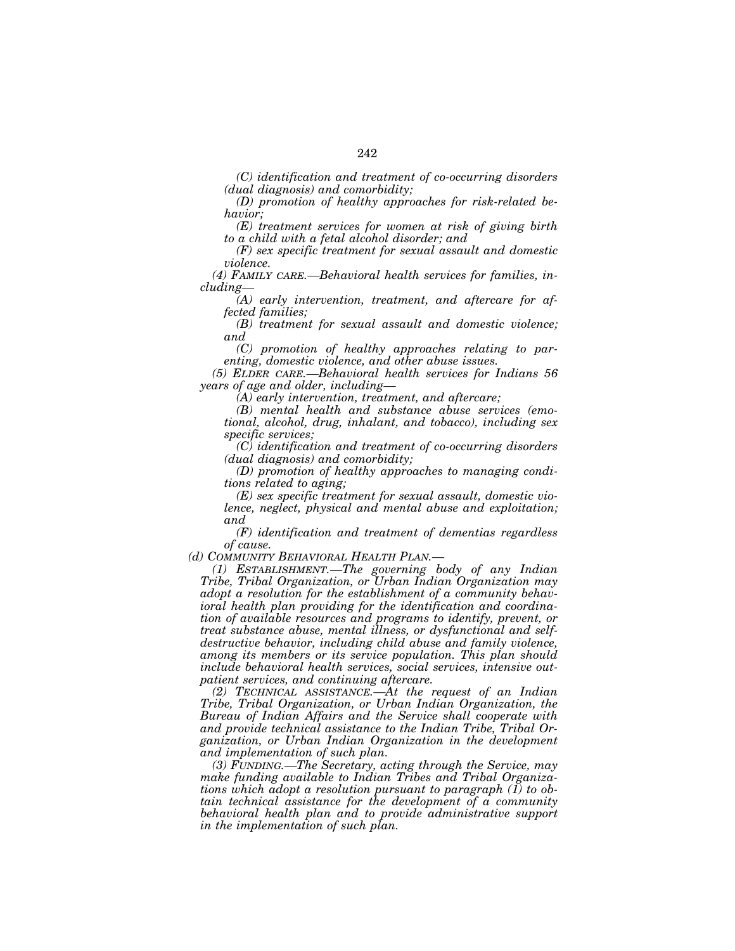*(C) identification and treatment of co-occurring disorders (dual diagnosis) and comorbidity;* 

*(D) promotion of healthy approaches for risk-related behavior;* 

*(E) treatment services for women at risk of giving birth to a child with a fetal alcohol disorder; and* 

*(F) sex specific treatment for sexual assault and domestic violence.* 

*(4) FAMILY CARE.—Behavioral health services for families, including—*

*(A) early intervention, treatment, and aftercare for affected families;* 

*(B) treatment for sexual assault and domestic violence; and* 

*(C) promotion of healthy approaches relating to parenting, domestic violence, and other abuse issues.* 

*(5) ELDER CARE.—Behavioral health services for Indians 56 years of age and older, including—*

*(A) early intervention, treatment, and aftercare;* 

*(B) mental health and substance abuse services (emotional, alcohol, drug, inhalant, and tobacco), including sex specific services;* 

*(C) identification and treatment of co-occurring disorders (dual diagnosis) and comorbidity;* 

*(D) promotion of healthy approaches to managing conditions related to aging;* 

*(E) sex specific treatment for sexual assault, domestic violence, neglect, physical and mental abuse and exploitation; and* 

*(F) identification and treatment of dementias regardless of cause.* 

*(d) COMMUNITY BEHAVIORAL HEALTH PLAN.—*

*(1) ESTABLISHMENT.—The governing body of any Indian Tribe, Tribal Organization, or Urban Indian Organization may adopt a resolution for the establishment of a community behavioral health plan providing for the identification and coordination of available resources and programs to identify, prevent, or treat substance abuse, mental illness, or dysfunctional and selfdestructive behavior, including child abuse and family violence, among its members or its service population. This plan should include behavioral health services, social services, intensive outpatient services, and continuing aftercare.* 

*(2) TECHNICAL ASSISTANCE.—At the request of an Indian Tribe, Tribal Organization, or Urban Indian Organization, the Bureau of Indian Affairs and the Service shall cooperate with and provide technical assistance to the Indian Tribe, Tribal Organization, or Urban Indian Organization in the development and implementation of such plan.* 

*(3) FUNDING.—The Secretary, acting through the Service, may make funding available to Indian Tribes and Tribal Organizations which adopt a resolution pursuant to paragraph (1) to obtain technical assistance for the development of a community behavioral health plan and to provide administrative support in the implementation of such plan.*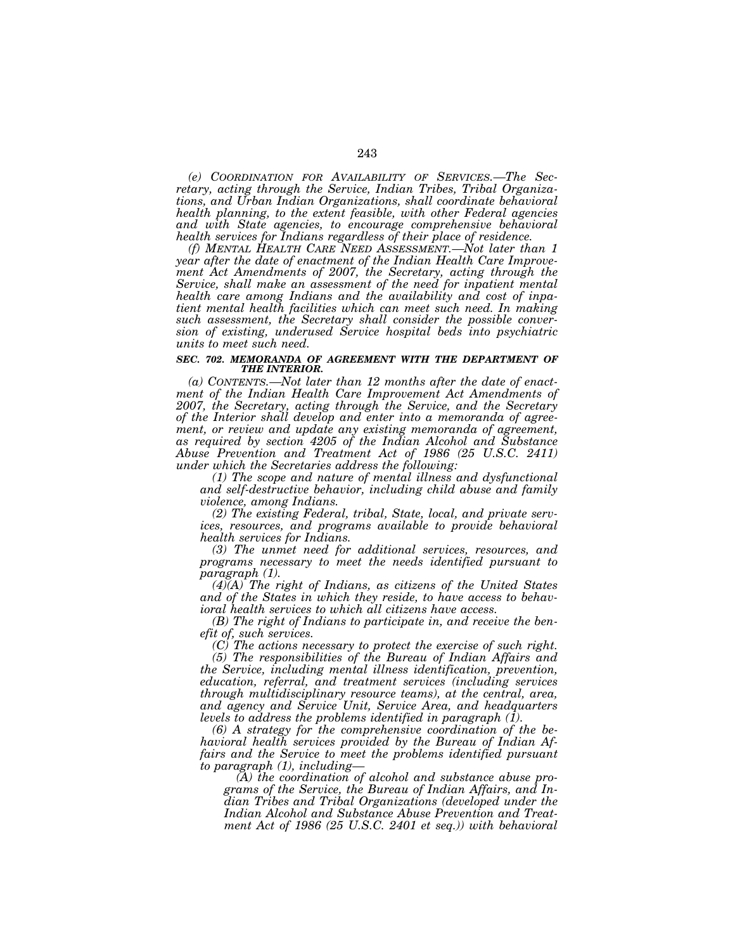*(e) COORDINATION FOR AVAILABILITY OF SERVICES.—The Secretary, acting through the Service, Indian Tribes, Tribal Organizations, and Urban Indian Organizations, shall coordinate behavioral health planning, to the extent feasible, with other Federal agencies and with State agencies, to encourage comprehensive behavioral health services for Indians regardless of their place of residence.* 

*(f) MENTAL HEALTH CARE NEED ASSESSMENT.—Not later than 1 year after the date of enactment of the Indian Health Care Improvement Act Amendments of 2007, the Secretary, acting through the Service, shall make an assessment of the need for inpatient mental health care among Indians and the availability and cost of inpatient mental health facilities which can meet such need. In making such assessment, the Secretary shall consider the possible conversion of existing, underused Service hospital beds into psychiatric units to meet such need.* 

#### **SEC. 702. MEMORANDA OF AGREEMENT WITH THE DEPARTMENT OF** *THE INTERIOR.*

*(a) CONTENTS.—Not later than 12 months after the date of enactment of the Indian Health Care Improvement Act Amendments of 2007, the Secretary, acting through the Service, and the Secretary of the Interior shall develop and enter into a memoranda of agreement, or review and update any existing memoranda of agreement, as required by section 4205 of the Indian Alcohol and Substance Abuse Prevention and Treatment Act of 1986 (25 U.S.C. 2411) under which the Secretaries address the following:* 

*(1) The scope and nature of mental illness and dysfunctional and self-destructive behavior, including child abuse and family violence, among Indians.* 

*(2) The existing Federal, tribal, State, local, and private services, resources, and programs available to provide behavioral health services for Indians.* 

*(3) The unmet need for additional services, resources, and programs necessary to meet the needs identified pursuant to paragraph (1).* 

*(4)(A) The right of Indians, as citizens of the United States and of the States in which they reside, to have access to behavioral health services to which all citizens have access.* 

*(B) The right of Indians to participate in, and receive the benefit of, such services.* 

*(C) The actions necessary to protect the exercise of such right.* 

*(5) The responsibilities of the Bureau of Indian Affairs and the Service, including mental illness identification, prevention, education, referral, and treatment services (including services through multidisciplinary resource teams), at the central, area, and agency and Service Unit, Service Area, and headquarters levels to address the problems identified in paragraph (1).* 

*(6) A strategy for the comprehensive coordination of the behavioral health services provided by the Bureau of Indian Affairs and the Service to meet the problems identified pursuant to paragraph (1), including—*

*(A) the coordination of alcohol and substance abuse programs of the Service, the Bureau of Indian Affairs, and Indian Tribes and Tribal Organizations (developed under the Indian Alcohol and Substance Abuse Prevention and Treatment Act of 1986 (25 U.S.C. 2401 et seq.)) with behavioral*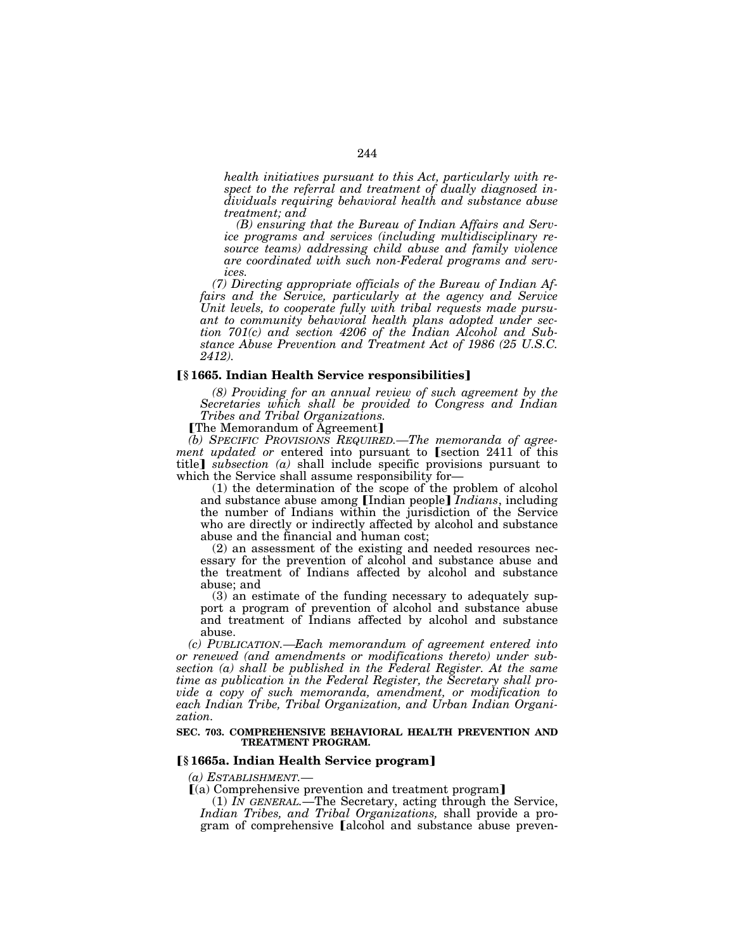*health initiatives pursuant to this Act, particularly with respect to the referral and treatment of dually diagnosed individuals requiring behavioral health and substance abuse treatment; and* 

*(B) ensuring that the Bureau of Indian Affairs and Service programs and services (including multidisciplinary resource teams) addressing child abuse and family violence are coordinated with such non-Federal programs and services.* 

*(7) Directing appropriate officials of the Bureau of Indian Affairs and the Service, particularly at the agency and Service Unit levels, to cooperate fully with tribal requests made pursuant to community behavioral health plans adopted under section 701(c) and section 4206 of the Indian Alcohol and Substance Abuse Prevention and Treatment Act of 1986 (25 U.S.C. 2412).* 

### ø**§ 1665. Indian Health Service responsibilities**¿

*(8) Providing for an annual review of such agreement by the Secretaries which shall be provided to Congress and Indian Tribes and Tribal Organizations.* 

[The Memorandum of Agreement]

*(b) SPECIFIC PROVISIONS REQUIRED.—The memoranda of agreement updated or* entered into pursuant to *section* 2411 of this title] *subsection*  $(a)$  shall include specific provisions pursuant to which the Service shall assume responsibility for—

(1) the determination of the scope of the problem of alcohol and substance abuse among **[Indian people]** *Indians*, including the number of Indians within the jurisdiction of the Service who are directly or indirectly affected by alcohol and substance abuse and the financial and human cost;

(2) an assessment of the existing and needed resources necessary for the prevention of alcohol and substance abuse and the treatment of Indians affected by alcohol and substance abuse; and

(3) an estimate of the funding necessary to adequately support a program of prevention of alcohol and substance abuse and treatment of Indians affected by alcohol and substance abuse.

*(c) PUBLICATION.—Each memorandum of agreement entered into or renewed (and amendments or modifications thereto) under subsection (a) shall be published in the Federal Register. At the same time as publication in the Federal Register, the Secretary shall provide a copy of such memoranda, amendment, or modification to each Indian Tribe, Tribal Organization, and Urban Indian Organization.* 

#### **SEC. 703. COMPREHENSIVE BEHAVIORAL HEALTH PREVENTION AND TREATMENT PROGRAM.**

### ø**§ 1665a. Indian Health Service program**¿

*(a) ESTABLISHMENT.—*<br>**[**(a) Comprehensive prevention and treatment program]

(1) *IN GENERAL.*—The Secretary, acting through the Service, *Indian Tribes, and Tribal Organizations,* shall provide a program of comprehensive [alcohol and substance abuse preven-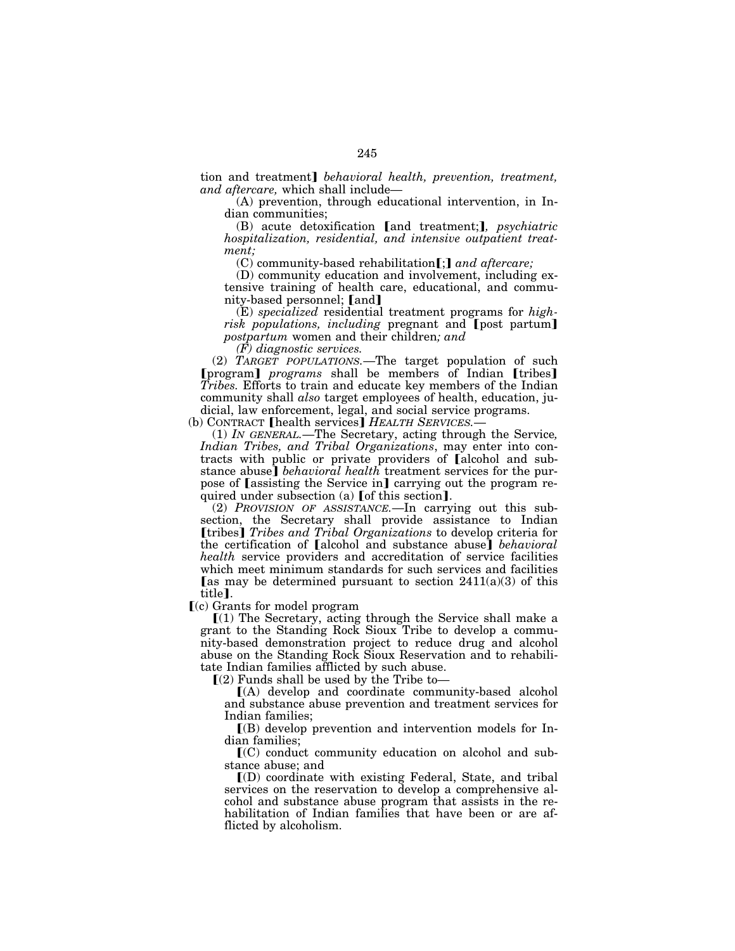tion and treatment] *behavioral health, prevention, treatment, and aftercare,* which shall include—

(A) prevention, through educational intervention, in Indian communities;

(B) acute detoxification [and treatment;], *psychiatric hospitalization, residential, and intensive outpatient treatment;* 

(C) community-based rehabilitation[;] and aftercare;

(D) community education and involvement, including extensive training of health care, educational, and community-based personnel; [and]

(E) *specialized* residential treatment programs for *highrisk populations, including* pregnant and [post partum] *postpartum* women and their children*; and* 

*(F) diagnostic services.* 

(2) *TARGET POPULATIONS.*—The target population of such **[program]** *programs* shall be members of Indian [tribes] *Tribes.* Efforts to train and educate key members of the Indian community shall *also* target employees of health, education, judicial, law enforcement, legal, and social service programs.

(b) CONTRACT [health services] *HEALTH SERVICES*.

(1) *IN GENERAL.*—The Secretary, acting through the Service*, Indian Tribes, and Tribal Organizations*, may enter into contracts with public or private providers of alcohol and substance abuse] *behavioral health* treatment services for the purpose of [assisting the Service in] carrying out the program required under subsection (a) [of this section].

(2) *PROVISION OF ASSISTANCE.*—In carrying out this subsection, the Secretary shall provide assistance to Indian *[tribes] Tribes and Tribal Organizations* to develop criteria for the certification of **[alcohol and substance abuse]** *behavioral health* service providers and accreditation of service facilities which meet minimum standards for such services and facilities [as may be determined pursuant to section  $2411(a)(3)$  of this title].

 $\Gamma$ (c) Grants for model program

 $(1)$  The Secretary, acting through the Service shall make a grant to the Standing Rock Sioux Tribe to develop a community-based demonstration project to reduce drug and alcohol abuse on the Standing Rock Sioux Reservation and to rehabilitate Indian families afflicted by such abuse.

 $(2)$  Funds shall be used by the Tribe to-

ø(A) develop and coordinate community-based alcohol and substance abuse prevention and treatment services for Indian families;

 $\Gamma(B)$  develop prevention and intervention models for Indian families;

 $\rm [CO]$  conduct community education on alcohol and substance abuse; and

 $I(D)$  coordinate with existing Federal, State, and tribal services on the reservation to develop a comprehensive alcohol and substance abuse program that assists in the rehabilitation of Indian families that have been or are afflicted by alcoholism.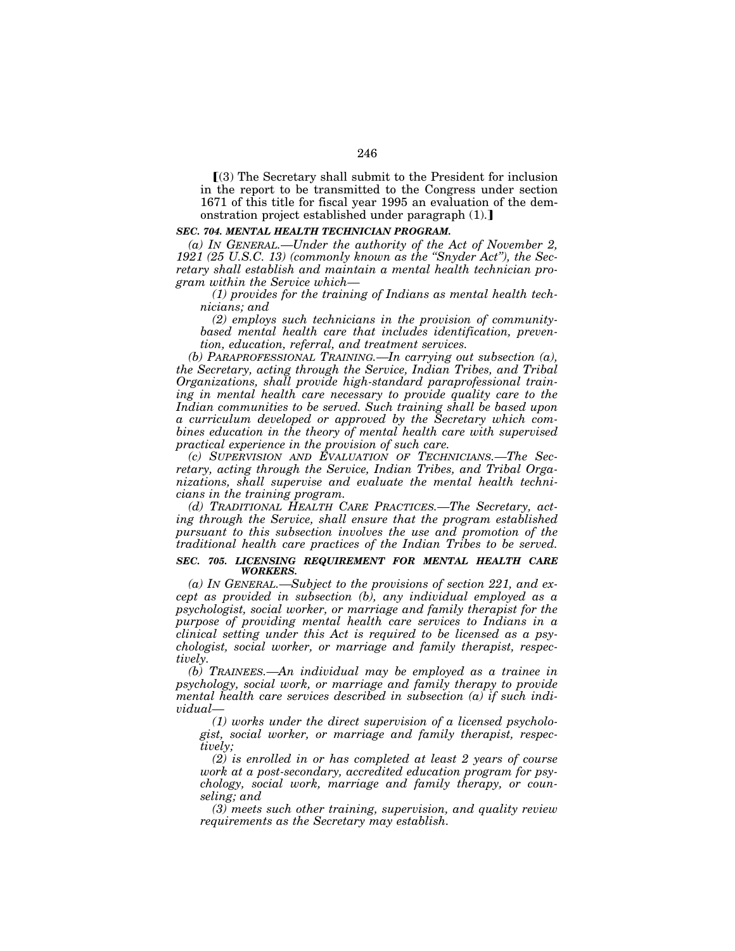$(3)$  The Secretary shall submit to the President for inclusion in the report to be transmitted to the Congress under section 1671 of this title for fiscal year 1995 an evaluation of the demonstration project established under paragraph  $(1)$ .

### *SEC. 704. MENTAL HEALTH TECHNICIAN PROGRAM.*

*(a) IN GENERAL.—Under the authority of the Act of November 2, 1921 (25 U.S.C. 13) (commonly known as the ''Snyder Act''), the Secretary shall establish and maintain a mental health technician program within the Service which—*

*(1) provides for the training of Indians as mental health technicians; and* 

*(2) employs such technicians in the provision of communitybased mental health care that includes identification, prevention, education, referral, and treatment services.* 

*(b) PARAPROFESSIONAL TRAINING.—In carrying out subsection (a), the Secretary, acting through the Service, Indian Tribes, and Tribal Organizations, shall provide high-standard paraprofessional train*ing in mental health care necessary to provide quality care to the Indian communities to be served. Such training shall be based upon *a curriculum developed or approved by the Secretary which combines education in the theory of mental health care with supervised practical experience in the provision of such care.* 

*(c) SUPERVISION AND EVALUATION OF TECHNICIANS.—The Secretary, acting through the Service, Indian Tribes, and Tribal Organizations, shall supervise and evaluate the mental health technicians in the training program.* 

*(d) TRADITIONAL HEALTH CARE PRACTICES.—The Secretary, acting through the Service, shall ensure that the program established pursuant to this subsection involves the use and promotion of the traditional health care practices of the Indian Tribes to be served.* 

#### *SEC. 705. LICENSING REQUIREMENT FOR MENTAL HEALTH CARE WORKERS.*

*(a) IN GENERAL.—Subject to the provisions of section 221, and except as provided in subsection (b), any individual employed as a psychologist, social worker, or marriage and family therapist for the purpose of providing mental health care services to Indians in a clinical setting under this Act is required to be licensed as a psychologist, social worker, or marriage and family therapist, respectively.* 

*(b) TRAINEES.—An individual may be employed as a trainee in psychology, social work, or marriage and family therapy to provide mental health care services described in subsection (a) if such individual—*

*(1) works under the direct supervision of a licensed psychologist, social worker, or marriage and family therapist, respectively;* 

*(2) is enrolled in or has completed at least 2 years of course work at a post-secondary, accredited education program for psychology, social work, marriage and family therapy, or counseling; and* 

*(3) meets such other training, supervision, and quality review requirements as the Secretary may establish.*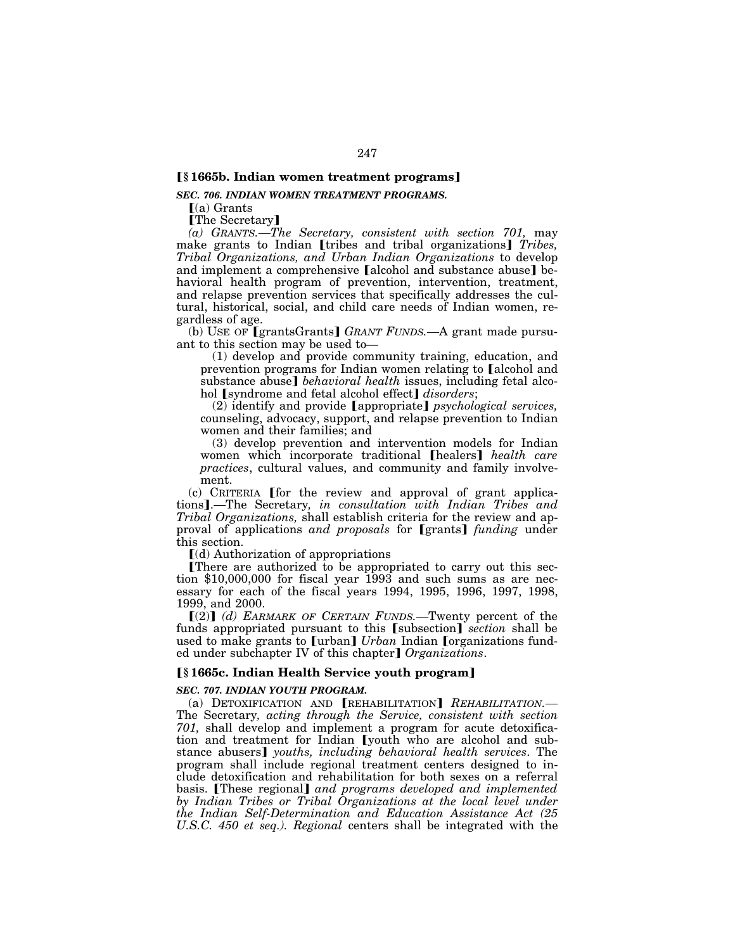# ø**§ 1665b. Indian women treatment programs**¿

### *SEC. 706. INDIAN WOMEN TREATMENT PROGRAMS.*

 $(a)$  Grants

**The Secretary** 

*(a) GRANTS.—The Secretary, consistent with section 701,* may make grants to Indian *[tribes and tribal organizations] Tribes, Tribal Organizations, and Urban Indian Organizations* to develop and implement a comprehensive [alcohol and substance abuse] behavioral health program of prevention, intervention, treatment, and relapse prevention services that specifically addresses the cultural, historical, social, and child care needs of Indian women, regardless of age.

(b) USE OF **[grantsGrants**] *GRANT FUNDS*.—A grant made pursuant to this section may be used to—

(1) develop and provide community training, education, and prevention programs for Indian women relating to [alcohol and substance abuse] *behavioral health* issues, including fetal alcohol [syndrome and fetal alcohol effect] *disorders*;

(2) identify and provide [appropriate] *psychological services*, counseling, advocacy, support, and relapse prevention to Indian women and their families; and

(3) develop prevention and intervention models for Indian women which incorporate traditional [healers] *health care practices*, cultural values, and community and family involvement.

 $(c)$  CRITERIA [for the review and approval of grant applications].—The Secretary, in consultation with Indian Tribes and *Tribal Organizations,* shall establish criteria for the review and approval of applications *and proposals* for [grants] *funding* under this section.

 $\lceil$ (d) Authorization of appropriations

øThere are authorized to be appropriated to carry out this section \$10,000,000 for fiscal year 1993 and such sums as are necessary for each of the fiscal years 1994, 1995, 1996, 1997, 1998, 1999, and 2000.

ø(2)¿ *(d) EARMARK OF CERTAIN FUNDS.—*Twenty percent of the funds appropriated pursuant to this [subsection] *section* shall be used to make grants to [urban] *Urban* Indian [organizations funded under subchapter IV of this chapter] *Organizations*.

# ø**§ 1665c. Indian Health Service youth program**¿

#### *SEC. 707. INDIAN YOUTH PROGRAM.*

(a) DETOXIFICATION AND **[REHABILITATION]** REHABILITATION.-The Secretary*, acting through the Service, consistent with section 701,* shall develop and implement a program for acute detoxification and treatment for Indian [youth who are alcohol and substance abusers] youths, including behavioral health services. The program shall include regional treatment centers designed to include detoxification and rehabilitation for both sexes on a referral basis. **[These regional]** and programs developed and implemented *by Indian Tribes or Tribal Organizations at the local level under the Indian Self-Determination and Education Assistance Act (25 U.S.C. 450 et seq.). Regional* centers shall be integrated with the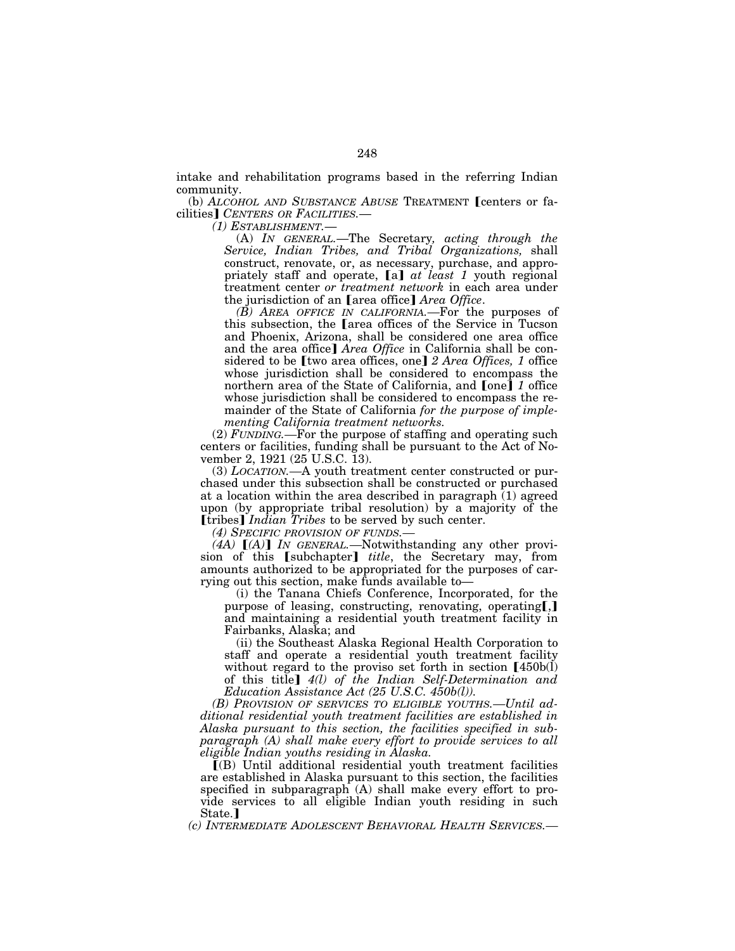intake and rehabilitation programs based in the referring Indian community.

(b) *ALCOHOL AND SUBSTANCE ABUSE* TREATMENT [centers or facilities¿ *CENTERS OR FACILITIES.*—

*(1) ESTABLISHMENT.*—

(A) *IN GENERAL.*—The Secretary*, acting through the Service, Indian Tribes, and Tribal Organizations,* shall construct, renovate, or, as necessary, purchase, and appropriately staff and operate, [a] *at least 1* youth regional treatment center *or treatment network* in each area under the jurisdiction of an [area office] *Area Office*.

*(B) AREA OFFICE IN CALIFORNIA.—*For the purposes of this subsection, the Larea offices of the Service in Tucson and Phoenix, Arizona, shall be considered one area office and the area office] *Area Office* in California shall be considered to be [two area offices, one] 2 Area Offices, 1 office whose jurisdiction shall be considered to encompass the northern area of the State of California, and  $[one]$  *1* office whose jurisdiction shall be considered to encompass the remainder of the State of California *for the purpose of implementing California treatment networks.* 

(2) *FUNDING.—*For the purpose of staffing and operating such centers or facilities, funding shall be pursuant to the Act of November 2, 1921 (25 U.S.C. 13).

(3) *LOCATION.—*A youth treatment center constructed or purchased under this subsection shall be constructed or purchased at a location within the area described in paragraph (1) agreed upon (by appropriate tribal resolution) by a majority of the **[tribes]** *Indian Tribes* to be served by such center.

*(4) SPECIFIC PROVISION OF FUNDS.—*

*(4A)* [*(A)*] *IN GENERAL*.—Notwithstanding any other provision of this **[subchapter]** *title*, the Secretary may, from amounts authorized to be appropriated for the purposes of carrying out this section, make funds available to—

(i) the Tanana Chiefs Conference, Incorporated, for the purpose of leasing, constructing, renovating, operating[,] and maintaining a residential youth treatment facility in Fairbanks, Alaska; and

(ii) the Southeast Alaska Regional Health Corporation to staff and operate a residential youth treatment facility without regard to the proviso set forth in section  $[450b(1)]$ of this title¿ *4(l) of the Indian Self-Determination and Education Assistance Act (25 U.S.C. 450b(l)).* 

*(B) PROVISION OF SERVICES TO ELIGIBLE YOUTHS.—Until additional residential youth treatment facilities are established in Alaska pursuant to this section, the facilities specified in subparagraph (A) shall make every effort to provide services to all eligible Indian youths residing in Alaska.* 

 $I(B)$  Until additional residential youth treatment facilities are established in Alaska pursuant to this section, the facilities specified in subparagraph (A) shall make every effort to provide services to all eligible Indian youth residing in such State.]

*(c) INTERMEDIATE ADOLESCENT BEHAVIORAL HEALTH SERVICES.—*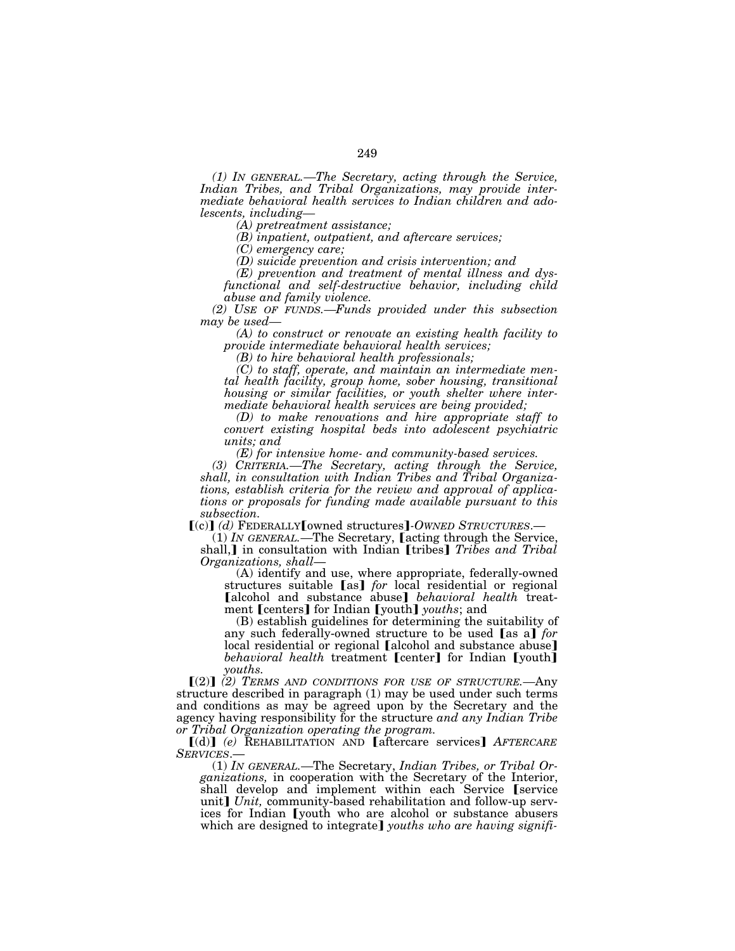*(1) IN GENERAL.—The Secretary, acting through the Service, Indian Tribes, and Tribal Organizations, may provide intermediate behavioral health services to Indian children and ado-*

*lescents, including— (A) pretreatment assistance;* 

*(B) inpatient, outpatient, and aftercare services;* 

*(C) emergency care;* 

*(D) suicide prevention and crisis intervention; and* 

*(E) prevention and treatment of mental illness and dysfunctional and self-destructive behavior, including child abuse and family violence.* 

*(2) USE OF FUNDS.—Funds provided under this subsection may be used—*

*(A) to construct or renovate an existing health facility to provide intermediate behavioral health services;* 

*(B) to hire behavioral health professionals;* 

*(C) to staff, operate, and maintain an intermediate mental health facility, group home, sober housing, transitional housing or similar facilities, or youth shelter where intermediate behavioral health services are being provided;* 

*(D) to make renovations and hire appropriate staff to convert existing hospital beds into adolescent psychiatric units; and* 

*(E) for intensive home- and community-based services.* 

*(3) CRITERIA.—The Secretary, acting through the Service, shall, in consultation with Indian Tribes and Tribal Organizations, establish criteria for the review and approval of applications or proposals for funding made available pursuant to this subsection.* 

ø(c)¿ *(d)* FEDERALLYøowned structures¿*-OWNED STRUCTURES*.—

(1) *IN GENERAL*.—The Secretary, *Lacting through the Service*, shall,<sup> $\bf{l}$ </sup> in consultation with Indian [tribes] *Tribes and Tribal Organizations, shall*—

 $(A)$  identify and use, where appropriate, federally-owned structures suitable [as] *for* local residential or regional [alcohol and substance abuse] *behavioral health* treatment [centers] for Indian [youth] *youths*; and

(B) establish guidelines for determining the suitability of any such federally-owned structure to be used [as a] *for* local residential or regional [alcohol and substance abuse] *behavioral health* treatment **[center]** for Indian **[youth]** *youths.* 

ø(2)¿ *(2) TERMS AND CONDITIONS FOR USE OF STRUCTURE.—*Any structure described in paragraph (1) may be used under such terms and conditions as may be agreed upon by the Secretary and the agency having responsibility for the structure *and any Indian Tribe or Tribal Organization operating the program.* 

ø(d)¿ *(e)* REHABILITATION AND øaftercare services¿ *AFTERCARE SERVICES*.— (1) *IN GENERAL.—*The Secretary, *Indian Tribes, or Tribal Or-*

*ganizations,* in cooperation with the Secretary of the Interior, shall develop and implement within each Service [service unit] *Unit*, community-based rehabilitation and follow-up services for Indian (youth who are alcohol or substance abusers which are designed to integrate] *youths who are having signifi-*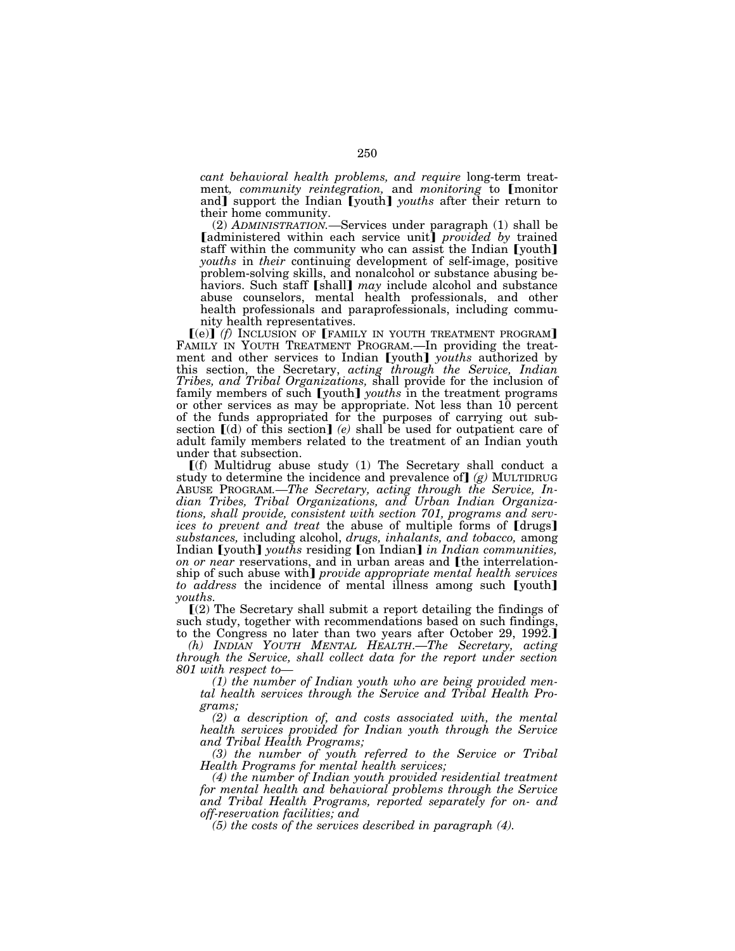*cant behavioral health problems, and require* long-term treatment, *community reintegration*, and *monitoring* to *[monitor* and]<sup>'</sup> support the Indian<sup>'</sup> [youth] *youths* after their return to their home community.

(2) *ADMINISTRATION.—*Services under paragraph (1) shall be [administered within each service unit] *provided by trained* staff within the community who can assist the Indian [youth] *youths* in *their* continuing development of self-image, positive problem-solving skills, and nonalcohol or substance abusing behaviors. Such staff [shall] *may* include alcohol and substance abuse counselors, mental health professionals, and other health professionals and paraprofessionals, including community health representatives.

 $(e)$  $(f)$  INCLUSION OF **[FAMILY IN YOUTH TREATMENT PROGRAM**] FAMILY IN YOUTH TREATMENT PROGRAM.—In providing the treatment and other services to Indian [youth] *youths* authorized by this section, the Secretary, *acting through the Service, Indian Tribes, and Tribal Organizations,* shall provide for the inclusion of family members of such [youth] *youths* in the treatment programs or other services as may be appropriate. Not less than 10 percent of the funds appropriated for the purposes of carrying out subsection  $[(d)$  of this section] (e) shall be used for outpatient care of adult family members related to the treatment of an Indian youth under that subsection.

 $\Gamma(f)$  Multidrug abuse study (1) The Secretary shall conduct a study to determine the incidence and prevalence of  $g$  MULTIDRUG ABUSE PROGRAM*.—The Secretary, acting through the Service, Indian Tribes, Tribal Organizations, and Urban Indian Organizations, shall provide, consistent with section 701, programs and services to prevent and treat the abuse of multiple forms of [drugs] substances,* including alcohol, *drugs, inhalants, and tobacco,* among Indian [youth] *youths* residing [on Indian] *in Indian communities, on or near reservations, and in urban areas and [the interrelation*ship of such abuse with] *provide appropriate mental health services to address* the incidence of mental illness among such [youth] *youths.* 

 $(2)$  The Secretary shall submit a report detailing the findings of such study, together with recommendations based on such findings, to the Congress no later than two years after October 29, 1992.

*(h) INDIAN YOUTH MENTAL HEALTH*.—*The Secretary, acting through the Service, shall collect data for the report under section 801 with respect to—*

*(1) the number of Indian youth who are being provided mental health services through the Service and Tribal Health Programs;* 

*(2) a description of, and costs associated with, the mental health services provided for Indian youth through the Service and Tribal Health Programs;* 

*(3) the number of youth referred to the Service or Tribal Health Programs for mental health services;* 

*(4) the number of Indian youth provided residential treatment for mental health and behavioral problems through the Service and Tribal Health Programs, reported separately for on- and off-reservation facilities; and* 

*(5) the costs of the services described in paragraph (4).*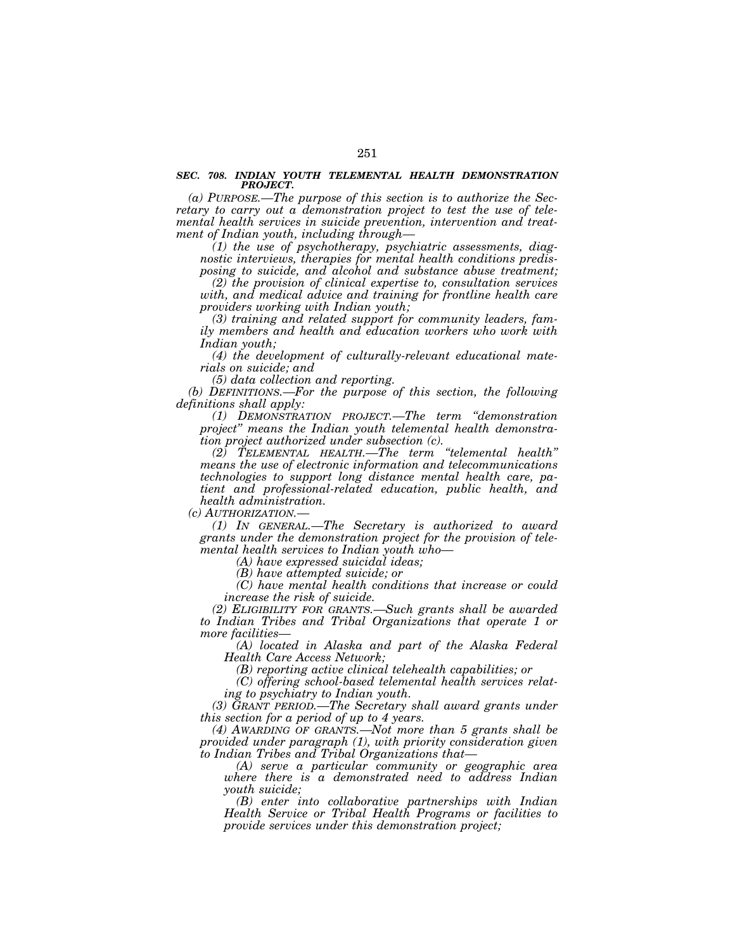#### *SEC. 708. INDIAN YOUTH TELEMENTAL HEALTH DEMONSTRATION PROJECT.*

*(a) PURPOSE.—The purpose of this section is to authorize the Secretary to carry out a demonstration project to test the use of telemental health services in suicide prevention, intervention and treatment of Indian youth, including through—*

*(1) the use of psychotherapy, psychiatric assessments, diagnostic interviews, therapies for mental health conditions predisposing to suicide, and alcohol and substance abuse treatment;* 

*(2) the provision of clinical expertise to, consultation services with, and medical advice and training for frontline health care providers working with Indian youth;* 

*(3) training and related support for community leaders, family members and health and education workers who work with Indian youth;* 

*(4) the development of culturally-relevant educational materials on suicide; and* 

*(5) data collection and reporting.* 

*(b) DEFINITIONS.—For the purpose of this section, the following definitions shall apply:* 

*(1) DEMONSTRATION PROJECT.—The term ''demonstration project'' means the Indian youth telemental health demonstration project authorized under subsection (c).* 

*(2) TELEMENTAL HEALTH.—The term ''telemental health'' means the use of electronic information and telecommunications technologies to support long distance mental health care, patient and professional-related education, public health, and health administration.* 

*(c) AUTHORIZATION.—*

*(1) IN GENERAL.—The Secretary is authorized to award grants under the demonstration project for the provision of telemental health services to Indian youth who—*

*(A) have expressed suicidal ideas;* 

*(B) have attempted suicide; or* 

*(C) have mental health conditions that increase or could increase the risk of suicide.* 

*(2) ELIGIBILITY FOR GRANTS.—Such grants shall be awarded to Indian Tribes and Tribal Organizations that operate 1 or more facilities—*

*(A) located in Alaska and part of the Alaska Federal Health Care Access Network;* 

*(B) reporting active clinical telehealth capabilities; or* 

*(C) offering school-based telemental health services relat-*

*ing to psychiatry to Indian youth. (3) GRANT PERIOD.—The Secretary shall award grants under* 

*this section for a period of up to 4 years. (4) AWARDING OF GRANTS.—Not more than 5 grants shall be* 

*provided under paragraph (1), with priority consideration given to Indian Tribes and Tribal Organizations that—*

*(A) serve a particular community or geographic area where there is a demonstrated need to address Indian youth suicide;* 

*(B) enter into collaborative partnerships with Indian Health Service or Tribal Health Programs or facilities to provide services under this demonstration project;*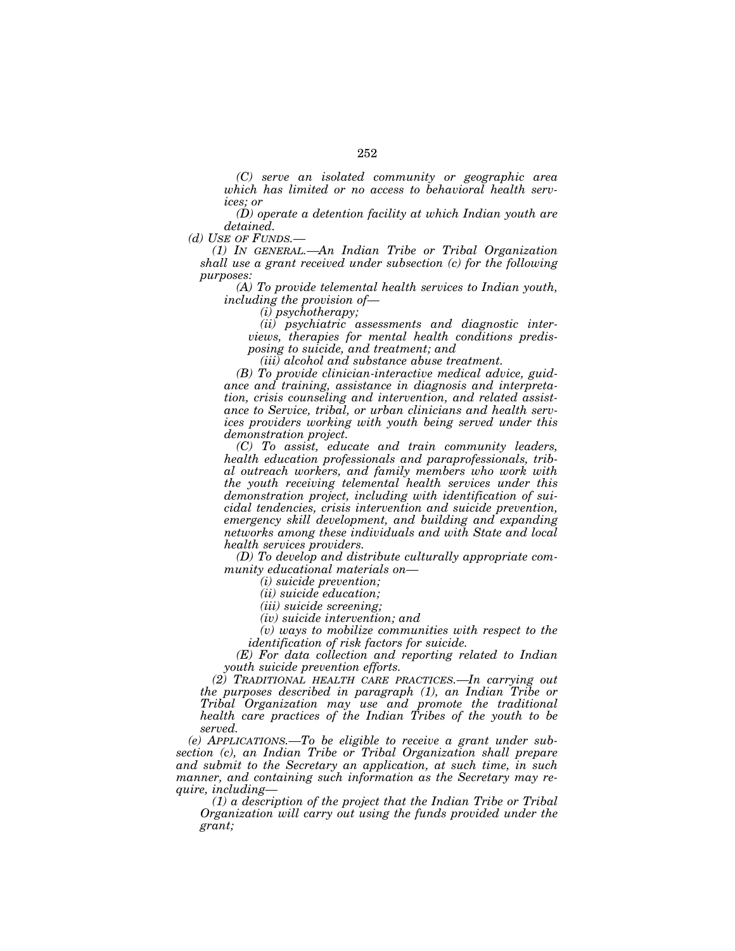*(C) serve an isolated community or geographic area which has limited or no access to behavioral health services; or* 

*(D) operate a detention facility at which Indian youth are detained.* 

*(d) USE OF FUNDS.—*

*(1) IN GENERAL.—An Indian Tribe or Tribal Organization shall use a grant received under subsection (c) for the following purposes:* 

*(A) To provide telemental health services to Indian youth, including the provision of—*

*(i) psychotherapy;* 

*(ii) psychiatric assessments and diagnostic interviews, therapies for mental health conditions predisposing to suicide, and treatment; and* 

*(iii) alcohol and substance abuse treatment.* 

*(B) To provide clinician-interactive medical advice, guidance and training, assistance in diagnosis and interpretation, crisis counseling and intervention, and related assistance to Service, tribal, or urban clinicians and health services providers working with youth being served under this demonstration project.* 

*(C) To assist, educate and train community leaders, health education professionals and paraprofessionals, tribal outreach workers, and family members who work with the youth receiving telemental health services under this demonstration project, including with identification of suicidal tendencies, crisis intervention and suicide prevention, emergency skill development, and building and expanding networks among these individuals and with State and local health services providers.* 

*(D) To develop and distribute culturally appropriate community educational materials on—*

*(i) suicide prevention;* 

*(ii) suicide education;* 

*(iii) suicide screening;* 

*(iv) suicide intervention; and* 

*(v) ways to mobilize communities with respect to the identification of risk factors for suicide.* 

*(E) For data collection and reporting related to Indian youth suicide prevention efforts.* 

*(2) TRADITIONAL HEALTH CARE PRACTICES.—In carrying out the purposes described in paragraph (1), an Indian Tribe or Tribal Organization may use and promote the traditional health care practices of the Indian Tribes of the youth to be served.* 

*(e) APPLICATIONS.—To be eligible to receive a grant under subsection (c), an Indian Tribe or Tribal Organization shall prepare and submit to the Secretary an application, at such time, in such manner, and containing such information as the Secretary may require, including—*

*(1) a description of the project that the Indian Tribe or Tribal Organization will carry out using the funds provided under the grant;*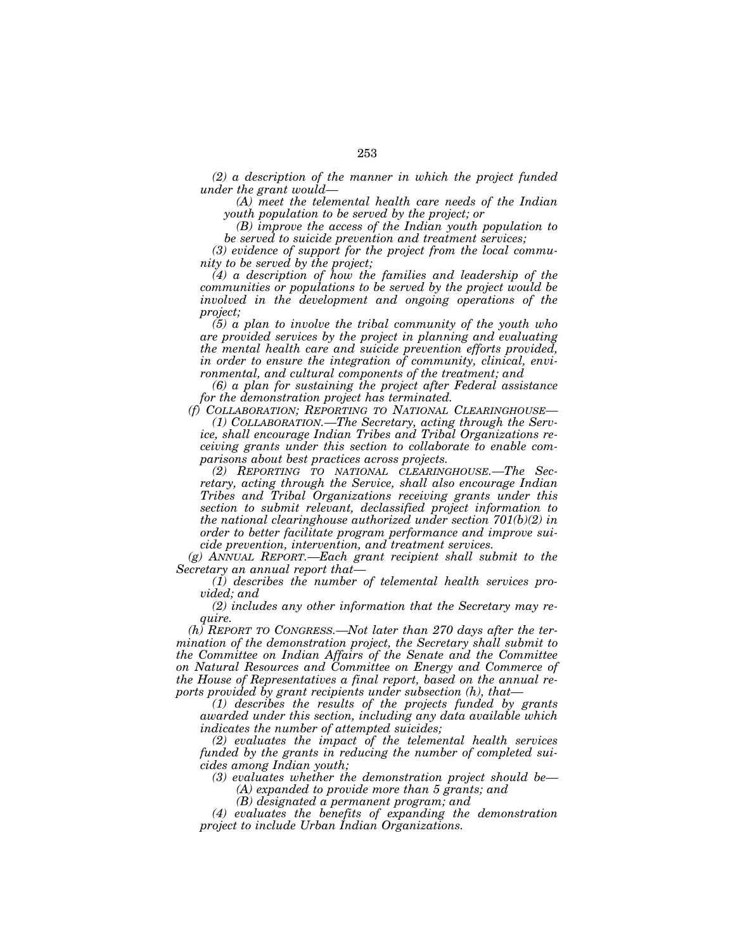*(2) a description of the manner in which the project funded under the grant would—*

*(A) meet the telemental health care needs of the Indian youth population to be served by the project; or* 

*(B) improve the access of the Indian youth population to be served to suicide prevention and treatment services;* 

*(3) evidence of support for the project from the local community to be served by the project;* 

*(4) a description of how the families and leadership of the communities or populations to be served by the project would be involved in the development and ongoing operations of the project;* 

*(5) a plan to involve the tribal community of the youth who are provided services by the project in planning and evaluating the mental health care and suicide prevention efforts provided, in order to ensure the integration of community, clinical, environmental, and cultural components of the treatment; and* 

*(6) a plan for sustaining the project after Federal assistance for the demonstration project has terminated.* 

*(f) COLLABORATION; REPORTING TO NATIONAL CLEARINGHOUSE—*

*(1) COLLABORATION.—The Secretary, acting through the Service, shall encourage Indian Tribes and Tribal Organizations receiving grants under this section to collaborate to enable comparisons about best practices across projects.* 

*(2) REPORTING TO NATIONAL CLEARINGHOUSE.—The Secretary, acting through the Service, shall also encourage Indian Tribes and Tribal Organizations receiving grants under this section to submit relevant, declassified project information to the national clearinghouse authorized under section 701(b)(2) in order to better facilitate program performance and improve suicide prevention, intervention, and treatment services.* 

*(g) ANNUAL REPORT.—Each grant recipient shall submit to the Secretary an annual report that—*

*(1) describes the number of telemental health services provided; and* 

*(2) includes any other information that the Secretary may require.* 

*(h) REPORT TO CONGRESS.—Not later than 270 days after the termination of the demonstration project, the Secretary shall submit to the Committee on Indian Affairs of the Senate and the Committee on Natural Resources and Committee on Energy and Commerce of the House of Representatives a final report, based on the annual reports provided by grant recipients under subsection (h), that—*

*(1) describes the results of the projects funded by grants awarded under this section, including any data available which indicates the number of attempted suicides;* 

*(2) evaluates the impact of the telemental health services funded by the grants in reducing the number of completed suicides among Indian youth;* 

*(3) evaluates whether the demonstration project should be—*

*(A) expanded to provide more than 5 grants; and* 

*(B) designated a permanent program; and* 

*(4) evaluates the benefits of expanding the demonstration project to include Urban Indian Organizations.*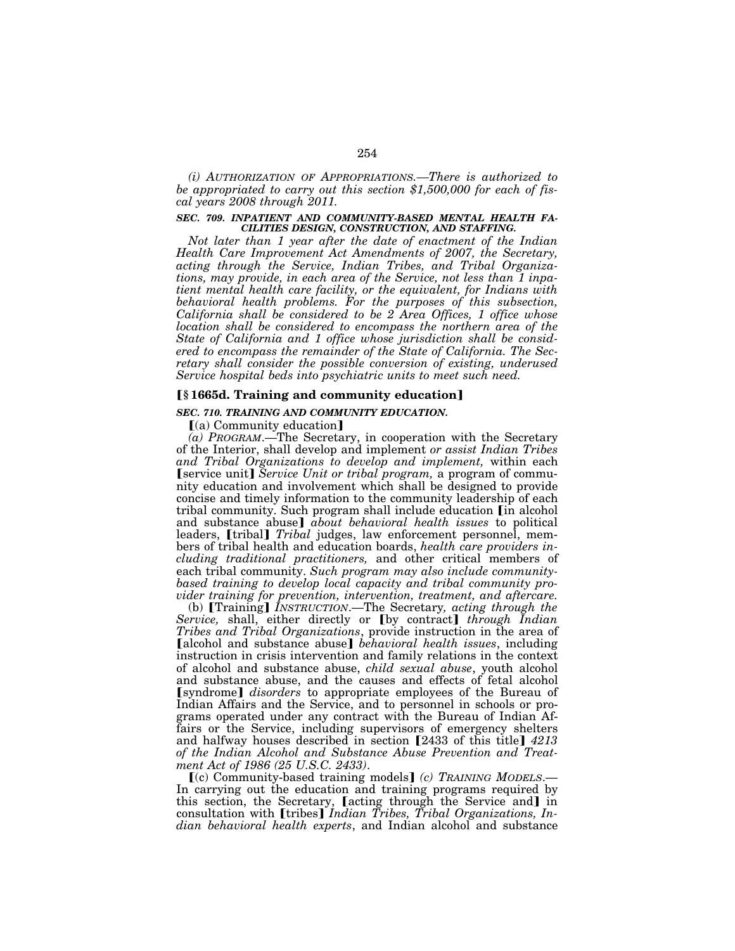*(i) AUTHORIZATION OF APPROPRIATIONS.—There is authorized to be appropriated to carry out this section \$1,500,000 for each of fiscal years 2008 through 2011.* 

### *SEC. 709. INPATIENT AND COMMUNITY-BASED MENTAL HEALTH FA-CILITIES DESIGN, CONSTRUCTION, AND STAFFING.*

*Not later than 1 year after the date of enactment of the Indian Health Care Improvement Act Amendments of 2007, the Secretary, acting through the Service, Indian Tribes, and Tribal Organizations, may provide, in each area of the Service, not less than 1 inpatient mental health care facility, or the equivalent, for Indians with behavioral health problems. For the purposes of this subsection, California shall be considered to be 2 Area Offices, 1 office whose location shall be considered to encompass the northern area of the State of California and 1 office whose jurisdiction shall be considered to encompass the remainder of the State of California. The Secretary shall consider the possible conversion of existing, underused Service hospital beds into psychiatric units to meet such need.* 

# ø**§ 1665d. Training and community education**¿

#### *SEC. 710. TRAINING AND COMMUNITY EDUCATION.*

 $(a)$  Community education]

*(a) PROGRAM*.—The Secretary, in cooperation with the Secretary of the Interior, shall develop and implement *or assist Indian Tribes and Tribal Organizations to develop and implement,* within each **[service unit]** *Service Unit or tribal program*, a program of community education and involvement which shall be designed to provide concise and timely information to the community leadership of each tribal community. Such program shall include education *[in alcohol* and substance abuse] *about behavioral health issues* to political leaders, [tribal] *Tribal* judges, law enforcement personnel, members of tribal health and education boards, *health care providers including traditional practitioners,* and other critical members of each tribal community. *Such program may also include communitybased training to develop local capacity and tribal community pro-*

*vider training for prevention, intervention, treatment, and aftercare.*<br>
(b) [Training] *INSTRUCTION*.—The Secretary*, acting through the Service*, shall, either directly or [by contract] through Indian *Tribes and Tribal Organizations*, provide instruction in the area of **Falcohol and substance abuse** *behavioral health issues*, including instruction in crisis intervention and family relations in the context of alcohol and substance abuse, *child sexual abuse*, youth alcohol and substance abuse, and the causes and effects of fetal alcohol **[syndrome]** *disorders* to appropriate employees of the Bureau of Indian Affairs and the Service, and to personnel in schools or programs operated under any contract with the Bureau of Indian Affairs or the Service, including supervisors of emergency shelters and halfway houses described in section [2433 of this title] 4213 *of the Indian Alcohol and Substance Abuse Prevention and Treatment Act of 1986 (25 U.S.C. 2433)*.

ø(c) Community-based training models¿ *(c) TRAINING MODELS*.— In carrying out the education and training programs required by this section, the Secretary, Lecting through the Service and in consultation with **[tribes]** *Indian Tribes, Tribal Organizations, Indian behavioral health experts*, and Indian alcohol and substance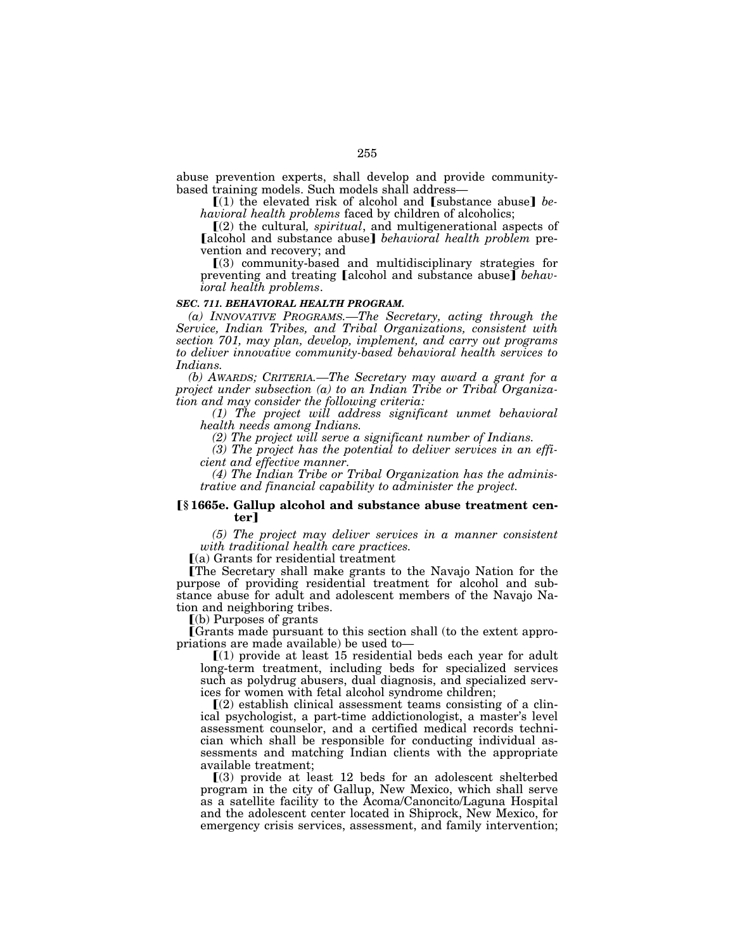abuse prevention experts, shall develop and provide communitybased training models. Such models shall address—

 $(1)$  the elevated risk of alcohol and  $[substance]$  *behavioral health problems* faced by children of alcoholics;

ø(2) the cultural*, spiritual*, and multigenerational aspects of [alcohol and substance abuse] *behavioral health problem* prevention and recovery; and

 $(3)$  community-based and multidisciplinary strategies for preventing and treating [alcohol and substance abuse] *behavioral health problems*.

#### *SEC. 711. BEHAVIORAL HEALTH PROGRAM.*

*(a) INNOVATIVE PROGRAMS.—The Secretary, acting through the Service, Indian Tribes, and Tribal Organizations, consistent with section 701, may plan, develop, implement, and carry out programs to deliver innovative community-based behavioral health services to Indians.* 

*(b) AWARDS; CRITERIA.—The Secretary may award a grant for a project under subsection (a) to an Indian Tribe or Tribal Organization and may consider the following criteria:* 

*(1) The project will address significant unmet behavioral health needs among Indians.* 

*(2) The project will serve a significant number of Indians.* 

*(3) The project has the potential to deliver services in an efficient and effective manner.* 

*(4) The Indian Tribe or Tribal Organization has the administrative and financial capability to administer the project.* 

#### ø**§ 1665e. Gallup alcohol and substance abuse treatment center**¿

*(5) The project may deliver services in a manner consistent with traditional health care practices.* 

 $(a)$  Grants for residential treatment

øThe Secretary shall make grants to the Navajo Nation for the purpose of providing residential treatment for alcohol and substance abuse for adult and adolescent members of the Navajo Nation and neighboring tribes.

 $(a)$  Purposes of grants

øGrants made pursuant to this section shall (to the extent appropriations are made available) be used to—

 $(1)$  provide at least 15 residential beds each year for adult long-term treatment, including beds for specialized services such as polydrug abusers, dual diagnosis, and specialized services for women with fetal alcohol syndrome children;

 $(2)$  establish clinical assessment teams consisting of a clinical psychologist, a part-time addictionologist, a master's level assessment counselor, and a certified medical records technician which shall be responsible for conducting individual assessments and matching Indian clients with the appropriate available treatment;

 $(3)$  provide at least 12 beds for an adolescent shelterbed program in the city of Gallup, New Mexico, which shall serve as a satellite facility to the Acoma/Canoncito/Laguna Hospital and the adolescent center located in Shiprock, New Mexico, for emergency crisis services, assessment, and family intervention;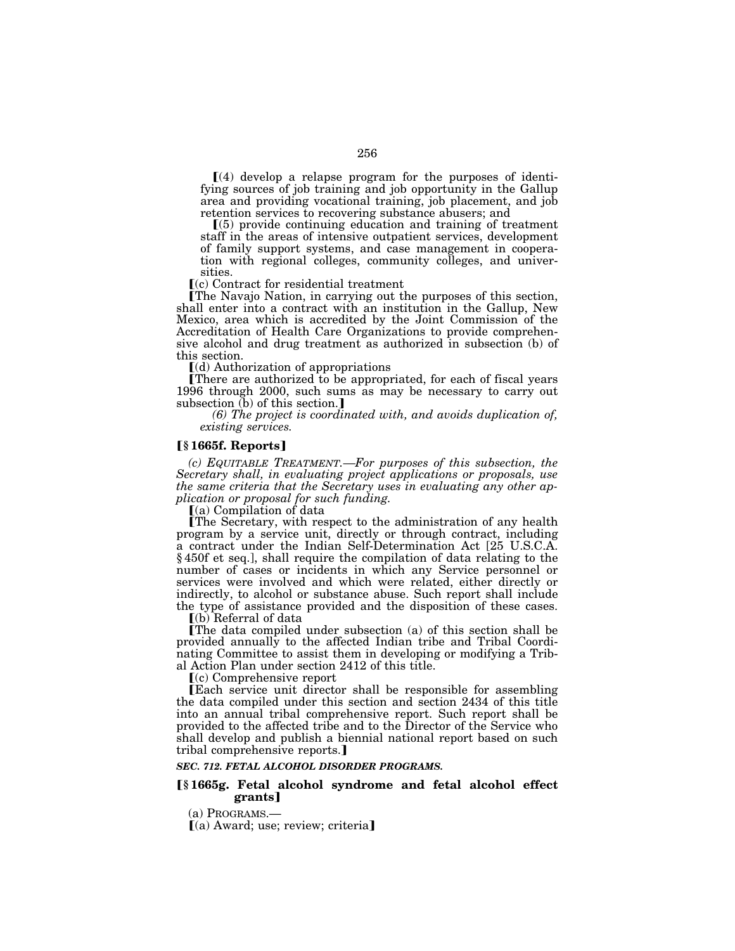$(4)$  develop a relapse program for the purposes of identifying sources of job training and job opportunity in the Gallup area and providing vocational training, job placement, and job retention services to recovering substance abusers; and

 $(5)$  provide continuing education and training of treatment staff in the areas of intensive outpatient services, development of family support systems, and case management in cooperation with regional colleges, community colleges, and universities.

 $(c)$  Contract for residential treatment

øThe Navajo Nation, in carrying out the purposes of this section, shall enter into a contract with an institution in the Gallup, New Mexico, area which is accredited by the Joint Commission of the Accreditation of Health Care Organizations to provide comprehensive alcohol and drug treatment as authorized in subsection (b) of this section.

 $(d)$  Authorization of appropriations

øThere are authorized to be appropriated, for each of fiscal years 1996 through 2000, such sums as may be necessary to carry out subsection  $(b)$  of this section.]

*(6) The project is coordinated with, and avoids duplication of, existing services.* 

#### ø**§ 1665f. Reports**¿

*(c) EQUITABLE TREATMENT.—For purposes of this subsection, the Secretary shall, in evaluating project applications or proposals, use the same criteria that the Secretary uses in evaluating any other application or proposal for such funding.* 

 $(a)$  Compilation of data

øThe Secretary, with respect to the administration of any health program by a service unit, directly or through contract, including a contract under the Indian Self-Determination Act [25 U.S.C.A. § 450f et seq.], shall require the compilation of data relating to the number of cases or incidents in which any Service personnel or services were involved and which were related, either directly or indirectly, to alcohol or substance abuse. Such report shall include the type of assistance provided and the disposition of these cases.

 $\lceil$ (b) Referral of data

øThe data compiled under subsection (a) of this section shall be provided annually to the affected Indian tribe and Tribal Coordinating Committee to assist them in developing or modifying a Tribal Action Plan under section 2412 of this title.

 $(c)$  Comprehensive report

øEach service unit director shall be responsible for assembling the data compiled under this section and section 2434 of this title into an annual tribal comprehensive report. Such report shall be provided to the affected tribe and to the Director of the Service who shall develop and publish a biennial national report based on such tribal comprehensive reports.]

#### *SEC. 712. FETAL ALCOHOL DISORDER PROGRAMS.*

### ø**§ 1665g. Fetal alcohol syndrome and fetal alcohol effect grants**¿

(a) PROGRAMS.—

 $(a)$  Award; use; review; criteria]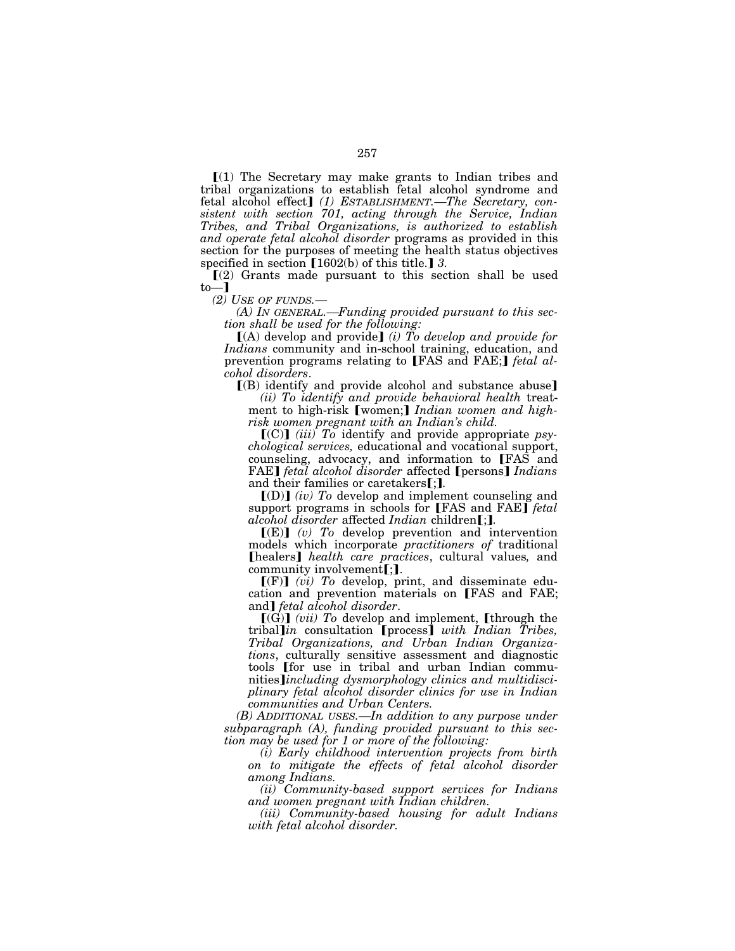$\Gamma(1)$  The Secretary may make grants to Indian tribes and tribal organizations to establish fetal alcohol syndrome and fetal alcohol effect] (1) ESTABLISHMENT.—The Secretary, con*sistent with section 701, acting through the Service, Indian Tribes, and Tribal Organizations, is authorized to establish and operate fetal alcohol disorder* programs as provided in this section for the purposes of meeting the health status objectives specified in section  $[1602(b)$  of this title.] 3.

 $(2)$  Grants made pursuant to this section shall be used  $\mathbf{to}$ 

*(2) USE OF FUNDS.*—

*(A) IN GENERAL.—Funding provided pursuant to this section shall be used for the following:* 

 $[(A)$  develop and provide] *(i)* To develop and provide for *Indians* community and in-school training, education, and prevention programs relating to [FAS and FAE;] *fetal alcohol disorders*.

 $(8)$  identify and provide alcohol and substance abuse

*(ii) To identify and provide behavioral health* treatment to high-risk [women;] *Indian women and highrisk women pregnant with an Indian's child.* 

 $[(C)]$  *(iii)*  $T_0$  identify and provide appropriate *psychological services,* educational and vocational support, counseling, advocacy, and information to FAS and FAE] *fetal alcohol disorder* affected [persons] *Indians* and their families or caretakers [:**]**.

 $\llbracket$ (D) $\rrbracket$  *(iv)* To develop and implement counseling and support programs in schools for [FAS and FAE] *fetal alcohol disorder* affected *Indian* children[;].

 $[(E)]$  (v) To develop prevention and intervention models which incorporate *practitioners of* traditional **[healers]** *health care practices*, cultural values, and community involvement $\left[$ ;  $\right]$ .

 $[(F)]$  *(vi)* To develop, print, and disseminate education and prevention materials on [FAS and FAE; and] *fetal alcohol disorder*.

 $[(G)]$  *(vii)* To develop and implement, [through the tribal]*in* consultation [process] with Indian Tribes, *Tribal Organizations, and Urban Indian Organizations*, culturally sensitive assessment and diagnostic tools [for use in tribal and urban Indian communities*Jincluding dysmorphology clinics and multidisciplinary fetal alcohol disorder clinics for use in Indian communities and Urban Centers.* 

*(B) ADDITIONAL USES.—In addition to any purpose under subparagraph (A), funding provided pursuant to this section may be used for 1 or more of the following:* 

*(i) Early childhood intervention projects from birth on to mitigate the effects of fetal alcohol disorder among Indians.* 

*(ii) Community-based support services for Indians and women pregnant with Indian children.* 

*(iii) Community-based housing for adult Indians with fetal alcohol disorder.*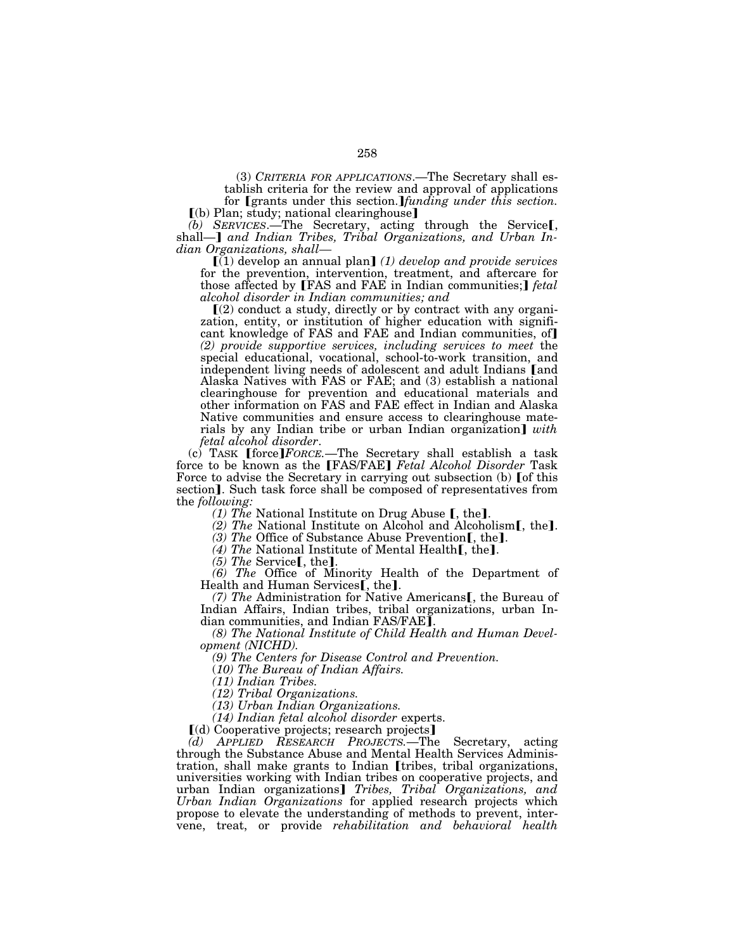(3) *CRITERIA FOR APPLICATIONS*.—The Secretary shall establish criteria for the review and approval of applications for *[grants under this section.]funding under this section.* 

 $(6)$  Plan; study; national clearinghouse] *(b) SERVICES.*—The Secretary, acting through the Service<sub>[,</sub> shall—] *and Indian Tribes, Tribal Organizations, and Urban In-*

*dian Organizations, shall—*<br>(1) develop an annual plan] *(1) develop and provide services* for the prevention, intervention, treatment, and aftercare for those affected by [FAS and FAE in Indian communities;] *fetal alcohol disorder in Indian communities; and* 

 $(2)$  conduct a study, directly or by contract with any organization, entity, or institution of higher education with significant knowledge of FAS and FAE and Indian communities, of *(2) provide supportive services, including services to meet* the special educational, vocational, school-to-work transition, and independent living needs of adolescent and adult Indians [and Alaska Natives with FAS or FAE; and (3) establish a national clearinghouse for prevention and educational materials and other information on FAS and FAE effect in Indian and Alaska Native communities and ensure access to clearinghouse materials by any Indian tribe or urban Indian organization] *with fetal alcohol disorder*.

*(c)* TASK [force] *FORCE*.—The Secretary shall establish a task force to be known as the **[FAS/FAE]** *Fetal Alcohol Disorder* Task Force to advise the Secretary in carrying out subsection (b) [of this section]. Such task force shall be composed of representatives from the *following:*<br>(1) The National Institute on Drug Abuse [, the].

(2) The National Institute on Alcohol and Alcoholism[, the].<br>
(3) The Office of Substance Abuse Prevention[, the].<br>
(4) The National Institute of Mental Health[, the].<br>
(5) The Service[, the].<br>
(6) The Office of Minority

Health and Human Services[, the].

(7) The Administration for Native Americans<sup>[, the Bureau of</sup> Indian Affairs, Indian tribes, tribal organizations, urban Indian communities, and Indian FAS/FAE].

*(8) The National Institute of Child Health and Human Development (NICHD).* 

*(9) The Centers for Disease Control and Prevention.* 

(*10) The Bureau of Indian Affairs.* 

*(11) Indian Tribes.* 

*(12) Tribal Organizations.* 

*(13) Urban Indian Organizations.* 

*(14) Indian fetal alcohol disorder* experts.

ø(d) Cooperative projects; research projects¿

*(d) APPLIED RESEARCH PROJECTS.*—The Secretary, acting through the Substance Abuse and Mental Health Services Administration, shall make grants to Indian [tribes, tribal organizations, universities working with Indian tribes on cooperative projects, and urban Indian organizations] *Tribes, Tribal Organizations, and Urban Indian Organizations* for applied research projects which propose to elevate the understanding of methods to prevent, intervene, treat, or provide *rehabilitation and behavioral health*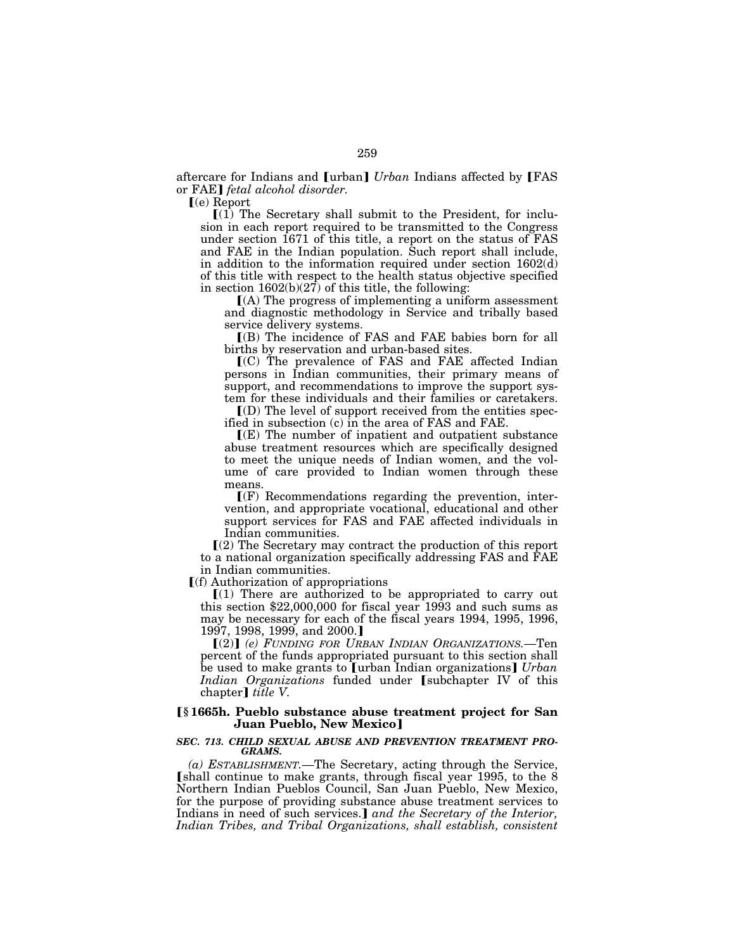aftercare for Indians and [urban] *Urban* Indians affected by [FAS or FAE] *fetal alcohol disorder*.

 $\lceil (e)$  Report

 $(1)$  The Secretary shall submit to the President, for inclusion in each report required to be transmitted to the Congress under section 1671 of this title, a report on the status of FAS and FAE in the Indian population. Such report shall include, in addition to the information required under section 1602(d) of this title with respect to the health status objective specified in section  $1602(b)(27)$  of this title, the following:

 $(A)$  The progress of implementing a uniform assessment and diagnostic methodology in Service and tribally based service delivery systems.

ø(B) The incidence of FAS and FAE babies born for all births by reservation and urban-based sites.

 $(C)$  The prevalence of FAS and FAE affected Indian persons in Indian communities, their primary means of support, and recommendations to improve the support system for these individuals and their families or caretakers.

 $(D)$  The level of support received from the entities specified in subsection (c) in the area of FAS and FAE.

 $\mathbb{I}(E)$  The number of inpatient and outpatient substance abuse treatment resources which are specifically designed to meet the unique needs of Indian women, and the volume of care provided to Indian women through these means.

 $\mathbf{F}(\mathbf{F})$  Recommendations regarding the prevention, intervention, and appropriate vocational, educational and other support services for FAS and FAE affected individuals in Indian communities.

ø(2) The Secretary may contract the production of this report to a national organization specifically addressing FAS and FAE in Indian communities.

 $\Gamma(f)$  Authorization of appropriations

 $(1)$  There are authorized to be appropriated to carry out this section \$22,000,000 for fiscal year 1993 and such sums as may be necessary for each of the fiscal years 1994, 1995, 1996, 1997, 1998, 1999, and 2000.

ø(2)¿ *(e) FUNDING FOR URBAN INDIAN ORGANIZATIONS.*—Ten percent of the funds appropriated pursuant to this section shall be used to make grants to **[**urban Indian organizations**]** *Urban Indian Organizations* funded under [subchapter IV of this chapter] *title V*.

# ø**§ 1665h. Pueblo substance abuse treatment project for San Juan Pueblo, New Mexico]**

### *SEC. 713. CHILD SEXUAL ABUSE AND PREVENTION TREATMENT PRO-GRAMS.*

*(a) ESTABLISHMENT.*—The Secretary, acting through the Service, shall continue to make grants, through fiscal year 1995, to the 8 Northern Indian Pueblos Council, San Juan Pueblo, New Mexico, for the purpose of providing substance abuse treatment services to Indians in need of such services.] and the Secretary of the Interior, *Indian Tribes, and Tribal Organizations, shall establish, consistent*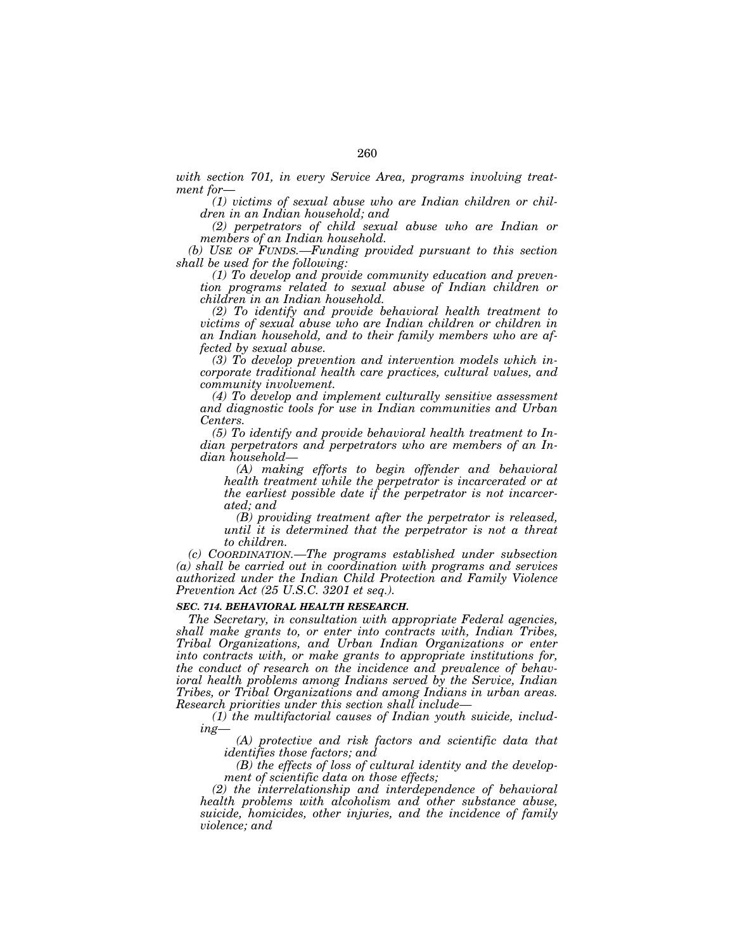*with section 701, in every Service Area, programs involving treatment for*—

*(1) victims of sexual abuse who are Indian children or children in an Indian household; and* 

*(2) perpetrators of child sexual abuse who are Indian or members of an Indian household.* 

*(b) USE OF FUNDS.—Funding provided pursuant to this section shall be used for the following:* 

*(1) To develop and provide community education and prevention programs related to sexual abuse of Indian children or children in an Indian household.* 

*(2) To identify and provide behavioral health treatment to victims of sexual abuse who are Indian children or children in an Indian household, and to their family members who are affected by sexual abuse.* 

*(3) To develop prevention and intervention models which incorporate traditional health care practices, cultural values, and community involvement.* 

*(4) To develop and implement culturally sensitive assessment and diagnostic tools for use in Indian communities and Urban Centers.* 

*(5) To identify and provide behavioral health treatment to Indian perpetrators and perpetrators who are members of an Indian household—*

*(A) making efforts to begin offender and behavioral health treatment while the perpetrator is incarcerated or at the earliest possible date if the perpetrator is not incarcerated; and* 

*(B) providing treatment after the perpetrator is released, until it is determined that the perpetrator is not a threat to children.* 

*(c) COORDINATION.—The programs established under subsection (a) shall be carried out in coordination with programs and services authorized under the Indian Child Protection and Family Violence Prevention Act (25 U.S.C. 3201 et seq.).* 

### *SEC. 714. BEHAVIORAL HEALTH RESEARCH.*

*The Secretary, in consultation with appropriate Federal agencies, shall make grants to, or enter into contracts with, Indian Tribes, Tribal Organizations, and Urban Indian Organizations or enter into contracts with, or make grants to appropriate institutions for, the conduct of research on the incidence and prevalence of behavioral health problems among Indians served by the Service, Indian Tribes, or Tribal Organizations and among Indians in urban areas. Research priorities under this section shall include—*

*(1) the multifactorial causes of Indian youth suicide, including—*

*(A) protective and risk factors and scientific data that identifies those factors; and* 

*(B) the effects of loss of cultural identity and the development of scientific data on those effects;* 

*(2) the interrelationship and interdependence of behavioral health problems with alcoholism and other substance abuse, suicide, homicides, other injuries, and the incidence of family violence; and*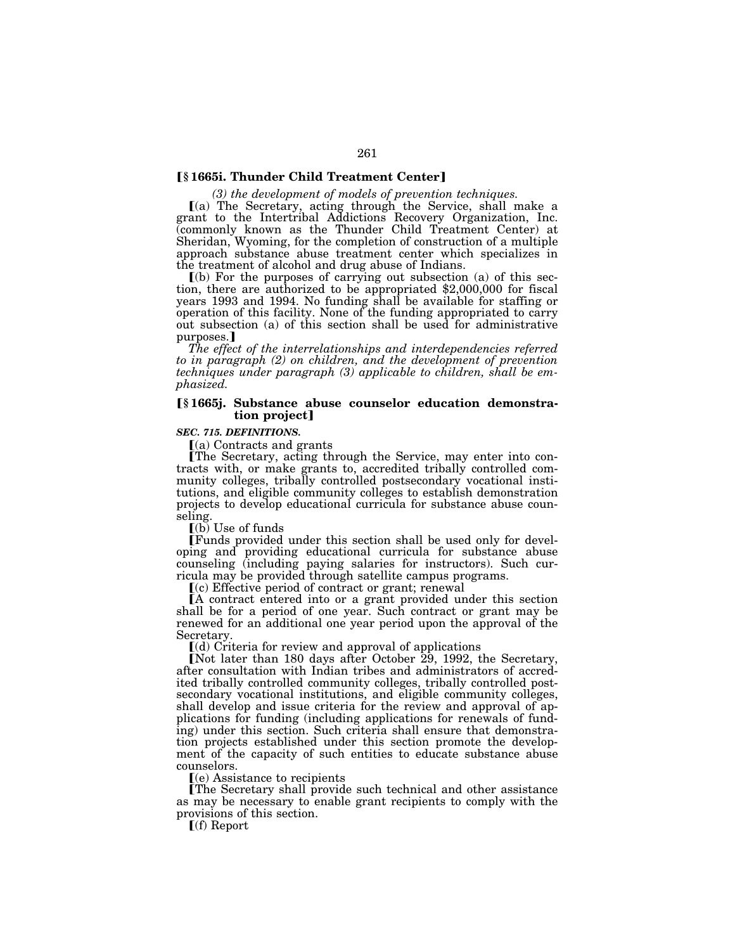### **Ⅰ§** 1665i. Thunder Child Treatment Center**]**

*(3) the development of models of prevention techniques.* 

 $(a)$  The Secretary, acting through the Service, shall make a grant to the Intertribal Addictions Recovery Organization, Inc. (commonly known as the Thunder Child Treatment Center) at Sheridan, Wyoming, for the completion of construction of a multiple approach substance abuse treatment center which specializes in the treatment of alcohol and drug abuse of Indians.

 $\lceil$ (b) For the purposes of carrying out subsection (a) of this section, there are authorized to be appropriated \$2,000,000 for fiscal years 1993 and 1994. No funding shall be available for staffing or operation of this facility. None of the funding appropriated to carry out subsection (a) of this section shall be used for administrative purposes.]

*The effect of the interrelationships and interdependencies referred to in paragraph (2) on children, and the development of prevention techniques under paragraph (3) applicable to children, shall be emphasized.* 

#### ø**§ 1665j. Substance abuse counselor education demonstration project**

### *SEC. 715. DEFINITIONS.*

 $(a)$  Contracts and grants

øThe Secretary, acting through the Service, may enter into contracts with, or make grants to, accredited tribally controlled community colleges, tribally controlled postsecondary vocational institutions, and eligible community colleges to establish demonstration projects to develop educational curricula for substance abuse counseling.

 $(a)$  Use of funds

øFunds provided under this section shall be used only for developing and providing educational curricula for substance abuse counseling (including paying salaries for instructors). Such curricula may be provided through satellite campus programs.

ø(c) Effective period of contract or grant; renewal

 $\overline{A}$  contract entered into or a grant provided under this section shall be for a period of one year. Such contract or grant may be renewed for an additional one year period upon the approval of the Secretary.

 $(d)$  Criteria for review and approval of applications

[Not later than 180 days after October 29, 1992, the Secretary, after consultation with Indian tribes and administrators of accredited tribally controlled community colleges, tribally controlled postsecondary vocational institutions, and eligible community colleges, shall develop and issue criteria for the review and approval of applications for funding (including applications for renewals of funding) under this section. Such criteria shall ensure that demonstration projects established under this section promote the development of the capacity of such entities to educate substance abuse counselors.

 $(e)$  Assistance to recipients

The Secretary shall provide such technical and other assistance as may be necessary to enable grant recipients to comply with the provisions of this section.

 $[f($ f) Report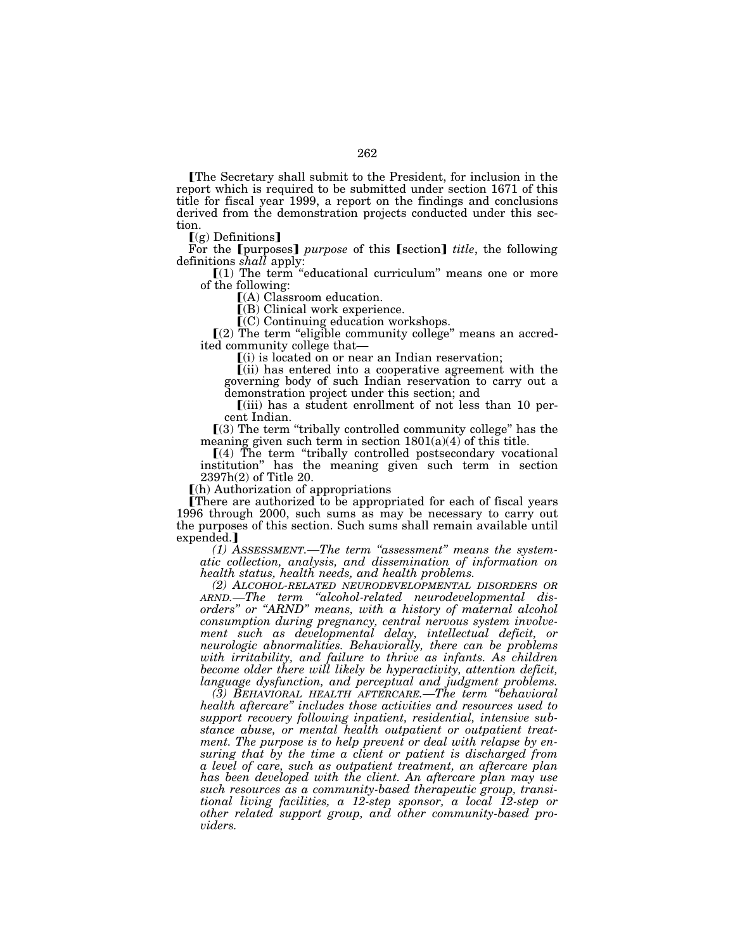øThe Secretary shall submit to the President, for inclusion in the report which is required to be submitted under section 1671 of this title for fiscal year 1999, a report on the findings and conclusions derived from the demonstration projects conducted under this section.

ø(g) Definitions¿

For the *[purposes] purpose* of this *[section] title*, the following definitions *shall* apply:<br>  $\llbracket (1)$  The term "educational curriculum" means one or more

of the following:

ø(A) Classroom education.

 $($ B $)$  Clinical work experience.

 $(C)$  Continuing education workshops.

 $\lceil (2) \rceil$  The term "eligible community college" means an accred-<br>ited community college that—

 $\mathbf{I}(i)$  is located on or near an Indian reservation;

ø(ii) has entered into a cooperative agreement with the governing body of such Indian reservation to carry out a demonstration project under this section; and

 $(iii)$  has a student enrollment of not less than 10 percent Indian.

 $(3)$  The term "tribally controlled community college" has the meaning given such term in section  $1801(a)(4)$  of this title.

 $[(4)$  The term "tribally controlled postsecondary vocational institution'' has the meaning given such term in section 2397h(2) of Title 20.

ø(h) Authorization of appropriations

øThere are authorized to be appropriated for each of fiscal years 1996 through 2000, such sums as may be necessary to carry out the purposes of this section. Such sums shall remain available until expended.<sup>1</sup>

*(1) ASSESSMENT.—The term ''assessment'' means the systematic collection, analysis, and dissemination of information on health status, health needs, and health problems.* 

*(2) ALCOHOL-RELATED NEURODEVELOPMENTAL DISORDERS OR ARND.—The term ''alcohol-related neurodevelopmental disorders'' or ''ARND'' means, with a history of maternal alcohol consumption during pregnancy, central nervous system involvement such as developmental delay, intellectual deficit, or neurologic abnormalities. Behaviorally, there can be problems with irritability, and failure to thrive as infants. As children become older there will likely be hyperactivity, attention deficit, language dysfunction, and perceptual and judgment problems.* 

*(3) BEHAVIORAL HEALTH AFTERCARE.—The term ''behavioral health aftercare'' includes those activities and resources used to support recovery following inpatient, residential, intensive substance abuse, or mental health outpatient or outpatient treatment. The purpose is to help prevent or deal with relapse by ensuring that by the time a client or patient is discharged from a level of care, such as outpatient treatment, an aftercare plan has been developed with the client. An aftercare plan may use such resources as a community-based therapeutic group, transitional living facilities, a 12-step sponsor, a local 12-step or other related support group, and other community-based providers.*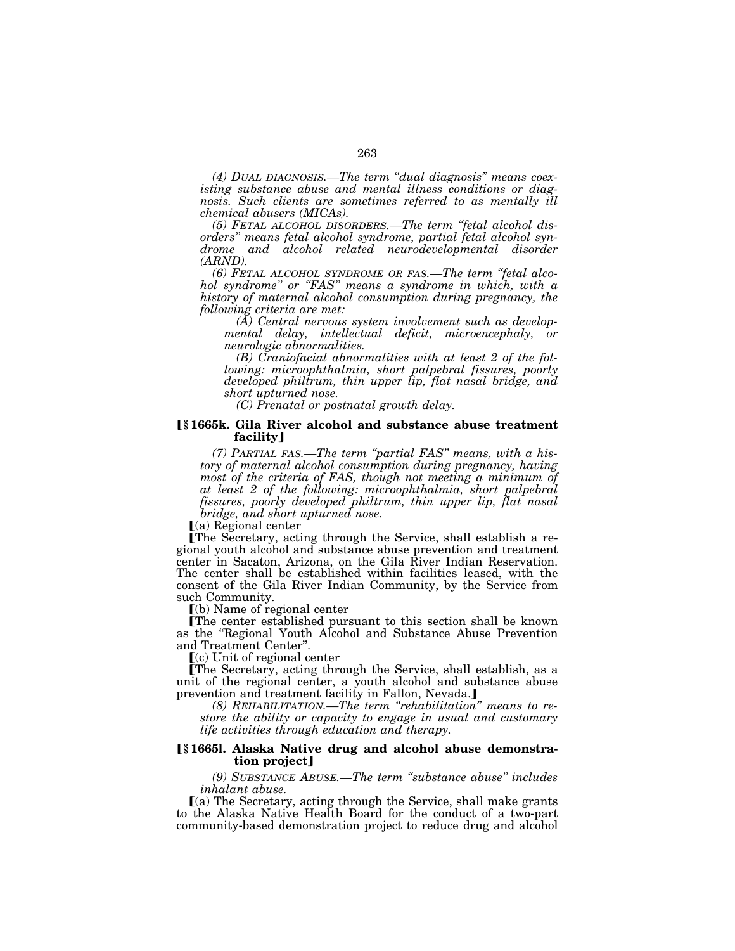*(4) DUAL DIAGNOSIS.—The term ''dual diagnosis'' means coexisting substance abuse and mental illness conditions or diagnosis. Such clients are sometimes referred to as mentally ill chemical abusers (MICAs).* 

*(5) FETAL ALCOHOL DISORDERS.—The term ''fetal alcohol disorders'' means fetal alcohol syndrome, partial fetal alcohol syndrome and alcohol related neurodevelopmental disorder (ARND).* 

*(6) FETAL ALCOHOL SYNDROME OR FAS.—The term ''fetal alcohol syndrome'' or ''FAS'' means a syndrome in which, with a history of maternal alcohol consumption during pregnancy, the following criteria are met:* 

*(A) Central nervous system involvement such as developmental delay, intellectual deficit, microencephaly, or neurologic abnormalities.* 

*(B) Craniofacial abnormalities with at least 2 of the following: microophthalmia, short palpebral fissures, poorly developed philtrum, thin upper lip, flat nasal bridge, and short upturned nose.* 

*(C) Prenatal or postnatal growth delay.* 

### ø**§ 1665k. Gila River alcohol and substance abuse treatment facility**¿

*(7) PARTIAL FAS.—The term ''partial FAS'' means, with a history of maternal alcohol consumption during pregnancy, having most of the criteria of FAS, though not meeting a minimum of at least 2 of the following: microophthalmia, short palpebral fissures, poorly developed philtrum, thin upper lip, flat nasal bridge, and short upturned nose.* 

 $(a)$  Regional center

øThe Secretary, acting through the Service, shall establish a regional youth alcohol and substance abuse prevention and treatment center in Sacaton, Arizona, on the Gila River Indian Reservation. The center shall be established within facilities leased, with the consent of the Gila River Indian Community, by the Service from such Community.

 $(a)$  Name of regional center

øThe center established pursuant to this section shall be known as the ''Regional Youth Alcohol and Substance Abuse Prevention and Treatment Center''.

 $(c)$  Unit of regional center

øThe Secretary, acting through the Service, shall establish, as a unit of the regional center, a youth alcohol and substance abuse prevention and treatment facility in Fallon, Nevada.]

*(8) REHABILITATION.—The term ''rehabilitation'' means to restore the ability or capacity to engage in usual and customary life activities through education and therapy.* 

## ø**§ 1665l. Alaska Native drug and alcohol abuse demonstration project**

*(9) SUBSTANCE ABUSE.—The term ''substance abuse'' includes inhalant abuse.* 

 $(a)$  The Secretary, acting through the Service, shall make grants to the Alaska Native Health Board for the conduct of a two-part community-based demonstration project to reduce drug and alcohol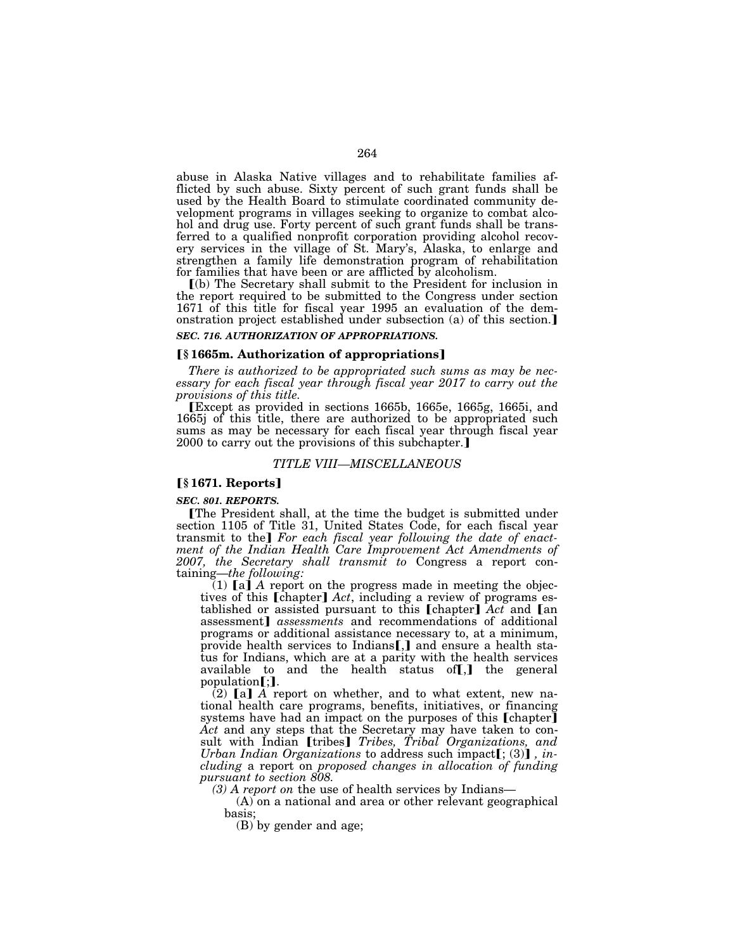abuse in Alaska Native villages and to rehabilitate families afflicted by such abuse. Sixty percent of such grant funds shall be used by the Health Board to stimulate coordinated community development programs in villages seeking to organize to combat alcohol and drug use. Forty percent of such grant funds shall be transferred to a qualified nonprofit corporation providing alcohol recovery services in the village of St. Mary's, Alaska, to enlarge and strengthen a family life demonstration program of rehabilitation for families that have been or are afflicted by alcoholism.

ø(b) The Secretary shall submit to the President for inclusion in the report required to be submitted to the Congress under section 1671 of this title for fiscal year 1995 an evaluation of the demonstration project established under subsection (a) of this section. *SEC. 716. AUTHORIZATION OF APPROPRIATIONS.* 

# ø**§ 1665m. Authorization of appropriations**¿

*There is authorized to be appropriated such sums as may be necessary for each fiscal year through fiscal year 2017 to carry out the provisions of this title.* 

øExcept as provided in sections 1665b, 1665e, 1665g, 1665i, and 1665j of this title, there are authorized to be appropriated such sums as may be necessary for each fiscal year through fiscal year 2000 to carry out the provisions of this subchapter.

#### *TITLE VIII—MISCELLANEOUS*

#### ø**§ 1671. Reports**¿

*SEC. 801. REPORTS.* 

øThe President shall, at the time the budget is submitted under section 1105 of Title 31, United States Code, for each fiscal year transmit to the] For each fiscal year following the date of enact*ment of the Indian Health Care Improvement Act Amendments of 2007, the Secretary shall transmit to* Congress a report containing—*the following:* 

 $(1)$  [a] A report on the progress made in meeting the objectives of this [chapter] *Act*, including a review of programs established or assisted pursuant to this  $[chapter]$   $Act$  and  $[an]$ assessment¿ *assessments* and recommendations of additional programs or additional assistance necessary to, at a minimum, provide health services to Indians  $[]$  and ensure a health status for Indians, which are at a parity with the health services available to and the health status of $\llbracket$ , the general  $population$ [:].

 $(2)$  [a] A report on whether, and to what extent, new national health care programs, benefits, initiatives, or financing systems have had an impact on the purposes of this [chapter] *Act* and any steps that the Secretary may have taken to consult with Indian [tribes] *Tribes, Tribal Organizations, and Urban Indian Organizations* to address such impact[; (3)], *including* a report on *proposed changes in allocation of funding pursuant to section 808.* 

*(3) A report on* the use of health services by Indians—

(A) on a national and area or other relevant geographical basis;

(B) by gender and age;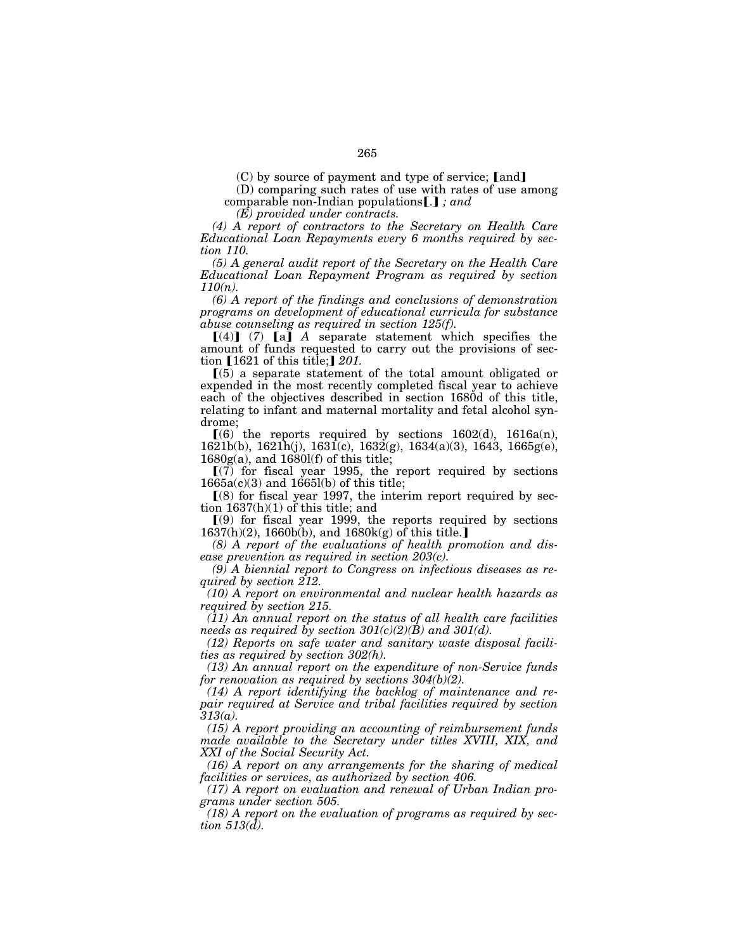$(C)$  by source of payment and type of service; [and]

(D) comparing such rates of use with rates of use among comparable non-Indian populations [.]; and

*(E) provided under contracts.* 

*(4) A report of contractors to the Secretary on Health Care Educational Loan Repayments every 6 months required by section 110.* 

*(5) A general audit report of the Secretary on the Health Care Educational Loan Repayment Program as required by section 110(n).* 

*(6) A report of the findings and conclusions of demonstration programs on development of educational curricula for substance abuse counseling as required in section 125(f).* 

 $[(4)]$  (7)  $[a]$  *A* separate statement which specifies the amount of funds requested to carry out the provisions of section [1621 of this title;] 201.

 $(5)$  a separate statement of the total amount obligated or expended in the most recently completed fiscal year to achieve each of the objectives described in section 1680d of this title, relating to infant and maternal mortality and fetal alcohol syndrome;

 $(6)$  the reports required by sections 1602(d), 1616a(n), 1621b(b), 1621h(j), 1631(c), 1632(g), 1634(a)(3), 1643, 1665g(e),  $1680g(a)$ , and  $1680l(f)$  of this title;

 $(7)$  for fiscal year 1995, the report required by sections  $1665a(c)(3)$  and  $1665l(b)$  of this title;

 $(8)$  for fiscal year 1997, the interim report required by section 1637(h)(1) of this title; and

 $(9)$  for fiscal year 1999, the reports required by sections  $1637(h)(2)$ ,  $1660h(b)$ , and  $1680k(g)$  of this title.

*(8) A report of the evaluations of health promotion and disease prevention as required in section 203(c).* 

*(9) A biennial report to Congress on infectious diseases as required by section 212.* 

*(10) A report on environmental and nuclear health hazards as required by section 215.* 

*(11) An annual report on the status of all health care facilities needs as required by section 301(c)(2)(B) and 301(d).* 

*(12) Reports on safe water and sanitary waste disposal facilities as required by section 302(h).* 

*(13) An annual report on the expenditure of non-Service funds for renovation as required by sections 304(b)(2).* 

*(14) A report identifying the backlog of maintenance and repair required at Service and tribal facilities required by section 313(a).* 

*(15) A report providing an accounting of reimbursement funds made available to the Secretary under titles XVIII, XIX, and XXI of the Social Security Act.* 

*(16) A report on any arrangements for the sharing of medical facilities or services, as authorized by section 406.* 

*(17) A report on evaluation and renewal of Urban Indian programs under section 505.* 

*(18) A report on the evaluation of programs as required by section 513(d).*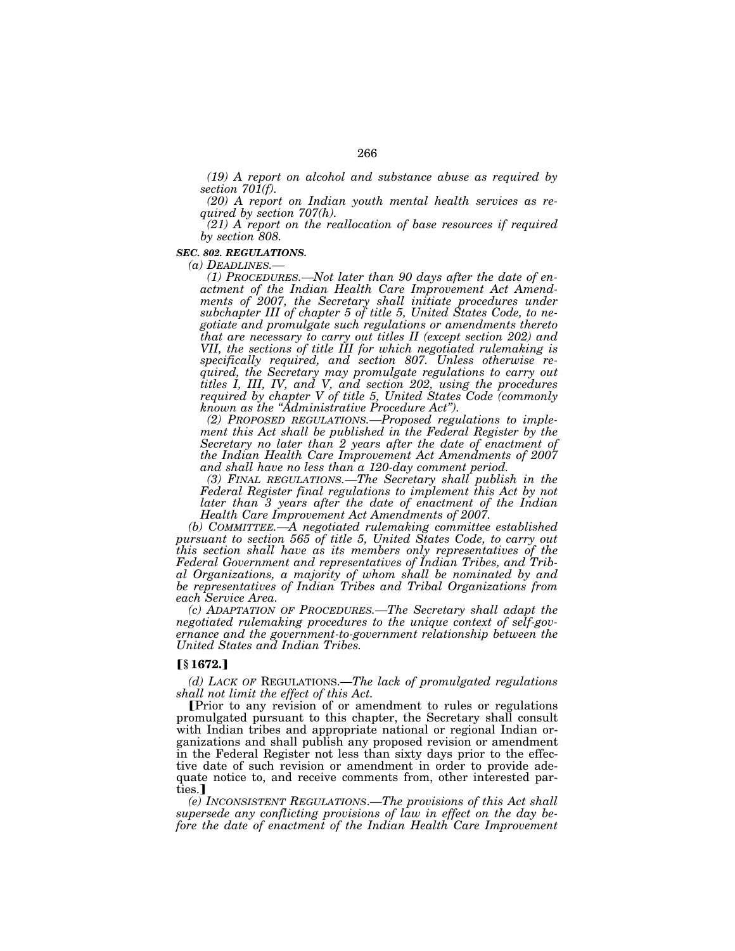*(19) A report on alcohol and substance abuse as required by section 701(f).* 

*(20) A report on Indian youth mental health services as required by section 707(h).* 

*(21) A report on the reallocation of base resources if required by section 808.* 

#### *SEC. 802. REGULATIONS.*

*(a) DEADLINES.— (1) PROCEDURES.—Not later than 90 days after the date of enactment of the Indian Health Care Improvement Act Amendments of 2007, the Secretary shall initiate procedures under subchapter III of chapter 5 of title 5, United States Code, to negotiate and promulgate such regulations or amendments thereto that are necessary to carry out titles II (except section 202) and VII, the sections of title III for which negotiated rulemaking is specifically required, and section 807. Unless otherwise required, the Secretary may promulgate regulations to carry out titles I, III, IV, and V, and section 202, using the procedures required by chapter V of title 5, United States Code (commonly known as the ''Administrative Procedure Act'').* 

*(2) PROPOSED REGULATIONS.—Proposed regulations to implement this Act shall be published in the Federal Register by the Secretary no later than 2 years after the date of enactment of the Indian Health Care Improvement Act Amendments of 2007 and shall have no less than a 120-day comment period.* 

*(3) FINAL REGULATIONS.—The Secretary shall publish in the*  Federal Register final regulations to implement this Act by not *later than 3 years after the date of enactment of the Indian Health Care Improvement Act Amendments of 2007.* 

*(b) COMMITTEE.—A negotiated rulemaking committee established pursuant to section 565 of title 5, United States Code, to carry out this section shall have as its members only representatives of the Federal Government and representatives of Indian Tribes, and Tribal Organizations, a majority of whom shall be nominated by and be representatives of Indian Tribes and Tribal Organizations from each Service Area.* 

*(c) ADAPTATION OF PROCEDURES.—The Secretary shall adapt the negotiated rulemaking procedures to the unique context of self-governance and the government-to-government relationship between the United States and Indian Tribes.* 

### ø**§ 1672.**¿

*(d) LACK OF* REGULATIONS.—*The lack of promulgated regulations shall not limit the effect of this Act.* 

øPrior to any revision of or amendment to rules or regulations promulgated pursuant to this chapter, the Secretary shall consult with Indian tribes and appropriate national or regional Indian organizations and shall publish any proposed revision or amendment in the Federal Register not less than sixty days prior to the effective date of such revision or amendment in order to provide adequate notice to, and receive comments from, other interested parties.

*(e) INCONSISTENT REGULATIONS*.—*The provisions of this Act shall supersede any conflicting provisions of law in effect on the day before the date of enactment of the Indian Health Care Improvement*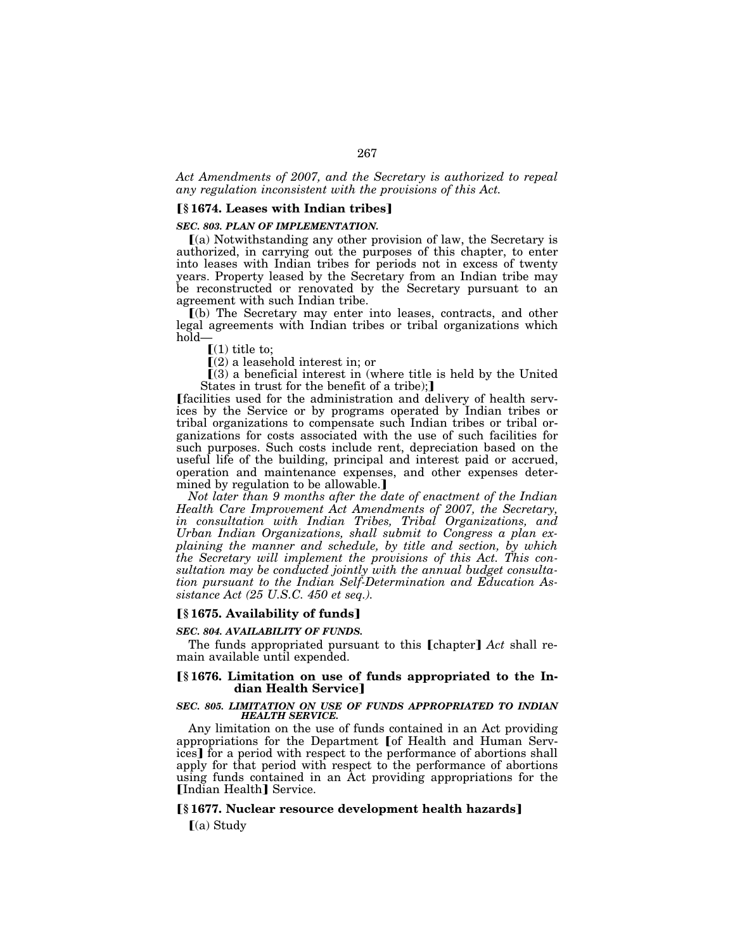# *Act Amendments of 2007, and the Secretary is authorized to repeal any regulation inconsistent with the provisions of this Act.*

### ø**§ 1674. Leases with Indian tribes**¿

### *SEC. 803. PLAN OF IMPLEMENTATION.*

 $(a)$  Notwithstanding any other provision of law, the Secretary is authorized, in carrying out the purposes of this chapter, to enter into leases with Indian tribes for periods not in excess of twenty years. Property leased by the Secretary from an Indian tribe may be reconstructed or renovated by the Secretary pursuant to an agreement with such Indian tribe.

ø(b) The Secretary may enter into leases, contracts, and other legal agreements with Indian tribes or tribal organizations which hold—

 $[(1)$  title to;

 $\square(2)$  a leasehold interest in; or

 $(3)$  a beneficial interest in (where title is held by the United States in trust for the benefit of a tribe);

øfacilities used for the administration and delivery of health services by the Service or by programs operated by Indian tribes or tribal organizations to compensate such Indian tribes or tribal organizations for costs associated with the use of such facilities for such purposes. Such costs include rent, depreciation based on the useful life of the building, principal and interest paid or accrued, operation and maintenance expenses, and other expenses determined by regulation to be allowable.

*Not later than 9 months after the date of enactment of the Indian Health Care Improvement Act Amendments of 2007, the Secretary, in consultation with Indian Tribes, Tribal Organizations, and Urban Indian Organizations, shall submit to Congress a plan explaining the manner and schedule, by title and section, by which the Secretary will implement the provisions of this Act. This consultation may be conducted jointly with the annual budget consultation pursuant to the Indian Self-Determination and Education Assistance Act (25 U.S.C. 450 et seq.).* 

# ø**§ 1675. Availability of funds**¿

### *SEC. 804. AVAILABILITY OF FUNDS.*

The funds appropriated pursuant to this [chapter] Act shall remain available until expended.

### ø**§ 1676. Limitation on use of funds appropriated to the Indian Health Service**

### *SEC. 805. LIMITATION ON USE OF FUNDS APPROPRIATED TO INDIAN HEALTH SERVICE.*

Any limitation on the use of funds contained in an Act providing appropriations for the Department [of Health and Human Services] for a period with respect to the performance of abortions shall apply for that period with respect to the performance of abortions using funds contained in an Act providing appropriations for the [Indian Health] Service.

### ø**§ 1677. Nuclear resource development health hazards**¿

 $(a)$  Study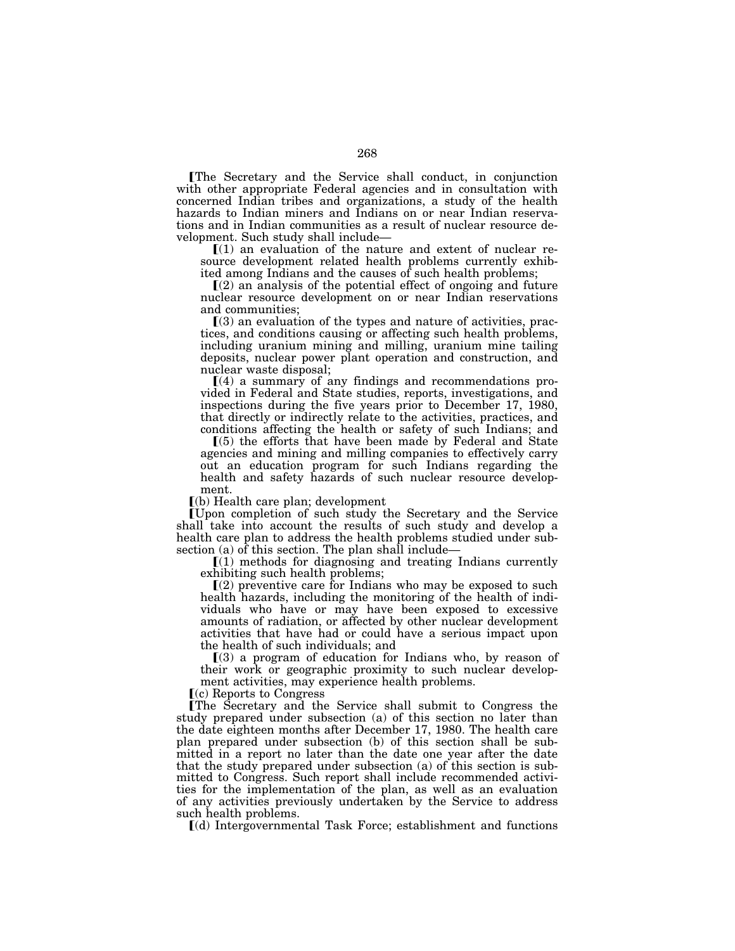øThe Secretary and the Service shall conduct, in conjunction with other appropriate Federal agencies and in consultation with concerned Indian tribes and organizations, a study of the health hazards to Indian miners and Indians on or near Indian reservations and in Indian communities as a result of nuclear resource de-

 $\llbracket (1)$  an evaluation of the nature and extent of nuclear resource development related health problems currently exhibited among Indians and the causes of such health problems;

 $(2)$  an analysis of the potential effect of ongoing and future nuclear resource development on or near Indian reservations and communities;

 $(3)$  an evaluation of the types and nature of activities, practices, and conditions causing or affecting such health problems, including uranium mining and milling, uranium mine tailing deposits, nuclear power plant operation and construction, and nuclear waste disposal;

 $(a)$  a summary of any findings and recommendations provided in Federal and State studies, reports, investigations, and inspections during the five years prior to December 17, 1980, that directly or indirectly relate to the activities, practices, and conditions affecting the health or safety of such Indians; and

 $(5)$  the efforts that have been made by Federal and State agencies and mining and milling companies to effectively carry out an education program for such Indians regarding the health and safety hazards of such nuclear resource development.

 $(a)$  Health care plan; development

øUpon completion of such study the Secretary and the Service shall take into account the results of such study and develop a health care plan to address the health problems studied under subsection (a) of this section. The plan shall include—

 $[(1)$  methods for diagnosing and treating Indians currently exhibiting such health problems;

 $(2)$  preventive care for Indians who may be exposed to such health hazards, including the monitoring of the health of individuals who have or may have been exposed to excessive amounts of radiation, or affected by other nuclear development activities that have had or could have a serious impact upon the health of such individuals; and

 $(3)$  a program of education for Indians who, by reason of their work or geographic proximity to such nuclear development activities, may experience health problems.

 $(c)$  Reports to Congress

øThe Secretary and the Service shall submit to Congress the study prepared under subsection (a) of this section no later than the date eighteen months after December 17, 1980. The health care plan prepared under subsection (b) of this section shall be submitted in a report no later than the date one year after the date that the study prepared under subsection (a) of this section is submitted to Congress. Such report shall include recommended activities for the implementation of the plan, as well as an evaluation of any activities previously undertaken by the Service to address such health problems.

ø(d) Intergovernmental Task Force; establishment and functions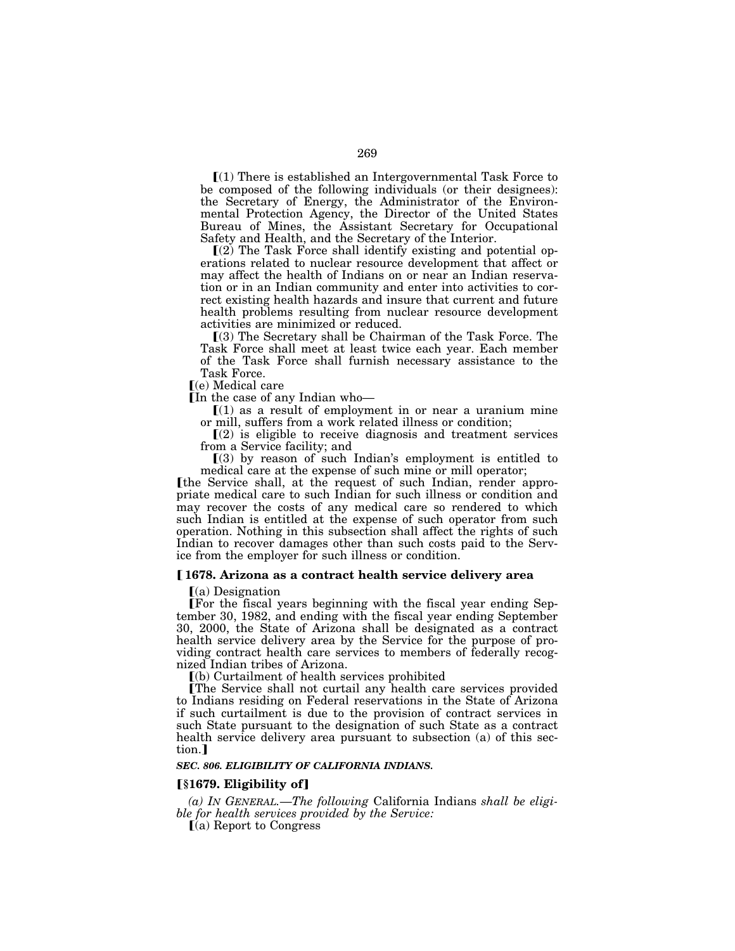$(1)$  There is established an Intergovernmental Task Force to be composed of the following individuals (or their designees): the Secretary of Energy, the Administrator of the Environmental Protection Agency, the Director of the United States Bureau of Mines, the Assistant Secretary for Occupational Safety and Health, and the Secretary of the Interior.

 $(2)$  The Task Force shall identify existing and potential operations related to nuclear resource development that affect or may affect the health of Indians on or near an Indian reservation or in an Indian community and enter into activities to correct existing health hazards and insure that current and future health problems resulting from nuclear resource development activities are minimized or reduced.

ø(3) The Secretary shall be Chairman of the Task Force. The Task Force shall meet at least twice each year. Each member of the Task Force shall furnish necessary assistance to the Task Force.

ø(e) Medical care

In the case of any Indian who-

 $(1)$  as a result of employment in or near a uranium mine or mill, suffers from a work related illness or condition;

 $(2)$  is eligible to receive diagnosis and treatment services from a Service facility; and

 $(3)$  by reason of such Indian's employment is entitled to medical care at the expense of such mine or mill operator;

Ithe Service shall, at the request of such Indian, render appropriate medical care to such Indian for such illness or condition and may recover the costs of any medical care so rendered to which such Indian is entitled at the expense of such operator from such operation. Nothing in this subsection shall affect the rights of such Indian to recover damages other than such costs paid to the Service from the employer for such illness or condition.

# ø **1678. Arizona as a contract health service delivery area**

 $(a)$  Designation

øFor the fiscal years beginning with the fiscal year ending September 30, 1982, and ending with the fiscal year ending September 30, 2000, the State of Arizona shall be designated as a contract health service delivery area by the Service for the purpose of providing contract health care services to members of federally recognized Indian tribes of Arizona.

ø(b) Curtailment of health services prohibited

øThe Service shall not curtail any health care services provided to Indians residing on Federal reservations in the State of Arizona if such curtailment is due to the provision of contract services in such State pursuant to the designation of such State as a contract health service delivery area pursuant to subsection (a) of this section.]

### *SEC. 806. ELIGIBILITY OF CALIFORNIA INDIANS.*

## ø**§1679. Eligibility of**¿

*(a) IN GENERAL.*—*The following* California Indians *shall be eligible for health services provided by the Service:* 

 $\Gamma$ (a) Report to Congress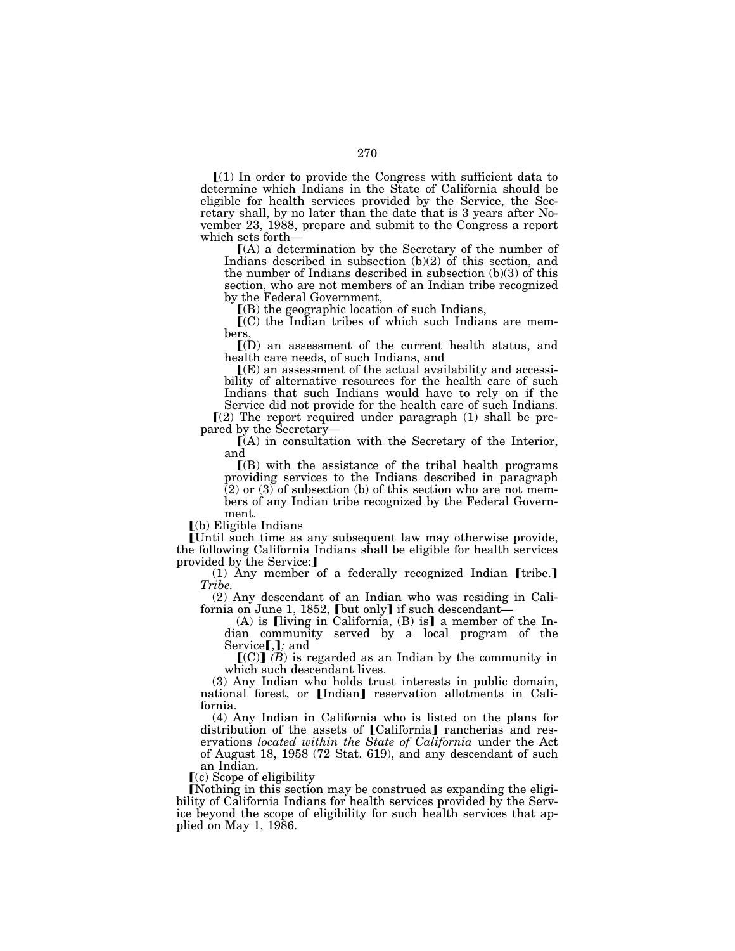$\Gamma(1)$  In order to provide the Congress with sufficient data to determine which Indians in the State of California should be eligible for health services provided by the Service, the Secretary shall, by no later than the date that is 3 years after November 23, 1988, prepare and submit to the Congress a report

 $[(A)$  a determination by the Secretary of the number of Indians described in subsection (b)(2) of this section, and the number of Indians described in subsection (b)(3) of this section, who are not members of an Indian tribe recognized by the Federal Government,

 $($ B) the geographic location of such Indians,

 $(C)$  the Indian tribes of which such Indians are members,

 $\mathcal{I}(D)$  an assessment of the current health status, and health care needs, of such Indians, and

 $\mathbb{I}(E)$  an assessment of the actual availability and accessibility of alternative resources for the health care of such Indians that such Indians would have to rely on if the

Service did not provide for the health care of such Indians.  $(2)$  The report required under paragraph  $(1)$  shall be pre-

pared by the Secretary—<br> $[(A)$  in consultation with the Secretary of the Interior, and

 $\Gamma(B)$  with the assistance of the tribal health programs providing services to the Indians described in paragraph  $(2)$  or  $(3)$  of subsection (b) of this section who are not members of any Indian tribe recognized by the Federal Government.

 $(a)$  Eligible Indians

øUntil such time as any subsequent law may otherwise provide, the following California Indians shall be eligible for health services provided by the Service:]

(1) Any member of a federally recognized Indian [tribe.] *Tribe.* 

(2) Any descendant of an Indian who was residing in California on June 1, 1852, [but only] if such descendant-

(A) is [living in California,  $(B)$  is] a member of the Indian community served by a local program of the Service[,]; and

 $[(C)]$   $(B)$  is regarded as an Indian by the community in which such descendant lives.

(3) Any Indian who holds trust interests in public domain, national forest, or [Indian] reservation allotments in California.

(4) Any Indian in California who is listed on the plans for distribution of the assets of [California] rancherias and reservations *located within the State of California* under the Act of August 18, 1958 (72 Stat. 619), and any descendant of such an Indian.

 $(c)$  Scope of eligibility

Nothing in this section may be construed as expanding the eligibility of California Indians for health services provided by the Service beyond the scope of eligibility for such health services that applied on May 1, 1986.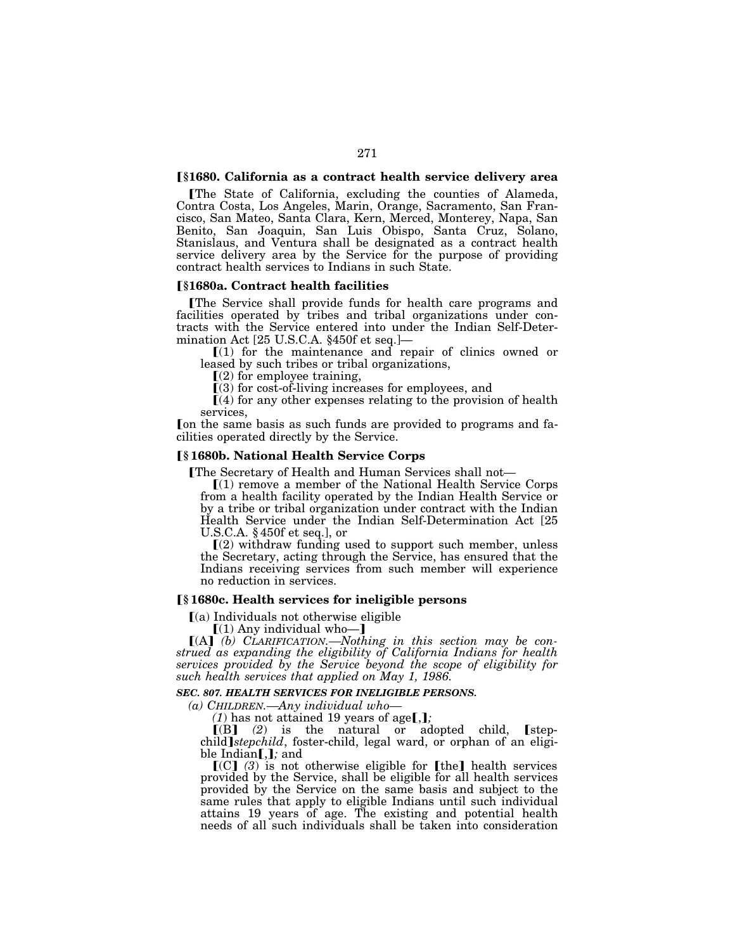### ø**§1680. California as a contract health service delivery area**

øThe State of California, excluding the counties of Alameda, Contra Costa, Los Angeles, Marin, Orange, Sacramento, San Francisco, San Mateo, Santa Clara, Kern, Merced, Monterey, Napa, San Benito, San Joaquin, San Luis Obispo, Santa Cruz, Solano, Stanislaus, and Ventura shall be designated as a contract health service delivery area by the Service for the purpose of providing contract health services to Indians in such State.

#### ø**§1680a. Contract health facilities**

øThe Service shall provide funds for health care programs and facilities operated by tribes and tribal organizations under contracts with the Service entered into under the Indian Self-Determination Act [25 U.S.C.A. §450f et seq.]—

 $\lceil$ (1) for the maintenance and repair of clinics owned or leased by such tribes or tribal organizations,

 $(2)$  for employee training,

 $(3)$  for cost-of-living increases for employees, and

 $(4)$  for any other expenses relating to the provision of health services,

Fon the same basis as such funds are provided to programs and facilities operated directly by the Service.

# ø**§ 1680b. National Health Service Corps**

**The Secretary of Health and Human Services shall not**—

 $(1)$  remove a member of the National Health Service Corps from a health facility operated by the Indian Health Service or by a tribe or tribal organization under contract with the Indian Health Service under the Indian Self-Determination Act [25 U.S.C.A. § 450f et seq.], or

 $\Gamma(2)$  withdraw funding used to support such member, unless the Secretary, acting through the Service, has ensured that the Indians receiving services from such member will experience no reduction in services.

# ø**§ 1680c. Health services for ineligible persons**

 $(a)$  Individuals not otherwise eligible

 $(1)$  Any individual who-]

[(A] (b) CLARIFICATION.—Nothing in this section may be con*strued as expanding the eligibility of California Indians for health services provided by the Service beyond the scope of eligibility for such health services that applied on May 1, 1986.* 

*SEC. 807. HEALTH SERVICES FOR INELIGIBLE PERSONS.* 

*(a) CHILDREN.—Any individual who—*

 $(1)$  has not attained 19 years of age[,];

 $\llbracket$ (B) (2) is the natural or adopted child,  $\llbracket$ stepchild *stepchild*, foster-child, legal ward, or orphan of an eligible Indian**[,]**; and

 $\left[\text{[C]} \quad (3) \text{ is not otherwise eligible for } \text{[the]} \text{ health services}\right]$ provided by the Service, shall be eligible for all health services provided by the Service on the same basis and subject to the same rules that apply to eligible Indians until such individual attains 19 years of age. The existing and potential health needs of all such individuals shall be taken into consideration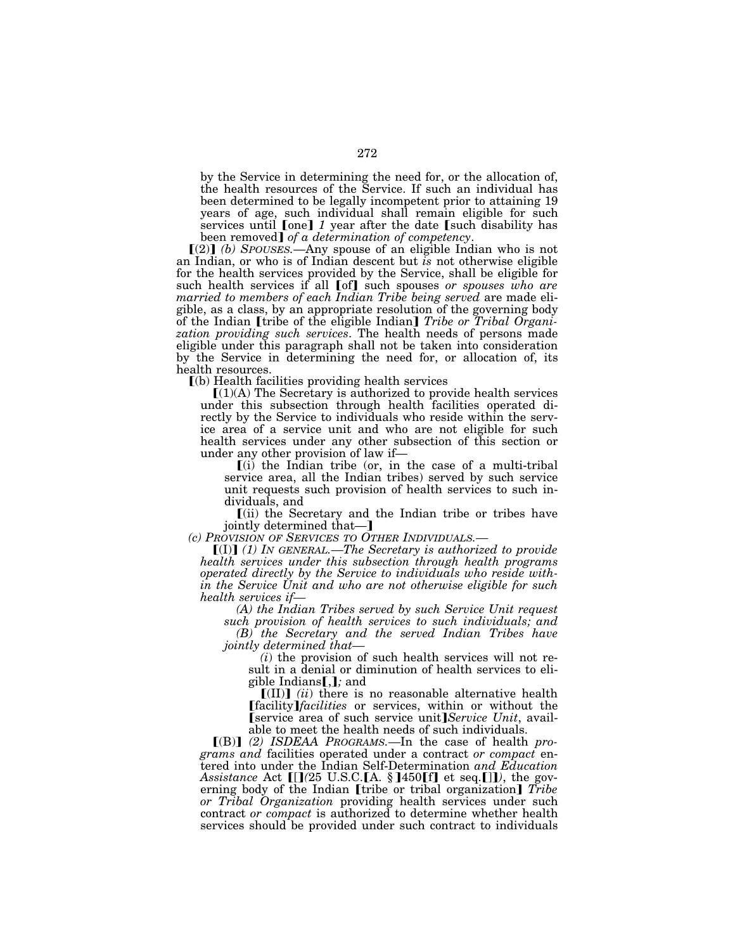by the Service in determining the need for, or the allocation of, the health resources of the Service. If such an individual has been determined to be legally incompetent prior to attaining 19 years of age, such individual shall remain eligible for such services until  $\text{[one]} 1$  year after the date  $\text{[such disability has been removed]} of a determination of \\$ .

 $[(2)]$  *(b) SPOUSES.*—Any spouse of an eligible Indian who is not an Indian, or who is of Indian descent but *is* not otherwise eligible for the health services provided by the Service, shall be eligible for such health services if all [of] such spouses *or spouses who are married to members of each Indian Tribe being served* are made eligible, as a class, by an appropriate resolution of the governing body<br>of the Indian **[**tribe of the eligible Indian] *Tribe or Tribal Organization providing such services*. The health needs of persons made eligible under this paragraph shall not be taken into consideration by the Service in determining the need for, or allocation of, its health resources.

 $(a)$  Health facilities providing health services

 $[(1)(A)$  The Secretary is authorized to provide health services under this subsection through health facilities operated directly by the Service to individuals who reside within the service area of a service unit and who are not eligible for such health services under any other subsection of this section or under any other provision of law if—

 $\lceil$  (i) the Indian tribe (or, in the case of a multi-tribal service area, all the Indian tribes) served by such service unit requests such provision of health services to such individuals, and

ø(ii) the Secretary and the Indian tribe or tribes have

jointly determined that—]<br>(c) PROVISION OF SERVICES TO OTHER INDIVIDUALS.

*(c) PROVISION OF SERVICES TO OTHER INDIVIDUALS.—* <sup>ø</sup>(I)¿ *(1) IN GENERAL.—The Secretary is authorized to provide health services under this subsection through health programs operated directly by the Service to individuals who reside within the Service Unit and who are not otherwise eligible for such health services if— (A) the Indian Tribes served by such Service Unit request* 

*such provision of health services to such individuals; and (B) the Secretary and the served Indian Tribes have* 

*(i)* the provision of such health services will not result in a denial or diminution of health services to eligible Indians**[**,**]**; and

 $\llbracket$ (II) $\rrbracket$  *(ii)* there is no reasonable alternative health **[facility**]*facilities* or services, within or without the **[service area of such service unit**] *Service Unit*, available to meet the health needs of such individuals.

[(B)] (2) ISDEAA PROGRAMS.—In the case of health *programs and* facilities operated under a contract *or compact* entered into under the Indian Self-Determination *and Education Assistance* Act [[](25 U.S.C.[A. §]450[f] et seq.[]]), the governing body of the Indian *[tribe or tribal organization] Tribe or Tribal Organization* providing health services under such contract *or compact* is authorized to determine whether health services should be provided under such contract to individuals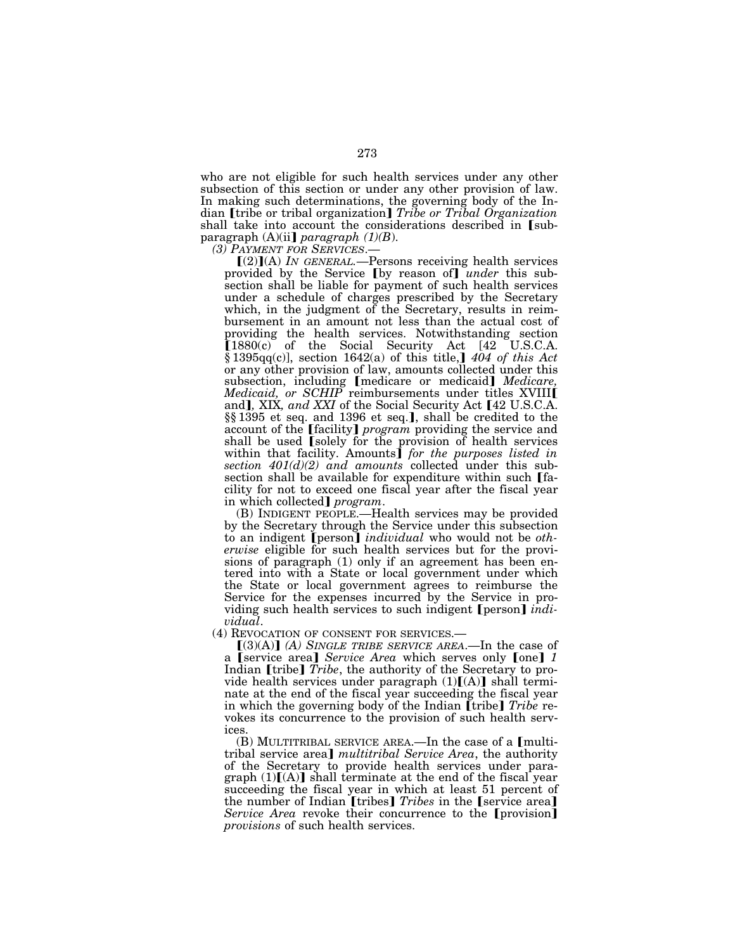who are not eligible for such health services under any other subsection of this section or under any other provision of law. In making such determinations, the governing body of the Indian [tribe or tribal organization] *Tribe or Tribal Organization* shall take into account the considerations described in [subparagraph  $(A)(ii)$  *paragraph*  $(1)(B)$ .

*(3) PAYMENT FOR SERVICES.—*<br>  $[(2)](A)$  *IN GENERAL.*—Persons receiving health services provided by the Service [by reason of] *under* this subsection shall be liable for payment of such health services under a schedule of charges prescribed by the Secretary which, in the judgment of the Secretary, results in reimbursement in an amount not less than the actual cost of providing the health services. Notwithstanding section  $[1880(c)$  of the Social Security Act  $[42 \quad U.S.C.A.]$ § 1395 $q(c)$ , section 1642(a) of this title, 1404 of this Act or any other provision of law, amounts collected under this subsection, including *[medicare or medicaid] Medicare, Medicaid, or SCHIP* reimbursements under titles XVIII**I** and], XIX*, and XXI* of the Social Security Act [42 U.S.C.A. §§1395 et seq. and 1396 et seq.], shall be credited to the account of the *[facility] program* providing the service and shall be used [solely for the provision of health services within that facility. Amounts<sup>*for the purposes listed in*</sup> *section 401(d)(2) and amounts* collected under this subsection shall be available for expenditure within such [facility for not to exceed one fiscal year after the fiscal year<br>in which collected]  $program$ .

in which collected¿ *program*. (B) INDIGENT PEOPLE.—Health services may be provided by the Secretary through the Service under this subsection to an indigent [person] *individual* who would not be *otherwise* eligible for such health services but for the provisions of paragraph (1) only if an agreement has been entered into with a State or local government under which the State or local government agrees to reimburse the Service for the expenses incurred by the Service in providing such health services to such indigent [person] *indi-*<br>*vidual*.

*(4)* REVOCATION OF CONSENT FOR SERVICES.—<br> $[(3)(A)]$  *(A) SINGLE TRIBE SERVICE AREA*.—In the case of a [service area] *Service Area* which serves only [one] 1 Indian [tribe] *Tribe*, the authority of the Secretary to provide health services under paragraph  $(1)[(A)]$  shall terminate at the end of the fiscal year succeeding the fiscal year in which the governing body of the Indian [tribe] *Tribe* revokes its concurrence to the provision of such health services.

(B) MULTITRIBAL SERVICE AREA.—In the case of a  $[$ multitribal service area] *multitribal Service Area*, the authority of the Secretary to provide health services under paragraph  $(1)[(A)]$  shall terminate at the end of the fiscal year succeeding the fiscal year in which at least 51 percent of the number of Indian **[tribes]** *Tribes* in the **[service area]** *Service Area* revoke their concurrence to the **[provision]** *provisions* of such health services.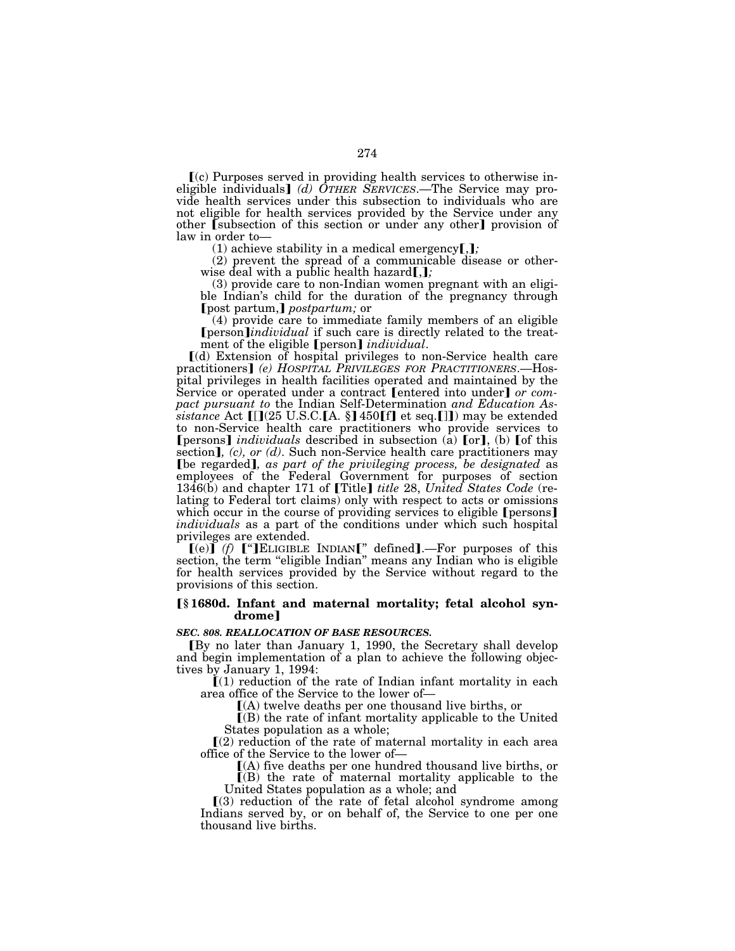$\mathbf{f}(c)$  Purposes served in providing health services to otherwise ineligible individuals] (d) OTHER SERVICES.—The Service may provide health services under this subsection to individuals who are not eligible for health services provided by the Service under any other **(**subsection of this section or under any other) provision of law in order to—

 $(1)$  achieve stability in a medical emergency $[j]$ ;

(2) prevent the spread of a communicable disease or otherwise deal with a public health hazard  $\left[ \cdot, \cdot \right]$ 

(3) provide care to non-Indian women pregnant with an eligible Indian's child for the duration of the pregnancy through [post partum,] *postpartum;* or

(4) provide care to immediate family members of an eligible **[**person*]individual* if such care is directly related to the treatment of the eligible **[**person**]** *individual*.

ø(d) Extension of hospital privileges to non-Service health care practitioners¿ *(e) HOSPITAL PRIVILEGES FOR PRACTITIONERS*.—Hospital privileges in health facilities operated and maintained by the<br>Service or operated under a contract **[**entered into under**]** *or compact pursuant to* the Indian Self-Determination *and Education Assistance* Act [[](25 U.S.C.[A. §] 450[f] et seq.[]]) may be extended to non-Service health care practitioners who provide services to **[**persons] *individuals* described in subsection (a) [or], (b) [of this section],  $(c)$ , or  $(d)$ . Such non-Service health care practitioners may **[be regarded]**, as part of the privileging process, be designated as employees of the Federal Government for purposes of section 1346(b) and chapter 171 of [Title] *title* 28, *United States Code* (relating to Federal tort claims) only with respect to acts or omissions which occur in the course of providing services to eligible [persons] *individuals* as a part of the conditions under which such hospital privileges are extended.

 $\llbracket (e) \rrbracket$  *(f)*  $\llbracket$  <sup>a</sup>]ELIGIBLE INDIAN<sup>\*</sup> defined. For purposes of this section, the term "eligible Indian" means any Indian who is eligible for health services provided by the Service without regard to the provisions of this section.

# ø**§ 1680d. Infant and maternal mortality; fetal alcohol syn**drome]

#### *SEC. 808. REALLOCATION OF BASE RESOURCES.*

øBy no later than January 1, 1990, the Secretary shall develop and begin implementation of a plan to achieve the following objectives by January 1, 1994:

 $(1)$  reduction of the rate of Indian infant mortality in each area office of the Service to the lower of—

ø(A) twelve deaths per one thousand live births, or

 $($ B $)$  the rate of infant mortality applicable to the United States population as a whole;

 $\Gamma(2)$  reduction of the rate of maternal mortality in each area office of the Service to the lower of—

ø(A) five deaths per one hundred thousand live births, or

 $($ B) the rate of maternal mortality applicable to the United States population as a whole; and

 $(3)$  reduction of the rate of fetal alcohol syndrome among Indians served by, or on behalf of, the Service to one per one thousand live births.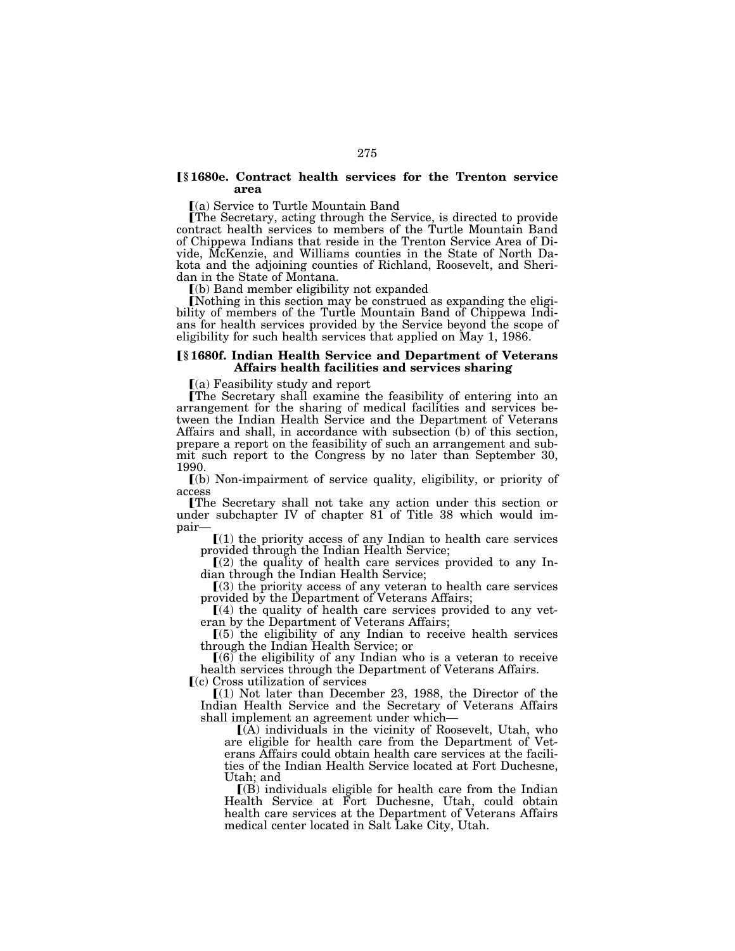### ø**§ 1680e. Contract health services for the Trenton service area**

 $(a)$  Service to Turtle Mountain Band

øThe Secretary, acting through the Service, is directed to provide contract health services to members of the Turtle Mountain Band of Chippewa Indians that reside in the Trenton Service Area of Divide, McKenzie, and Williams counties in the State of North Dakota and the adjoining counties of Richland, Roosevelt, and Sheridan in the State of Montana.

ø(b) Band member eligibility not expanded

ENothing in this section may be construed as expanding the eligibility of members of the Turtle Mountain Band of Chippewa Indians for health services provided by the Service beyond the scope of eligibility for such health services that applied on May 1, 1986.

### ø**§ 1680f. Indian Health Service and Department of Veterans Affairs health facilities and services sharing**

 $(a)$  Feasibility study and report

øThe Secretary shall examine the feasibility of entering into an arrangement for the sharing of medical facilities and services between the Indian Health Service and the Department of Veterans Affairs and shall, in accordance with subsection (b) of this section, prepare a report on the feasibility of such an arrangement and submit such report to the Congress by no later than September 30, 1990.

ø(b) Non-impairment of service quality, eligibility, or priority of access

øThe Secretary shall not take any action under this section or under subchapter IV of chapter 81 of Title 38 which would im-<br>pair—

 $[(1)$  the priority access of any Indian to health care services

provided through the Indian Health Service;<br>
[(2) the quality of health care services provided to any Indian through the Indian Health Service;

 $(3)$  the priority access of any veteran to health care services provided by the Department of Veterans Affairs;

 $(4)$  the quality of health care services provided to any veteran by the Department of Veterans Affairs;

 $(5)$  the eligibility of any Indian to receive health services through the Indian Health Service; or

 $(6)$  the eligibility of any Indian who is a veteran to receive health services through the Department of Veterans Affairs.  $\Gamma$ (c) Cross utilization of services

 $(1)$  Not later than December 23, 1988, the Director of the Indian Health Service and the Secretary of Veterans Affairs

shall implement an agreement under which— $[(A)$  individuals in the vicinity of Roosevelt, Utah, who are eligible for health care from the Department of Veterans Affairs could obtain health care services at the facilities of the Indian Health Service located at Fort Duchesne, Utah; and

 $\Gamma(B)$  individuals eligible for health care from the Indian Health Service at Fort Duchesne, Utah, could obtain health care services at the Department of Veterans Affairs medical center located in Salt Lake City, Utah.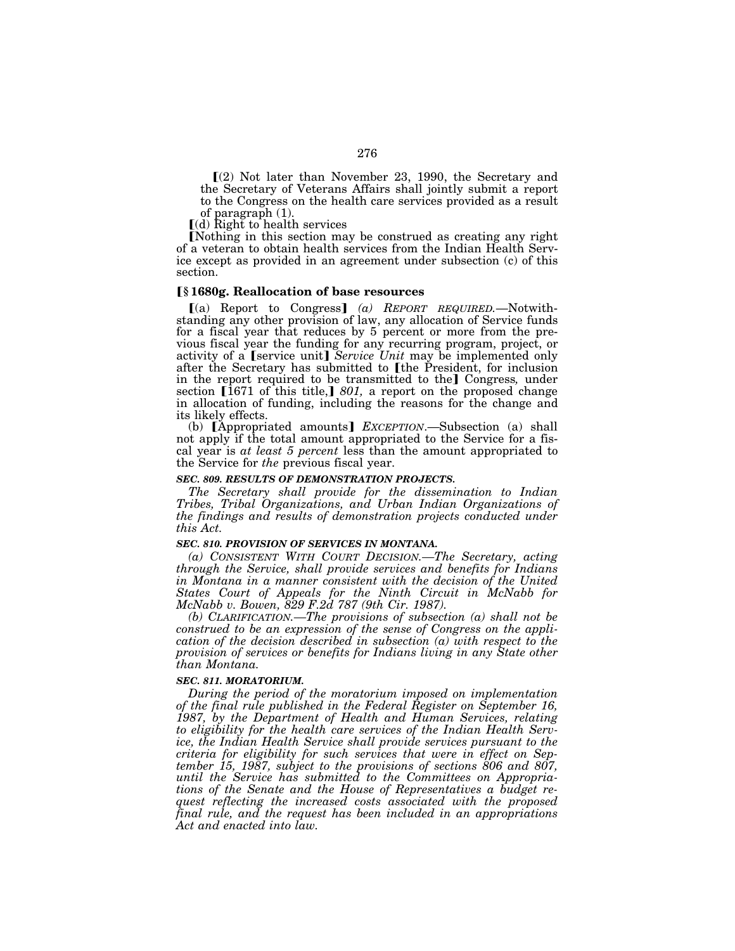$(2)$  Not later than November 23, 1990, the Secretary and the Secretary of Veterans Affairs shall jointly submit a report to the Congress on the health care services provided as a result of paragraph (1).

 $\lceil$ (d) Right to health services

[Nothing in this section may be construed as creating any right of a veteran to obtain health services from the Indian Health Service except as provided in an agreement under subsection (c) of this section.

#### ø**§ 1680g. Reallocation of base resources**

[(a) Report to Congress] (a) REPORT REQUIRED. Notwithstanding any other provision of law, any allocation of Service funds for a fiscal year that reduces by 5 percent or more from the previous fiscal year the funding for any recurring program, project, or activity of a *[service unit] Service Unit may be implemented only* after the Secretary has submitted to [the President, for inclusion in the report required to be transmitted to the Congress, under section [1671 of this title,] 801, a report on the proposed change in allocation of funding, including the reasons for the change and its likely effects.

(b) [Appropriated amounts] *EXCEPTION*.—Subsection (a) shall not apply if the total amount appropriated to the Service for a fiscal year is *at least 5 percent* less than the amount appropriated to the Service for *the* previous fiscal year.

#### *SEC. 809. RESULTS OF DEMONSTRATION PROJECTS.*

*The Secretary shall provide for the dissemination to Indian Tribes, Tribal Organizations, and Urban Indian Organizations of the findings and results of demonstration projects conducted under this Act.* 

#### *SEC. 810. PROVISION OF SERVICES IN MONTANA.*

*(a) CONSISTENT WITH COURT DECISION.—The Secretary, acting through the Service, shall provide services and benefits for Indians*  in Montana in a manner consistent with the decision of the United *States Court of Appeals for the Ninth Circuit in McNabb for McNabb v. Bowen, 829 F.2d 787 (9th Cir. 1987).* 

*(b) CLARIFICATION.—The provisions of subsection (a) shall not be construed to be an expression of the sense of Congress on the application of the decision described in subsection (a) with respect to the provision of services or benefits for Indians living in any State other than Montana.* 

#### *SEC. 811. MORATORIUM.*

*During the period of the moratorium imposed on implementation of the final rule published in the Federal Register on September 16,*  1987, by the Department of Health and Human Services, relating *to eligibility for the health care services of the Indian Health Service, the Indian Health Service shall provide services pursuant to the criteria for eligibility for such services that were in effect on September 15, 1987, subject to the provisions of sections 806 and 807, until the Service has submitted to the Committees on Appropriations of the Senate and the House of Representatives a budget request reflecting the increased costs associated with the proposed final rule, and the request has been included in an appropriations Act and enacted into law.*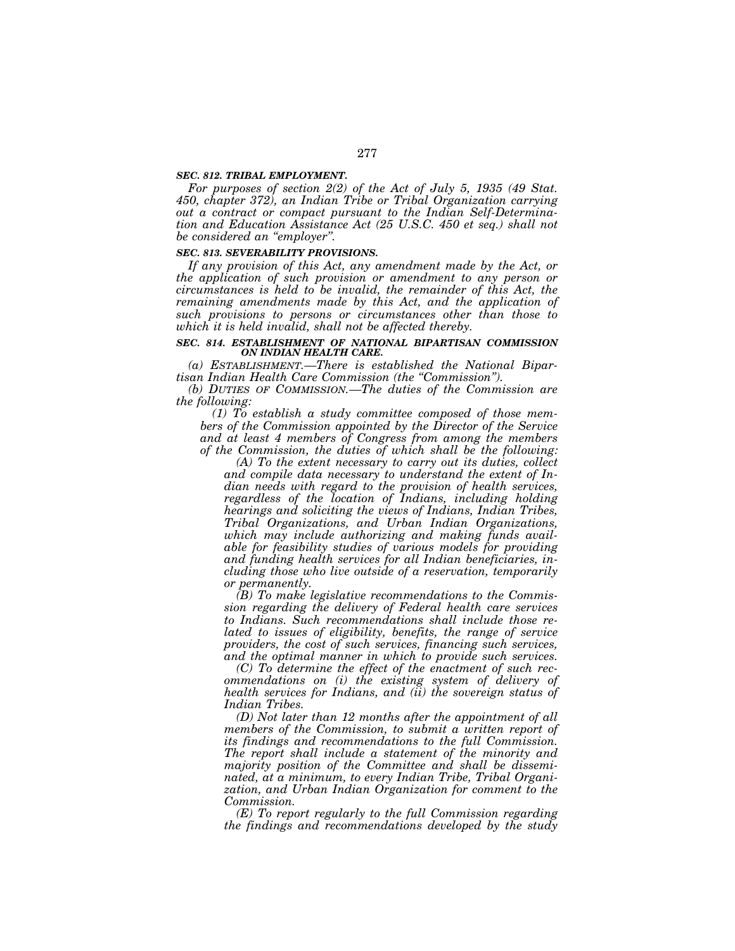#### *SEC. 812. TRIBAL EMPLOYMENT.*

*For purposes of section 2(2) of the Act of July 5, 1935 (49 Stat. 450, chapter 372), an Indian Tribe or Tribal Organization carrying out a contract or compact pursuant to the Indian Self-Determination and Education Assistance Act (25 U.S.C. 450 et seq.) shall not be considered an ''employer''.* 

#### *SEC. 813. SEVERABILITY PROVISIONS.*

*If any provision of this Act, any amendment made by the Act, or the application of such provision or amendment to any person or circumstances is held to be invalid, the remainder of this Act, the*  remaining amendments made by this Act, and the application of *such provisions to persons or circumstances other than those to which it is held invalid, shall not be affected thereby.* 

#### *SEC. 814. ESTABLISHMENT OF NATIONAL BIPARTISAN COMMISSION ON INDIAN HEALTH CARE.*

*(a) ESTABLISHMENT.—There is established the National Bipartisan Indian Health Care Commission (the ''Commission'').* 

*(b) DUTIES OF COMMISSION.—The duties of the Commission are the following:* 

*(1) To establish a study committee composed of those members of the Commission appointed by the Director of the Service and at least 4 members of Congress from among the members of the Commission, the duties of which shall be the following:* 

*(A) To the extent necessary to carry out its duties, collect and compile data necessary to understand the extent of Indian needs with regard to the provision of health services, regardless of the location of Indians, including holding hearings and soliciting the views of Indians, Indian Tribes, Tribal Organizations, and Urban Indian Organizations, which may include authorizing and making funds available for feasibility studies of various models for providing and funding health services for all Indian beneficiaries, including those who live outside of a reservation, temporarily or permanently.* 

*(B) To make legislative recommendations to the Commission regarding the delivery of Federal health care services to Indians. Such recommendations shall include those related to issues of eligibility, benefits, the range of service providers, the cost of such services, financing such services, and the optimal manner in which to provide such services.* 

*(C) To determine the effect of the enactment of such recommendations on (i) the existing system of delivery of health services for Indians, and (ii) the sovereign status of Indian Tribes.* 

*(D) Not later than 12 months after the appointment of all members of the Commission, to submit a written report of its findings and recommendations to the full Commission. The report shall include a statement of the minority and majority position of the Committee and shall be disseminated, at a minimum, to every Indian Tribe, Tribal Organization, and Urban Indian Organization for comment to the Commission.* 

*(E) To report regularly to the full Commission regarding the findings and recommendations developed by the study*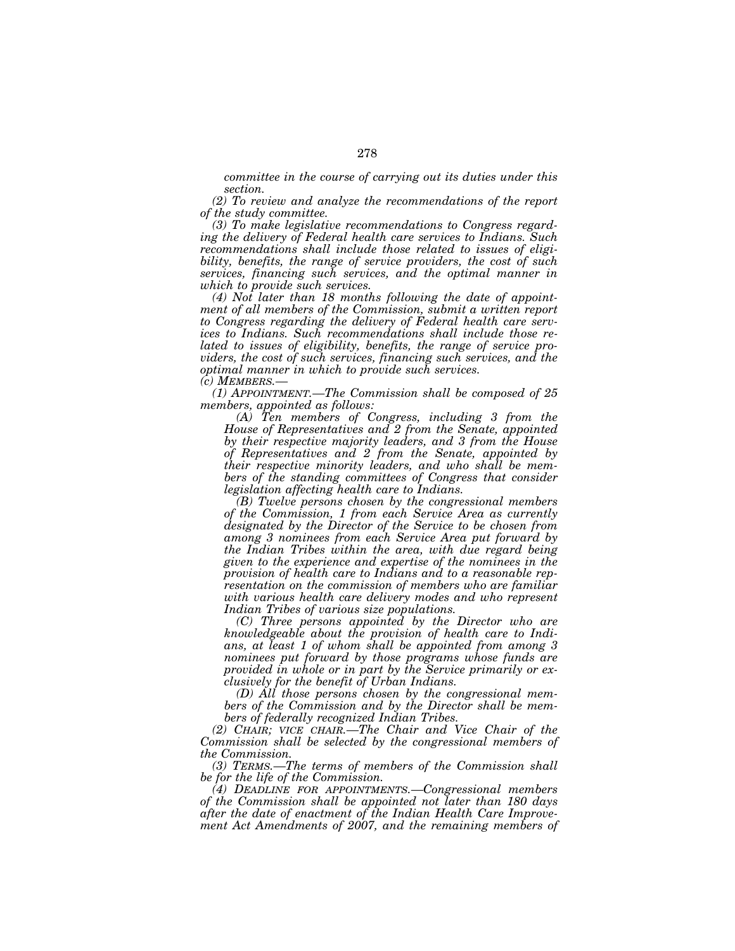*committee in the course of carrying out its duties under this section.* 

*(2) To review and analyze the recommendations of the report of the study committee.* 

*(3) To make legislative recommendations to Congress regarding the delivery of Federal health care services to Indians. Such recommendations shall include those related to issues of eligibility, benefits, the range of service providers, the cost of such services, financing such services, and the optimal manner in which to provide such services.* 

*(4) Not later than 18 months following the date of appointment of all members of the Commission, submit a written report to Congress regarding the delivery of Federal health care services to Indians. Such recommendations shall include those related to issues of eligibility, benefits, the range of service providers, the cost of such services, financing such services, and the optimal manner in which to provide such services.* 

*(c) MEMBERS.— (1) APPOINTMENT.—The Commission shall be composed of 25 members, appointed as follows:* 

*(A) Ten members of Congress, including 3 from the House of Representatives and 2 from the Senate, appointed by their respective majority leaders, and 3 from the House of Representatives and 2 from the Senate, appointed by their respective minority leaders, and who shall be members of the standing committees of Congress that consider legislation affecting health care to Indians.* 

*(B) Twelve persons chosen by the congressional members of the Commission, 1 from each Service Area as currently designated by the Director of the Service to be chosen from among 3 nominees from each Service Area put forward by the Indian Tribes within the area, with due regard being given to the experience and expertise of the nominees in the provision of health care to Indians and to a reasonable representation on the commission of members who are familiar with various health care delivery modes and who represent Indian Tribes of various size populations.* 

*(C) Three persons appointed by the Director who are knowledgeable about the provision of health care to Indians, at least 1 of whom shall be appointed from among 3 nominees put forward by those programs whose funds are provided in whole or in part by the Service primarily or exclusively for the benefit of Urban Indians.* 

*(D) All those persons chosen by the congressional members of the Commission and by the Director shall be members of federally recognized Indian Tribes.* 

*(2) CHAIR; VICE CHAIR.—The Chair and Vice Chair of the Commission shall be selected by the congressional members of the Commission.* 

*(3) TERMS.—The terms of members of the Commission shall be for the life of the Commission.* 

*(4) DEADLINE FOR APPOINTMENTS.—Congressional members of the Commission shall be appointed not later than 180 days after the date of enactment of the Indian Health Care Improvement Act Amendments of 2007, and the remaining members of*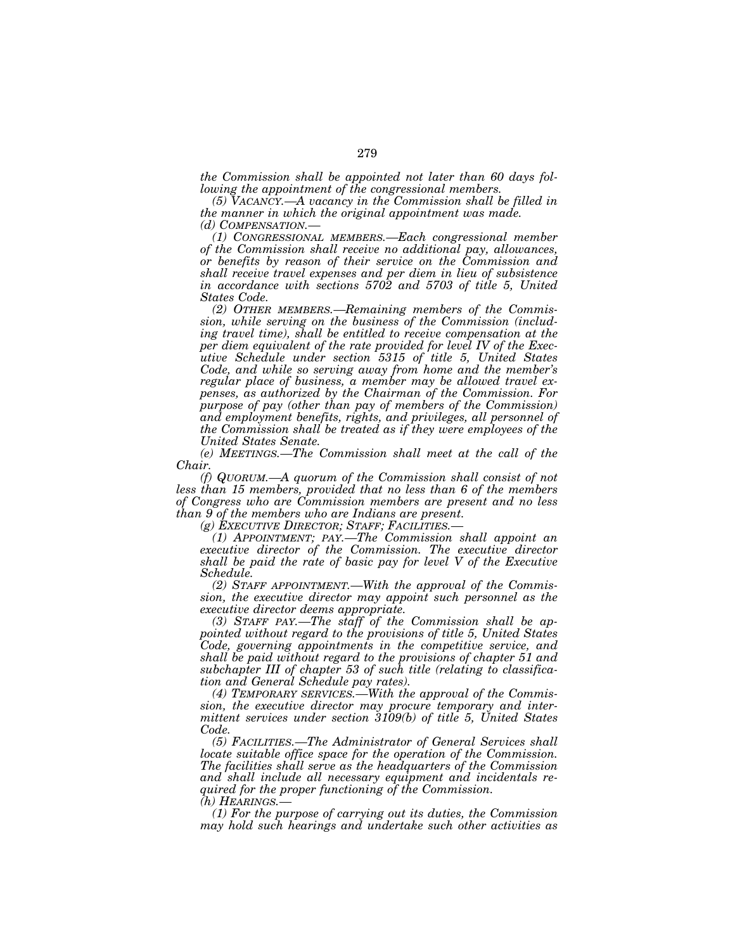*the Commission shall be appointed not later than 60 days following the appointment of the congressional members.* 

*(5) VACANCY.—A vacancy in the Commission shall be filled in the manner in which the original appointment was made.* 

(1) CONGRESSIONAL MEMBERS.—Each congressional member *of the Commission shall receive no additional pay, allowances, or benefits by reason of their service on the Commission and shall receive travel expenses and per diem in lieu of subsistence in accordance with sections 5702 and 5703 of title 5, United States Code.* 

*(2) OTHER MEMBERS.—Remaining members of the Commission, while serving on the business of the Commission (including travel time), shall be entitled to receive compensation at the per diem equivalent of the rate provided for level IV of the Executive Schedule under section 5315 of title 5, United States Code, and while so serving away from home and the member's regular place of business, a member may be allowed travel expenses, as authorized by the Chairman of the Commission. For purpose of pay (other than pay of members of the Commission) and employment benefits, rights, and privileges, all personnel of the Commission shall be treated as if they were employees of the United States Senate.* 

*(e) MEETINGS.—The Commission shall meet at the call of the Chair.* 

*(f) QUORUM.—A quorum of the Commission shall consist of not less than 15 members, provided that no less than 6 of the members of Congress who are Commission members are present and no less than 9 of the members who are Indians are present.* 

*(g) EXECUTIVE DIRECTOR; STAFF; FACILITIES.—*

*(1) APPOINTMENT; PAY.—The Commission shall appoint an executive director of the Commission. The executive director shall be paid the rate of basic pay for level V of the Executive Schedule.* 

*(2) STAFF APPOINTMENT.—With the approval of the Commission, the executive director may appoint such personnel as the executive director deems appropriate.* 

*(3) STAFF PAY.—The staff of the Commission shall be appointed without regard to the provisions of title 5, United States Code, governing appointments in the competitive service, and shall be paid without regard to the provisions of chapter 51 and subchapter III of chapter 53 of such title (relating to classification and General Schedule pay rates).* 

*(4) TEMPORARY SERVICES.—With the approval of the Commission, the executive director may procure temporary and intermittent services under section 3109(b) of title 5, United States Code.* 

*(5) FACILITIES.—The Administrator of General Services shall locate suitable office space for the operation of the Commission. The facilities shall serve as the headquarters of the Commission and shall include all necessary equipment and incidentals required for the proper functioning of the Commission. (h) HEARINGS.—*

*(1) For the purpose of carrying out its duties, the Commission may hold such hearings and undertake such other activities as*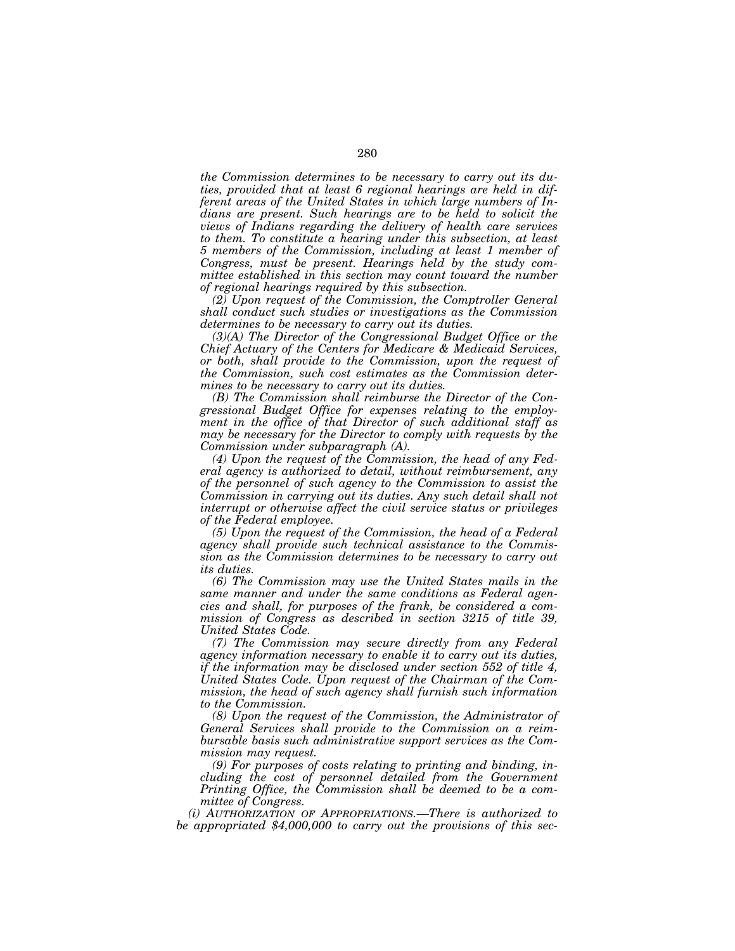*the Commission determines to be necessary to carry out its duties, provided that at least 6 regional hearings are held in different areas of the United States in which large numbers of Indians are present. Such hearings are to be held to solicit the views of Indians regarding the delivery of health care services to them. To constitute a hearing under this subsection, at least 5 members of the Commission, including at least 1 member of Congress, must be present. Hearings held by the study committee established in this section may count toward the number of regional hearings required by this subsection.* 

*(2) Upon request of the Commission, the Comptroller General shall conduct such studies or investigations as the Commission determines to be necessary to carry out its duties.* 

*(3)(A) The Director of the Congressional Budget Office or the Chief Actuary of the Centers for Medicare & Medicaid Services, or both, shall provide to the Commission, upon the request of the Commission, such cost estimates as the Commission determines to be necessary to carry out its duties.* 

*(B) The Commission shall reimburse the Director of the Congressional Budget Office for expenses relating to the employment in the office of that Director of such additional staff as may be necessary for the Director to comply with requests by the Commission under subparagraph (A).* 

*(4) Upon the request of the Commission, the head of any Federal agency is authorized to detail, without reimbursement, any of the personnel of such agency to the Commission to assist the Commission in carrying out its duties. Any such detail shall not interrupt or otherwise affect the civil service status or privileges of the Federal employee.* 

*(5) Upon the request of the Commission, the head of a Federal agency shall provide such technical assistance to the Commission as the Commission determines to be necessary to carry out its duties.* 

*(6) The Commission may use the United States mails in the same manner and under the same conditions as Federal agencies and shall, for purposes of the frank, be considered a commission of Congress as described in section 3215 of title 39, United States Code.* 

*(7) The Commission may secure directly from any Federal agency information necessary to enable it to carry out its duties, if the information may be disclosed under section 552 of title 4, United States Code. Upon request of the Chairman of the Commission, the head of such agency shall furnish such information to the Commission.* 

*(8) Upon the request of the Commission, the Administrator of General Services shall provide to the Commission on a reimbursable basis such administrative support services as the Commission may request.* 

*(9) For purposes of costs relating to printing and binding, including the cost of personnel detailed from the Government Printing Office, the Commission shall be deemed to be a committee of Congress.* 

*(i) AUTHORIZATION OF APPROPRIATIONS.—There is authorized to be appropriated \$4,000,000 to carry out the provisions of this sec-*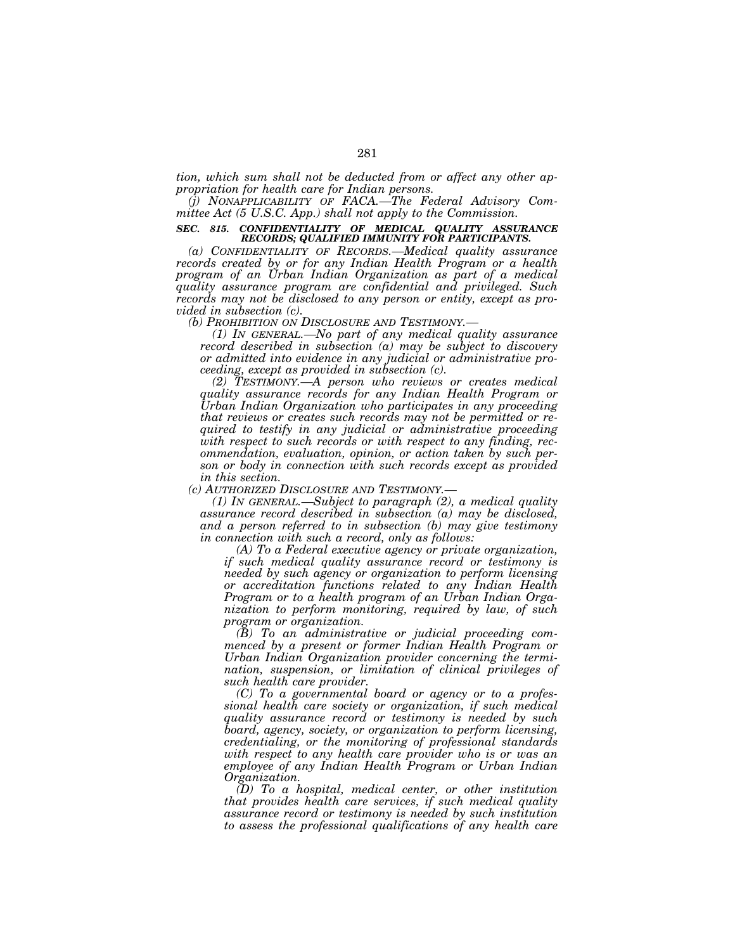*tion, which sum shall not be deducted from or affect any other appropriation for health care for Indian persons.* 

*(j) NONAPPLICABILITY OF FACA.—The Federal Advisory Committee Act (5 U.S.C. App.) shall not apply to the Commission.* 

#### *SEC. 815. CONFIDENTIALITY OF MEDICAL QUALITY ASSURANCE RECORDS; QUALIFIED IMMUNITY FOR PARTICIPANTS.*

*(a) CONFIDENTIALITY OF RECORDS.—Medical quality assurance records created by or for any Indian Health Program or a health program of an Urban Indian Organization as part of a medical quality assurance program are confidential and privileged. Such records may not be disclosed to any person or entity, except as provided in subsection (c).* 

*(b) PROHIBITION ON DISCLOSURE AND TESTIMONY.— (1) IN GENERAL.—No part of any medical quality assurance record described in subsection (a) may be subject to discovery or admitted into evidence in any judicial or administrative proceeding, except as provided in subsection (c).* 

*(2) TESTIMONY.—A person who reviews or creates medical quality assurance records for any Indian Health Program or Urban Indian Organization who participates in any proceeding that reviews or creates such records may not be permitted or required to testify in any judicial or administrative proceeding with respect to such records or with respect to any finding, recommendation, evaluation, opinion, or action taken by such person or body in connection with such records except as provided* 

*in this section.* 

*(1) IN GENERAL.—Subject to paragraph (2), a medical quality assurance record described in subsection (a) may be disclosed, and a person referred to in subsection (b) may give testimony in connection with such a record, only as follows:* 

*(A) To a Federal executive agency or private organization, if such medical quality assurance record or testimony is needed by such agency or organization to perform licensing or accreditation functions related to any Indian Health Program or to a health program of an Urban Indian Organization to perform monitoring, required by law, of such program or organization.* 

*(B) To an administrative or judicial proceeding commenced by a present or former Indian Health Program or Urban Indian Organization provider concerning the termination, suspension, or limitation of clinical privileges of such health care provider.* 

*(C) To a governmental board or agency or to a professional health care society or organization, if such medical quality assurance record or testimony is needed by such board, agency, society, or organization to perform licensing, credentialing, or the monitoring of professional standards with respect to any health care provider who is or was an employee of any Indian Health Program or Urban Indian Organization.* 

*(D) To a hospital, medical center, or other institution that provides health care services, if such medical quality assurance record or testimony is needed by such institution to assess the professional qualifications of any health care*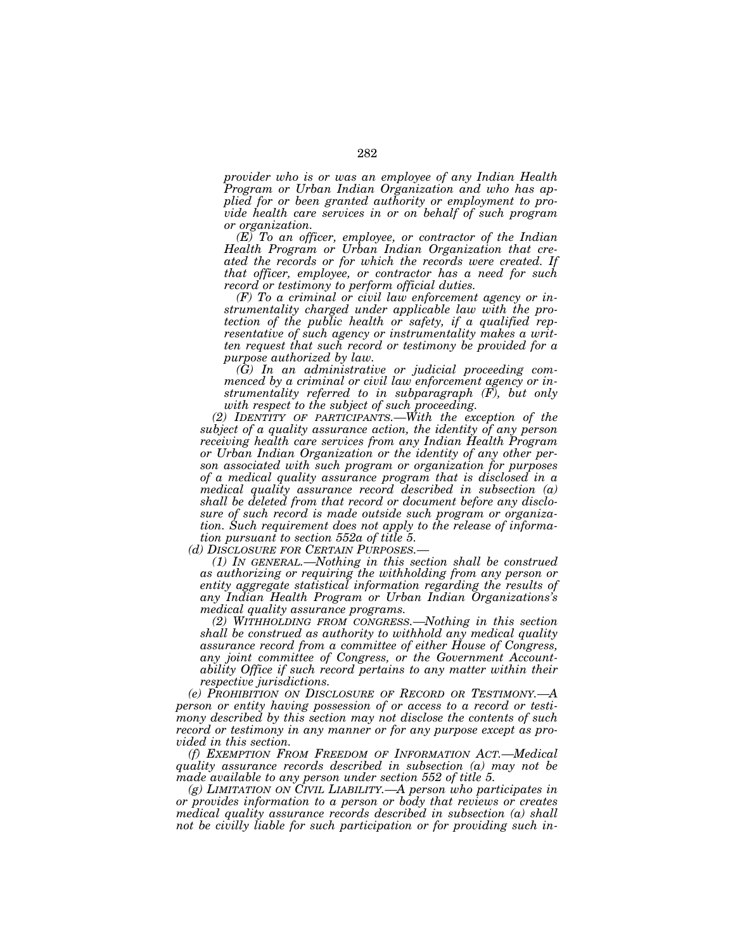*provider who is or was an employee of any Indian Health Program or Urban Indian Organization and who has applied for or been granted authority or employment to provide health care services in or on behalf of such program or organization.* 

*(E) To an officer, employee, or contractor of the Indian Health Program or Urban Indian Organization that created the records or for which the records were created. If that officer, employee, or contractor has a need for such record or testimony to perform official duties.* 

*(F) To a criminal or civil law enforcement agency or instrumentality charged under applicable law with the protection of the public health or safety, if a qualified representative of such agency or instrumentality makes a written request that such record or testimony be provided for a purpose authorized by law.* 

*(G) In an administrative or judicial proceeding commenced by a criminal or civil law enforcement agency or instrumentality referred to in subparagraph (F), but only with respect to the subject of such proceeding.* 

*(2) IDENTITY OF PARTICIPANTS.—With the exception of the subject of a quality assurance action, the identity of any person receiving health care services from any Indian Health Program or Urban Indian Organization or the identity of any other person associated with such program or organization for purposes of a medical quality assurance program that is disclosed in a medical quality assurance record described in subsection (a) shall be deleted from that record or document before any disclosure of such record is made outside such program or organization. Such requirement does not apply to the release of information pursuant to section 552a of title 5.* 

*(d) DISCLOSURE FOR CERTAIN PURPOSES.—*

*(1) IN GENERAL.—Nothing in this section shall be construed as authorizing or requiring the withholding from any person or*  entity aggregate statistical information regarding the results of *any Indian Health Program or Urban Indian Organizations's medical quality assurance programs.* 

*(2) WITHHOLDING FROM CONGRESS.—Nothing in this section shall be construed as authority to withhold any medical quality assurance record from a committee of either House of Congress, any joint committee of Congress, or the Government Accountability Office if such record pertains to any matter within their respective jurisdictions.* 

*(e) PROHIBITION ON DISCLOSURE OF RECORD OR TESTIMONY.—A person or entity having possession of or access to a record or testimony described by this section may not disclose the contents of such record or testimony in any manner or for any purpose except as provided in this section.* 

*(f) EXEMPTION FROM FREEDOM OF INFORMATION ACT.—Medical quality assurance records described in subsection (a) may not be made available to any person under section 552 of title 5.* 

*(g) LIMITATION ON CIVIL LIABILITY.—A person who participates in or provides information to a person or body that reviews or creates medical quality assurance records described in subsection (a) shall not be civilly liable for such participation or for providing such in-*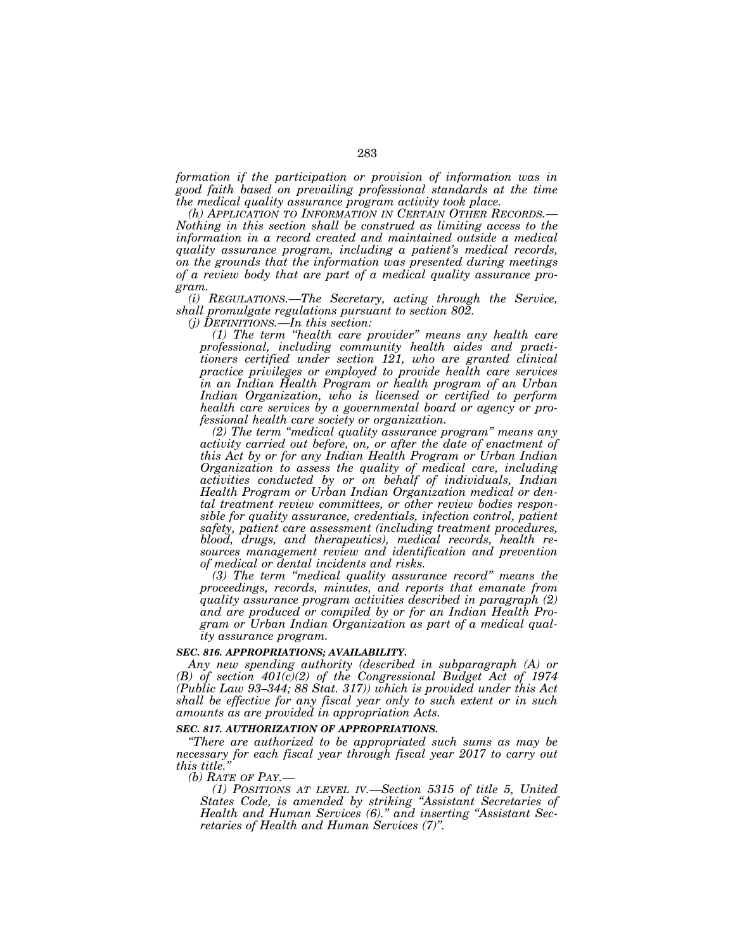*formation if the participation or provision of information was in good faith based on prevailing professional standards at the time the medical quality assurance program activity took place.* 

*(h) APPLICATION TO INFORMATION IN CERTAIN OTHER RECORDS.— Nothing in this section shall be construed as limiting access to the information in a record created and maintained outside a medical quality assurance program, including a patient's medical records, on the grounds that the information was presented during meetings of a review body that are part of a medical quality assurance program.* 

*(i) REGULATIONS.—The Secretary, acting through the Service, shall promulgate regulations pursuant to section 802.* 

*(j) DEFINITIONS.—In this section:* 

*(1) The term ''health care provider'' means any health care professional, including community health aides and practitioners certified under section 121, who are granted clinical practice privileges or employed to provide health care services in an Indian Health Program or health program of an Urban Indian Organization, who is licensed or certified to perform health care services by a governmental board or agency or professional health care society or organization.* 

*(2) The term ''medical quality assurance program'' means any activity carried out before, on, or after the date of enactment of this Act by or for any Indian Health Program or Urban Indian Organization to assess the quality of medical care, including activities conducted by or on behalf of individuals, Indian Health Program or Urban Indian Organization medical or dental treatment review committees, or other review bodies responsible for quality assurance, credentials, infection control, patient safety, patient care assessment (including treatment procedures, blood, drugs, and therapeutics), medical records, health resources management review and identification and prevention of medical or dental incidents and risks.* 

*(3) The term ''medical quality assurance record'' means the proceedings, records, minutes, and reports that emanate from quality assurance program activities described in paragraph (2) and are produced or compiled by or for an Indian Health Program or Urban Indian Organization as part of a medical quality assurance program.* 

# *SEC. 816. APPROPRIATIONS; AVAILABILITY.*

*Any new spending authority (described in subparagraph (A) or (B) of section 401(c)(2) of the Congressional Budget Act of 1974 (Public Law 93–344; 88 Stat. 317)) which is provided under this Act shall be effective for any fiscal year only to such extent or in such amounts as are provided in appropriation Acts.* 

#### *SEC. 817. AUTHORIZATION OF APPROPRIATIONS.*

*''There are authorized to be appropriated such sums as may be necessary for each fiscal year through fiscal year 2017 to carry out this title.''*

*(b) RATE OF PAY.—*

*(1) POSITIONS AT LEVEL IV.—Section 5315 of title 5, United States Code, is amended by striking ''Assistant Secretaries of Health and Human Services (6).'' and inserting ''Assistant Secretaries of Health and Human Services (7)''.*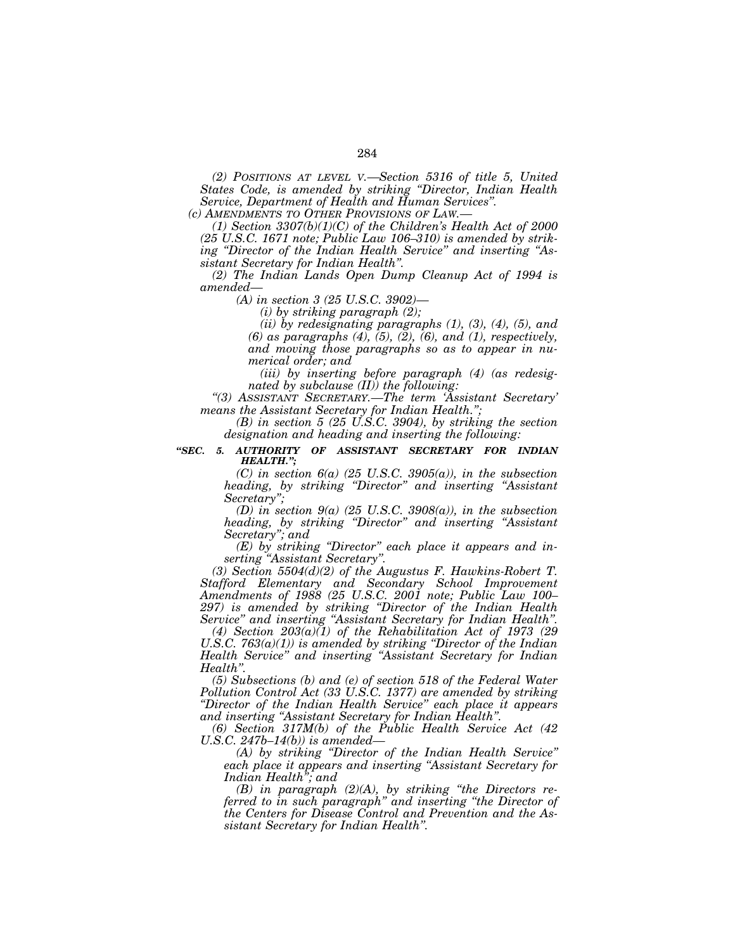*(2) POSITIONS AT LEVEL V.—Section 5316 of title 5, United States Code, is amended by striking ''Director, Indian Health Service, Department of Health and Human Services''.* 

*(c) AMENDMENTS TO OTHER PROVISIONS OF LAW.—*

*(1) Section 3307(b)(1)(C) of the Children's Health Act of 2000 (25 U.S.C. 1671 note; Public Law 106–310) is amended by striking ''Director of the Indian Health Service'' and inserting ''Assistant Secretary for Indian Health''.* 

*(2) The Indian Lands Open Dump Cleanup Act of 1994 is amended—*

*(A) in section 3 (25 U.S.C. 3902)—*

*(i) by striking paragraph (2);* 

*(ii) by redesignating paragraphs (1), (3), (4), (5), and (6) as paragraphs (4), (5), (2), (6), and (1), respectively, and moving those paragraphs so as to appear in numerical order; and* 

*(iii) by inserting before paragraph (4) (as redesignated by subclause (II)) the following:* 

*''(3) ASSISTANT SECRETARY.—The term 'Assistant Secretary' means the Assistant Secretary for Indian Health.'';* 

*(B) in section 5 (25 U.S.C. 3904), by striking the section designation and heading and inserting the following:* 

*''SEC. 5. AUTHORITY OF ASSISTANT SECRETARY FOR INDIAN HEALTH.'';* 

> *(C) in section 6(a) (25 U.S.C. 3905(a)), in the subsection heading, by striking ''Director'' and inserting ''Assistant Secretary'';*

> *(D) in section 9(a) (25 U.S.C. 3908(a)), in the subsection heading, by striking ''Director'' and inserting ''Assistant Secretary''; and*

> *(E) by striking ''Director'' each place it appears and inserting ''Assistant Secretary''.*

 $(3)$  Section 5504 $(d)(2)$  of the Augustus F. Hawkins-Robert T. *Stafford Elementary and Secondary School Improvement Amendments of 1988 (25 U.S.C. 2001 note; Public Law 100– 297) is amended by striking ''Director of the Indian Health Service'' and inserting ''Assistant Secretary for Indian Health''.* 

*(4) Section 203(a)(1) of the Rehabilitation Act of 1973 (29 U.S.C. 763(a)(1)) is amended by striking ''Director of the Indian Health Service'' and inserting ''Assistant Secretary for Indian Health''.* 

*(5) Subsections (b) and (e) of section 518 of the Federal Water Pollution Control Act (33 U.S.C. 1377) are amended by striking ''Director of the Indian Health Service'' each place it appears and inserting ''Assistant Secretary for Indian Health''.* 

*(6) Section 317M(b) of the Public Health Service Act (42 U.S.C. 247b–14(b)) is amended—*

*(A) by striking ''Director of the Indian Health Service'' each place it appears and inserting ''Assistant Secretary for Indian Health''; and* 

*(B) in paragraph (2)(A), by striking ''the Directors referred to in such paragraph'' and inserting ''the Director of the Centers for Disease Control and Prevention and the Assistant Secretary for Indian Health''.*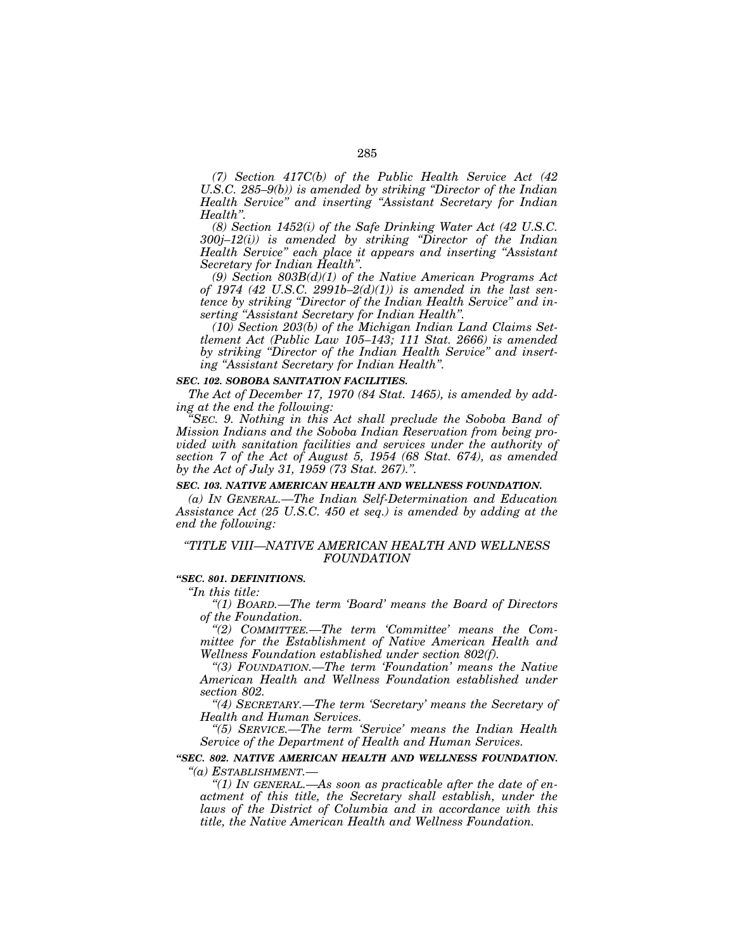*(7) Section 417C(b) of the Public Health Service Act (42 U.S.C. 285–9(b)) is amended by striking ''Director of the Indian Health Service'' and inserting ''Assistant Secretary for Indian Health''.* 

*(8) Section 1452(i) of the Safe Drinking Water Act (42 U.S.C. 300j–12(i)) is amended by striking ''Director of the Indian Health Service'' each place it appears and inserting ''Assistant Secretary for Indian Health''.* 

*(9) Section 803B(d)(1) of the Native American Programs Act of 1974 (42 U.S.C. 2991b–2(d)(1)) is amended in the last sentence by striking ''Director of the Indian Health Service'' and inserting ''Assistant Secretary for Indian Health''.* 

*(10) Section 203(b) of the Michigan Indian Land Claims Settlement Act (Public Law 105–143; 111 Stat. 2666) is amended by striking ''Director of the Indian Health Service'' and inserting ''Assistant Secretary for Indian Health''.* 

#### *SEC. 102. SOBOBA SANITATION FACILITIES.*

*The Act of December 17, 1970 (84 Stat. 1465), is amended by adding at the end the following:* 

*''SEC. 9. Nothing in this Act shall preclude the Soboba Band of Mission Indians and the Soboba Indian Reservation from being provided with sanitation facilities and services under the authority of section 7 of the Act of August 5, 1954 (68 Stat. 674), as amended by the Act of July 31, 1959 (73 Stat. 267).''.* 

#### *SEC. 103. NATIVE AMERICAN HEALTH AND WELLNESS FOUNDATION.*

*(a) IN GENERAL.—The Indian Self-Determination and Education Assistance Act (25 U.S.C. 450 et seq.) is amended by adding at the end the following:* 

### *''TITLE VIII—NATIVE AMERICAN HEALTH AND WELLNESS FOUNDATION*

#### *''SEC. 801. DEFINITIONS.*

*''In this title:* 

*''(1) BOARD.—The term 'Board' means the Board of Directors of the Foundation.* 

*''(2) COMMITTEE.—The term 'Committee' means the Committee for the Establishment of Native American Health and Wellness Foundation established under section 802(f).* 

*''(3) FOUNDATION.—The term 'Foundation' means the Native American Health and Wellness Foundation established under section 802.* 

*''(4) SECRETARY.—The term 'Secretary' means the Secretary of Health and Human Services.* 

*''(5) SERVICE.—The term 'Service' means the Indian Health Service of the Department of Health and Human Services.* 

### *''SEC. 802. NATIVE AMERICAN HEALTH AND WELLNESS FOUNDATION. ''(a) ESTABLISHMENT.—*

*''(1) IN GENERAL.—As soon as practicable after the date of enactment of this title, the Secretary shall establish, under the laws of the District of Columbia and in accordance with this title, the Native American Health and Wellness Foundation.*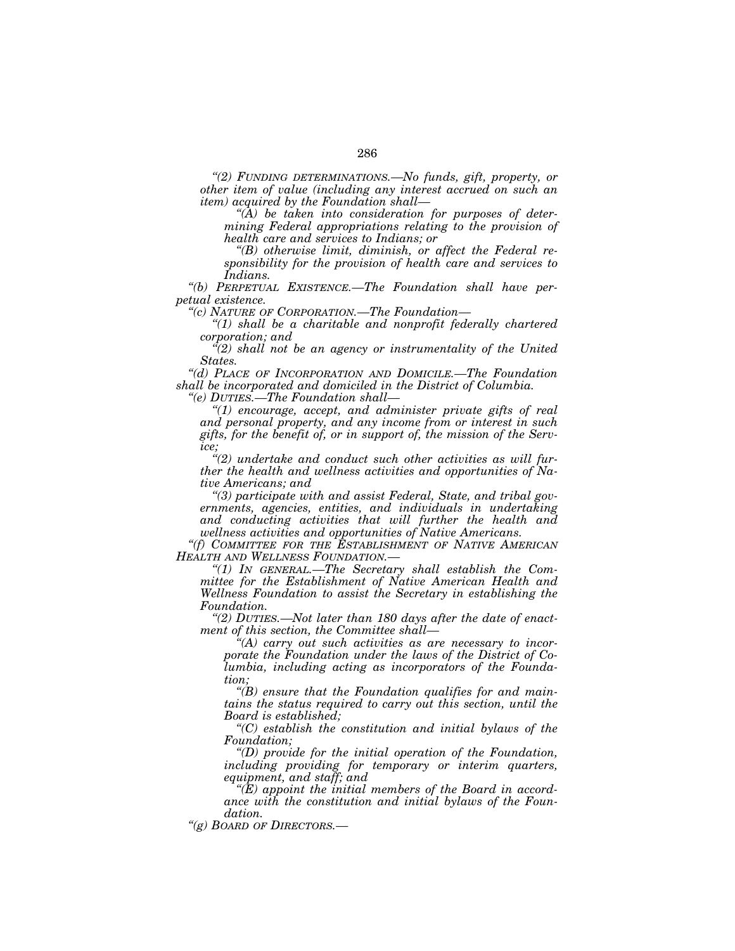*''(2) FUNDING DETERMINATIONS.—No funds, gift, property, or other item of value (including any interest accrued on such an item) acquired by the Foundation shall—*

*''(A) be taken into consideration for purposes of determining Federal appropriations relating to the provision of health care and services to Indians; or* 

*''(B) otherwise limit, diminish, or affect the Federal responsibility for the provision of health care and services to Indians.* 

*''(b) PERPETUAL EXISTENCE.—The Foundation shall have perpetual existence.* 

*''(c) NATURE OF CORPORATION.—The Foundation—*

*''(1) shall be a charitable and nonprofit federally chartered corporation; and* 

*''(2) shall not be an agency or instrumentality of the United States.* 

*''(d) PLACE OF INCORPORATION AND DOMICILE.—The Foundation shall be incorporated and domiciled in the District of Columbia.* 

*''(e) DUTIES.—The Foundation shall—*

*''(1) encourage, accept, and administer private gifts of real and personal property, and any income from or interest in such gifts, for the benefit of, or in support of, the mission of the Service;* 

*''(2) undertake and conduct such other activities as will further the health and wellness activities and opportunities of Native Americans; and* 

*''(3) participate with and assist Federal, State, and tribal governments, agencies, entities, and individuals in undertaking and conducting activities that will further the health and wellness activities and opportunities of Native Americans.* 

*''(f) COMMITTEE FOR THE ESTABLISHMENT OF NATIVE AMERICAN HEALTH AND WELLNESS FOUNDATION.—*

*''(1) IN GENERAL.—The Secretary shall establish the Committee for the Establishment of Native American Health and Wellness Foundation to assist the Secretary in establishing the Foundation.* 

*''(2) DUTIES.—Not later than 180 days after the date of enactment of this section, the Committee shall—*

*''(A) carry out such activities as are necessary to incorporate the Foundation under the laws of the District of Columbia, including acting as incorporators of the Foundation;* 

*''(B) ensure that the Foundation qualifies for and maintains the status required to carry out this section, until the Board is established;* 

*''(C) establish the constitution and initial bylaws of the Foundation;* 

*''(D) provide for the initial operation of the Foundation, including providing for temporary or interim quarters, equipment, and staff; and* 

*''(E) appoint the initial members of the Board in accordance with the constitution and initial bylaws of the Foundation.* 

*''(g) BOARD OF DIRECTORS.—*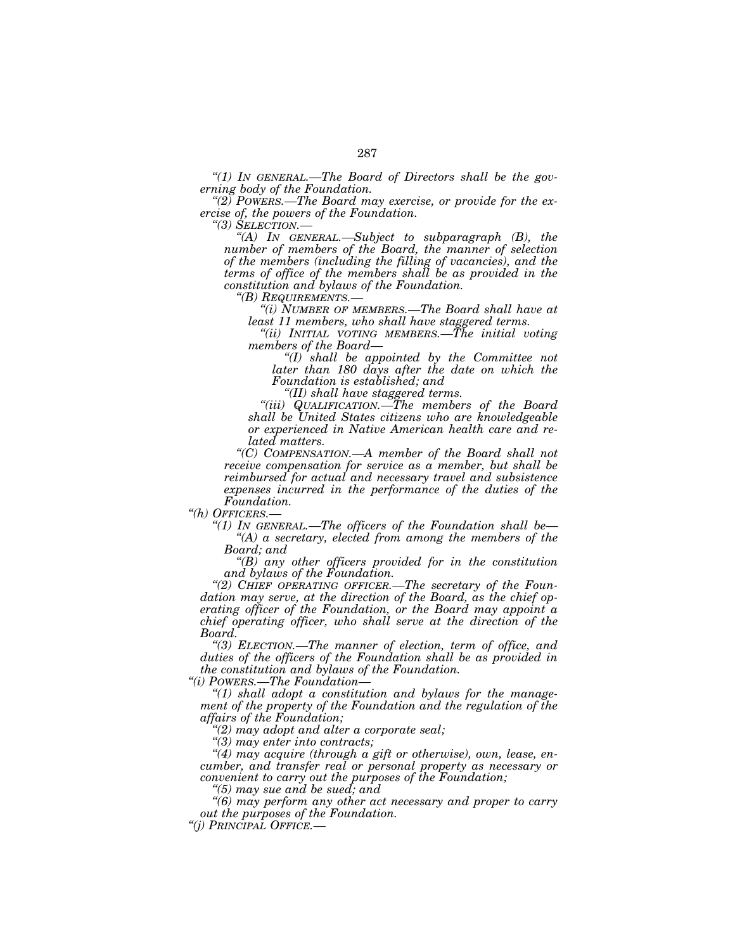*''(1) IN GENERAL.—The Board of Directors shall be the gov-*

*eraise of, the powers of the Foundation. ''(2) POWERS.—The Board may exercise, or provide for the ex-*

*ercise of, the powers of the Foundation. ''(3) SELECTION.— ''(A) IN GENERAL.—Subject to subparagraph (B), the number of members of the Board, the manner of selection of the members (including the filling of vacancies), and the terms of office of the members shall be as provided in the constitution and bylaws of the Foundation. ''(B) REQUIREMENTS.— ''(i) NUMBER OF MEMBERS.—The Board shall have at* 

*least 11 members, who shall have staggered terms.* 

*''(ii) INITIAL VOTING MEMBERS.—The initial voting members of the Board—*

*''(I) shall be appointed by the Committee not later than 180 days after the date on which the Foundation is established; and* 

*''(II) shall have staggered terms.* 

*''(iii) QUALIFICATION.—The members of the Board shall be United States citizens who are knowledgeable or experienced in Native American health care and related matters.* 

*''(C) COMPENSATION.—A member of the Board shall not receive compensation for service as a member, but shall be reimbursed for actual and necessary travel and subsistence expenses incurred in the performance of the duties of the* 

*Foundation. ''(h) OFFICERS.—*

*''(1) IN GENERAL.—The officers of the Foundation shall be— ''(A) a secretary, elected from among the members of the Board; and* 

*''(B) any other officers provided for in the constitution* 

"(2) CHIEF OPERATING OFFICER.—The secretary of the Foun*dation may serve, at the direction of the Board, as the chief operating officer of the Foundation, or the Board may appoint a chief operating officer, who shall serve at the direction of the Board. ''(3) ELECTION.—The manner of election, term of office, and* 

*duties of the officers of the Foundation shall be as provided in the constitution and bylaws of the Foundation.* 

*''(i) POWERS.—The Foundation—*

*''(1) shall adopt a constitution and bylaws for the management of the property of the Foundation and the regulation of the affairs of the Foundation;* 

*''(2) may adopt and alter a corporate seal;* 

*''(3) may enter into contracts;* 

*''(4) may acquire (through a gift or otherwise), own, lease, encumber, and transfer real or personal property as necessary or convenient to carry out the purposes of the Foundation; ''(5) may sue and be sued; and* 

*''(6) may perform any other act necessary and proper to carry out the purposes of the Foundation. ''(j) PRINCIPAL OFFICE.—*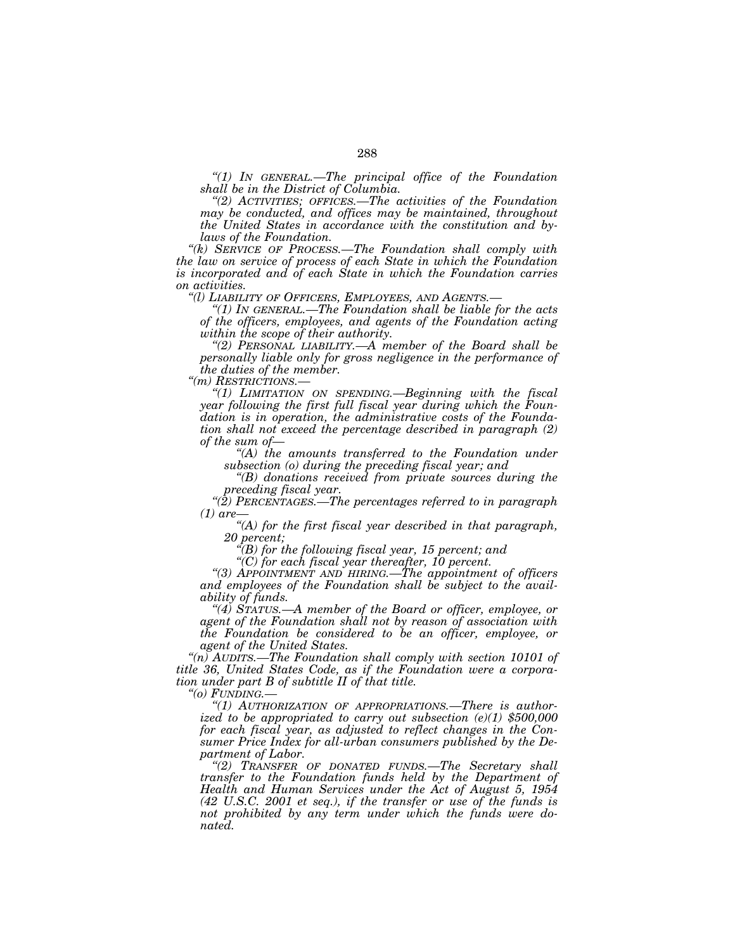*''(1) IN GENERAL.—The principal office of the Foundation* 

*shall be in the District of Columbia. ''(2) ACTIVITIES; OFFICES.—The activities of the Foundation may be conducted, and offices may be maintained, throughout the United States in accordance with the constitution and by-*

*laws of the Foundation. ''(k) SERVICE OF PROCESS.—The Foundation shall comply with the law on service of process of each State in which the Foundation is incorporated and of each State in which the Foundation carries on activities. ''(l) LIABILITY OF OFFICERS, EMPLOYEES, AND AGENTS.— ''(1) IN GENERAL.—The Foundation shall be liable for the acts* 

*of the officers, employees, and agents of the Foundation acting within the scope of their authority.* 

*''(2) PERSONAL LIABILITY.—A member of the Board shall be personally liable only for gross negligence in the performance of the duties of the member.*<br>
"(*m*) *RESTRICTIONS*.—

"(1) LIMITATION ON SPENDING.—Beginning with the fiscal *year following the first full fiscal year during which the Foundation is in operation, the administrative costs of the Foundation shall not exceed the percentage described in paragraph (2) of the sum of—*

*''(A) the amounts transferred to the Foundation under subsection (o) during the preceding fiscal year; and* 

*''(B) donations received from private sources during the preceding fiscal year.* 

*''(2) PERCENTAGES.—The percentages referred to in paragraph (1) are—*

*''(A) for the first fiscal year described in that paragraph,* 

*20 percent; ''(B) for the following fiscal year, 15 percent; and* 

*''(C) for each fiscal year thereafter, 10 percent. ''(3) APPOINTMENT AND HIRING.—The appointment of officers and employees of the Foundation shall be subject to the availability of funds.* 

*''(4) STATUS.—A member of the Board or officer, employee, or agent of the Foundation shall not by reason of association with the Foundation be considered to be an officer, employee, or agent of the United States.* 

 $a(n)$  AUDITS.—The Foundation shall comply with section 10101 of *title 36, United States Code, as if the Foundation were a corporation under part B of subtitle II of that title.* 

*''(o) FUNDING.—*

*''(1) AUTHORIZATION OF APPROPRIATIONS.—There is authorized to be appropriated to carry out subsection (e)(1) \$500,000 for each fiscal year, as adjusted to reflect changes in the Consumer Price Index for all-urban consumers published by the Department of Labor. ''(2) TRANSFER OF DONATED FUNDS.—The Secretary shall* 

*transfer to the Foundation funds held by the Department of Health and Human Services under the Act of August 5, 1954 (42 U.S.C. 2001 et seq.), if the transfer or use of the funds is not prohibited by any term under which the funds were donated.*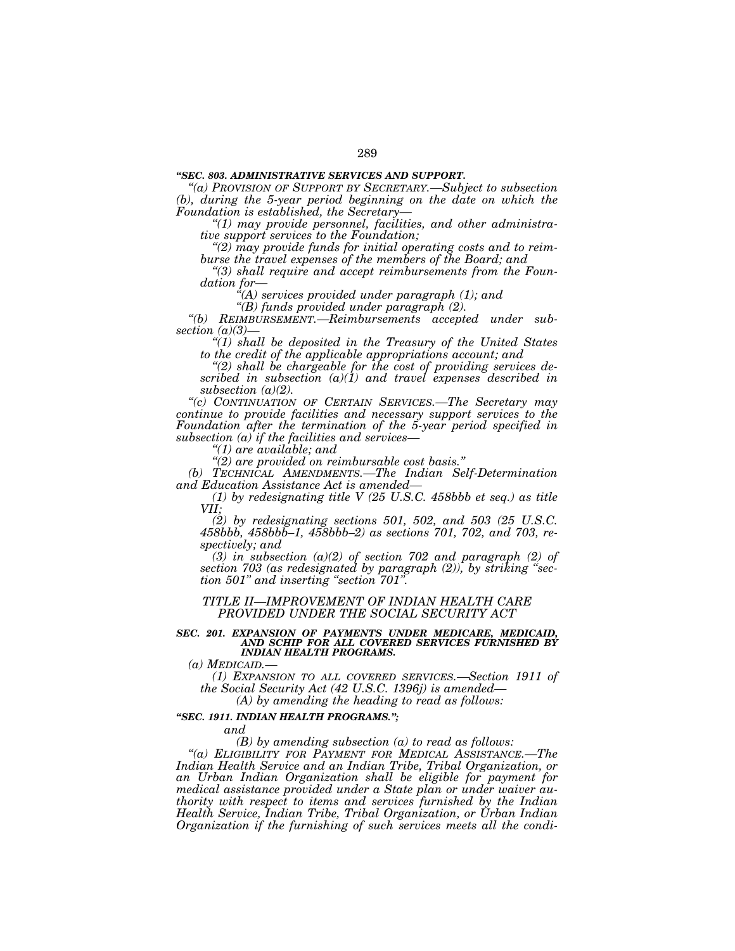## *''SEC. 803. ADMINISTRATIVE SERVICES AND SUPPORT.*

*''(a) PROVISION OF SUPPORT BY SECRETARY.—Subject to subsection (b), during the 5-year period beginning on the date on which the Foundation is established, the Secretary*—

*Foundation is established, the Secretary— ''(1) may provide personnel, facilities, and other administra-*

*tive support services to the Foundation; ''(2) may provide funds for initial operating costs and to reim-*

*burse the travel expenses of the members of the Board; and ''(3) shall require and accept reimbursements from the Foun*dation for—<br>
"(A) services provided under paragraph (1); and<br>
"(B) funds provided under paragraph (2).

*''(B) funds provided under paragraph (2). ''(b) REIMBURSEMENT.—Reimbursements accepted under sub-*

*section (a)(3)— ''(1) shall be deposited in the Treasury of the United States to the credit of the applicable appropriations account; and ''(2) shall be chargeable for the cost of providing services de-*

*scribed in subsection (a)(1) and travel expenses described in subsection (a)(2). ''(c) CONTINUATION OF CERTAIN SERVICES.—The Secretary may* 

*continue to provide facilities and necessary support services to the Foundation after the termination of the 5-year period specified in subsection (a) if the facilities and services— ''(1) are available; and* 

*(b) TECHNICAL AMENDMENTS.—The Indian Self-Determination and Education Assistance Act is amended—* 

*(1) by redesignating title V (25 U.S.C. 458bbb et seq.) as title VII;* 

*(2) by redesignating sections 501, 502, and 503 (25 U.S.C. 458bbb, 458bbb–1, 458bbb–2) as sections 701, 702, and 703, respectively; and* 

 $(3)$  in subsection  $(a)(2)$  of section 702 and paragraph  $(2)$  of *section 703 (as redesignated by paragraph (2)), by striking ''section 501'' and inserting ''section 701''.* 

*TITLE II—IMPROVEMENT OF INDIAN HEALTH CARE PROVIDED UNDER THE SOCIAL SECURITY ACT* 

# *SEC. 201. EXPANSION OF PAYMENTS UNDER MEDICARE, MEDICAID, AND SCHIP FOR ALL COVERED SERVICES FURNISHED BY INDIAN HEALTH PROGRAMS.*

*(a) MEDICAID.—*

*(1) EXPANSION TO ALL COVERED SERVICES.—Section 1911 of the Social Security Act (42 U.S.C. 1396j) is amended—*

*(A) by amending the heading to read as follows:* 

### *''SEC. 1911. INDIAN HEALTH PROGRAMS.'';*

*and* 

*(B) by amending subsection (a) to read as follows:* 

*''(a) ELIGIBILITY FOR PAYMENT FOR MEDICAL ASSISTANCE.—The Indian Health Service and an Indian Tribe, Tribal Organization, or an Urban Indian Organization shall be eligible for payment for medical assistance provided under a State plan or under waiver authority with respect to items and services furnished by the Indian Health Service, Indian Tribe, Tribal Organization, or Urban Indian Organization if the furnishing of such services meets all the condi-*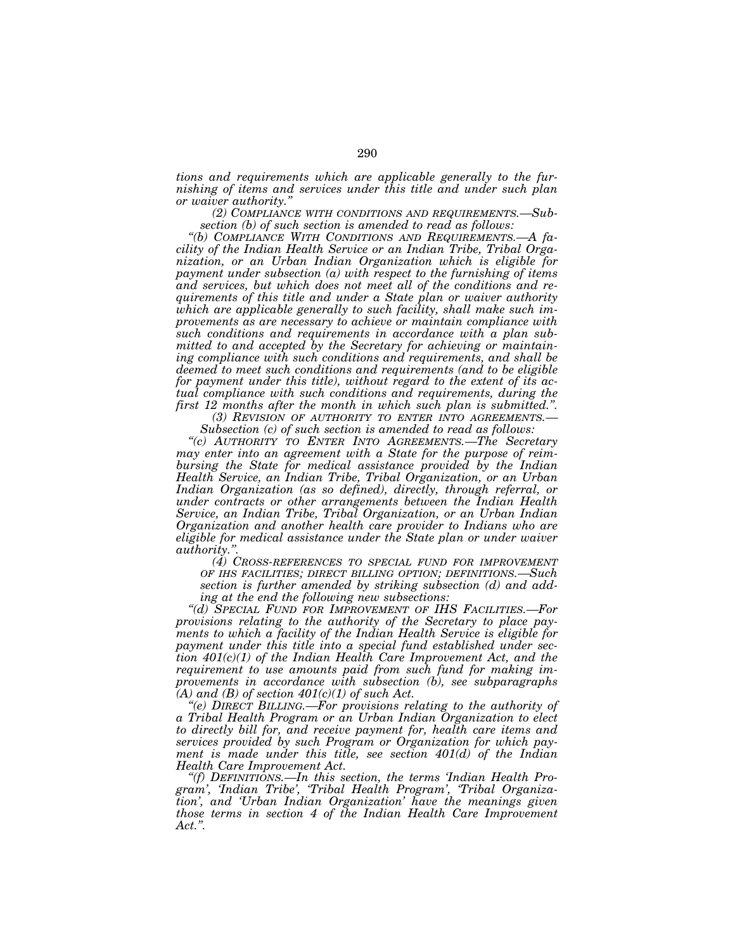*tions and requirements which are applicable generally to the furnishing of items and services under this title and under such plan* 

(2) COMPLIANCE WITH CONDITIONS AND REQUIREMENTS.—Subsection (b) of such section is amended to read as follows:

*section (b) of such section is amended to read as follows: ''(b) COMPLIANCE WITH CONDITIONS AND REQUIREMENTS.—A facility of the Indian Health Service or an Indian Tribe, Tribal Organization, or an Urban Indian Organization which is eligible for payment under subsection (a) with respect to the furnishing of items and services, but which does not meet all of the conditions and requirements of this title and under a State plan or waiver authority which are applicable generally to such facility, shall make such improvements as are necessary to achieve or maintain compliance with such conditions and requirements in accordance with a plan submitted to and accepted by the Secretary for achieving or maintaining compliance with such conditions and requirements, and shall be deemed to meet such conditions and requirements (and to be eligible for payment under this title), without regard to the extent of its actual compliance with such conditions and requirements, during the* 

first 12 months after the month in which such plan is submitted.".<br>
(3) REVISION OF AUTHORITY TO ENTER INTO AGREEMENTS.—<br>
Subsection (c) of such section is amended to read as follows:<br>
"(c) AUTHORITY TO ENTER INTO AGREEMEN

*may enter into an agreement with a State for the purpose of reimbursing the State for medical assistance provided by the Indian Health Service, an Indian Tribe, Tribal Organization, or an Urban Indian Organization (as so defined), directly, through referral, or under contracts or other arrangements between the Indian Health Service, an Indian Tribe, Tribal Organization, or an Urban Indian Organization and another health care provider to Indians who are eligible for medical assistance under the State plan or under waiver* 

(4) CROSS-REFERENCES TO SPECIAL FUND FOR IMPROVEMENT *OF IHS FACILITIES; DIRECT BILLING OPTION; DEFINITIONS.—Such section is further amended by striking subsection (d) and adding at the end the following new subsections:* 

*''(d) SPECIAL FUND FOR IMPROVEMENT OF IHS FACILITIES.—For provisions relating to the authority of the Secretary to place payments to which a facility of the Indian Health Service is eligible for payment under this title into a special fund established under section 401(c)(1) of the Indian Health Care Improvement Act, and the requirement to use amounts paid from such fund for making improvements in accordance with subsection (b), see subparagraphs* 

*(A) and (B) of section 401(c)(1) of such Act. ''(e) DIRECT BILLING.—For provisions relating to the authority of a Tribal Health Program or an Urban Indian Organization to elect to directly bill for, and receive payment for, health care items and services provided by such Program or Organization for which payment is made under this title, see section 401(d) of the Indian* 

*Health Care Improvement Act. ''(f) DEFINITIONS.—In this section, the terms 'Indian Health Program', 'Indian Tribe', 'Tribal Health Program', 'Tribal Organization', and 'Urban Indian Organization' have the meanings given those terms in section 4 of the Indian Health Care Improvement Act.''.*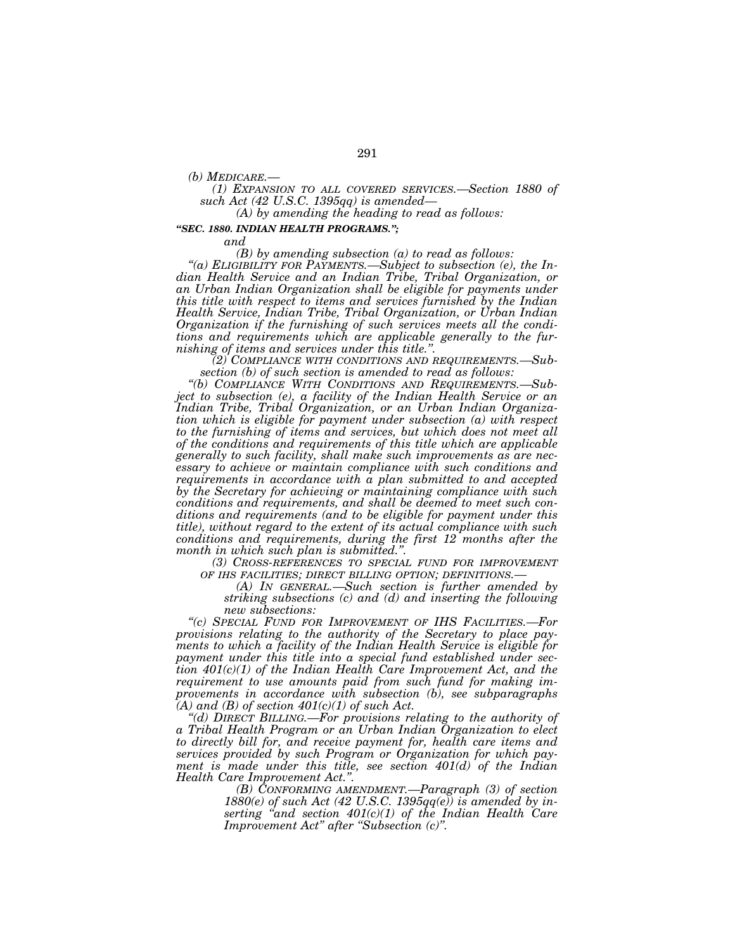*(b) MEDICARE.— (1) EXPANSION TO ALL COVERED SERVICES.—Section 1880 of* 

*(A) by amending the heading to read as follows:* 

## *''SEC. 1880. INDIAN HEALTH PROGRAMS.'';*

*and* 

*(B) by amending subsection (a) to read as follows: ''(a) ELIGIBILITY FOR PAYMENTS.—Subject to subsection (e), the Indian Health Service and an Indian Tribe, Tribal Organization, or an Urban Indian Organization shall be eligible for payments under this title with respect to items and services furnished by the Indian Health Service, Indian Tribe, Tribal Organization, or Urban Indian Organization if the furnishing of such services meets all the conditions and requirements which are applicable generally to the fur-*

*nishing of items and services under this title.''. (2) COMPLIANCE WITH CONDITIONS AND REQUIREMENTS.—Sub-*

*section (b) of such section is amended to read as follows: ''(b) COMPLIANCE WITH CONDITIONS AND REQUIREMENTS.—Subject to subsection (e), a facility of the Indian Health Service or an Indian Tribe, Tribal Organization, or an Urban Indian Organization which is eligible for payment under subsection (a) with respect to the furnishing of items and services, but which does not meet all of the conditions and requirements of this title which are applicable generally to such facility, shall make such improvements as are necessary to achieve or maintain compliance with such conditions and requirements in accordance with a plan submitted to and accepted by the Secretary for achieving or maintaining compliance with such conditions and requirements, and shall be deemed to meet such conditions and requirements (and to be eligible for payment under this title), without regard to the extent of its actual compliance with such conditions and requirements, during the first 12 months after the* 

*(3) CROSS-REFERENCES TO SPECIAL FUND FOR IMPROVEMENT OF IHS FACILITIES; DIRECT BILLING OPTION; DEFINITIONS.—* 

*(A)* IN GENERAL.—Such section is further amended by *striking subsections (c) and (d) and inserting the following* 

*new subsections: ''(c) SPECIAL FUND FOR IMPROVEMENT OF IHS FACILITIES.—For provisions relating to the authority of the Secretary to place payments to which a facility of the Indian Health Service is eligible for payment under this title into a special fund established under section 401(c)(1) of the Indian Health Care Improvement Act, and the requirement to use amounts paid from such fund for making improvements in accordance with subsection (b), see subparagraphs*   $(A)$  and  $(B)$  of section  $401(c)(1)$  of such Act.

*''(d) DIRECT BILLING.—For provisions relating to the authority of a Tribal Health Program or an Urban Indian Organization to elect to directly bill for, and receive payment for, health care items and services provided by such Program or Organization for which payment is made under this title, see section 401(d) of the Indian Health Care Improvement Act.''.* 

*(B) CONFORMING AMENDMENT.—Paragraph (3) of section 1880(e) of such Act (42 U.S.C. 1395qq(e)) is amended by inserting ''and section 401(c)(1) of the Indian Health Care Improvement Act'' after ''Subsection (c)''.*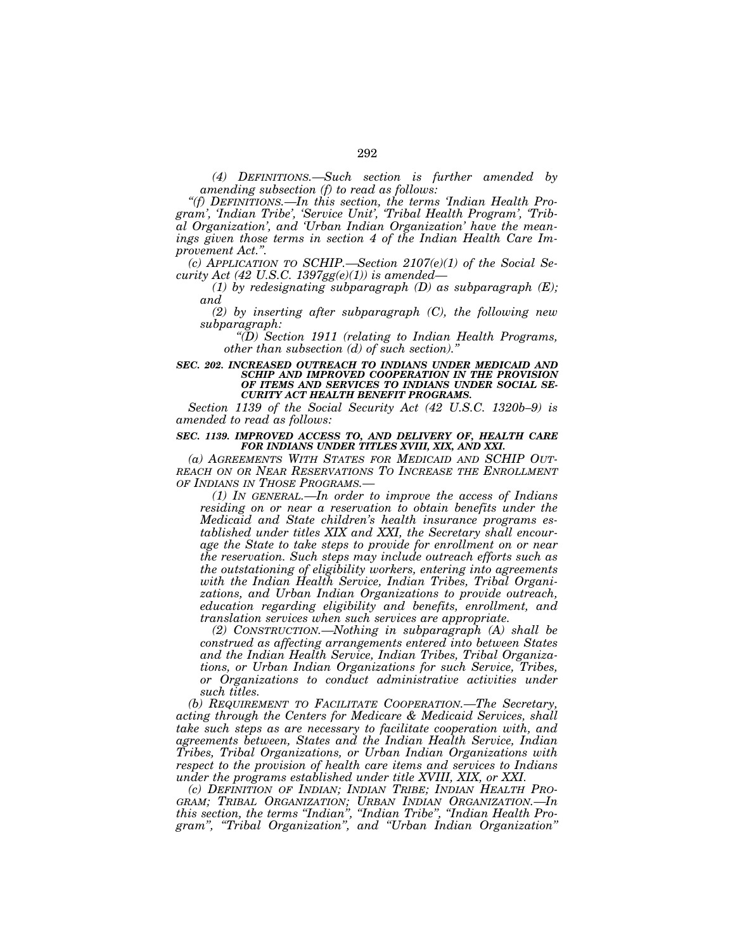*(4) DEFINITIONS.—Such section is further amended by amending subsection (f) to read as follows:* 

*''(f) DEFINITIONS.—In this section, the terms 'Indian Health Program', 'Indian Tribe', 'Service Unit', 'Tribal Health Program', 'Tribal Organization', and 'Urban Indian Organization' have the meanings given those terms in section 4 of the Indian Health Care Improvement Act.''.* 

*(c) APPLICATION TO SCHIP.—Section 2107(e)(1) of the Social Security Act (42 U.S.C. 1397gg(e)(1)) is amended—*

*(1) by redesignating subparagraph (D) as subparagraph (E); and* 

*(2) by inserting after subparagraph (C), the following new subparagraph:* 

*''(D) Section 1911 (relating to Indian Health Programs, other than subsection (d) of such section).''*

**SEC. 202. INCREASED OUTREACH TO INDIANS UNDER MEDICAID AND** *SCHIP AND IMPROVED COOPERATION IN THE PROVISION OF ITEMS AND SERVICES TO INDIANS UNDER SOCIAL SE-CURITY ACT HEALTH BENEFIT PROGRAMS.* 

*Section 1139 of the Social Security Act (42 U.S.C. 1320b–9) is amended to read as follows:* 

### *SEC. 1139. IMPROVED ACCESS TO, AND DELIVERY OF, HEALTH CARE FOR INDIANS UNDER TITLES XVIII, XIX, AND XXI.*

*(a) AGREEMENTS WITH STATES FOR MEDICAID AND SCHIP OUT-REACH ON OR NEAR RESERVATIONS TO INCREASE THE ENROLLMENT OF INDIANS IN THOSE PROGRAMS.—*

*(1) IN GENERAL.—In order to improve the access of Indians*  residing on or near a reservation to obtain benefits under the *Medicaid and State children's health insurance programs established under titles XIX and XXI, the Secretary shall encourage the State to take steps to provide for enrollment on or near the reservation. Such steps may include outreach efforts such as the outstationing of eligibility workers, entering into agreements with the Indian Health Service, Indian Tribes, Tribal Organizations, and Urban Indian Organizations to provide outreach, education regarding eligibility and benefits, enrollment, and translation services when such services are appropriate.* 

*(2) CONSTRUCTION.—Nothing in subparagraph (A) shall be construed as affecting arrangements entered into between States and the Indian Health Service, Indian Tribes, Tribal Organizations, or Urban Indian Organizations for such Service, Tribes, or Organizations to conduct administrative activities under such titles.* 

*(b) REQUIREMENT TO FACILITATE COOPERATION.—The Secretary, acting through the Centers for Medicare & Medicaid Services, shall take such steps as are necessary to facilitate cooperation with, and agreements between, States and the Indian Health Service, Indian Tribes, Tribal Organizations, or Urban Indian Organizations with respect to the provision of health care items and services to Indians under the programs established under title XVIII, XIX, or XXI.* 

*(c) DEFINITION OF INDIAN; INDIAN TRIBE; INDIAN HEALTH PRO-GRAM; TRIBAL ORGANIZATION; URBAN INDIAN ORGANIZATION.—In this section, the terms ''Indian'', ''Indian Tribe'', ''Indian Health Program'', ''Tribal Organization'', and ''Urban Indian Organization''*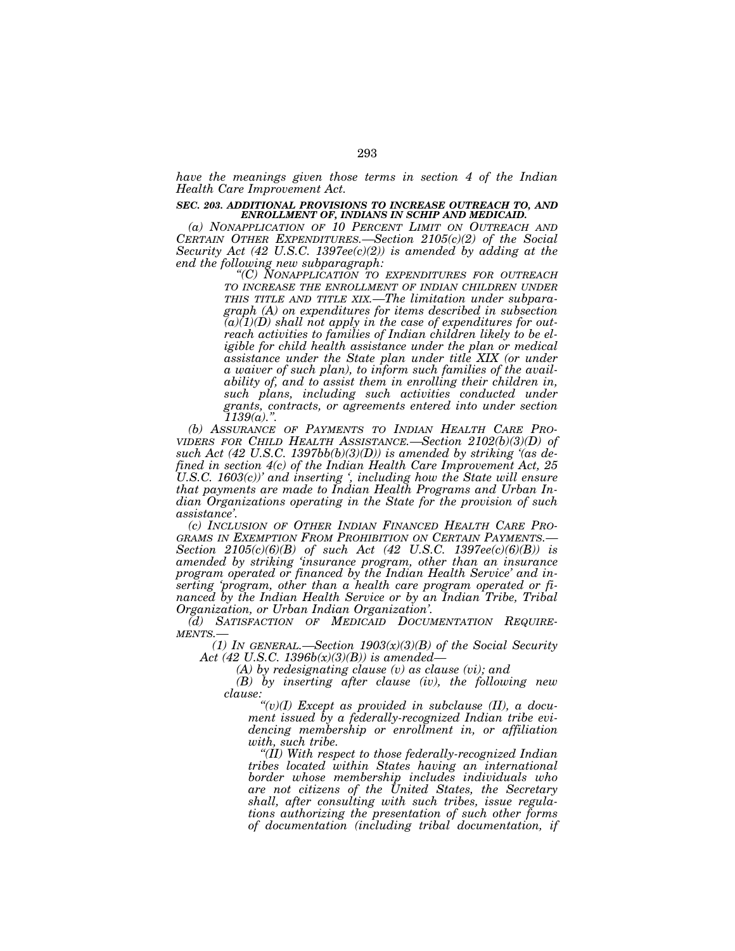*have the meanings given those terms in section 4 of the Indian Health Care Improvement Act.* 

### *SEC. 203. ADDITIONAL PROVISIONS TO INCREASE OUTREACH TO, AND ENROLLMENT OF, INDIANS IN SCHIP AND MEDICAID.*

*(a) NONAPPLICATION OF 10 PERCENT LIMIT ON OUTREACH AND CERTAIN OTHER EXPENDITURES.—Section 2105(c)(2) of the Social Security Act (42 U.S.C. 1397ee(c)(2)) is amended by adding at the* 

> *end the following new subparagraph: ''(C) NONAPPLICATION TO EXPENDITURES FOR OUTREACH TO INCREASE THE ENROLLMENT OF INDIAN CHILDREN UNDER THIS TITLE AND TITLE XIX.—The limitation under subparagraph (A) on expenditures for items described in subsection (a)(1)(D) shall not apply in the case of expenditures for outreach activities to families of Indian children likely to be eligible for child health assistance under the plan or medical assistance under the State plan under title XIX (or under a waiver of such plan), to inform such families of the availability of, and to assist them in enrolling their children in, such plans, including such activities conducted under grants, contracts, or agreements entered into under section*

*1139(a).''. (b) ASSURANCE OF PAYMENTS TO INDIAN HEALTH CARE PRO- VIDERS FOR CHILD HEALTH ASSISTANCE.—Section 2102(b)(3)(D) of such Act (42 U.S.C. 1397bb(b)(3)(D)) is amended by striking '(as defined in section 4(c) of the Indian Health Care Improvement Act, 25 U.S.C. 1603(c))' and inserting', including how the State will ensure that payments are made to Indian Health Programs and Urban Indian Organizations operating in the State for the provision of such* 

*assistance'. (c) INCLUSION OF OTHER INDIAN FINANCED HEALTH CARE PRO- Section 2105(c)(6)(B) of such Act (42 U.S.C. 1397ee(c)(6)(B)) is amended by striking 'insurance program, other than an insurance program operated or financed by the Indian Health Service' and inserting 'program, other than a health care program operated or financed by the Indian Health Service or by an Indian Tribe, Tribal Organization, or Urban Indian Organization'.* 

*(d) SATISFACTION OF MEDICAID DOCUMENTATION REQUIRE-MENTS.—*

*(1) IN GENERAL.—Section 1903(x)(3)(B) of the Social Security Act (42 U.S.C. 1396b(x)(3)(B)) is amended—*

*(A) by redesignating clause (v) as clause (vi); and* 

*(B) by inserting after clause (iv), the following new clause:* 

*''(v)(I) Except as provided in subclause (II), a document issued by a federally-recognized Indian tribe evidencing membership or enrollment in, or affiliation with, such tribe.* 

*''(II) With respect to those federally-recognized Indian tribes located within States having an international border whose membership includes individuals who are not citizens of the United States, the Secretary shall, after consulting with such tribes, issue regulations authorizing the presentation of such other forms of documentation (including tribal documentation, if*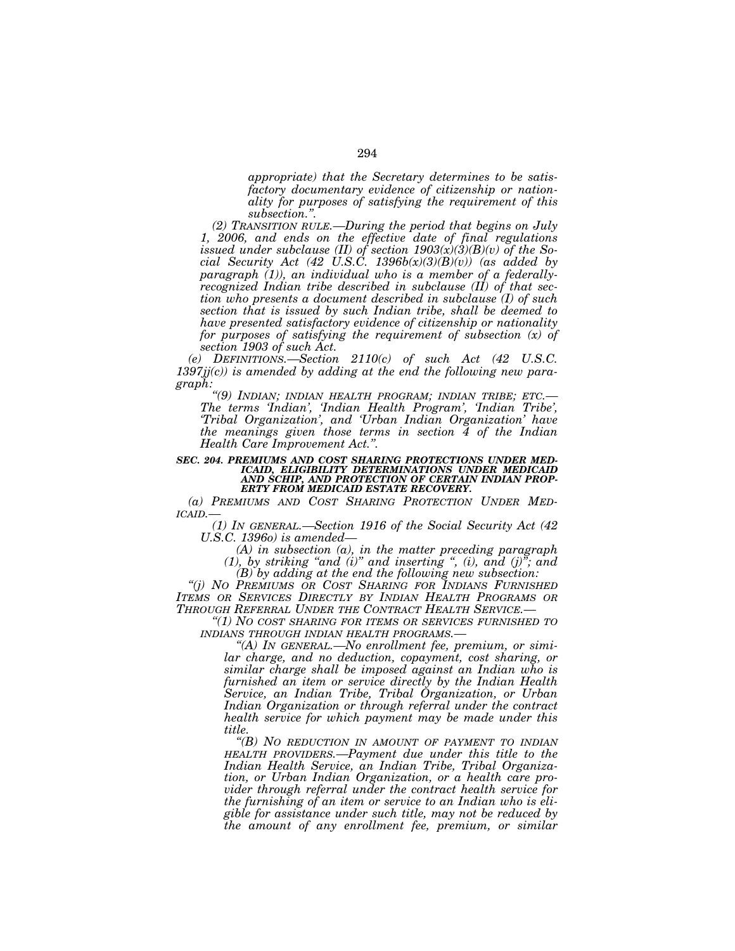*appropriate) that the Secretary determines to be satisfactory documentary evidence of citizenship or nationality for purposes of satisfying the requirement of this subsection.''.* 

*(2) TRANSITION RULE.—During the period that begins on July 1, 2006, and ends on the effective date of final regulations issued under subclause (II) of section 1903(x)(3)(B)(v) of the Social Security Act (42 U.S.C. 1396b(x)(3)(B)(v)) (as added by paragraph (1)), an individual who is a member of a federallyrecognized Indian tribe described in subclause (II) of that section who presents a document described in subclause (I) of such section that is issued by such Indian tribe, shall be deemed to have presented satisfactory evidence of citizenship or nationality for purposes of satisfying the requirement of subsection (x) of section 1903 of such Act.* 

*(e) DEFINITIONS.—Section 2110(c) of such Act (42 U.S.C. 1397jj(c)) is amended by adding at the end the following new paragraph:* 

*''(9) INDIAN; INDIAN HEALTH PROGRAM; INDIAN TRIBE; ETC.— The terms 'Indian', 'Indian Health Program', 'Indian Tribe', 'Tribal Organization', and 'Urban Indian Organization' have the meanings given those terms in section 4 of the Indian Health Care Improvement Act.''.* 

### *SEC. 204. PREMIUMS AND COST SHARING PROTECTIONS UNDER MED-ICAID, ELIGIBILITY DETERMINATIONS UNDER MEDICAID AND SCHIP, AND PROTECTION OF CERTAIN INDIAN PROP-ERTY FROM MEDICAID ESTATE RECOVERY.*

*(a) PREMIUMS AND COST SHARING PROTECTION UNDER MED-ICAID.—*

*(1) IN GENERAL.—Section 1916 of the Social Security Act (42 U.S.C. 1396o) is amended—*

*(A) in subsection (a), in the matter preceding paragraph*   $(1)$ , by striking "and  $(i)$ " and inserting ",  $(i)$ , and  $(j)$ "; and

*(B) by adding at the end the following new subsection: ''(j) NO PREMIUMS OR COST SHARING FOR INDIANS FURNISHED ITEMS OR SERVICES DIRECTLY BY INDIAN HEALTH PROGRAMS OR THROUGH REFERRAL UNDER THE CONTRACT HEALTH SERVICE.—*

*''(1) NO COST SHARING FOR ITEMS OR SERVICES FURNISHED TO INDIANS THROUGH INDIAN HEALTH PROGRAMS.—*

*''(A) IN GENERAL.—No enrollment fee, premium, or similar charge, and no deduction, copayment, cost sharing, or similar charge shall be imposed against an Indian who is furnished an item or service directly by the Indian Health Service, an Indian Tribe, Tribal Organization, or Urban Indian Organization or through referral under the contract health service for which payment may be made under this title.* 

*''(B) NO REDUCTION IN AMOUNT OF PAYMENT TO INDIAN HEALTH PROVIDERS.—Payment due under this title to the Indian Health Service, an Indian Tribe, Tribal Organization, or Urban Indian Organization, or a health care provider through referral under the contract health service for the furnishing of an item or service to an Indian who is eligible for assistance under such title, may not be reduced by the amount of any enrollment fee, premium, or similar*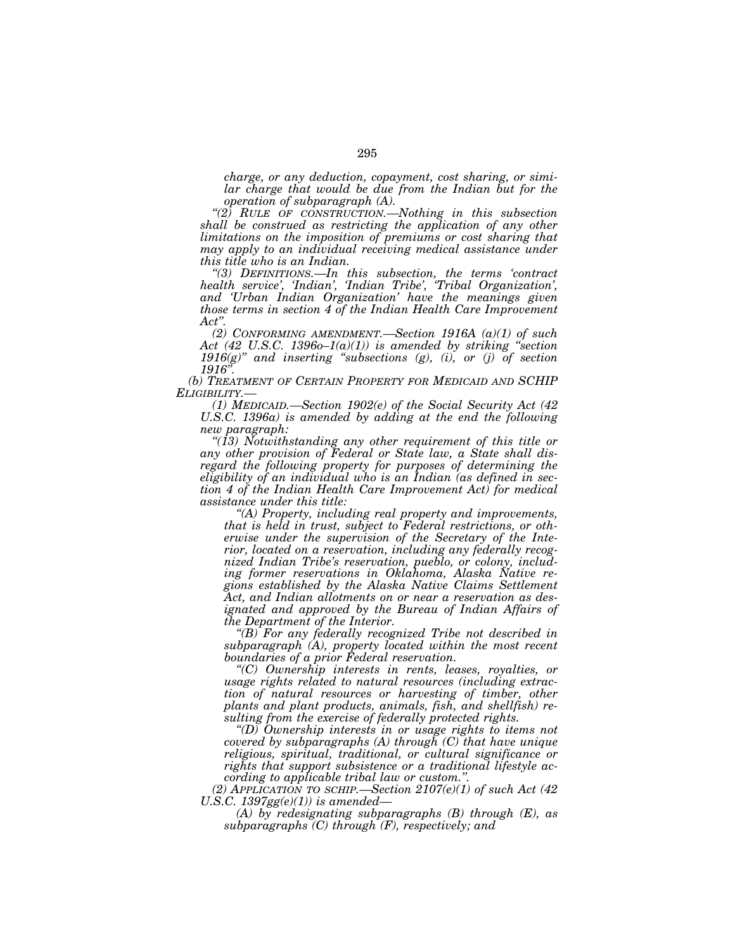*charge, or any deduction, copayment, cost sharing, or simi*lar charge that would be due from the Indian but for the *operation of subparagraph (A). ''(2) RULE OF CONSTRUCTION.—Nothing in this subsection* 

*shall be construed as restricting the application of any other limitations on the imposition of premiums or cost sharing that may apply to an individual receiving medical assistance under this title who is an Indian. ''(3) DEFINITIONS.—In this subsection, the terms 'contract* 

*health service', 'Indian', 'Indian Tribe', 'Tribal Organization', and 'Urban Indian Organization' have the meanings given those terms in section 4 of the Indian Health Care Improvement Act''.* 

*(2) CONFORMING AMENDMENT.—Section 1916A (a)(1) of such Act (42 U.S.C. 1396o–1(a)(1)) is amended by striking ''section 1916(g)'' and inserting ''subsections (g), (i), or (j) of section 1916''.* 

*(b) TREATMENT OF CERTAIN PROPERTY FOR MEDICAID AND SCHIP ELIGIBILITY.—*

*(1) MEDICAID.—Section 1902(e) of the Social Security Act (42 U.S.C. 1396a) is amended by adding at the end the following new paragraph:* 

*''(13) Notwithstanding any other requirement of this title or any other provision of Federal or State law, a State shall disregard the following property for purposes of determining the eligibility of an individual who is an Indian (as defined in section 4 of the Indian Health Care Improvement Act) for medical assistance under this title:* 

*''(A) Property, including real property and improvements, that is held in trust, subject to Federal restrictions, or otherwise under the supervision of the Secretary of the Interior, located on a reservation, including any federally recognized Indian Tribe's reservation, pueblo, or colony, including former reservations in Oklahoma, Alaska Native regions established by the Alaska Native Claims Settlement Act, and Indian allotments on or near a reservation as designated and approved by the Bureau of Indian Affairs of* 

 $f(B)$  For any federally recognized Tribe not described in *subparagraph (A), property located within the most recent boundaries of a prior Federal reservation. ''(C) Ownership interests in rents, leases, royalties, or* 

*usage rights related to natural resources (including extraction of natural resources or harvesting of timber, other plants and plant products, animals, fish, and shellfish) re-*

*sulting from the exercise of federally protected rights. ''(D) Ownership interests in or usage rights to items not covered by subparagraphs (A) through (C) that have unique religious, spiritual, traditional, or cultural significance or rights that support subsistence or a traditional lifestyle according to applicable tribal law or custom.''.* 

(2) APPLICATION TO SCHIP.—Section  $2107(e)(1)$  of such Act (42 U.S.C. 1397gg(e)(1)) is amended—

*(A) by redesignating subparagraphs (B) through (E), as subparagraphs (C) through (F), respectively; and*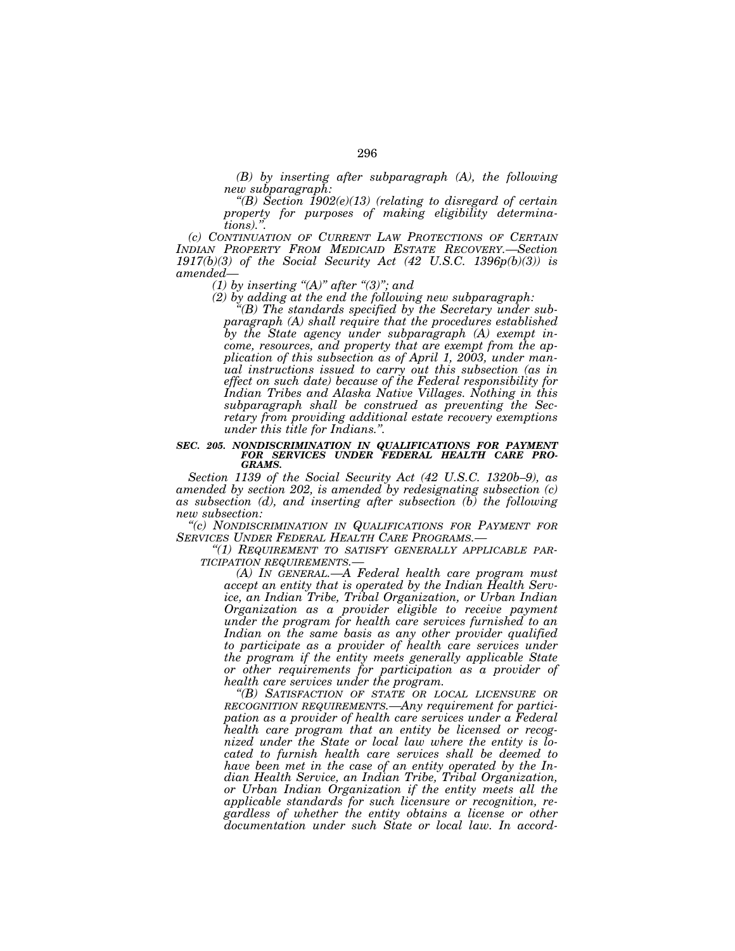*(B) by inserting after subparagraph (A), the following* 

"(B) Section 1902(e)(13) (relating to disregard of certain *property for purposes of making eligibility determina-*

*tions).''. (c) CONTINUATION OF CURRENT LAW PROTECTIONS OF CERTAIN INDIAN PROPERTY FROM MEDICAID ESTATE RECOVERY.—Section 1917(b)(3) of the Social Security Act (42 U.S.C. 1396p(b)(3)) is amended— (1) by inserting ''(A)'' after ''(3)''; and* 

*(2) by adding at the end the following new subparagraph: ''(B) The standards specified by the Secretary under subparagraph (A) shall require that the procedures established by the State agency under subparagraph (A) exempt income, resources, and property that are exempt from the application of this subsection as of April 1, 2003, under manual instructions issued to carry out this subsection (as in effect on such date) because of the Federal responsibility for Indian Tribes and Alaska Native Villages. Nothing in this subparagraph shall be construed as preventing the Secretary from providing additional estate recovery exemptions under this title for Indians.''.* 

#### *SEC. 205. NONDISCRIMINATION IN QUALIFICATIONS FOR PAYMENT FOR SERVICES UNDER FEDERAL HEALTH CARE PRO-GRAMS.*

*Section 1139 of the Social Security Act (42 U.S.C. 1320b–9), as amended by section 202, is amended by redesignating subsection (c) as subsection (d), and inserting after subsection (b) the following* 

*new subsection: ''(c) NONDISCRIMINATION IN QUALIFICATIONS FOR PAYMENT FOR*

*SERVICES UNDER FEDERAL HEALTH CARE PROGRAMS.— ''(1) REQUIREMENT TO SATISFY GENERALLY APPLICABLE PAR-*

*(A)* IN GENERAL.—A Federal health care program must *accept an entity that is operated by the Indian Health Service, an Indian Tribe, Tribal Organization, or Urban Indian Organization as a provider eligible to receive payment under the program for health care services furnished to an Indian on the same basis as any other provider qualified*  to participate as a provider of health care services under *the program if the entity meets generally applicable State or other requirements for participation as a provider of health care services under the program.* 

*''(B) SATISFACTION OF STATE OR LOCAL LICENSURE OR RECOGNITION REQUIREMENTS.—Any requirement for participation as a provider of health care services under a Federal health care program that an entity be licensed or recognized under the State or local law where the entity is located to furnish health care services shall be deemed to have been met in the case of an entity operated by the Indian Health Service, an Indian Tribe, Tribal Organization, or Urban Indian Organization if the entity meets all the applicable standards for such licensure or recognition, regardless of whether the entity obtains a license or other documentation under such State or local law. In accord-*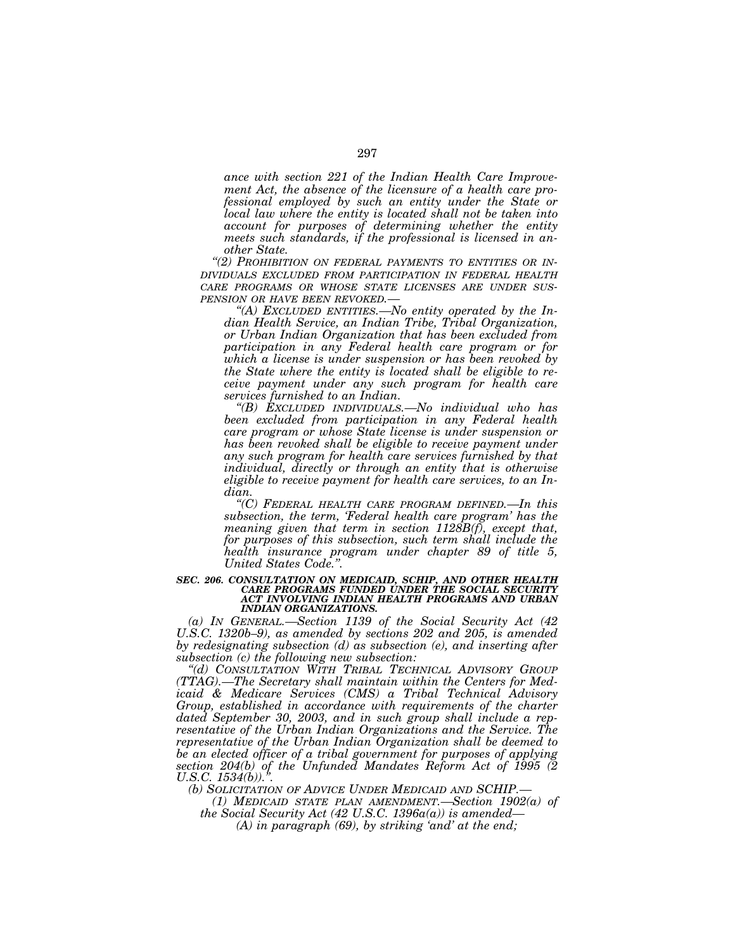*ance with section 221 of the Indian Health Care Improvement Act, the absence of the licensure of a health care professional employed by such an entity under the State or local law where the entity is located shall not be taken into account for purposes of determining whether the entity meets such standards, if the professional is licensed in another State.* 

*''(2) PROHIBITION ON FEDERAL PAYMENTS TO ENTITIES OR IN-DIVIDUALS EXCLUDED FROM PARTICIPATION IN FEDERAL HEALTH CARE PROGRAMS OR WHOSE STATE LICENSES ARE UNDER SUS-PENSION OR HAVE BEEN REVOKED.—*

*''(A) EXCLUDED ENTITIES.—No entity operated by the Indian Health Service, an Indian Tribe, Tribal Organization, or Urban Indian Organization that has been excluded from participation in any Federal health care program or for which a license is under suspension or has been revoked by the State where the entity is located shall be eligible to receive payment under any such program for health care services furnished to an Indian.* 

*''(B) EXCLUDED INDIVIDUALS.—No individual who has been excluded from participation in any Federal health care program or whose State license is under suspension or has been revoked shall be eligible to receive payment under any such program for health care services furnished by that individual, directly or through an entity that is otherwise eligible to receive payment for health care services, to an Indian.* 

*''(C) FEDERAL HEALTH CARE PROGRAM DEFINED.—In this subsection, the term, 'Federal health care program' has the meaning given that term in section 1128B(f), except that, for purposes of this subsection, such term shall include the health insurance program under chapter 89 of title 5, United States Code.''.* 

### *SEC. 206. CONSULTATION ON MEDICAID, SCHIP, AND OTHER HEALTH CARE PROGRAMS FUNDED UNDER THE SOCIAL SECURITY ACT INVOLVING INDIAN HEALTH PROGRAMS AND URBAN INDIAN ORGANIZATIONS.*

*(a) IN GENERAL.—Section 1139 of the Social Security Act (42 U.S.C. 1320b–9), as amended by sections 202 and 205, is amended by redesignating subsection (d) as subsection (e), and inserting after subsection (c) the following new subsection:* 

*''(d) CONSULTATION WITH TRIBAL TECHNICAL ADVISORY GROUP (TTAG).—The Secretary shall maintain within the Centers for Medicaid & Medicare Services (CMS) a Tribal Technical Advisory Group, established in accordance with requirements of the charter dated September 30, 2003, and in such group shall include a representative of the Urban Indian Organizations and the Service. The representative of the Urban Indian Organization shall be deemed to be an elected officer of a tribal government for purposes of applying section 204(b) of the Unfunded Mandates Reform Act of 1995 (2 U.S.C. 1534(b)).''.* 

*(b) SOLICITATION OF ADVICE UNDER MEDICAID AND SCHIP.—*

*(1) MEDICAID STATE PLAN AMENDMENT.—Section 1902(a) of the Social Security Act (42 U.S.C. 1396a(a)) is amended—*

*(A) in paragraph (69), by striking 'and' at the end;*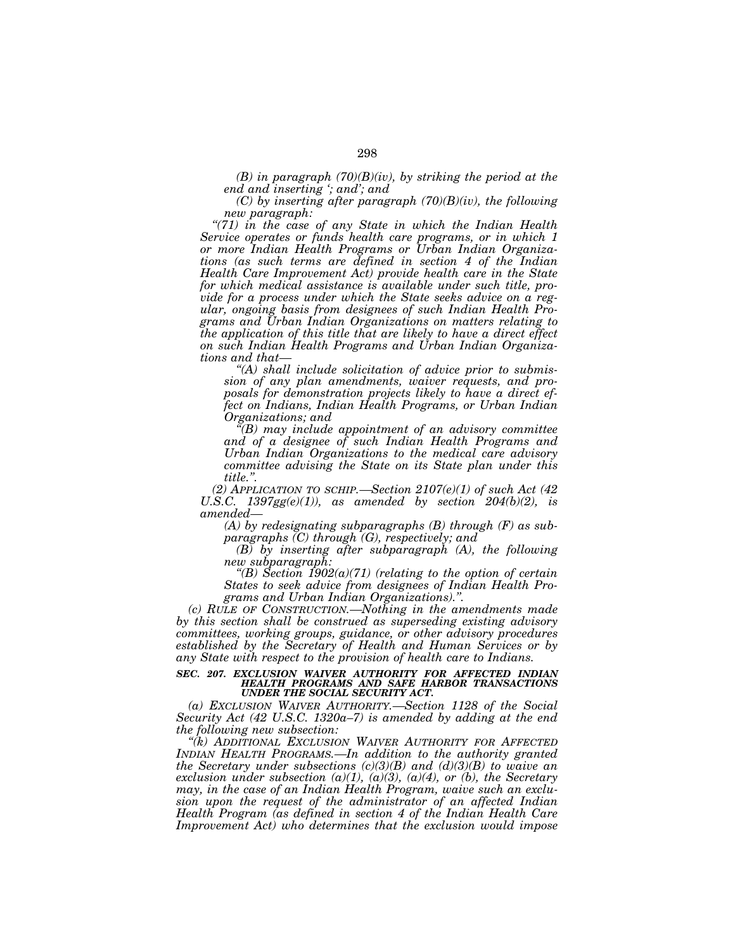$(B)$  in paragraph  $(70)(B)(iv)$ , by striking the period at the *end and inserting '; and'; and* 

*(C) by inserting after paragraph (70)(B)(iv), the following* 

*new paragraph: ''(71) in the case of any State in which the Indian Health Service operates or funds health care programs, or in which 1 or more Indian Health Programs or Urban Indian Organizations (as such terms are defined in section 4 of the Indian Health Care Improvement Act) provide health care in the State for which medical assistance is available under such title, provide for a process under which the State seeks advice on a regular, ongoing basis from designees of such Indian Health Programs and Urban Indian Organizations on matters relating to the application of this title that are likely to have a direct effect on such Indian Health Programs and Urban Indian Organizations and that— ''(A) shall include solicitation of advice prior to submis-*

*sion of any plan amendments, waiver requests, and proposals for demonstration projects likely to have a direct effect on Indians, Indian Health Programs, or Urban Indian* 

*Organizations; and ''(B) may include appointment of an advisory committee and of a designee of such Indian Health Programs and Urban Indian Organizations to the medical care advisory committee advising the State on its State plan under this* 

*title.''. (2) APPLICATION TO SCHIP.—Section 2107(e)(1) of such Act (42 U.S.C.*  $1397gg(e)(1)$ , as amended by section  $204(b)(2)$ , is amended—

*(A) by redesignating subparagraphs (B) through (F) as subparagraphs (C) through (G), respectively; and* 

*(B) by inserting after subparagraph (A), the following new subparagraph:* 

 $P(B)$  Section 1902(a)(71) (relating to the option of certain *States to seek advice from designees of Indian Health Programs and Urban Indian Organizations).''.* 

*(c) RULE OF CONSTRUCTION.—Nothing in the amendments made by this section shall be construed as superseding existing advisory committees, working groups, guidance, or other advisory procedures established by the Secretary of Health and Human Services or by any State with respect to the provision of health care to Indians.* 

*SEC. 207. EXCLUSION WAIVER AUTHORITY FOR AFFECTED INDIAN HEALTH PROGRAMS AND SAFE HARBOR TRANSACTIONS UNDER THE SOCIAL SECURITY ACT.* 

*(a) EXCLUSION WAIVER AUTHORITY.—Section 1128 of the Social Security Act (42 U.S.C. 1320a–7) is amended by adding at the end the following new subsection:* 

*''(k) ADDITIONAL EXCLUSION WAIVER AUTHORITY FOR AFFECTED INDIAN HEALTH PROGRAMS.—In addition to the authority granted the Secretary under subsections (c)(3)(B) and (d)(3)(B) to waive an exclusion under subsection (a)(1), (a)(3), (a)(4), or (b), the Secretary may, in the case of an Indian Health Program, waive such an exclusion upon the request of the administrator of an affected Indian Health Program (as defined in section 4 of the Indian Health Care Improvement Act) who determines that the exclusion would impose*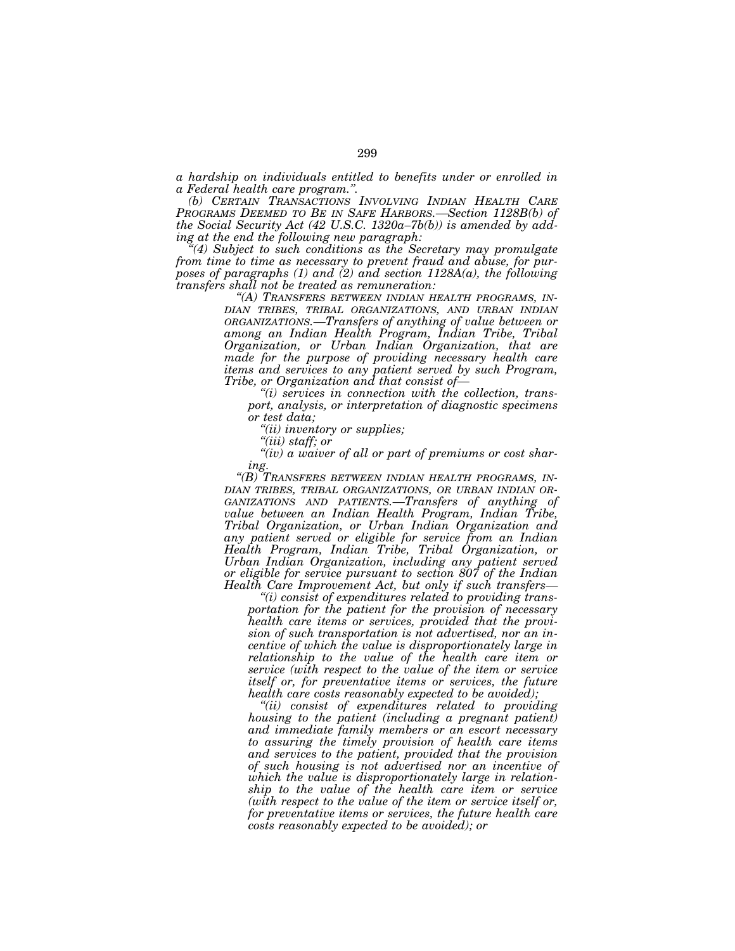*a hardship on individuals entitled to benefits under or enrolled in a Federal health care program.''. (b) CERTAIN TRANSACTIONS INVOLVING INDIAN HEALTH CARE*

*PROGRAMS DEEMED TO BE IN SAFE HARBORS.—Section 1128B(b) of the Social Security Act (42 U.S.C. 1320a–7b(b)) is amended by add-*

*ial Subject to such conditions as the Secretary may promulgate*  $\mathcal{L}$ *from time to time as necessary to prevent fraud and abuse, for purposes of paragraphs (1) and (2) and section 1128A(a), the following transfers shall not be treated as remuneration: ''(A) TRANSFERS BETWEEN INDIAN HEALTH PROGRAMS, IN-*

*DIAN TRIBES, TRIBAL ORGANIZATIONS, AND URBAN INDIAN ORGANIZATIONS.—Transfers of anything of value between or among an Indian Health Program, Indian Tribe, Tribal Organization, or Urban Indian Organization, that are made for the purpose of providing necessary health care items and services to any patient served by such Program, Tribe, or Organization and that consist of—*

*''(i) services in connection with the collection, transport, analysis, or interpretation of diagnostic specimens or test data;* 

*''(ii) inventory or supplies;* 

*''(iii) staff; or* 

*''(iv) a waiver of all or part of premiums or cost shar-*

*ing.*<br>"(B) Transfers between indian health programs, in-*''(B) TRANSFERS BETWEEN INDIAN HEALTH PROGRAMS, IN- DIAN TRIBES, TRIBAL ORGANIZATIONS, OR URBAN INDIAN OR- GANIZATIONS AND PATIENTS.—Transfers of anything of value between an Indian Health Program, Indian Tribe, Tribal Organization, or Urban Indian Organization and any patient served or eligible for service from an Indian Health Program, Indian Tribe, Tribal Organization, or Urban Indian Organization, including any patient served or eligible for service pursuant to section 807 of the Indian Health Care Improvement Act, but only if such transfers—*

*''(i) consist of expenditures related to providing transportation for the patient for the provision of necessary health care items or services, provided that the provision of such transportation is not advertised, nor an incentive of which the value is disproportionately large in relationship to the value of the health care item or service (with respect to the value of the item or service itself or, for preventative items or services, the future health care costs reasonably expected to be avoided);* 

*''(ii) consist of expenditures related to providing housing to the patient (including a pregnant patient) and immediate family members or an escort necessary to assuring the timely provision of health care items and services to the patient, provided that the provision of such housing is not advertised nor an incentive of which the value is disproportionately large in relationship to the value of the health care item or service (with respect to the value of the item or service itself or, for preventative items or services, the future health care costs reasonably expected to be avoided); or*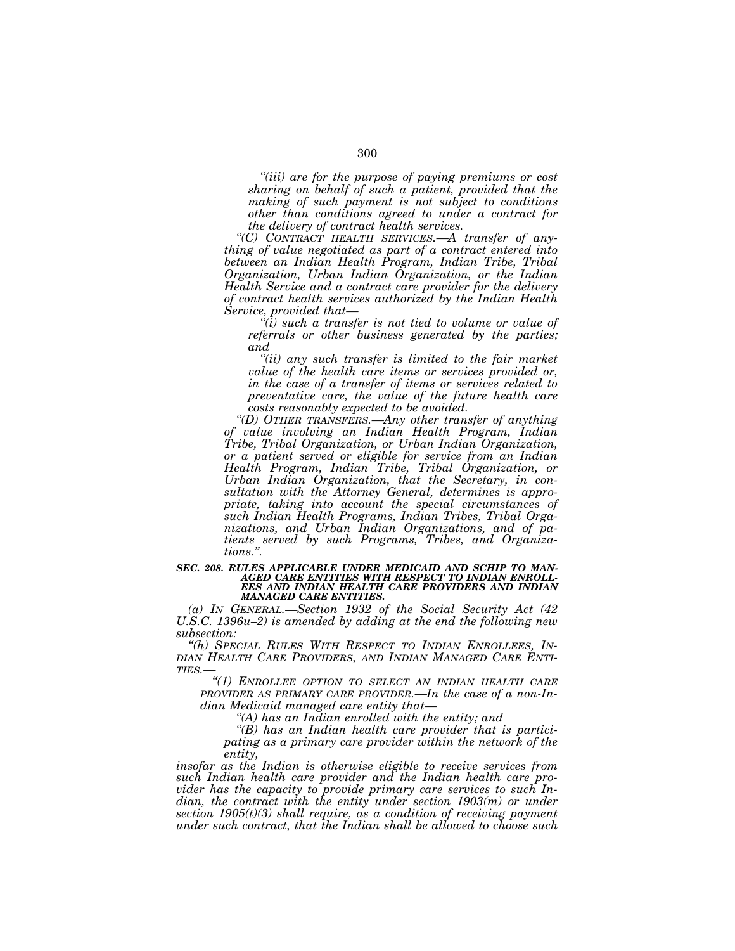*''(iii) are for the purpose of paying premiums or cost sharing on behalf of such a patient, provided that the making of such payment is not subject to conditions other than conditions agreed to under a contract for the delivery of contract health services.* 

*''(C) CONTRACT HEALTH SERVICES.—A transfer of anything of value negotiated as part of a contract entered into between an Indian Health Program, Indian Tribe, Tribal Organization, Urban Indian Organization, or the Indian Health Service and a contract care provider for the delivery of contract health services authorized by the Indian Health Service, provided that—*

*''(i) such a transfer is not tied to volume or value of referrals or other business generated by the parties; and* 

*''(ii) any such transfer is limited to the fair market value of the health care items or services provided or, in the case of a transfer of items or services related to preventative care, the value of the future health care costs reasonably expected to be avoided.* 

*''(D) OTHER TRANSFERS.—Any other transfer of anything of value involving an Indian Health Program, Indian Tribe, Tribal Organization, or Urban Indian Organization, or a patient served or eligible for service from an Indian Health Program, Indian Tribe, Tribal Organization, or Urban Indian Organization, that the Secretary, in consultation with the Attorney General, determines is appropriate, taking into account the special circumstances of such Indian Health Programs, Indian Tribes, Tribal Organizations, and Urban Indian Organizations, and of patients served by such Programs, Tribes, and Organizations.''.* 

### *SEC. 208. RULES APPLICABLE UNDER MEDICAID AND SCHIP TO MAN-AGED CARE ENTITIES WITH RESPECT TO INDIAN ENROLL-EES AND INDIAN HEALTH CARE PROVIDERS AND INDIAN MANAGED CARE ENTITIES.*

*(a) IN GENERAL.—Section 1932 of the Social Security Act (42 U.S.C. 1396u–2) is amended by adding at the end the following new subsection:* 

*''(h) SPECIAL RULES WITH RESPECT TO INDIAN ENROLLEES, IN- DIAN HEALTH CARE PROVIDERS, AND INDIAN MANAGED CARE ENTI- TIES.—*

*''(1) ENROLLEE OPTION TO SELECT AN INDIAN HEALTH CARE PROVIDER AS PRIMARY CARE PROVIDER.—In the case of a non-Indian Medicaid managed care entity that—*

*''(A) has an Indian enrolled with the entity; and* 

*''(B) has an Indian health care provider that is participating as a primary care provider within the network of the entity,* 

*insofar as the Indian is otherwise eligible to receive services from such Indian health care provider and the Indian health care provider has the capacity to provide primary care services to such In*dian, the contract with the entity under section 1903(m) or under *section 1905(t)(3) shall require, as a condition of receiving payment under such contract, that the Indian shall be allowed to choose such*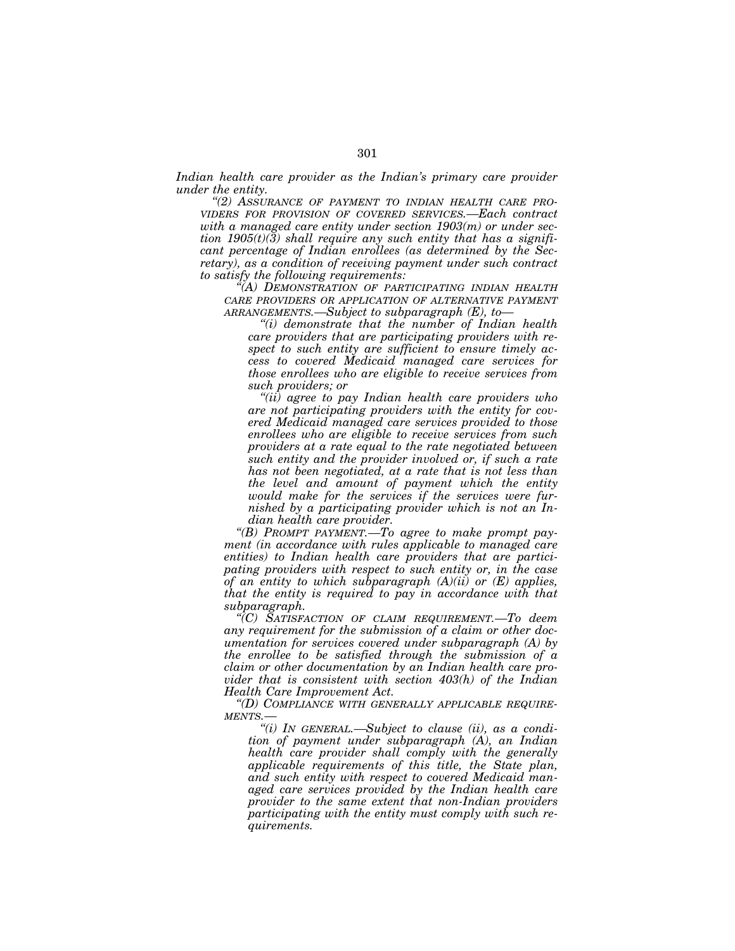Indian health care provider as the Indian's primary care provider *under the entity.* 

*''(2) ASSURANCE OF PAYMENT TO INDIAN HEALTH CARE PRO-VIDERS FOR PROVISION OF COVERED SERVICES.—Each contract with a managed care entity under section 1903(m) or under section 1905(t)(3) shall require any such entity that has a significant percentage of Indian enrollees (as determined by the Secretary), as a condition of receiving payment under such contract to satisfy the following requirements:* 

*''(A) DEMONSTRATION OF PARTICIPATING INDIAN HEALTH CARE PROVIDERS OR APPLICATION OF ALTERNATIVE PAYMENT ARRANGEMENTS.—Subject to subparagraph (E), to—*

*''(i) demonstrate that the number of Indian health care providers that are participating providers with respect to such entity are sufficient to ensure timely access to covered Medicaid managed care services for those enrollees who are eligible to receive services from such providers; or* 

*''(ii) agree to pay Indian health care providers who are not participating providers with the entity for covered Medicaid managed care services provided to those enrollees who are eligible to receive services from such providers at a rate equal to the rate negotiated between such entity and the provider involved or, if such a rate has not been negotiated, at a rate that is not less than the level and amount of payment which the entity would make for the services if the services were furnished by a participating provider which is not an Indian health care provider.* 

*''(B) PROMPT PAYMENT.—To agree to make prompt payment (in accordance with rules applicable to managed care entities) to Indian health care providers that are participating providers with respect to such entity or, in the case of an entity to which subparagraph (A)(ii) or (E) applies, that the entity is required to pay in accordance with that subparagraph.* 

*''(C) SATISFACTION OF CLAIM REQUIREMENT.—To deem any requirement for the submission of a claim or other documentation for services covered under subparagraph (A) by the enrollee to be satisfied through the submission of a claim or other documentation by an Indian health care provider that is consistent with section 403(h) of the Indian Health Care Improvement Act.* 

*''(D) COMPLIANCE WITH GENERALLY APPLICABLE REQUIRE-MENTS.—*

*''(i) IN GENERAL.—Subject to clause (ii), as a condition of payment under subparagraph (A), an Indian health care provider shall comply with the generally applicable requirements of this title, the State plan, and such entity with respect to covered Medicaid managed care services provided by the Indian health care provider to the same extent that non-Indian providers participating with the entity must comply with such requirements.*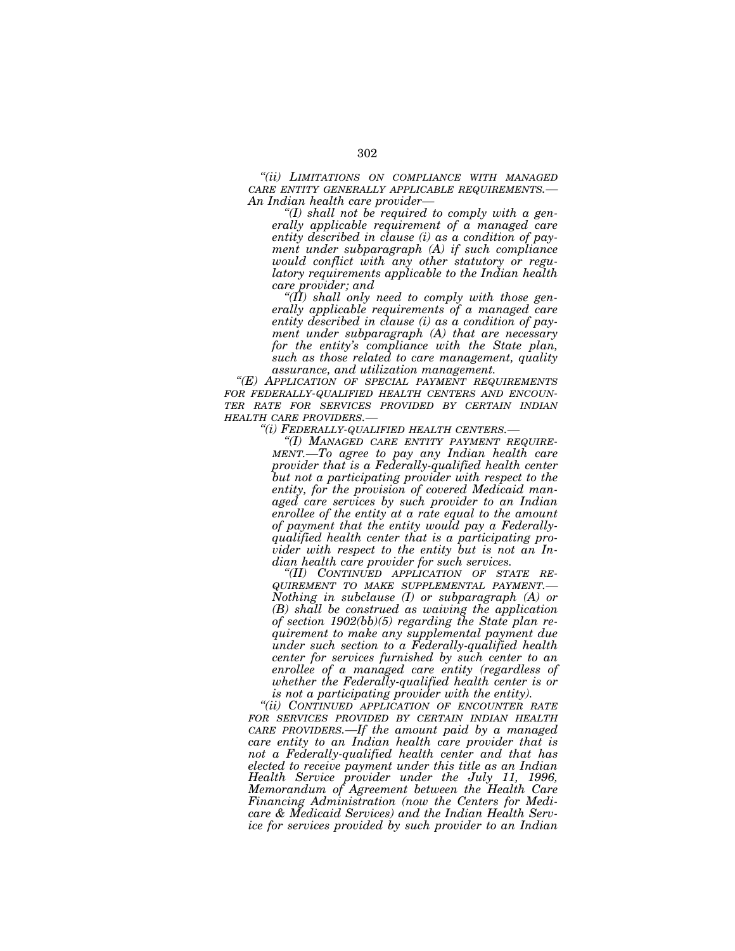*''(ii) LIMITATIONS ON COMPLIANCE WITH MANAGED CARE ENTITY GENERALLY APPLICABLE REQUIREMENTS.— An Indian health care provider— ''(I) shall not be required to comply with a gen-*

*erally applicable requirement of a managed care entity described in clause (i) as a condition of payment under subparagraph (A) if such compliance would conflict with any other statutory or regulatory requirements applicable to the Indian health* 

*care provider; and ''(II) shall only need to comply with those generally applicable requirements of a managed care entity described in clause (i) as a condition of payment under subparagraph (A) that are necessary for the entity's compliance with the State plan, such as those related to care management, quality* 

*assurance, and utilization management. ''(E) APPLICATION OF SPECIAL PAYMENT REQUIREMENTS FOR FEDERALLY-QUALIFIED HEALTH CENTERS AND ENCOUN-TER RATE FOR SERVICES PROVIDED BY CERTAIN INDIAN*

*HEALTH CARE PROVIDERS.— ''(i) FEDERALLY-QUALIFIED HEALTH CENTERS.— ''(I) MANAGED CARE ENTITY PAYMENT REQUIRE- MENT.—To agree to pay any Indian health care provider that is a Federally-qualified health center but not a participating provider with respect to the entity, for the provision of covered Medicaid managed care services by such provider to an Indian enrollee of the entity at a rate equal to the amount of payment that the entity would pay a Federallyqualified health center that is a participating provider with respect to the entity but is not an Indian health care provider for such services.* 

*dian health care provider for such services. ''(II) CONTINUED APPLICATION OF STATE RE-Nothing in subclause (I) or subparagraph (A) or (B) shall be construed as waiving the application of section 1902(bb)(5) regarding the State plan requirement to make any supplemental payment due under such section to a Federally-qualified health center for services furnished by such center to an enrollee of a managed care entity (regardless of whether the Federally-qualified health center is or* 

*is not a participating provider with the entity). ''(ii) CONTINUED APPLICATION OF ENCOUNTER RATE FOR SERVICES PROVIDED BY CERTAIN INDIAN HEALTH CARE PROVIDERS.—If the amount paid by a managed care entity to an Indian health care provider that is not a Federally-qualified health center and that has elected to receive payment under this title as an Indian Health Service provider under the July 11, 1996, Memorandum of Agreement between the Health Care Financing Administration (now the Centers for Medicare & Medicaid Services) and the Indian Health Service for services provided by such provider to an Indian*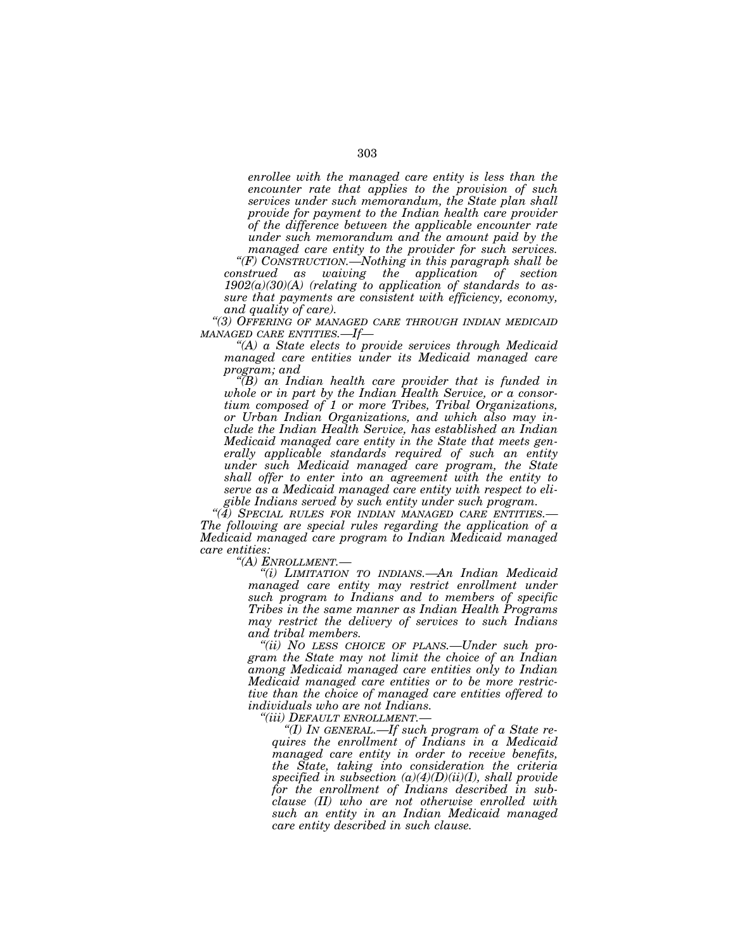*enrollee with the managed care entity is less than the encounter rate that applies to the provision of such services under such memorandum, the State plan shall provide for payment to the Indian health care provider of the difference between the applicable encounter rate under such memorandum and the amount paid by the* 

*managed care entity to the provider for such services. ''(F) CONSTRUCTION.—Nothing in this paragraph shall be construed as waiving the application of section 1902(a)(30)(A) (relating to application of standards to assure that payments are consistent with efficiency, economy,* 

*and quality of care). ''(3) OFFERING OF MANAGED CARE THROUGH INDIAN MEDICAID MANAGED CARE ENTITIES.—If—*

*''(A) a State elects to provide services through Medicaid managed care entities under its Medicaid managed care program; and* 

*''(B) an Indian health care provider that is funded in whole or in part by the Indian Health Service, or a consortium composed of 1 or more Tribes, Tribal Organizations, or Urban Indian Organizations, and which also may include the Indian Health Service, has established an Indian Medicaid managed care entity in the State that meets generally applicable standards required of such an entity under such Medicaid managed care program, the State shall offer to enter into an agreement with the entity to serve as a Medicaid managed care entity with respect to eligible Indians served by such entity under such program.* 

*''(4) SPECIAL RULES FOR INDIAN MANAGED CARE ENTITIES.— The following are special rules regarding the application of a Medicaid managed care program to Indian Medicaid managed care entities:* 

*''(A) ENROLLMENT.— ''(i) LIMITATION TO INDIANS.—An Indian Medicaid managed care entity may restrict enrollment under such program to Indians and to members of specific Tribes in the same manner as Indian Health Programs may restrict the delivery of services to such Indians and tribal members.* 

*''(ii) NO LESS CHOICE OF PLANS.—Under such program the State may not limit the choice of an Indian among Medicaid managed care entities only to Indian Medicaid managed care entities or to be more restrictive than the choice of managed care entities offered to individuals who are not Indians.* 

*''(iii) DEFAULT ENROLLMENT.—*

*''(I) IN GENERAL.—If such program of a State requires the enrollment of Indians in a Medicaid managed care entity in order to receive benefits, the State, taking into consideration the criteria specified in subsection (a)(4)(D)(ii)(I), shall provide for the enrollment of Indians described in subclause (II) who are not otherwise enrolled with such an entity in an Indian Medicaid managed care entity described in such clause.*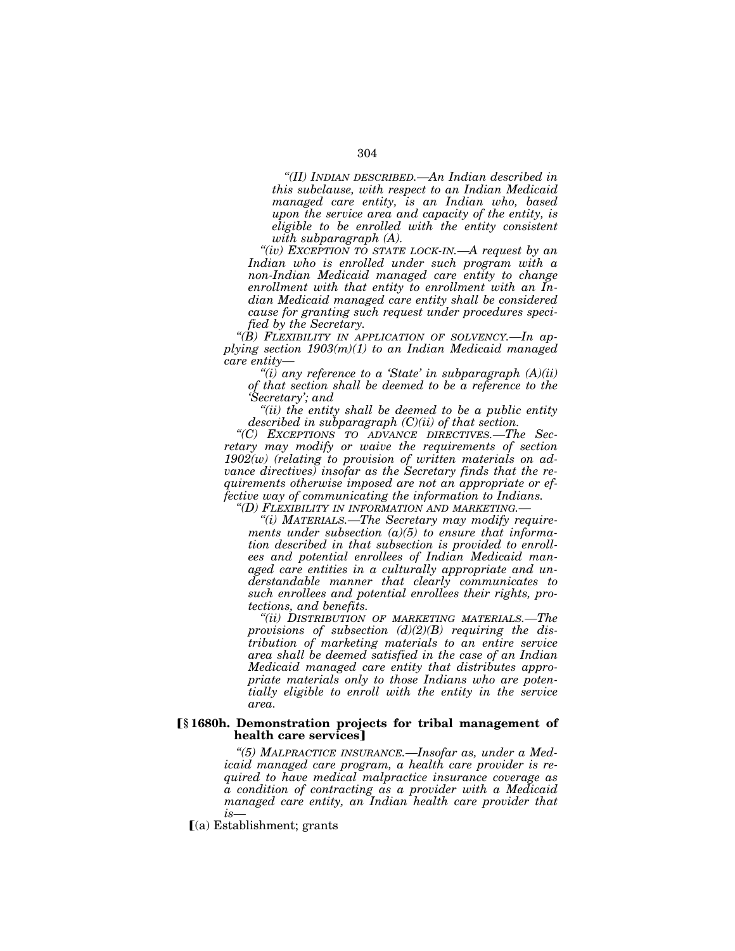*''(II) INDIAN DESCRIBED.—An Indian described in this subclause, with respect to an Indian Medicaid managed care entity, is an Indian who, based upon the service area and capacity of the entity, is eligible to be enrolled with the entity consistent with subparagraph (A).* 

*''(iv) EXCEPTION TO STATE LOCK-IN.—A request by an Indian who is enrolled under such program with a non-Indian Medicaid managed care entity to change enrollment with that entity to enrollment with an Indian Medicaid managed care entity shall be considered cause for granting such request under procedures specified by the Secretary.* 

*''(B) FLEXIBILITY IN APPLICATION OF SOLVENCY.—In applying section 1903(m)(1) to an Indian Medicaid managed care entity—*

*''(i) any reference to a 'State' in subparagraph (A)(ii) of that section shall be deemed to be a reference to the 'Secretary'; and* 

*''(ii) the entity shall be deemed to be a public entity described in subparagraph (C)(ii) of that section.* 

*''(C) EXCEPTIONS TO ADVANCE DIRECTIVES.—The Secretary may modify or waive the requirements of section 1902(w) (relating to provision of written materials on advance directives) insofar as the Secretary finds that the requirements otherwise imposed are not an appropriate or effective way of communicating the information to Indians. ''(D) FLEXIBILITY IN INFORMATION AND MARKETING.—*

*''(i) MATERIALS.—The Secretary may modify requirements under subsection (a)(5) to ensure that information described in that subsection is provided to enrollees and potential enrollees of Indian Medicaid managed care entities in a culturally appropriate and understandable manner that clearly communicates to such enrollees and potential enrollees their rights, protections, and benefits.* 

*''(ii) DISTRIBUTION OF MARKETING MATERIALS.—The provisions of subsection (d)(2)(B) requiring the distribution of marketing materials to an entire service area shall be deemed satisfied in the case of an Indian Medicaid managed care entity that distributes appropriate materials only to those Indians who are potentially eligible to enroll with the entity in the service area.* 

## ø**§ 1680h. Demonstration projects for tribal management of health care services**]

*''(5) MALPRACTICE INSURANCE.—Insofar as, under a Medicaid managed care program, a health care provider is required to have medical malpractice insurance coverage as a condition of contracting as a provider with a Medicaid managed care entity, an Indian health care provider that is—*

 $(a)$  Establishment; grants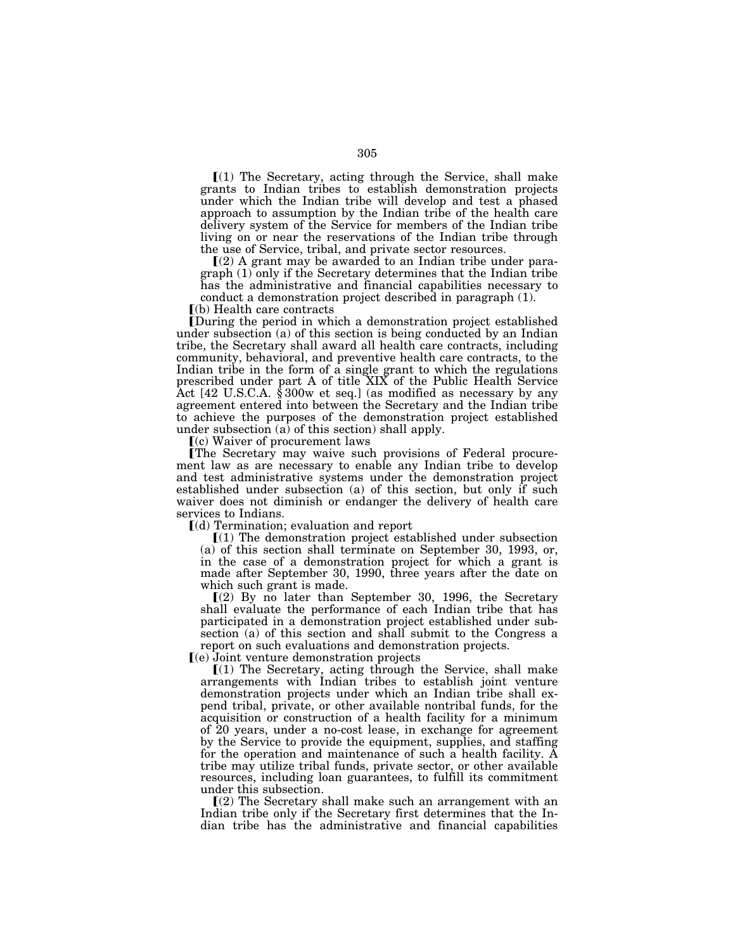$(1)$  The Secretary, acting through the Service, shall make grants to Indian tribes to establish demonstration projects under which the Indian tribe will develop and test a phased approach to assumption by the Indian tribe of the health care delivery system of the Service for members of the Indian tribe living on or near the reservations of the Indian tribe through the use of Service, tribal, and private sector resources.

 $(2)$  A grant may be awarded to an Indian tribe under paragraph (1) only if the Secretary determines that the Indian tribe has the administrative and financial capabilities necessary to conduct a demonstration project described in paragraph (1).

 $(a)$  Health care contracts

øDuring the period in which a demonstration project established under subsection (a) of this section is being conducted by an Indian tribe, the Secretary shall award all health care contracts, including community, behavioral, and preventive health care contracts, to the Indian tribe in the form of a single grant to which the regulations prescribed under part A of title XIX of the Public Health Service Act [42 U.S.C.A. § 300w et seq.] (as modified as necessary by any agreement entered into between the Secretary and the Indian tribe to achieve the purposes of the demonstration project established under subsection  $(a)$  of this section) shall apply.

 $(c)$  Waiver of procurement laws

øThe Secretary may waive such provisions of Federal procurement law as are necessary to enable any Indian tribe to develop and test administrative systems under the demonstration project established under subsection (a) of this section, but only if such waiver does not diminish or endanger the delivery of health care services to Indians.

 $\lceil$ (d) Termination; evaluation and report

 $[(1)$  The demonstration project established under subsection (a) of this section shall terminate on September 30, 1993, or, in the case of a demonstration project for which a grant is made after September 30, 1990, three years after the date on which such grant is made.

 $(2)$  By no later than September 30, 1996, the Secretary shall evaluate the performance of each Indian tribe that has participated in a demonstration project established under subsection (a) of this section and shall submit to the Congress a report on such evaluations and demonstration projects.

ø(e) Joint venture demonstration projects

 $(1)$  The Secretary, acting through the Service, shall make arrangements with Indian tribes to establish joint venture demonstration projects under which an Indian tribe shall expend tribal, private, or other available nontribal funds, for the acquisition or construction of a health facility for a minimum of 20 years, under a no-cost lease, in exchange for agreement by the Service to provide the equipment, supplies, and staffing for the operation and maintenance of such a health facility. A tribe may utilize tribal funds, private sector, or other available resources, including loan guarantees, to fulfill its commitment under this subsection.

 $(2)$  The Secretary shall make such an arrangement with an Indian tribe only if the Secretary first determines that the Indian tribe has the administrative and financial capabilities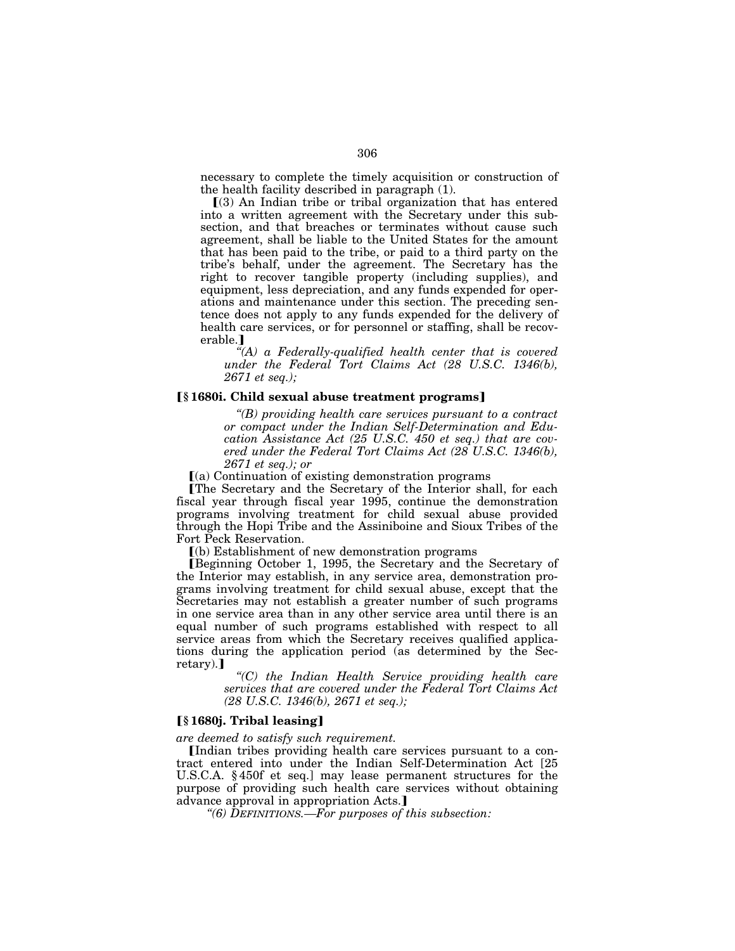necessary to complete the timely acquisition or construction of the health facility described in paragraph (1).

 $(3)$  An Indian tribe or tribal organization that has entered into a written agreement with the Secretary under this subsection, and that breaches or terminates without cause such agreement, shall be liable to the United States for the amount that has been paid to the tribe, or paid to a third party on the tribe's behalf, under the agreement. The Secretary has the right to recover tangible property (including supplies), and equipment, less depreciation, and any funds expended for operations and maintenance under this section. The preceding sentence does not apply to any funds expended for the delivery of health care services, or for personnel or staffing, shall be recoverable.]

*''(A) a Federally-qualified health center that is covered under the Federal Tort Claims Act (28 U.S.C. 1346(b), 2671 et seq.);* 

## ø**§ 1680i. Child sexual abuse treatment programs**¿

*''(B) providing health care services pursuant to a contract or compact under the Indian Self-Determination and Education Assistance Act (25 U.S.C. 450 et seq.) that are covered under the Federal Tort Claims Act (28 U.S.C. 1346(b), 2671 et seq.); or* 

 $(a)$  Continuation of existing demonstration programs

øThe Secretary and the Secretary of the Interior shall, for each fiscal year through fiscal year 1995, continue the demonstration programs involving treatment for child sexual abuse provided through the Hopi Tribe and the Assiniboine and Sioux Tribes of the Fort Peck Reservation.

 $(a)$  Establishment of new demonstration programs

øBeginning October 1, 1995, the Secretary and the Secretary of the Interior may establish, in any service area, demonstration programs involving treatment for child sexual abuse, except that the Secretaries may not establish a greater number of such programs in one service area than in any other service area until there is an equal number of such programs established with respect to all service areas from which the Secretary receives qualified applications during the application period (as determined by the Secretary).]

*''(C) the Indian Health Service providing health care services that are covered under the Federal Tort Claims Act (28 U.S.C. 1346(b), 2671 et seq.);* 

## ø**§ 1680j. Tribal leasing**¿

*are deemed to satisfy such requirement.* 

Indian tribes providing health care services pursuant to a contract entered into under the Indian Self-Determination Act [25 U.S.C.A. § 450f et seq.] may lease permanent structures for the purpose of providing such health care services without obtaining advance approval in appropriation Acts.

*''(6) DEFINITIONS.—For purposes of this subsection:*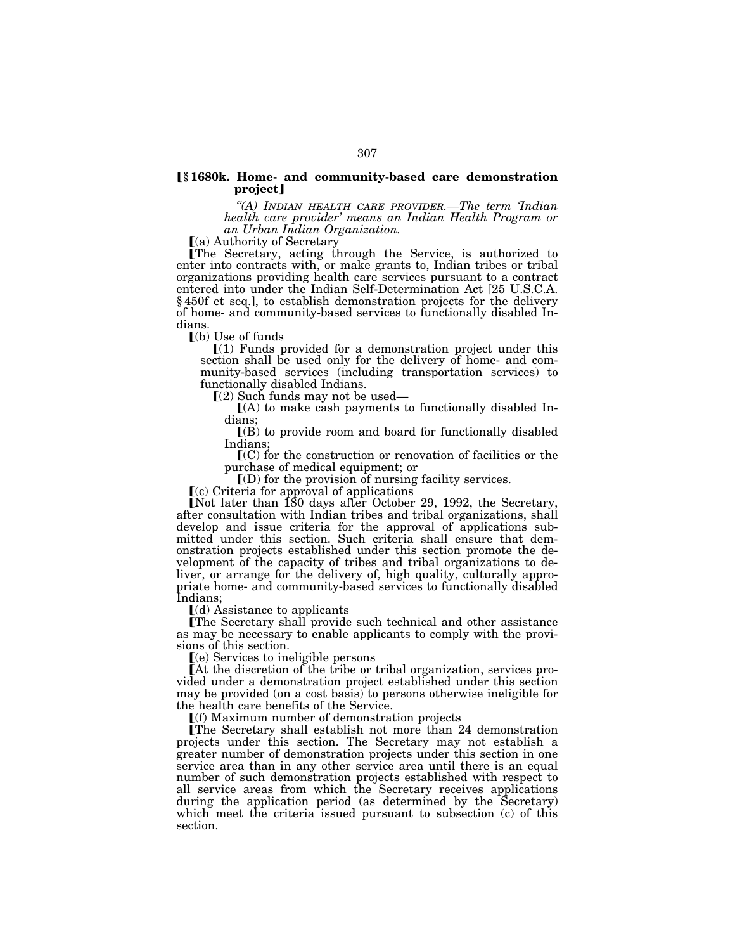## ø**§ 1680k. Home- and community-based care demonstration**  project]

*''(A) INDIAN HEALTH CARE PROVIDER.—The term 'Indian health care provider' means an Indian Health Program or an Urban Indian Organization.* 

 $(a)$  Authority of Secretary

øThe Secretary, acting through the Service, is authorized to enter into contracts with, or make grants to, Indian tribes or tribal organizations providing health care services pursuant to a contract entered into under the Indian Self-Determination Act [25 U.S.C.A. § 450f et seq.], to establish demonstration projects for the delivery of home- and community-based services to functionally disabled Indians.

 $\Gamma$ (b) Use of funds

 $\Gamma(1)$  Funds provided for a demonstration project under this section shall be used only for the delivery of home- and community-based services (including transportation services) to functionally disabled Indians.<br> $[(2)$  Such funds may not be used—

 $(A)$  to make cash payments to functionally disabled Indians;

 $($ B) to provide room and board for functionally disabled Indians;

 $\mathbf{C}(C)$  for the construction or renovation of facilities or the purchase of medical equipment; or

 $\mathbb{I}(\mathcal{D})$  for the provision of nursing facility services.

 $(c)$  Criteria for approval of applications

Not later than  $\overline{180}$  days after October 29, 1992, the Secretary, after consultation with Indian tribes and tribal organizations, shall develop and issue criteria for the approval of applications submitted under this section. Such criteria shall ensure that demonstration projects established under this section promote the development of the capacity of tribes and tribal organizations to deliver, or arrange for the delivery of, high quality, culturally appropriate home- and community-based services to functionally disabled Indians;

 $\left[\text{(d)}\right]$  Assistance to applicants

The Secretary shall provide such technical and other assistance as may be necessary to enable applicants to comply with the provisions of this section.

 $(e)$  Services to ineligible persons

 $[At the discretion of the triple or tribal organization, services pro$ vided under a demonstration project established under this section may be provided (on a cost basis) to persons otherwise ineligible for the health care benefits of the Service.

 $\Gamma(f)$  Maximum number of demonstration projects

øThe Secretary shall establish not more than 24 demonstration projects under this section. The Secretary may not establish a greater number of demonstration projects under this section in one service area than in any other service area until there is an equal number of such demonstration projects established with respect to all service areas from which the Secretary receives applications during the application period (as determined by the Secretary) which meet the criteria issued pursuant to subsection (c) of this section.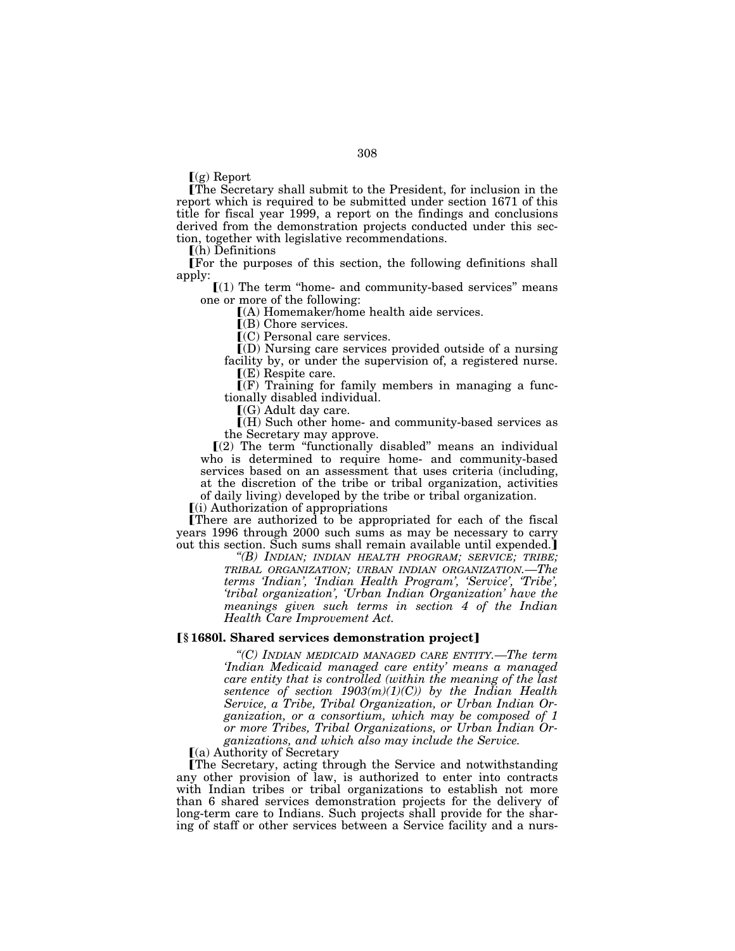$\Gamma(g)$  Report

The Secretary shall submit to the President, for inclusion in the report which is required to be submitted under section 1671 of this title for fiscal year 1999, a report on the findings and conclusions derived from the demonstration projects conducted under this section, together with legislative recommendations.

 $\Gamma$ (h) Definitions

øFor the purposes of this section, the following definitions shall apply:

 $(1)$  The term "home- and community-based services" means one or more of the following:

 $(A)$  Homemaker/home health aide services.

ø(B) Chore services.

 $\mathbf{C}(\mathbf{C})$  Personal care services.

ø(D) Nursing care services provided outside of a nursing facility by, or under the supervision of, a registered nurse.  $\mathcal{F}(\mathbf{E})$  Respite care.

 $\Gamma(F)$  Training for family members in managing a func-

tionally disabled individual.

 $(G)$  Adult day care.

ø(H) Such other home- and community-based services as the Secretary may approve.

 $(2)$  The term "functionally disabled" means an individual who is determined to require home- and community-based services based on an assessment that uses criteria (including, at the discretion of the tribe or tribal organization, activities of daily living) developed by the tribe or tribal organization.

 $(i)$  Authorization of appropriations

There are authorized to be appropriated for each of the fiscal years 1996 through 2000 such sums as may be necessary to carry out this section. Such sums shall remain available until expended.

> *''(B) INDIAN; INDIAN HEALTH PROGRAM; SERVICE; TRIBE; TRIBAL ORGANIZATION; URBAN INDIAN ORGANIZATION.—The terms 'Indian', 'Indian Health Program', 'Service', 'Tribe', 'tribal organization', 'Urban Indian Organization' have the meanings given such terms in section 4 of the Indian Health Care Improvement Act.*

## ø**§ 1680l. Shared services demonstration project**¿

*''(C) INDIAN MEDICAID MANAGED CARE ENTITY.—The term 'Indian Medicaid managed care entity' means a managed care entity that is controlled (within the meaning of the last sentence of section 1903(m)(1)(C)) by the Indian Health Service, a Tribe, Tribal Organization, or Urban Indian Organization, or a consortium, which may be composed of 1 or more Tribes, Tribal Organizations, or Urban Indian Or*ganizations, and which also may include the Service.<br> **[**(a) Authority of Secretary

øThe Secretary, acting through the Service and notwithstanding any other provision of law, is authorized to enter into contracts with Indian tribes or tribal organizations to establish not more than 6 shared services demonstration projects for the delivery of long-term care to Indians. Such projects shall provide for the sharing of staff or other services between a Service facility and a nurs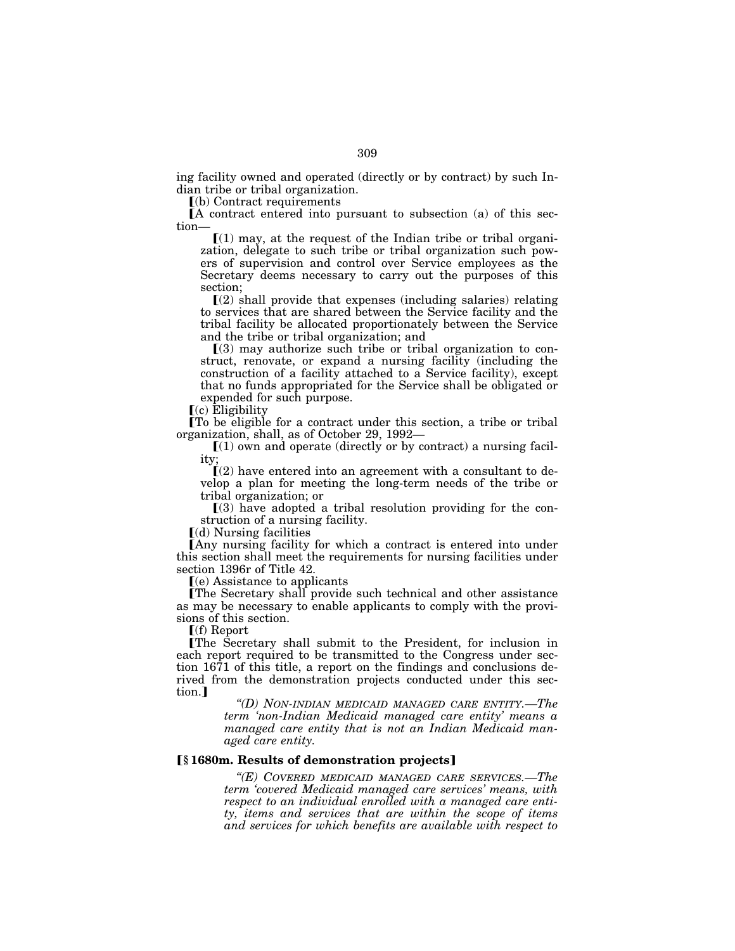ing facility owned and operated (directly or by contract) by such Indian tribe or tribal organization.

 $(a)$  Contract requirements

 $\Lambda$  contract entered into pursuant to subsection (a) of this section—

 $(1)$  may, at the request of the Indian tribe or tribal organization, delegate to such tribe or tribal organization such powers of supervision and control over Service employees as the Secretary deems necessary to carry out the purposes of this section;

 $\Gamma(2)$  shall provide that expenses (including salaries) relating to services that are shared between the Service facility and the tribal facility be allocated proportionately between the Service and the tribe or tribal organization; and

 $(3)$  may authorize such tribe or tribal organization to construct, renovate, or expand a nursing facility (including the construction of a facility attached to a Service facility), except that no funds appropriated for the Service shall be obligated or expended for such purpose.

 $(c)$  Eligibility

øTo be eligible for a contract under this section, a tribe or tribal organization, shall, as of October 29, 1992—

 $(1)$  own and operate (directly or by contract) a nursing facility;

 $(2)$  have entered into an agreement with a consultant to develop a plan for meeting the long-term needs of the tribe or tribal organization; or

 $(3)$  have adopted a tribal resolution providing for the construction of a nursing facility.

 $(d)$  Nursing facilities

[Any nursing facility for which a contract is entered into under this section shall meet the requirements for nursing facilities under section 1396r of Title 42.

 $(e)$  Assistance to applicants

øThe Secretary shall provide such technical and other assistance as may be necessary to enable applicants to comply with the provisions of this section.

 $f(f)$  Report

øThe Secretary shall submit to the President, for inclusion in each report required to be transmitted to the Congress under section 1671 of this title, a report on the findings and conclusions derived from the demonstration projects conducted under this section.]

> *''(D) NON-INDIAN MEDICAID MANAGED CARE ENTITY.—The term 'non-Indian Medicaid managed care entity' means a managed care entity that is not an Indian Medicaid managed care entity.*

## ø**§ 1680m. Results of demonstration projects**¿

*''(E) COVERED MEDICAID MANAGED CARE SERVICES.—The term 'covered Medicaid managed care services' means, with respect to an individual enrolled with a managed care entity, items and services that are within the scope of items and services for which benefits are available with respect to*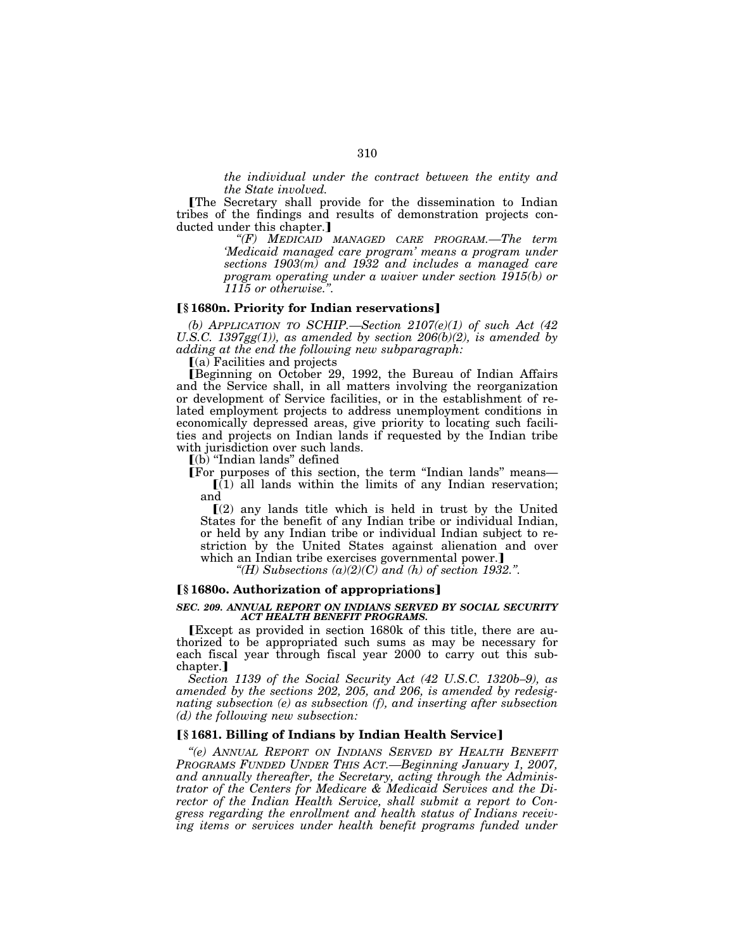*the individual under the contract between the entity and the State involved.* 

øThe Secretary shall provide for the dissemination to Indian tribes of the findings and results of demonstration projects conducted under this chapter.]

*''(F) MEDICAID MANAGED CARE PROGRAM.—The term 'Medicaid managed care program' means a program under sections 1903(m) and 1932 and includes a managed care program operating under a waiver under section 1915(b) or 1115 or otherwise.''.* 

## ø**§ 1680n. Priority for Indian reservations**¿

*(b) APPLICATION TO SCHIP.—Section 2107(e)(1) of such Act (42*  U.S.C. 1397 $gg(1)$ ), as amended by section  $206(b)(2)$ , is amended by *adding at the end the following new subparagraph:* 

 $(a)$  Facilities and projects

Beginning on October 29, 1992, the Bureau of Indian Affairs and the Service shall, in all matters involving the reorganization or development of Service facilities, or in the establishment of related employment projects to address unemployment conditions in economically depressed areas, give priority to locating such facilities and projects on Indian lands if requested by the Indian tribe with jurisdiction over such lands.

 $(a)$  "Indian lands" defined

For purposes of this section, the term "Indian lands" means—

 $\left[ \right( 1\right)$  all lands within the limits of any Indian reservation; and

 $(2)$  any lands title which is held in trust by the United States for the benefit of any Indian tribe or individual Indian, or held by any Indian tribe or individual Indian subject to restriction by the United States against alienation and over which an Indian tribe exercises governmental power.]

*''(H) Subsections (a)(2)(C) and (h) of section 1932.''.* 

## ø**§ 1680o. Authorization of appropriations**¿

## *SEC. 209. ANNUAL REPORT ON INDIANS SERVED BY SOCIAL SECURITY ACT HEALTH BENEFIT PROGRAMS.*

øExcept as provided in section 1680k of this title, there are authorized to be appropriated such sums as may be necessary for each fiscal year through fiscal year 2000 to carry out this subchapter.]

*Section 1139 of the Social Security Act (42 U.S.C. 1320b–9), as amended by the sections 202, 205, and 206, is amended by redesignating subsection (e) as subsection (f), and inserting after subsection (d) the following new subsection:* 

## ø**§ 1681. Billing of Indians by Indian Health Service**¿

*''(e) ANNUAL REPORT ON INDIANS SERVED BY HEALTH BENEFIT PROGRAMS FUNDED UNDER THIS ACT.—Beginning January 1, 2007, and annually thereafter, the Secretary, acting through the Administrator of the Centers for Medicare & Medicaid Services and the Director of the Indian Health Service, shall submit a report to Congress regarding the enrollment and health status of Indians receiv*ing items or services under health benefit programs funded under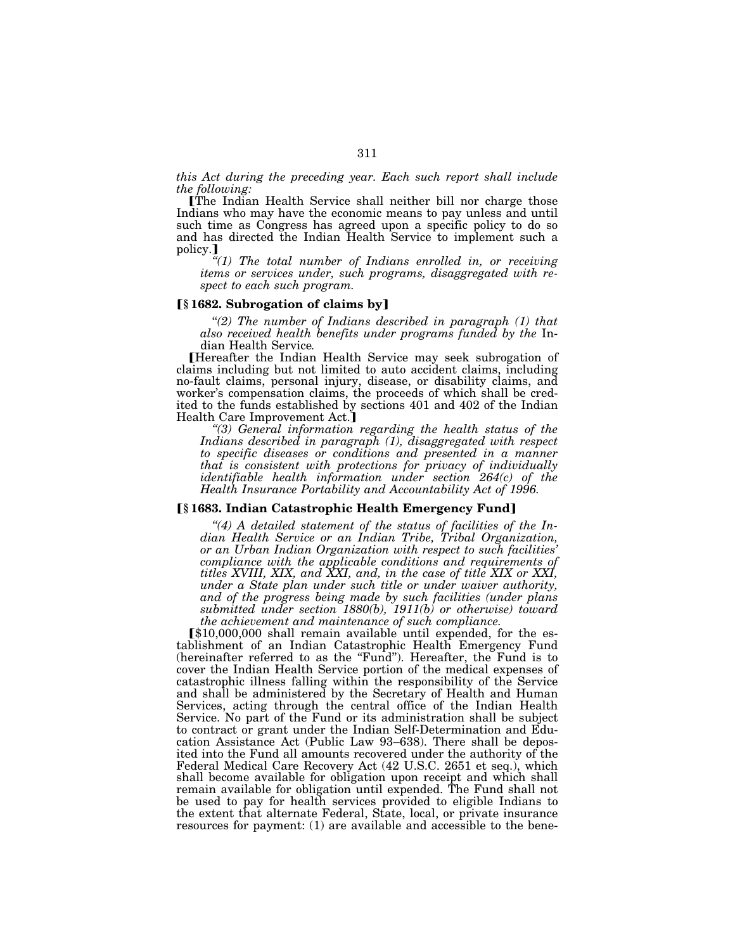*this Act during the preceding year. Each such report shall include the following:* 

øThe Indian Health Service shall neither bill nor charge those Indians who may have the economic means to pay unless and until such time as Congress has agreed upon a specific policy to do so and has directed the Indian Health Service to implement such a policy.

*''(1) The total number of Indians enrolled in, or receiving items or services under, such programs, disaggregated with respect to each such program.* 

## ø**§ 1682. Subrogation of claims by**¿

"(2) The number of Indians described in paragraph (1) that *also received health benefits under programs funded by the* In-

Hereafter the Indian Health Service may seek subrogation of claims including but not limited to auto accident claims, including no-fault claims, personal injury, disease, or disability claims, and worker's compensation claims, the proceeds of which shall be credited to the funds established by sections 401 and 402 of the Indian Health Care Improvement Act.<sup>]</sup><br>"(3) General information regarding the health status of the

Indians described in paragraph (1), disaggregated with respect *to specific diseases or conditions and presented in a manner that is consistent with protections for privacy of individually identifiable health information under section 264(c) of the Health Insurance Portability and Accountability Act of 1996.* 

## ø**§ 1683. Indian Catastrophic Health Emergency Fund**¿

*''(4) A detailed statement of the status of facilities of the Indian Health Service or an Indian Tribe, Tribal Organization, or an Urban Indian Organization with respect to such facilities' compliance with the applicable conditions and requirements of titles XVIII, XIX, and XXI, and, in the case of title XIX or XXI, under a State plan under such title or under waiver authority, and of the progress being made by such facilities (under plans submitted under section 1880(b), 1911(b) or otherwise) toward the achievement and maintenance of such compliance.* 

 $$10,000,000$  shall remain available until expended, for the establishment of an Indian Catastrophic Health Emergency Fund (hereinafter referred to as the "Fund"). Hereafter, the Fund is to cover the Indian Health Service portion of the medical expenses of catastrophic illness falling within the responsibility of the Service and shall be administered by the Secretary of Health and Human Services, acting through the central office of the Indian Health Service. No part of the Fund or its administration shall be subject to contract or grant under the Indian Self-Determination and Education Assistance Act (Public Law 93–638). There shall be deposited into the Fund all amounts recovered under the authority of the Federal Medical Care Recovery Act (42 U.S.C. 2651 et seq.), which shall become available for obligation upon receipt and which shall remain available for obligation until expended. The Fund shall not be used to pay for health services provided to eligible Indians to the extent that alternate Federal, State, local, or private insurance resources for payment: (1) are available and accessible to the bene-